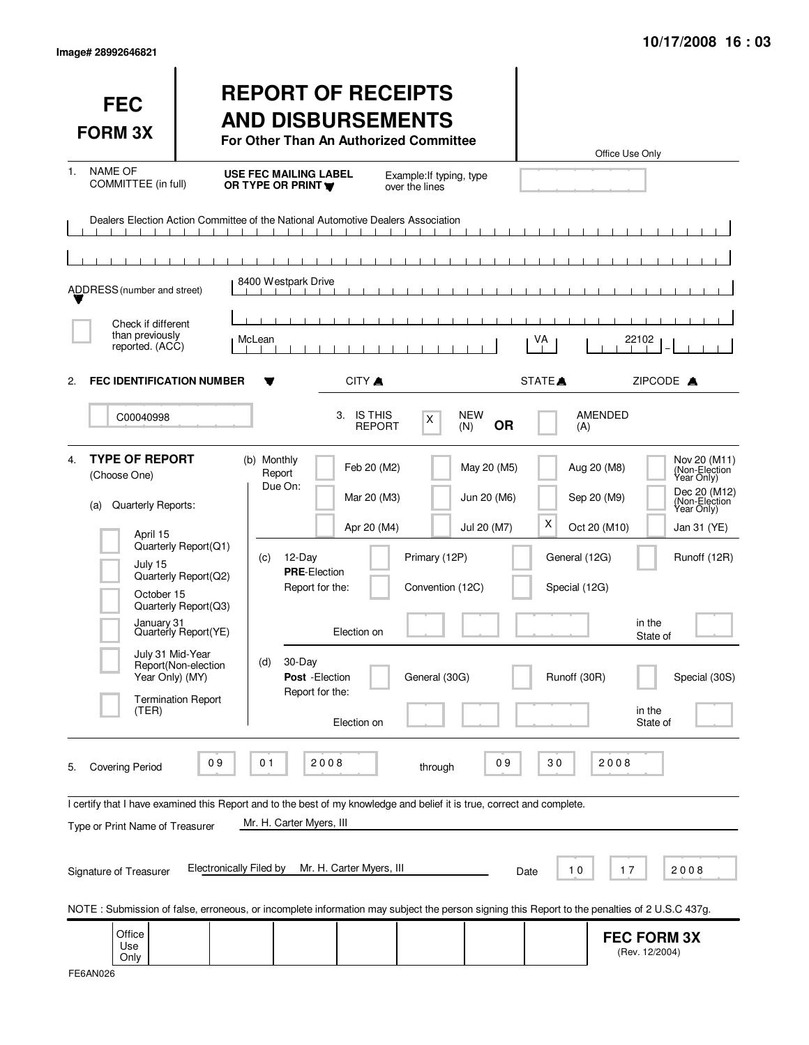| <b>FEC</b><br><b>FORM 3X</b>                                                                                                                                                |                                                                                                                                                  | <b>REPORT OF RECEIPTS</b><br><b>AND DISBURSEMENTS</b><br>For Other Than An Authorized Committee                                                                                                                                                                                                                                               |                                                                                                 | Office Use Only                                                                                   |                                                                                                                                                                                         |
|-----------------------------------------------------------------------------------------------------------------------------------------------------------------------------|--------------------------------------------------------------------------------------------------------------------------------------------------|-----------------------------------------------------------------------------------------------------------------------------------------------------------------------------------------------------------------------------------------------------------------------------------------------------------------------------------------------|-------------------------------------------------------------------------------------------------|---------------------------------------------------------------------------------------------------|-----------------------------------------------------------------------------------------------------------------------------------------------------------------------------------------|
| <b>NAME OF</b><br>1.<br>COMMITTEE (in full)                                                                                                                                 |                                                                                                                                                  | <b>USE FEC MAILING LABEL</b><br>OR TYPE OR PRINT Y                                                                                                                                                                                                                                                                                            | Example: If typing, type<br>over the lines                                                      |                                                                                                   |                                                                                                                                                                                         |
|                                                                                                                                                                             |                                                                                                                                                  | Dealers Election Action Committee of the National Automotive Dealers Association                                                                                                                                                                                                                                                              |                                                                                                 |                                                                                                   |                                                                                                                                                                                         |
| ADDRESS (number and street)                                                                                                                                                 |                                                                                                                                                  | 8400 Westpark Drive                                                                                                                                                                                                                                                                                                                           |                                                                                                 |                                                                                                   |                                                                                                                                                                                         |
| Check if different<br>than previously<br>reported. (ACC)                                                                                                                    |                                                                                                                                                  | McLean                                                                                                                                                                                                                                                                                                                                        |                                                                                                 | VA                                                                                                | 22102                                                                                                                                                                                   |
| <b>FEC IDENTIFICATION NUMBER</b><br>2.                                                                                                                                      |                                                                                                                                                  | CITY A                                                                                                                                                                                                                                                                                                                                        |                                                                                                 | STATE <sup></sup>                                                                                 | ZIPCODE A                                                                                                                                                                               |
| C00040998                                                                                                                                                                   |                                                                                                                                                  | 3. IS THIS<br><b>REPORT</b>                                                                                                                                                                                                                                                                                                                   | <b>NEW</b><br>X<br><b>OR</b><br>(N)                                                             | AMENDED<br>(A)                                                                                    |                                                                                                                                                                                         |
| <b>TYPE OF REPORT</b><br>4.<br>(Choose One)<br>Quarterly Reports:<br>(a)<br>April 15<br>July 15<br>October 15<br>January 31<br>July 31 Mid-Year<br>Year Only) (MY)<br>(TER) | Quarterly Report(Q1)<br>Quarterly Report(Q2)<br>Quarterly Report(Q3)<br>Quarterly Report(YE)<br>Report(Non-election<br><b>Termination Report</b> | (b) Monthly<br>Feb 20 (M2)<br>Report<br>Due On:<br>Mar 20 (M3)<br>Apr 20 (M4)<br>$12$ -Day<br>(c)<br><b>PRE-Election</b><br>Report for the:<br>Election on<br>30-Day<br>(d)<br>Post - Election<br>Report for the:<br>Election on                                                                                                              | May 20 (M5)<br>Jun 20 (M6)<br>Jul 20 (M7)<br>Primary (12P)<br>Convention (12C)<br>General (30G) | Aug 20 (M8)<br>Sep 20 (M9)<br>X<br>Oct 20 (M10)<br>General (12G)<br>Special (12G)<br>Runoff (30R) | Nov 20 (M11)<br>(Non-Election<br>Year Only)<br>Dec 20 (M12)<br>(Non-Election)<br>Year Only)<br>Jan 31 (YE)<br>Runoff (12R)<br>in the<br>State of<br>Special (30S)<br>in the<br>State of |
| <b>Covering Period</b><br>5.<br>Type or Print Name of Treasurer<br>Signature of Treasurer                                                                                   | 09<br><b>Electronically Filed by</b>                                                                                                             | 2008<br>01<br>I certify that I have examined this Report and to the best of my knowledge and belief it is true, correct and complete.<br>Mr. H. Carter Myers, III<br>Mr. H. Carter Myers, III<br>NOTE: Submission of false, erroneous, or incomplete information may subject the person signing this Report to the penalties of 2 U.S.C 437g. | 09<br>through                                                                                   | 30<br>2008<br>17<br>10<br>Date                                                                    | 2008                                                                                                                                                                                    |
| Office<br>Use<br>Only                                                                                                                                                       |                                                                                                                                                  |                                                                                                                                                                                                                                                                                                                                               |                                                                                                 |                                                                                                   | <b>FEC FORM 3X</b><br>(Rev. 12/2004)                                                                                                                                                    |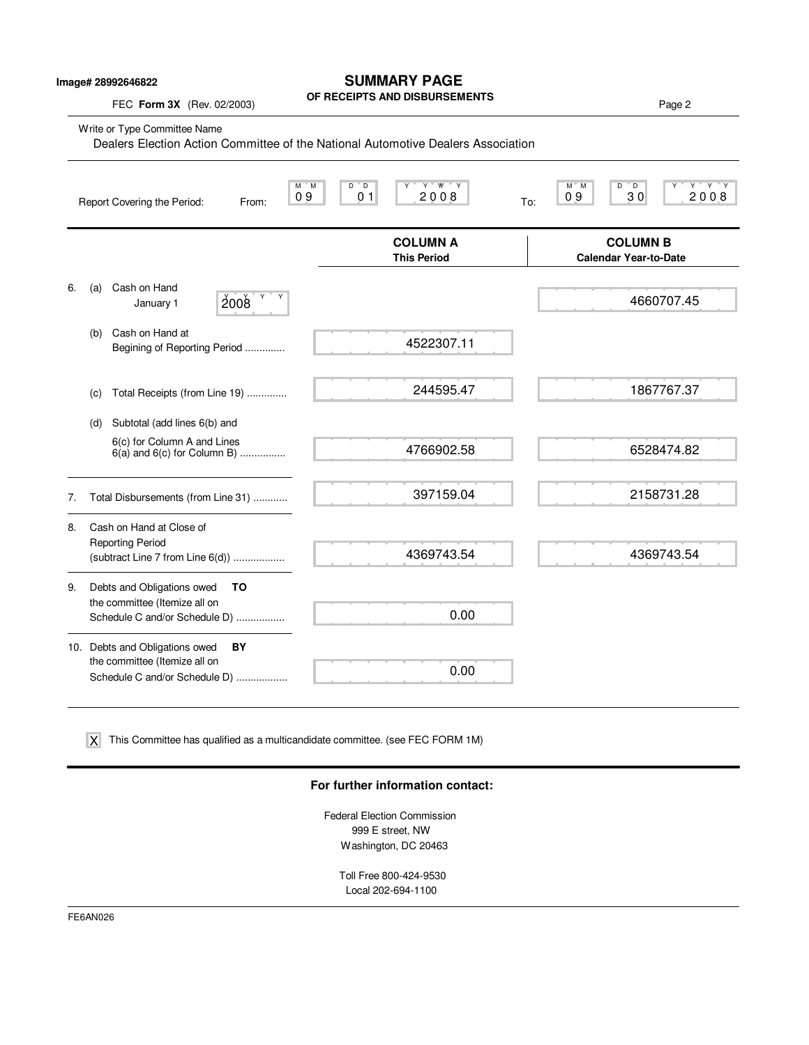| Image# 28992646822 |  |
|--------------------|--|
|--------------------|--|

## **SUMMARY PAGE**

**OF RECEIPTS AND DISBURSEMENTS**

FEC **Form 3X** (Rev. 02/2003) **Page 2 Properties AND DISBUNSEMENTS** 

|    | Write or Type Committee Name<br>Dealers Election Action Committee of the National Automotive Dealers Association |                                                                                         |                                                                  |                                                                                         |  |
|----|------------------------------------------------------------------------------------------------------------------|-----------------------------------------------------------------------------------------|------------------------------------------------------------------|-----------------------------------------------------------------------------------------|--|
|    |                                                                                                                  | M M<br>09<br>Report Covering the Period:<br>From:                                       | $D^{\prime\prime}$ D<br>Y " W " Y<br>Y<br>0 <sub>1</sub><br>2008 | D<br>$Y$ $Y$ $Y$<br>$M^*$ M<br>$^{\circ}$ D<br>Υ<br>0 <sub>9</sub><br>30<br>2008<br>To: |  |
|    |                                                                                                                  |                                                                                         | <b>COLUMN A</b><br><b>This Period</b>                            | <b>COLUMN B</b><br><b>Calendar Year-to-Date</b>                                         |  |
| 6. | (a)                                                                                                              | Cash on Hand<br>Y<br>Y<br>2008<br>January 1                                             |                                                                  | 4660707.45                                                                              |  |
|    | (b)                                                                                                              | Cash on Hand at<br>Begining of Reporting Period                                         | 4522307.11                                                       |                                                                                         |  |
|    | (c)                                                                                                              | Total Receipts (from Line 19)                                                           | 244595.47                                                        | 1867767.37                                                                              |  |
|    | (d)                                                                                                              | Subtotal (add lines 6(b) and                                                            |                                                                  |                                                                                         |  |
|    |                                                                                                                  | 6(c) for Column A and Lines<br>$6(a)$ and $6(c)$ for Column B)                          | 4766902.58                                                       | 6528474.82                                                                              |  |
| 7. |                                                                                                                  | Total Disbursements (from Line 31)                                                      | 397159.04                                                        | 2158731.28                                                                              |  |
| 8. |                                                                                                                  | Cash on Hand at Close of<br><b>Reporting Period</b><br>(subtract Line 7 from Line 6(d)) | 4369743.54                                                       | 4369743.54                                                                              |  |
| 9. |                                                                                                                  | Debts and Obligations owed<br>ΤO                                                        |                                                                  |                                                                                         |  |
|    |                                                                                                                  | the committee (Itemize all on<br>Schedule C and/or Schedule D)                          | 0.00                                                             |                                                                                         |  |
|    |                                                                                                                  | 10. Debts and Obligations owed<br>BY                                                    |                                                                  |                                                                                         |  |
|    |                                                                                                                  | the committee (Itemize all on<br>Schedule C and/or Schedule D)                          | 0.00                                                             |                                                                                         |  |

This Committee has qualified as a multicandidate committee. (see FEC FORM 1M) X

### **For further information contact:**

Federal Election Commission 999 E street, NW Washington, DC 20463

> Toll Free 800-424-9530 Local 202-694-1100

FE6AN026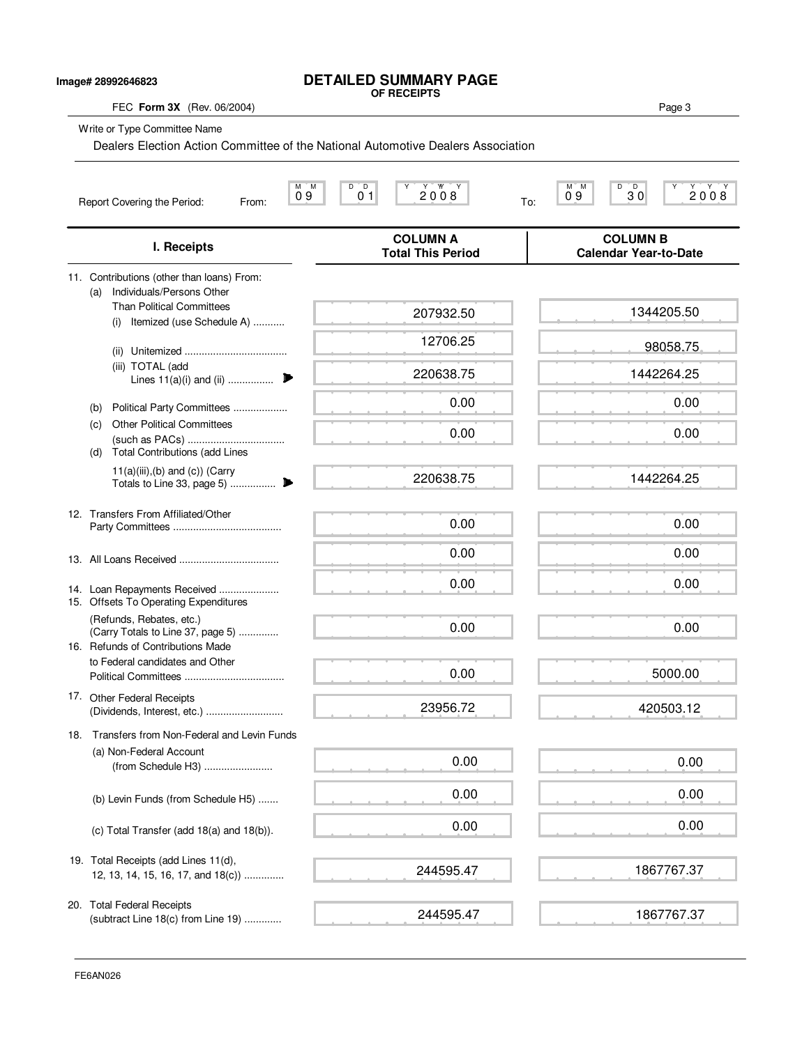### **DETAILED SUMMARY PAGE OF RECEIPTS**

**Image# 28992646823**

FEC **Form 3X** (Rev. 06/2004) Page 3 Write or Type Committee Name M M D D Y Y YY Y M M D D Y Y Y Y Report Covering the Period: From: 09 01 01 2008 To: **COLUMN A COLUMN B I. Receipts Total This Period Calendar Year-to-Date** 11. Contributions (other than loans) From: (a) Individuals/Persons Other Than Political Committees (i) Itemized (use Schedule A) ........... (ii) Unitemized .................................... (iii) TOTAL (add Lines 11(a)(i) and (ii) ................ . (b) Political Party Committees ................... (c) Other Political Committees (such as PACs) .................................. (d) Total Contributions (add Lines  $11(a)(iii),(b)$  and  $(c))$  (Carry Totals to Line 33, page 5) ................ . 12. Transfers From Affiliated/Other Party Committees ...................................... 13. All Loans Received ................................... 14. Loan Repayments Received ..................... 15. Offsets To Operating Expenditures (Refunds, Rebates, etc.) (Carry Totals to Line 37, page 5) .............. 16. Refunds of Contributions Made to Federal candidates and Other Political Committees ................................... 17. Other Federal Receipts (Dividends, Interest, etc.) ........................... 18. Transfers from Non-Federal and Levin Funds (a) Non-Federal Account (from Schedule H3) ........................ (b) Levin Funds (from Schedule H5) ....... (c) Total Transfer (add 18(a) and 18(b)). 19. Total Receipts (add Lines 11(d), 12, 13, 14, 15, 16, 17, and 18(c)) .............. 20. Total Federal Receipts (subtract Line 18(c) from Line 19) ............. 0 9 0 1 2 0 0 8  $\frac{1}{10}$  2 0 0  $\frac{1}{10}$  0  $\frac{1}{2}$  0  $\frac{1}{2}$  0  $\frac{2008}{2008}$ Dealers Election Action Committee of the National Automotive Dealers Association 207932.50 12706.25 220638.75 0.00 0.00 220638.75 0.00 0.00 0.00 0.00 0.00 23956.72 0.00 0.00 0.00 244595.47 244595.47 1344205.50 98058.75 1442264.25 0.00 0.00 1442264.25 0.00 0.00 0.00 0.00 5000.00 420503.12 0.00 0.00 0.00 1867767.37 1867767.37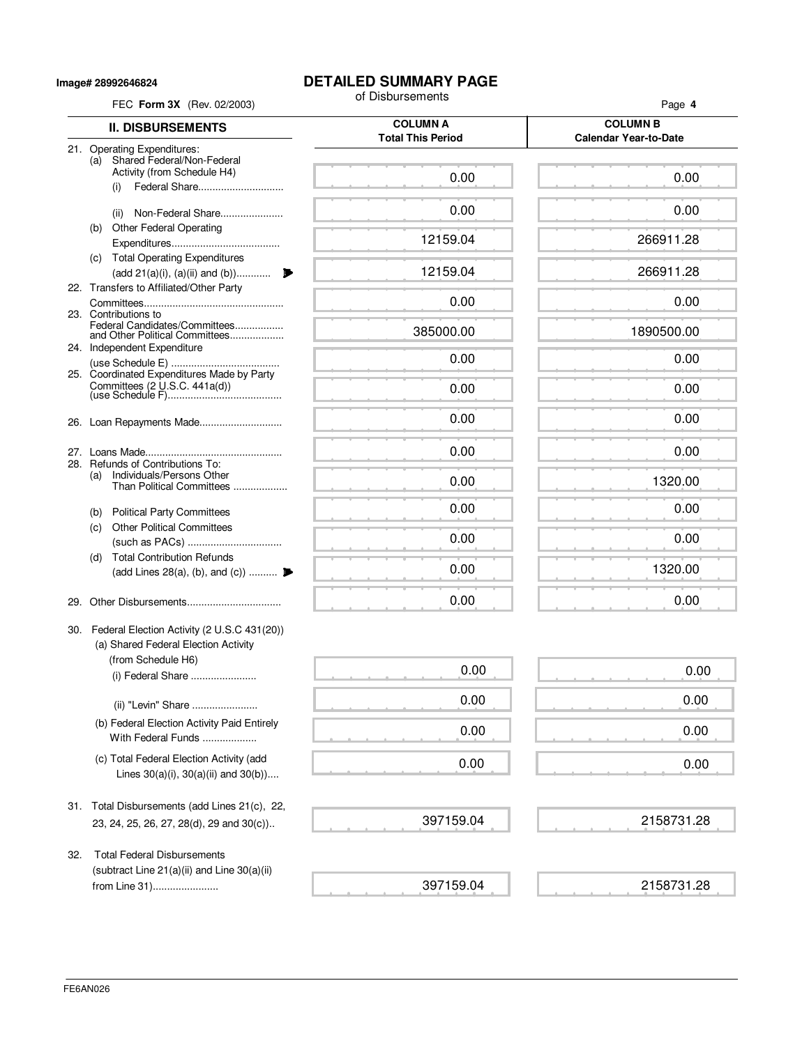**Image# 28992646824**

# **DETAILED SUMMARY PAGE**<br>of Disbursements

| FEC Form 3X (Rev. 02/2003) |                                                                                          | of Disbursements                            | Page 4                                          |  |
|----------------------------|------------------------------------------------------------------------------------------|---------------------------------------------|-------------------------------------------------|--|
|                            | <b>II. DISBURSEMENTS</b>                                                                 | <b>COLUMN A</b><br><b>Total This Period</b> | <b>COLUMN B</b><br><b>Calendar Year-to-Date</b> |  |
| (a)                        | 21. Operating Expenditures:<br>Shared Federal/Non-Federal<br>Activity (from Schedule H4) | 0.00                                        | 0.00                                            |  |
|                            | Federal Share<br>(i)                                                                     |                                             |                                                 |  |
|                            | Non-Federal Share<br>(ii)                                                                | 0.00                                        | 0.00                                            |  |
| (b)                        | <b>Other Federal Operating</b>                                                           | 12159.04                                    | 266911.28                                       |  |
|                            | (c) Total Operating Expenditures                                                         |                                             |                                                 |  |
|                            | (add 21(a)(i), (a)(ii) and (b))<br>22. Transfers to Affiliated/Other Party               | 12159.04                                    | 266911.28                                       |  |
|                            | 23. Contributions to                                                                     | 0.00                                        | 0.00                                            |  |
|                            | Federal Candidates/Committees<br>and Other Political Committees                          | 385000.00                                   | 1890500.00                                      |  |
|                            | 24. Independent Expenditure                                                              | 0.00                                        | 0.00                                            |  |
|                            | 25. Coordinated Expenditures Made by Party                                               |                                             |                                                 |  |
|                            |                                                                                          | 0.00                                        | 0.00                                            |  |
|                            |                                                                                          | 0.00                                        | 0.00                                            |  |
|                            |                                                                                          | 0.00                                        | 0.00                                            |  |
| 28.<br>(a)                 | Refunds of Contributions To:<br>Individuals/Persons Other<br>Than Political Committees   | 0.00                                        | 1320.00                                         |  |
| (b)                        | <b>Political Party Committees</b>                                                        | 0.00                                        | 0.00                                            |  |
| (c)                        | <b>Other Political Committees</b>                                                        | 0.00                                        | 0.00                                            |  |
| (d)                        | <b>Total Contribution Refunds</b><br>(add Lines 28(a), (b), and (c))                     | 0.00                                        | 1320.00                                         |  |
|                            |                                                                                          |                                             |                                                 |  |
| 29.                        |                                                                                          | 0.00                                        | 0.00                                            |  |
|                            | 30. Federal Election Activity (2 U.S.C 431(20))<br>(a) Shared Federal Election Activity  |                                             |                                                 |  |
|                            | (from Schedule H6)<br>(i) Federal Share                                                  | 0.00                                        | 0.00                                            |  |
|                            | (ii) "Levin" Share                                                                       | 0.00                                        | 0.00                                            |  |
|                            | (b) Federal Election Activity Paid Entirely<br>With Federal Funds                        | 0.00                                        | 0.00                                            |  |
|                            | (c) Total Federal Election Activity (add<br>Lines $30(a)(i)$ , $30(a)(ii)$ and $30(b)$ ) | 0.00                                        | 0.00                                            |  |
|                            | 31. Total Disbursements (add Lines 21(c), 22,                                            |                                             |                                                 |  |
|                            | 23, 24, 25, 26, 27, 28(d), 29 and 30(c))                                                 | 397159.04                                   | 2158731.28                                      |  |
| 32.                        | <b>Total Federal Disbursements</b><br>(subtract Line 21(a)(ii) and Line 30(a)(ii)        |                                             |                                                 |  |

397159.04

2158731.28

from Line 31).......................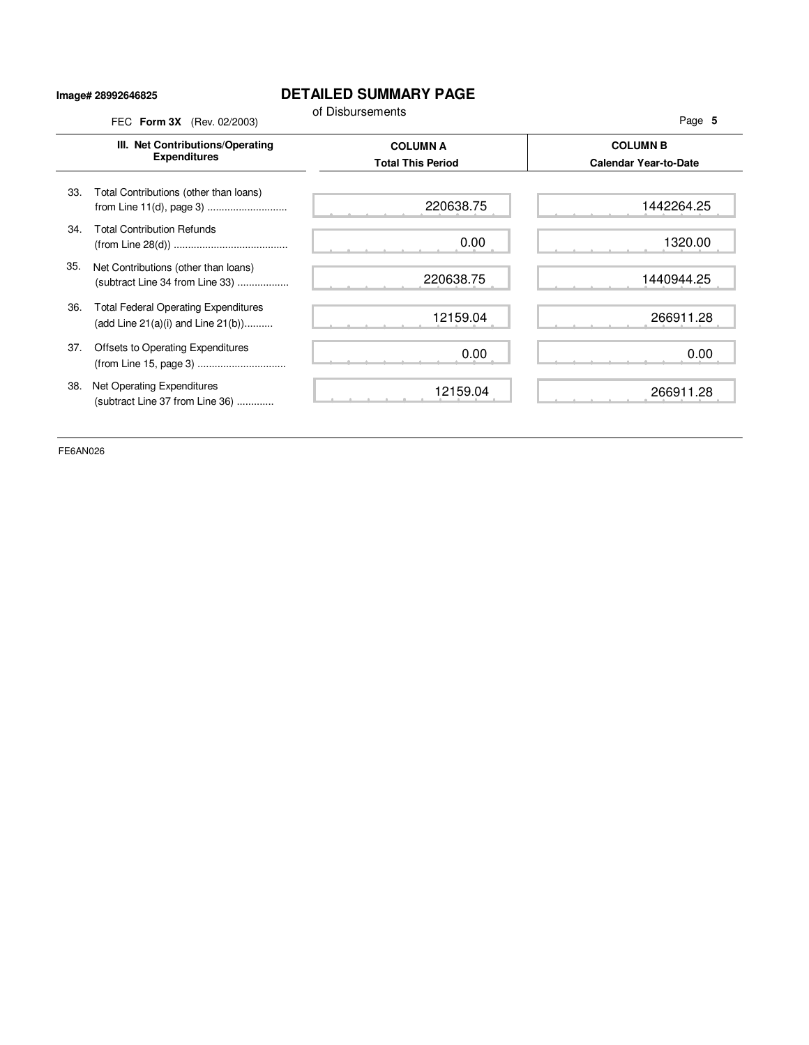### **Image# 28992646825**

## **DETAILED SUMMARY PAGE**

|     | III. Net Contributions/Operating<br><b>Expenditures</b>                                | <b>COLUMN A</b><br><b>Total This Period</b> | <b>COLUMN B</b><br><b>Calendar Year-to-Date</b> |
|-----|----------------------------------------------------------------------------------------|---------------------------------------------|-------------------------------------------------|
| 33. | Total Contributions (other than loans)                                                 | 220638.75                                   | 1442264.25                                      |
| 34. | <b>Total Contribution Refunds</b>                                                      | 0.00                                        | 1320.00                                         |
| 35. | Net Contributions (other than loans)<br>(subtract Line 34 from Line 33)                | 220638.75                                   | 1440944.25                                      |
| 36. | <b>Total Federal Operating Expenditures</b><br>(add Line $21(a)(i)$ and Line $21(b)$ ) | 12159.04                                    | 266911.28                                       |
| 37. | Offsets to Operating Expenditures                                                      | 0.00                                        | 0.00                                            |
| 38. | Net Operating Expenditures<br>(subtract Line 37 from Line 36)                          | 12159.04                                    | 266911.28                                       |

FE6AN026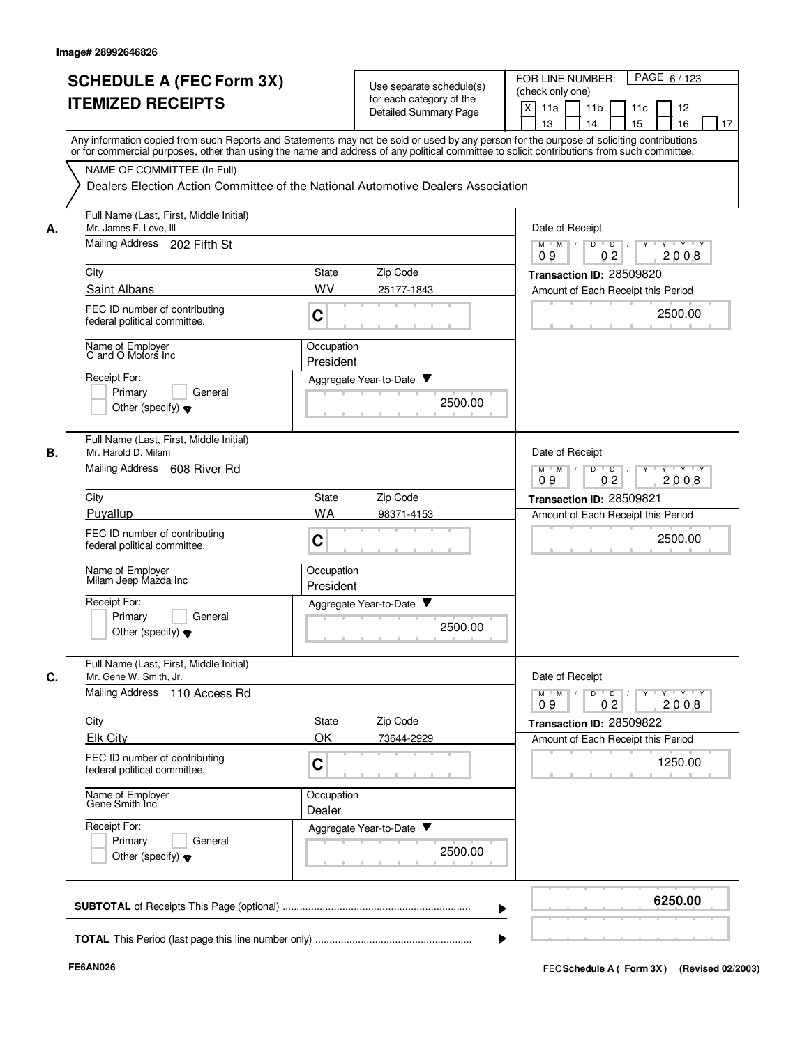|    | <b>SCHEDULE A (FEC Form 3X)</b><br><b>ITEMIZED RECEIPTS</b>                                                     | Use separate schedule(s)<br>for each category of the<br><b>Detailed Summary Page</b>                                                                                                                                                                                                    | PAGE 6/123<br>FOR LINE NUMBER:<br>(check only one)<br>$\times$<br>11a<br>11 <sub>b</sub><br>11c<br>12<br>13<br>14<br>15<br>16<br>17 |  |  |  |
|----|-----------------------------------------------------------------------------------------------------------------|-----------------------------------------------------------------------------------------------------------------------------------------------------------------------------------------------------------------------------------------------------------------------------------------|-------------------------------------------------------------------------------------------------------------------------------------|--|--|--|
|    | NAME OF COMMITTEE (In Full)<br>Dealers Election Action Committee of the National Automotive Dealers Association | Any information copied from such Reports and Statements may not be sold or used by any person for the purpose of soliciting contributions<br>or for commercial purposes, other than using the name and address of any political committee to solicit contributions from such committee. |                                                                                                                                     |  |  |  |
|    | Full Name (Last, First, Middle Initial)                                                                         |                                                                                                                                                                                                                                                                                         |                                                                                                                                     |  |  |  |
| А. | Mr. James F. Love, III<br>Mailing Address 202 Fifth St                                                          | Date of Receipt<br>$M$ $M$ /<br>D<br>$\overline{D}$<br>$Y \cup Y \cup Y$                                                                                                                                                                                                                |                                                                                                                                     |  |  |  |
|    |                                                                                                                 |                                                                                                                                                                                                                                                                                         | 0 <sub>2</sub><br>2008<br>09                                                                                                        |  |  |  |
|    | City<br>Saint Albans                                                                                            | Zip Code<br>State<br>WV<br>25177-1843                                                                                                                                                                                                                                                   | Transaction ID: 28509820<br>Amount of Each Receipt this Period                                                                      |  |  |  |
|    | FEC ID number of contributing<br>federal political committee.                                                   | C                                                                                                                                                                                                                                                                                       | 2500.00                                                                                                                             |  |  |  |
|    | Name of Employer<br>C and O Motors Inc                                                                          | Occupation<br>President                                                                                                                                                                                                                                                                 |                                                                                                                                     |  |  |  |
|    | Receipt For:                                                                                                    | Aggregate Year-to-Date                                                                                                                                                                                                                                                                  |                                                                                                                                     |  |  |  |
|    | Primary<br>General<br>Other (specify) $\blacktriangledown$                                                      | 2500.00                                                                                                                                                                                                                                                                                 |                                                                                                                                     |  |  |  |
| В. | Full Name (Last, First, Middle Initial)<br>Mr. Harold D. Milam                                                  |                                                                                                                                                                                                                                                                                         | Date of Receipt                                                                                                                     |  |  |  |
|    | Mailing Address 608 River Rd                                                                                    |                                                                                                                                                                                                                                                                                         | $\overline{D}$<br>$\overline{D}$<br>$M$ $M$<br>$\sqrt{ }$<br>$Y + Y + Y$<br>2008<br>09<br>0 <sub>2</sub>                            |  |  |  |
|    | City                                                                                                            | Zip Code<br><b>State</b>                                                                                                                                                                                                                                                                | Transaction ID: 28509821                                                                                                            |  |  |  |
|    | Puyallup                                                                                                        | <b>WA</b><br>98371-4153                                                                                                                                                                                                                                                                 | Amount of Each Receipt this Period                                                                                                  |  |  |  |
|    | FEC ID number of contributing<br>federal political committee.                                                   | C                                                                                                                                                                                                                                                                                       | 2500.00                                                                                                                             |  |  |  |
|    | Name of Employer<br>Milam Jeep Mazda Inc                                                                        | Occupation<br>President                                                                                                                                                                                                                                                                 |                                                                                                                                     |  |  |  |
|    | Receipt For:<br>Primary<br>General<br>Other (specify) $\blacktriangledown$                                      | Aggregate Year-to-Date<br>2500.00                                                                                                                                                                                                                                                       |                                                                                                                                     |  |  |  |
| C. | Full Name (Last, First, Middle Initial)<br>Mr. Gene W. Smith, Jr.<br>Mailing Address 110 Access Rd              |                                                                                                                                                                                                                                                                                         | Date of Receipt<br>$Y + Y + Y$<br>$M$ $M$ $/$<br>$D$ $D$ $I$<br>$\Gamma Y$                                                          |  |  |  |
|    |                                                                                                                 |                                                                                                                                                                                                                                                                                         | 0 <sub>2</sub><br>2008<br>09                                                                                                        |  |  |  |
|    | City<br><b>Elk City</b>                                                                                         | State<br>Zip Code<br>ΟK<br>73644-2929                                                                                                                                                                                                                                                   | Transaction ID: 28509822<br>Amount of Each Receipt this Period                                                                      |  |  |  |
|    | FEC ID number of contributing<br>federal political committee.                                                   | C                                                                                                                                                                                                                                                                                       | 1250.00                                                                                                                             |  |  |  |
|    | Name of Employer<br>Gene Smith Inc                                                                              | Occupation<br>Dealer                                                                                                                                                                                                                                                                    |                                                                                                                                     |  |  |  |
|    | Receipt For:<br>Primary<br>General<br>Other (specify) $\blacktriangledown$                                      | Aggregate Year-to-Date<br>2500.00                                                                                                                                                                                                                                                       |                                                                                                                                     |  |  |  |
|    |                                                                                                                 |                                                                                                                                                                                                                                                                                         | 6250.00                                                                                                                             |  |  |  |
|    |                                                                                                                 |                                                                                                                                                                                                                                                                                         |                                                                                                                                     |  |  |  |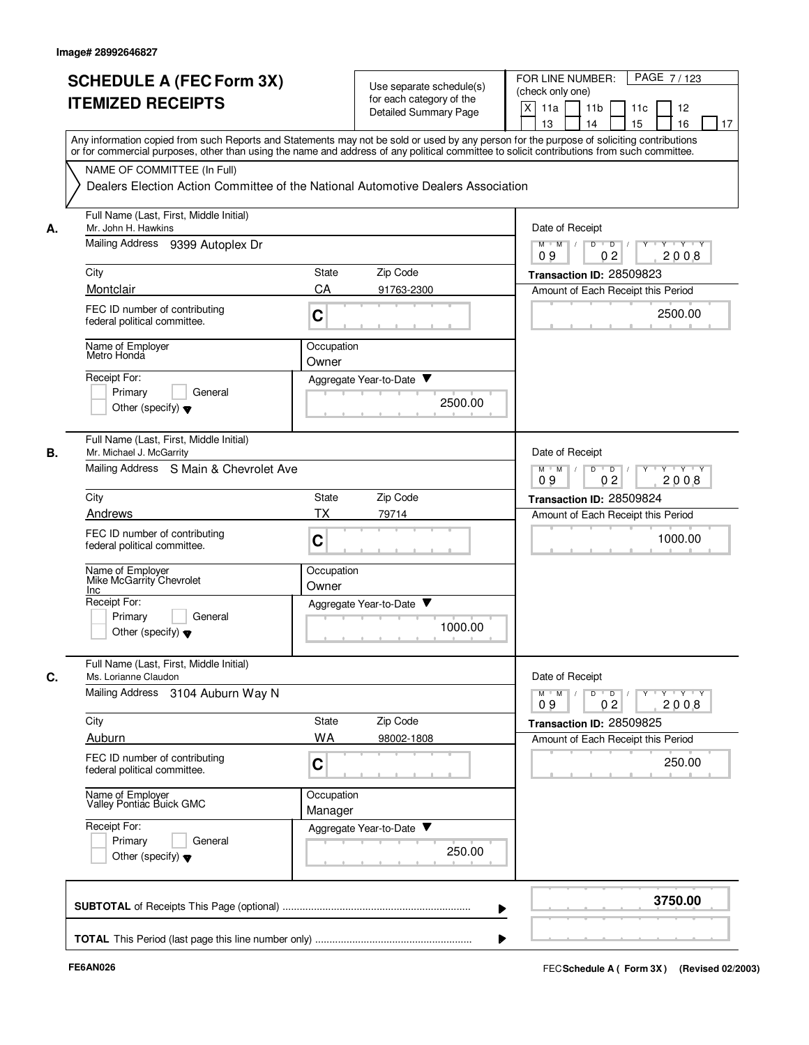|    | <b>SCHEDULE A (FEC Form 3X)</b>                                     | Use separate schedule(s)                                                                                                                                                                                                                                                                | FOR LINE NUMBER:<br>PAGE 7/123                                                                                             |
|----|---------------------------------------------------------------------|-----------------------------------------------------------------------------------------------------------------------------------------------------------------------------------------------------------------------------------------------------------------------------------------|----------------------------------------------------------------------------------------------------------------------------|
|    | <b>ITEMIZED RECEIPTS</b>                                            | for each category of the<br><b>Detailed Summary Page</b>                                                                                                                                                                                                                                | (check only one)<br>X<br>11a<br>11 <sub>b</sub><br>12<br>11c<br>13<br>14<br>15<br>16                                       |
|    |                                                                     | Any information copied from such Reports and Statements may not be sold or used by any person for the purpose of soliciting contributions<br>or for commercial purposes, other than using the name and address of any political committee to solicit contributions from such committee. | 17                                                                                                                         |
|    | NAME OF COMMITTEE (In Full)                                         |                                                                                                                                                                                                                                                                                         |                                                                                                                            |
|    |                                                                     | Dealers Election Action Committee of the National Automotive Dealers Association                                                                                                                                                                                                        |                                                                                                                            |
| А. | Full Name (Last, First, Middle Initial)<br>Mr. John H. Hawkins      |                                                                                                                                                                                                                                                                                         | Date of Receipt                                                                                                            |
|    | Mailing Address 9399 Autoplex Dr                                    |                                                                                                                                                                                                                                                                                         | $M$ $M$ $M$<br>$Y - Y - Y$<br>D<br>$\overline{D}$<br>0 <sub>2</sub><br>2008<br>09                                          |
|    | City                                                                | Zip Code<br><b>State</b>                                                                                                                                                                                                                                                                | Transaction ID: 28509823                                                                                                   |
|    | Montclair                                                           | CA<br>91763-2300                                                                                                                                                                                                                                                                        | Amount of Each Receipt this Period                                                                                         |
|    | FEC ID number of contributing<br>federal political committee.       | C                                                                                                                                                                                                                                                                                       | 2500.00                                                                                                                    |
|    | Name of Employer<br>Metro Honda                                     | Occupation<br>Owner                                                                                                                                                                                                                                                                     |                                                                                                                            |
|    | Receipt For:                                                        | Aggregate Year-to-Date                                                                                                                                                                                                                                                                  |                                                                                                                            |
|    | General<br>Primary<br>Other (specify) $\blacktriangledown$          | 2500.00                                                                                                                                                                                                                                                                                 |                                                                                                                            |
| В. | Full Name (Last, First, Middle Initial)<br>Mr. Michael J. McGarrity |                                                                                                                                                                                                                                                                                         | Date of Receipt                                                                                                            |
|    | Mailing Address S Main & Chevrolet Ave                              |                                                                                                                                                                                                                                                                                         | $M$ M<br>D<br>$\overline{D}$<br>$\sqrt{ }$<br>Y Y Y Y<br>09<br>0 <sub>2</sub><br>2008                                      |
|    | City                                                                | Zip Code<br><b>State</b>                                                                                                                                                                                                                                                                | Transaction ID: 28509824                                                                                                   |
|    | Andrews                                                             | ТX<br>79714                                                                                                                                                                                                                                                                             | Amount of Each Receipt this Period                                                                                         |
|    | FEC ID number of contributing<br>federal political committee.       | C                                                                                                                                                                                                                                                                                       | 1000.00                                                                                                                    |
|    | Name of Employer<br>Mike McGarrity Chevrolet<br>Inc                 | Occupation<br>Owner                                                                                                                                                                                                                                                                     |                                                                                                                            |
|    | Receipt For:                                                        | Aggregate Year-to-Date ▼                                                                                                                                                                                                                                                                |                                                                                                                            |
|    | Primary<br>General<br>Other (specify) $\blacktriangledown$          | 1000.00                                                                                                                                                                                                                                                                                 |                                                                                                                            |
| C. | Full Name (Last, First, Middle Initial)<br>Ms. Lorianne Claudon     |                                                                                                                                                                                                                                                                                         | Date of Receipt                                                                                                            |
|    | Mailing Address 3104 Auburn Way N                                   |                                                                                                                                                                                                                                                                                         | $\mathsf{Y} \dashv \mathsf{Y} \dashv \mathsf{Y}$<br>$D$ $D$ $I$<br>$\Gamma Y$<br>$M$ $M$ /<br>0 <sub>2</sub><br>2008<br>09 |
|    | City                                                                | State<br>Zip Code                                                                                                                                                                                                                                                                       | Transaction ID: 28509825                                                                                                   |
|    | Auburn                                                              | WA<br>98002-1808                                                                                                                                                                                                                                                                        | Amount of Each Receipt this Period                                                                                         |
|    | FEC ID number of contributing<br>federal political committee.       | C                                                                                                                                                                                                                                                                                       | 250.00                                                                                                                     |
|    | Name of Employer<br>Valley Pontiac Buick GMC                        | Occupation<br>Manager                                                                                                                                                                                                                                                                   |                                                                                                                            |
|    | Receipt For:                                                        | Aggregate Year-to-Date                                                                                                                                                                                                                                                                  |                                                                                                                            |
|    | Primary<br>General<br>Other (specify) $\blacktriangledown$          | 250.00                                                                                                                                                                                                                                                                                  |                                                                                                                            |
|    |                                                                     |                                                                                                                                                                                                                                                                                         | 3750.00                                                                                                                    |
|    |                                                                     |                                                                                                                                                                                                                                                                                         |                                                                                                                            |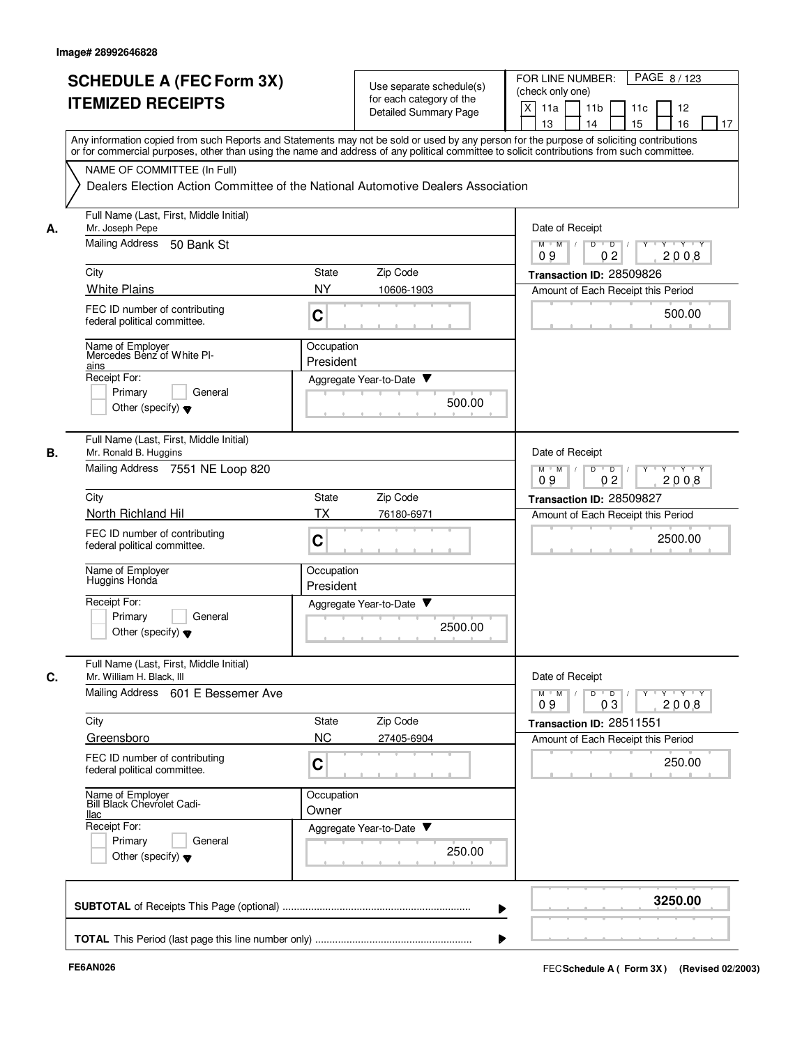|    | <b>SCHEDULE A (FEC Form 3X)</b><br><b>ITEMIZED RECEIPTS</b>                                                                                                                                                                                                                             |                         | Use separate schedule(s)<br>for each category of the<br><b>Detailed Summary Page</b> | FOR LINE NUMBER:<br>PAGE 8/123<br>(check only one)<br>X<br>11a<br>11 <sub>b</sub><br>11c<br>12<br>13<br>14<br>15<br>16<br>17 |
|----|-----------------------------------------------------------------------------------------------------------------------------------------------------------------------------------------------------------------------------------------------------------------------------------------|-------------------------|--------------------------------------------------------------------------------------|------------------------------------------------------------------------------------------------------------------------------|
|    | Any information copied from such Reports and Statements may not be sold or used by any person for the purpose of soliciting contributions<br>or for commercial purposes, other than using the name and address of any political committee to solicit contributions from such committee. |                         |                                                                                      |                                                                                                                              |
|    | NAME OF COMMITTEE (In Full)<br>Dealers Election Action Committee of the National Automotive Dealers Association                                                                                                                                                                         |                         |                                                                                      |                                                                                                                              |
| А. | Full Name (Last, First, Middle Initial)<br>Mr. Joseph Pepe<br>Mailing Address<br>50 Bank St                                                                                                                                                                                             |                         |                                                                                      | Date of Receipt<br>$M$ $M$ /<br>D<br>$\overline{D}$<br>$+Y+Y$<br>0 <sub>2</sub><br>2008<br>09                                |
|    | City                                                                                                                                                                                                                                                                                    | State                   | Zip Code                                                                             | Transaction ID: 28509826                                                                                                     |
|    | <b>White Plains</b>                                                                                                                                                                                                                                                                     | <b>NY</b>               | 10606-1903                                                                           | Amount of Each Receipt this Period                                                                                           |
|    | FEC ID number of contributing<br>federal political committee.                                                                                                                                                                                                                           | C                       |                                                                                      | 500.00                                                                                                                       |
|    | Name of Employer<br>Mercedes Benz of White PI-<br>ains                                                                                                                                                                                                                                  | Occupation<br>President |                                                                                      |                                                                                                                              |
|    | Receipt For:<br>Primary<br>General<br>Other (specify) $\blacktriangledown$                                                                                                                                                                                                              |                         | Aggregate Year-to-Date ▼<br>500.00                                                   |                                                                                                                              |
| В. | Full Name (Last, First, Middle Initial)<br>Mr. Ronald B. Huggins                                                                                                                                                                                                                        |                         |                                                                                      | Date of Receipt<br>D                                                                                                         |
|    | Mailing Address 7551 NE Loop 820                                                                                                                                                                                                                                                        |                         |                                                                                      | $M$ M<br>$\overline{D}$<br>$Y + Y + Y$<br>$\sqrt{ }$<br>09<br>0 <sub>2</sub><br>2008                                         |
|    | City                                                                                                                                                                                                                                                                                    | State                   | Zip Code                                                                             | Transaction ID: 28509827                                                                                                     |
|    | North Richland Hil<br>FEC ID number of contributing<br>federal political committee.                                                                                                                                                                                                     | ТX<br>$\mathbf C$       | 76180-6971                                                                           | Amount of Each Receipt this Period<br>2500.00                                                                                |
|    | Name of Employer<br>Huggins Honda                                                                                                                                                                                                                                                       | Occupation<br>President |                                                                                      |                                                                                                                              |
|    | Receipt For:<br>Primary<br>General<br>Other (specify) $\blacktriangledown$                                                                                                                                                                                                              |                         | Aggregate Year-to-Date ▼<br>2500.00                                                  |                                                                                                                              |
| C. | Full Name (Last, First, Middle Initial)<br>Mr. William H. Black, III                                                                                                                                                                                                                    |                         |                                                                                      | Date of Receipt                                                                                                              |
|    | Mailing Address 601 E Bessemer Ave                                                                                                                                                                                                                                                      |                         |                                                                                      | $\mathsf{Y} \dashv \mathsf{Y} \dashv \mathsf{Y}$<br>$D$ $D$ $I$<br>$Y$ <sup>U</sup><br>$M$ M<br>03<br>2008<br>09             |
|    | City                                                                                                                                                                                                                                                                                    | State                   | Zip Code                                                                             | Transaction ID: 28511551                                                                                                     |
|    | Greensboro                                                                                                                                                                                                                                                                              | <b>NC</b>               | 27405-6904                                                                           | Amount of Each Receipt this Period                                                                                           |
|    | FEC ID number of contributing<br>federal political committee.                                                                                                                                                                                                                           | C                       |                                                                                      | 250.00                                                                                                                       |
|    | Name of Employer<br>Bill Black Chevrolet Cadi-<br>llac                                                                                                                                                                                                                                  | Occupation<br>Owner     |                                                                                      |                                                                                                                              |
|    | Receipt For:<br>Primary<br>General<br>Other (specify) $\blacktriangledown$                                                                                                                                                                                                              |                         | Aggregate Year-to-Date<br>250.00                                                     |                                                                                                                              |
|    |                                                                                                                                                                                                                                                                                         |                         |                                                                                      | 3250.00                                                                                                                      |
|    |                                                                                                                                                                                                                                                                                         |                         |                                                                                      |                                                                                                                              |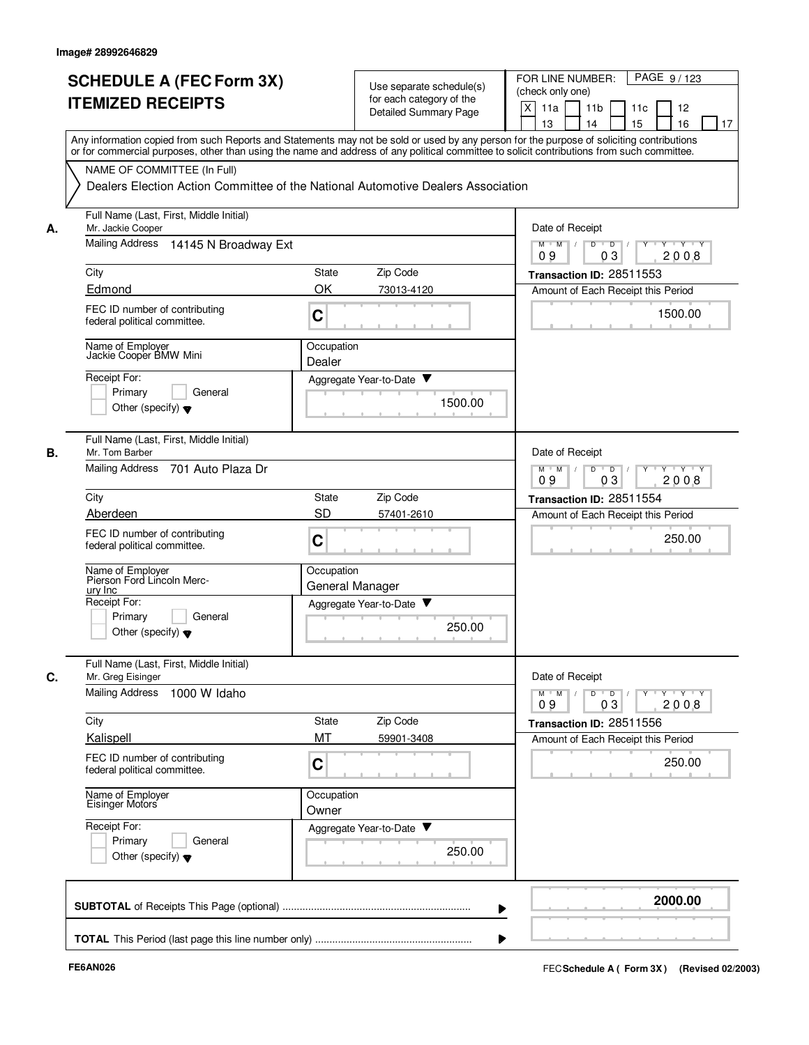|    | <b>SCHEDULE A (FEC Form 3X)</b><br><b>ITEMIZED RECEIPTS</b>                                             | Use separate schedule(s)<br>for each category of the<br><b>Detailed Summary Page</b>                                                                                                                                                                                                                                                                                        | PAGE 9/123<br>FOR LINE NUMBER:<br>(check only one)<br>X<br>11 <sub>b</sub><br>11a<br>11c<br>12<br>13<br>15<br>16<br>14<br>17 |
|----|---------------------------------------------------------------------------------------------------------|-----------------------------------------------------------------------------------------------------------------------------------------------------------------------------------------------------------------------------------------------------------------------------------------------------------------------------------------------------------------------------|------------------------------------------------------------------------------------------------------------------------------|
|    | NAME OF COMMITTEE (In Full)                                                                             | Any information copied from such Reports and Statements may not be sold or used by any person for the purpose of soliciting contributions<br>or for commercial purposes, other than using the name and address of any political committee to solicit contributions from such committee.<br>Dealers Election Action Committee of the National Automotive Dealers Association |                                                                                                                              |
| А. | Full Name (Last, First, Middle Initial)<br>Mr. Jackie Cooper<br>Mailing Address<br>14145 N Broadway Ext |                                                                                                                                                                                                                                                                                                                                                                             | Date of Receipt<br>$M$ $M$ $/$<br>$\overline{D}$<br>$\overline{D}$ /<br>Y 'Y 'Y                                              |
|    |                                                                                                         |                                                                                                                                                                                                                                                                                                                                                                             | 03<br>2008<br>09                                                                                                             |
|    | City<br>Edmond                                                                                          | Zip Code<br>State<br>OK<br>73013-4120                                                                                                                                                                                                                                                                                                                                       | Transaction ID: 28511553                                                                                                     |
|    | FEC ID number of contributing<br>federal political committee.                                           | C                                                                                                                                                                                                                                                                                                                                                                           | Amount of Each Receipt this Period<br>1500.00                                                                                |
|    | Name of Employer<br>Jackie Cooper BMW Mini<br>Receipt For:<br>Primary<br>General                        | Occupation<br>Dealer<br>Aggregate Year-to-Date ▼                                                                                                                                                                                                                                                                                                                            |                                                                                                                              |
|    | Other (specify) $\blacktriangledown$<br>Full Name (Last, First, Middle Initial)                         | 1500.00                                                                                                                                                                                                                                                                                                                                                                     |                                                                                                                              |
| В. | Mr. Tom Barber<br><b>Mailing Address</b><br>701 Auto Plaza Dr                                           |                                                                                                                                                                                                                                                                                                                                                                             | Date of Receipt<br>$M$ M<br>D<br>$\overline{D}$<br>Y 'Y 'Y<br>03<br>2008<br>09                                               |
|    | City                                                                                                    | Zip Code<br>State                                                                                                                                                                                                                                                                                                                                                           | Transaction ID: 28511554                                                                                                     |
|    | Aberdeen<br>FEC ID number of contributing<br>federal political committee.                               | <b>SD</b><br>57401-2610<br>$\mathbf C$                                                                                                                                                                                                                                                                                                                                      | Amount of Each Receipt this Period<br>250.00                                                                                 |
|    | Name of Employer<br>Pierson Ford Lincoln Merc-<br>ury Inc                                               | Occupation<br>General Manager                                                                                                                                                                                                                                                                                                                                               |                                                                                                                              |
|    | Receipt For:<br>Primary<br>General<br>Other (specify) $\blacktriangledown$                              | Aggregate Year-to-Date<br>250.00                                                                                                                                                                                                                                                                                                                                            |                                                                                                                              |
| C. | Full Name (Last, First, Middle Initial)<br>Mr. Greg Eisinger                                            |                                                                                                                                                                                                                                                                                                                                                                             | Date of Receipt                                                                                                              |
|    | Mailing Address 1000 W Idaho                                                                            |                                                                                                                                                                                                                                                                                                                                                                             | $Y - Y - Y - Y$<br>$\overline{D}$<br>$M$ M<br>D<br>Y<br>2008<br>09<br>03                                                     |
|    | City                                                                                                    | State<br>Zip Code                                                                                                                                                                                                                                                                                                                                                           | Transaction ID: 28511556                                                                                                     |
|    | Kalispell                                                                                               | МT<br>59901-3408                                                                                                                                                                                                                                                                                                                                                            | Amount of Each Receipt this Period                                                                                           |
|    | FEC ID number of contributing<br>federal political committee.                                           | $\mathbf C$                                                                                                                                                                                                                                                                                                                                                                 | 250.00                                                                                                                       |
|    | Name of Employer<br>Eisinger Motors                                                                     | Occupation<br>Owner                                                                                                                                                                                                                                                                                                                                                         |                                                                                                                              |
|    | Receipt For:<br>Primary<br>General<br>Other (specify) $\blacktriangledown$                              | Aggregate Year-to-Date<br>250.00                                                                                                                                                                                                                                                                                                                                            |                                                                                                                              |
|    |                                                                                                         |                                                                                                                                                                                                                                                                                                                                                                             | 2000.00                                                                                                                      |
|    |                                                                                                         |                                                                                                                                                                                                                                                                                                                                                                             |                                                                                                                              |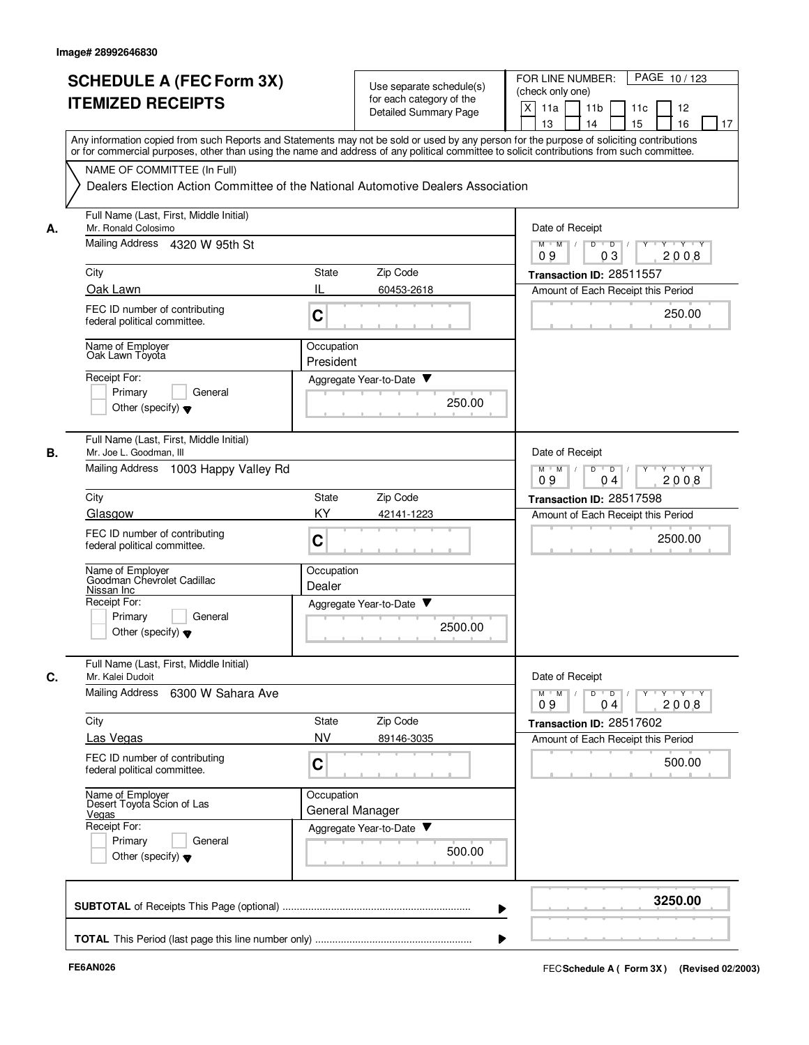|    | <b>SCHEDULE A (FEC Form 3X)</b>                                                                                                            |                 |                              | FOR LINE NUMBER:<br>PAGE 10/123                                       |
|----|--------------------------------------------------------------------------------------------------------------------------------------------|-----------------|------------------------------|-----------------------------------------------------------------------|
|    |                                                                                                                                            |                 | Use separate schedule(s)     | (check only one)                                                      |
|    | <b>ITEMIZED RECEIPTS</b>                                                                                                                   |                 | for each category of the     | X<br>11 <sub>b</sub><br>11c                                           |
|    |                                                                                                                                            |                 | <b>Detailed Summary Page</b> | 11a<br>12                                                             |
|    |                                                                                                                                            |                 |                              | 16<br>13<br>14<br>15<br>17                                            |
|    | Any information copied from such Reports and Statements may not be sold or used by any person for the purpose of soliciting contributions  |                 |                              |                                                                       |
|    | or for commercial purposes, other than using the name and address of any political committee to solicit contributions from such committee. |                 |                              |                                                                       |
|    | NAME OF COMMITTEE (In Full)                                                                                                                |                 |                              |                                                                       |
|    | Dealers Election Action Committee of the National Automotive Dealers Association                                                           |                 |                              |                                                                       |
|    |                                                                                                                                            |                 |                              |                                                                       |
|    | Full Name (Last, First, Middle Initial)                                                                                                    |                 |                              |                                                                       |
| А. | Mr. Ronald Colosimo                                                                                                                        | Date of Receipt |                              |                                                                       |
|    | Mailing Address 4320 W 95th St                                                                                                             |                 |                              | $Y - Y - Y$<br>$M$ $M$ /<br>D<br>$\overline{D}$ /<br>03<br>2008<br>09 |
|    | City                                                                                                                                       | <b>State</b>    | Zip Code                     | Transaction ID: 28511557                                              |
|    | Oak Lawn                                                                                                                                   | IL              | 60453-2618                   | Amount of Each Receipt this Period                                    |
|    |                                                                                                                                            |                 |                              |                                                                       |
|    | FEC ID number of contributing                                                                                                              | C               |                              | 250.00                                                                |
|    | federal political committee.                                                                                                               |                 |                              |                                                                       |
|    | Name of Employer                                                                                                                           | Occupation      |                              |                                                                       |
|    | Oak Lawn Toyota                                                                                                                            |                 |                              |                                                                       |
|    |                                                                                                                                            | President       |                              |                                                                       |
|    | Receipt For:                                                                                                                               |                 | Aggregate Year-to-Date       |                                                                       |
|    | General<br>Primary                                                                                                                         |                 | 250.00                       |                                                                       |
|    | Other (specify) $\blacktriangledown$                                                                                                       |                 |                              |                                                                       |
|    |                                                                                                                                            |                 |                              |                                                                       |
|    | Full Name (Last, First, Middle Initial)                                                                                                    |                 |                              |                                                                       |
| В. | Mr. Joe L. Goodman, III                                                                                                                    |                 |                              | Date of Receipt                                                       |
|    | Mailing Address 1003 Happy Valley Rd                                                                                                       |                 |                              | D<br>$\overline{D}$<br>Y 'Y 'Y<br>$M$ M                               |
|    |                                                                                                                                            |                 |                              | 2008<br>09<br>04                                                      |
|    | City                                                                                                                                       | <b>State</b>    | Zip Code                     | Transaction ID: 28517598                                              |
|    | Glasgow                                                                                                                                    | KY              | 42141-1223                   | Amount of Each Receipt this Period                                    |
|    |                                                                                                                                            |                 |                              |                                                                       |
|    | FEC ID number of contributing                                                                                                              | C               |                              | 2500.00                                                               |
|    | federal political committee.                                                                                                               |                 |                              |                                                                       |
|    |                                                                                                                                            | Occupation      |                              |                                                                       |
|    | Name of Employer<br>Goodman Chevrolet Cadillac                                                                                             | Dealer          |                              |                                                                       |
|    | Nissan Inc                                                                                                                                 |                 |                              |                                                                       |
|    | Receipt For:                                                                                                                               |                 | Aggregate Year-to-Date ▼     |                                                                       |
|    | Primary<br>General                                                                                                                         |                 | 2500.00                      |                                                                       |
|    | Other (specify) $\blacktriangledown$                                                                                                       |                 |                              |                                                                       |
|    |                                                                                                                                            |                 |                              |                                                                       |
|    | Full Name (Last, First, Middle Initial)                                                                                                    |                 |                              |                                                                       |
| C. | Mr. Kalei Dudoit                                                                                                                           |                 |                              | Date of Receipt                                                       |
|    | Mailing Address 6300 W Sahara Ave                                                                                                          |                 |                              | $D$ $D$ $I$<br>$M$ $M$ /                                              |
|    |                                                                                                                                            |                 |                              | 09<br>2008<br>0 <sub>4</sub>                                          |
|    | City                                                                                                                                       | State           | Zip Code                     | Transaction ID: 28517602                                              |
|    | Las Vegas                                                                                                                                  | <b>NV</b>       | 89146-3035                   | Amount of Each Receipt this Period                                    |
|    | FEC ID number of contributing                                                                                                              |                 |                              |                                                                       |
|    | federal political committee.                                                                                                               | C               |                              | 500.00                                                                |
|    |                                                                                                                                            |                 |                              |                                                                       |
|    | Name of Employer<br>Desert Toyota Scion of Las                                                                                             | Occupation      |                              |                                                                       |
|    |                                                                                                                                            |                 | General Manager              |                                                                       |
|    | Vegas<br>Receipt For:                                                                                                                      |                 | Aggregate Year-to-Date       |                                                                       |
|    | Primary<br>General                                                                                                                         |                 |                              |                                                                       |
|    |                                                                                                                                            |                 | 500.00                       |                                                                       |
|    | Other (specify) $\blacktriangledown$                                                                                                       |                 |                              |                                                                       |
|    |                                                                                                                                            |                 |                              |                                                                       |
|    |                                                                                                                                            |                 |                              |                                                                       |
|    |                                                                                                                                            |                 |                              | 3250.00                                                               |
|    |                                                                                                                                            |                 |                              |                                                                       |
|    |                                                                                                                                            |                 |                              |                                                                       |
|    |                                                                                                                                            |                 |                              |                                                                       |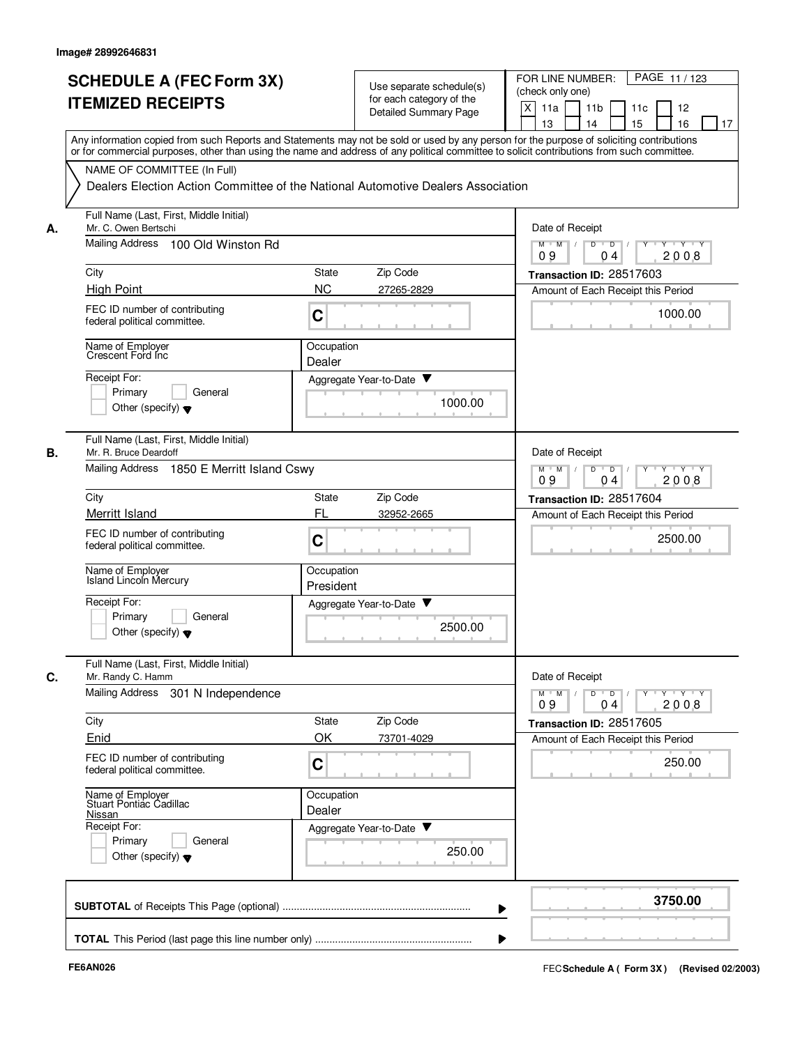|    | <b>SCHEDULE A (FEC Form 3X)</b>                                                                                                                                                                                                                                                         |                          | Use separate schedule(s) | PAGE 11/123<br>FOR LINE NUMBER:                                                           |
|----|-----------------------------------------------------------------------------------------------------------------------------------------------------------------------------------------------------------------------------------------------------------------------------------------|--------------------------|--------------------------|-------------------------------------------------------------------------------------------|
|    | <b>ITEMIZED RECEIPTS</b>                                                                                                                                                                                                                                                                |                          | for each category of the | (check only one)<br>X<br>11a<br>11 <sub>b</sub><br>11c<br>12                              |
|    |                                                                                                                                                                                                                                                                                         |                          | Detailed Summary Page    | 13<br>14<br>15<br>16<br>17                                                                |
|    | Any information copied from such Reports and Statements may not be sold or used by any person for the purpose of soliciting contributions<br>or for commercial purposes, other than using the name and address of any political committee to solicit contributions from such committee. |                          |                          |                                                                                           |
|    | NAME OF COMMITTEE (In Full)                                                                                                                                                                                                                                                             |                          |                          |                                                                                           |
|    | Dealers Election Action Committee of the National Automotive Dealers Association                                                                                                                                                                                                        |                          |                          |                                                                                           |
| А. | Full Name (Last, First, Middle Initial)<br>Mr. C. Owen Bertschi                                                                                                                                                                                                                         |                          |                          | Date of Receipt                                                                           |
|    | Mailing Address<br>100 Old Winston Rd                                                                                                                                                                                                                                                   |                          |                          | $Y \vdash Y \vdash Y$<br>$M$ $M$ /<br>D<br>$\overline{D}$<br>2008<br>09<br>0 <sub>4</sub> |
|    | City                                                                                                                                                                                                                                                                                    | State                    | Zip Code                 | Transaction ID: 28517603                                                                  |
|    | <b>High Point</b>                                                                                                                                                                                                                                                                       | <b>NC</b>                | 27265-2829               | Amount of Each Receipt this Period                                                        |
|    | FEC ID number of contributing<br>federal political committee.                                                                                                                                                                                                                           | C                        |                          | 1000.00                                                                                   |
|    | Name of Employer<br>Crescent Ford Inc                                                                                                                                                                                                                                                   | Occupation<br>Dealer     |                          |                                                                                           |
|    | Receipt For:                                                                                                                                                                                                                                                                            | Aggregate Year-to-Date ▼ |                          |                                                                                           |
|    | Primary<br>General                                                                                                                                                                                                                                                                      |                          | 1000.00                  |                                                                                           |
|    | Other (specify) $\blacktriangledown$                                                                                                                                                                                                                                                    |                          |                          |                                                                                           |
| В. | Full Name (Last, First, Middle Initial)<br>Mr. R. Bruce Deardoff                                                                                                                                                                                                                        |                          |                          | Date of Receipt                                                                           |
|    | Mailing Address 1850 E Merritt Island Cswy                                                                                                                                                                                                                                              |                          |                          | $Y - Y - Y$<br>$M$ $M$<br>D<br>$\overline{D}$<br>2008<br>09<br>04                         |
|    | City                                                                                                                                                                                                                                                                                    | State                    | Zip Code                 | Transaction ID: 28517604                                                                  |
|    | Merritt Island                                                                                                                                                                                                                                                                          | FL                       | 32952-2665               | Amount of Each Receipt this Period                                                        |
|    | FEC ID number of contributing<br>federal political committee.                                                                                                                                                                                                                           | $\mathbf C$              |                          | 2500.00                                                                                   |
|    | Name of Employer<br><b>Island Lincoln Mercury</b>                                                                                                                                                                                                                                       | Occupation<br>President  |                          |                                                                                           |
|    | Receipt For:                                                                                                                                                                                                                                                                            | Aggregate Year-to-Date   |                          |                                                                                           |
|    | Primary<br>General<br>Other (specify) $\blacktriangledown$                                                                                                                                                                                                                              |                          | 2500.00                  |                                                                                           |
| C. | Full Name (Last, First, Middle Initial)<br>Mr. Randy C. Hamm                                                                                                                                                                                                                            |                          |                          | Date of Receipt                                                                           |
|    | Mailing Address 301 N Independence                                                                                                                                                                                                                                                      |                          |                          | $Y$ $Y$ $Y$<br>$\overline{D}$<br>Y<br>$M$ $M$<br>D<br>2008<br>09<br>04                    |
|    | City                                                                                                                                                                                                                                                                                    | State                    | Zip Code                 | Transaction ID: 28517605                                                                  |
|    | Enid                                                                                                                                                                                                                                                                                    | OK                       | 73701-4029               | Amount of Each Receipt this Period                                                        |
|    | FEC ID number of contributing<br>federal political committee.                                                                                                                                                                                                                           | $\mathbf C$              |                          | 250.00                                                                                    |
|    | Name of Employer<br>Stuart Pontiac Cadillac                                                                                                                                                                                                                                             | Occupation               |                          |                                                                                           |
|    | Nissan<br>Receipt For:                                                                                                                                                                                                                                                                  | Dealer                   |                          |                                                                                           |
|    | Primary<br>General                                                                                                                                                                                                                                                                      | Aggregate Year-to-Date   |                          |                                                                                           |
|    | Other (specify) $\blacktriangledown$                                                                                                                                                                                                                                                    |                          | 250.00                   |                                                                                           |
|    |                                                                                                                                                                                                                                                                                         |                          |                          | 3750.00                                                                                   |
|    |                                                                                                                                                                                                                                                                                         |                          |                          |                                                                                           |
|    |                                                                                                                                                                                                                                                                                         |                          |                          |                                                                                           |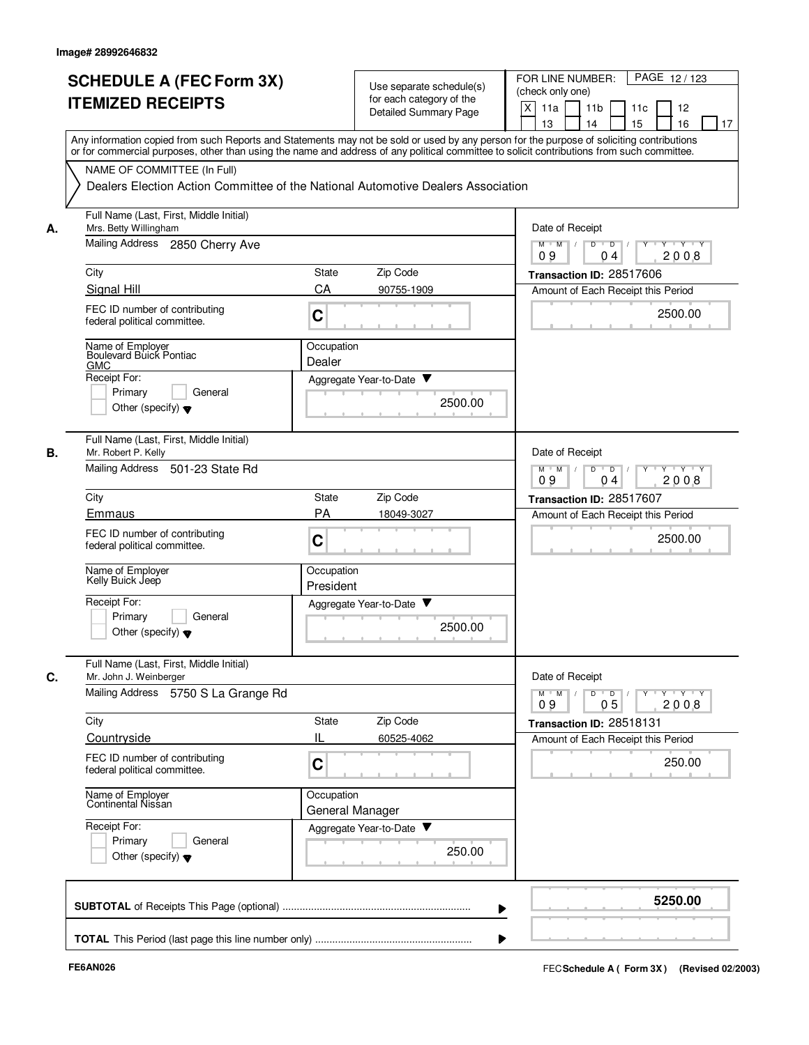|    | <b>SCHEDULE A (FEC Form 3X)</b><br><b>ITEMIZED RECEIPTS</b>                                              | Use separate schedule(s)<br>for each category of the<br><b>Detailed Summary Page</b>                                                                                                                                                                                                    | FOR LINE NUMBER:<br>PAGE 12/123<br>(check only one)<br>X<br>11a<br>11 <sub>b</sub><br>11c<br>12<br>13<br>14<br>15<br>16<br>17 |
|----|----------------------------------------------------------------------------------------------------------|-----------------------------------------------------------------------------------------------------------------------------------------------------------------------------------------------------------------------------------------------------------------------------------------|-------------------------------------------------------------------------------------------------------------------------------|
|    |                                                                                                          | Any information copied from such Reports and Statements may not be sold or used by any person for the purpose of soliciting contributions<br>or for commercial purposes, other than using the name and address of any political committee to solicit contributions from such committee. |                                                                                                                               |
|    | NAME OF COMMITTEE (In Full)                                                                              | Dealers Election Action Committee of the National Automotive Dealers Association                                                                                                                                                                                                        |                                                                                                                               |
| А. | Full Name (Last, First, Middle Initial)<br>Mrs. Betty Willingham                                         |                                                                                                                                                                                                                                                                                         | Date of Receipt                                                                                                               |
|    | Mailing Address<br>2850 Cherry Ave                                                                       |                                                                                                                                                                                                                                                                                         | $M$ $M$ /<br>D<br>$\overline{D}$<br>$+Y+Y$<br>2008<br>09<br>04                                                                |
|    | City                                                                                                     | Zip Code<br><b>State</b>                                                                                                                                                                                                                                                                | Transaction ID: 28517606                                                                                                      |
|    | Signal Hill                                                                                              | CA<br>90755-1909                                                                                                                                                                                                                                                                        | Amount of Each Receipt this Period                                                                                            |
|    | FEC ID number of contributing<br>federal political committee.                                            | C                                                                                                                                                                                                                                                                                       | 2500.00                                                                                                                       |
|    | Name of Employer<br>Boulevard Buick Pontiac                                                              | Occupation<br>Dealer                                                                                                                                                                                                                                                                    |                                                                                                                               |
|    | <b>GMC</b><br>Receipt For:                                                                               | Aggregate Year-to-Date ▼                                                                                                                                                                                                                                                                |                                                                                                                               |
|    | Primary<br>General<br>Other (specify) $\blacktriangledown$                                               | 2500.00                                                                                                                                                                                                                                                                                 |                                                                                                                               |
| В. | Full Name (Last, First, Middle Initial)<br>Mr. Robert P. Kelly                                           |                                                                                                                                                                                                                                                                                         | Date of Receipt                                                                                                               |
|    | <b>Mailing Address</b><br>501-23 State Rd                                                                |                                                                                                                                                                                                                                                                                         | D<br>$M$ M<br>$\overline{D}$<br>Y 'Y 'Y<br>$\sqrt{ }$<br>09<br>04<br>2008                                                     |
|    | City                                                                                                     | Zip Code<br>State                                                                                                                                                                                                                                                                       | Transaction ID: 28517607                                                                                                      |
|    | Emmaus                                                                                                   | PA<br>18049-3027                                                                                                                                                                                                                                                                        | Amount of Each Receipt this Period                                                                                            |
|    | FEC ID number of contributing<br>federal political committee.                                            | C                                                                                                                                                                                                                                                                                       | 2500.00                                                                                                                       |
|    | Name of Employer<br>Kelly Buick Jeep                                                                     | Occupation<br>President                                                                                                                                                                                                                                                                 |                                                                                                                               |
|    | Receipt For:<br>Primary<br>General<br>Other (specify) $\blacktriangledown$                               | Aggregate Year-to-Date<br>2500.00                                                                                                                                                                                                                                                       |                                                                                                                               |
| C. | Full Name (Last, First, Middle Initial)<br>Mr. John J. Weinberger<br>Mailing Address 5750 S La Grange Rd |                                                                                                                                                                                                                                                                                         | Date of Receipt<br>$\mathsf{Y} \dashv \mathsf{Y} \dashv \mathsf{Y}$<br>$D$ $D$<br>$Y$ <sup>U</sup><br>$M$ $M$ /               |
|    | City                                                                                                     | State<br>Zip Code                                                                                                                                                                                                                                                                       | 05<br>2008<br>09<br>Transaction ID: 28518131                                                                                  |
|    | Countryside                                                                                              | IL<br>60525-4062                                                                                                                                                                                                                                                                        | Amount of Each Receipt this Period                                                                                            |
|    | FEC ID number of contributing<br>federal political committee.                                            | C                                                                                                                                                                                                                                                                                       | 250.00                                                                                                                        |
|    | Name of Employer<br>Continental Nissan                                                                   | Occupation<br>General Manager                                                                                                                                                                                                                                                           |                                                                                                                               |
|    | Receipt For:<br>Primary<br>General<br>Other (specify) $\blacktriangledown$                               | Aggregate Year-to-Date<br>250.00                                                                                                                                                                                                                                                        |                                                                                                                               |
|    |                                                                                                          |                                                                                                                                                                                                                                                                                         | 5250.00                                                                                                                       |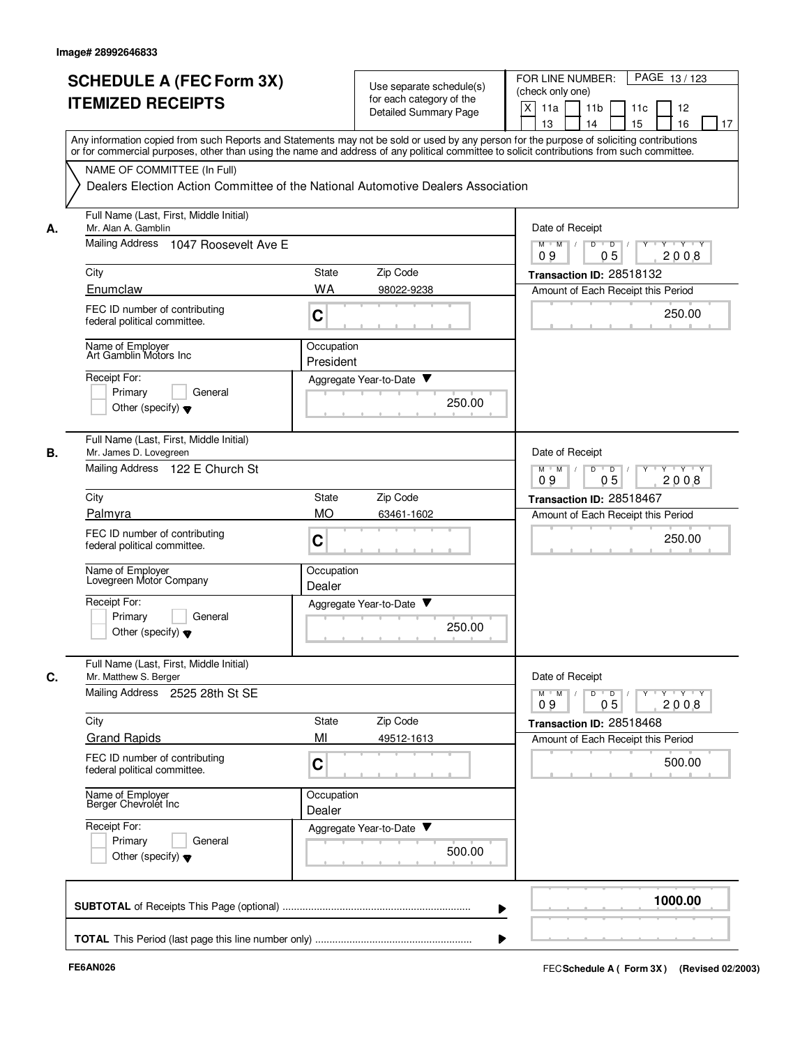|    | <b>SCHEDULE A (FEC Form 3X)</b>                                                                                                                                                                                                                                                         |                         | Use separate schedule(s) | PAGE 13/123<br>FOR LINE NUMBER:<br>(check only one)                               |
|----|-----------------------------------------------------------------------------------------------------------------------------------------------------------------------------------------------------------------------------------------------------------------------------------------|-------------------------|--------------------------|-----------------------------------------------------------------------------------|
|    | <b>ITEMIZED RECEIPTS</b>                                                                                                                                                                                                                                                                |                         | for each category of the | X<br>11a<br>11 <sub>b</sub><br>11c<br>12                                          |
|    |                                                                                                                                                                                                                                                                                         |                         | Detailed Summary Page    | 15<br>13<br>14<br>16<br>17                                                        |
|    | Any information copied from such Reports and Statements may not be sold or used by any person for the purpose of soliciting contributions<br>or for commercial purposes, other than using the name and address of any political committee to solicit contributions from such committee. |                         |                          |                                                                                   |
|    | NAME OF COMMITTEE (In Full)                                                                                                                                                                                                                                                             |                         |                          |                                                                                   |
|    | Dealers Election Action Committee of the National Automotive Dealers Association                                                                                                                                                                                                        |                         |                          |                                                                                   |
| А. | Full Name (Last, First, Middle Initial)<br>Mr. Alan A. Gamblin                                                                                                                                                                                                                          |                         |                          | Date of Receipt                                                                   |
|    | Mailing Address 1047 Roosevelt Ave E                                                                                                                                                                                                                                                    |                         |                          | $M$ $M$ /<br>D<br>$\overline{D}$<br>$\mathbf{y}$ $\mathbf{y}$<br>05<br>2008<br>09 |
|    | City                                                                                                                                                                                                                                                                                    | State                   | Zip Code                 | Transaction ID: 28518132                                                          |
|    | Enumclaw                                                                                                                                                                                                                                                                                | WA                      | 98022-9238               | Amount of Each Receipt this Period                                                |
|    | FEC ID number of contributing<br>federal political committee.                                                                                                                                                                                                                           | C                       |                          | 250.00                                                                            |
|    | Name of Employer<br>Art Gamblin Motors Inc                                                                                                                                                                                                                                              | Occupation<br>President |                          |                                                                                   |
|    | Receipt For:                                                                                                                                                                                                                                                                            |                         | Aggregate Year-to-Date ▼ |                                                                                   |
|    | Primary<br>General                                                                                                                                                                                                                                                                      |                         | 250.00                   |                                                                                   |
|    | Other (specify) $\blacktriangledown$                                                                                                                                                                                                                                                    |                         |                          |                                                                                   |
| В. | Full Name (Last, First, Middle Initial)<br>Mr. James D. Lovegreen                                                                                                                                                                                                                       |                         |                          | Date of Receipt                                                                   |
|    | Mailing Address 122 E Church St                                                                                                                                                                                                                                                         |                         |                          | $Y - Y - Y$<br>$M$ $M$<br>D<br>$\overline{D}$<br>05<br>09<br>2008                 |
|    | City                                                                                                                                                                                                                                                                                    | State                   | Zip Code                 | Transaction ID: 28518467                                                          |
|    | Palmyra                                                                                                                                                                                                                                                                                 | <b>MO</b>               | 63461-1602               | Amount of Each Receipt this Period                                                |
|    | FEC ID number of contributing<br>federal political committee.                                                                                                                                                                                                                           | $\mathbf C$             |                          | 250.00                                                                            |
|    | Name of Employer<br>Lovegreen Motor Company                                                                                                                                                                                                                                             | Occupation<br>Dealer    |                          |                                                                                   |
|    | Receipt For:                                                                                                                                                                                                                                                                            |                         | Aggregate Year-to-Date   |                                                                                   |
|    | Primary<br>General<br>Other (specify) $\blacktriangledown$                                                                                                                                                                                                                              |                         | 250.00                   |                                                                                   |
| C. | Full Name (Last, First, Middle Initial)<br>Mr. Matthew S. Berger                                                                                                                                                                                                                        |                         |                          | Date of Receipt                                                                   |
|    | Mailing Address 2525 28th St SE                                                                                                                                                                                                                                                         |                         |                          | y y y y y y<br>$M$ $M$ /<br>D<br>$\overline{\phantom{0}}$<br>05<br>2008<br>09     |
|    | City                                                                                                                                                                                                                                                                                    | State                   | Zip Code                 | Transaction ID: 28518468                                                          |
|    | <b>Grand Rapids</b>                                                                                                                                                                                                                                                                     | MI                      | 49512-1613               | Amount of Each Receipt this Period                                                |
|    | FEC ID number of contributing<br>federal political committee.                                                                                                                                                                                                                           | $\mathbf C$             |                          | 500.00                                                                            |
|    | Name of Employer<br>Berger Chevrolet Inc                                                                                                                                                                                                                                                | Occupation<br>Dealer    |                          |                                                                                   |
|    | Receipt For:                                                                                                                                                                                                                                                                            |                         | Aggregate Year-to-Date   |                                                                                   |
|    | Primary<br>General<br>Other (specify) $\blacktriangledown$                                                                                                                                                                                                                              |                         | 500.00                   |                                                                                   |
|    |                                                                                                                                                                                                                                                                                         |                         |                          | 1000.00                                                                           |
|    |                                                                                                                                                                                                                                                                                         |                         |                          |                                                                                   |
|    |                                                                                                                                                                                                                                                                                         |                         |                          |                                                                                   |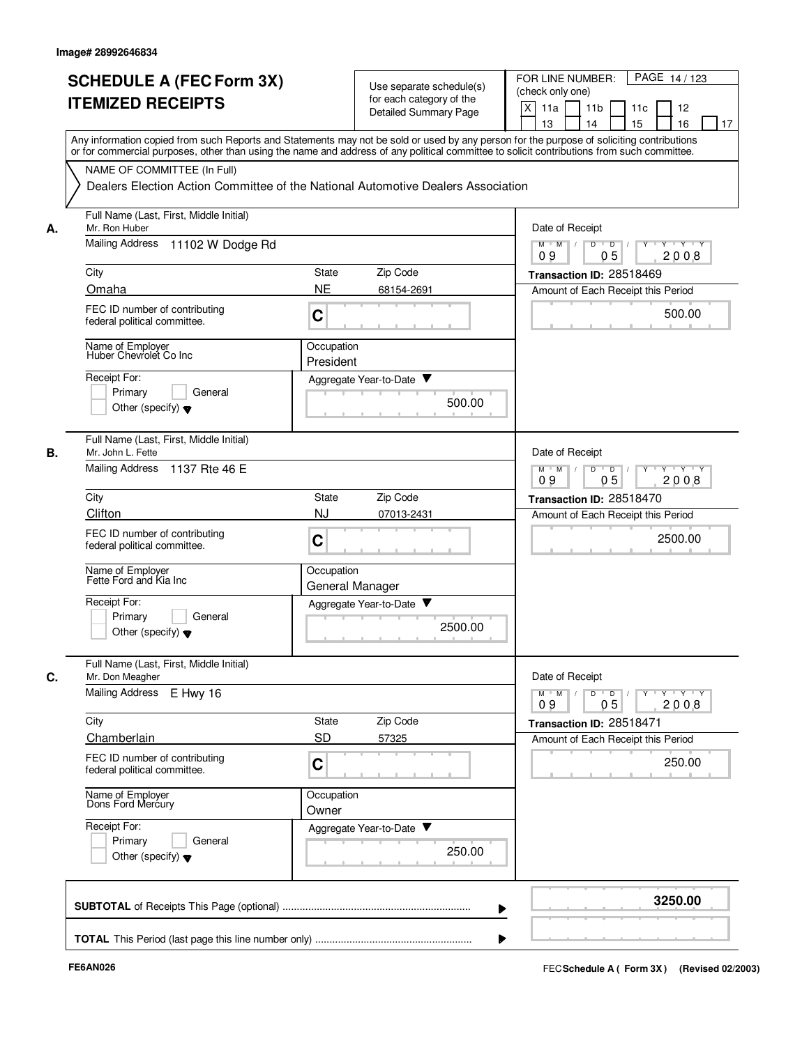|    | <b>SCHEDULE A (FEC Form 3X)</b><br><b>ITEMIZED RECEIPTS</b>                                                                                                                                                                                                                             | Use separate schedule(s)<br>for each category of the<br><b>Detailed Summary Page</b> | PAGE 14/123<br>FOR LINE NUMBER:<br>(check only one)<br>X<br>11a<br>11 <sub>b</sub><br>12<br>11c   |
|----|-----------------------------------------------------------------------------------------------------------------------------------------------------------------------------------------------------------------------------------------------------------------------------------------|--------------------------------------------------------------------------------------|---------------------------------------------------------------------------------------------------|
|    | Any information copied from such Reports and Statements may not be sold or used by any person for the purpose of soliciting contributions<br>or for commercial purposes, other than using the name and address of any political committee to solicit contributions from such committee. |                                                                                      | 13<br>14<br>15<br>16<br>17                                                                        |
|    | NAME OF COMMITTEE (In Full)                                                                                                                                                                                                                                                             | Dealers Election Action Committee of the National Automotive Dealers Association     |                                                                                                   |
| А. | Full Name (Last, First, Middle Initial)<br>Mr. Ron Huber                                                                                                                                                                                                                                |                                                                                      | Date of Receipt                                                                                   |
|    | <b>Mailing Address</b><br>11102 W Dodge Rd                                                                                                                                                                                                                                              |                                                                                      | $M$ $M$ /<br>D<br>$\overline{D}$ /<br>Y Y Y Y<br>0 <sub>5</sub><br>09<br>2008                     |
|    | City                                                                                                                                                                                                                                                                                    | Zip Code<br>State                                                                    | Transaction ID: 28518469                                                                          |
|    | Omaha<br>FEC ID number of contributing<br>federal political committee.                                                                                                                                                                                                                  | <b>NE</b><br>68154-2691<br>C                                                         | Amount of Each Receipt this Period<br>500.00                                                      |
|    | Name of Employer<br>Huber Chevrolet Co Inc                                                                                                                                                                                                                                              | Occupation<br>President                                                              |                                                                                                   |
|    | Receipt For:<br>Primary<br>General<br>Other (specify) $\blacktriangledown$                                                                                                                                                                                                              | Aggregate Year-to-Date ▼<br>500.00                                                   |                                                                                                   |
| В. | Full Name (Last, First, Middle Initial)<br>Mr. John L. Fette<br><b>Mailing Address</b><br>1137 Rte 46 E                                                                                                                                                                                 |                                                                                      | Date of Receipt<br>D<br>$Y - Y - Y$<br>$M$ M<br>$\overline{D}$<br>$\sqrt{ }$                      |
|    |                                                                                                                                                                                                                                                                                         | 05<br>2008<br>09                                                                     |                                                                                                   |
|    | City<br>Clifton                                                                                                                                                                                                                                                                         | Zip Code<br>State<br><b>NJ</b><br>07013-2431                                         | Transaction ID: 28518470                                                                          |
|    | FEC ID number of contributing<br>federal political committee.                                                                                                                                                                                                                           | C                                                                                    | Amount of Each Receipt this Period<br>2500.00                                                     |
|    | Name of Employer<br>Fette Ford and Kia Inc                                                                                                                                                                                                                                              | Occupation<br>General Manager                                                        |                                                                                                   |
|    | Receipt For:<br>Primary<br>General<br>Other (specify) $\blacktriangledown$                                                                                                                                                                                                              | Aggregate Year-to-Date<br>2500.00                                                    |                                                                                                   |
| С. | Full Name (Last, First, Middle Initial)<br>Mr. Don Meagher                                                                                                                                                                                                                              |                                                                                      | Date of Receipt                                                                                   |
|    | Mailing Address<br>E Hwy 16                                                                                                                                                                                                                                                             |                                                                                      | $Y - Y - Y$<br>$M$ <sup><math>+</math></sup><br>M<br>D<br>$\overline{D}$<br>Y<br>2008<br>09<br>05 |
|    | City                                                                                                                                                                                                                                                                                    | Zip Code<br>State                                                                    | Transaction ID: 28518471                                                                          |
|    | Chamberlain<br>FEC ID number of contributing<br>federal political committee.                                                                                                                                                                                                            | <b>SD</b><br>57325<br>C                                                              | Amount of Each Receipt this Period<br>250.00                                                      |
|    | Name of Employer<br>Dons Ford Mercury                                                                                                                                                                                                                                                   | Occupation<br>Owner                                                                  |                                                                                                   |
|    | Receipt For:<br>Primary<br>General<br>Other (specify) $\blacktriangledown$                                                                                                                                                                                                              | Aggregate Year-to-Date<br>250.00                                                     |                                                                                                   |
|    |                                                                                                                                                                                                                                                                                         |                                                                                      | 3250.00                                                                                           |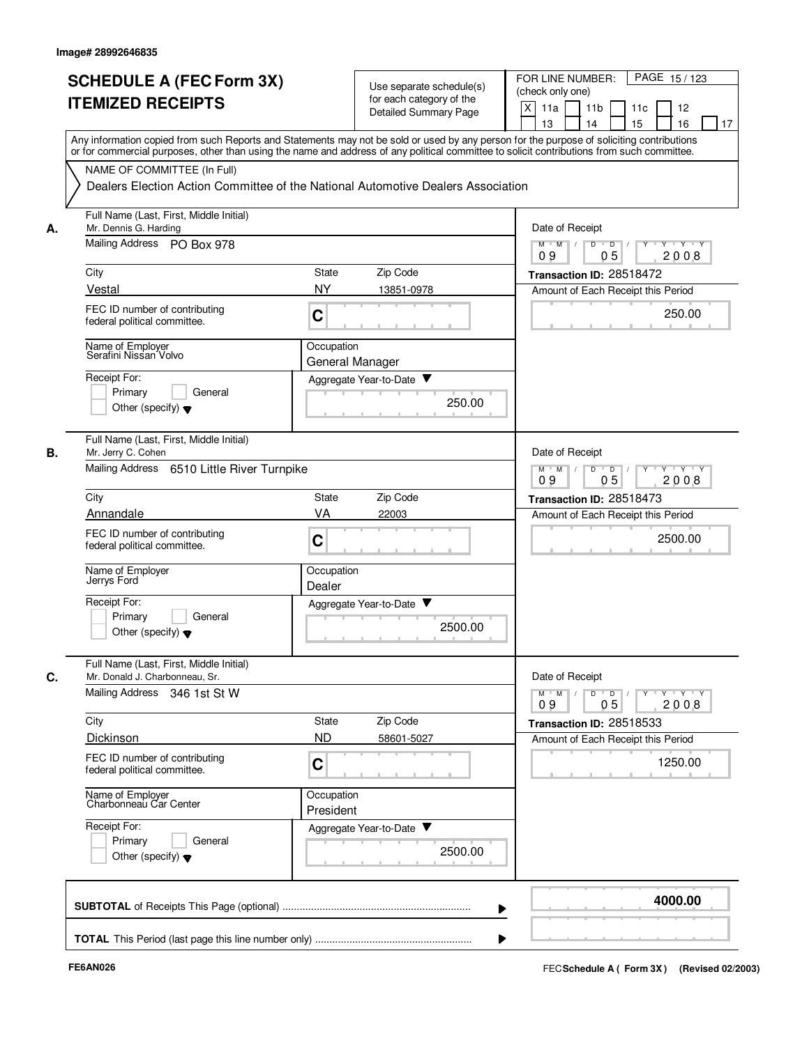|    | <b>SCHEDULE A (FEC Form 3X)</b><br><b>ITEMIZED RECEIPTS</b>                                                                                                                                                                                                                             |                                                                                  | Use separate schedule(s)<br>for each category of the<br>Detailed Summary Page | FOR LINE NUMBER:<br>PAGE 15/123<br>(check only one)<br>X<br>11a<br>11 <sub>b</sub><br>11c<br>12<br>13<br>14<br>15<br>16<br>17 |  |  |  |
|----|-----------------------------------------------------------------------------------------------------------------------------------------------------------------------------------------------------------------------------------------------------------------------------------------|----------------------------------------------------------------------------------|-------------------------------------------------------------------------------|-------------------------------------------------------------------------------------------------------------------------------|--|--|--|
|    | Any information copied from such Reports and Statements may not be sold or used by any person for the purpose of soliciting contributions<br>or for commercial purposes, other than using the name and address of any political committee to solicit contributions from such committee. |                                                                                  |                                                                               |                                                                                                                               |  |  |  |
|    | NAME OF COMMITTEE (In Full)                                                                                                                                                                                                                                                             | Dealers Election Action Committee of the National Automotive Dealers Association |                                                                               |                                                                                                                               |  |  |  |
| А. | Full Name (Last, First, Middle Initial)<br>Mr. Dennis G. Harding                                                                                                                                                                                                                        |                                                                                  |                                                                               | Date of Receipt                                                                                                               |  |  |  |
|    | Mailing Address PO Box 978                                                                                                                                                                                                                                                              |                                                                                  |                                                                               | $M$ $M$ /<br>D<br>$\overline{D}$<br>$Y + Y + Y$<br>0 <sub>5</sub><br>2008<br>09                                               |  |  |  |
|    | City                                                                                                                                                                                                                                                                                    | State                                                                            | Zip Code                                                                      | Transaction ID: 28518472                                                                                                      |  |  |  |
|    | Vestal<br>FEC ID number of contributing<br>federal political committee.                                                                                                                                                                                                                 | <b>NY</b><br>C                                                                   | 13851-0978                                                                    | Amount of Each Receipt this Period<br>250.00                                                                                  |  |  |  |
|    | Name of Employer<br>Serafini Nissan Volvo                                                                                                                                                                                                                                               | Occupation<br>General Manager                                                    |                                                                               |                                                                                                                               |  |  |  |
|    | Receipt For:<br>Primary<br>General<br>Other (specify) $\blacktriangledown$                                                                                                                                                                                                              |                                                                                  | Aggregate Year-to-Date<br>250.00                                              |                                                                                                                               |  |  |  |
| В. | Full Name (Last, First, Middle Initial)<br>Mr. Jerry C. Cohen                                                                                                                                                                                                                           |                                                                                  |                                                                               | Date of Receipt                                                                                                               |  |  |  |
|    | 6510 Little River Turnpike<br>Mailing Address                                                                                                                                                                                                                                           | D<br>$M$ M<br>$\overline{D}$<br>$Y + Y + Y$<br>$\sqrt{ }$<br>05<br>09<br>2008    |                                                                               |                                                                                                                               |  |  |  |
|    | City                                                                                                                                                                                                                                                                                    | State                                                                            | Zip Code                                                                      | Transaction ID: 28518473                                                                                                      |  |  |  |
|    | Annandale<br>FEC ID number of contributing<br>federal political committee.                                                                                                                                                                                                              | VA<br>$\mathbf C$                                                                | 22003                                                                         | Amount of Each Receipt this Period<br>2500.00                                                                                 |  |  |  |
|    | Name of Employer<br>Jerrys Ford                                                                                                                                                                                                                                                         | Occupation<br>Dealer                                                             |                                                                               |                                                                                                                               |  |  |  |
|    | Receipt For:<br>Primary<br>General<br>Other (specify) $\blacktriangledown$                                                                                                                                                                                                              |                                                                                  | Aggregate Year-to-Date ▼<br>2500.00                                           |                                                                                                                               |  |  |  |
| C. | Full Name (Last, First, Middle Initial)<br>Mr. Donald J. Charbonneau, Sr.                                                                                                                                                                                                               |                                                                                  |                                                                               | Date of Receipt                                                                                                               |  |  |  |
|    | Mailing Address 346 1st St W                                                                                                                                                                                                                                                            |                                                                                  |                                                                               | $\mathsf{Y} \dashv \mathsf{Y} \dashv \mathsf{Y}$<br>$D$ $D$ $/$<br>$Y$ <sup>U</sup><br>$M$ $M$<br>05<br>2008<br>09            |  |  |  |
|    | City                                                                                                                                                                                                                                                                                    | State                                                                            | Zip Code                                                                      | Transaction ID: 28518533                                                                                                      |  |  |  |
|    | Dickinson<br>FEC ID number of contributing                                                                                                                                                                                                                                              | <b>ND</b><br>C                                                                   | 58601-5027                                                                    | Amount of Each Receipt this Period<br>1250.00                                                                                 |  |  |  |
|    | federal political committee.                                                                                                                                                                                                                                                            | Occupation                                                                       |                                                                               |                                                                                                                               |  |  |  |
|    | Name of Employer<br>Charbonneau Car Center                                                                                                                                                                                                                                              | President                                                                        |                                                                               |                                                                                                                               |  |  |  |
|    | Receipt For:<br>Primary<br>General<br>Other (specify) $\blacktriangledown$                                                                                                                                                                                                              |                                                                                  | Aggregate Year-to-Date<br>2500.00                                             |                                                                                                                               |  |  |  |
|    |                                                                                                                                                                                                                                                                                         |                                                                                  |                                                                               | 4000.00                                                                                                                       |  |  |  |
|    |                                                                                                                                                                                                                                                                                         |                                                                                  |                                                                               |                                                                                                                               |  |  |  |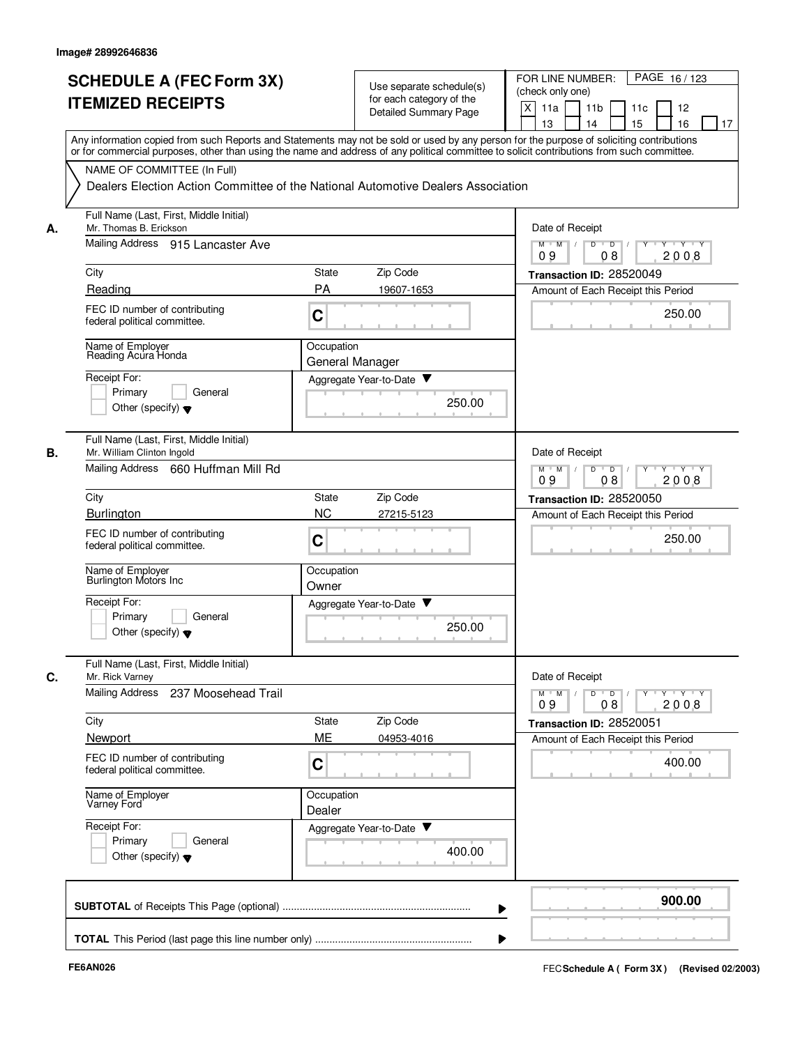|    | <b>SCHEDULE A (FEC Form 3X)</b><br><b>ITEMIZED RECEIPTS</b>                                                                                                                                                                                                                             | Use separate schedule(s)<br>for each category of the<br>Detailed Summary Page    | PAGE 16/123<br>FOR LINE NUMBER:<br>(check only one)<br>X<br>11a<br>11 <sub>b</sub><br>11c<br>12<br>15<br>13<br>14<br>16<br>17 |
|----|-----------------------------------------------------------------------------------------------------------------------------------------------------------------------------------------------------------------------------------------------------------------------------------------|----------------------------------------------------------------------------------|-------------------------------------------------------------------------------------------------------------------------------|
|    | Any information copied from such Reports and Statements may not be sold or used by any person for the purpose of soliciting contributions<br>or for commercial purposes, other than using the name and address of any political committee to solicit contributions from such committee. |                                                                                  |                                                                                                                               |
|    | NAME OF COMMITTEE (In Full)                                                                                                                                                                                                                                                             | Dealers Election Action Committee of the National Automotive Dealers Association |                                                                                                                               |
| А. | Full Name (Last, First, Middle Initial)<br>Mr. Thomas B. Erickson                                                                                                                                                                                                                       |                                                                                  | Date of Receipt                                                                                                               |
|    | Mailing Address 915 Lancaster Ave                                                                                                                                                                                                                                                       |                                                                                  | D<br>$M$ $M$ /<br>$\overline{\phantom{0}}$<br>Y Y Y Y<br>2008<br>09<br>08                                                     |
|    | City                                                                                                                                                                                                                                                                                    | Zip Code<br><b>State</b>                                                         | Transaction ID: 28520049                                                                                                      |
|    | Reading                                                                                                                                                                                                                                                                                 | PA<br>19607-1653                                                                 | Amount of Each Receipt this Period                                                                                            |
|    | FEC ID number of contributing<br>federal political committee.                                                                                                                                                                                                                           | C                                                                                | 250.00                                                                                                                        |
|    | Name of Employer<br>Reading Acura Honda                                                                                                                                                                                                                                                 | Occupation<br>General Manager                                                    |                                                                                                                               |
|    | Receipt For:<br>Primary<br>General                                                                                                                                                                                                                                                      | Aggregate Year-to-Date                                                           |                                                                                                                               |
|    | Other (specify) $\blacktriangledown$                                                                                                                                                                                                                                                    | 250.00                                                                           |                                                                                                                               |
| В. | Full Name (Last, First, Middle Initial)<br>Mr. William Clinton Ingold                                                                                                                                                                                                                   |                                                                                  | Date of Receipt                                                                                                               |
|    | Mailing Address 660 Huffman Mill Rd                                                                                                                                                                                                                                                     |                                                                                  | D<br>$\overline{D}$<br>$Y - Y - Y$<br>$M$ M<br>$Y$ <sup><math>\top</math></sup><br>09<br>2008<br>08                           |
|    | City                                                                                                                                                                                                                                                                                    | State<br>Zip Code                                                                | Transaction ID: 28520050                                                                                                      |
|    | <b>Burlington</b>                                                                                                                                                                                                                                                                       | <b>NC</b><br>27215-5123                                                          | Amount of Each Receipt this Period                                                                                            |
|    | FEC ID number of contributing<br>federal political committee.                                                                                                                                                                                                                           | C                                                                                | 250.00                                                                                                                        |
|    | Name of Employer<br>Burlington Motors Inc                                                                                                                                                                                                                                               | Occupation<br>Owner                                                              |                                                                                                                               |
|    | Receipt For:<br>Primary<br>General                                                                                                                                                                                                                                                      | Aggregate Year-to-Date                                                           |                                                                                                                               |
|    | Other (specify) $\blacktriangledown$                                                                                                                                                                                                                                                    | 250.00                                                                           |                                                                                                                               |
| C. | Full Name (Last, First, Middle Initial)<br>Mr. Rick Varney                                                                                                                                                                                                                              |                                                                                  | Date of Receipt                                                                                                               |
|    | <b>Mailing Address</b><br>237 Moosehead Trail                                                                                                                                                                                                                                           |                                                                                  | $Y + Y + Y$<br>$M$ $M$<br>D<br>$\overline{D}$<br>Y<br>09<br>2008<br>08                                                        |
|    | City                                                                                                                                                                                                                                                                                    | Zip Code<br>State                                                                | Transaction ID: 28520051                                                                                                      |
|    | Newport<br>FEC ID number of contributing                                                                                                                                                                                                                                                | ME<br>04953-4016                                                                 | Amount of Each Receipt this Period                                                                                            |
|    | federal political committee.                                                                                                                                                                                                                                                            | C                                                                                | 400.00                                                                                                                        |
|    | Name of Employer<br>Varney Ford                                                                                                                                                                                                                                                         | Occupation<br>Dealer                                                             |                                                                                                                               |
|    | Receipt For:<br>Primary<br>General<br>Other (specify) $\blacktriangledown$                                                                                                                                                                                                              | Aggregate Year-to-Date<br>400.00                                                 |                                                                                                                               |
|    |                                                                                                                                                                                                                                                                                         |                                                                                  | 900.00                                                                                                                        |
|    |                                                                                                                                                                                                                                                                                         |                                                                                  |                                                                                                                               |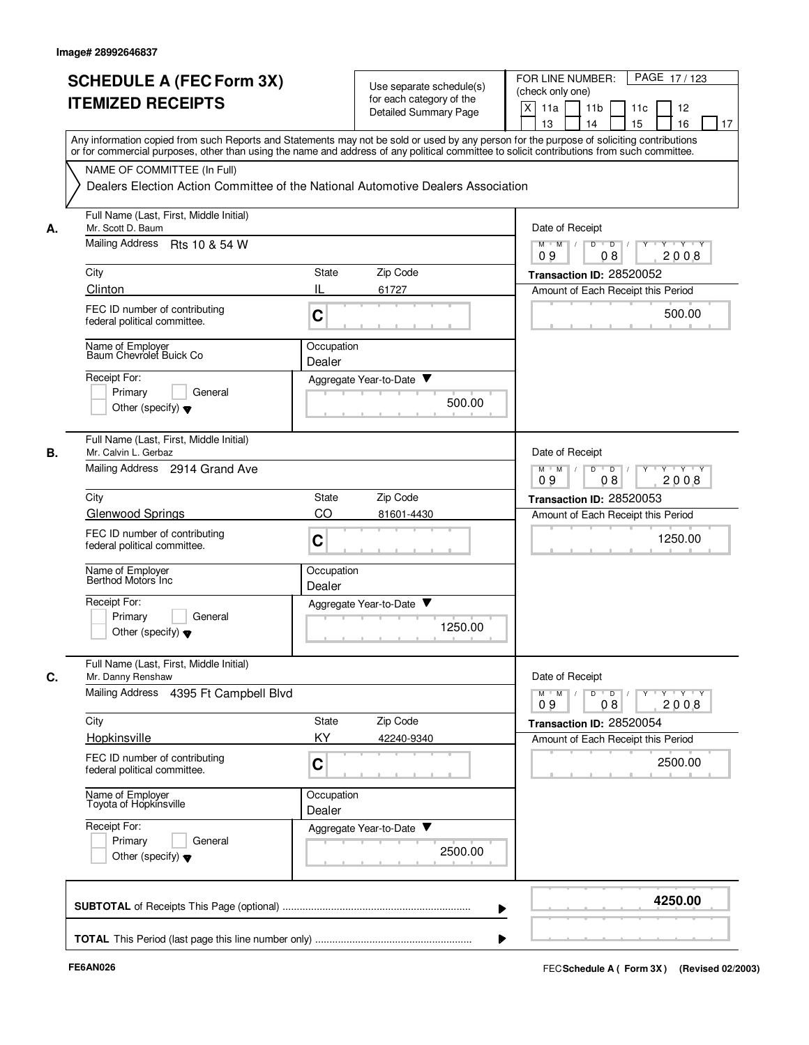| or for commercial purposes, other than using the name and address of any political committee to solicit contributions from such committee.<br>NAME OF COMMITTEE (In Full)<br>Dealers Election Action Committee of the National Automotive Dealers Association<br>Full Name (Last, First, Middle Initial)<br>Mr. Scott D. Baum<br>Date of Receipt<br>А.<br>Mailing Address  Rts 10 & 54 W<br>$M$ $M$ $/$<br>$Y \vdash Y \vdash Y$<br>D<br>$\overline{D}$ /<br>08<br>2008<br>09<br>Zip Code<br>City<br><b>State</b><br>Transaction ID: 28520052<br>Clinton<br>IL<br>61727<br>Amount of Each Receipt this Period<br>FEC ID number of contributing<br>500.00<br>C<br>federal political committee.<br>Name of Employer<br>Baum Chevrolet Buick Co<br>Occupation<br>Dealer<br>Receipt For:<br>Aggregate Year-to-Date ▼<br>Primary<br>General<br>500.00<br>Other (specify) $\blacktriangledown$<br>Full Name (Last, First, Middle Initial)<br>В.<br>Date of Receipt<br>Mr. Calvin L. Gerbaz<br>Mailing Address 2914 Grand Ave<br>D<br>$M$ $M$<br>$\sqrt{ }$<br>$\overline{D}$<br>$Y + Y + Y$<br>09<br>08<br>2008<br>Zip Code<br>City<br><b>State</b><br>Transaction ID: 28520053<br>CO<br><b>Glenwood Springs</b><br>81601-4430<br>Amount of Each Receipt this Period<br>FEC ID number of contributing<br>C<br>1250.00<br>federal political committee.<br>Name of Employer<br>Berthod Motors Inc<br>Occupation<br>Dealer<br>Receipt For:<br>Aggregate Year-to-Date<br>Primary<br>General<br>1250.00<br>Other (specify) $\blacktriangledown$<br>Full Name (Last, First, Middle Initial)<br>Date of Receipt<br>C.<br>Mr. Danny Renshaw<br>Mailing Address 4395 Ft Campbell Blvd<br>$Y$ $Y$ $Y$<br>$M$ $M$ $/$<br>$D$ $D$ $I$<br>$Y$ <sup>U</sup><br>2008<br>09<br>08<br>City<br>State<br>Zip Code<br>Transaction ID: 28520054<br>Hopkinsville<br>KY.<br>42240-9340<br>Amount of Each Receipt this Period<br>FEC ID number of contributing<br>2500.00<br>C<br>federal political committee.<br>Name of Employer<br>Occupation<br>Toyota of Hopkinsville<br>Dealer<br>Receipt For:<br>Aggregate Year-to-Date<br>Primary<br>General<br>2500.00<br>Other (specify) $\blacktriangledown$<br>4250.00 | <b>SCHEDULE A (FEC Form 3X)</b><br><b>ITEMIZED RECEIPTS</b><br>Any information copied from such Reports and Statements may not be sold or used by any person for the purpose of soliciting contributions | Use separate schedule(s)<br>for each category of the<br><b>Detailed Summary Page</b> | FOR LINE NUMBER:<br>PAGE 17/123<br>(check only one)<br>X<br>11a<br>12<br>11 <sub>b</sub><br>11c<br>13<br>14<br>15<br>16<br>17 |
|--------------------------------------------------------------------------------------------------------------------------------------------------------------------------------------------------------------------------------------------------------------------------------------------------------------------------------------------------------------------------------------------------------------------------------------------------------------------------------------------------------------------------------------------------------------------------------------------------------------------------------------------------------------------------------------------------------------------------------------------------------------------------------------------------------------------------------------------------------------------------------------------------------------------------------------------------------------------------------------------------------------------------------------------------------------------------------------------------------------------------------------------------------------------------------------------------------------------------------------------------------------------------------------------------------------------------------------------------------------------------------------------------------------------------------------------------------------------------------------------------------------------------------------------------------------------------------------------------------------------------------------------------------------------------------------------------------------------------------------------------------------------------------------------------------------------------------------------------------------------------------------------------------------------------------------------------------------------------------------------------------------------------------------------------------------------------------------------------------------------------------------------------------------------------------------|----------------------------------------------------------------------------------------------------------------------------------------------------------------------------------------------------------|--------------------------------------------------------------------------------------|-------------------------------------------------------------------------------------------------------------------------------|
|                                                                                                                                                                                                                                                                                                                                                                                                                                                                                                                                                                                                                                                                                                                                                                                                                                                                                                                                                                                                                                                                                                                                                                                                                                                                                                                                                                                                                                                                                                                                                                                                                                                                                                                                                                                                                                                                                                                                                                                                                                                                                                                                                                                      |                                                                                                                                                                                                          |                                                                                      |                                                                                                                               |
|                                                                                                                                                                                                                                                                                                                                                                                                                                                                                                                                                                                                                                                                                                                                                                                                                                                                                                                                                                                                                                                                                                                                                                                                                                                                                                                                                                                                                                                                                                                                                                                                                                                                                                                                                                                                                                                                                                                                                                                                                                                                                                                                                                                      |                                                                                                                                                                                                          |                                                                                      |                                                                                                                               |
|                                                                                                                                                                                                                                                                                                                                                                                                                                                                                                                                                                                                                                                                                                                                                                                                                                                                                                                                                                                                                                                                                                                                                                                                                                                                                                                                                                                                                                                                                                                                                                                                                                                                                                                                                                                                                                                                                                                                                                                                                                                                                                                                                                                      |                                                                                                                                                                                                          |                                                                                      |                                                                                                                               |
|                                                                                                                                                                                                                                                                                                                                                                                                                                                                                                                                                                                                                                                                                                                                                                                                                                                                                                                                                                                                                                                                                                                                                                                                                                                                                                                                                                                                                                                                                                                                                                                                                                                                                                                                                                                                                                                                                                                                                                                                                                                                                                                                                                                      |                                                                                                                                                                                                          |                                                                                      |                                                                                                                               |
|                                                                                                                                                                                                                                                                                                                                                                                                                                                                                                                                                                                                                                                                                                                                                                                                                                                                                                                                                                                                                                                                                                                                                                                                                                                                                                                                                                                                                                                                                                                                                                                                                                                                                                                                                                                                                                                                                                                                                                                                                                                                                                                                                                                      |                                                                                                                                                                                                          |                                                                                      |                                                                                                                               |
|                                                                                                                                                                                                                                                                                                                                                                                                                                                                                                                                                                                                                                                                                                                                                                                                                                                                                                                                                                                                                                                                                                                                                                                                                                                                                                                                                                                                                                                                                                                                                                                                                                                                                                                                                                                                                                                                                                                                                                                                                                                                                                                                                                                      |                                                                                                                                                                                                          |                                                                                      |                                                                                                                               |
|                                                                                                                                                                                                                                                                                                                                                                                                                                                                                                                                                                                                                                                                                                                                                                                                                                                                                                                                                                                                                                                                                                                                                                                                                                                                                                                                                                                                                                                                                                                                                                                                                                                                                                                                                                                                                                                                                                                                                                                                                                                                                                                                                                                      |                                                                                                                                                                                                          |                                                                                      |                                                                                                                               |
|                                                                                                                                                                                                                                                                                                                                                                                                                                                                                                                                                                                                                                                                                                                                                                                                                                                                                                                                                                                                                                                                                                                                                                                                                                                                                                                                                                                                                                                                                                                                                                                                                                                                                                                                                                                                                                                                                                                                                                                                                                                                                                                                                                                      |                                                                                                                                                                                                          |                                                                                      |                                                                                                                               |
|                                                                                                                                                                                                                                                                                                                                                                                                                                                                                                                                                                                                                                                                                                                                                                                                                                                                                                                                                                                                                                                                                                                                                                                                                                                                                                                                                                                                                                                                                                                                                                                                                                                                                                                                                                                                                                                                                                                                                                                                                                                                                                                                                                                      |                                                                                                                                                                                                          |                                                                                      |                                                                                                                               |
|                                                                                                                                                                                                                                                                                                                                                                                                                                                                                                                                                                                                                                                                                                                                                                                                                                                                                                                                                                                                                                                                                                                                                                                                                                                                                                                                                                                                                                                                                                                                                                                                                                                                                                                                                                                                                                                                                                                                                                                                                                                                                                                                                                                      |                                                                                                                                                                                                          |                                                                                      |                                                                                                                               |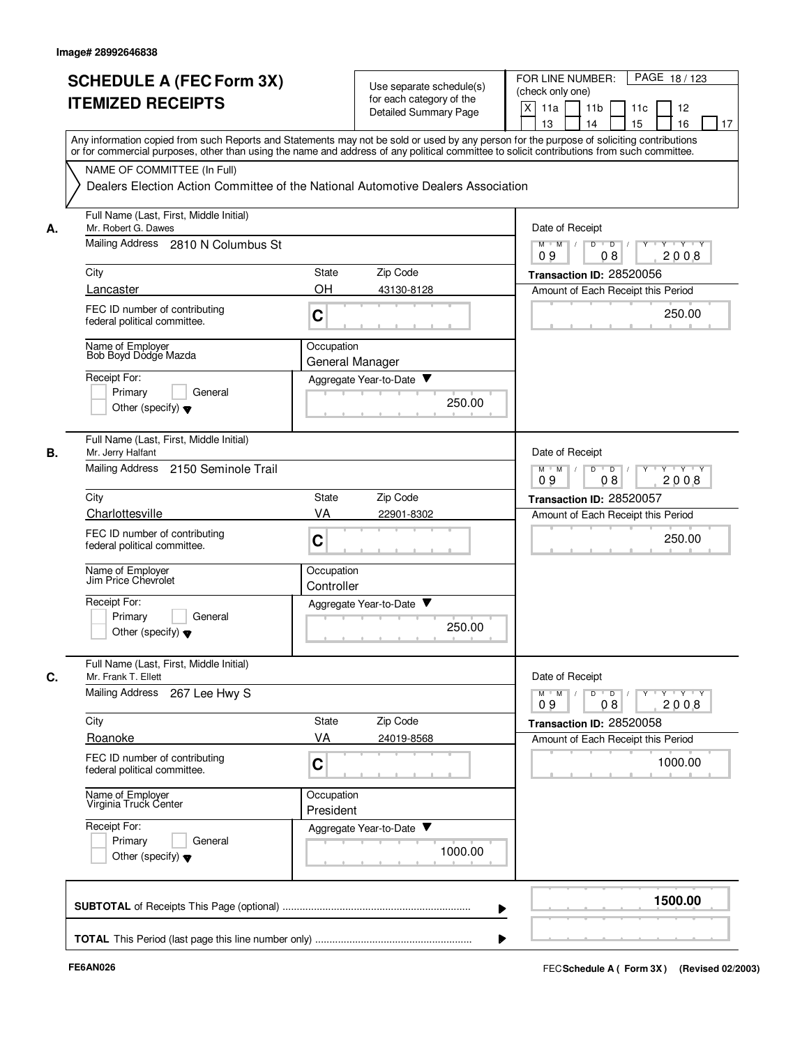|    | <b>SCHEDULE A (FEC Form 3X)</b><br><b>ITEMIZED RECEIPTS</b>                                                                                                                                                                                                                             |                               | Use separate schedule(s)<br>for each category of the<br>Detailed Summary Page | PAGE 18/123<br>FOR LINE NUMBER:<br>(check only one)<br>X<br>11a<br>11 <sub>b</sub><br>11c<br>12<br>15<br>13<br>14<br>16<br>17 |
|----|-----------------------------------------------------------------------------------------------------------------------------------------------------------------------------------------------------------------------------------------------------------------------------------------|-------------------------------|-------------------------------------------------------------------------------|-------------------------------------------------------------------------------------------------------------------------------|
|    | Any information copied from such Reports and Statements may not be sold or used by any person for the purpose of soliciting contributions<br>or for commercial purposes, other than using the name and address of any political committee to solicit contributions from such committee. |                               |                                                                               |                                                                                                                               |
|    | NAME OF COMMITTEE (In Full)<br>Dealers Election Action Committee of the National Automotive Dealers Association                                                                                                                                                                         |                               |                                                                               |                                                                                                                               |
| А. | Full Name (Last, First, Middle Initial)<br>Mr. Robert G. Dawes                                                                                                                                                                                                                          |                               |                                                                               | Date of Receipt                                                                                                               |
|    | Mailing Address 2810 N Columbus St                                                                                                                                                                                                                                                      |                               |                                                                               | D<br>$M$ $M$ /<br>$\overline{D}$<br>Y 'Y 'Y<br>2008<br>09<br>08                                                               |
|    | City                                                                                                                                                                                                                                                                                    | <b>State</b>                  | Zip Code                                                                      | Transaction ID: 28520056                                                                                                      |
|    | Lancaster                                                                                                                                                                                                                                                                               | OH                            | 43130-8128                                                                    | Amount of Each Receipt this Period                                                                                            |
|    | FEC ID number of contributing<br>federal political committee.                                                                                                                                                                                                                           | C                             |                                                                               | 250.00                                                                                                                        |
|    | Name of Employer<br>Bob Boyd Dodge Mazda                                                                                                                                                                                                                                                | Occupation<br>General Manager |                                                                               |                                                                                                                               |
|    | Receipt For:                                                                                                                                                                                                                                                                            |                               | Aggregate Year-to-Date                                                        |                                                                                                                               |
|    | Primary<br>General<br>Other (specify) $\blacktriangledown$                                                                                                                                                                                                                              |                               | 250.00                                                                        |                                                                                                                               |
| В. | Full Name (Last, First, Middle Initial)<br>Mr. Jerry Halfant                                                                                                                                                                                                                            |                               |                                                                               | Date of Receipt                                                                                                               |
|    | Mailing Address<br>2150 Seminole Trail                                                                                                                                                                                                                                                  |                               |                                                                               | D<br>$\overline{D}$<br>$Y - Y - Y$<br>$M$ $M$<br>Y<br>09<br>2008<br>08                                                        |
|    | City                                                                                                                                                                                                                                                                                    | State                         | Zip Code                                                                      | Transaction ID: 28520057                                                                                                      |
|    | Charlottesville<br>FEC ID number of contributing<br>federal political committee.                                                                                                                                                                                                        | VA<br>C                       | 22901-8302                                                                    | Amount of Each Receipt this Period<br>250.00                                                                                  |
|    | Name of Employer<br>Jim Price Chevrolet                                                                                                                                                                                                                                                 | Occupation<br>Controller      |                                                                               |                                                                                                                               |
|    | Receipt For:<br>Primary<br>General<br>Other (specify) $\blacktriangledown$                                                                                                                                                                                                              |                               | Aggregate Year-to-Date<br>250.00                                              |                                                                                                                               |
| C. | Full Name (Last, First, Middle Initial)<br>Mr. Frank T. Ellett                                                                                                                                                                                                                          |                               |                                                                               | Date of Receipt                                                                                                               |
|    | <b>Mailing Address</b><br>267 Lee Hwy S                                                                                                                                                                                                                                                 |                               |                                                                               | $Y + Y + Y$<br>$M$ $M$<br>D<br>$\overline{D}$<br>09<br>2008<br>08                                                             |
|    | City                                                                                                                                                                                                                                                                                    | State                         | Zip Code                                                                      | Transaction ID: 28520058                                                                                                      |
|    | Roanoke                                                                                                                                                                                                                                                                                 | VA                            | 24019-8568                                                                    | Amount of Each Receipt this Period                                                                                            |
|    | FEC ID number of contributing<br>federal political committee.                                                                                                                                                                                                                           | C                             |                                                                               | 1000.00                                                                                                                       |
|    | Name of Employer<br>Virginia Truck Center                                                                                                                                                                                                                                               | Occupation<br>President       |                                                                               |                                                                                                                               |
|    | Receipt For:<br>Primary<br>General<br>Other (specify) $\blacktriangledown$                                                                                                                                                                                                              |                               | Aggregate Year-to-Date<br>1000.00                                             |                                                                                                                               |
|    |                                                                                                                                                                                                                                                                                         |                               |                                                                               | 1500.00                                                                                                                       |
|    |                                                                                                                                                                                                                                                                                         |                               |                                                                               |                                                                                                                               |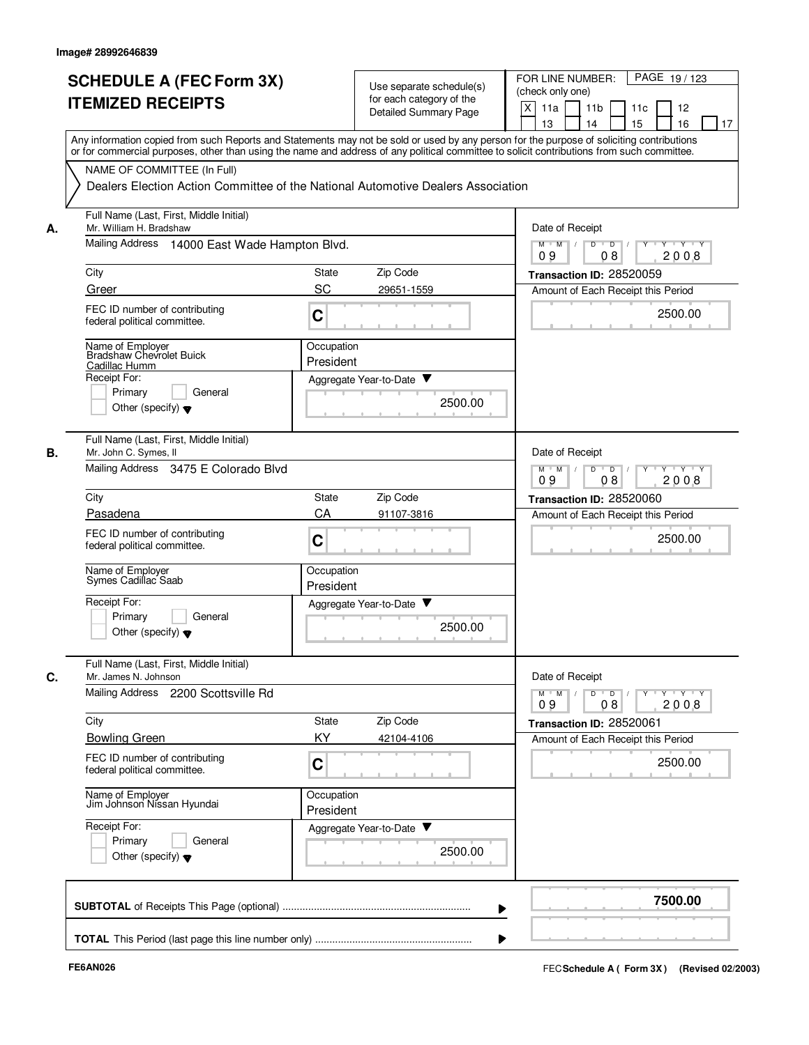|    | <b>SCHEDULE A (FEC Form 3X)</b>                                                                                                            |                                                                                |  | Use separate schedule(s) | PAGE 19/123<br>FOR LINE NUMBER:                       |
|----|--------------------------------------------------------------------------------------------------------------------------------------------|--------------------------------------------------------------------------------|--|--------------------------|-------------------------------------------------------|
|    | <b>ITEMIZED RECEIPTS</b>                                                                                                                   |                                                                                |  | for each category of the | (check only one)                                      |
|    |                                                                                                                                            |                                                                                |  | Detailed Summary Page    | X<br>11a<br>11 <sub>b</sub><br>11c<br>12              |
|    | Any information copied from such Reports and Statements may not be sold or used by any person for the purpose of soliciting contributions  |                                                                                |  |                          | 15<br>13<br>14<br>16<br>17                            |
|    | or for commercial purposes, other than using the name and address of any political committee to solicit contributions from such committee. |                                                                                |  |                          |                                                       |
|    | NAME OF COMMITTEE (In Full)                                                                                                                |                                                                                |  |                          |                                                       |
|    | Dealers Election Action Committee of the National Automotive Dealers Association                                                           |                                                                                |  |                          |                                                       |
| А. | Full Name (Last, First, Middle Initial)<br>Mr. William H. Bradshaw                                                                         |                                                                                |  |                          | Date of Receipt                                       |
|    | Mailing Address 14000 East Wade Hampton Blvd.                                                                                              | $M$ $M$ /<br>D<br>$\overline{\phantom{0}}$ D<br>$Y$ $Y$<br>08<br>2008<br>09    |  |                          |                                                       |
|    | City                                                                                                                                       | <b>State</b>                                                                   |  | Zip Code                 | Transaction ID: 28520059                              |
|    | Greer                                                                                                                                      | SC                                                                             |  | 29651-1559               | Amount of Each Receipt this Period                    |
|    | FEC ID number of contributing<br>federal political committee.                                                                              | C                                                                              |  |                          | 2500.00                                               |
|    | Name of Employer<br>Bradshaw Chevrolet Buick                                                                                               | Occupation                                                                     |  |                          |                                                       |
|    | Cadillac Humm                                                                                                                              | President                                                                      |  |                          |                                                       |
|    | Receipt For:                                                                                                                               |                                                                                |  | Aggregate Year-to-Date ▼ |                                                       |
|    | Primary<br>General                                                                                                                         |                                                                                |  | 2500.00                  |                                                       |
|    | Other (specify) $\blacktriangledown$                                                                                                       |                                                                                |  |                          |                                                       |
| В. | Full Name (Last, First, Middle Initial)<br>Mr. John C. Symes, II                                                                           |                                                                                |  |                          | Date of Receipt                                       |
|    | Mailing Address 3475 E Colorado Blvd                                                                                                       | $Y \vdash Y \vdash Y$<br>$M$ M<br>D<br>$\overline{D}$<br>Y<br>2008<br>09<br>08 |  |                          |                                                       |
|    | City<br>State                                                                                                                              |                                                                                |  | Zip Code                 | Transaction ID: 28520060                              |
|    | Pasadena                                                                                                                                   | CA                                                                             |  | 91107-3816               | Amount of Each Receipt this Period                    |
|    | FEC ID number of contributing<br>federal political committee.                                                                              | C                                                                              |  |                          | 2500.00                                               |
|    | Name of Employer<br>Symes Cadillac Saab                                                                                                    | Occupation<br>President                                                        |  |                          |                                                       |
|    | Receipt For:                                                                                                                               | Aggregate Year-to-Date                                                         |  | v                        |                                                       |
|    | Primary<br>General<br>Other (specify) $\blacktriangledown$                                                                                 |                                                                                |  | 2500.00                  |                                                       |
|    |                                                                                                                                            |                                                                                |  |                          |                                                       |
| C. | Full Name (Last, First, Middle Initial)<br>Mr. James N. Johnson                                                                            |                                                                                |  |                          | Date of Receipt                                       |
|    | Mailing Address 2200 Scottsville Rd                                                                                                        |                                                                                |  |                          | y y y y y<br>$M$ $M$ /<br>$D$ $D$<br>2008<br>09<br>08 |
|    | City                                                                                                                                       | State                                                                          |  | Zip Code                 | Transaction ID: 28520061                              |
|    | <b>Bowling Green</b>                                                                                                                       | KY                                                                             |  | 42104-4106               | Amount of Each Receipt this Period                    |
|    | FEC ID number of contributing<br>federal political committee.                                                                              | C                                                                              |  |                          | 2500.00                                               |
|    | Name of Employer<br>Jim Johnson Nissan Hyundai                                                                                             | Occupation<br>President                                                        |  |                          |                                                       |
|    | Receipt For:                                                                                                                               |                                                                                |  | Aggregate Year-to-Date   |                                                       |
|    | General<br>Primary<br>Other (specify) $\blacktriangledown$                                                                                 |                                                                                |  | 2500.00                  |                                                       |
|    |                                                                                                                                            |                                                                                |  |                          |                                                       |
|    |                                                                                                                                            |                                                                                |  |                          | 7500.00                                               |
|    |                                                                                                                                            |                                                                                |  |                          |                                                       |
|    |                                                                                                                                            |                                                                                |  |                          |                                                       |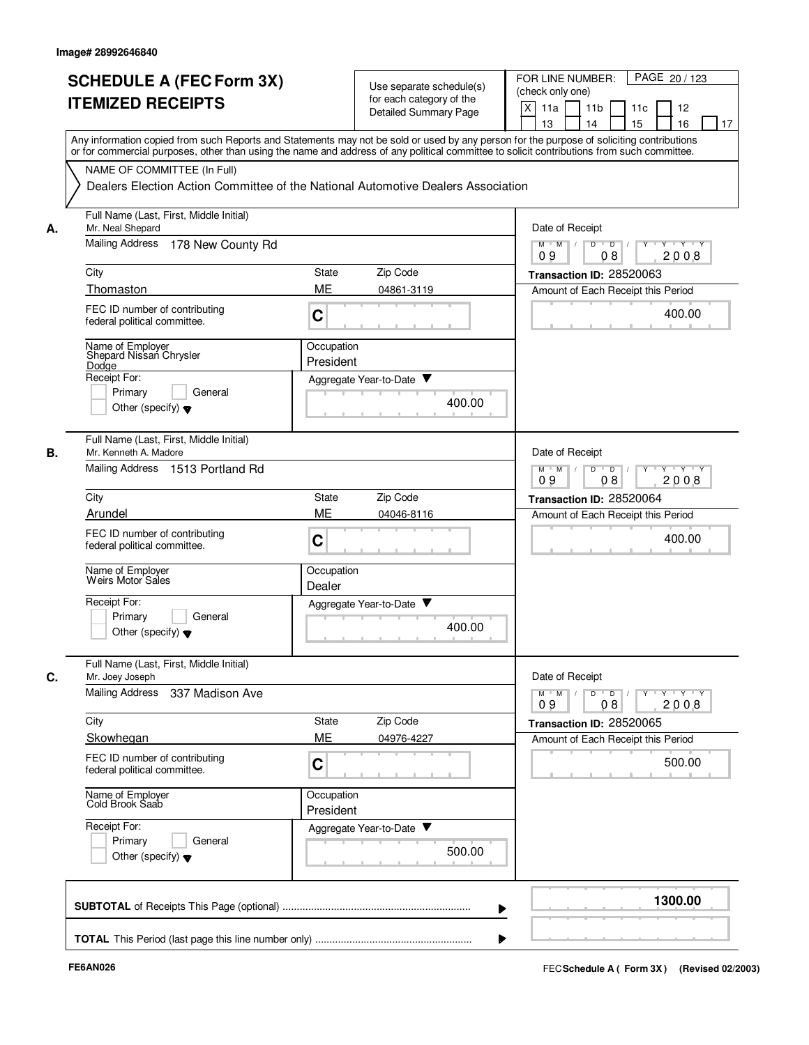|    | <b>ITEMIZED RECEIPTS</b>                                                                                        | for each category of the                                                      | Use separate schedule(s)<br>(check only one)<br>X                                                                                                                                                        |
|----|-----------------------------------------------------------------------------------------------------------------|-------------------------------------------------------------------------------|----------------------------------------------------------------------------------------------------------------------------------------------------------------------------------------------------------|
|    |                                                                                                                 | <b>Detailed Summary Page</b>                                                  | 11a<br>11 <sub>b</sub><br>12<br>11c<br>13<br>14<br>15<br>16<br>Any information copied from such Reports and Statements may not be sold or used by any person for the purpose of soliciting contributions |
|    | NAME OF COMMITTEE (In Full)<br>Dealers Election Action Committee of the National Automotive Dealers Association |                                                                               | or for commercial purposes, other than using the name and address of any political committee to solicit contributions from such committee.                                                               |
| А. | Full Name (Last, First, Middle Initial)<br>Mr. Neal Shepard                                                     |                                                                               | Date of Receipt                                                                                                                                                                                          |
|    | <b>Mailing Address</b><br>178 New County Rd                                                                     |                                                                               | $M$ $M$ /<br>D<br>$\overline{D}$ /<br>Y Y Y Y<br>09<br>08<br>2008                                                                                                                                        |
|    | City                                                                                                            | Zip Code<br>State                                                             | Transaction ID: 28520063                                                                                                                                                                                 |
|    | Thomaston                                                                                                       | ME<br>04861-3119                                                              | Amount of Each Receipt this Period                                                                                                                                                                       |
|    | FEC ID number of contributing<br>federal political committee.                                                   | C                                                                             | 400.00                                                                                                                                                                                                   |
|    | Name of Employer<br>Shepard Nissan Chrysler<br>Dodge                                                            | Occupation<br>President                                                       |                                                                                                                                                                                                          |
|    | Receipt For:                                                                                                    | Aggregate Year-to-Date ▼                                                      |                                                                                                                                                                                                          |
|    | Primary<br>General<br>Other (specify) $\blacktriangledown$                                                      |                                                                               | 400.00                                                                                                                                                                                                   |
| В. | Full Name (Last, First, Middle Initial)<br>Mr. Kenneth A. Madore                                                |                                                                               | Date of Receipt                                                                                                                                                                                          |
|    | Mailing Address 1513 Portland Rd                                                                                | D<br>$Y - Y - Y$<br>$M$ M<br>$\overline{D}$<br>$\sqrt{ }$<br>2008<br>09<br>08 |                                                                                                                                                                                                          |
|    | City                                                                                                            | Zip Code<br>State                                                             | Transaction ID: 28520064                                                                                                                                                                                 |
|    | Arundel                                                                                                         | <b>ME</b><br>04046-8116                                                       | Amount of Each Receipt this Period                                                                                                                                                                       |
|    | FEC ID number of contributing<br>federal political committee.                                                   | C                                                                             | 400.00                                                                                                                                                                                                   |
|    | Name of Employer<br>Weirs Motor Sales                                                                           | Occupation<br>Dealer                                                          |                                                                                                                                                                                                          |
|    | Receipt For:<br>Primary<br>General<br>Other (specify) $\blacktriangledown$                                      | Aggregate Year-to-Date ▼                                                      | 400.00                                                                                                                                                                                                   |
| С. | Full Name (Last, First, Middle Initial)<br>Mr. Joey Joseph                                                      |                                                                               | Date of Receipt                                                                                                                                                                                          |
|    | Mailing Address<br>337 Madison Ave                                                                              |                                                                               | $Y$ $Y$ $Y$<br>$M$ <sup><math>+</math></sup><br>M<br>D<br>$\overline{D}$<br>Y<br>2008<br>09<br>08                                                                                                        |
|    | City                                                                                                            | Zip Code<br>State                                                             | Transaction ID: 28520065                                                                                                                                                                                 |
|    | Skowhegan                                                                                                       | ME<br>04976-4227                                                              | Amount of Each Receipt this Period                                                                                                                                                                       |
|    | FEC ID number of contributing<br>federal political committee.                                                   | C                                                                             | 500.00                                                                                                                                                                                                   |
|    | Name of Employer<br>Cold Brook Saab                                                                             | Occupation<br>President                                                       |                                                                                                                                                                                                          |
|    | Receipt For:<br>Primary<br>General<br>Other (specify) $\blacktriangledown$                                      | Aggregate Year-to-Date                                                        | 500.00                                                                                                                                                                                                   |
|    |                                                                                                                 |                                                                               | 1300.00                                                                                                                                                                                                  |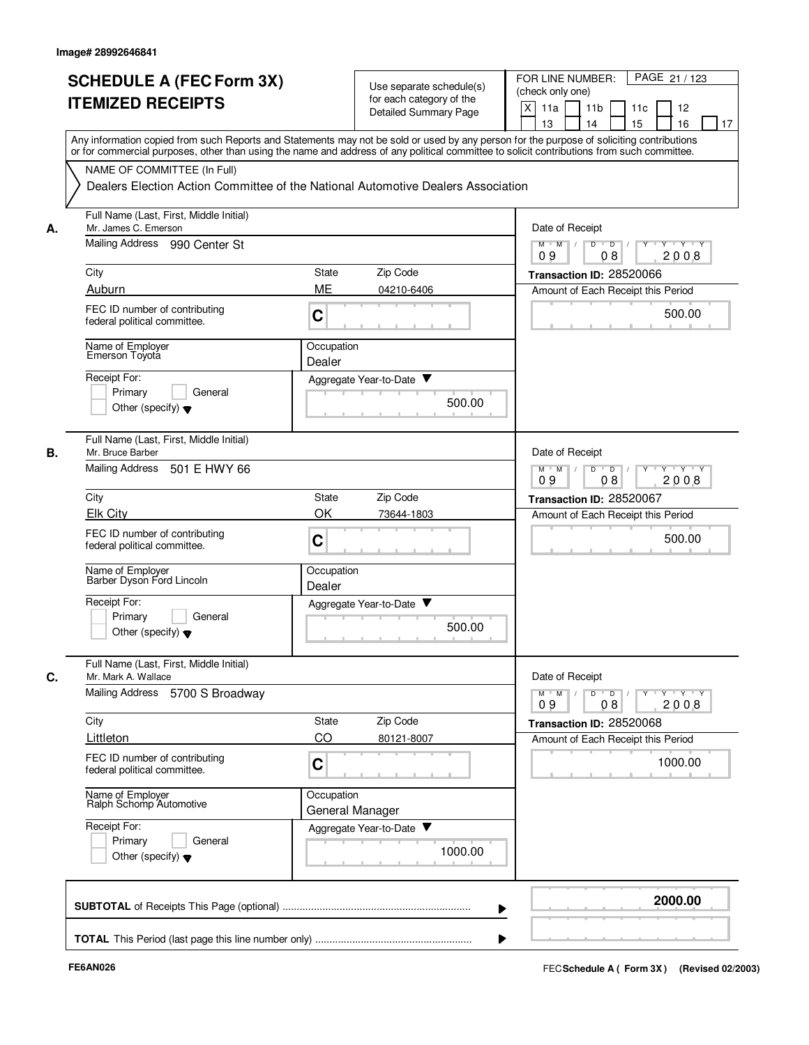|    | <b>SCHEDULE A (FEC Form 3X)</b><br><b>ITEMIZED RECEIPTS</b>                                                                                                                                                                                                                             |                      | Use separate schedule(s)<br>for each category of the<br><b>Detailed Summary Page</b> | FOR LINE NUMBER:<br>PAGE 21/123<br>(check only one)<br>X<br>11a<br>11 <sub>b</sub><br>11c<br>12<br>13<br>14<br>15<br>16<br>17    |
|----|-----------------------------------------------------------------------------------------------------------------------------------------------------------------------------------------------------------------------------------------------------------------------------------------|----------------------|--------------------------------------------------------------------------------------|----------------------------------------------------------------------------------------------------------------------------------|
|    | Any information copied from such Reports and Statements may not be sold or used by any person for the purpose of soliciting contributions<br>or for commercial purposes, other than using the name and address of any political committee to solicit contributions from such committee. |                      |                                                                                      |                                                                                                                                  |
|    | NAME OF COMMITTEE (In Full)<br>Dealers Election Action Committee of the National Automotive Dealers Association                                                                                                                                                                         |                      |                                                                                      |                                                                                                                                  |
| А. | Full Name (Last, First, Middle Initial)<br>Mr. James C. Emerson                                                                                                                                                                                                                         |                      |                                                                                      | Date of Receipt                                                                                                                  |
|    | Mailing Address 990 Center St                                                                                                                                                                                                                                                           |                      |                                                                                      | $M$ $M$ /<br>D<br>$\overline{D}$<br>$Y + Y + Y$<br>08<br>2008<br>09                                                              |
|    | City                                                                                                                                                                                                                                                                                    | State                | Zip Code                                                                             | Transaction ID: 28520066                                                                                                         |
|    | Auburn<br>FEC ID number of contributing<br>federal political committee.                                                                                                                                                                                                                 | ME<br>C              | 04210-6406                                                                           | Amount of Each Receipt this Period<br>500.00                                                                                     |
|    | Name of Employer<br>Emerson Toyota                                                                                                                                                                                                                                                      | Occupation<br>Dealer |                                                                                      |                                                                                                                                  |
|    | Receipt For:<br>Primary<br>General<br>Other (specify) $\blacktriangledown$                                                                                                                                                                                                              |                      | Aggregate Year-to-Date<br>500.00                                                     |                                                                                                                                  |
| В. | Full Name (Last, First, Middle Initial)<br>Mr. Bruce Barber<br>Mailing Address<br>501 E HWY 66                                                                                                                                                                                          |                      |                                                                                      | Date of Receipt<br>D<br>$Y \vdash Y \vdash Y$<br>$M$ M<br>$\sqrt{ }$<br>$\overline{D}$                                           |
|    |                                                                                                                                                                                                                                                                                         |                      |                                                                                      | 09<br>08<br>2008                                                                                                                 |
|    | City<br><b>Elk City</b>                                                                                                                                                                                                                                                                 | State<br>OK          | Zip Code<br>73644-1803                                                               | Transaction ID: 28520067<br>Amount of Each Receipt this Period                                                                   |
|    | FEC ID number of contributing<br>federal political committee.                                                                                                                                                                                                                           | $\mathbf C$          |                                                                                      | 500.00                                                                                                                           |
|    | Name of Employer<br>Barber Dyson Ford Lincoln                                                                                                                                                                                                                                           | Occupation<br>Dealer |                                                                                      |                                                                                                                                  |
|    | Receipt For:<br>Primary<br>General<br>Other (specify) $\blacktriangledown$                                                                                                                                                                                                              |                      | Aggregate Year-to-Date ▼<br>500.00                                                   |                                                                                                                                  |
| C. | Full Name (Last, First, Middle Initial)<br>Mr. Mark A. Wallace                                                                                                                                                                                                                          |                      |                                                                                      | Date of Receipt                                                                                                                  |
|    | Mailing Address 5700 S Broadway                                                                                                                                                                                                                                                         |                      |                                                                                      | $\mathsf{Y} \dashv \mathsf{Y} \dashv \mathsf{Y}$<br>$D$ $D$ $I$<br>$Y$ <sup><math>\top</math></sup><br>$M$ M<br>2008<br>09<br>08 |
|    | City                                                                                                                                                                                                                                                                                    | State                | Zip Code                                                                             | Transaction ID: 28520068                                                                                                         |
|    | Littleton<br>FEC ID number of contributing<br>federal political committee.                                                                                                                                                                                                              | CO<br>C              | 80121-8007                                                                           | Amount of Each Receipt this Period<br>1000.00                                                                                    |
|    | Name of Employer<br>Ralph Schomp Automotive                                                                                                                                                                                                                                             | Occupation           | General Manager                                                                      |                                                                                                                                  |
|    | Receipt For:<br>Primary<br>General<br>Other (specify) $\blacktriangledown$                                                                                                                                                                                                              |                      | Aggregate Year-to-Date<br>1000.00                                                    |                                                                                                                                  |
|    |                                                                                                                                                                                                                                                                                         |                      |                                                                                      | 2000.00                                                                                                                          |
|    |                                                                                                                                                                                                                                                                                         |                      |                                                                                      |                                                                                                                                  |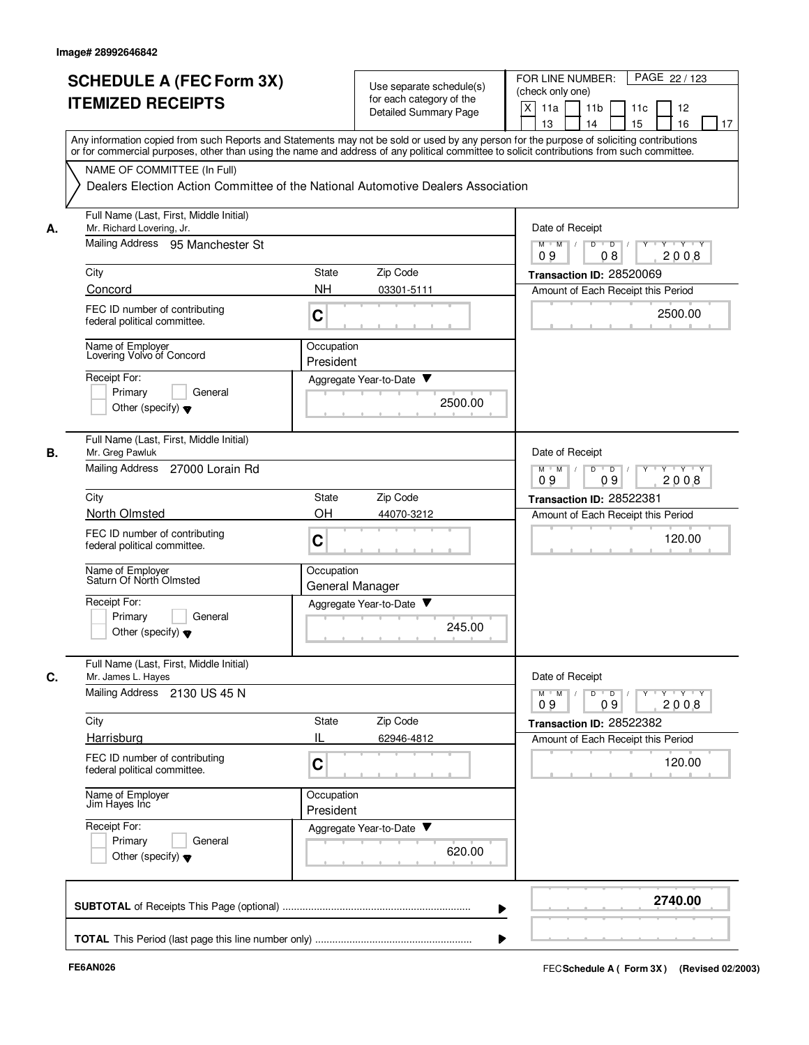| <b>SCHEDULE A (FEC Form 3X)</b><br><b>ITEMIZED RECEIPTS</b>                           | Use separate schedule(s)<br>for each category of the<br>Detailed Summary Page                                                                                                                                                                                                           | PAGE 22 / 123<br>FOR LINE NUMBER:<br>(check only one)<br>X<br>11a<br>11 <sub>b</sub><br>11c<br>12<br>15<br>13<br>14<br>16<br>17 |  |  |  |  |  |
|---------------------------------------------------------------------------------------|-----------------------------------------------------------------------------------------------------------------------------------------------------------------------------------------------------------------------------------------------------------------------------------------|---------------------------------------------------------------------------------------------------------------------------------|--|--|--|--|--|
|                                                                                       | Any information copied from such Reports and Statements may not be sold or used by any person for the purpose of soliciting contributions<br>or for commercial purposes, other than using the name and address of any political committee to solicit contributions from such committee. |                                                                                                                                 |  |  |  |  |  |
| NAME OF COMMITTEE (In Full)                                                           | Dealers Election Action Committee of the National Automotive Dealers Association                                                                                                                                                                                                        |                                                                                                                                 |  |  |  |  |  |
| Full Name (Last, First, Middle Initial)<br>Mr. Richard Lovering, Jr.<br>А.            |                                                                                                                                                                                                                                                                                         | Date of Receipt                                                                                                                 |  |  |  |  |  |
| Mailing Address<br>95 Manchester St                                                   |                                                                                                                                                                                                                                                                                         | $M$ $M$ /<br>D<br>$\overline{D}$<br>$\mathsf{Y} \mathsf{Y} \mathsf{Y}$<br>2008<br>09<br>08                                      |  |  |  |  |  |
| City                                                                                  | Zip Code<br>State                                                                                                                                                                                                                                                                       | Transaction ID: 28520069                                                                                                        |  |  |  |  |  |
| Concord                                                                               | <b>NH</b><br>03301-5111                                                                                                                                                                                                                                                                 | Amount of Each Receipt this Period                                                                                              |  |  |  |  |  |
| FEC ID number of contributing<br>federal political committee.                         | C                                                                                                                                                                                                                                                                                       | 2500.00                                                                                                                         |  |  |  |  |  |
| Name of Employer<br>Lovering Volvo of Concord                                         | Occupation<br>President                                                                                                                                                                                                                                                                 |                                                                                                                                 |  |  |  |  |  |
| Receipt For:                                                                          | Aggregate Year-to-Date ▼                                                                                                                                                                                                                                                                |                                                                                                                                 |  |  |  |  |  |
| Primary<br>General<br>Other (specify) $\blacktriangledown$                            | 2500.00                                                                                                                                                                                                                                                                                 |                                                                                                                                 |  |  |  |  |  |
| Full Name (Last, First, Middle Initial)<br>В.<br>Mr. Greg Pawluk                      |                                                                                                                                                                                                                                                                                         | Date of Receipt                                                                                                                 |  |  |  |  |  |
| Mailing Address<br>27000 Lorain Rd                                                    |                                                                                                                                                                                                                                                                                         | $Y \vdash Y \vdash Y$<br>$M$ M<br>D<br>$\overline{D}$<br>Y<br>09<br>09<br>2008                                                  |  |  |  |  |  |
| City                                                                                  | State<br>Zip Code                                                                                                                                                                                                                                                                       | Transaction ID: 28522381                                                                                                        |  |  |  |  |  |
| <b>North Olmsted</b><br>FEC ID number of contributing<br>federal political committee. | OH<br>44070-3212<br>C                                                                                                                                                                                                                                                                   | Amount of Each Receipt this Period<br>120.00                                                                                    |  |  |  |  |  |
| Name of Employer<br>Saturn Of North Olmsted                                           | Occupation<br>General Manager                                                                                                                                                                                                                                                           |                                                                                                                                 |  |  |  |  |  |
| Receipt For:<br>Primary<br>General<br>Other (specify) $\blacktriangledown$            | Aggregate Year-to-Date<br>245.00                                                                                                                                                                                                                                                        |                                                                                                                                 |  |  |  |  |  |
| Full Name (Last, First, Middle Initial)<br>C.<br>Mr. James L. Hayes                   |                                                                                                                                                                                                                                                                                         | Date of Receipt                                                                                                                 |  |  |  |  |  |
| Mailing Address 2130 US 45 N                                                          |                                                                                                                                                                                                                                                                                         | $Y - Y - Y - Y$<br>$M$ $M$<br>D<br>$\overline{D}$<br>2008<br>09<br>09                                                           |  |  |  |  |  |
| City                                                                                  | State<br>Zip Code                                                                                                                                                                                                                                                                       | Transaction ID: 28522382                                                                                                        |  |  |  |  |  |
| Harrisburg                                                                            | IL<br>62946-4812                                                                                                                                                                                                                                                                        | Amount of Each Receipt this Period                                                                                              |  |  |  |  |  |
| FEC ID number of contributing<br>federal political committee.                         | C                                                                                                                                                                                                                                                                                       | 120.00                                                                                                                          |  |  |  |  |  |
| Name of Employer<br>Jim Hayes Inc                                                     | Occupation<br>President                                                                                                                                                                                                                                                                 |                                                                                                                                 |  |  |  |  |  |
| Receipt For:<br>Primary<br>General<br>Other (specify) $\blacktriangledown$            | Aggregate Year-to-Date<br>620.00                                                                                                                                                                                                                                                        |                                                                                                                                 |  |  |  |  |  |
|                                                                                       |                                                                                                                                                                                                                                                                                         | 2740.00                                                                                                                         |  |  |  |  |  |
|                                                                                       |                                                                                                                                                                                                                                                                                         |                                                                                                                                 |  |  |  |  |  |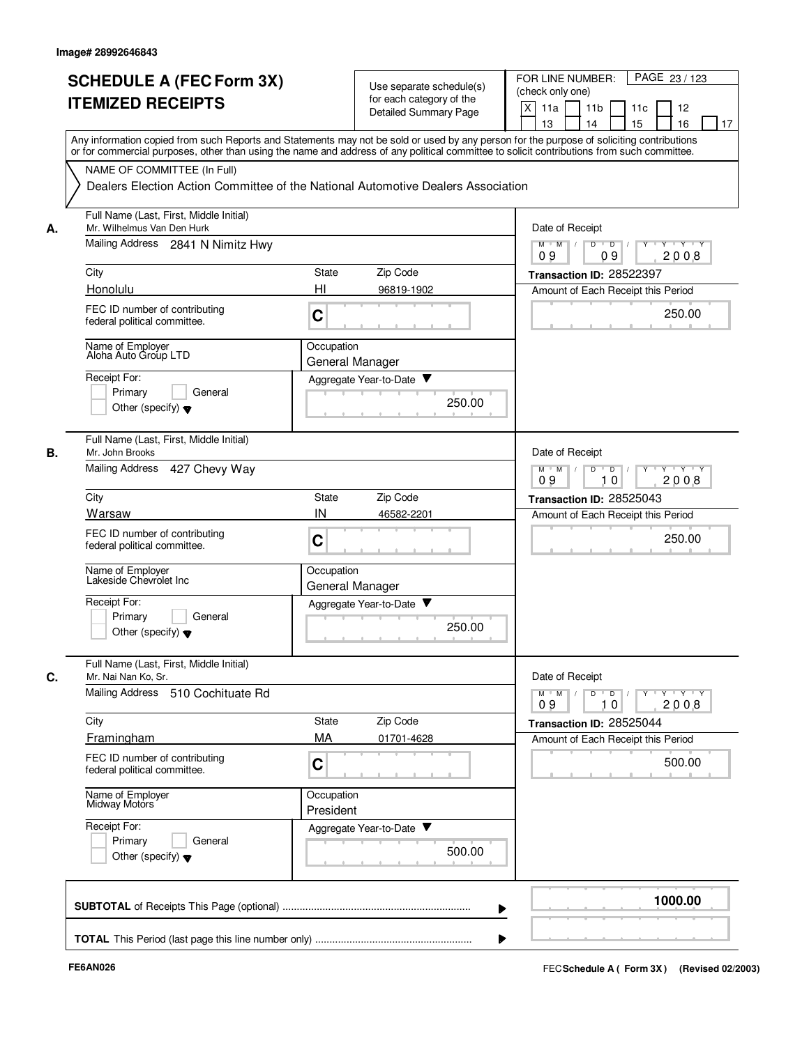|    | <b>SCHEDULE A (FEC Form 3X)</b>                                                                                                                                                                                                                                                         |                                               | Use separate schedule(s)     |        | PAGE 23 / 123<br>FOR LINE NUMBER:                              |
|----|-----------------------------------------------------------------------------------------------------------------------------------------------------------------------------------------------------------------------------------------------------------------------------------------|-----------------------------------------------|------------------------------|--------|----------------------------------------------------------------|
|    | <b>ITEMIZED RECEIPTS</b>                                                                                                                                                                                                                                                                |                                               | for each category of the     |        | (check only one)                                               |
|    |                                                                                                                                                                                                                                                                                         |                                               | <b>Detailed Summary Page</b> |        | X<br>11a<br>11 <sub>b</sub><br>11c<br>12                       |
|    |                                                                                                                                                                                                                                                                                         |                                               |                              |        | 15<br>13<br>14<br>16<br>17                                     |
|    | Any information copied from such Reports and Statements may not be sold or used by any person for the purpose of soliciting contributions<br>or for commercial purposes, other than using the name and address of any political committee to solicit contributions from such committee. |                                               |                              |        |                                                                |
|    | NAME OF COMMITTEE (In Full)                                                                                                                                                                                                                                                             |                                               |                              |        |                                                                |
|    | Dealers Election Action Committee of the National Automotive Dealers Association                                                                                                                                                                                                        |                                               |                              |        |                                                                |
|    |                                                                                                                                                                                                                                                                                         |                                               |                              |        |                                                                |
|    | Full Name (Last, First, Middle Initial)                                                                                                                                                                                                                                                 |                                               |                              |        |                                                                |
| А. | Mr. Wilhelmus Van Den Hurk                                                                                                                                                                                                                                                              | Date of Receipt                               |                              |        |                                                                |
|    | Mailing Address 2841 N Nimitz Hwy                                                                                                                                                                                                                                                       |                                               |                              |        | $M$ $M$ /<br>D<br>$\overline{D}$<br>$Y^+Y$<br>09<br>2008<br>09 |
|    | City                                                                                                                                                                                                                                                                                    | State                                         | Zip Code                     |        | Transaction ID: 28522397                                       |
|    | Honolulu                                                                                                                                                                                                                                                                                | HI                                            | 96819-1902                   |        | Amount of Each Receipt this Period                             |
|    |                                                                                                                                                                                                                                                                                         |                                               |                              |        |                                                                |
|    | FEC ID number of contributing<br>federal political committee.                                                                                                                                                                                                                           | C                                             |                              |        | 250.00                                                         |
|    |                                                                                                                                                                                                                                                                                         |                                               |                              |        |                                                                |
|    | Name of Employer<br>Aloha Auto Group LTD                                                                                                                                                                                                                                                | Occupation                                    |                              |        |                                                                |
|    |                                                                                                                                                                                                                                                                                         |                                               | General Manager              |        |                                                                |
|    | Receipt For:                                                                                                                                                                                                                                                                            |                                               | Aggregate Year-to-Date       |        |                                                                |
|    | Primary<br>General<br>Other (specify) $\blacktriangledown$                                                                                                                                                                                                                              |                                               |                              | 250.00 |                                                                |
|    |                                                                                                                                                                                                                                                                                         |                                               |                              |        |                                                                |
|    | Full Name (Last, First, Middle Initial)                                                                                                                                                                                                                                                 |                                               |                              |        |                                                                |
| В. | Mr. John Brooks                                                                                                                                                                                                                                                                         |                                               |                              |        | Date of Receipt                                                |
|    | Mailing Address<br>427 Chevy Way                                                                                                                                                                                                                                                        | $Y \vdash Y \vdash Y$<br>$M$ M<br>D<br>D<br>Y |                              |        |                                                                |
|    |                                                                                                                                                                                                                                                                                         |                                               | 09<br>10<br>2008             |        |                                                                |
|    | City                                                                                                                                                                                                                                                                                    | State                                         | Zip Code                     |        | Transaction ID: 28525043                                       |
|    | Warsaw                                                                                                                                                                                                                                                                                  | IN                                            | 46582-2201                   |        | Amount of Each Receipt this Period                             |
|    | FEC ID number of contributing                                                                                                                                                                                                                                                           | C                                             |                              |        | 250.00                                                         |
|    | federal political committee.                                                                                                                                                                                                                                                            |                                               |                              |        |                                                                |
|    | Name of Employer                                                                                                                                                                                                                                                                        | Occupation                                    |                              |        |                                                                |
|    | Lakeside Chevrolet Inc                                                                                                                                                                                                                                                                  |                                               | General Manager              |        |                                                                |
|    | Receipt For:                                                                                                                                                                                                                                                                            |                                               | Aggregate Year-to-Date<br>▼  |        |                                                                |
|    | Primary<br>General                                                                                                                                                                                                                                                                      |                                               |                              | 250.00 |                                                                |
|    | Other (specify) $\blacktriangledown$                                                                                                                                                                                                                                                    |                                               |                              |        |                                                                |
|    | Full Name (Last, First, Middle Initial)                                                                                                                                                                                                                                                 |                                               |                              |        |                                                                |
| C. | Mr. Nai Nan Ko, Sr.                                                                                                                                                                                                                                                                     |                                               |                              |        | Date of Receipt                                                |
|    | Mailing Address 510 Cochituate Rd                                                                                                                                                                                                                                                       |                                               |                              |        | $M$ $M$ /<br>y y y y y y<br>D<br>$\overline{\phantom{0}}$      |
|    |                                                                                                                                                                                                                                                                                         |                                               |                              |        | 2008<br>09<br>10                                               |
|    | City                                                                                                                                                                                                                                                                                    | State                                         | Zip Code                     |        | Transaction ID: 28525044                                       |
|    | Framingham                                                                                                                                                                                                                                                                              | MA                                            | 01701-4628                   |        | Amount of Each Receipt this Period                             |
|    | FEC ID number of contributing                                                                                                                                                                                                                                                           | C                                             |                              |        | 500.00                                                         |
|    | federal political committee.                                                                                                                                                                                                                                                            |                                               |                              |        |                                                                |
|    | Name of Employer<br>Midway Motors                                                                                                                                                                                                                                                       | Occupation                                    |                              |        |                                                                |
|    |                                                                                                                                                                                                                                                                                         | President                                     |                              |        |                                                                |
|    | Receipt For:                                                                                                                                                                                                                                                                            |                                               | Aggregate Year-to-Date       |        |                                                                |
|    | Primary<br>General                                                                                                                                                                                                                                                                      |                                               |                              | 500.00 |                                                                |
|    | Other (specify) $\blacktriangledown$                                                                                                                                                                                                                                                    |                                               |                              |        |                                                                |
|    |                                                                                                                                                                                                                                                                                         |                                               |                              |        |                                                                |
|    |                                                                                                                                                                                                                                                                                         |                                               |                              |        | 1000.00                                                        |
|    |                                                                                                                                                                                                                                                                                         |                                               |                              |        |                                                                |
|    |                                                                                                                                                                                                                                                                                         |                                               |                              |        |                                                                |
|    |                                                                                                                                                                                                                                                                                         |                                               |                              |        |                                                                |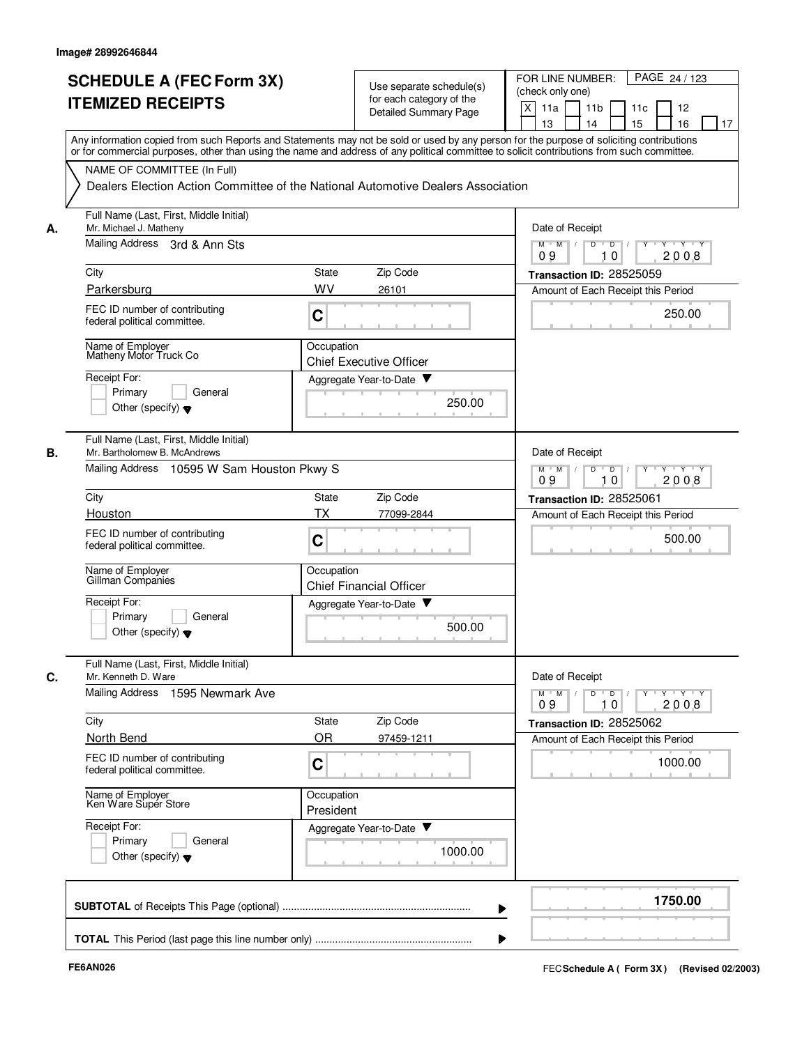|    | <b>SCHEDULE A (FEC Form 3X)</b><br><b>ITEMIZED RECEIPTS</b>                                                                                                                                                                                                                             | Use separate schedule(s)<br>for each category of the<br><b>Detailed Summary Page</b> | PAGE 24 / 123<br>FOR LINE NUMBER:<br>(check only one)<br>X<br>11 <sub>b</sub><br>11a<br>11c<br>12<br>13<br>14<br>15<br>16<br>17 |  |  |  |  |  |
|----|-----------------------------------------------------------------------------------------------------------------------------------------------------------------------------------------------------------------------------------------------------------------------------------------|--------------------------------------------------------------------------------------|---------------------------------------------------------------------------------------------------------------------------------|--|--|--|--|--|
|    | Any information copied from such Reports and Statements may not be sold or used by any person for the purpose of soliciting contributions<br>or for commercial purposes, other than using the name and address of any political committee to solicit contributions from such committee. |                                                                                      |                                                                                                                                 |  |  |  |  |  |
|    | NAME OF COMMITTEE (In Full)                                                                                                                                                                                                                                                             | Dealers Election Action Committee of the National Automotive Dealers Association     |                                                                                                                                 |  |  |  |  |  |
| А. | Full Name (Last, First, Middle Initial)<br>Mr. Michael J. Matheny                                                                                                                                                                                                                       | Date of Receipt                                                                      |                                                                                                                                 |  |  |  |  |  |
|    | Mailing Address 3rd & Ann Sts                                                                                                                                                                                                                                                           |                                                                                      | $M$ $M$ /<br>D<br>$\overline{D}$ /<br>$Y - Y - Y$<br>09<br>10<br>2008                                                           |  |  |  |  |  |
|    | City                                                                                                                                                                                                                                                                                    | Zip Code<br>State                                                                    | Transaction ID: 28525059                                                                                                        |  |  |  |  |  |
|    | Parkersburg                                                                                                                                                                                                                                                                             | WV<br>26101                                                                          | Amount of Each Receipt this Period                                                                                              |  |  |  |  |  |
|    | FEC ID number of contributing<br>federal political committee.                                                                                                                                                                                                                           | C                                                                                    | 250.00                                                                                                                          |  |  |  |  |  |
|    | Name of Employer<br>Matheny Motor Truck Co                                                                                                                                                                                                                                              | Occupation<br><b>Chief Executive Officer</b>                                         |                                                                                                                                 |  |  |  |  |  |
|    | Receipt For:                                                                                                                                                                                                                                                                            | Aggregate Year-to-Date                                                               |                                                                                                                                 |  |  |  |  |  |
|    | Primary<br>General<br>Other (specify) $\blacktriangledown$                                                                                                                                                                                                                              | 250.00                                                                               |                                                                                                                                 |  |  |  |  |  |
| В. | Full Name (Last, First, Middle Initial)<br>Mr. Bartholomew B. McAndrews                                                                                                                                                                                                                 |                                                                                      | Date of Receipt                                                                                                                 |  |  |  |  |  |
|    | Mailing Address 10595 W Sam Houston Pkwy S                                                                                                                                                                                                                                              | $Y - Y - Y$<br>$M$ $M$<br>D<br>D<br>2008<br>09<br>10                                 |                                                                                                                                 |  |  |  |  |  |
|    | City                                                                                                                                                                                                                                                                                    | State<br>Zip Code                                                                    | Transaction ID: 28525061                                                                                                        |  |  |  |  |  |
|    | Houston                                                                                                                                                                                                                                                                                 | <b>TX</b><br>77099-2844                                                              | Amount of Each Receipt this Period                                                                                              |  |  |  |  |  |
|    | FEC ID number of contributing<br>federal political committee.                                                                                                                                                                                                                           | $\mathbf C$                                                                          | 500.00                                                                                                                          |  |  |  |  |  |
|    | Name of Employer<br>Gillman Companies                                                                                                                                                                                                                                                   | Occupation<br><b>Chief Financial Officer</b>                                         |                                                                                                                                 |  |  |  |  |  |
|    | Receipt For:                                                                                                                                                                                                                                                                            | Aggregate Year-to-Date                                                               |                                                                                                                                 |  |  |  |  |  |
|    | Primary<br>General<br>Other (specify) $\blacktriangledown$                                                                                                                                                                                                                              | 500.00                                                                               |                                                                                                                                 |  |  |  |  |  |
| C. | Full Name (Last, First, Middle Initial)<br>Mr. Kenneth D. Ware                                                                                                                                                                                                                          |                                                                                      | Date of Receipt                                                                                                                 |  |  |  |  |  |
|    | Mailing Address 1595 Newmark Ave                                                                                                                                                                                                                                                        |                                                                                      | $Y \dashv Y \dashv Y$<br>$M$ $M$<br>$\overline{D}$<br>D<br>Y<br>2008<br>09<br>10                                                |  |  |  |  |  |
|    | City                                                                                                                                                                                                                                                                                    | State<br>Zip Code                                                                    | Transaction ID: 28525062                                                                                                        |  |  |  |  |  |
|    | North Bend                                                                                                                                                                                                                                                                              | OR<br>97459-1211                                                                     | Amount of Each Receipt this Period                                                                                              |  |  |  |  |  |
|    | FEC ID number of contributing<br>federal political committee.                                                                                                                                                                                                                           | $\mathbf C$                                                                          | 1000.00                                                                                                                         |  |  |  |  |  |
|    | Name of Employer<br>Ken Ware Super Store                                                                                                                                                                                                                                                | Occupation<br>President                                                              |                                                                                                                                 |  |  |  |  |  |
|    | Receipt For:<br>Primary<br>General<br>Other (specify) $\blacktriangledown$                                                                                                                                                                                                              | Aggregate Year-to-Date<br>1000.00                                                    |                                                                                                                                 |  |  |  |  |  |
|    |                                                                                                                                                                                                                                                                                         |                                                                                      | 1750.00                                                                                                                         |  |  |  |  |  |
|    |                                                                                                                                                                                                                                                                                         |                                                                                      |                                                                                                                                 |  |  |  |  |  |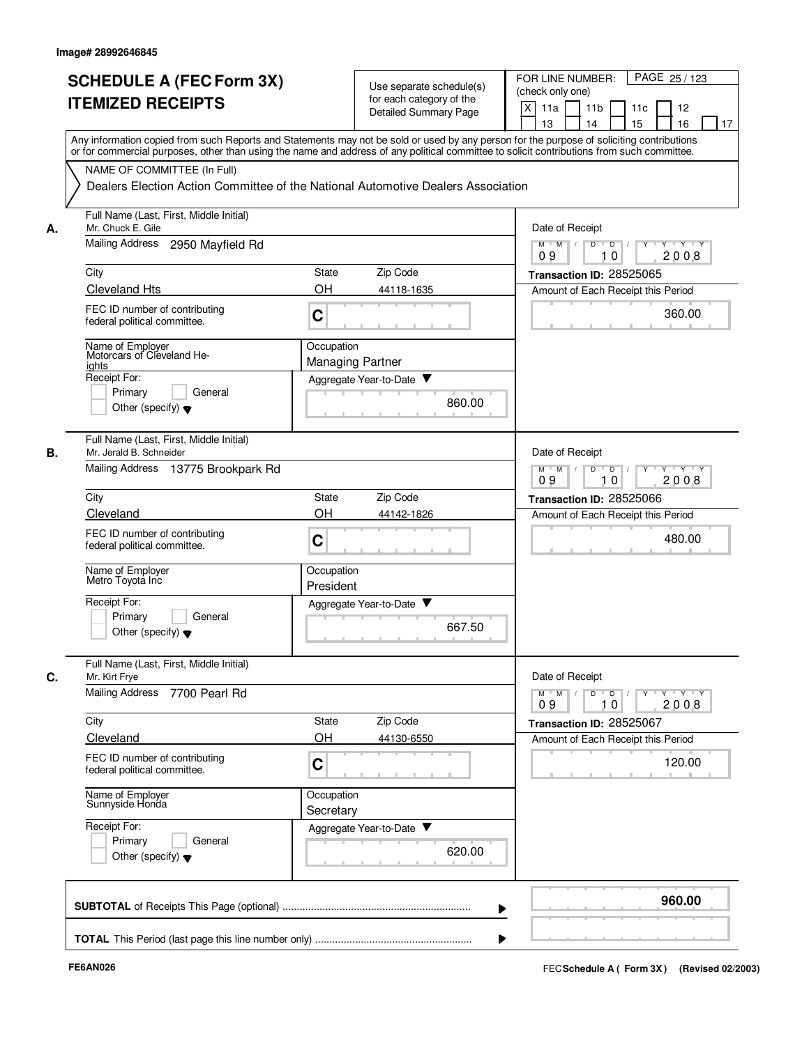|    | <b>SCHEDULE A (FEC Form 3X)</b><br><b>ITEMIZED RECEIPTS</b>                                                                                                                                                                                                                             | Use separate schedule(s)<br>for each category of the<br><b>Detailed Summary Page</b> | FOR LINE NUMBER:<br>PAGE 25/123<br>(check only one)<br>X<br>11a<br>11 <sub>b</sub><br>12<br>11c |
|----|-----------------------------------------------------------------------------------------------------------------------------------------------------------------------------------------------------------------------------------------------------------------------------------------|--------------------------------------------------------------------------------------|-------------------------------------------------------------------------------------------------|
|    | Any information copied from such Reports and Statements may not be sold or used by any person for the purpose of soliciting contributions<br>or for commercial purposes, other than using the name and address of any political committee to solicit contributions from such committee. |                                                                                      | 15<br>16<br>13<br>14<br>17                                                                      |
|    | NAME OF COMMITTEE (In Full)                                                                                                                                                                                                                                                             | Dealers Election Action Committee of the National Automotive Dealers Association     |                                                                                                 |
| А. | Full Name (Last, First, Middle Initial)<br>Mr. Chuck E. Gile                                                                                                                                                                                                                            | Date of Receipt                                                                      |                                                                                                 |
|    | <b>Mailing Address</b><br>2950 Mayfield Rd                                                                                                                                                                                                                                              | $M$ $M$ /<br>D<br>Y Y Y Y<br>$\overline{D}$<br>09<br>10<br>2008                      |                                                                                                 |
|    | City                                                                                                                                                                                                                                                                                    | Zip Code<br>State                                                                    | Transaction ID: 28525065                                                                        |
|    | <b>Cleveland Hts</b><br>FEC ID number of contributing<br>federal political committee.                                                                                                                                                                                                   | OH<br>44118-1635<br>C                                                                | Amount of Each Receipt this Period<br>360.00                                                    |
|    | Name of Employer<br>Motorcars of Cleveland He-<br>ights                                                                                                                                                                                                                                 | Occupation<br><b>Managing Partner</b>                                                |                                                                                                 |
|    | Receipt For:<br>Primary<br>General<br>Other (specify) $\blacktriangledown$                                                                                                                                                                                                              | Aggregate Year-to-Date<br>860.00                                                     |                                                                                                 |
| В. | Full Name (Last, First, Middle Initial)<br>Mr. Jerald B. Schneider<br>Mailing Address 13775 Brookpark Rd                                                                                                                                                                                |                                                                                      | Date of Receipt<br>$M$ M<br>$\sqrt{ }$<br>D<br>$\overline{D}$<br>$Y + Y + Y$                    |
|    | City                                                                                                                                                                                                                                                                                    | Zip Code<br>State                                                                    | 09<br>10<br>2008<br>Transaction ID: 28525066                                                    |
|    | Cleveland                                                                                                                                                                                                                                                                               | OH<br>44142-1826                                                                     | Amount of Each Receipt this Period                                                              |
|    | FEC ID number of contributing<br>federal political committee.                                                                                                                                                                                                                           | C                                                                                    | 480.00                                                                                          |
|    | Name of Employer<br>Metro Toyota Inc                                                                                                                                                                                                                                                    | Occupation<br>President                                                              |                                                                                                 |
|    | Receipt For:<br>Primary<br>General<br>Other (specify) $\blacktriangledown$                                                                                                                                                                                                              | Aggregate Year-to-Date<br>667.50                                                     |                                                                                                 |
| С. | Full Name (Last, First, Middle Initial)<br>Mr. Kirt Frye                                                                                                                                                                                                                                |                                                                                      | Date of Receipt                                                                                 |
|    | Mailing Address<br>7700 Pearl Rd                                                                                                                                                                                                                                                        |                                                                                      | $Y$ $Y$ $Y$<br>$M$ $M$<br>D<br>$\overline{D}$<br>Y<br>2008<br>09<br>10                          |
|    | City                                                                                                                                                                                                                                                                                    | Zip Code<br>State                                                                    | Transaction ID: 28525067                                                                        |
|    | Cleveland<br>FEC ID number of contributing<br>federal political committee.                                                                                                                                                                                                              | OH<br>44130-6550<br>C                                                                | Amount of Each Receipt this Period<br>120.00                                                    |
|    | Name of Employer<br>Sunnyside Honda                                                                                                                                                                                                                                                     | Occupation<br>Secretary                                                              |                                                                                                 |
|    | Receipt For:<br>Primary<br>General<br>Other (specify) $\blacktriangledown$                                                                                                                                                                                                              | Aggregate Year-to-Date<br>620.00                                                     |                                                                                                 |
|    |                                                                                                                                                                                                                                                                                         |                                                                                      | 960.00                                                                                          |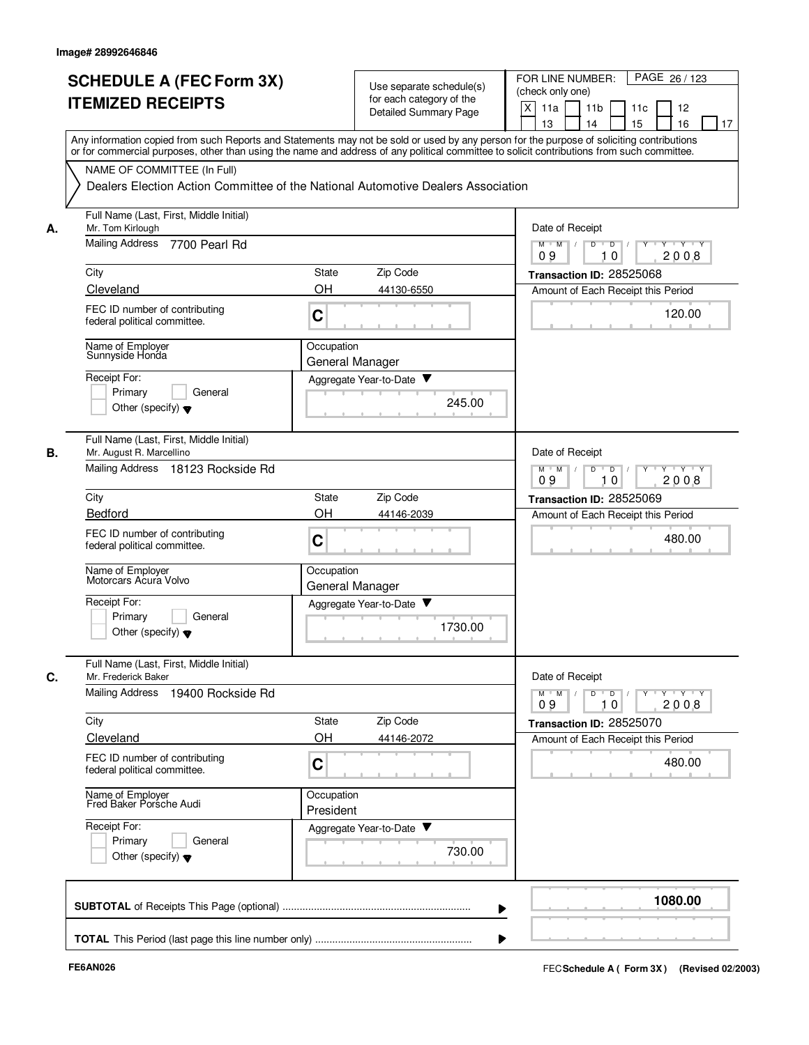| <b>SCHEDULE A (FEC Form 3X)</b><br><b>ITEMIZED RECEIPTS</b>               | Use separate schedule(s)<br>for each category of the                                                                                                                                                                                                                                    | FOR LINE NUMBER:<br>PAGE 26/123<br>(check only one)                                                                                                                                                                                                                                                                                                                                                                                                                     |  |  |  |  |
|---------------------------------------------------------------------------|-----------------------------------------------------------------------------------------------------------------------------------------------------------------------------------------------------------------------------------------------------------------------------------------|-------------------------------------------------------------------------------------------------------------------------------------------------------------------------------------------------------------------------------------------------------------------------------------------------------------------------------------------------------------------------------------------------------------------------------------------------------------------------|--|--|--|--|
|                                                                           | <b>Detailed Summary Page</b>                                                                                                                                                                                                                                                            | X<br>11a<br>11 <sub>b</sub><br>11c<br>12<br>15<br>16<br>13<br>14<br>17                                                                                                                                                                                                                                                                                                                                                                                                  |  |  |  |  |
|                                                                           | Any information copied from such Reports and Statements may not be sold or used by any person for the purpose of soliciting contributions<br>or for commercial purposes, other than using the name and address of any political committee to solicit contributions from such committee. |                                                                                                                                                                                                                                                                                                                                                                                                                                                                         |  |  |  |  |
| NAME OF COMMITTEE (In Full)                                               |                                                                                                                                                                                                                                                                                         |                                                                                                                                                                                                                                                                                                                                                                                                                                                                         |  |  |  |  |
|                                                                           | Dealers Election Action Committee of the National Automotive Dealers Association                                                                                                                                                                                                        |                                                                                                                                                                                                                                                                                                                                                                                                                                                                         |  |  |  |  |
| Full Name (Last, First, Middle Initial)<br>Mr. Tom Kirlough<br>А.         |                                                                                                                                                                                                                                                                                         |                                                                                                                                                                                                                                                                                                                                                                                                                                                                         |  |  |  |  |
| <b>Mailing Address</b><br>7700 Pearl Rd                                   | $M$ $M$ $/$<br>D<br>$T$ $\gamma$ $T$ $\gamma$<br>$\overline{D}$<br>2008<br>09<br>10                                                                                                                                                                                                     |                                                                                                                                                                                                                                                                                                                                                                                                                                                                         |  |  |  |  |
| City                                                                      | Zip Code<br>State                                                                                                                                                                                                                                                                       | Transaction ID: 28525068                                                                                                                                                                                                                                                                                                                                                                                                                                                |  |  |  |  |
| Cleveland                                                                 | OH<br>44130-6550                                                                                                                                                                                                                                                                        | Amount of Each Receipt this Period                                                                                                                                                                                                                                                                                                                                                                                                                                      |  |  |  |  |
| FEC ID number of contributing<br>federal political committee.             | C                                                                                                                                                                                                                                                                                       | 120.00                                                                                                                                                                                                                                                                                                                                                                                                                                                                  |  |  |  |  |
| Name of Employer<br>Sunnyside Honda                                       | Occupation<br>General Manager                                                                                                                                                                                                                                                           |                                                                                                                                                                                                                                                                                                                                                                                                                                                                         |  |  |  |  |
| Receipt For:                                                              | Aggregate Year-to-Date                                                                                                                                                                                                                                                                  |                                                                                                                                                                                                                                                                                                                                                                                                                                                                         |  |  |  |  |
| General<br>Primary                                                        | 245.00                                                                                                                                                                                                                                                                                  |                                                                                                                                                                                                                                                                                                                                                                                                                                                                         |  |  |  |  |
| Other (specify) $\blacktriangledown$                                      |                                                                                                                                                                                                                                                                                         |                                                                                                                                                                                                                                                                                                                                                                                                                                                                         |  |  |  |  |
| Full Name (Last, First, Middle Initial)<br>В.<br>Mr. August R. Marcellino |                                                                                                                                                                                                                                                                                         | Date of Receipt                                                                                                                                                                                                                                                                                                                                                                                                                                                         |  |  |  |  |
| Mailing Address 18123 Rockside Rd                                         | D<br>$\overline{D}$<br>$M$ $M$<br>$\cdots$ Y $\cdots$ Y<br>2008<br>09<br>10                                                                                                                                                                                                             |                                                                                                                                                                                                                                                                                                                                                                                                                                                                         |  |  |  |  |
| City                                                                      | Zip Code<br>State                                                                                                                                                                                                                                                                       | Transaction ID: 28525069                                                                                                                                                                                                                                                                                                                                                                                                                                                |  |  |  |  |
| Bedford                                                                   | OH<br>44146-2039                                                                                                                                                                                                                                                                        | Amount of Each Receipt this Period                                                                                                                                                                                                                                                                                                                                                                                                                                      |  |  |  |  |
| FEC ID number of contributing<br>federal political committee.             | C                                                                                                                                                                                                                                                                                       | 480.00                                                                                                                                                                                                                                                                                                                                                                                                                                                                  |  |  |  |  |
| Name of Employer<br>Motorcars Acura Volvo                                 | Occupation<br>General Manager                                                                                                                                                                                                                                                           |                                                                                                                                                                                                                                                                                                                                                                                                                                                                         |  |  |  |  |
| Receipt For:                                                              | Aggregate Year-to-Date                                                                                                                                                                                                                                                                  |                                                                                                                                                                                                                                                                                                                                                                                                                                                                         |  |  |  |  |
| Primary<br>General<br>Other (specify) $\blacktriangledown$                | 1730.00                                                                                                                                                                                                                                                                                 |                                                                                                                                                                                                                                                                                                                                                                                                                                                                         |  |  |  |  |
| Full Name (Last, First, Middle Initial)<br>C.<br>Mr. Frederick Baker      |                                                                                                                                                                                                                                                                                         | Date of Receipt                                                                                                                                                                                                                                                                                                                                                                                                                                                         |  |  |  |  |
| Mailing Address 19400 Rockside Rd                                         |                                                                                                                                                                                                                                                                                         | $Y + Y + Y$<br>$\begin{array}{c c c c c c c} \hline \textbf{O} & \textbf{O} & \textbf{O} & \textbf{O} & \textbf{O} & \textbf{O} & \textbf{O} & \textbf{O} & \textbf{O} & \textbf{O} & \textbf{O} & \textbf{O} & \textbf{O} & \textbf{O} & \textbf{O} & \textbf{O} & \textbf{O} & \textbf{O} & \textbf{O} & \textbf{O} & \textbf{O} & \textbf{O} & \textbf{O} & \textbf{O} & \textbf{O} & \textbf{O} & \textbf{O} & \textbf{O} & \text$<br>$M$ $M$ /<br>09<br>2008<br>10 |  |  |  |  |
| City                                                                      | Zip Code<br>State                                                                                                                                                                                                                                                                       | Transaction ID: 28525070                                                                                                                                                                                                                                                                                                                                                                                                                                                |  |  |  |  |
| Cleveland                                                                 | OH<br>44146-2072                                                                                                                                                                                                                                                                        | Amount of Each Receipt this Period                                                                                                                                                                                                                                                                                                                                                                                                                                      |  |  |  |  |
| FEC ID number of contributing<br>federal political committee.             | C                                                                                                                                                                                                                                                                                       | 480.00                                                                                                                                                                                                                                                                                                                                                                                                                                                                  |  |  |  |  |
| Name of Employer<br>Fred Baker Porsche Audi                               | Occupation<br>President                                                                                                                                                                                                                                                                 |                                                                                                                                                                                                                                                                                                                                                                                                                                                                         |  |  |  |  |
| Receipt For:                                                              | Aggregate Year-to-Date                                                                                                                                                                                                                                                                  |                                                                                                                                                                                                                                                                                                                                                                                                                                                                         |  |  |  |  |
| Primary<br>General<br>Other (specify) $\blacktriangledown$                | 730.00                                                                                                                                                                                                                                                                                  |                                                                                                                                                                                                                                                                                                                                                                                                                                                                         |  |  |  |  |
|                                                                           |                                                                                                                                                                                                                                                                                         | 1080.00                                                                                                                                                                                                                                                                                                                                                                                                                                                                 |  |  |  |  |
|                                                                           |                                                                                                                                                                                                                                                                                         |                                                                                                                                                                                                                                                                                                                                                                                                                                                                         |  |  |  |  |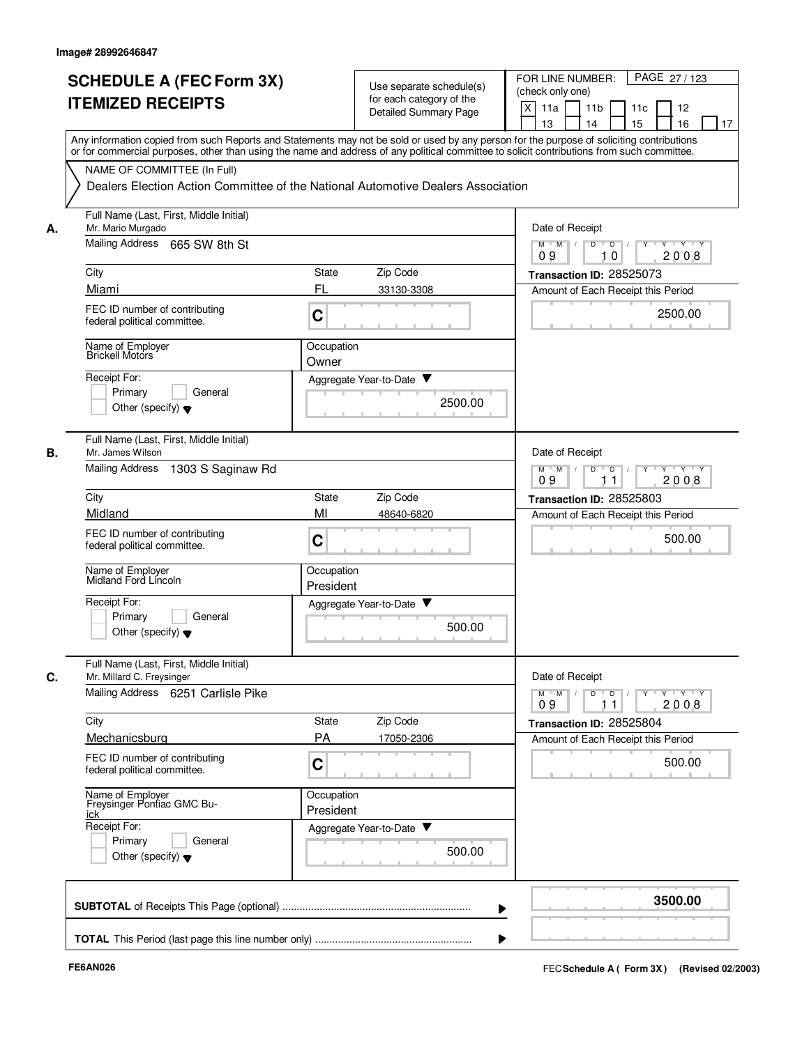|    | <b>SCHEDULE A (FEC Form 3X)</b><br><b>ITEMIZED RECEIPTS</b>                | Use separate schedule(s)<br>for each category of the<br><b>Detailed Summary Page</b>                                                                                                                                                                                                    | FOR LINE NUMBER:<br>PAGE 27/123<br>(check only one)<br>X<br>11a<br>11 <sub>b</sub><br>11c<br>12 |  |  |  |
|----|----------------------------------------------------------------------------|-----------------------------------------------------------------------------------------------------------------------------------------------------------------------------------------------------------------------------------------------------------------------------------------|-------------------------------------------------------------------------------------------------|--|--|--|
|    |                                                                            | Any information copied from such Reports and Statements may not be sold or used by any person for the purpose of soliciting contributions<br>or for commercial purposes, other than using the name and address of any political committee to solicit contributions from such committee. | 16<br>13<br>14<br>15<br>17                                                                      |  |  |  |
|    | NAME OF COMMITTEE (In Full)                                                | Dealers Election Action Committee of the National Automotive Dealers Association                                                                                                                                                                                                        |                                                                                                 |  |  |  |
| А. | Full Name (Last, First, Middle Initial)<br>Mr. Mario Murgado               | Date of Receipt                                                                                                                                                                                                                                                                         |                                                                                                 |  |  |  |
|    | Mailing Address 665 SW 8th St                                              | <b>TEY TEY</b><br>$M$ $M$ /<br>D<br>$\overline{D}$<br>Y<br>2008<br>09<br>10                                                                                                                                                                                                             |                                                                                                 |  |  |  |
|    | City                                                                       | Zip Code<br><b>State</b>                                                                                                                                                                                                                                                                | Transaction ID: 28525073                                                                        |  |  |  |
|    | Miami                                                                      | FL<br>33130-3308                                                                                                                                                                                                                                                                        | Amount of Each Receipt this Period                                                              |  |  |  |
|    | FEC ID number of contributing<br>federal political committee.              | C                                                                                                                                                                                                                                                                                       | 2500.00                                                                                         |  |  |  |
|    | Name of Employer<br>Brickell Motors                                        | Occupation<br>Owner                                                                                                                                                                                                                                                                     |                                                                                                 |  |  |  |
|    | Receipt For:                                                               | Aggregate Year-to-Date                                                                                                                                                                                                                                                                  |                                                                                                 |  |  |  |
|    | General<br>Primary<br>Other (specify) $\blacktriangledown$                 | 2500.00                                                                                                                                                                                                                                                                                 |                                                                                                 |  |  |  |
| В. | Full Name (Last, First, Middle Initial)<br>Mr. James Wilson                |                                                                                                                                                                                                                                                                                         | Date of Receipt                                                                                 |  |  |  |
|    | Mailing Address<br>1303 S Saginaw Rd                                       |                                                                                                                                                                                                                                                                                         | D<br>$\overline{D}$<br>Y 'Y 'Y<br>$M$ M<br>2008<br>09<br>11                                     |  |  |  |
|    | City                                                                       | Zip Code<br><b>State</b>                                                                                                                                                                                                                                                                | Transaction ID: 28525803                                                                        |  |  |  |
|    | Midland<br>FEC ID number of contributing<br>federal political committee.   | MI<br>48640-6820<br>C                                                                                                                                                                                                                                                                   | Amount of Each Receipt this Period<br>500.00                                                    |  |  |  |
|    | Name of Employer<br>Midland Ford Lincoln                                   | Occupation<br>President                                                                                                                                                                                                                                                                 |                                                                                                 |  |  |  |
|    | Receipt For:<br>Primary<br>General<br>Other (specify) $\blacktriangledown$ | Aggregate Year-to-Date ▼<br>500.00                                                                                                                                                                                                                                                      |                                                                                                 |  |  |  |
| C. | Full Name (Last, First, Middle Initial)<br>Mr. Millard C. Freysinger       |                                                                                                                                                                                                                                                                                         | Date of Receipt                                                                                 |  |  |  |
|    | Mailing Address 6251 Carlisle Pike                                         |                                                                                                                                                                                                                                                                                         | $D$ $D$ $I$<br>$M$ $M$ /<br>09<br>2008<br>11                                                    |  |  |  |
|    | City                                                                       | Zip Code<br>State                                                                                                                                                                                                                                                                       | Transaction ID: 28525804                                                                        |  |  |  |
|    | Mechanicsburg                                                              | <b>PA</b><br>17050-2306                                                                                                                                                                                                                                                                 | Amount of Each Receipt this Period                                                              |  |  |  |
|    | FEC ID number of contributing<br>federal political committee.              | C                                                                                                                                                                                                                                                                                       | 500.00                                                                                          |  |  |  |
|    | Name of Employer<br>Freysinger Pontiac GMC Bu-<br>ick                      | Occupation<br>President                                                                                                                                                                                                                                                                 |                                                                                                 |  |  |  |
|    | Receipt For:<br>Primary<br>General                                         | Aggregate Year-to-Date                                                                                                                                                                                                                                                                  |                                                                                                 |  |  |  |
|    | Other (specify) $\blacktriangledown$                                       | 500.00                                                                                                                                                                                                                                                                                  |                                                                                                 |  |  |  |
|    |                                                                            |                                                                                                                                                                                                                                                                                         | 3500.00                                                                                         |  |  |  |
|    |                                                                            |                                                                                                                                                                                                                                                                                         |                                                                                                 |  |  |  |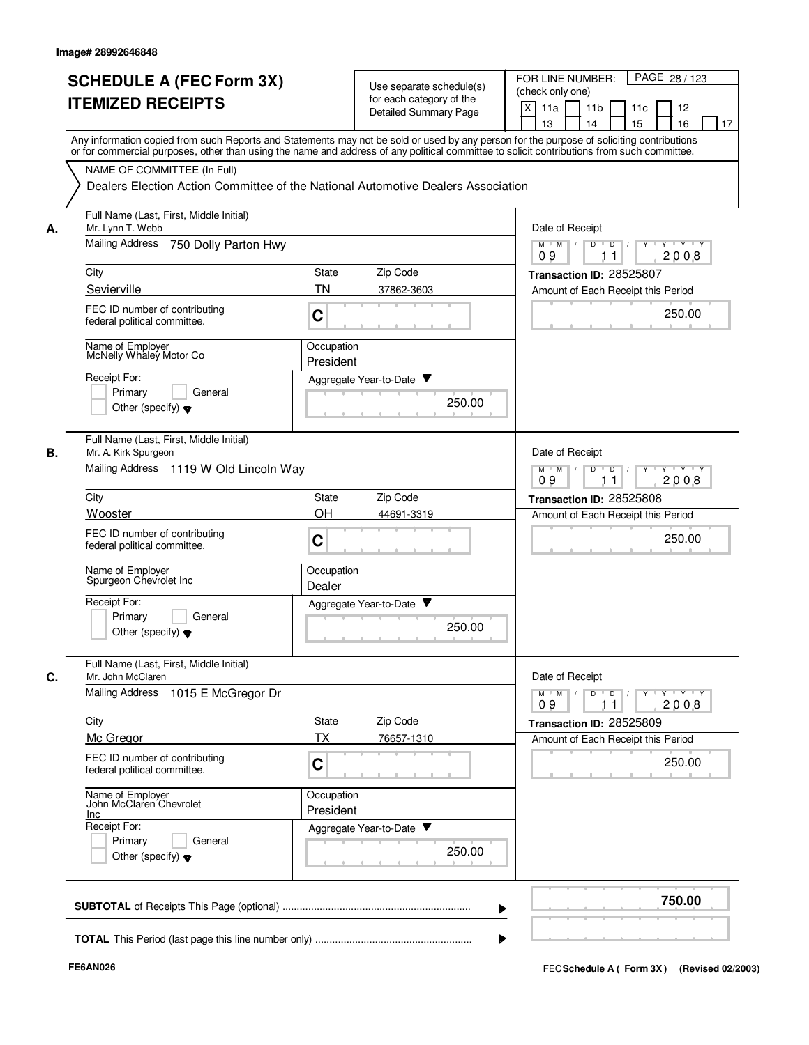|    | <b>SCHEDULE A (FEC Form 3X)</b><br><b>ITEMIZED RECEIPTS</b>                                                                                                                                                                                                                             |                                                                                  | Use separate schedule(s)     | PAGE 28 / 123<br>FOR LINE NUMBER:<br>(check only one)              |  |  |
|----|-----------------------------------------------------------------------------------------------------------------------------------------------------------------------------------------------------------------------------------------------------------------------------------------|----------------------------------------------------------------------------------|------------------------------|--------------------------------------------------------------------|--|--|
|    |                                                                                                                                                                                                                                                                                         |                                                                                  | for each category of the     | X<br>11a                                                           |  |  |
|    |                                                                                                                                                                                                                                                                                         |                                                                                  | <b>Detailed Summary Page</b> | 11 <sub>b</sub><br>11c<br>12<br>15<br>13<br>14<br>16<br>17         |  |  |
|    | Any information copied from such Reports and Statements may not be sold or used by any person for the purpose of soliciting contributions<br>or for commercial purposes, other than using the name and address of any political committee to solicit contributions from such committee. |                                                                                  |                              |                                                                    |  |  |
|    | NAME OF COMMITTEE (In Full)                                                                                                                                                                                                                                                             |                                                                                  |                              |                                                                    |  |  |
|    |                                                                                                                                                                                                                                                                                         | Dealers Election Action Committee of the National Automotive Dealers Association |                              |                                                                    |  |  |
| А. | Full Name (Last, First, Middle Initial)<br>Mr. Lynn T. Webb                                                                                                                                                                                                                             | Date of Receipt                                                                  |                              |                                                                    |  |  |
|    | Mailing Address<br>750 Dolly Parton Hwy                                                                                                                                                                                                                                                 | $M$ $M$ $/$<br>D<br>D<br>$Y$ $Y$<br>2008<br>09<br>11                             |                              |                                                                    |  |  |
|    | City                                                                                                                                                                                                                                                                                    | State                                                                            | Zip Code                     | Transaction ID: 28525807                                           |  |  |
|    | Sevierville                                                                                                                                                                                                                                                                             | <b>TN</b>                                                                        | 37862-3603                   | Amount of Each Receipt this Period                                 |  |  |
|    | FEC ID number of contributing<br>federal political committee.                                                                                                                                                                                                                           | $\mathbf C$                                                                      |                              | 250.00                                                             |  |  |
|    | Name of Employer<br>McNelly Whaley Motor Co                                                                                                                                                                                                                                             | Occupation<br>President                                                          |                              |                                                                    |  |  |
|    | Receipt For:                                                                                                                                                                                                                                                                            |                                                                                  | Aggregate Year-to-Date ▼     |                                                                    |  |  |
|    | Primary<br>General<br>Other (specify) $\blacktriangledown$                                                                                                                                                                                                                              |                                                                                  | 250.00                       |                                                                    |  |  |
| В. | Full Name (Last, First, Middle Initial)<br>Mr. A. Kirk Spurgeon                                                                                                                                                                                                                         |                                                                                  |                              | Date of Receipt                                                    |  |  |
|    | Mailing Address 1119 W Old Lincoln Way                                                                                                                                                                                                                                                  | $Y - Y - Y$<br>$M$ M<br>D<br>D<br>09<br>2008<br>11                               |                              |                                                                    |  |  |
|    | City                                                                                                                                                                                                                                                                                    | State                                                                            | Zip Code                     | Transaction ID: 28525808                                           |  |  |
|    | Wooster                                                                                                                                                                                                                                                                                 | OH                                                                               | 44691-3319                   | Amount of Each Receipt this Period                                 |  |  |
|    | FEC ID number of contributing<br>federal political committee.                                                                                                                                                                                                                           | C                                                                                |                              | 250.00                                                             |  |  |
|    | Name of Employer<br>Spurgeon Chevrolet Inc                                                                                                                                                                                                                                              | Occupation<br>Dealer                                                             |                              |                                                                    |  |  |
|    | Receipt For:                                                                                                                                                                                                                                                                            |                                                                                  | Aggregate Year-to-Date       |                                                                    |  |  |
|    | Primary<br>General<br>Other (specify) $\blacktriangledown$                                                                                                                                                                                                                              |                                                                                  | 250.00                       |                                                                    |  |  |
| C. | Full Name (Last, First, Middle Initial)<br>Mr. John McClaren                                                                                                                                                                                                                            |                                                                                  |                              | Date of Receipt                                                    |  |  |
|    | Mailing Address<br>1015 E McGregor Dr                                                                                                                                                                                                                                                   |                                                                                  |                              | YULYULYULY<br>$M$ $M$ /<br>D<br>$\overline{D}$<br>2008<br>09<br>11 |  |  |
|    | City                                                                                                                                                                                                                                                                                    | State                                                                            | Zip Code                     | Transaction ID: 28525809                                           |  |  |
|    | Mc Gregor                                                                                                                                                                                                                                                                               | ТX                                                                               | 76657-1310                   | Amount of Each Receipt this Period                                 |  |  |
|    | FEC ID number of contributing<br>federal political committee.                                                                                                                                                                                                                           | $\mathbf C$                                                                      |                              | 250.00                                                             |  |  |
|    | Name of Employer<br>John McClaren Chevrolet<br><b>Inc</b>                                                                                                                                                                                                                               | Occupation<br>President                                                          |                              |                                                                    |  |  |
|    | Receipt For:                                                                                                                                                                                                                                                                            |                                                                                  | Aggregate Year-to-Date       |                                                                    |  |  |
|    | Primary<br>General<br>Other (specify) $\blacktriangledown$                                                                                                                                                                                                                              |                                                                                  | 250.00                       |                                                                    |  |  |
|    |                                                                                                                                                                                                                                                                                         |                                                                                  |                              | 750.00                                                             |  |  |
|    |                                                                                                                                                                                                                                                                                         |                                                                                  |                              |                                                                    |  |  |
|    |                                                                                                                                                                                                                                                                                         |                                                                                  |                              |                                                                    |  |  |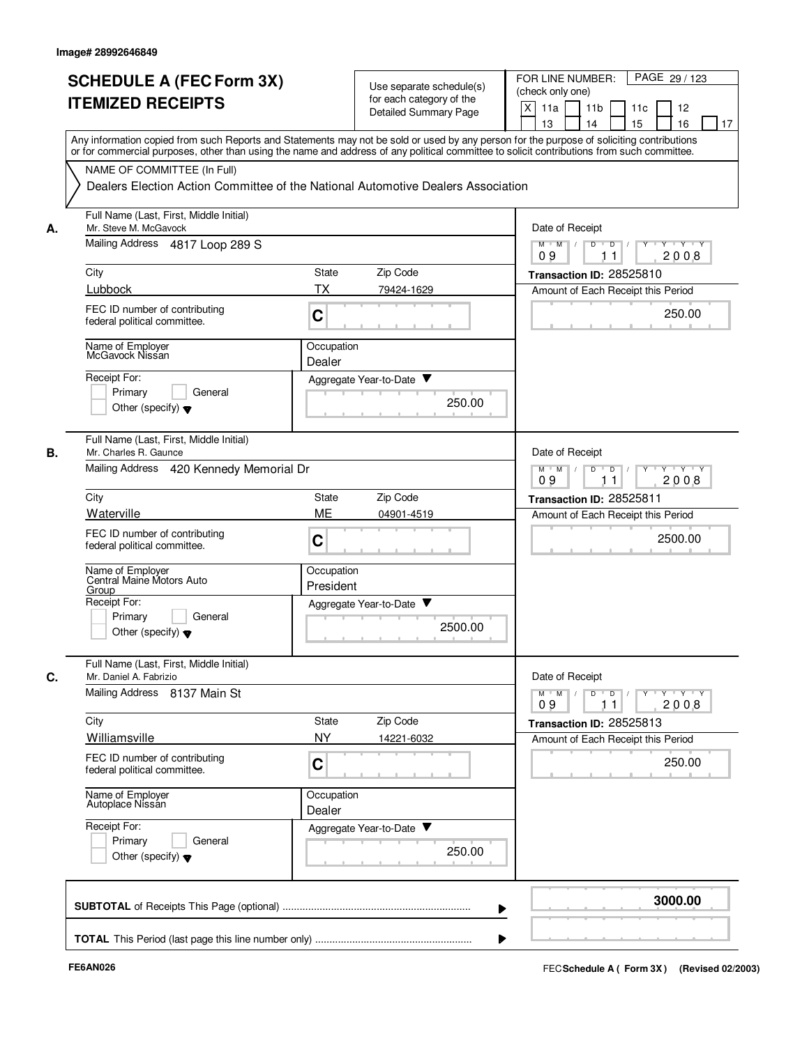|    | <b>SCHEDULE A (FEC Form 3X)</b><br><b>ITEMIZED RECEIPTS</b>                                                                                                                                                                                                                             | Use separate schedule(s)<br>for each category of the<br><b>Detailed Summary Page</b> | PAGE 29 / 123<br>FOR LINE NUMBER:<br>(check only one)<br>X<br>11 <sub>b</sub><br>11a<br>11c<br>12<br>13<br>14<br>15<br>16<br>17 |
|----|-----------------------------------------------------------------------------------------------------------------------------------------------------------------------------------------------------------------------------------------------------------------------------------------|--------------------------------------------------------------------------------------|---------------------------------------------------------------------------------------------------------------------------------|
|    | Any information copied from such Reports and Statements may not be sold or used by any person for the purpose of soliciting contributions<br>or for commercial purposes, other than using the name and address of any political committee to solicit contributions from such committee. |                                                                                      |                                                                                                                                 |
|    | NAME OF COMMITTEE (In Full)<br>Dealers Election Action Committee of the National Automotive Dealers Association                                                                                                                                                                         |                                                                                      |                                                                                                                                 |
| А. | Full Name (Last, First, Middle Initial)<br>Mr. Steve M. McGavock                                                                                                                                                                                                                        | Date of Receipt                                                                      |                                                                                                                                 |
|    | Mailing Address 4817 Loop 289 S                                                                                                                                                                                                                                                         |                                                                                      | $M$ $M$ /<br>D<br>$\overline{D}$ /<br>$Y - Y - Y$<br>2008<br>09<br>11                                                           |
|    | City                                                                                                                                                                                                                                                                                    | Zip Code<br>State                                                                    | Transaction ID: 28525810                                                                                                        |
|    | Lubbock                                                                                                                                                                                                                                                                                 | TX<br>79424-1629                                                                     | Amount of Each Receipt this Period                                                                                              |
|    | FEC ID number of contributing<br>federal political committee.                                                                                                                                                                                                                           | C                                                                                    | 250.00                                                                                                                          |
|    | Name of Employer<br>McGavock Nissan                                                                                                                                                                                                                                                     | Occupation<br>Dealer                                                                 |                                                                                                                                 |
|    | Receipt For:                                                                                                                                                                                                                                                                            | Aggregate Year-to-Date ▼                                                             |                                                                                                                                 |
|    | Primary<br>General<br>Other (specify) $\blacktriangledown$                                                                                                                                                                                                                              | 250.00                                                                               |                                                                                                                                 |
| В. | Full Name (Last, First, Middle Initial)<br>Mr. Charles R. Gaunce                                                                                                                                                                                                                        |                                                                                      | Date of Receipt                                                                                                                 |
|    | Mailing Address 420 Kennedy Memorial Dr                                                                                                                                                                                                                                                 | $Y - Y - Y$<br>$M$ $M$<br>D<br>D<br>2008<br>09<br>11                                 |                                                                                                                                 |
|    | City                                                                                                                                                                                                                                                                                    | State<br>Zip Code                                                                    | Transaction ID: 28525811                                                                                                        |
|    | Waterville                                                                                                                                                                                                                                                                              | ME<br>04901-4519                                                                     | Amount of Each Receipt this Period                                                                                              |
|    | FEC ID number of contributing<br>federal political committee.                                                                                                                                                                                                                           | C                                                                                    | 2500.00                                                                                                                         |
|    | Name of Employer<br>Central Maine Motors Auto<br><u>Group</u>                                                                                                                                                                                                                           | Occupation<br>President                                                              |                                                                                                                                 |
|    | Receipt For:<br>Primary<br>General                                                                                                                                                                                                                                                      | Aggregate Year-to-Date<br>2500.00                                                    |                                                                                                                                 |
|    | Other (specify) $\blacktriangledown$                                                                                                                                                                                                                                                    |                                                                                      |                                                                                                                                 |
| C. | Full Name (Last, First, Middle Initial)<br>Mr. Daniel A. Fabrizio                                                                                                                                                                                                                       |                                                                                      | Date of Receipt                                                                                                                 |
|    | Mailing Address 8137 Main St                                                                                                                                                                                                                                                            |                                                                                      | $Y + Y + Y$<br>$M$ $M$ /<br>$\overline{D}$<br>D<br>$Y$ <sup><math>\top</math></sup><br>2008<br>09<br>11                         |
|    | City<br>Williamsville                                                                                                                                                                                                                                                                   | State<br>Zip Code                                                                    | Transaction ID: 28525813                                                                                                        |
|    |                                                                                                                                                                                                                                                                                         | <b>NY</b><br>14221-6032                                                              | Amount of Each Receipt this Period                                                                                              |
|    | FEC ID number of contributing<br>federal political committee.                                                                                                                                                                                                                           | $\mathbf C$                                                                          | 250.00                                                                                                                          |
|    | Name of Employer<br>Autoplace Nissan                                                                                                                                                                                                                                                    | Occupation<br>Dealer                                                                 |                                                                                                                                 |
|    | Receipt For:                                                                                                                                                                                                                                                                            | Aggregate Year-to-Date                                                               |                                                                                                                                 |
|    | Primary<br>General<br>Other (specify) $\blacktriangledown$                                                                                                                                                                                                                              | 250.00                                                                               |                                                                                                                                 |
|    |                                                                                                                                                                                                                                                                                         |                                                                                      | 3000.00                                                                                                                         |
|    |                                                                                                                                                                                                                                                                                         |                                                                                      |                                                                                                                                 |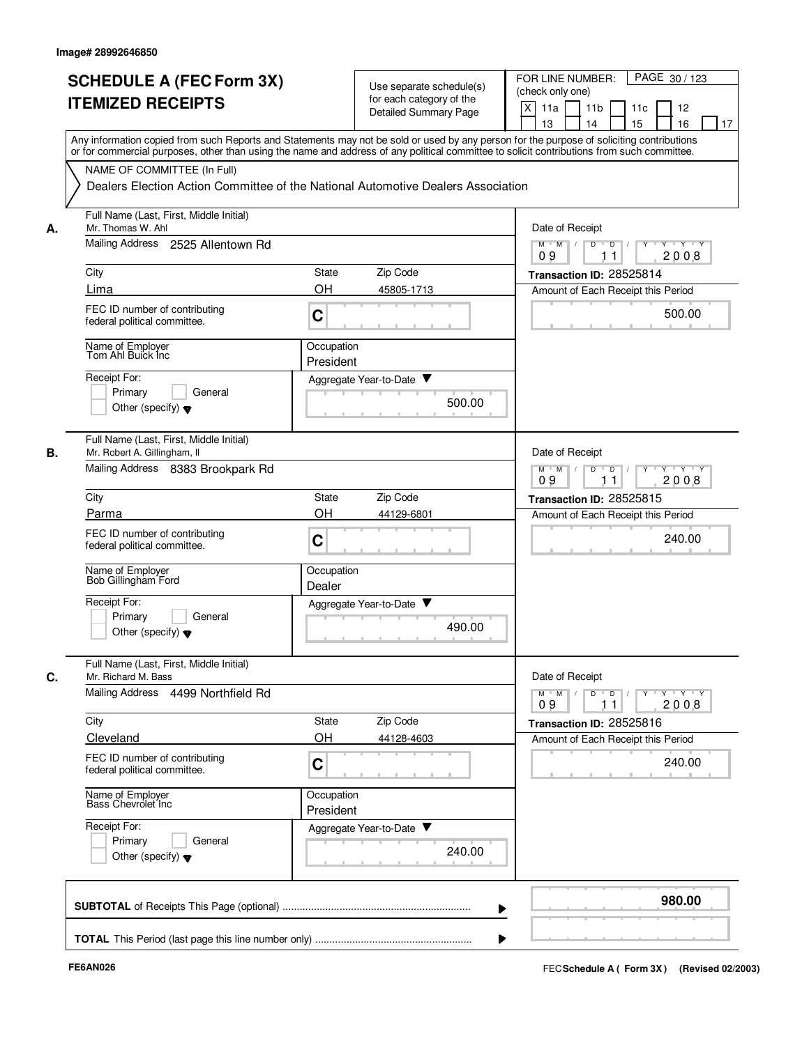|    | <b>SCHEDULE A (FEC Form 3X)</b><br><b>ITEMIZED RECEIPTS</b>                                                                                                                                                                                                                                                            | Use separate schedule(s)<br>for each category of the<br>Detailed Summary Page        | PAGE 30 / 123<br>FOR LINE NUMBER:<br>(check only one)<br>X<br>11a<br>11 <sub>b</sub><br>11c<br>12<br>15<br>13<br>14<br>16<br>17              |
|----|------------------------------------------------------------------------------------------------------------------------------------------------------------------------------------------------------------------------------------------------------------------------------------------------------------------------|--------------------------------------------------------------------------------------|----------------------------------------------------------------------------------------------------------------------------------------------|
|    | Any information copied from such Reports and Statements may not be sold or used by any person for the purpose of soliciting contributions<br>or for commercial purposes, other than using the name and address of any political committee to solicit contributions from such committee.<br>NAME OF COMMITTEE (In Full) |                                                                                      |                                                                                                                                              |
|    |                                                                                                                                                                                                                                                                                                                        | Dealers Election Action Committee of the National Automotive Dealers Association     |                                                                                                                                              |
| А. | Full Name (Last, First, Middle Initial)<br>Mr. Thomas W. Ahl                                                                                                                                                                                                                                                           | Date of Receipt                                                                      |                                                                                                                                              |
|    | Mailing Address 2525 Allentown Rd                                                                                                                                                                                                                                                                                      | $M$ $M$ /<br>D<br>$\overline{D}$ /<br>Y<br>$Y \vdash Y \vdash Y$<br>09<br>11<br>2008 |                                                                                                                                              |
|    | City                                                                                                                                                                                                                                                                                                                   | Zip Code<br>State                                                                    | Transaction ID: 28525814                                                                                                                     |
|    | Lima                                                                                                                                                                                                                                                                                                                   | <b>OH</b><br>45805-1713                                                              | Amount of Each Receipt this Period                                                                                                           |
|    | FEC ID number of contributing<br>federal political committee.                                                                                                                                                                                                                                                          | C                                                                                    | 500.00                                                                                                                                       |
|    | Name of Employer<br>Tom Ahl Buick Inc                                                                                                                                                                                                                                                                                  | Occupation<br>President                                                              |                                                                                                                                              |
|    | Receipt For:                                                                                                                                                                                                                                                                                                           | Aggregate Year-to-Date ▼                                                             |                                                                                                                                              |
|    | Primary<br>General<br>Other (specify) $\blacktriangledown$                                                                                                                                                                                                                                                             | 500.00                                                                               |                                                                                                                                              |
| В. | Full Name (Last, First, Middle Initial)<br>Mr. Robert A. Gillingham, II                                                                                                                                                                                                                                                |                                                                                      | Date of Receipt                                                                                                                              |
|    | Mailing Address 8383 Brookpark Rd                                                                                                                                                                                                                                                                                      | $Y - Y - Y$<br>$M$ M<br>D<br>D<br>2008<br>09<br>11                                   |                                                                                                                                              |
|    | City                                                                                                                                                                                                                                                                                                                   | Zip Code<br>State                                                                    | Transaction ID: 28525815                                                                                                                     |
|    | Parma                                                                                                                                                                                                                                                                                                                  | OH<br>44129-6801                                                                     | Amount of Each Receipt this Period                                                                                                           |
|    | FEC ID number of contributing<br>federal political committee.                                                                                                                                                                                                                                                          | C                                                                                    | 240.00                                                                                                                                       |
|    | Name of Employer<br>Bob Gillingham Ford                                                                                                                                                                                                                                                                                | Occupation<br>Dealer                                                                 |                                                                                                                                              |
|    | Receipt For:                                                                                                                                                                                                                                                                                                           | v<br>Aggregate Year-to-Date                                                          |                                                                                                                                              |
|    | Primary<br>General<br>Other (specify) $\blacktriangledown$                                                                                                                                                                                                                                                             | 490.00                                                                               |                                                                                                                                              |
| C. | Full Name (Last, First, Middle Initial)<br>Mr. Richard M. Bass                                                                                                                                                                                                                                                         |                                                                                      | Date of Receipt                                                                                                                              |
|    | Mailing Address 4499 Northfield Rd                                                                                                                                                                                                                                                                                     |                                                                                      | $\mathsf{Y} \dashv \mathsf{Y} \dashv \mathsf{Y}$<br>$M$ $M$ /<br>D<br>$\overline{D}$<br>$Y$ <sup><math>\top</math></sup><br>2008<br>09<br>11 |
|    | City                                                                                                                                                                                                                                                                                                                   | Zip Code<br>State                                                                    | Transaction ID: 28525816                                                                                                                     |
|    | Cleveland                                                                                                                                                                                                                                                                                                              | OH<br>44128-4603                                                                     | Amount of Each Receipt this Period                                                                                                           |
|    | FEC ID number of contributing<br>federal political committee.                                                                                                                                                                                                                                                          | C                                                                                    | 240.00                                                                                                                                       |
|    | Name of Employer<br>Bass Chevrolet Inc                                                                                                                                                                                                                                                                                 | Occupation<br>President                                                              |                                                                                                                                              |
|    | Receipt For:<br>Primary<br>General                                                                                                                                                                                                                                                                                     | Aggregate Year-to-Date                                                               |                                                                                                                                              |
|    | Other (specify) $\blacktriangledown$                                                                                                                                                                                                                                                                                   | 240.00                                                                               |                                                                                                                                              |
|    |                                                                                                                                                                                                                                                                                                                        |                                                                                      | 980.00                                                                                                                                       |
|    |                                                                                                                                                                                                                                                                                                                        |                                                                                      |                                                                                                                                              |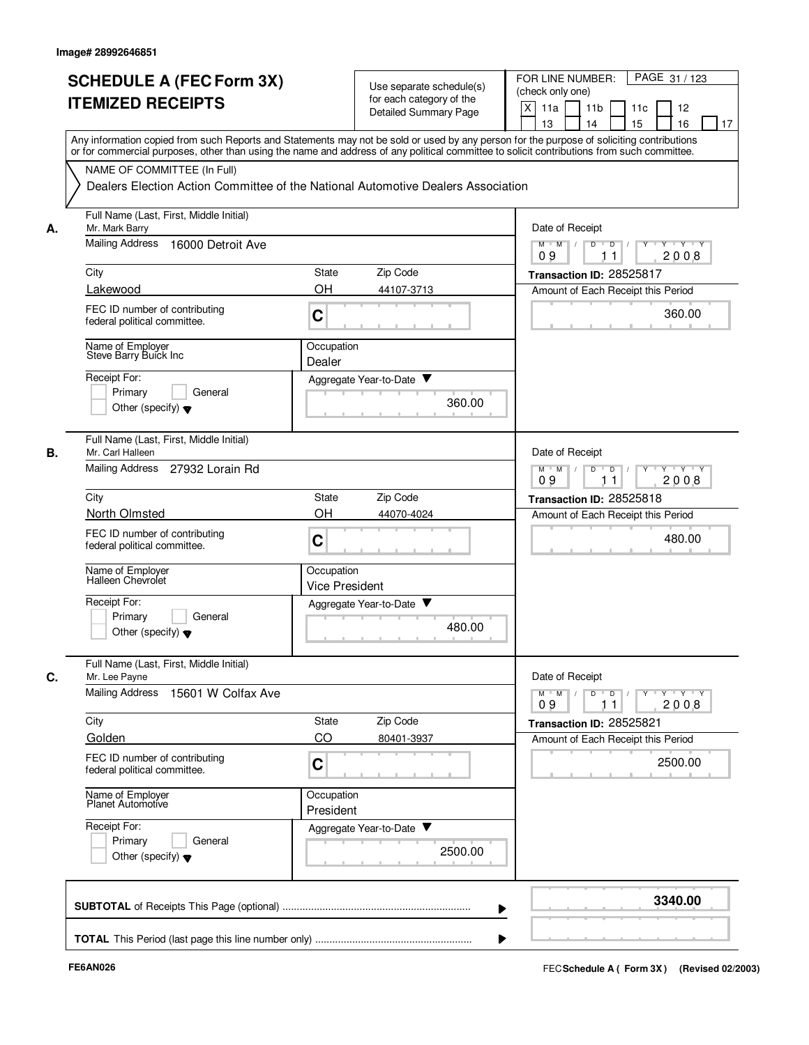| <b>SCHEDULE A (FEC Form 3X)</b><br><b>ITEMIZED RECEIPTS</b><br>Any information copied from such Reports and Statements may not be sold or used by any person for the purpose of soliciting contributions<br>or for commercial purposes, other than using the name and address of any political committee to solicit contributions from such committee.<br>NAME OF COMMITTEE (In Full)<br>Dealers Election Action Committee of the National Automotive Dealers Association<br><b>Mailing Address</b><br>16000 Detroit Ave |                                                              | Use separate schedule(s)<br>for each category of the<br><b>Detailed Summary Page</b> | FOR LINE NUMBER:<br>PAGE 31/123<br>(check only one)<br>X<br>11a<br>11 <sub>b</sub><br>12<br>11c<br>13<br>14<br>15<br>16<br>17                                                                                                                                                                                                                                                                                                                          |  |  |
|--------------------------------------------------------------------------------------------------------------------------------------------------------------------------------------------------------------------------------------------------------------------------------------------------------------------------------------------------------------------------------------------------------------------------------------------------------------------------------------------------------------------------|--------------------------------------------------------------|--------------------------------------------------------------------------------------|--------------------------------------------------------------------------------------------------------------------------------------------------------------------------------------------------------------------------------------------------------------------------------------------------------------------------------------------------------------------------------------------------------------------------------------------------------|--|--|
|                                                                                                                                                                                                                                                                                                                                                                                                                                                                                                                          |                                                              |                                                                                      |                                                                                                                                                                                                                                                                                                                                                                                                                                                        |  |  |
|                                                                                                                                                                                                                                                                                                                                                                                                                                                                                                                          |                                                              |                                                                                      |                                                                                                                                                                                                                                                                                                                                                                                                                                                        |  |  |
|                                                                                                                                                                                                                                                                                                                                                                                                                                                                                                                          |                                                              |                                                                                      |                                                                                                                                                                                                                                                                                                                                                                                                                                                        |  |  |
|                                                                                                                                                                                                                                                                                                                                                                                                                                                                                                                          |                                                              |                                                                                      |                                                                                                                                                                                                                                                                                                                                                                                                                                                        |  |  |
|                                                                                                                                                                                                                                                                                                                                                                                                                                                                                                                          |                                                              |                                                                                      |                                                                                                                                                                                                                                                                                                                                                                                                                                                        |  |  |
|                                                                                                                                                                                                                                                                                                                                                                                                                                                                                                                          | Full Name (Last, First, Middle Initial)<br>Mr. Mark Barry    |                                                                                      |                                                                                                                                                                                                                                                                                                                                                                                                                                                        |  |  |
|                                                                                                                                                                                                                                                                                                                                                                                                                                                                                                                          |                                                              |                                                                                      | $M$ $M$ $M$<br>$\overline{Y}$ $\overline{Y}$ $\overline{Y}$<br>D<br>$\overline{D}$<br>Y<br>2008<br>09<br>11                                                                                                                                                                                                                                                                                                                                            |  |  |
| City                                                                                                                                                                                                                                                                                                                                                                                                                                                                                                                     | <b>State</b>                                                 | Zip Code                                                                             | Transaction ID: 28525817                                                                                                                                                                                                                                                                                                                                                                                                                               |  |  |
| Lakewood                                                                                                                                                                                                                                                                                                                                                                                                                                                                                                                 |                                                              | 44107-3713                                                                           | Amount of Each Receipt this Period                                                                                                                                                                                                                                                                                                                                                                                                                     |  |  |
| FEC ID number of contributing<br>federal political committee.                                                                                                                                                                                                                                                                                                                                                                                                                                                            | C                                                            |                                                                                      | 360.00                                                                                                                                                                                                                                                                                                                                                                                                                                                 |  |  |
| Name of Employer<br>Steve Barry Buick Inc                                                                                                                                                                                                                                                                                                                                                                                                                                                                                | Dealer                                                       |                                                                                      |                                                                                                                                                                                                                                                                                                                                                                                                                                                        |  |  |
| Receipt For:                                                                                                                                                                                                                                                                                                                                                                                                                                                                                                             |                                                              |                                                                                      |                                                                                                                                                                                                                                                                                                                                                                                                                                                        |  |  |
| General<br>Primary<br>Other (specify) $\blacktriangledown$                                                                                                                                                                                                                                                                                                                                                                                                                                                               |                                                              | 360.00                                                                               |                                                                                                                                                                                                                                                                                                                                                                                                                                                        |  |  |
| Full Name (Last, First, Middle Initial)<br>Mr. Carl Halleen                                                                                                                                                                                                                                                                                                                                                                                                                                                              |                                                              |                                                                                      | Date of Receipt                                                                                                                                                                                                                                                                                                                                                                                                                                        |  |  |
| Mailing Address<br>27932 Lorain Rd                                                                                                                                                                                                                                                                                                                                                                                                                                                                                       | $M$ M<br>D<br>$\sqrt{ }$<br>D<br>Y Y Y Y<br>2008<br>09<br>11 |                                                                                      |                                                                                                                                                                                                                                                                                                                                                                                                                                                        |  |  |
| City                                                                                                                                                                                                                                                                                                                                                                                                                                                                                                                     | <b>State</b>                                                 | Zip Code                                                                             | Transaction ID: 28525818                                                                                                                                                                                                                                                                                                                                                                                                                               |  |  |
| North Olmsted                                                                                                                                                                                                                                                                                                                                                                                                                                                                                                            | OH                                                           | 44070-4024                                                                           | Amount of Each Receipt this Period                                                                                                                                                                                                                                                                                                                                                                                                                     |  |  |
| FEC ID number of contributing<br>federal political committee.                                                                                                                                                                                                                                                                                                                                                                                                                                                            | C                                                            |                                                                                      | 480.00                                                                                                                                                                                                                                                                                                                                                                                                                                                 |  |  |
| Name of Employer<br>Halleen Chevrolet                                                                                                                                                                                                                                                                                                                                                                                                                                                                                    |                                                              |                                                                                      |                                                                                                                                                                                                                                                                                                                                                                                                                                                        |  |  |
| Receipt For:<br>Primary<br>General<br>Other (specify) $\blacktriangledown$                                                                                                                                                                                                                                                                                                                                                                                                                                               |                                                              | 480.00                                                                               |                                                                                                                                                                                                                                                                                                                                                                                                                                                        |  |  |
| Full Name (Last, First, Middle Initial)<br>Mr. Lee Payne                                                                                                                                                                                                                                                                                                                                                                                                                                                                 |                                                              |                                                                                      | Date of Receipt                                                                                                                                                                                                                                                                                                                                                                                                                                        |  |  |
| Mailing Address 15601 W Colfax Ave                                                                                                                                                                                                                                                                                                                                                                                                                                                                                       |                                                              |                                                                                      | $\begin{array}{c c c c c c c c} \hline \textbf{0} & \textbf{0} & \textbf{0} & \textbf{0} & \textbf{0} & \textbf{0} & \textbf{0} & \textbf{0} & \textbf{0} & \textbf{0} & \textbf{0} & \textbf{0} & \textbf{0} & \textbf{0} & \textbf{0} & \textbf{0} & \textbf{0} & \textbf{0} & \textbf{0} & \textbf{0} & \textbf{0} & \textbf{0} & \textbf{0} & \textbf{0} & \textbf{0} & \textbf{0} & \textbf{0} & \textbf{0} &$<br>$M$ $M$ $/$<br>09<br>2008<br>11 |  |  |
| City                                                                                                                                                                                                                                                                                                                                                                                                                                                                                                                     | State                                                        | Zip Code                                                                             | Transaction ID: 28525821<br>Amount of Each Receipt this Period                                                                                                                                                                                                                                                                                                                                                                                         |  |  |
| FEC ID number of contributing<br>federal political committee.                                                                                                                                                                                                                                                                                                                                                                                                                                                            | C                                                            |                                                                                      | 2500.00                                                                                                                                                                                                                                                                                                                                                                                                                                                |  |  |
| Name of Employer<br>Planet Automotive                                                                                                                                                                                                                                                                                                                                                                                                                                                                                    |                                                              |                                                                                      |                                                                                                                                                                                                                                                                                                                                                                                                                                                        |  |  |
| Receipt For:<br>Primary<br>General                                                                                                                                                                                                                                                                                                                                                                                                                                                                                       |                                                              |                                                                                      |                                                                                                                                                                                                                                                                                                                                                                                                                                                        |  |  |
| Other (specify) $\blacktriangledown$                                                                                                                                                                                                                                                                                                                                                                                                                                                                                     |                                                              |                                                                                      |                                                                                                                                                                                                                                                                                                                                                                                                                                                        |  |  |
|                                                                                                                                                                                                                                                                                                                                                                                                                                                                                                                          |                                                              |                                                                                      | 3340.00                                                                                                                                                                                                                                                                                                                                                                                                                                                |  |  |
|                                                                                                                                                                                                                                                                                                                                                                                                                                                                                                                          | Golden                                                       | OH<br>CO                                                                             | Occupation<br>Aggregate Year-to-Date<br>Occupation<br><b>Vice President</b><br>Aggregate Year-to-Date<br>80401-3937<br>Occupation<br>President<br>Aggregate Year-to-Date<br>2500.00                                                                                                                                                                                                                                                                    |  |  |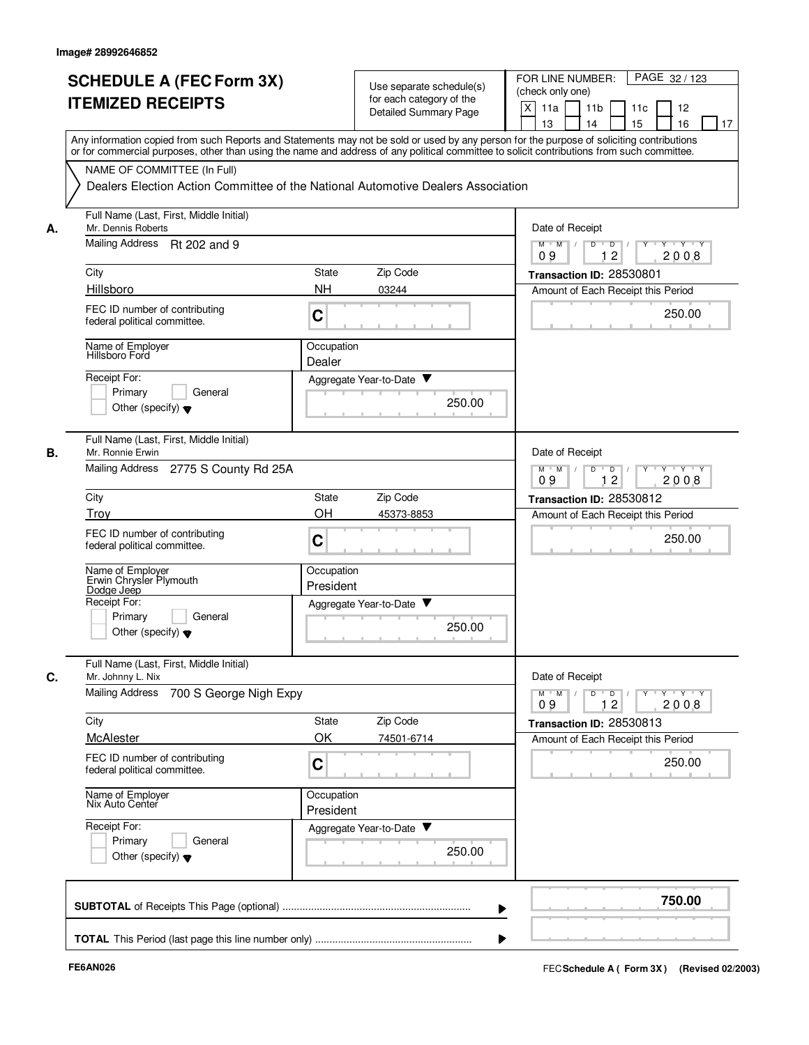|    | <b>SCHEDULE A (FEC Form 3X)</b><br><b>ITEMIZED RECEIPTS</b>                                                                                                                                                                                                                             | Use separate schedule(s)<br>for each category of the                             | PAGE 32 / 123<br>FOR LINE NUMBER:<br>(check only one)<br>$\times$<br>11a<br>11 <sub>b</sub><br>12<br>11c |  |  |
|----|-----------------------------------------------------------------------------------------------------------------------------------------------------------------------------------------------------------------------------------------------------------------------------------------|----------------------------------------------------------------------------------|----------------------------------------------------------------------------------------------------------|--|--|
|    |                                                                                                                                                                                                                                                                                         | <b>Detailed Summary Page</b>                                                     | 16<br>13<br>14<br>15<br>17                                                                               |  |  |
|    | Any information copied from such Reports and Statements may not be sold or used by any person for the purpose of soliciting contributions<br>or for commercial purposes, other than using the name and address of any political committee to solicit contributions from such committee. |                                                                                  |                                                                                                          |  |  |
|    | NAME OF COMMITTEE (In Full)                                                                                                                                                                                                                                                             |                                                                                  |                                                                                                          |  |  |
|    |                                                                                                                                                                                                                                                                                         | Dealers Election Action Committee of the National Automotive Dealers Association |                                                                                                          |  |  |
| А. | Full Name (Last, First, Middle Initial)<br>Mr. Dennis Roberts                                                                                                                                                                                                                           | Date of Receipt                                                                  |                                                                                                          |  |  |
|    | Mailing Address Rt 202 and 9                                                                                                                                                                                                                                                            | $Y \cup Y \cup Y$<br>$M$ $M$ /<br>D<br>$\overline{D}$<br>Y<br>12<br>2008<br>09   |                                                                                                          |  |  |
|    | City                                                                                                                                                                                                                                                                                    | Zip Code<br>State                                                                | Transaction ID: 28530801                                                                                 |  |  |
|    | Hillsboro                                                                                                                                                                                                                                                                               | <b>NH</b><br>03244                                                               | Amount of Each Receipt this Period                                                                       |  |  |
|    | FEC ID number of contributing<br>federal political committee.                                                                                                                                                                                                                           | C                                                                                | 250.00                                                                                                   |  |  |
|    | Name of Employer<br>Hillsboro Ford                                                                                                                                                                                                                                                      | Occupation<br>Dealer                                                             |                                                                                                          |  |  |
|    | Receipt For:                                                                                                                                                                                                                                                                            | Aggregate Year-to-Date                                                           |                                                                                                          |  |  |
|    | Primary<br>General<br>Other (specify) $\blacktriangledown$                                                                                                                                                                                                                              | 250.00                                                                           |                                                                                                          |  |  |
| В. | Full Name (Last, First, Middle Initial)<br>Mr. Ronnie Erwin                                                                                                                                                                                                                             |                                                                                  | Date of Receipt                                                                                          |  |  |
|    | Mailing Address 2775 S County Rd 25A                                                                                                                                                                                                                                                    | $M$ $M$ /<br>D<br>D<br>$\mathbf{Y} + \mathbf{Y}$<br>12<br>2008<br>09             |                                                                                                          |  |  |
|    | City                                                                                                                                                                                                                                                                                    | Zip Code<br>State                                                                | Transaction ID: 28530812                                                                                 |  |  |
|    | Trov                                                                                                                                                                                                                                                                                    | OH<br>45373-8853                                                                 | Amount of Each Receipt this Period                                                                       |  |  |
|    | FEC ID number of contributing<br>federal political committee.                                                                                                                                                                                                                           | C                                                                                | 250.00                                                                                                   |  |  |
|    | Name of Employer<br>Erwin Chrysler Plymouth                                                                                                                                                                                                                                             | Occupation<br>President                                                          |                                                                                                          |  |  |
|    | Dodge Jeep<br>Receipt For:                                                                                                                                                                                                                                                              | Aggregate Year-to-Date ▼                                                         |                                                                                                          |  |  |
|    | Primary<br>General<br>Other (specify) $\blacktriangledown$                                                                                                                                                                                                                              | 250.00                                                                           |                                                                                                          |  |  |
| C. | Full Name (Last, First, Middle Initial)<br>Mr. Johnny L. Nix                                                                                                                                                                                                                            |                                                                                  | Date of Receipt                                                                                          |  |  |
|    | <b>Mailing Address</b><br>700 S George Nigh Expy                                                                                                                                                                                                                                        |                                                                                  | $D$ $D$ $/$<br>$Y \rightarrow Y \rightarrow Y$<br>$M^+$ M<br>Y<br>2008<br>09<br>12                       |  |  |
|    | City                                                                                                                                                                                                                                                                                    | Zip Code<br>State                                                                | Transaction ID: 28530813                                                                                 |  |  |
|    | McAlester                                                                                                                                                                                                                                                                               | OK<br>74501-6714                                                                 | Amount of Each Receipt this Period                                                                       |  |  |
|    | FEC ID number of contributing<br>federal political committee.                                                                                                                                                                                                                           | C                                                                                | 250.00                                                                                                   |  |  |
|    | Name of Employer<br>Nix Auto Center                                                                                                                                                                                                                                                     | Occupation<br>President                                                          |                                                                                                          |  |  |
|    | Receipt For:                                                                                                                                                                                                                                                                            | Aggregate Year-to-Date                                                           |                                                                                                          |  |  |
|    | Primary<br>General<br>Other (specify) $\blacktriangledown$                                                                                                                                                                                                                              | 250.00                                                                           |                                                                                                          |  |  |
|    |                                                                                                                                                                                                                                                                                         |                                                                                  | 750.00                                                                                                   |  |  |
|    |                                                                                                                                                                                                                                                                                         |                                                                                  |                                                                                                          |  |  |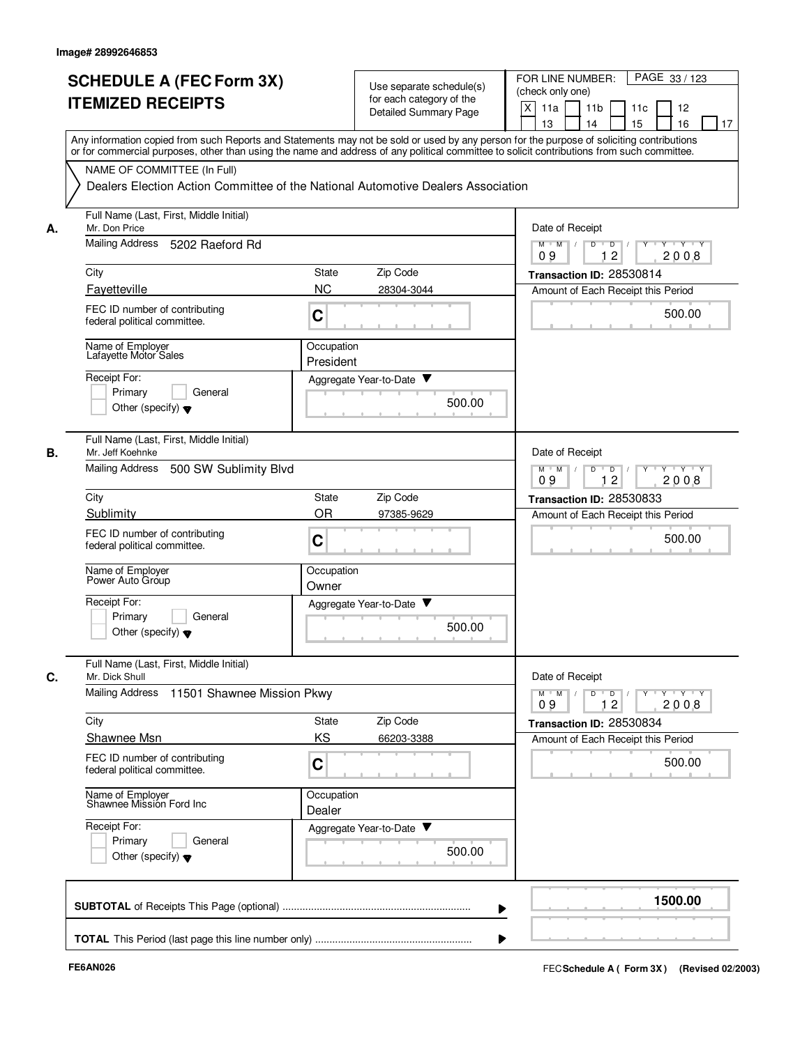|    | <b>SCHEDULE A (FEC Form 3X)</b>                           |                                                                                                                                            | PAGE 33 / 123<br>FOR LINE NUMBER:                                                       |
|----|-----------------------------------------------------------|--------------------------------------------------------------------------------------------------------------------------------------------|-----------------------------------------------------------------------------------------|
|    |                                                           | Use separate schedule(s)                                                                                                                   | (check only one)                                                                        |
|    | <b>ITEMIZED RECEIPTS</b>                                  | for each category of the                                                                                                                   | X<br>11a<br>11 <sub>b</sub><br>12<br>11c                                                |
|    |                                                           | <b>Detailed Summary Page</b>                                                                                                               | 16<br>13<br>14<br>15<br>17                                                              |
|    |                                                           | Any information copied from such Reports and Statements may not be sold or used by any person for the purpose of soliciting contributions  |                                                                                         |
|    |                                                           | or for commercial purposes, other than using the name and address of any political committee to solicit contributions from such committee. |                                                                                         |
|    |                                                           |                                                                                                                                            |                                                                                         |
|    | NAME OF COMMITTEE (In Full)                               |                                                                                                                                            |                                                                                         |
|    |                                                           | Dealers Election Action Committee of the National Automotive Dealers Association                                                           |                                                                                         |
|    |                                                           |                                                                                                                                            |                                                                                         |
|    | Full Name (Last, First, Middle Initial)                   |                                                                                                                                            |                                                                                         |
| А. | Mr. Don Price                                             | Date of Receipt                                                                                                                            |                                                                                         |
|    | Mailing Address<br>5202 Raeford Rd                        |                                                                                                                                            | $M$ $M$ /<br>$\overline{D}$ /<br>Y Y Y Y<br>D<br>$Y$ <sup>U</sup>                       |
|    |                                                           |                                                                                                                                            | 12<br>2008<br>09                                                                        |
|    | City                                                      | Zip Code<br><b>State</b>                                                                                                                   | Transaction ID: 28530814                                                                |
|    | Fayetteville                                              | <b>NC</b><br>28304-3044                                                                                                                    | Amount of Each Receipt this Period                                                      |
|    | FEC ID number of contributing                             |                                                                                                                                            |                                                                                         |
|    | federal political committee.                              | C                                                                                                                                          | 500.00                                                                                  |
|    |                                                           |                                                                                                                                            |                                                                                         |
|    | Name of Employer                                          | Occupation                                                                                                                                 |                                                                                         |
|    | Lafayette Motor Sales                                     | President                                                                                                                                  |                                                                                         |
|    | Receipt For:                                              | Aggregate Year-to-Date ▼                                                                                                                   |                                                                                         |
|    | Primary<br>General                                        |                                                                                                                                            |                                                                                         |
|    | Other (specify) $\blacktriangledown$                      | 500.00                                                                                                                                     |                                                                                         |
|    |                                                           |                                                                                                                                            |                                                                                         |
|    |                                                           |                                                                                                                                            |                                                                                         |
|    | Full Name (Last, First, Middle Initial)                   |                                                                                                                                            |                                                                                         |
| В. | Mr. Jeff Koehnke                                          |                                                                                                                                            | Date of Receipt                                                                         |
|    | Mailing Address<br>500 SW Sublimity Blvd                  | $M$ $M$<br>D<br>D<br>Y Y Y Y<br>12<br>09                                                                                                   |                                                                                         |
|    |                                                           |                                                                                                                                            | 2008                                                                                    |
|    | City                                                      | Zip Code<br><b>State</b>                                                                                                                   | Transaction ID: 28530833                                                                |
|    | Sublimity                                                 | <b>OR</b><br>97385-9629                                                                                                                    | Amount of Each Receipt this Period                                                      |
|    | FEC ID number of contributing                             |                                                                                                                                            |                                                                                         |
|    | federal political committee.                              | C                                                                                                                                          | 500.00                                                                                  |
|    |                                                           |                                                                                                                                            |                                                                                         |
|    | Name of Employer<br>Power Auto Group                      | Occupation                                                                                                                                 |                                                                                         |
|    |                                                           | Owner                                                                                                                                      |                                                                                         |
|    |                                                           |                                                                                                                                            |                                                                                         |
|    | Receipt For:                                              | Aggregate Year-to-Date ▼                                                                                                                   |                                                                                         |
|    | Primary<br>General                                        |                                                                                                                                            |                                                                                         |
|    | Other (specify) $\blacktriangledown$                      | 500.00                                                                                                                                     |                                                                                         |
|    |                                                           |                                                                                                                                            |                                                                                         |
|    |                                                           |                                                                                                                                            |                                                                                         |
|    | Full Name (Last, First, Middle Initial)<br>Mr. Dick Shull |                                                                                                                                            |                                                                                         |
|    |                                                           |                                                                                                                                            | Date of Receipt                                                                         |
|    | Mailing Address<br>11501 Shawnee Mission Pkwy             |                                                                                                                                            | $\mathsf{Y} \dashv \mathsf{Y} \dashv \mathsf{Y}$<br>$D$ $D$<br>$M$ $M$<br>Y<br>09<br>12 |
|    |                                                           |                                                                                                                                            | 2008                                                                                    |
|    | City                                                      | State<br>Zip Code                                                                                                                          | Transaction ID: 28530834                                                                |
|    | Shawnee Msn                                               | KS<br>66203-3388                                                                                                                           | Amount of Each Receipt this Period                                                      |
|    | FEC ID number of contributing                             |                                                                                                                                            |                                                                                         |
|    | federal political committee.                              | C                                                                                                                                          | 500.00                                                                                  |
|    |                                                           |                                                                                                                                            |                                                                                         |
|    | Name of Employer<br>Shawnee Mission Ford Inc              | Occupation                                                                                                                                 |                                                                                         |
|    |                                                           | Dealer                                                                                                                                     |                                                                                         |
|    | Receipt For:                                              | Aggregate Year-to-Date                                                                                                                     |                                                                                         |
| C. | Primary<br>General                                        |                                                                                                                                            |                                                                                         |
|    | Other (specify) $\blacktriangledown$                      | 500.00                                                                                                                                     |                                                                                         |
|    |                                                           |                                                                                                                                            |                                                                                         |
|    |                                                           |                                                                                                                                            |                                                                                         |
|    |                                                           |                                                                                                                                            | 1500.00                                                                                 |
|    |                                                           |                                                                                                                                            |                                                                                         |
|    |                                                           |                                                                                                                                            |                                                                                         |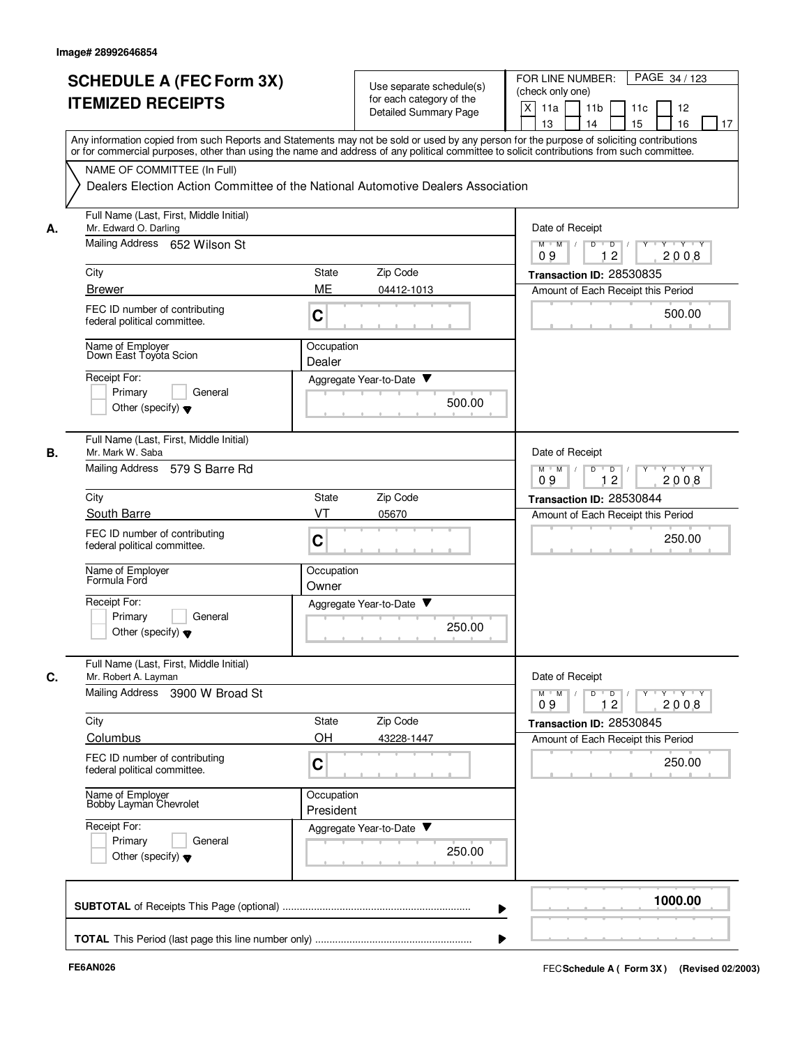|      | <b>SCHEDULE A (FEC Form 3X)</b><br><b>ITEMIZED RECEIPTS</b>                                                                                                                                                                                                                             | for each category of the | Use separate schedule(s)<br><b>Detailed Summary Page</b> | PAGE 34 / 123<br>FOR LINE NUMBER:<br>(check only one)<br>X<br>11a<br>11 <sub>b</sub><br>11c<br>12<br>13<br>14<br>15<br>16<br>17 |
|------|-----------------------------------------------------------------------------------------------------------------------------------------------------------------------------------------------------------------------------------------------------------------------------------------|--------------------------|----------------------------------------------------------|---------------------------------------------------------------------------------------------------------------------------------|
|      | Any information copied from such Reports and Statements may not be sold or used by any person for the purpose of soliciting contributions<br>or for commercial purposes, other than using the name and address of any political committee to solicit contributions from such committee. |                          |                                                          |                                                                                                                                 |
|      | NAME OF COMMITTEE (In Full)<br>Dealers Election Action Committee of the National Automotive Dealers Association                                                                                                                                                                         |                          |                                                          |                                                                                                                                 |
| А.   | Full Name (Last, First, Middle Initial)<br>Mr. Edward O. Darling                                                                                                                                                                                                                        |                          |                                                          | Date of Receipt                                                                                                                 |
|      | Mailing Address 652 Wilson St                                                                                                                                                                                                                                                           |                          |                                                          | $M$ $M$ $/$<br>D<br>Y 'Y 'Y<br>$\overline{D}$<br>$\overline{c}$<br>09<br>2008                                                   |
| City |                                                                                                                                                                                                                                                                                         | Zip Code<br>State        |                                                          | Transaction ID: 28530835                                                                                                        |
|      | <b>Brewer</b>                                                                                                                                                                                                                                                                           | ME<br>04412-1013         |                                                          | Amount of Each Receipt this Period                                                                                              |
|      | FEC ID number of contributing<br>federal political committee.                                                                                                                                                                                                                           | $\mathbf C$              |                                                          | 500.00                                                                                                                          |
|      | Name of Employer<br>Down East Toyota Scion                                                                                                                                                                                                                                              | Occupation<br>Dealer     |                                                          |                                                                                                                                 |
|      | Receipt For:                                                                                                                                                                                                                                                                            | Aggregate Year-to-Date ▼ |                                                          |                                                                                                                                 |
|      | Primary<br>General<br>Other (specify) $\blacktriangledown$                                                                                                                                                                                                                              |                          | 500.00                                                   |                                                                                                                                 |
| В.   | Full Name (Last, First, Middle Initial)<br>Mr. Mark W. Saba                                                                                                                                                                                                                             |                          |                                                          | Date of Receipt                                                                                                                 |
|      | Mailing Address<br>579 S Barre Rd                                                                                                                                                                                                                                                       |                          |                                                          | $Y - Y - Y$<br>$M$ M<br>$\sqrt{ }$<br>D<br>$\overline{D}$<br>12<br>09<br>2008                                                   |
| City |                                                                                                                                                                                                                                                                                         | Zip Code<br>State        |                                                          | Transaction ID: 28530844                                                                                                        |
|      | South Barre                                                                                                                                                                                                                                                                             | VT<br>05670              |                                                          | Amount of Each Receipt this Period                                                                                              |
|      | FEC ID number of contributing<br>federal political committee.                                                                                                                                                                                                                           | C                        |                                                          | 250.00                                                                                                                          |
|      | Name of Employer<br>Formula Ford                                                                                                                                                                                                                                                        | Occupation<br>Owner      |                                                          |                                                                                                                                 |
|      | Receipt For:                                                                                                                                                                                                                                                                            | Aggregate Year-to-Date ▼ |                                                          |                                                                                                                                 |
|      | General<br>Primary<br>Other (specify) $\blacktriangledown$                                                                                                                                                                                                                              |                          | 250.00                                                   |                                                                                                                                 |
| C.   | Full Name (Last, First, Middle Initial)<br>Mr. Robert A. Layman                                                                                                                                                                                                                         |                          |                                                          | Date of Receipt                                                                                                                 |
|      | Mailing Address 3900 W Broad St                                                                                                                                                                                                                                                         |                          |                                                          | $Y$ $Y$ $Y$<br>D<br>$\overline{D}$<br>Y<br>$M$ $M$<br>12<br>2008<br>09                                                          |
| City |                                                                                                                                                                                                                                                                                         | Zip Code<br>State        |                                                          | Transaction ID: 28530845                                                                                                        |
|      | Columbus                                                                                                                                                                                                                                                                                | OH<br>43228-1447         |                                                          | Amount of Each Receipt this Period                                                                                              |
|      | FEC ID number of contributing<br>federal political committee.                                                                                                                                                                                                                           | $\mathbf C$              |                                                          | 250.00                                                                                                                          |
|      | Name of Employer<br>Bobby Layman Chevrolet                                                                                                                                                                                                                                              | Occupation<br>President  |                                                          |                                                                                                                                 |
|      | Receipt For:                                                                                                                                                                                                                                                                            | Aggregate Year-to-Date   |                                                          |                                                                                                                                 |
|      | Primary<br>General<br>Other (specify) $\blacktriangledown$                                                                                                                                                                                                                              |                          | 250.00                                                   |                                                                                                                                 |
|      |                                                                                                                                                                                                                                                                                         |                          |                                                          | 1000.00                                                                                                                         |
|      |                                                                                                                                                                                                                                                                                         |                          |                                                          |                                                                                                                                 |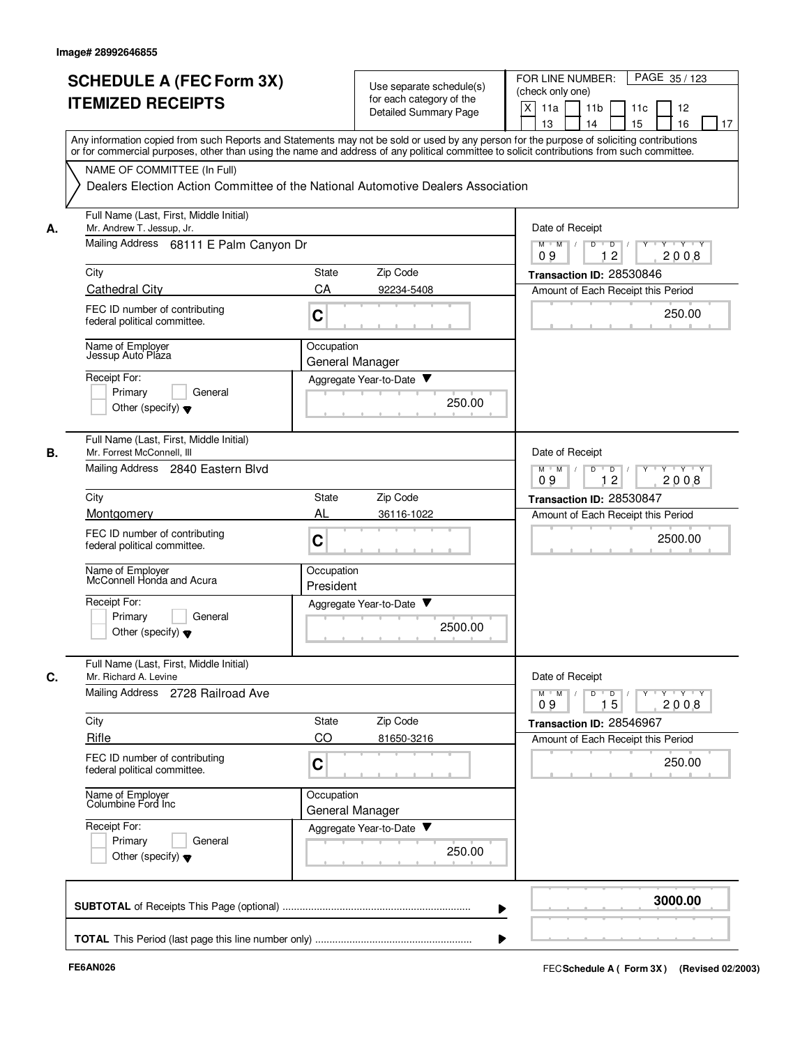|    | <b>SCHEDULE A (FEC Form 3X)</b><br><b>ITEMIZED RECEIPTS</b>                                                                                                                                                                                                                             |                                                                        | Use separate schedule(s)<br>for each category of the<br><b>Detailed Summary Page</b> | FOR LINE NUMBER:<br>PAGE 35/123<br>(check only one)<br>X<br>11a<br>11 <sub>b</sub><br>11c<br>12<br>17<br>13<br>14<br>15<br>16 |
|----|-----------------------------------------------------------------------------------------------------------------------------------------------------------------------------------------------------------------------------------------------------------------------------------------|------------------------------------------------------------------------|--------------------------------------------------------------------------------------|-------------------------------------------------------------------------------------------------------------------------------|
|    | Any information copied from such Reports and Statements may not be sold or used by any person for the purpose of soliciting contributions<br>or for commercial purposes, other than using the name and address of any political committee to solicit contributions from such committee. |                                                                        |                                                                                      |                                                                                                                               |
|    | NAME OF COMMITTEE (In Full)<br>Dealers Election Action Committee of the National Automotive Dealers Association                                                                                                                                                                         |                                                                        |                                                                                      |                                                                                                                               |
| А. | Full Name (Last, First, Middle Initial)<br>Mr. Andrew T. Jessup, Jr.                                                                                                                                                                                                                    | Date of Receipt                                                        |                                                                                      |                                                                                                                               |
|    | Mailing Address 68111 E Palm Canyon Dr                                                                                                                                                                                                                                                  | $M$ $M$<br>$\overline{D}$<br>$\Box$<br>$Y - Y - Y$<br>12<br>2008<br>09 |                                                                                      |                                                                                                                               |
|    | City                                                                                                                                                                                                                                                                                    | State                                                                  | Zip Code                                                                             | Transaction ID: 28530846                                                                                                      |
|    | <b>Cathedral City</b><br>FEC ID number of contributing<br>federal political committee.                                                                                                                                                                                                  | CA<br>C                                                                | 92234-5408                                                                           | Amount of Each Receipt this Period<br>250.00                                                                                  |
|    | Name of Employer<br>Jessup Auto Pláza                                                                                                                                                                                                                                                   | Occupation                                                             | General Manager                                                                      |                                                                                                                               |
|    | Receipt For:<br>Primarv<br>General<br>Other (specify) $\blacktriangledown$                                                                                                                                                                                                              |                                                                        | Aggregate Year-to-Date<br>250.00                                                     |                                                                                                                               |
|    | Full Name (Last, First, Middle Initial)<br>Mr. Forrest McConnell, III<br>Mailing Address 2840 Eastern Blvd                                                                                                                                                                              |                                                                        |                                                                                      | Date of Receipt<br>$Y \vdash Y \vdash Y$<br>$M$ M<br>D<br>$\overline{D}$ /<br>Y<br>$\sqrt{ }$<br>12<br>2008<br>09             |
|    | City                                                                                                                                                                                                                                                                                    | State                                                                  | Zip Code                                                                             | Transaction ID: 28530847                                                                                                      |
|    | Montgomery<br>FEC ID number of contributing<br>federal political committee.                                                                                                                                                                                                             | AL<br>C                                                                | 36116-1022                                                                           | Amount of Each Receipt this Period<br>2500.00                                                                                 |
|    | Name of Employer<br>McConnell Honda and Acura                                                                                                                                                                                                                                           | Occupation<br>President                                                |                                                                                      |                                                                                                                               |
|    | Receipt For:<br>Primary<br>General<br>Other (specify) $\blacktriangledown$                                                                                                                                                                                                              |                                                                        | Aggregate Year-to-Date<br>2500.00                                                    |                                                                                                                               |
|    | Full Name (Last, First, Middle Initial)<br>Mr. Richard A. Levine                                                                                                                                                                                                                        |                                                                        |                                                                                      | Date of Receipt                                                                                                               |
|    | Mailing Address 2728 Railroad Ave                                                                                                                                                                                                                                                       |                                                                        |                                                                                      | YULYULYULY<br>$M$ $M$ /<br>D<br>$\overline{D}$<br>15<br>09<br>2008                                                            |
|    | City<br>Rifle                                                                                                                                                                                                                                                                           | State<br>CO                                                            | Zip Code<br>81650-3216                                                               | Transaction ID: 28546967<br>Amount of Each Receipt this Period                                                                |
|    | FEC ID number of contributing<br>federal political committee.                                                                                                                                                                                                                           | C                                                                      |                                                                                      | 250.00                                                                                                                        |
|    | Name of Employer<br>Columbine Ford Inc                                                                                                                                                                                                                                                  | Occupation                                                             | General Manager                                                                      |                                                                                                                               |
|    | Receipt For:<br>Primary<br>General<br>Other (specify) $\blacktriangledown$                                                                                                                                                                                                              |                                                                        | Aggregate Year-to-Date<br>250.00                                                     |                                                                                                                               |
|    |                                                                                                                                                                                                                                                                                         |                                                                        |                                                                                      | 3000.00                                                                                                                       |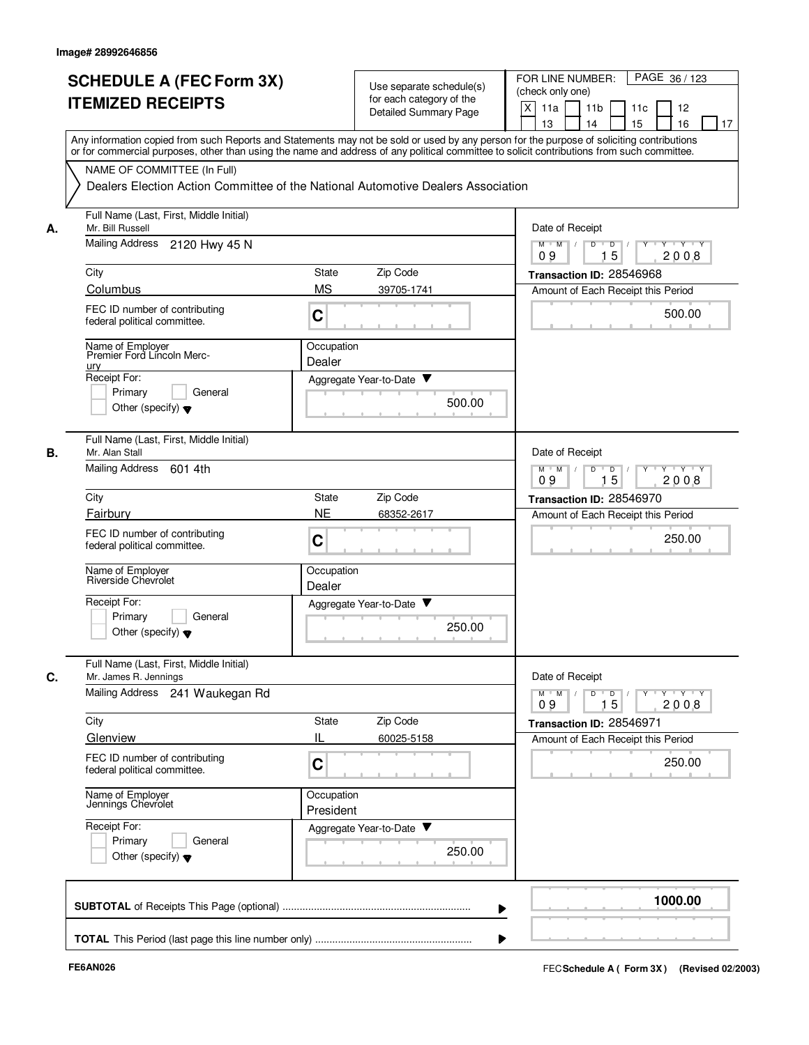|    | <b>SCHEDULE A (FEC Form 3X)</b><br><b>ITEMIZED RECEIPTS</b>                                                                                                                                                                                                                             |                                                                                  | Use separate schedule(s)<br>for each category of the<br><b>Detailed Summary Page</b> | FOR LINE NUMBER:<br>PAGE 36/123<br>(check only one)<br>X<br>11a<br>11 <sub>b</sub><br>11c<br>12<br>13<br>14<br>15<br>16<br>17 |  |
|----|-----------------------------------------------------------------------------------------------------------------------------------------------------------------------------------------------------------------------------------------------------------------------------------------|----------------------------------------------------------------------------------|--------------------------------------------------------------------------------------|-------------------------------------------------------------------------------------------------------------------------------|--|
|    | Any information copied from such Reports and Statements may not be sold or used by any person for the purpose of soliciting contributions<br>or for commercial purposes, other than using the name and address of any political committee to solicit contributions from such committee. |                                                                                  |                                                                                      |                                                                                                                               |  |
|    | NAME OF COMMITTEE (In Full)                                                                                                                                                                                                                                                             | Dealers Election Action Committee of the National Automotive Dealers Association |                                                                                      |                                                                                                                               |  |
| А. | Full Name (Last, First, Middle Initial)<br>Mr. Bill Russell                                                                                                                                                                                                                             | Date of Receipt                                                                  |                                                                                      |                                                                                                                               |  |
|    | Mailing Address<br>2120 Hwy 45 N                                                                                                                                                                                                                                                        | $M$ $M$ /<br>D<br>$\overline{D}$<br>$Y + Y + Y$<br>15<br>2008<br>09              |                                                                                      |                                                                                                                               |  |
|    | City                                                                                                                                                                                                                                                                                    | State                                                                            | Zip Code                                                                             | Transaction ID: 28546968                                                                                                      |  |
|    | Columbus<br>FEC ID number of contributing<br>federal political committee.                                                                                                                                                                                                               | <b>MS</b><br>C                                                                   | 39705-1741                                                                           | Amount of Each Receipt this Period<br>500.00                                                                                  |  |
|    | Name of Employer<br>Premier Ford Lincoln Merc-<br>ury                                                                                                                                                                                                                                   | Occupation<br>Dealer                                                             |                                                                                      |                                                                                                                               |  |
|    | Receipt For:<br>Primary<br>General<br>Other (specify) $\blacktriangledown$                                                                                                                                                                                                              |                                                                                  | Aggregate Year-to-Date<br>500.00                                                     |                                                                                                                               |  |
| В. | Full Name (Last, First, Middle Initial)<br>Mr. Alan Stall<br>Mailing Address<br>601 4th                                                                                                                                                                                                 |                                                                                  |                                                                                      | Date of Receipt<br>$M$ M<br>D<br>$\overline{D}$<br>Y<br>$Y + Y + Y$<br>$\sqrt{ }$                                             |  |
|    |                                                                                                                                                                                                                                                                                         |                                                                                  |                                                                                      | 15<br>09<br>2008                                                                                                              |  |
|    | City<br>Fairbury                                                                                                                                                                                                                                                                        | State<br><b>NE</b>                                                               | Zip Code<br>68352-2617                                                               | Transaction ID: 28546970<br>Amount of Each Receipt this Period                                                                |  |
|    | FEC ID number of contributing<br>federal political committee.                                                                                                                                                                                                                           | $\mathbf C$                                                                      |                                                                                      | 250.00                                                                                                                        |  |
|    | Name of Employer<br>Riverside Chevrolet                                                                                                                                                                                                                                                 | Occupation<br>Dealer                                                             |                                                                                      |                                                                                                                               |  |
|    | Receipt For:<br>Primary<br>General<br>Other (specify) $\blacktriangledown$                                                                                                                                                                                                              |                                                                                  | Aggregate Year-to-Date ▼<br>250.00                                                   |                                                                                                                               |  |
| C. | Full Name (Last, First, Middle Initial)<br>Mr. James R. Jennings                                                                                                                                                                                                                        |                                                                                  |                                                                                      | Date of Receipt                                                                                                               |  |
|    | Mailing Address 241 Waukegan Rd                                                                                                                                                                                                                                                         |                                                                                  |                                                                                      | $\mathsf{Y} \dashv \mathsf{Y} \dashv \mathsf{Y}$<br>$D$ $D$ $I$<br>$Y$ <sup>U</sup><br>$M$ $M$<br>15<br>2008<br>09            |  |
|    | City                                                                                                                                                                                                                                                                                    | State                                                                            | Zip Code                                                                             | Transaction ID: 28546971                                                                                                      |  |
|    | Glenview<br>FEC ID number of contributing                                                                                                                                                                                                                                               | IL<br>$\mathbf C$                                                                | 60025-5158                                                                           | Amount of Each Receipt this Period<br>250.00                                                                                  |  |
|    | federal political committee.                                                                                                                                                                                                                                                            | Occupation                                                                       |                                                                                      |                                                                                                                               |  |
|    | Name of Employer<br>Jennings Chevrolet                                                                                                                                                                                                                                                  | President                                                                        |                                                                                      |                                                                                                                               |  |
|    | Receipt For:<br>Primary<br>General<br>Other (specify) $\blacktriangledown$                                                                                                                                                                                                              |                                                                                  | Aggregate Year-to-Date<br>250.00                                                     |                                                                                                                               |  |
|    |                                                                                                                                                                                                                                                                                         |                                                                                  |                                                                                      | 1000.00                                                                                                                       |  |
|    |                                                                                                                                                                                                                                                                                         |                                                                                  |                                                                                      |                                                                                                                               |  |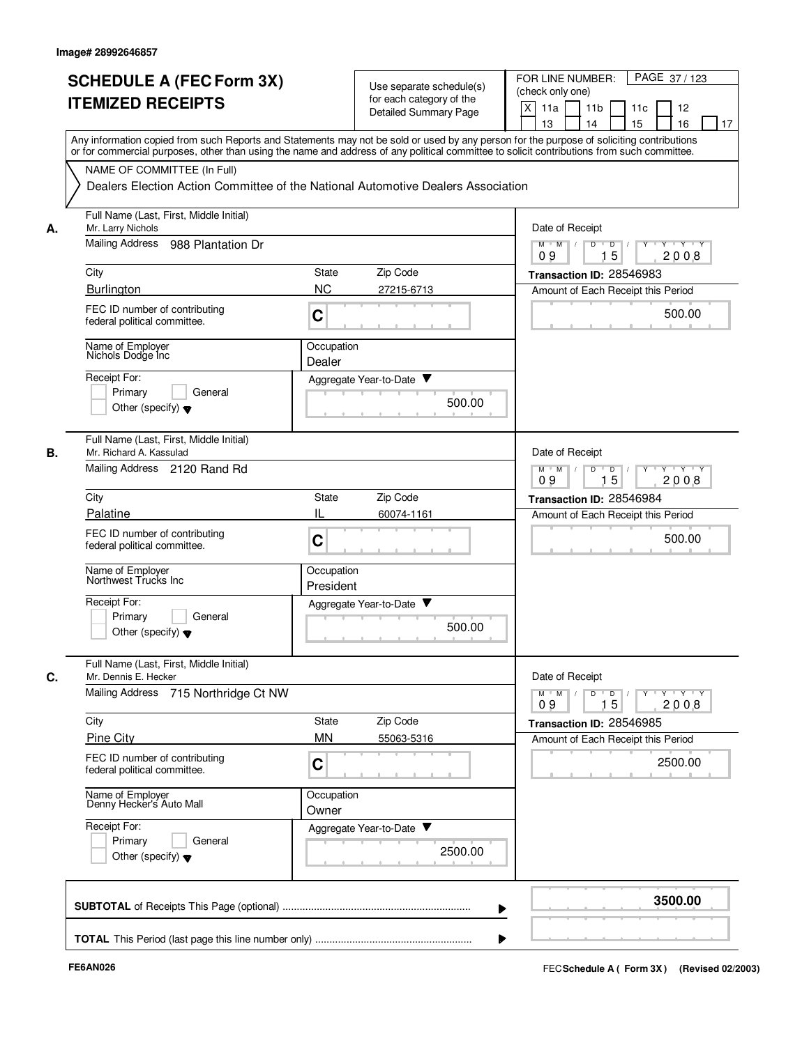|    | <b>SCHEDULE A (FEC Form 3X)</b>                                                                                                                                                                                                                                                         |                         |                                                      | FOR LINE NUMBER:<br>PAGE 37/123                                                      |
|----|-----------------------------------------------------------------------------------------------------------------------------------------------------------------------------------------------------------------------------------------------------------------------------------------|-------------------------|------------------------------------------------------|--------------------------------------------------------------------------------------|
|    | <b>ITEMIZED RECEIPTS</b>                                                                                                                                                                                                                                                                |                         | Use separate schedule(s)<br>for each category of the | (check only one)                                                                     |
|    |                                                                                                                                                                                                                                                                                         |                         | <b>Detailed Summary Page</b>                         | X<br>11a<br>11 <sub>b</sub><br>11c<br>12                                             |
|    | Any information copied from such Reports and Statements may not be sold or used by any person for the purpose of soliciting contributions<br>or for commercial purposes, other than using the name and address of any political committee to solicit contributions from such committee. |                         |                                                      | 16<br>13<br>14<br>15<br>17                                                           |
|    | NAME OF COMMITTEE (In Full)                                                                                                                                                                                                                                                             |                         |                                                      |                                                                                      |
|    | Dealers Election Action Committee of the National Automotive Dealers Association                                                                                                                                                                                                        |                         |                                                      |                                                                                      |
| А. | Full Name (Last, First, Middle Initial)<br>Mr. Larry Nichols                                                                                                                                                                                                                            |                         |                                                      | Date of Receipt                                                                      |
|    | Mailing Address<br>988 Plantation Dr                                                                                                                                                                                                                                                    |                         |                                                      | $M$ $M$<br>$\overline{D}$<br>$\overline{D}$ /<br>$Y + Y + Y$<br>15<br>2008<br>09     |
|    | City                                                                                                                                                                                                                                                                                    | State                   | Zip Code                                             | Transaction ID: 28546983                                                             |
|    | Burlington                                                                                                                                                                                                                                                                              | <b>NC</b>               | 27215-6713                                           | Amount of Each Receipt this Period                                                   |
|    | FEC ID number of contributing<br>federal political committee.                                                                                                                                                                                                                           | C                       |                                                      | 500.00                                                                               |
|    | Name of Employer<br>Nichols Dodge Inc                                                                                                                                                                                                                                                   | Occupation<br>Dealer    |                                                      |                                                                                      |
|    | Receipt For:                                                                                                                                                                                                                                                                            |                         | Aggregate Year-to-Date ▼                             |                                                                                      |
|    | General<br>Primary<br>Other (specify) $\blacktriangledown$                                                                                                                                                                                                                              |                         | 500.00                                               |                                                                                      |
| В. | Full Name (Last, First, Middle Initial)<br>Mr. Richard A. Kassulad                                                                                                                                                                                                                      |                         |                                                      | Date of Receipt                                                                      |
|    | Mailing Address 2120 Rand Rd                                                                                                                                                                                                                                                            |                         |                                                      | $M$ M<br>D<br>D<br><u> "Y "Y</u><br>15<br>2008<br>09                                 |
|    | City                                                                                                                                                                                                                                                                                    | State                   | Zip Code                                             | Transaction ID: 28546984                                                             |
|    | Palatine                                                                                                                                                                                                                                                                                | IL                      | 60074-1161                                           | Amount of Each Receipt this Period                                                   |
|    | FEC ID number of contributing<br>federal political committee.                                                                                                                                                                                                                           | C                       |                                                      | 500.00                                                                               |
|    | Name of Employer<br>Northwest Trucks Inc                                                                                                                                                                                                                                                | Occupation<br>President |                                                      |                                                                                      |
|    | Receipt For:                                                                                                                                                                                                                                                                            |                         | Aggregate Year-to-Date ▼                             |                                                                                      |
|    | Primary<br>General<br>Other (specify) $\blacktriangledown$                                                                                                                                                                                                                              |                         | 500.00                                               |                                                                                      |
| С. | Full Name (Last, First, Middle Initial)<br>Mr. Dennis E. Hecker                                                                                                                                                                                                                         |                         |                                                      | Date of Receipt                                                                      |
|    | <b>Mailing Address</b><br>715 Northridge Ct NW                                                                                                                                                                                                                                          |                         |                                                      | $D$ $D$ $/$<br>$Y = Y = Y + Y$<br>$M$ $M$ /<br>$Y$ <sup>-1</sup><br>2008<br>09<br>15 |
|    | City                                                                                                                                                                                                                                                                                    | State                   | Zip Code                                             | Transaction ID: 28546985                                                             |
|    | <b>Pine City</b>                                                                                                                                                                                                                                                                        | <b>MN</b>               | 55063-5316                                           | Amount of Each Receipt this Period                                                   |
|    | FEC ID number of contributing<br>federal political committee.                                                                                                                                                                                                                           | C                       |                                                      | 2500.00                                                                              |
|    | Name of Employer<br>Denny Hecker's Auto Mall                                                                                                                                                                                                                                            | Occupation<br>Owner     |                                                      |                                                                                      |
|    | Receipt For:                                                                                                                                                                                                                                                                            |                         | Aggregate Year-to-Date                               |                                                                                      |
|    | Primary<br>General<br>Other (specify) $\blacktriangledown$                                                                                                                                                                                                                              |                         | 2500.00                                              |                                                                                      |
|    |                                                                                                                                                                                                                                                                                         |                         |                                                      | 3500.00                                                                              |
|    |                                                                                                                                                                                                                                                                                         |                         |                                                      |                                                                                      |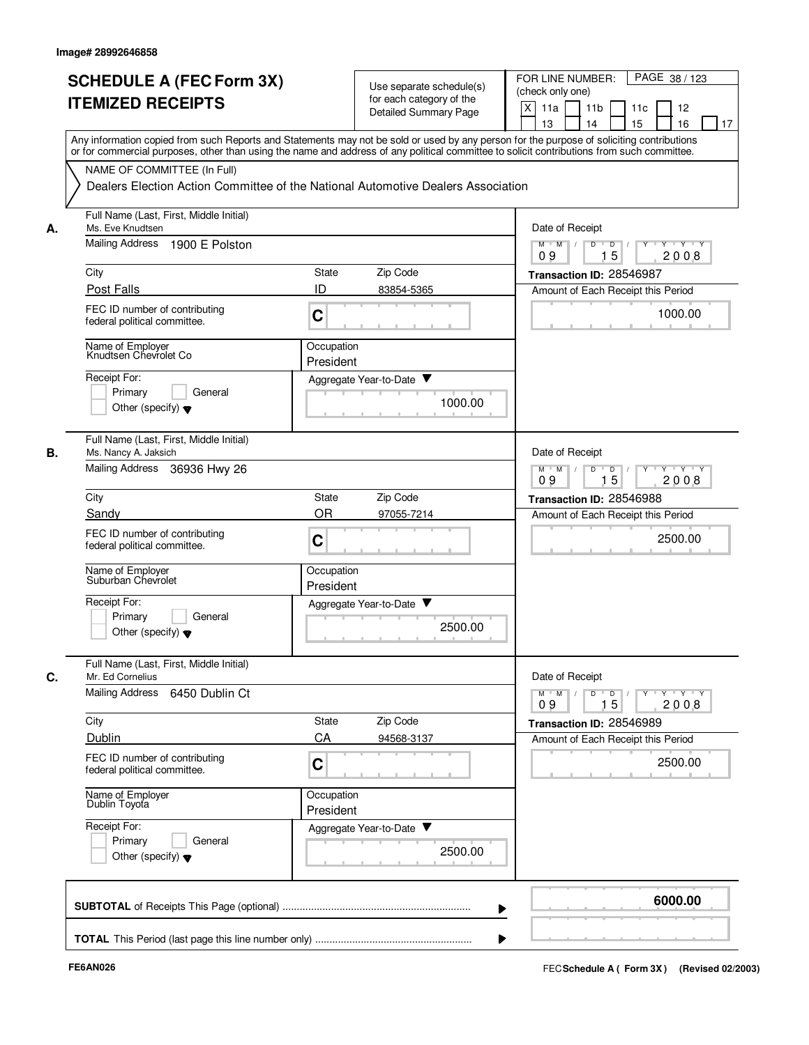|    | <b>SCHEDULE A (FEC Form 3X)</b><br><b>ITEMIZED RECEIPTS</b>                                        | Use separate schedule(s)<br>for each category of the<br><b>Detailed Summary Page</b>                                                                                                                                                                                                    | PAGE 38 / 123<br>FOR LINE NUMBER:<br>(check only one)<br>X<br>11a<br>11 <sub>b</sub><br>11c<br>12<br>13<br>14<br>15<br>16<br>17 |
|----|----------------------------------------------------------------------------------------------------|-----------------------------------------------------------------------------------------------------------------------------------------------------------------------------------------------------------------------------------------------------------------------------------------|---------------------------------------------------------------------------------------------------------------------------------|
|    |                                                                                                    | Any information copied from such Reports and Statements may not be sold or used by any person for the purpose of soliciting contributions<br>or for commercial purposes, other than using the name and address of any political committee to solicit contributions from such committee. |                                                                                                                                 |
|    | NAME OF COMMITTEE (In Full)                                                                        | Dealers Election Action Committee of the National Automotive Dealers Association                                                                                                                                                                                                        |                                                                                                                                 |
| А. | Full Name (Last, First, Middle Initial)<br>Ms. Eve Knudtsen                                        |                                                                                                                                                                                                                                                                                         | Date of Receipt                                                                                                                 |
|    | Mailing Address<br>1900 E Polston                                                                  |                                                                                                                                                                                                                                                                                         | $M$ $M$ $/$<br>D<br>$Y \vdash Y \vdash Y$<br>$D$ /<br>15<br>09<br>2008                                                          |
|    | City                                                                                               | Zip Code<br>State                                                                                                                                                                                                                                                                       | Transaction ID: 28546987                                                                                                        |
|    | Post Falls<br>FEC ID number of contributing<br>federal political committee.                        | ID<br>83854-5365<br>$\mathbf C$                                                                                                                                                                                                                                                         | Amount of Each Receipt this Period<br>1000.00                                                                                   |
|    | Name of Employer<br>Knudtsen Chevrolet Co                                                          | Occupation<br>President                                                                                                                                                                                                                                                                 |                                                                                                                                 |
|    | Receipt For:<br>Primary<br>General<br>Other (specify) $\blacktriangledown$                         | Aggregate Year-to-Date ▼<br>1000.00                                                                                                                                                                                                                                                     |                                                                                                                                 |
| В. | Full Name (Last, First, Middle Initial)<br>Ms. Nancy A. Jaksich<br>Mailing Address<br>36936 Hwy 26 |                                                                                                                                                                                                                                                                                         | Date of Receipt<br>$Y - Y - Y$<br>$M$ M<br>$\sqrt{ }$<br>D<br>$\overline{D}$                                                    |
|    | City                                                                                               | Zip Code<br>State                                                                                                                                                                                                                                                                       | 15<br>09<br>2008<br>Transaction ID: 28546988                                                                                    |
|    | Sandy                                                                                              | <b>OR</b><br>97055-7214                                                                                                                                                                                                                                                                 | Amount of Each Receipt this Period                                                                                              |
|    | FEC ID number of contributing<br>federal political committee.                                      | $\mathbf C$                                                                                                                                                                                                                                                                             | 2500.00                                                                                                                         |
|    | Name of Employer<br>Suburban Chevrolet                                                             | Occupation<br>President                                                                                                                                                                                                                                                                 |                                                                                                                                 |
|    | Receipt For:<br>General<br>Primary<br>Other (specify) $\blacktriangledown$                         | Aggregate Year-to-Date<br>2500.00                                                                                                                                                                                                                                                       |                                                                                                                                 |
| C. | Full Name (Last, First, Middle Initial)<br>Mr. Ed Cornelius                                        |                                                                                                                                                                                                                                                                                         | Date of Receipt                                                                                                                 |
|    | Mailing Address 6450 Dublin Ct                                                                     |                                                                                                                                                                                                                                                                                         | $Y$ $Y$ $Y$<br>$\overline{D}$<br>Y<br>$M$ $M$<br>D<br>15<br>2008<br>09                                                          |
|    | City                                                                                               | State<br>Zip Code                                                                                                                                                                                                                                                                       | Transaction ID: 28546989                                                                                                        |
|    | Dublin<br>FEC ID number of contributing<br>federal political committee.                            | CA<br>94568-3137<br>$\mathbf C$                                                                                                                                                                                                                                                         | Amount of Each Receipt this Period<br>2500.00                                                                                   |
|    | Name of Employer<br>Dublin Toyota                                                                  | Occupation<br>President                                                                                                                                                                                                                                                                 |                                                                                                                                 |
|    | Receipt For:<br>Primary<br>General<br>Other (specify) $\blacktriangledown$                         | Aggregate Year-to-Date<br>2500.00                                                                                                                                                                                                                                                       |                                                                                                                                 |
|    |                                                                                                    |                                                                                                                                                                                                                                                                                         | 6000.00                                                                                                                         |
|    |                                                                                                    |                                                                                                                                                                                                                                                                                         |                                                                                                                                 |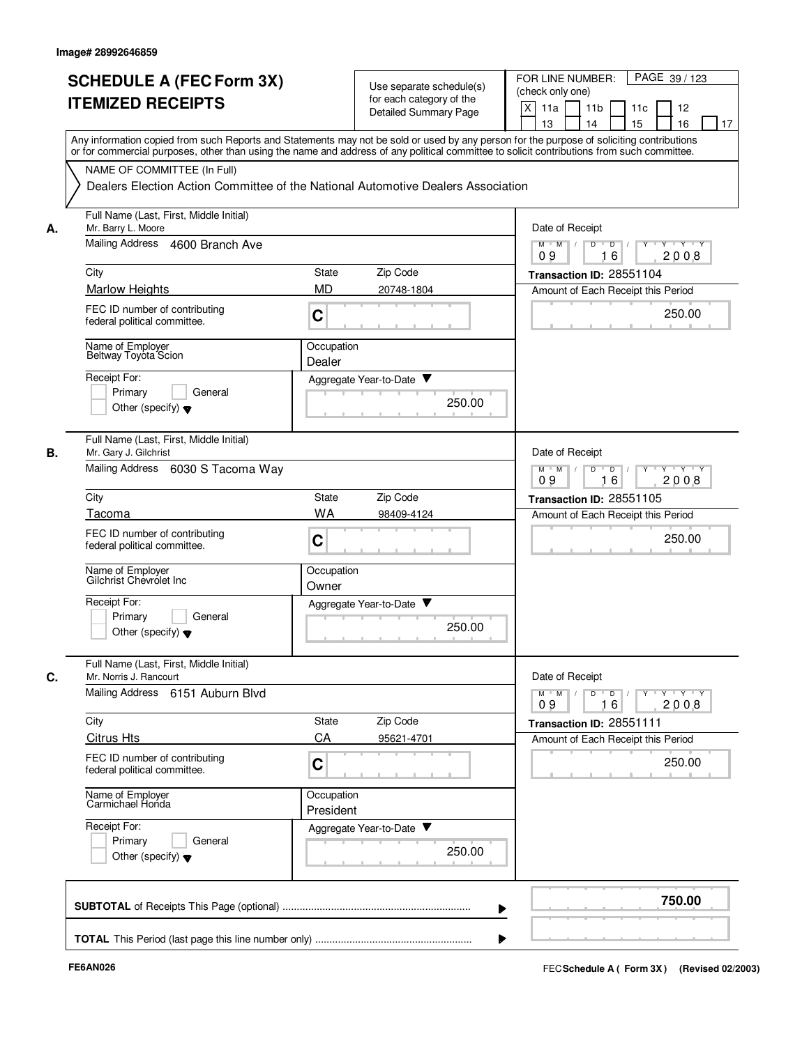|    | <b>SCHEDULE A (FEC Form 3X)</b><br><b>ITEMIZED RECEIPTS</b>                                           | Use separate schedule(s)<br>for each category of the<br>Detailed Summary Page                                                                                                                                                                                                           | FOR LINE NUMBER:<br>PAGE 39/123<br>(check only one)<br>X<br>11a<br>11 <sub>b</sub><br>11c<br>12<br>13<br>14<br>15<br>16<br>17     |
|----|-------------------------------------------------------------------------------------------------------|-----------------------------------------------------------------------------------------------------------------------------------------------------------------------------------------------------------------------------------------------------------------------------------------|-----------------------------------------------------------------------------------------------------------------------------------|
|    |                                                                                                       | Any information copied from such Reports and Statements may not be sold or used by any person for the purpose of soliciting contributions<br>or for commercial purposes, other than using the name and address of any political committee to solicit contributions from such committee. |                                                                                                                                   |
|    | NAME OF COMMITTEE (In Full)                                                                           | Dealers Election Action Committee of the National Automotive Dealers Association                                                                                                                                                                                                        |                                                                                                                                   |
| А. | Full Name (Last, First, Middle Initial)<br>Mr. Barry L. Moore                                         |                                                                                                                                                                                                                                                                                         | Date of Receipt                                                                                                                   |
|    | Mailing Address 4600 Branch Ave                                                                       |                                                                                                                                                                                                                                                                                         | $M$ $M$ /<br>D<br>D<br>$Y + Y + Y$<br>16<br>2008<br>09                                                                            |
|    | City                                                                                                  | Zip Code<br>State                                                                                                                                                                                                                                                                       | Transaction ID: 28551104                                                                                                          |
|    | <b>Marlow Heights</b>                                                                                 | <b>MD</b><br>20748-1804                                                                                                                                                                                                                                                                 | Amount of Each Receipt this Period                                                                                                |
|    | FEC ID number of contributing<br>federal political committee.                                         | C                                                                                                                                                                                                                                                                                       | 250.00                                                                                                                            |
|    | Name of Employer<br>Beltway Toyota Scion                                                              | Occupation<br>Dealer                                                                                                                                                                                                                                                                    |                                                                                                                                   |
|    | Receipt For:                                                                                          | Aggregate Year-to-Date ▼                                                                                                                                                                                                                                                                |                                                                                                                                   |
|    | Primary<br>General<br>Other (specify) $\blacktriangledown$                                            | 250.00                                                                                                                                                                                                                                                                                  |                                                                                                                                   |
| В. | Full Name (Last, First, Middle Initial)<br>Mr. Gary J. Gilchrist                                      |                                                                                                                                                                                                                                                                                         | Date of Receipt                                                                                                                   |
|    | Mailing Address<br>6030 S Tacoma Way                                                                  |                                                                                                                                                                                                                                                                                         | D<br>$M$ M<br>$\sqrt{ }$<br>$\overline{D}$<br>$Y + Y + Y$<br>$\top$<br>09<br>16<br>2008                                           |
|    | City                                                                                                  | Zip Code<br>State                                                                                                                                                                                                                                                                       | Transaction ID: 28551105                                                                                                          |
|    | Tacoma                                                                                                | <b>WA</b><br>98409-4124                                                                                                                                                                                                                                                                 | Amount of Each Receipt this Period                                                                                                |
|    | FEC ID number of contributing<br>federal political committee.                                         | C                                                                                                                                                                                                                                                                                       | 250.00                                                                                                                            |
|    | Name of Employer<br>Gilchrist Chevrolet Inc                                                           | Occupation<br>Owner                                                                                                                                                                                                                                                                     |                                                                                                                                   |
|    | Receipt For:<br>Primary<br>General<br>Other (specify) $\blacktriangledown$                            | Aggregate Year-to-Date ▼<br>250.00                                                                                                                                                                                                                                                      |                                                                                                                                   |
| C. | Full Name (Last, First, Middle Initial)<br>Mr. Norris J. Rancourt<br>Mailing Address 6151 Auburn Blvd |                                                                                                                                                                                                                                                                                         | Date of Receipt<br>$\mathsf{Y} \dashv \mathsf{Y} \dashv \mathsf{Y}$<br>$M$ $M$ /<br>$D$ $D$ $/$<br>$\Gamma Y$<br>2008<br>09<br>16 |
|    | City                                                                                                  | State<br>Zip Code                                                                                                                                                                                                                                                                       | Transaction ID: 28551111                                                                                                          |
|    | <b>Citrus Hts</b>                                                                                     | CA<br>95621-4701                                                                                                                                                                                                                                                                        | Amount of Each Receipt this Period                                                                                                |
|    | FEC ID number of contributing<br>federal political committee.                                         | C                                                                                                                                                                                                                                                                                       | 250.00                                                                                                                            |
|    | Name of Employer<br>Carmichael Honda                                                                  | Occupation<br>President                                                                                                                                                                                                                                                                 |                                                                                                                                   |
|    | Receipt For:<br>Primary<br>General<br>Other (specify) $\blacktriangledown$                            | Aggregate Year-to-Date<br>250.00                                                                                                                                                                                                                                                        |                                                                                                                                   |
|    |                                                                                                       |                                                                                                                                                                                                                                                                                         | 750.00                                                                                                                            |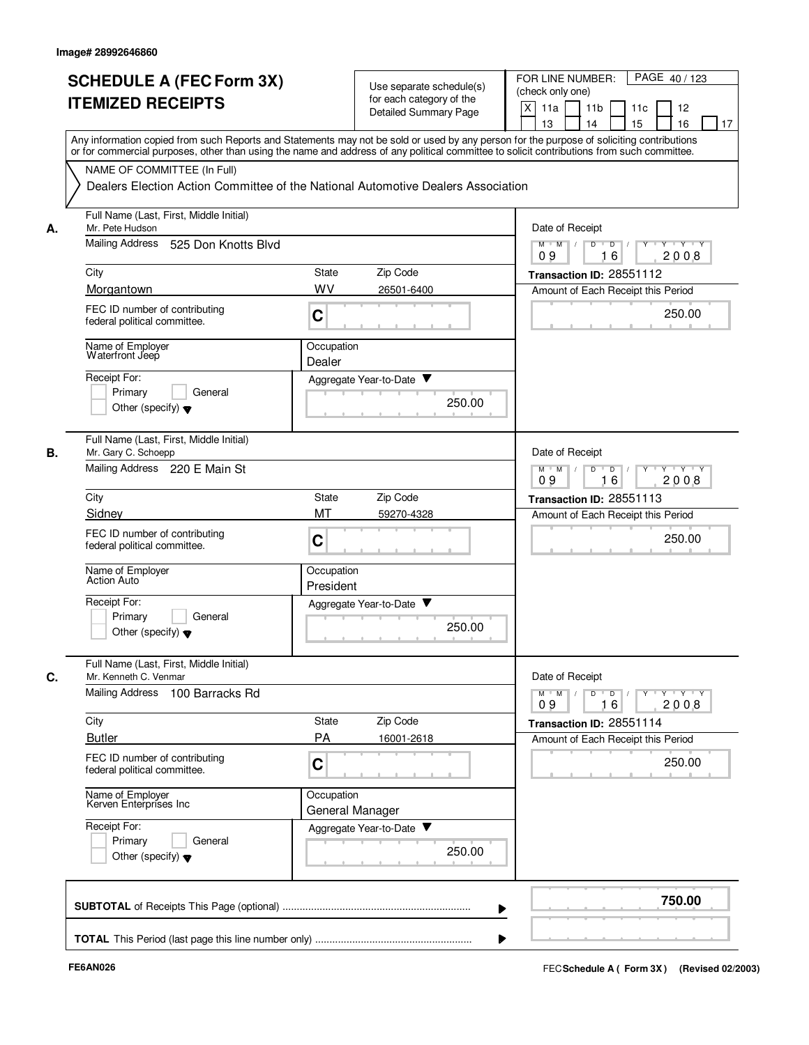|           | <b>SCHEDULE A (FEC Form 3X)</b><br><b>ITEMIZED RECEIPTS</b>                                     | Use separate schedule(s)<br>for each category of the<br><b>Detailed Summary Page</b>                                                                                                                                                                                                    | PAGE 40/123<br>FOR LINE NUMBER:<br>(check only one)<br>$\times$<br>11a<br>11 <sub>b</sub><br>11c<br>12<br>15<br>13<br>14<br>16<br>17 |
|-----------|-------------------------------------------------------------------------------------------------|-----------------------------------------------------------------------------------------------------------------------------------------------------------------------------------------------------------------------------------------------------------------------------------------|--------------------------------------------------------------------------------------------------------------------------------------|
|           |                                                                                                 | Any information copied from such Reports and Statements may not be sold or used by any person for the purpose of soliciting contributions<br>or for commercial purposes, other than using the name and address of any political committee to solicit contributions from such committee. |                                                                                                                                      |
|           | NAME OF COMMITTEE (In Full)                                                                     | Dealers Election Action Committee of the National Automotive Dealers Association                                                                                                                                                                                                        |                                                                                                                                      |
| А.        | Full Name (Last, First, Middle Initial)<br>Mr. Pete Hudson                                      |                                                                                                                                                                                                                                                                                         | Date of Receipt                                                                                                                      |
|           | <b>Mailing Address</b><br>525 Don Knotts Blvd                                                   |                                                                                                                                                                                                                                                                                         | $M$ $M$ /<br>D<br>$\overline{D}$ /<br>Y<br>Y Y Y Y<br>2008<br>09<br>16                                                               |
|           | City                                                                                            | Zip Code<br>State                                                                                                                                                                                                                                                                       | Transaction ID: 28551112                                                                                                             |
|           | Morgantown<br>FEC ID number of contributing<br>federal political committee.                     | WV<br>26501-6400<br>C                                                                                                                                                                                                                                                                   | Amount of Each Receipt this Period<br>250.00                                                                                         |
|           | Name of Employer<br>Waterfront Jeep                                                             | Occupation<br>Dealer                                                                                                                                                                                                                                                                    |                                                                                                                                      |
|           | Receipt For:<br>Primary<br>General<br>Other (specify) $\blacktriangledown$                      | Aggregate Year-to-Date ▼<br>250.00                                                                                                                                                                                                                                                      |                                                                                                                                      |
| <b>B.</b> | Full Name (Last, First, Middle Initial)<br>Mr. Gary C. Schoepp<br>Mailing Address 220 E Main St |                                                                                                                                                                                                                                                                                         | Date of Receipt<br>D<br>$\overline{D}$<br>$Y - Y - Y$<br>$M$ M                                                                       |
|           | City                                                                                            | Zip Code<br><b>State</b>                                                                                                                                                                                                                                                                | 2008<br>09<br>16                                                                                                                     |
|           | Sidney                                                                                          | MT<br>59270-4328                                                                                                                                                                                                                                                                        | Transaction ID: 28551113<br>Amount of Each Receipt this Period                                                                       |
|           | FEC ID number of contributing<br>federal political committee.                                   | C                                                                                                                                                                                                                                                                                       | 250.00                                                                                                                               |
|           | Name of Employer<br><b>Action Auto</b>                                                          | Occupation<br>President                                                                                                                                                                                                                                                                 |                                                                                                                                      |
|           | Receipt For:<br>Primary<br>General<br>Other (specify) $\blacktriangledown$                      | Aggregate Year-to-Date ▼<br>250.00                                                                                                                                                                                                                                                      |                                                                                                                                      |
| C.        | Full Name (Last, First, Middle Initial)<br>Mr. Kenneth C. Venmar                                |                                                                                                                                                                                                                                                                                         | Date of Receipt                                                                                                                      |
|           | Mailing Address 100 Barracks Rd                                                                 |                                                                                                                                                                                                                                                                                         | $\mathsf{Y} \dashv \mathsf{Y} \dashv \mathsf{Y}$<br>D<br>$\Box$<br>Y<br>$M$ <sup>-1</sup><br>$M$ /<br>2008<br>09<br>16               |
|           | City<br><b>Butler</b>                                                                           | Zip Code<br>State<br>PA<br>16001-2618                                                                                                                                                                                                                                                   | Transaction ID: 28551114<br>Amount of Each Receipt this Period                                                                       |
|           | FEC ID number of contributing<br>federal political committee.                                   | C                                                                                                                                                                                                                                                                                       | 250.00                                                                                                                               |
|           | Name of Employer<br>Kerven Enterprises Inc                                                      | Occupation<br>General Manager                                                                                                                                                                                                                                                           |                                                                                                                                      |
|           | Receipt For:<br>Primary<br>General<br>Other (specify) $\blacktriangledown$                      | Aggregate Year-to-Date<br>250.00                                                                                                                                                                                                                                                        |                                                                                                                                      |
|           |                                                                                                 |                                                                                                                                                                                                                                                                                         | 750.00                                                                                                                               |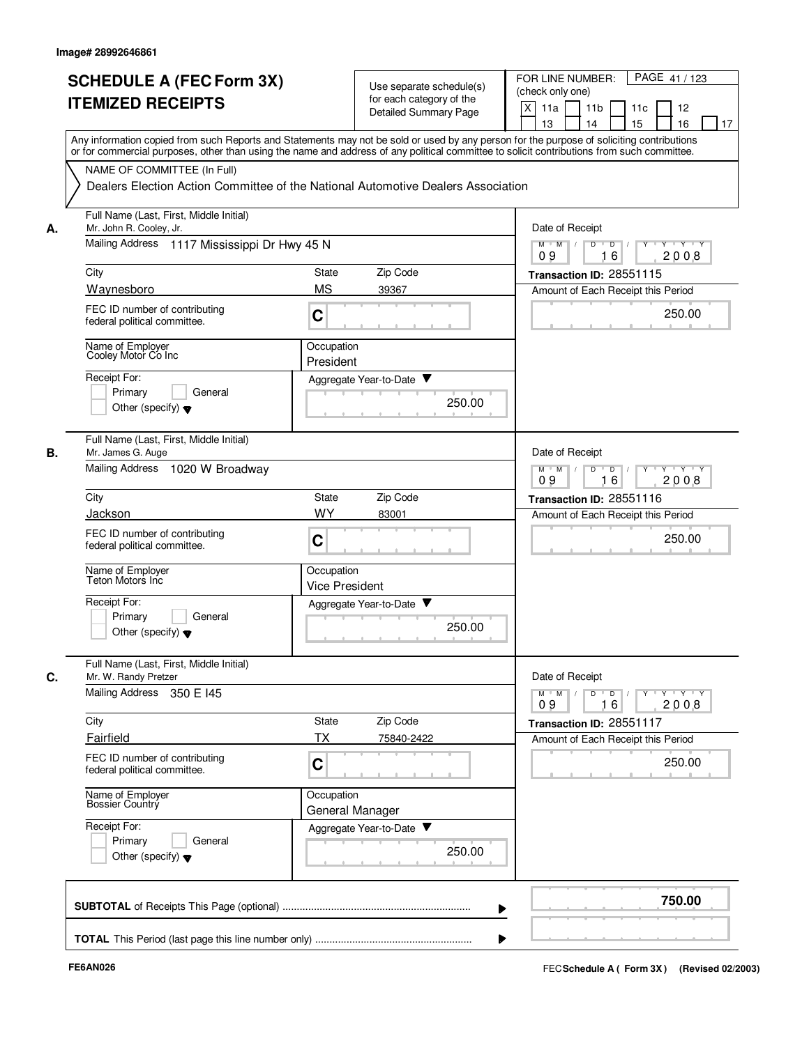|    | <b>SCHEDULE A (FEC Form 3X)</b><br><b>ITEMIZED RECEIPTS</b><br>Any information copied from such Reports and Statements may not be sold or used by any person for the purpose of soliciting contributions<br>or for commercial purposes, other than using the name and address of any political committee to solicit contributions from such committee. |                                     | Use separate schedule(s)<br>for each category of the<br>Detailed Summary Page | PAGE 41/123<br>FOR LINE NUMBER:<br>(check only one)<br>X<br>11a<br>11 <sub>b</sub><br>11c<br>12<br>15<br>13<br>14<br>16<br>17 |
|----|--------------------------------------------------------------------------------------------------------------------------------------------------------------------------------------------------------------------------------------------------------------------------------------------------------------------------------------------------------|-------------------------------------|-------------------------------------------------------------------------------|-------------------------------------------------------------------------------------------------------------------------------|
|    | NAME OF COMMITTEE (In Full)<br>Dealers Election Action Committee of the National Automotive Dealers Association                                                                                                                                                                                                                                        |                                     |                                                                               |                                                                                                                               |
| А. | Full Name (Last, First, Middle Initial)<br>Mr. John R. Cooley, Jr.<br>Mailing Address<br>1117 Mississippi Dr Hwy 45 N                                                                                                                                                                                                                                  |                                     |                                                                               | Date of Receipt<br>D<br>$M$ $M$ /<br>D<br>Y Y Y Y                                                                             |
|    | City                                                                                                                                                                                                                                                                                                                                                   | <b>State</b>                        | Zip Code                                                                      | 16<br>2008<br>09<br>Transaction ID: 28551115                                                                                  |
|    | Waynesboro                                                                                                                                                                                                                                                                                                                                             | <b>MS</b>                           | 39367                                                                         | Amount of Each Receipt this Period                                                                                            |
|    | FEC ID number of contributing<br>federal political committee.                                                                                                                                                                                                                                                                                          | C                                   |                                                                               | 250.00                                                                                                                        |
|    | Name of Employer<br>Cooley Motor Co Inc                                                                                                                                                                                                                                                                                                                | Occupation<br>President             |                                                                               |                                                                                                                               |
|    | Receipt For:<br>Primary<br>General<br>Other (specify) $\blacktriangledown$                                                                                                                                                                                                                                                                             |                                     | Aggregate Year-to-Date ▼<br>250.00                                            |                                                                                                                               |
| В. | Full Name (Last, First, Middle Initial)<br>Mr. James G. Auge<br>Mailing Address 1020 W Broadway                                                                                                                                                                                                                                                        |                                     |                                                                               | Date of Receipt<br>$\mathsf D$<br>$Y - Y - Y$<br>$M$ $M$<br>D<br>Y<br>09<br>2008<br>16                                        |
|    | City                                                                                                                                                                                                                                                                                                                                                   | State                               | Zip Code                                                                      | Transaction ID: 28551116                                                                                                      |
|    | Jackson                                                                                                                                                                                                                                                                                                                                                | <b>WY</b>                           | 83001                                                                         | Amount of Each Receipt this Period                                                                                            |
|    | FEC ID number of contributing<br>federal political committee.                                                                                                                                                                                                                                                                                          | C                                   |                                                                               | 250.00                                                                                                                        |
|    | Name of Employer<br>Teton Motors Inc                                                                                                                                                                                                                                                                                                                   | Occupation<br><b>Vice President</b> |                                                                               |                                                                                                                               |
|    | Receipt For:<br>Primary<br>General<br>Other (specify) $\blacktriangledown$                                                                                                                                                                                                                                                                             |                                     | v<br>Aggregate Year-to-Date<br>250.00                                         |                                                                                                                               |
| C. | Full Name (Last, First, Middle Initial)<br>Mr. W. Randy Pretzer                                                                                                                                                                                                                                                                                        |                                     |                                                                               | Date of Receipt                                                                                                               |
|    | Mailing Address 350 E 145                                                                                                                                                                                                                                                                                                                              |                                     |                                                                               | $Y - Y - Y$<br>$M$ $M$<br>D<br>$\overline{D}$<br>09<br>16<br>2008                                                             |
|    | City<br>Fairfield                                                                                                                                                                                                                                                                                                                                      | State<br><b>TX</b>                  | Zip Code<br>75840-2422                                                        | Transaction ID: 28551117                                                                                                      |
|    | FEC ID number of contributing<br>federal political committee.                                                                                                                                                                                                                                                                                          | C                                   |                                                                               | Amount of Each Receipt this Period<br>250.00                                                                                  |
|    | Name of Employer<br>Bossier Country                                                                                                                                                                                                                                                                                                                    | Occupation                          | General Manager                                                               |                                                                                                                               |
|    | Receipt For:<br>Primary<br>General<br>Other (specify) $\blacktriangledown$                                                                                                                                                                                                                                                                             |                                     | Aggregate Year-to-Date<br>250.00                                              |                                                                                                                               |
|    |                                                                                                                                                                                                                                                                                                                                                        |                                     |                                                                               | 750.00                                                                                                                        |
|    |                                                                                                                                                                                                                                                                                                                                                        |                                     |                                                                               |                                                                                                                               |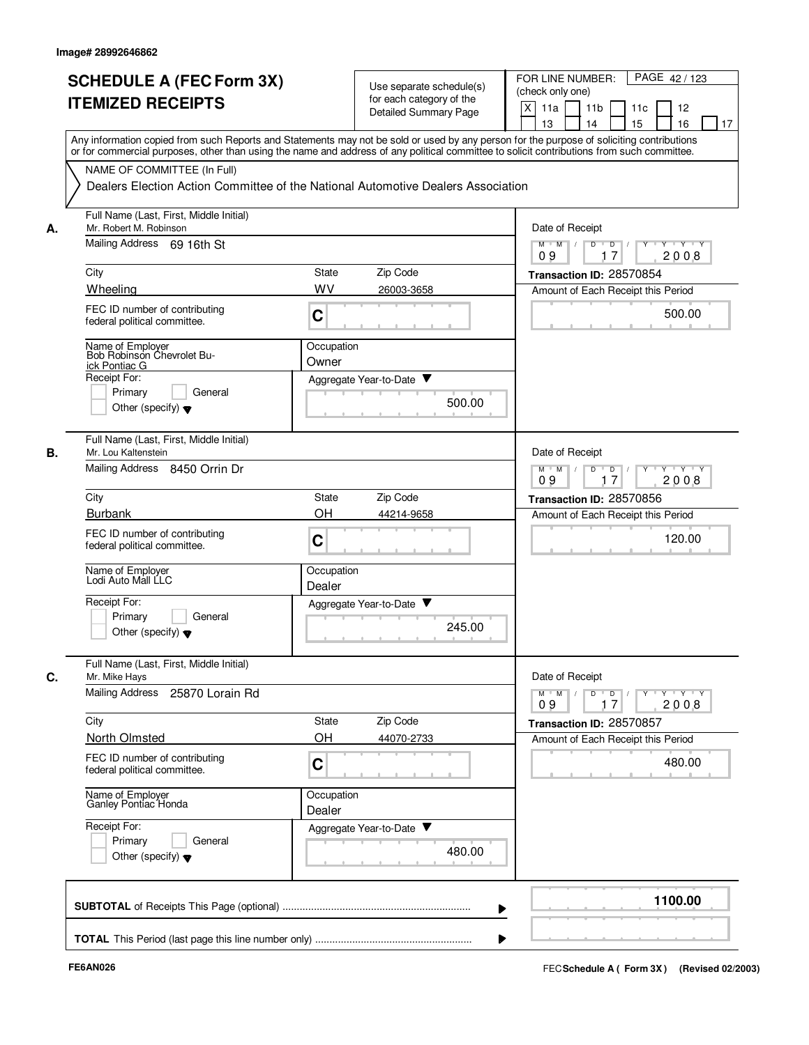|    | <b>SCHEDULE A (FEC Form 3X)</b><br><b>ITEMIZED RECEIPTS</b>                | Use separate schedule(s)<br>for each category of the<br>Detailed Summary Page                                                                                                                                                                                                           | FOR LINE NUMBER:<br>PAGE 42/123<br>(check only one)<br>X<br>11a<br>11 <sub>b</sub><br>11c<br>12<br>13<br>14<br>15<br>16<br>17  |
|----|----------------------------------------------------------------------------|-----------------------------------------------------------------------------------------------------------------------------------------------------------------------------------------------------------------------------------------------------------------------------------------|--------------------------------------------------------------------------------------------------------------------------------|
|    |                                                                            | Any information copied from such Reports and Statements may not be sold or used by any person for the purpose of soliciting contributions<br>or for commercial purposes, other than using the name and address of any political committee to solicit contributions from such committee. |                                                                                                                                |
|    | NAME OF COMMITTEE (In Full)                                                | Dealers Election Action Committee of the National Automotive Dealers Association                                                                                                                                                                                                        |                                                                                                                                |
| А. | Full Name (Last, First, Middle Initial)<br>Mr. Robert M. Robinson          |                                                                                                                                                                                                                                                                                         | Date of Receipt                                                                                                                |
|    | Mailing Address 69 16th St                                                 |                                                                                                                                                                                                                                                                                         | $M$ $M$ /<br>D<br>D<br>Y Y Y Y<br>17<br>2008<br>09                                                                             |
|    | City                                                                       | Zip Code<br><b>State</b>                                                                                                                                                                                                                                                                | Transaction ID: 28570854                                                                                                       |
|    | Wheeling                                                                   | WV<br>26003-3658                                                                                                                                                                                                                                                                        | Amount of Each Receipt this Period                                                                                             |
|    | FEC ID number of contributing<br>federal political committee.              | C                                                                                                                                                                                                                                                                                       | 500.00                                                                                                                         |
|    | Name of Employer<br>Bob Robinson Chevrolet Bu-<br>ick Pontiac G            | Occupation<br>Owner                                                                                                                                                                                                                                                                     |                                                                                                                                |
|    | Receipt For:                                                               | Aggregate Year-to-Date ▼                                                                                                                                                                                                                                                                |                                                                                                                                |
|    | Primary<br>General<br>Other (specify) $\blacktriangledown$                 | 500.00                                                                                                                                                                                                                                                                                  |                                                                                                                                |
| В. | Full Name (Last, First, Middle Initial)<br>Mr. Lou Kaltenstein             |                                                                                                                                                                                                                                                                                         | Date of Receipt                                                                                                                |
|    | <b>Mailing Address</b><br>8450 Orrin Dr                                    |                                                                                                                                                                                                                                                                                         | $M$ M<br>D<br>D<br>$Y \vdash Y \vdash Y$<br>$\sqrt{ }$<br>$\sqrt{ }$<br>09<br>17<br>2008                                       |
|    | City                                                                       | Zip Code<br>State                                                                                                                                                                                                                                                                       | Transaction ID: 28570856                                                                                                       |
|    | <b>Burbank</b>                                                             | OH<br>44214-9658                                                                                                                                                                                                                                                                        | Amount of Each Receipt this Period                                                                                             |
|    | FEC ID number of contributing<br>federal political committee.              | C                                                                                                                                                                                                                                                                                       | 120.00                                                                                                                         |
|    | Name of Employer<br>Lodi Auto Mall LLC                                     | Occupation<br>Dealer                                                                                                                                                                                                                                                                    |                                                                                                                                |
|    | Receipt For:<br>Primary<br>General<br>Other (specify) $\blacktriangledown$ | Aggregate Year-to-Date ▼<br>245.00                                                                                                                                                                                                                                                      |                                                                                                                                |
| C. | Full Name (Last, First, Middle Initial)<br>Mr. Mike Hays                   |                                                                                                                                                                                                                                                                                         | Date of Receipt                                                                                                                |
|    | Mailing Address 25870 Lorain Rd                                            |                                                                                                                                                                                                                                                                                         | $\mathsf{Y} \dashv \mathsf{Y} \dashv \mathsf{Y}$<br>$M$ $M$ /<br>$D$ <sup>U</sup><br>D<br>$Y$ <sup>U</sup><br>17<br>2008<br>09 |
|    | City                                                                       | State<br>Zip Code                                                                                                                                                                                                                                                                       | Transaction ID: 28570857                                                                                                       |
|    | North Olmsted                                                              | OH<br>44070-2733                                                                                                                                                                                                                                                                        | Amount of Each Receipt this Period                                                                                             |
|    | FEC ID number of contributing<br>federal political committee.              | C                                                                                                                                                                                                                                                                                       | 480.00                                                                                                                         |
|    | Name of Employer<br>Ganley Pontiac Honda                                   | Occupation<br>Dealer                                                                                                                                                                                                                                                                    |                                                                                                                                |
|    | Receipt For:<br>Primary<br>General<br>Other (specify) $\blacktriangledown$ | Aggregate Year-to-Date<br>480.00                                                                                                                                                                                                                                                        |                                                                                                                                |
|    |                                                                            |                                                                                                                                                                                                                                                                                         | 1100.00                                                                                                                        |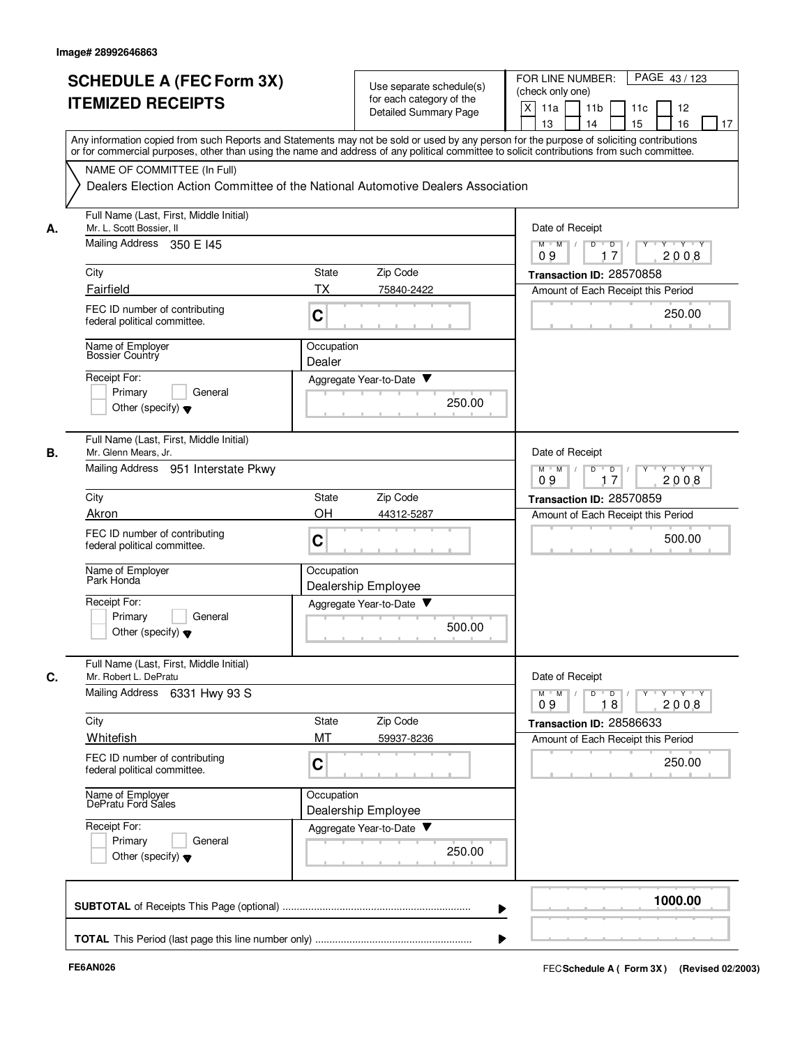|    | <b>SCHEDULE A (FEC Form 3X)</b><br><b>ITEMIZED RECEIPTS</b>                                                                                                                                                                                                                             | Use separate schedule(s)<br>for each category of the<br><b>Detailed Summary Page</b> |        | FOR LINE NUMBER:<br>PAGE 43/123<br>(check only one)<br>$\times$<br>11a<br>11 <sub>b</sub><br>11c<br>12<br>13<br>14<br>15<br>16<br>17 |
|----|-----------------------------------------------------------------------------------------------------------------------------------------------------------------------------------------------------------------------------------------------------------------------------------------|--------------------------------------------------------------------------------------|--------|--------------------------------------------------------------------------------------------------------------------------------------|
|    | Any information copied from such Reports and Statements may not be sold or used by any person for the purpose of soliciting contributions<br>or for commercial purposes, other than using the name and address of any political committee to solicit contributions from such committee. |                                                                                      |        |                                                                                                                                      |
|    | NAME OF COMMITTEE (In Full)<br>Dealers Election Action Committee of the National Automotive Dealers Association                                                                                                                                                                         |                                                                                      |        |                                                                                                                                      |
| А. | Full Name (Last, First, Middle Initial)<br>Mr. L. Scott Bossier, II                                                                                                                                                                                                                     |                                                                                      |        | Date of Receipt                                                                                                                      |
|    | Mailing Address 350 E 145                                                                                                                                                                                                                                                               |                                                                                      |        | $M$ $M$ /<br>$Y - Y - Y$<br>D<br>$\overline{\phantom{0}}$ D<br>17<br>2008<br>09                                                      |
|    | City                                                                                                                                                                                                                                                                                    | Zip Code<br>State                                                                    |        | Transaction ID: 28570858                                                                                                             |
|    | Fairfield<br>FEC ID number of contributing                                                                                                                                                                                                                                              | TX<br>75840-2422                                                                     |        | Amount of Each Receipt this Period<br>250.00                                                                                         |
|    | federal political committee.                                                                                                                                                                                                                                                            | C                                                                                    |        |                                                                                                                                      |
|    | Name of Employer<br><b>Bossier Country</b>                                                                                                                                                                                                                                              | Occupation<br>Dealer                                                                 |        |                                                                                                                                      |
|    | Receipt For:                                                                                                                                                                                                                                                                            | Aggregate Year-to-Date ▼                                                             |        |                                                                                                                                      |
|    | Primary<br>General<br>Other (specify) $\blacktriangledown$                                                                                                                                                                                                                              |                                                                                      | 250.00 |                                                                                                                                      |
| В. | Full Name (Last, First, Middle Initial)<br>Mr. Glenn Mears, Jr.                                                                                                                                                                                                                         |                                                                                      |        | Date of Receipt                                                                                                                      |
|    | Mailing Address 951 Interstate Pkwy                                                                                                                                                                                                                                                     |                                                                                      |        | D<br>$M$ M<br>$\sqrt{ }$<br>$\overline{D}$<br>$Y + Y + Y$<br>2008<br>09<br>17                                                        |
|    | City                                                                                                                                                                                                                                                                                    | Zip Code<br><b>State</b>                                                             |        | Transaction ID: 28570859                                                                                                             |
|    | Akron                                                                                                                                                                                                                                                                                   | OH<br>44312-5287                                                                     |        | Amount of Each Receipt this Period                                                                                                   |
|    | FEC ID number of contributing<br>federal political committee.                                                                                                                                                                                                                           | C                                                                                    |        | 500.00                                                                                                                               |
|    | Name of Employer<br>Park Honda                                                                                                                                                                                                                                                          | Occupation<br>Dealership Employee                                                    |        |                                                                                                                                      |
|    | Receipt For:<br>Primary<br>General<br>Other (specify) $\blacktriangledown$                                                                                                                                                                                                              | Aggregate Year-to-Date $\blacktriangledown$                                          | 500.00 |                                                                                                                                      |
| C. | Full Name (Last, First, Middle Initial)<br>Mr. Robert L. DePratu<br>Mailing Address 6331 Hwy 93 S                                                                                                                                                                                       |                                                                                      |        | Date of Receipt<br>$\overline{Y}$<br>$Y + Y + Y$<br>$M$ $M$ $/$<br>$D$ $D$ $/$                                                       |
|    | City                                                                                                                                                                                                                                                                                    | State<br>Zip Code                                                                    |        | 2008<br>09<br>18<br>Transaction ID: 28586633                                                                                         |
|    | Whitefish                                                                                                                                                                                                                                                                               | MT<br>59937-8236                                                                     |        | Amount of Each Receipt this Period                                                                                                   |
|    | FEC ID number of contributing<br>federal political committee.                                                                                                                                                                                                                           | C                                                                                    |        | 250.00                                                                                                                               |
|    | Name of Employer<br>DePratu Ford Sales                                                                                                                                                                                                                                                  | Occupation<br>Dealership Employee                                                    |        |                                                                                                                                      |
|    | Receipt For:<br>Primary<br>General<br>Other (specify) $\blacktriangledown$                                                                                                                                                                                                              | Aggregate Year-to-Date                                                               | 250.00 |                                                                                                                                      |
|    |                                                                                                                                                                                                                                                                                         |                                                                                      |        | 1000.00                                                                                                                              |
|    |                                                                                                                                                                                                                                                                                         |                                                                                      |        |                                                                                                                                      |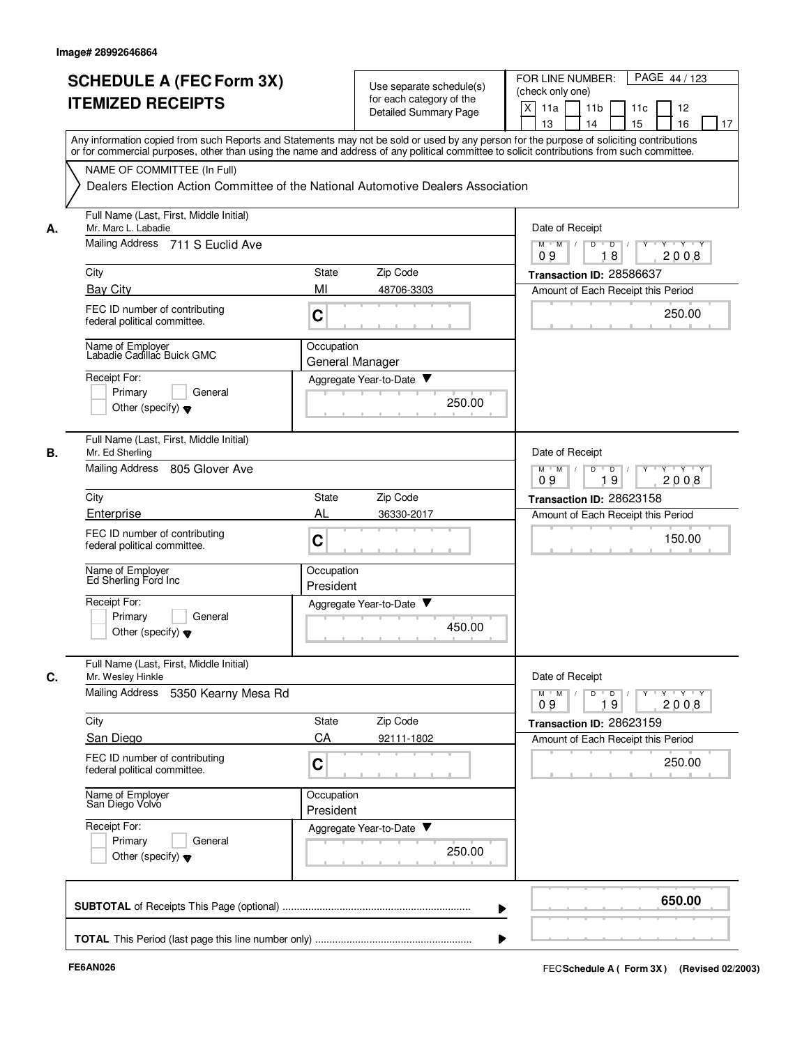|    | <b>SCHEDULE A (FEC Form 3X)</b><br><b>ITEMIZED RECEIPTS</b><br>Any information copied from such Reports and Statements may not be sold or used by any person for the purpose of soliciting contributions |                               | Use separate schedule(s)<br>for each category of the<br>Detailed Summary Page | FOR LINE NUMBER:<br>PAGE 44/123<br>(check only one)<br>X<br>11a<br>11 <sub>b</sub><br>11c<br>12<br>13<br>14<br>15<br>16<br>17 |
|----|----------------------------------------------------------------------------------------------------------------------------------------------------------------------------------------------------------|-------------------------------|-------------------------------------------------------------------------------|-------------------------------------------------------------------------------------------------------------------------------|
|    | or for commercial purposes, other than using the name and address of any political committee to solicit contributions from such committee.                                                               |                               |                                                                               |                                                                                                                               |
|    | NAME OF COMMITTEE (In Full)<br>Dealers Election Action Committee of the National Automotive Dealers Association                                                                                          |                               |                                                                               |                                                                                                                               |
| А. | Full Name (Last, First, Middle Initial)<br>Mr. Marc L. Labadie                                                                                                                                           |                               |                                                                               | Date of Receipt                                                                                                               |
|    | Mailing Address<br>711 S Euclid Ave                                                                                                                                                                      |                               |                                                                               | $M$ $M$ /<br>D<br>$\overline{D}$<br>Y Y Y Y<br>18<br>2008<br>09                                                               |
|    | City                                                                                                                                                                                                     | State                         | Zip Code                                                                      | Transaction ID: 28586637                                                                                                      |
|    | <b>Bay City</b>                                                                                                                                                                                          | MI                            | 48706-3303                                                                    | Amount of Each Receipt this Period                                                                                            |
|    | FEC ID number of contributing<br>federal political committee.                                                                                                                                            | C                             |                                                                               | 250.00                                                                                                                        |
|    | Name of Employer<br>Labadie Cadillac Buick GMC                                                                                                                                                           | Occupation<br>General Manager |                                                                               |                                                                                                                               |
|    | Receipt For:                                                                                                                                                                                             |                               | Aggregate Year-to-Date                                                        |                                                                                                                               |
|    | Primary<br>General<br>Other (specify) $\blacktriangledown$                                                                                                                                               |                               | 250.00                                                                        |                                                                                                                               |
| В. | Full Name (Last, First, Middle Initial)<br>Mr. Ed Sherling                                                                                                                                               |                               |                                                                               | Date of Receipt                                                                                                               |
|    | <b>Mailing Address</b><br>805 Glover Ave                                                                                                                                                                 |                               |                                                                               | D<br>$M$ M<br>$\sqrt{ }$<br>$\overline{D}$<br>Y 'Y 'Y<br>$\sqrt{ }$<br>19<br>2008<br>09                                       |
|    | City                                                                                                                                                                                                     | State                         | Zip Code                                                                      | Transaction ID: 28623158                                                                                                      |
|    | Enterprise                                                                                                                                                                                               | AL                            | 36330-2017                                                                    | Amount of Each Receipt this Period                                                                                            |
|    | FEC ID number of contributing<br>federal political committee.                                                                                                                                            | C                             |                                                                               | 150.00                                                                                                                        |
|    | Name of Employer<br>Ed Sherling Ford Inc                                                                                                                                                                 | Occupation<br>President       |                                                                               |                                                                                                                               |
|    | Receipt For:                                                                                                                                                                                             |                               | Aggregate Year-to-Date ▼                                                      |                                                                                                                               |
|    | Primary<br>General<br>Other (specify) $\blacktriangledown$                                                                                                                                               |                               | 450.00                                                                        |                                                                                                                               |
| C. | Full Name (Last, First, Middle Initial)<br>Mr. Wesley Hinkle                                                                                                                                             |                               |                                                                               | Date of Receipt                                                                                                               |
|    | Mailing Address<br>5350 Kearny Mesa Rd                                                                                                                                                                   |                               |                                                                               | $Y$ $Y$ $Y$ $Y$<br>$D$ $D$ $I$<br>$Y$ <sup>U</sup><br>$M$ $M$ /<br>19<br>2008<br>09                                           |
|    | City                                                                                                                                                                                                     | State                         | Zip Code                                                                      | Transaction ID: 28623159                                                                                                      |
|    | San Diego                                                                                                                                                                                                | CA                            | 92111-1802                                                                    | Amount of Each Receipt this Period                                                                                            |
|    | FEC ID number of contributing<br>federal political committee.                                                                                                                                            | C                             |                                                                               | 250.00                                                                                                                        |
|    | Name of Employer<br>San Diego Volvo                                                                                                                                                                      | Occupation<br>President       |                                                                               |                                                                                                                               |
|    | Receipt For:                                                                                                                                                                                             |                               | Aggregate Year-to-Date                                                        |                                                                                                                               |
|    | Primary<br>General<br>Other (specify) $\blacktriangledown$                                                                                                                                               |                               | 250.00                                                                        |                                                                                                                               |
|    |                                                                                                                                                                                                          |                               |                                                                               | 650.00                                                                                                                        |
|    |                                                                                                                                                                                                          |                               |                                                                               |                                                                                                                               |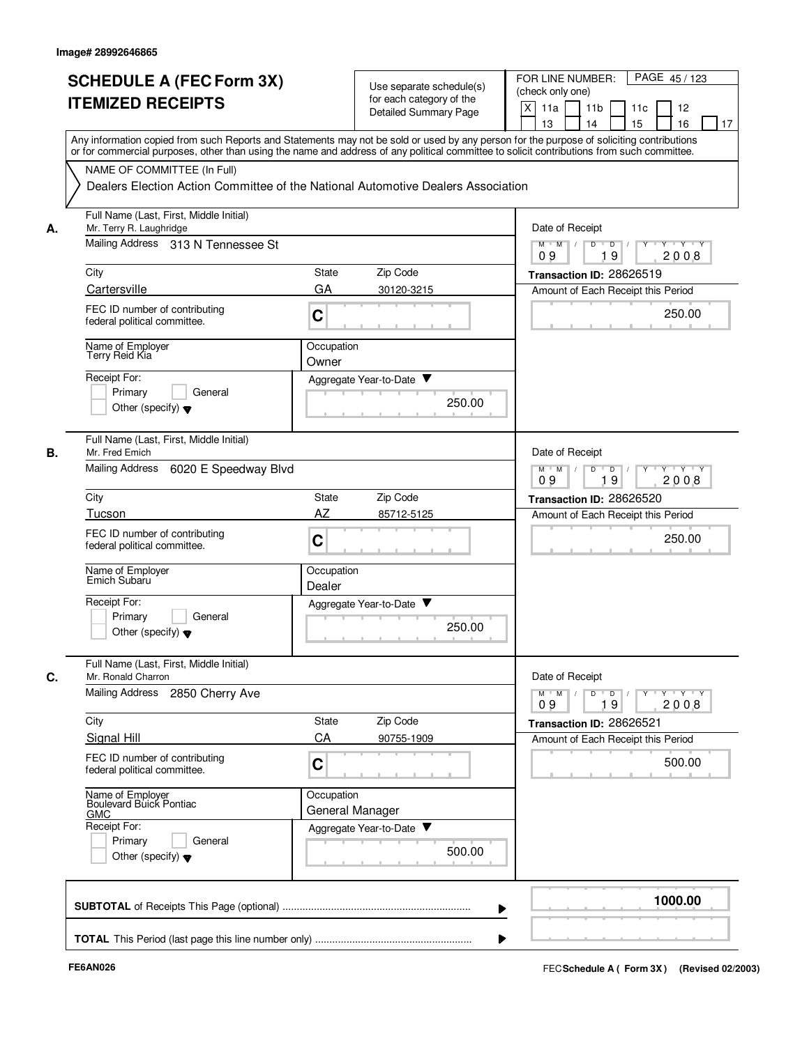|    | <b>SCHEDULE A (FEC Form 3X)</b>                                                                                                                                                                                                                                                         |                      |                                                      | PAGE 45/123<br>FOR LINE NUMBER:                           |
|----|-----------------------------------------------------------------------------------------------------------------------------------------------------------------------------------------------------------------------------------------------------------------------------------------|----------------------|------------------------------------------------------|-----------------------------------------------------------|
|    | <b>ITEMIZED RECEIPTS</b>                                                                                                                                                                                                                                                                |                      | Use separate schedule(s)<br>for each category of the | (check only one)                                          |
|    |                                                                                                                                                                                                                                                                                         |                      | <b>Detailed Summary Page</b>                         | X<br>11a<br>11 <sub>b</sub><br>11c<br>12<br>15<br>14      |
|    | Any information copied from such Reports and Statements may not be sold or used by any person for the purpose of soliciting contributions<br>or for commercial purposes, other than using the name and address of any political committee to solicit contributions from such committee. |                      |                                                      | 13<br>16<br>17                                            |
|    | NAME OF COMMITTEE (In Full)                                                                                                                                                                                                                                                             |                      |                                                      |                                                           |
|    | Dealers Election Action Committee of the National Automotive Dealers Association                                                                                                                                                                                                        |                      |                                                      |                                                           |
| А. | Full Name (Last, First, Middle Initial)<br>Mr. Terry R. Laughridge                                                                                                                                                                                                                      |                      |                                                      | Date of Receipt                                           |
|    | Mailing Address 313 N Tennessee St                                                                                                                                                                                                                                                      |                      |                                                      | $M$ $M$ $/$<br>D<br>D<br>$+Y+Y$<br>19<br>2008<br>09       |
|    | City                                                                                                                                                                                                                                                                                    | <b>State</b>         | Zip Code                                             | Transaction ID: 28626519                                  |
|    | Cartersville                                                                                                                                                                                                                                                                            | GA                   | 30120-3215                                           | Amount of Each Receipt this Period                        |
|    | FEC ID number of contributing<br>federal political committee.                                                                                                                                                                                                                           | C                    |                                                      | 250.00                                                    |
|    | Name of Employer<br>Terry Reid Kia                                                                                                                                                                                                                                                      | Occupation           |                                                      |                                                           |
|    | Receipt For:                                                                                                                                                                                                                                                                            | Owner                |                                                      |                                                           |
|    | Primary<br>General                                                                                                                                                                                                                                                                      |                      | Aggregate Year-to-Date ▼                             |                                                           |
|    | Other (specify) $\blacktriangledown$                                                                                                                                                                                                                                                    |                      | 250.00                                               |                                                           |
| В. | Full Name (Last, First, Middle Initial)<br>Mr. Fred Emich                                                                                                                                                                                                                               |                      |                                                      | Date of Receipt                                           |
|    | <b>Mailing Address</b><br>6020 E Speedway Blvd                                                                                                                                                                                                                                          |                      |                                                      | $Y - Y - Y$<br>$M$ M<br>D<br>D<br>19<br>09<br>2008        |
|    | City                                                                                                                                                                                                                                                                                    | State                | Zip Code                                             | Transaction ID: 28626520                                  |
|    | Tucson                                                                                                                                                                                                                                                                                  | AZ                   | 85712-5125                                           | Amount of Each Receipt this Period                        |
|    | FEC ID number of contributing<br>federal political committee.                                                                                                                                                                                                                           | C                    |                                                      | 250.00                                                    |
|    | Name of Employer<br>Emich Subaru                                                                                                                                                                                                                                                        | Occupation<br>Dealer |                                                      |                                                           |
|    | Receipt For:                                                                                                                                                                                                                                                                            |                      | v<br>Aggregate Year-to-Date                          |                                                           |
|    | Primary<br>General<br>Other (specify) $\blacktriangledown$                                                                                                                                                                                                                              |                      | 250.00                                               |                                                           |
| C. | Full Name (Last, First, Middle Initial)<br>Mr. Ronald Charron                                                                                                                                                                                                                           |                      |                                                      | Date of Receipt                                           |
|    | Mailing Address 2850 Cherry Ave                                                                                                                                                                                                                                                         |                      |                                                      | $M$ $M$ $M$<br>y y y y y y<br>$D$ $D$<br>19<br>2008<br>09 |
|    | City                                                                                                                                                                                                                                                                                    | <b>State</b>         | Zip Code                                             | Transaction ID: 28626521                                  |
|    | Signal Hill                                                                                                                                                                                                                                                                             | CA                   | 90755-1909                                           | Amount of Each Receipt this Period                        |
|    | FEC ID number of contributing<br>federal political committee.                                                                                                                                                                                                                           | C                    |                                                      | 500.00                                                    |
|    | Name of Employer<br>Boulevard Buick Pontiac<br><b>GMC</b>                                                                                                                                                                                                                               | Occupation           | General Manager                                      |                                                           |
|    | Receipt For:                                                                                                                                                                                                                                                                            |                      | Aggregate Year-to-Date                               |                                                           |
|    | Primary<br>General<br>Other (specify) $\blacktriangledown$                                                                                                                                                                                                                              |                      | 500.00                                               |                                                           |
|    |                                                                                                                                                                                                                                                                                         |                      |                                                      | 1000.00                                                   |
|    |                                                                                                                                                                                                                                                                                         |                      |                                                      |                                                           |
|    |                                                                                                                                                                                                                                                                                         |                      |                                                      |                                                           |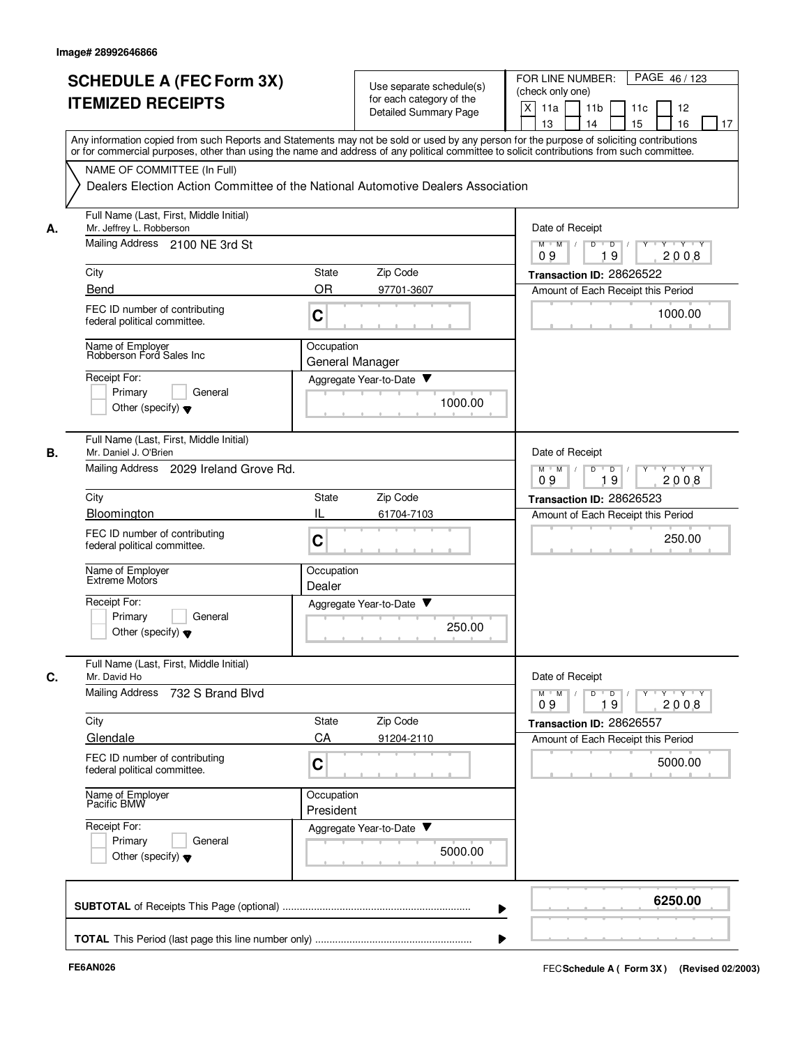| <b>SCHEDULE A (FEC Form 3X)</b><br><b>ITEMIZED RECEIPTS</b>                                                      | Use separate schedule(s)<br>for each category of the<br>Detailed Summary Page                                                                                                                                                                                                                                                                                               | PAGE 46/123<br>FOR LINE NUMBER:<br>(check only one)<br>X<br>11 <sub>b</sub><br>11a<br>11c<br>12<br>13<br>15<br>16<br>14<br>17 |
|------------------------------------------------------------------------------------------------------------------|-----------------------------------------------------------------------------------------------------------------------------------------------------------------------------------------------------------------------------------------------------------------------------------------------------------------------------------------------------------------------------|-------------------------------------------------------------------------------------------------------------------------------|
| NAME OF COMMITTEE (In Full)                                                                                      | Any information copied from such Reports and Statements may not be sold or used by any person for the purpose of soliciting contributions<br>or for commercial purposes, other than using the name and address of any political committee to solicit contributions from such committee.<br>Dealers Election Action Committee of the National Automotive Dealers Association |                                                                                                                               |
| Full Name (Last, First, Middle Initial)<br>Mr. Jeffrey L. Robberson<br>А.<br>Mailing Address 2100 NE 3rd St      |                                                                                                                                                                                                                                                                                                                                                                             | Date of Receipt<br>$M$ $M$ $/$<br>$D$ $D$ $/$<br>Y Y Y Y<br>09<br>19<br>2008                                                  |
| City                                                                                                             | Zip Code<br>State                                                                                                                                                                                                                                                                                                                                                           | Transaction ID: 28626522                                                                                                      |
| Bend                                                                                                             | <b>OR</b><br>97701-3607                                                                                                                                                                                                                                                                                                                                                     | Amount of Each Receipt this Period                                                                                            |
| FEC ID number of contributing<br>federal political committee.                                                    | $\mathbf C$                                                                                                                                                                                                                                                                                                                                                                 | 1000.00                                                                                                                       |
| Name of Employer<br>Robberson Ford Sales Inc                                                                     | Occupation<br>General Manager                                                                                                                                                                                                                                                                                                                                               |                                                                                                                               |
| Receipt For:<br>Primary<br>General<br>Other (specify) $\blacktriangledown$                                       | Aggregate Year-to-Date<br>1000.00                                                                                                                                                                                                                                                                                                                                           |                                                                                                                               |
| Full Name (Last, First, Middle Initial)<br>В.<br>Mr. Daniel J. O'Brien<br>Mailing Address 2029 Ireland Grove Rd. |                                                                                                                                                                                                                                                                                                                                                                             | Date of Receipt<br>$M$ M<br>D<br>Y 'Y 'Y<br>D                                                                                 |
|                                                                                                                  |                                                                                                                                                                                                                                                                                                                                                                             | 19<br>2008<br>09                                                                                                              |
| City<br>Bloomington                                                                                              | Zip Code<br>State<br>IL                                                                                                                                                                                                                                                                                                                                                     | Transaction ID: 28626523                                                                                                      |
| FEC ID number of contributing<br>federal political committee.                                                    | 61704-7103<br>C                                                                                                                                                                                                                                                                                                                                                             | Amount of Each Receipt this Period<br>250.00                                                                                  |
| Name of Employer<br>Extreme Motors                                                                               | Occupation<br>Dealer                                                                                                                                                                                                                                                                                                                                                        |                                                                                                                               |
| Receipt For:<br>Primary<br>General<br>Other (specify) $\blacktriangledown$                                       | Aggregate Year-to-Date<br>250.00                                                                                                                                                                                                                                                                                                                                            |                                                                                                                               |
| Full Name (Last, First, Middle Initial)<br>C.<br>Mr. David Ho                                                    |                                                                                                                                                                                                                                                                                                                                                                             | Date of Receipt                                                                                                               |
| Mailing Address 732 S Brand Blvd                                                                                 |                                                                                                                                                                                                                                                                                                                                                                             | $Y - Y - Y - Y$<br>$M$ $M$<br>D<br>$\overline{D}$<br>Y<br>2008<br>09<br>19                                                    |
| City                                                                                                             | State<br>Zip Code                                                                                                                                                                                                                                                                                                                                                           | Transaction ID: 28626557                                                                                                      |
| Glendale<br>FEC ID number of contributing<br>federal political committee.                                        | CA<br>91204-2110<br>$\mathbf C$                                                                                                                                                                                                                                                                                                                                             | Amount of Each Receipt this Period<br>5000.00                                                                                 |
| Name of Employer<br>Pacific BMW                                                                                  | Occupation<br>President                                                                                                                                                                                                                                                                                                                                                     |                                                                                                                               |
| Receipt For:<br>Primary<br>General<br>Other (specify) $\blacktriangledown$                                       | Aggregate Year-to-Date<br>5000.00                                                                                                                                                                                                                                                                                                                                           |                                                                                                                               |
|                                                                                                                  |                                                                                                                                                                                                                                                                                                                                                                             | 6250.00                                                                                                                       |
|                                                                                                                  |                                                                                                                                                                                                                                                                                                                                                                             |                                                                                                                               |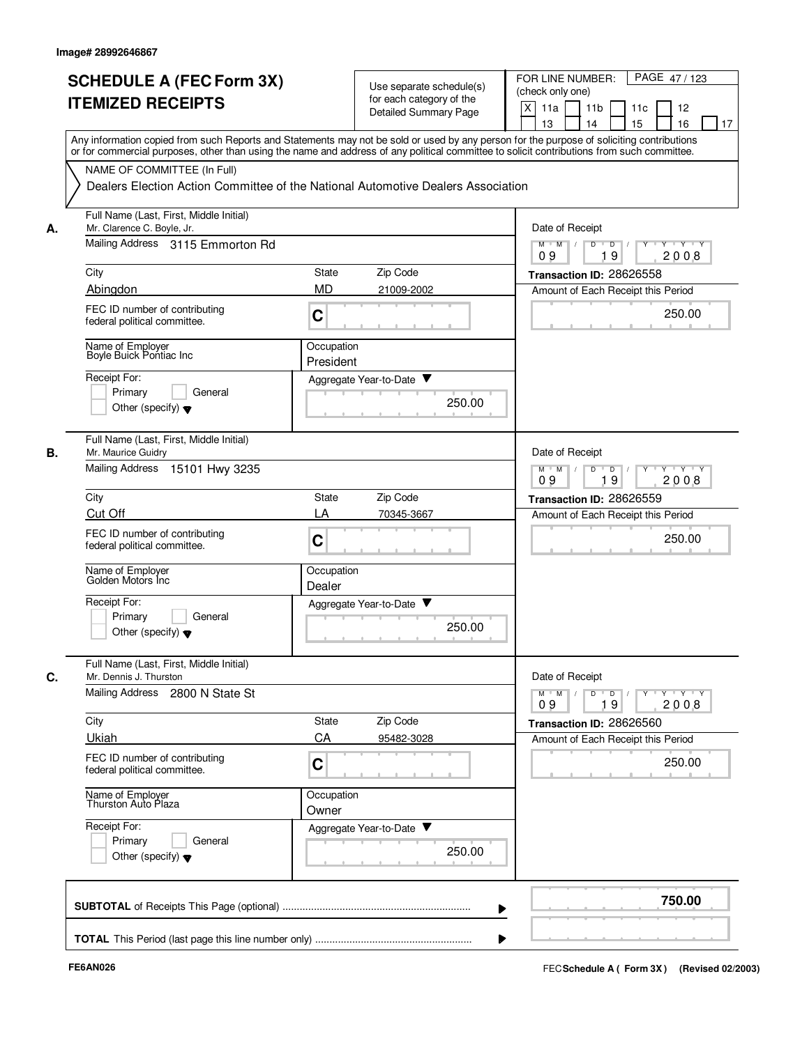|    | <b>SCHEDULE A (FEC Form 3X)</b><br><b>ITEMIZED RECEIPTS</b>                                     | Use separate schedule(s)<br>for each category of the<br><b>Detailed Summary Page</b>                                                                                                                                                                                                    | PAGE 47/123<br>FOR LINE NUMBER:<br>(check only one)<br>X<br>11 <sub>b</sub><br>11a<br>11 <sub>c</sub><br>12<br>13<br>14<br>15<br>16<br>17 |
|----|-------------------------------------------------------------------------------------------------|-----------------------------------------------------------------------------------------------------------------------------------------------------------------------------------------------------------------------------------------------------------------------------------------|-------------------------------------------------------------------------------------------------------------------------------------------|
|    | NAME OF COMMITTEE (In Full)                                                                     | Any information copied from such Reports and Statements may not be sold or used by any person for the purpose of soliciting contributions<br>or for commercial purposes, other than using the name and address of any political committee to solicit contributions from such committee. |                                                                                                                                           |
|    | Full Name (Last, First, Middle Initial)                                                         | Dealers Election Action Committee of the National Automotive Dealers Association                                                                                                                                                                                                        |                                                                                                                                           |
| А. | Mr. Clarence C. Boyle, Jr.<br>Mailing Address 3115 Emmorton Rd                                  |                                                                                                                                                                                                                                                                                         | Date of Receipt<br>$M$ $M$ $/$<br>D<br>$\overline{D}$ /<br>$Y - Y - Y$                                                                    |
|    |                                                                                                 |                                                                                                                                                                                                                                                                                         | 19<br>09<br>2008                                                                                                                          |
|    | City<br>Abingdon                                                                                | Zip Code<br><b>State</b><br><b>MD</b><br>21009-2002                                                                                                                                                                                                                                     | Transaction ID: 28626558                                                                                                                  |
|    | FEC ID number of contributing<br>federal political committee.                                   | C                                                                                                                                                                                                                                                                                       | Amount of Each Receipt this Period<br>250.00                                                                                              |
|    | Name of Employer<br>Boyle Buick Pontiac Inc                                                     | Occupation<br>President                                                                                                                                                                                                                                                                 |                                                                                                                                           |
|    | Receipt For:<br>Primary<br>General<br>Other (specify) $\blacktriangledown$                      | Aggregate Year-to-Date ▼<br>250.00                                                                                                                                                                                                                                                      |                                                                                                                                           |
| В. | Full Name (Last, First, Middle Initial)<br>Mr. Maurice Guidry<br>Mailing Address 15101 Hwy 3235 |                                                                                                                                                                                                                                                                                         | Date of Receipt<br>$Y - Y - Y$<br>$M$ M<br>$\overline{D}$<br>D                                                                            |
|    |                                                                                                 |                                                                                                                                                                                                                                                                                         | 2008<br>09<br>19                                                                                                                          |
|    | City                                                                                            | Zip Code<br><b>State</b><br>LA                                                                                                                                                                                                                                                          | Transaction ID: 28626559                                                                                                                  |
|    | <b>Cut Off</b><br>FEC ID number of contributing<br>federal political committee.                 | 70345-3667<br>C                                                                                                                                                                                                                                                                         | Amount of Each Receipt this Period<br>250.00                                                                                              |
|    | Name of Employer<br>Golden Motors Inc                                                           | Occupation<br>Dealer                                                                                                                                                                                                                                                                    |                                                                                                                                           |
|    | Receipt For:<br>Primary<br>General<br>Other (specify) $\blacktriangledown$                      | ▼<br>Aggregate Year-to-Date<br>250.00                                                                                                                                                                                                                                                   |                                                                                                                                           |
| C. | Full Name (Last, First, Middle Initial)<br>Mr. Dennis J. Thurston                               |                                                                                                                                                                                                                                                                                         | Date of Receipt                                                                                                                           |
|    | Mailing Address 2800 N State St                                                                 |                                                                                                                                                                                                                                                                                         | Y 'Y 'Y<br>$M$ $M$ /<br>D<br>$\overline{D}$<br>$Y$ <sup>-1</sup><br>2008<br>09<br>19                                                      |
|    | City                                                                                            | Zip Code<br><b>State</b>                                                                                                                                                                                                                                                                | Transaction ID: 28626560                                                                                                                  |
|    | Ukiah                                                                                           | CA<br>95482-3028                                                                                                                                                                                                                                                                        | Amount of Each Receipt this Period                                                                                                        |
|    | FEC ID number of contributing<br>federal political committee.                                   | C                                                                                                                                                                                                                                                                                       | 250.00                                                                                                                                    |
|    | Name of Employer<br>Thurston Auto Plaza                                                         | Occupation<br>Owner                                                                                                                                                                                                                                                                     |                                                                                                                                           |
|    | Receipt For:<br>Primary<br>General<br>Other (specify) $\blacktriangledown$                      | Aggregate Year-to-Date<br>250.00                                                                                                                                                                                                                                                        |                                                                                                                                           |
|    |                                                                                                 |                                                                                                                                                                                                                                                                                         | 750.00                                                                                                                                    |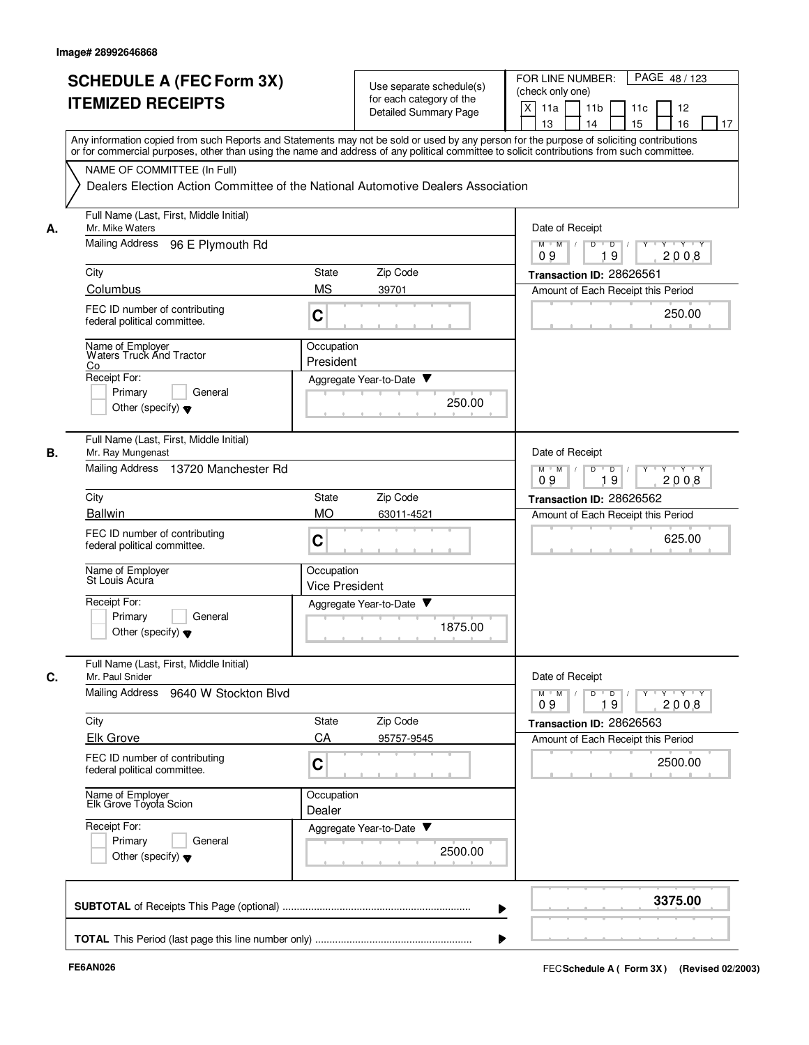| NAME OF COMMITTEE (In Full)<br>Full Name (Last, First, Middle Initial)<br>Mr. Mike Waters<br>Mailing Address<br>96 E Plymouth Rd<br>FEC ID number of contributing<br>federal political committee.<br>Name of Employer<br>Waters Truck And Tractor<br>General<br>Other (specify) $\blacktriangledown$ | Any information copied from such Reports and Statements may not be sold or used by any person for the purpose of soliciting contributions<br>or for commercial purposes, other than using the name and address of any political committee to solicit contributions from such committee.<br>Dealers Election Action Committee of the National Automotive Dealers Association<br>Zip Code<br><b>State</b><br><b>MS</b><br>39701<br>C<br>Occupation<br>President<br>Aggregate Year-to-Date ▼<br>250.00 | Date of Receipt<br>$M$ $M$ /<br>$Y \vdash Y \vdash Y$<br>D<br>$\overline{D}$<br>19<br>2008<br>09<br>Transaction ID: 28626561<br>Amount of Each Receipt this Period<br>250.00 |
|------------------------------------------------------------------------------------------------------------------------------------------------------------------------------------------------------------------------------------------------------------------------------------------------------|-----------------------------------------------------------------------------------------------------------------------------------------------------------------------------------------------------------------------------------------------------------------------------------------------------------------------------------------------------------------------------------------------------------------------------------------------------------------------------------------------------|------------------------------------------------------------------------------------------------------------------------------------------------------------------------------|
|                                                                                                                                                                                                                                                                                                      |                                                                                                                                                                                                                                                                                                                                                                                                                                                                                                     |                                                                                                                                                                              |
|                                                                                                                                                                                                                                                                                                      |                                                                                                                                                                                                                                                                                                                                                                                                                                                                                                     |                                                                                                                                                                              |
|                                                                                                                                                                                                                                                                                                      |                                                                                                                                                                                                                                                                                                                                                                                                                                                                                                     |                                                                                                                                                                              |
|                                                                                                                                                                                                                                                                                                      |                                                                                                                                                                                                                                                                                                                                                                                                                                                                                                     |                                                                                                                                                                              |
|                                                                                                                                                                                                                                                                                                      |                                                                                                                                                                                                                                                                                                                                                                                                                                                                                                     |                                                                                                                                                                              |
|                                                                                                                                                                                                                                                                                                      |                                                                                                                                                                                                                                                                                                                                                                                                                                                                                                     |                                                                                                                                                                              |
|                                                                                                                                                                                                                                                                                                      |                                                                                                                                                                                                                                                                                                                                                                                                                                                                                                     |                                                                                                                                                                              |
| Full Name (Last, First, Middle Initial)<br>Mr. Ray Mungenast<br>Mailing Address 13720 Manchester Rd                                                                                                                                                                                                  |                                                                                                                                                                                                                                                                                                                                                                                                                                                                                                     | Date of Receipt<br>D<br>$M$ $M$<br>$\sqrt{ }$<br>$\overline{D}$<br>$Y + Y + Y$                                                                                               |
|                                                                                                                                                                                                                                                                                                      |                                                                                                                                                                                                                                                                                                                                                                                                                                                                                                     | 09<br>19<br>2008                                                                                                                                                             |
|                                                                                                                                                                                                                                                                                                      | Zip Code<br><b>State</b><br><b>MO</b><br>63011-4521                                                                                                                                                                                                                                                                                                                                                                                                                                                 | Transaction ID: 28626562                                                                                                                                                     |
| FEC ID number of contributing<br>federal political committee.                                                                                                                                                                                                                                        | C                                                                                                                                                                                                                                                                                                                                                                                                                                                                                                   | Amount of Each Receipt this Period<br>625.00                                                                                                                                 |
| Name of Employer<br>St Louis Acura                                                                                                                                                                                                                                                                   | Occupation<br><b>Vice President</b>                                                                                                                                                                                                                                                                                                                                                                                                                                                                 |                                                                                                                                                                              |
| General<br>Other (specify) $\blacktriangledown$                                                                                                                                                                                                                                                      | Aggregate Year-to-Date<br>1875.00                                                                                                                                                                                                                                                                                                                                                                                                                                                                   |                                                                                                                                                                              |
| Full Name (Last, First, Middle Initial)<br>Mr. Paul Snider<br>Mailing Address 9640 W Stockton Blvd                                                                                                                                                                                                   |                                                                                                                                                                                                                                                                                                                                                                                                                                                                                                     | Date of Receipt<br>$Y$ $Y$ $Y$<br>$M$ $M$ /<br>$D$ $D$ $I$<br>$Y$ <sup>U</sup>                                                                                               |
|                                                                                                                                                                                                                                                                                                      | State<br>Zip Code                                                                                                                                                                                                                                                                                                                                                                                                                                                                                   | 2008<br>09<br>19<br>Transaction ID: 28626563                                                                                                                                 |
|                                                                                                                                                                                                                                                                                                      | CA<br>95757-9545                                                                                                                                                                                                                                                                                                                                                                                                                                                                                    | Amount of Each Receipt this Period                                                                                                                                           |
| FEC ID number of contributing<br>federal political committee.                                                                                                                                                                                                                                        | C                                                                                                                                                                                                                                                                                                                                                                                                                                                                                                   | 2500.00                                                                                                                                                                      |
| Name of Employer<br>Elk Grove Toyota Scion                                                                                                                                                                                                                                                           | Occupation<br>Dealer                                                                                                                                                                                                                                                                                                                                                                                                                                                                                |                                                                                                                                                                              |
|                                                                                                                                                                                                                                                                                                      | Aggregate Year-to-Date<br>2500.00                                                                                                                                                                                                                                                                                                                                                                                                                                                                   |                                                                                                                                                                              |
| General<br>Other (specify) $\blacktriangledown$                                                                                                                                                                                                                                                      |                                                                                                                                                                                                                                                                                                                                                                                                                                                                                                     | 3375.00                                                                                                                                                                      |
|                                                                                                                                                                                                                                                                                                      |                                                                                                                                                                                                                                                                                                                                                                                                                                                                                                     |                                                                                                                                                                              |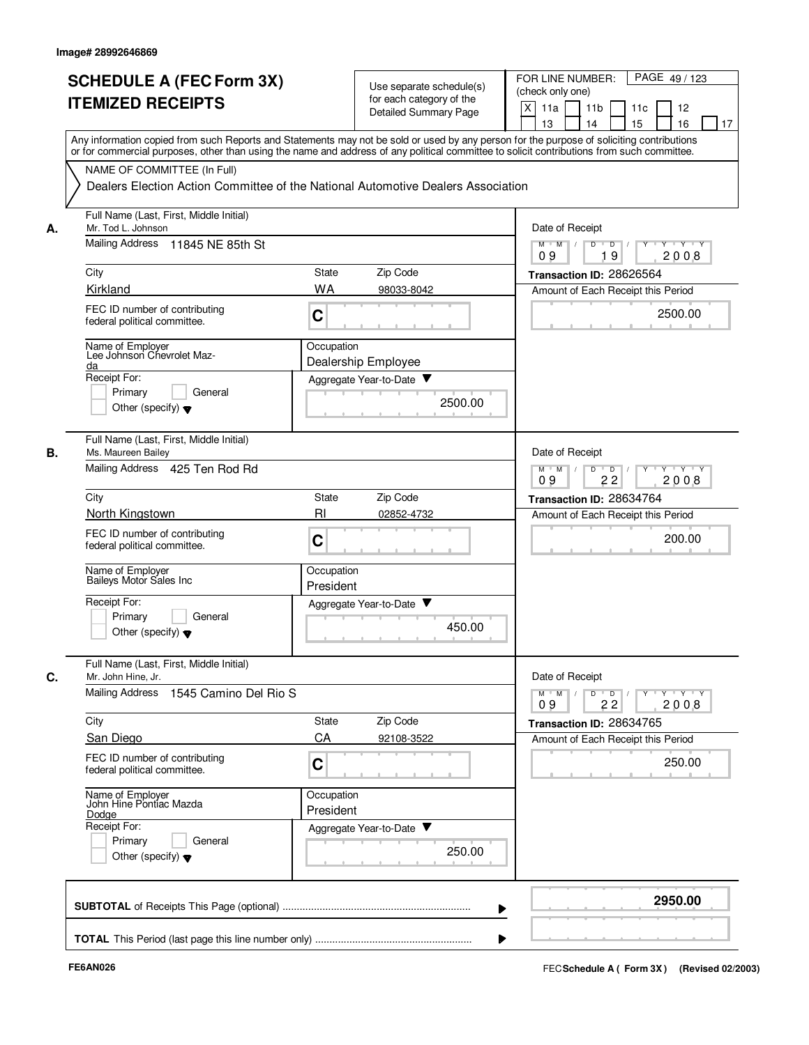|    | <b>SCHEDULE A (FEC Form 3X)</b><br><b>ITEMIZED RECEIPTS</b>                                     | Use separate schedule(s)<br>for each category of the<br><b>Detailed Summary Page</b>                                                                                                                                                                                                    | PAGE 49/123<br>FOR LINE NUMBER:<br>(check only one)<br>X<br>11a<br>11 <sub>b</sub><br>11c<br>12<br>13<br>14<br>15<br>16<br>17 |
|----|-------------------------------------------------------------------------------------------------|-----------------------------------------------------------------------------------------------------------------------------------------------------------------------------------------------------------------------------------------------------------------------------------------|-------------------------------------------------------------------------------------------------------------------------------|
|    | NAME OF COMMITTEE (In Full)                                                                     | Any information copied from such Reports and Statements may not be sold or used by any person for the purpose of soliciting contributions<br>or for commercial purposes, other than using the name and address of any political committee to solicit contributions from such committee. |                                                                                                                               |
|    |                                                                                                 | Dealers Election Action Committee of the National Automotive Dealers Association                                                                                                                                                                                                        |                                                                                                                               |
| А. | Full Name (Last, First, Middle Initial)<br>Mr. Tod L. Johnson                                   |                                                                                                                                                                                                                                                                                         | Date of Receipt                                                                                                               |
|    | Mailing Address<br>11845 NE 85th St                                                             |                                                                                                                                                                                                                                                                                         | $M$ $M$ /<br>D<br>$\overline{D}$ /<br>Y<br>$Y \vdash Y \vdash Y$<br>19<br>09<br>2008                                          |
|    | City                                                                                            | Zip Code<br>State                                                                                                                                                                                                                                                                       | Transaction ID: 28626564                                                                                                      |
|    | <b>Kirkland</b><br>FEC ID number of contributing<br>federal political committee.                | <b>WA</b><br>98033-8042<br>C                                                                                                                                                                                                                                                            | Amount of Each Receipt this Period<br>2500.00                                                                                 |
|    | Name of Employer<br>Lee Johnson Chevrolet Maz-<br>da                                            | Occupation<br>Dealership Employee                                                                                                                                                                                                                                                       |                                                                                                                               |
|    | Receipt For:<br>Primary<br>General<br>Other (specify) $\blacktriangledown$                      | Aggregate Year-to-Date<br>2500.00                                                                                                                                                                                                                                                       |                                                                                                                               |
| В. | Full Name (Last, First, Middle Initial)<br>Ms. Maureen Bailey<br>Mailing Address 425 Ten Rod Rd |                                                                                                                                                                                                                                                                                         | Date of Receipt<br>$Y - Y - Y$<br>$M$ M<br>D<br>$\overline{D}$                                                                |
|    | City                                                                                            | Zip Code<br>State                                                                                                                                                                                                                                                                       | 2008<br>09<br>22                                                                                                              |
|    | North Kingstown                                                                                 | R <sub>l</sub><br>02852-4732                                                                                                                                                                                                                                                            | Transaction ID: 28634764<br>Amount of Each Receipt this Period                                                                |
|    | FEC ID number of contributing<br>federal political committee.                                   | C                                                                                                                                                                                                                                                                                       | 200.00                                                                                                                        |
|    | Name of Employer<br>Baileys Motor Sales Inc                                                     | Occupation<br>President                                                                                                                                                                                                                                                                 |                                                                                                                               |
|    | Receipt For:<br>Primarv<br>General<br>Other (specify) $\blacktriangledown$                      | ▼<br>Aggregate Year-to-Date<br>450.00                                                                                                                                                                                                                                                   |                                                                                                                               |
| C. | Full Name (Last, First, Middle Initial)<br>Mr. John Hine, Jr.                                   |                                                                                                                                                                                                                                                                                         | Date of Receipt                                                                                                               |
|    | Mailing Address<br>1545 Camino Del Rio S                                                        |                                                                                                                                                                                                                                                                                         | $Y - Y - Y - Y$<br>$M$ $M$<br>D<br>$\overline{D}$<br>Y<br>2008<br>09<br>22                                                    |
|    | City                                                                                            | State<br>Zip Code                                                                                                                                                                                                                                                                       | Transaction ID: 28634765                                                                                                      |
|    | San Diego<br>FEC ID number of contributing<br>federal political committee.                      | CA<br>92108-3522<br>C                                                                                                                                                                                                                                                                   | Amount of Each Receipt this Period<br>250.00                                                                                  |
|    | Name of Employer<br>John Hine Pontiac Mazda                                                     | Occupation<br>President                                                                                                                                                                                                                                                                 |                                                                                                                               |
|    | Dodge<br>Receipt For:<br>Primary<br>General<br>Other (specify) $\blacktriangledown$             | Aggregate Year-to-Date<br>250.00                                                                                                                                                                                                                                                        |                                                                                                                               |
|    |                                                                                                 |                                                                                                                                                                                                                                                                                         | 2950.00                                                                                                                       |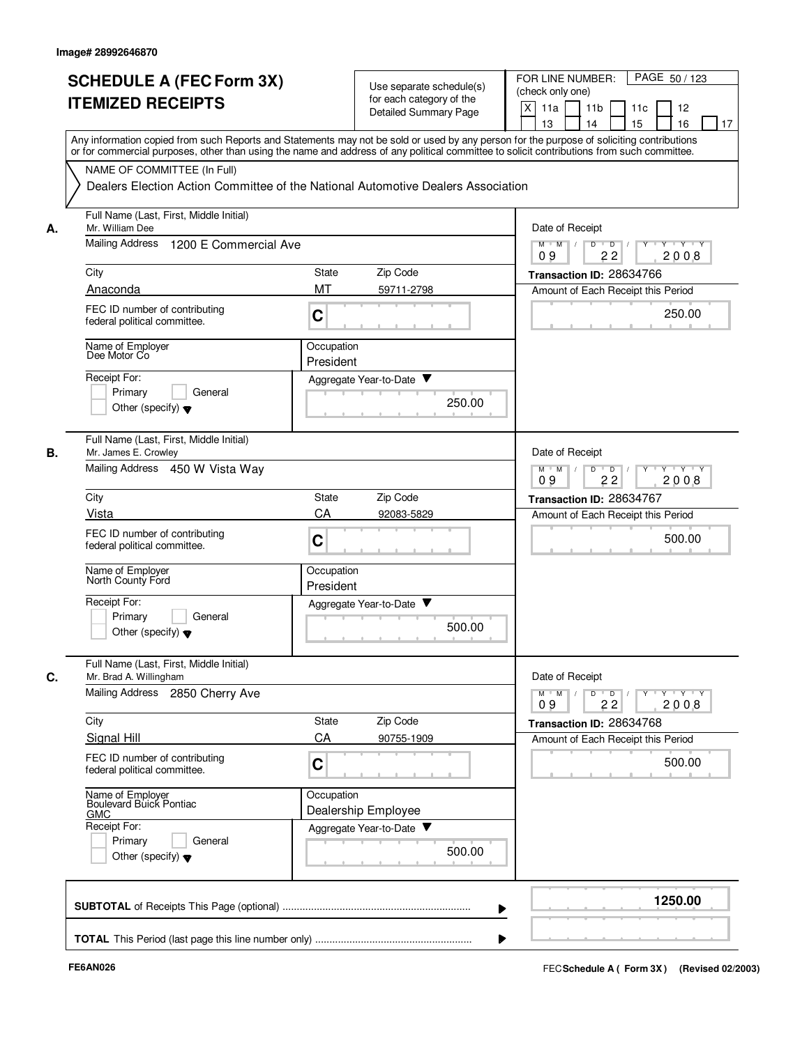|    | <b>SCHEDULE A (FEC Form 3X)</b><br><b>ITEMIZED RECEIPTS</b>                                                                                                                                                                                                                             |                         | Use separate schedule(s)<br>for each category of the<br>Detailed Summary Page | PAGE 50/123<br>FOR LINE NUMBER:<br>(check only one)<br>X<br>11a<br>11 <sub>b</sub><br>11c<br>12<br>15<br>13<br>14<br>16<br>17 |
|----|-----------------------------------------------------------------------------------------------------------------------------------------------------------------------------------------------------------------------------------------------------------------------------------------|-------------------------|-------------------------------------------------------------------------------|-------------------------------------------------------------------------------------------------------------------------------|
|    | Any information copied from such Reports and Statements may not be sold or used by any person for the purpose of soliciting contributions<br>or for commercial purposes, other than using the name and address of any political committee to solicit contributions from such committee. |                         |                                                                               |                                                                                                                               |
|    | NAME OF COMMITTEE (In Full)<br>Dealers Election Action Committee of the National Automotive Dealers Association                                                                                                                                                                         |                         |                                                                               |                                                                                                                               |
| А. | Full Name (Last, First, Middle Initial)<br>Mr. William Dee                                                                                                                                                                                                                              |                         |                                                                               | Date of Receipt                                                                                                               |
|    | Mailing Address<br>1200 E Commercial Ave                                                                                                                                                                                                                                                |                         |                                                                               | D<br>$M$ $M$ /<br>$\overline{\phantom{0}}$<br>Y 'Y 'Y<br>2008<br>09<br>22                                                     |
|    | City                                                                                                                                                                                                                                                                                    | <b>State</b>            | Zip Code                                                                      | Transaction ID: 28634766                                                                                                      |
|    | Anaconda                                                                                                                                                                                                                                                                                | MT                      | 59711-2798                                                                    | Amount of Each Receipt this Period                                                                                            |
|    | FEC ID number of contributing<br>federal political committee.                                                                                                                                                                                                                           | C                       |                                                                               | 250.00                                                                                                                        |
|    | Name of Employer<br>Dee Motor Co                                                                                                                                                                                                                                                        | Occupation<br>President |                                                                               |                                                                                                                               |
|    | Receipt For:<br>Primary<br>General<br>Other (specify) $\blacktriangledown$                                                                                                                                                                                                              |                         | Aggregate Year-to-Date ▼<br>250.00                                            |                                                                                                                               |
| В. | Full Name (Last, First, Middle Initial)<br>Mr. James E. Crowley<br>Mailing Address 450 W Vista Way                                                                                                                                                                                      |                         |                                                                               | Date of Receipt<br>$Y \vdash Y \vdash Y$<br>$M$ M<br>D<br>$\overline{D}$<br>Y                                                 |
|    |                                                                                                                                                                                                                                                                                         |                         |                                                                               | 09<br>22<br>2008                                                                                                              |
|    | City                                                                                                                                                                                                                                                                                    | State                   | Zip Code                                                                      | Transaction ID: 28634767                                                                                                      |
|    | Vista                                                                                                                                                                                                                                                                                   | CA                      | 92083-5829                                                                    | Amount of Each Receipt this Period                                                                                            |
|    | FEC ID number of contributing<br>federal political committee.                                                                                                                                                                                                                           | C                       |                                                                               | 500.00                                                                                                                        |
|    | Name of Employer<br>North County Ford                                                                                                                                                                                                                                                   | Occupation<br>President |                                                                               |                                                                                                                               |
|    | Receipt For:<br>Primary<br>General<br>Other (specify) $\blacktriangledown$                                                                                                                                                                                                              |                         | Aggregate Year-to-Date<br>500.00                                              |                                                                                                                               |
| C. | Full Name (Last, First, Middle Initial)<br>Mr. Brad A. Willingham                                                                                                                                                                                                                       |                         |                                                                               | Date of Receipt                                                                                                               |
|    | Mailing Address 2850 Cherry Ave                                                                                                                                                                                                                                                         |                         |                                                                               | $Y + Y + Y$<br>$M$ $M$<br>D<br>$\overline{D}$<br>09<br>22<br>2008                                                             |
|    | City                                                                                                                                                                                                                                                                                    | State                   | Zip Code                                                                      | Transaction ID: 28634768                                                                                                      |
|    | Signal Hill                                                                                                                                                                                                                                                                             | CA                      | 90755-1909                                                                    | Amount of Each Receipt this Period                                                                                            |
|    | FEC ID number of contributing<br>federal political committee.                                                                                                                                                                                                                           | C                       |                                                                               | 500.00                                                                                                                        |
|    | Name of Employer<br>Boulevard Buick Pontiac<br><b>GMC</b>                                                                                                                                                                                                                               | Occupation              | Dealership Employee                                                           |                                                                                                                               |
|    | Receipt For:<br>Primary<br>General<br>Other (specify) $\blacktriangledown$                                                                                                                                                                                                              |                         | Aggregate Year-to-Date<br>500.00                                              |                                                                                                                               |
|    |                                                                                                                                                                                                                                                                                         |                         |                                                                               | 1250.00                                                                                                                       |
|    |                                                                                                                                                                                                                                                                                         |                         |                                                                               |                                                                                                                               |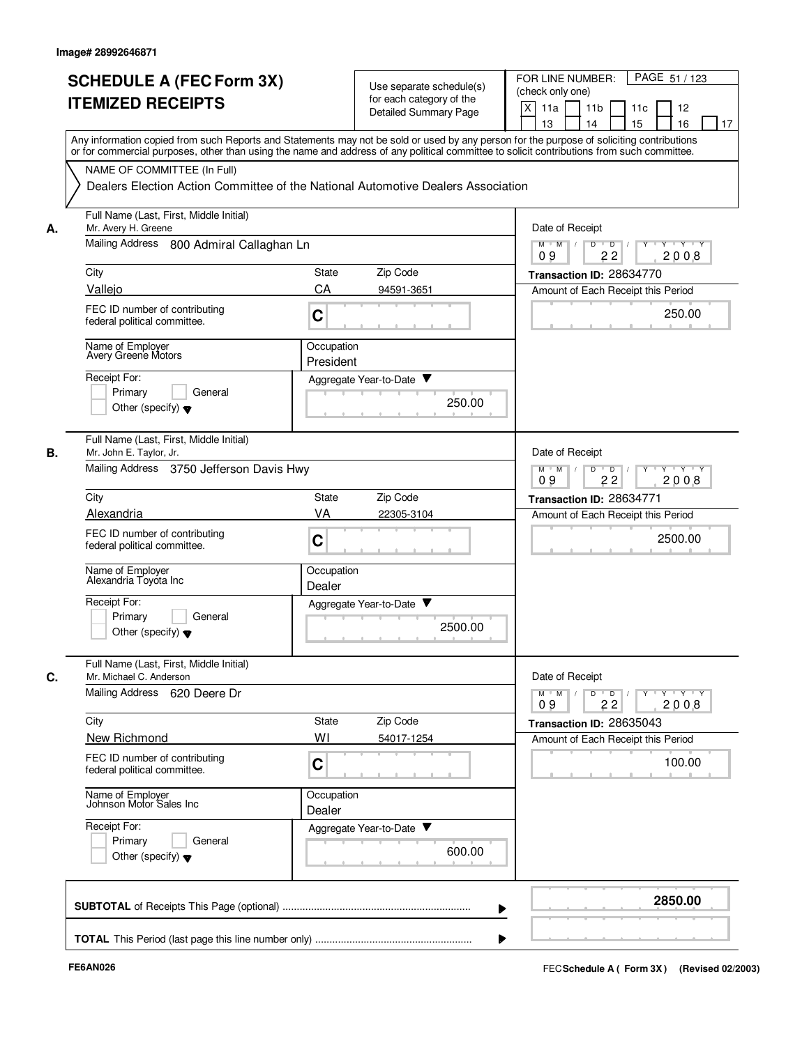|    | <b>SCHEDULE A (FEC Form 3X)</b>                                                                                                                                                                                                                                                         |                         | Use separate schedule(s) | PAGE 51 / 123<br>FOR LINE NUMBER:                                      |
|----|-----------------------------------------------------------------------------------------------------------------------------------------------------------------------------------------------------------------------------------------------------------------------------------------|-------------------------|--------------------------|------------------------------------------------------------------------|
|    | <b>ITEMIZED RECEIPTS</b>                                                                                                                                                                                                                                                                |                         | for each category of the | (check only one)                                                       |
|    |                                                                                                                                                                                                                                                                                         |                         | Detailed Summary Page    | X<br>11a<br>11 <sub>b</sub><br>11c<br>12<br>15<br>13<br>14<br>16<br>17 |
|    | Any information copied from such Reports and Statements may not be sold or used by any person for the purpose of soliciting contributions<br>or for commercial purposes, other than using the name and address of any political committee to solicit contributions from such committee. |                         |                          |                                                                        |
|    | NAME OF COMMITTEE (In Full)                                                                                                                                                                                                                                                             |                         |                          |                                                                        |
|    | Dealers Election Action Committee of the National Automotive Dealers Association                                                                                                                                                                                                        |                         |                          |                                                                        |
| А. | Full Name (Last, First, Middle Initial)<br>Mr. Avery H. Greene                                                                                                                                                                                                                          |                         |                          | Date of Receipt                                                        |
|    | Mailing Address 800 Admiral Callaghan Ln                                                                                                                                                                                                                                                |                         |                          | $M$ $M$ /<br>D<br>$Y$ $Y$<br>$\overline{D}$<br>22<br>2008<br>09        |
|    | City                                                                                                                                                                                                                                                                                    | State                   | Zip Code                 | Transaction ID: 28634770                                               |
|    | Vallejo                                                                                                                                                                                                                                                                                 | CA                      | 94591-3651               | Amount of Each Receipt this Period                                     |
|    | FEC ID number of contributing<br>federal political committee.                                                                                                                                                                                                                           | C                       |                          | 250.00                                                                 |
|    | Name of Employer<br>Avery Greene Motors                                                                                                                                                                                                                                                 | Occupation<br>President |                          |                                                                        |
|    | Receipt For:                                                                                                                                                                                                                                                                            |                         | Aggregate Year-to-Date ▼ |                                                                        |
|    | Primary<br>General                                                                                                                                                                                                                                                                      |                         | 250.00                   |                                                                        |
|    | Other (specify) $\blacktriangledown$                                                                                                                                                                                                                                                    |                         |                          |                                                                        |
| В. | Full Name (Last, First, Middle Initial)<br>Mr. John E. Taylor, Jr.                                                                                                                                                                                                                      |                         |                          | Date of Receipt                                                        |
|    | Mailing Address 3750 Jefferson Davis Hwy                                                                                                                                                                                                                                                |                         |                          | $Y - Y - Y$<br>$M$ M<br>D<br>$\overline{D}$<br>09<br>22<br>2008        |
|    | City                                                                                                                                                                                                                                                                                    | <b>State</b>            | Zip Code                 | Transaction ID: 28634771                                               |
|    | Alexandria                                                                                                                                                                                                                                                                              | VA                      | 22305-3104               | Amount of Each Receipt this Period                                     |
|    | FEC ID number of contributing<br>federal political committee.                                                                                                                                                                                                                           | C                       |                          | 2500.00                                                                |
|    | Name of Employer<br>Alexandria Toyota Inc.                                                                                                                                                                                                                                              | Occupation<br>Dealer    |                          |                                                                        |
|    | Receipt For:                                                                                                                                                                                                                                                                            |                         | Aggregate Year-to-Date   |                                                                        |
|    | Primary<br>General<br>Other (specify) $\blacktriangledown$                                                                                                                                                                                                                              |                         | 2500.00                  |                                                                        |
| C. | Full Name (Last, First, Middle Initial)<br>Mr. Michael C. Anderson                                                                                                                                                                                                                      |                         |                          | Date of Receipt                                                        |
|    | Mailing Address 620 Deere Dr                                                                                                                                                                                                                                                            |                         |                          | $M$ $M$<br>y y y y y y<br>D<br>$\overline{D}$<br>22<br>2008<br>09      |
|    | City                                                                                                                                                                                                                                                                                    | State                   | Zip Code                 | Transaction ID: 28635043                                               |
|    | New Richmond                                                                                                                                                                                                                                                                            | WI                      | 54017-1254               | Amount of Each Receipt this Period                                     |
|    | FEC ID number of contributing<br>federal political committee.                                                                                                                                                                                                                           | C                       |                          | 100.00                                                                 |
|    | Name of Employer<br>Johnson Motor Sales Inc                                                                                                                                                                                                                                             | Occupation<br>Dealer    |                          |                                                                        |
|    | Receipt For:                                                                                                                                                                                                                                                                            |                         | Aggregate Year-to-Date   |                                                                        |
|    | Primary<br>General<br>Other (specify) $\blacktriangledown$                                                                                                                                                                                                                              |                         | 600.00                   |                                                                        |
|    |                                                                                                                                                                                                                                                                                         |                         |                          | 2850.00                                                                |
|    |                                                                                                                                                                                                                                                                                         |                         |                          |                                                                        |
|    |                                                                                                                                                                                                                                                                                         |                         |                          |                                                                        |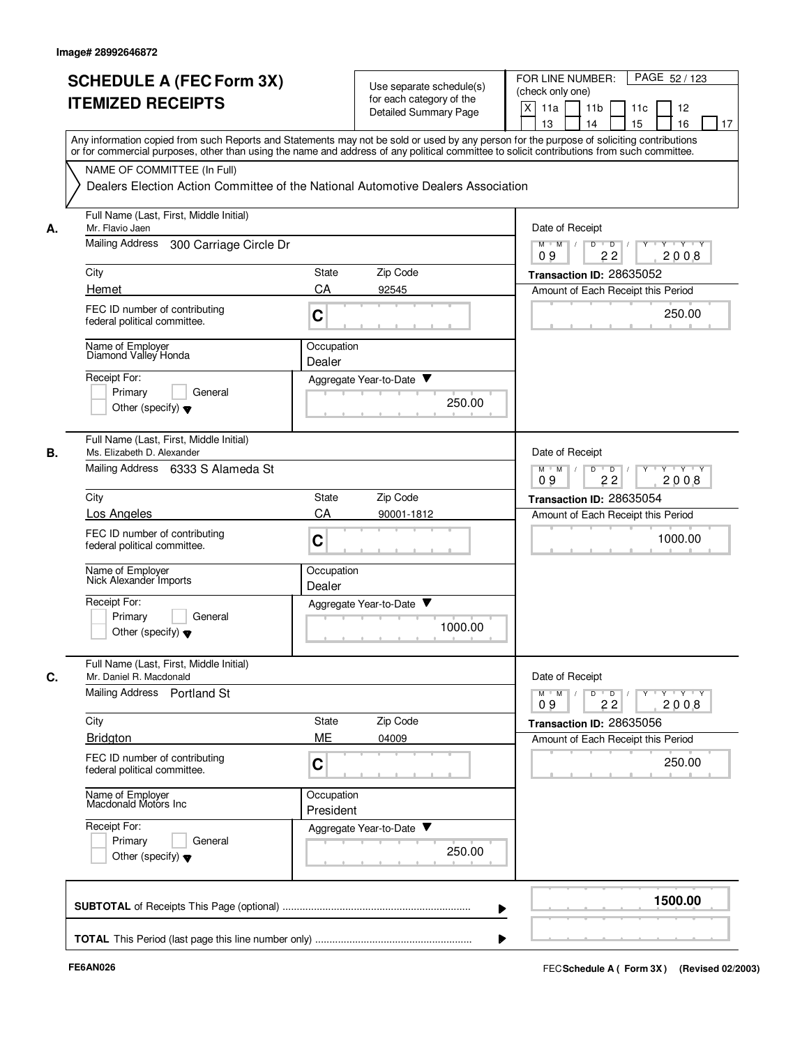| <b>Detailed Summary Page</b><br>13<br>14<br>15<br>Any information copied from such Reports and Statements may not be sold or used by any person for the purpose of soliciting contributions<br>or for commercial purposes, other than using the name and address of any political committee to solicit contributions from such committee.<br>NAME OF COMMITTEE (In Full)<br>Dealers Election Action Committee of the National Automotive Dealers Association<br>Full Name (Last, First, Middle Initial)<br>Mr. Flavio Jaen<br>Date of Receipt<br>А.<br><b>Mailing Address</b><br>300 Carriage Circle Dr<br>$M$ $M$ /<br>D<br>$\overline{D}$ /<br>09<br>22<br>Zip Code<br>City<br>State<br>Transaction ID: 28635052<br>CA<br>Hemet<br>92545<br>FEC ID number of contributing<br>C<br>federal political committee.<br>Name of Employer<br>Diamond Valley Honda<br>Occupation<br>Dealer<br>Receipt For:<br>Aggregate Year-to-Date ▼<br>Primary<br>General<br>250.00<br>Other (specify) $\blacktriangledown$<br>Full Name (Last, First, Middle Initial)<br>В.<br>Date of Receipt<br>Ms. Elizabeth D. Alexander<br>Mailing Address 6333 S Alameda St<br>$M$ M<br>D<br>$\overline{D}$<br>09<br>22<br>Zip Code<br>City<br>State<br>CA<br><b>Los Angeles</b><br>90001-1812<br>FEC ID number of contributing<br>C<br>federal political committee.<br>Name of Employer<br>Occupation<br>Nick Alexander Imports<br>Dealer<br>Receipt For:<br>Aggregate Year-to-Date ▼<br>Primary<br>General<br>1000.00<br>Other (specify) $\blacktriangledown$<br>Full Name (Last, First, Middle Initial)<br>Date of Receipt<br>Mr. Daniel R. Macdonald<br>С.<br>Mailing Address Portland St<br>$M$ $M$<br>D<br>$\overline{D}$<br>Y<br>22<br>09<br>Zip Code<br>City<br>State<br>ME<br><b>Bridgton</b><br>04009<br>Amount of Each Receipt this Period<br>FEC ID number of contributing<br>C<br>federal political committee.<br>Occupation<br>Name of Employer<br>Macdonald Motors Inc<br>President<br>Receipt For:<br>Aggregate Year-to-Date<br>Primary<br>General<br>250.00<br>Other (specify) $\blacktriangledown$ | PAGE 52/123           | FOR LINE NUMBER:<br>(check only one) | Use separate schedule(s)<br>for each category of the | <b>SCHEDULE A (FEC Form 3X)</b><br><b>ITEMIZED RECEIPTS</b> |  |
|------------------------------------------------------------------------------------------------------------------------------------------------------------------------------------------------------------------------------------------------------------------------------------------------------------------------------------------------------------------------------------------------------------------------------------------------------------------------------------------------------------------------------------------------------------------------------------------------------------------------------------------------------------------------------------------------------------------------------------------------------------------------------------------------------------------------------------------------------------------------------------------------------------------------------------------------------------------------------------------------------------------------------------------------------------------------------------------------------------------------------------------------------------------------------------------------------------------------------------------------------------------------------------------------------------------------------------------------------------------------------------------------------------------------------------------------------------------------------------------------------------------------------------------------------------------------------------------------------------------------------------------------------------------------------------------------------------------------------------------------------------------------------------------------------------------------------------------------------------------------------------------------------------------------------------------------------------------------------------------------------------------------------------------------------------------------------------------|-----------------------|--------------------------------------|------------------------------------------------------|-------------------------------------------------------------|--|
|                                                                                                                                                                                                                                                                                                                                                                                                                                                                                                                                                                                                                                                                                                                                                                                                                                                                                                                                                                                                                                                                                                                                                                                                                                                                                                                                                                                                                                                                                                                                                                                                                                                                                                                                                                                                                                                                                                                                                                                                                                                                                          | 12<br>16<br>17        | X<br>11a<br>11 <sub>b</sub><br>11c   |                                                      |                                                             |  |
|                                                                                                                                                                                                                                                                                                                                                                                                                                                                                                                                                                                                                                                                                                                                                                                                                                                                                                                                                                                                                                                                                                                                                                                                                                                                                                                                                                                                                                                                                                                                                                                                                                                                                                                                                                                                                                                                                                                                                                                                                                                                                          |                       |                                      |                                                      |                                                             |  |
|                                                                                                                                                                                                                                                                                                                                                                                                                                                                                                                                                                                                                                                                                                                                                                                                                                                                                                                                                                                                                                                                                                                                                                                                                                                                                                                                                                                                                                                                                                                                                                                                                                                                                                                                                                                                                                                                                                                                                                                                                                                                                          |                       |                                      |                                                      |                                                             |  |
|                                                                                                                                                                                                                                                                                                                                                                                                                                                                                                                                                                                                                                                                                                                                                                                                                                                                                                                                                                                                                                                                                                                                                                                                                                                                                                                                                                                                                                                                                                                                                                                                                                                                                                                                                                                                                                                                                                                                                                                                                                                                                          | $Y \vdash Y \vdash Y$ |                                      |                                                      |                                                             |  |
|                                                                                                                                                                                                                                                                                                                                                                                                                                                                                                                                                                                                                                                                                                                                                                                                                                                                                                                                                                                                                                                                                                                                                                                                                                                                                                                                                                                                                                                                                                                                                                                                                                                                                                                                                                                                                                                                                                                                                                                                                                                                                          | 2008                  |                                      |                                                      |                                                             |  |
|                                                                                                                                                                                                                                                                                                                                                                                                                                                                                                                                                                                                                                                                                                                                                                                                                                                                                                                                                                                                                                                                                                                                                                                                                                                                                                                                                                                                                                                                                                                                                                                                                                                                                                                                                                                                                                                                                                                                                                                                                                                                                          |                       | Amount of Each Receipt this Period   |                                                      |                                                             |  |
|                                                                                                                                                                                                                                                                                                                                                                                                                                                                                                                                                                                                                                                                                                                                                                                                                                                                                                                                                                                                                                                                                                                                                                                                                                                                                                                                                                                                                                                                                                                                                                                                                                                                                                                                                                                                                                                                                                                                                                                                                                                                                          | 250.00                |                                      |                                                      |                                                             |  |
|                                                                                                                                                                                                                                                                                                                                                                                                                                                                                                                                                                                                                                                                                                                                                                                                                                                                                                                                                                                                                                                                                                                                                                                                                                                                                                                                                                                                                                                                                                                                                                                                                                                                                                                                                                                                                                                                                                                                                                                                                                                                                          |                       |                                      |                                                      |                                                             |  |
|                                                                                                                                                                                                                                                                                                                                                                                                                                                                                                                                                                                                                                                                                                                                                                                                                                                                                                                                                                                                                                                                                                                                                                                                                                                                                                                                                                                                                                                                                                                                                                                                                                                                                                                                                                                                                                                                                                                                                                                                                                                                                          |                       |                                      |                                                      |                                                             |  |
|                                                                                                                                                                                                                                                                                                                                                                                                                                                                                                                                                                                                                                                                                                                                                                                                                                                                                                                                                                                                                                                                                                                                                                                                                                                                                                                                                                                                                                                                                                                                                                                                                                                                                                                                                                                                                                                                                                                                                                                                                                                                                          |                       |                                      |                                                      |                                                             |  |
|                                                                                                                                                                                                                                                                                                                                                                                                                                                                                                                                                                                                                                                                                                                                                                                                                                                                                                                                                                                                                                                                                                                                                                                                                                                                                                                                                                                                                                                                                                                                                                                                                                                                                                                                                                                                                                                                                                                                                                                                                                                                                          |                       |                                      |                                                      |                                                             |  |
|                                                                                                                                                                                                                                                                                                                                                                                                                                                                                                                                                                                                                                                                                                                                                                                                                                                                                                                                                                                                                                                                                                                                                                                                                                                                                                                                                                                                                                                                                                                                                                                                                                                                                                                                                                                                                                                                                                                                                                                                                                                                                          | $Y - Y - Y$<br>2008   |                                      |                                                      |                                                             |  |
|                                                                                                                                                                                                                                                                                                                                                                                                                                                                                                                                                                                                                                                                                                                                                                                                                                                                                                                                                                                                                                                                                                                                                                                                                                                                                                                                                                                                                                                                                                                                                                                                                                                                                                                                                                                                                                                                                                                                                                                                                                                                                          |                       | Transaction ID: 28635054             |                                                      |                                                             |  |
|                                                                                                                                                                                                                                                                                                                                                                                                                                                                                                                                                                                                                                                                                                                                                                                                                                                                                                                                                                                                                                                                                                                                                                                                                                                                                                                                                                                                                                                                                                                                                                                                                                                                                                                                                                                                                                                                                                                                                                                                                                                                                          |                       | Amount of Each Receipt this Period   |                                                      |                                                             |  |
|                                                                                                                                                                                                                                                                                                                                                                                                                                                                                                                                                                                                                                                                                                                                                                                                                                                                                                                                                                                                                                                                                                                                                                                                                                                                                                                                                                                                                                                                                                                                                                                                                                                                                                                                                                                                                                                                                                                                                                                                                                                                                          | 1000.00               |                                      |                                                      |                                                             |  |
|                                                                                                                                                                                                                                                                                                                                                                                                                                                                                                                                                                                                                                                                                                                                                                                                                                                                                                                                                                                                                                                                                                                                                                                                                                                                                                                                                                                                                                                                                                                                                                                                                                                                                                                                                                                                                                                                                                                                                                                                                                                                                          |                       |                                      |                                                      |                                                             |  |
|                                                                                                                                                                                                                                                                                                                                                                                                                                                                                                                                                                                                                                                                                                                                                                                                                                                                                                                                                                                                                                                                                                                                                                                                                                                                                                                                                                                                                                                                                                                                                                                                                                                                                                                                                                                                                                                                                                                                                                                                                                                                                          |                       |                                      |                                                      |                                                             |  |
|                                                                                                                                                                                                                                                                                                                                                                                                                                                                                                                                                                                                                                                                                                                                                                                                                                                                                                                                                                                                                                                                                                                                                                                                                                                                                                                                                                                                                                                                                                                                                                                                                                                                                                                                                                                                                                                                                                                                                                                                                                                                                          |                       |                                      |                                                      |                                                             |  |
|                                                                                                                                                                                                                                                                                                                                                                                                                                                                                                                                                                                                                                                                                                                                                                                                                                                                                                                                                                                                                                                                                                                                                                                                                                                                                                                                                                                                                                                                                                                                                                                                                                                                                                                                                                                                                                                                                                                                                                                                                                                                                          | $Y$ $Y$ $Y$<br>2008   |                                      |                                                      |                                                             |  |
|                                                                                                                                                                                                                                                                                                                                                                                                                                                                                                                                                                                                                                                                                                                                                                                                                                                                                                                                                                                                                                                                                                                                                                                                                                                                                                                                                                                                                                                                                                                                                                                                                                                                                                                                                                                                                                                                                                                                                                                                                                                                                          |                       | Transaction ID: 28635056             |                                                      |                                                             |  |
|                                                                                                                                                                                                                                                                                                                                                                                                                                                                                                                                                                                                                                                                                                                                                                                                                                                                                                                                                                                                                                                                                                                                                                                                                                                                                                                                                                                                                                                                                                                                                                                                                                                                                                                                                                                                                                                                                                                                                                                                                                                                                          | 250.00                |                                      |                                                      |                                                             |  |
|                                                                                                                                                                                                                                                                                                                                                                                                                                                                                                                                                                                                                                                                                                                                                                                                                                                                                                                                                                                                                                                                                                                                                                                                                                                                                                                                                                                                                                                                                                                                                                                                                                                                                                                                                                                                                                                                                                                                                                                                                                                                                          |                       |                                      |                                                      |                                                             |  |
|                                                                                                                                                                                                                                                                                                                                                                                                                                                                                                                                                                                                                                                                                                                                                                                                                                                                                                                                                                                                                                                                                                                                                                                                                                                                                                                                                                                                                                                                                                                                                                                                                                                                                                                                                                                                                                                                                                                                                                                                                                                                                          |                       |                                      |                                                      |                                                             |  |
|                                                                                                                                                                                                                                                                                                                                                                                                                                                                                                                                                                                                                                                                                                                                                                                                                                                                                                                                                                                                                                                                                                                                                                                                                                                                                                                                                                                                                                                                                                                                                                                                                                                                                                                                                                                                                                                                                                                                                                                                                                                                                          | 1500.00               |                                      |                                                      |                                                             |  |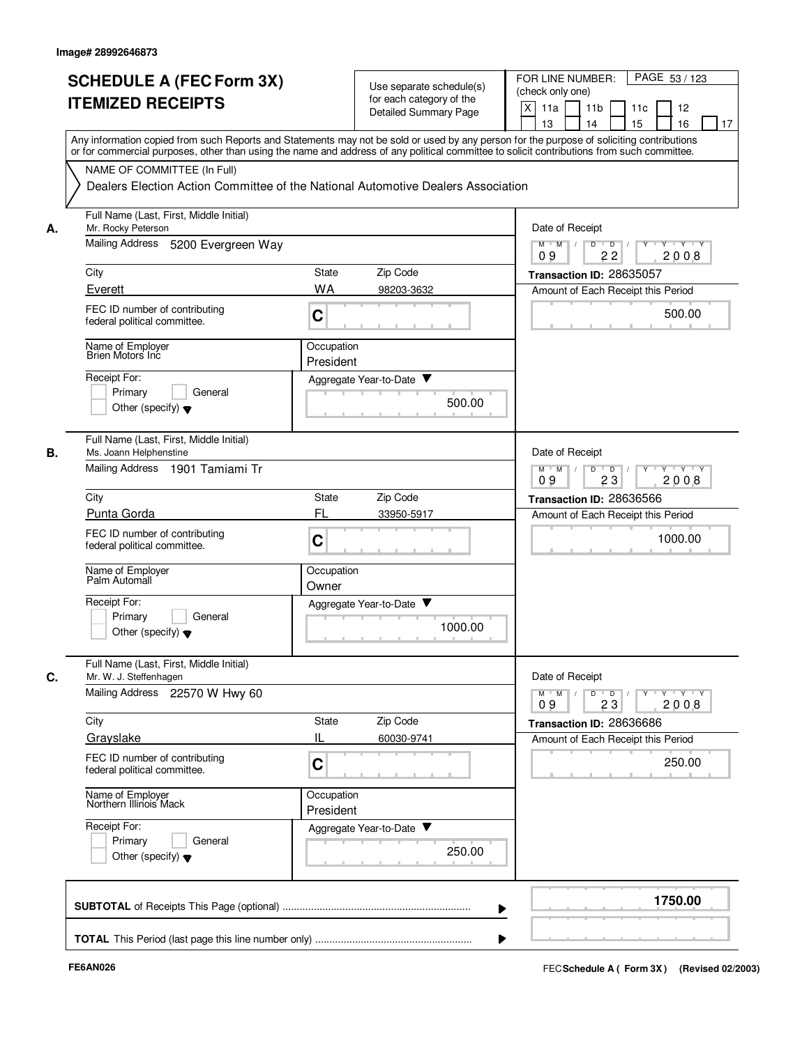|    | <b>SCHEDULE A (FEC Form 3X)</b><br><b>ITEMIZED RECEIPTS</b>                                                                                                                                                                                                                             | Use separate schedule(s)<br>for each category of the<br><b>Detailed Summary Page</b> | PAGE 53 / 123<br>FOR LINE NUMBER:<br>(check only one)<br>X<br>11 <sub>b</sub><br>11a<br>11c<br>12<br>13<br>14<br>15<br>16<br>17 |
|----|-----------------------------------------------------------------------------------------------------------------------------------------------------------------------------------------------------------------------------------------------------------------------------------------|--------------------------------------------------------------------------------------|---------------------------------------------------------------------------------------------------------------------------------|
|    | Any information copied from such Reports and Statements may not be sold or used by any person for the purpose of soliciting contributions<br>or for commercial purposes, other than using the name and address of any political committee to solicit contributions from such committee. |                                                                                      |                                                                                                                                 |
|    | NAME OF COMMITTEE (In Full)                                                                                                                                                                                                                                                             | Dealers Election Action Committee of the National Automotive Dealers Association     |                                                                                                                                 |
| А. | Full Name (Last, First, Middle Initial)<br>Mr. Rocky Peterson                                                                                                                                                                                                                           |                                                                                      | Date of Receipt                                                                                                                 |
|    | Mailing Address<br>5200 Evergreen Way                                                                                                                                                                                                                                                   |                                                                                      | D<br>$\overline{D}$ /<br>$Y - Y - Y$<br>$M$ $M$ /<br>22<br>2008<br>09                                                           |
|    | City                                                                                                                                                                                                                                                                                    | Zip Code<br>State                                                                    | Transaction ID: 28635057                                                                                                        |
|    | Everett                                                                                                                                                                                                                                                                                 | <b>WA</b><br>98203-3632                                                              | Amount of Each Receipt this Period                                                                                              |
|    | FEC ID number of contributing<br>federal political committee.                                                                                                                                                                                                                           | C                                                                                    | 500.00                                                                                                                          |
|    | Name of Employer<br>Brien Motors Inc                                                                                                                                                                                                                                                    | Occupation<br>President                                                              |                                                                                                                                 |
|    | Receipt For:                                                                                                                                                                                                                                                                            | Aggregate Year-to-Date ▼                                                             |                                                                                                                                 |
|    | Primary<br>General<br>Other (specify) $\blacktriangledown$                                                                                                                                                                                                                              | 500.00                                                                               |                                                                                                                                 |
| В. | Full Name (Last, First, Middle Initial)<br>Ms. Joann Helphenstine                                                                                                                                                                                                                       |                                                                                      | Date of Receipt                                                                                                                 |
|    | Mailing Address 1901 Tamiami Tr                                                                                                                                                                                                                                                         |                                                                                      | $Y - Y - Y$<br>$M$ $M$<br>D<br>D<br>23<br>2008<br>09                                                                            |
|    | City                                                                                                                                                                                                                                                                                    | Zip Code<br>State                                                                    | Transaction ID: 28636566                                                                                                        |
|    | Punta Gorda                                                                                                                                                                                                                                                                             | FL<br>33950-5917                                                                     | Amount of Each Receipt this Period                                                                                              |
|    | FEC ID number of contributing<br>federal political committee.                                                                                                                                                                                                                           | C                                                                                    | 1000.00                                                                                                                         |
|    | Name of Employer<br>Palm Automall                                                                                                                                                                                                                                                       | Occupation<br>Owner                                                                  |                                                                                                                                 |
|    | Receipt For:<br>Primary<br>General                                                                                                                                                                                                                                                      | Aggregate Year-to-Date                                                               |                                                                                                                                 |
|    | Other (specify) $\blacktriangledown$                                                                                                                                                                                                                                                    | 1000.00                                                                              |                                                                                                                                 |
| C. | Full Name (Last, First, Middle Initial)<br>Mr. W. J. Steffenhagen                                                                                                                                                                                                                       |                                                                                      | Date of Receipt                                                                                                                 |
|    | Mailing Address 22570 W Hwy 60                                                                                                                                                                                                                                                          |                                                                                      | $Y - Y - Y - Y$<br>$M$ $M$<br>$\overline{D}$<br>D<br>Y<br>23<br>2008<br>09                                                      |
|    | City                                                                                                                                                                                                                                                                                    | Zip Code<br>State                                                                    | Transaction ID: 28636686                                                                                                        |
|    | Grayslake                                                                                                                                                                                                                                                                               | IL<br>60030-9741                                                                     | Amount of Each Receipt this Period                                                                                              |
|    | FEC ID number of contributing<br>federal political committee.                                                                                                                                                                                                                           | $\mathbf C$                                                                          | 250.00                                                                                                                          |
|    | Name of Employer<br>Northern Illinois Mack                                                                                                                                                                                                                                              | Occupation<br>President                                                              |                                                                                                                                 |
|    | Receipt For:                                                                                                                                                                                                                                                                            | Aggregate Year-to-Date                                                               |                                                                                                                                 |
|    | Primary<br>General<br>Other (specify) $\blacktriangledown$                                                                                                                                                                                                                              | 250.00                                                                               |                                                                                                                                 |
|    |                                                                                                                                                                                                                                                                                         |                                                                                      | 1750.00                                                                                                                         |
|    |                                                                                                                                                                                                                                                                                         |                                                                                      |                                                                                                                                 |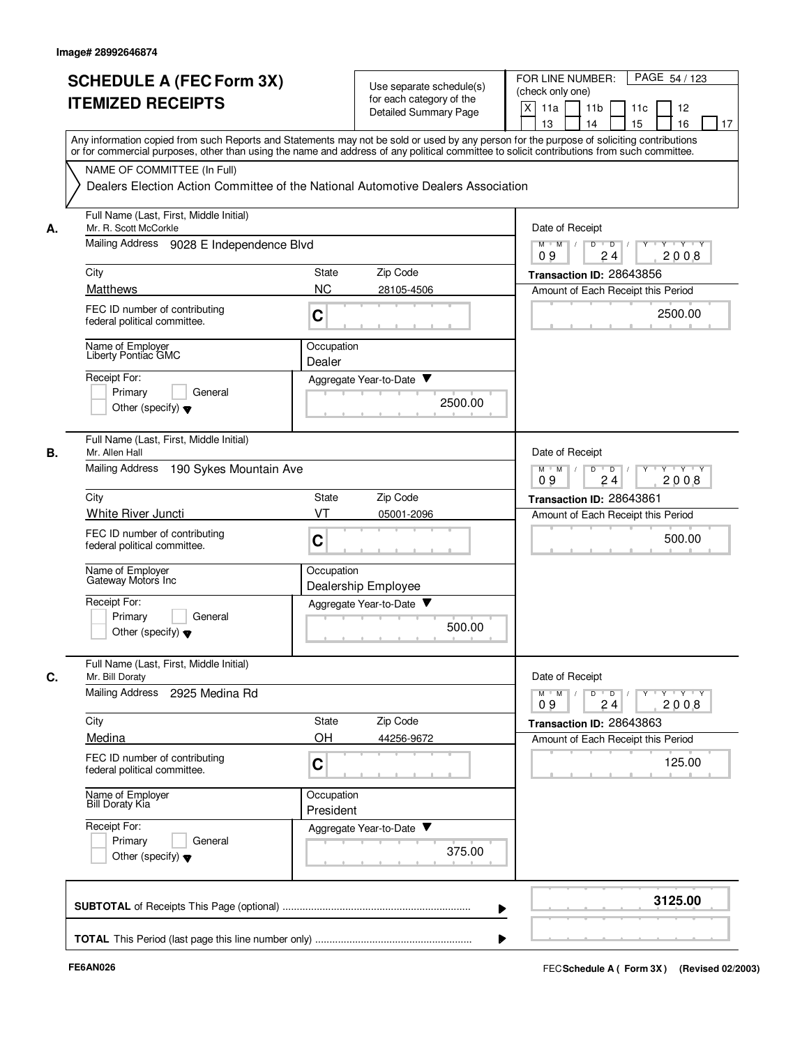|    | <b>SCHEDULE A (FEC Form 3X)</b><br><b>ITEMIZED RECEIPTS</b><br>Any information copied from such Reports and Statements may not be sold or used by any person for the purpose of soliciting contributions | Use separate schedule(s)<br>for each category of the<br>Detailed Summary Page    | PAGE 54 / 123<br>FOR LINE NUMBER:<br>(check only one)<br>X<br>11a<br>11 <sub>b</sub><br>11c<br>12<br>15<br>13<br>14<br>16<br>17 |
|----|----------------------------------------------------------------------------------------------------------------------------------------------------------------------------------------------------------|----------------------------------------------------------------------------------|---------------------------------------------------------------------------------------------------------------------------------|
|    | or for commercial purposes, other than using the name and address of any political committee to solicit contributions from such committee.<br>NAME OF COMMITTEE (In Full)                                |                                                                                  |                                                                                                                                 |
|    |                                                                                                                                                                                                          | Dealers Election Action Committee of the National Automotive Dealers Association |                                                                                                                                 |
| А. | Full Name (Last, First, Middle Initial)<br>Mr. R. Scott McCorkle                                                                                                                                         |                                                                                  | Date of Receipt                                                                                                                 |
|    | Mailing Address 9028 E Independence Blvd                                                                                                                                                                 |                                                                                  | D<br>$M$ $M$<br>$\top$<br>$\overline{D}$<br>Y 'Y 'Y<br>2008<br>09<br>24                                                         |
|    | City                                                                                                                                                                                                     | Zip Code<br><b>State</b>                                                         | Transaction ID: 28643856                                                                                                        |
|    | <b>Matthews</b>                                                                                                                                                                                          | <b>NC</b><br>28105-4506                                                          | Amount of Each Receipt this Period                                                                                              |
|    | FEC ID number of contributing<br>federal political committee.                                                                                                                                            | C                                                                                | 2500.00                                                                                                                         |
|    | Name of Employer<br>Liberty Pontiac GMC                                                                                                                                                                  | Occupation<br>Dealer                                                             |                                                                                                                                 |
|    | Receipt For:                                                                                                                                                                                             | Aggregate Year-to-Date ▼                                                         |                                                                                                                                 |
|    | Primary<br>General<br>Other (specify) $\bullet$                                                                                                                                                          | 2500.00                                                                          |                                                                                                                                 |
| В. | Full Name (Last, First, Middle Initial)<br>Mr. Allen Hall                                                                                                                                                |                                                                                  | Date of Receipt                                                                                                                 |
|    | <b>Mailing Address</b><br>190 Sykes Mountain Ave                                                                                                                                                         |                                                                                  | $Y \vdash Y \vdash Y$<br>$M$ $M$<br>D<br>$\overline{D}$<br>Y<br>09<br>24<br>2008                                                |
|    | City                                                                                                                                                                                                     | State<br>Zip Code                                                                | Transaction ID: 28643861                                                                                                        |
|    | White River Juncti                                                                                                                                                                                       | VT<br>05001-2096                                                                 | Amount of Each Receipt this Period                                                                                              |
|    | FEC ID number of contributing<br>federal political committee.                                                                                                                                            | C                                                                                | 500.00                                                                                                                          |
|    | Name of Employer<br>Gateway Motors Inc                                                                                                                                                                   | Occupation<br>Dealership Employee                                                |                                                                                                                                 |
|    | Receipt For:<br>Primary<br>General                                                                                                                                                                       | Aggregate Year-to-Date                                                           |                                                                                                                                 |
|    | Other (specify) $\blacktriangledown$                                                                                                                                                                     | 500.00                                                                           |                                                                                                                                 |
| C. | Full Name (Last, First, Middle Initial)<br>Mr. Bill Doraty                                                                                                                                               |                                                                                  | Date of Receipt                                                                                                                 |
|    | Mailing Address<br>2925 Medina Rd                                                                                                                                                                        |                                                                                  | $Y + Y + Y$<br>$M$ $M$<br>D<br>$\overline{D}$<br>2008<br>09<br>24                                                               |
|    | City                                                                                                                                                                                                     | Zip Code<br>State<br>OH                                                          | Transaction ID: 28643863                                                                                                        |
|    | Medina<br>FEC ID number of contributing                                                                                                                                                                  | 44256-9672                                                                       | Amount of Each Receipt this Period                                                                                              |
|    | federal political committee.                                                                                                                                                                             | C                                                                                | 125.00                                                                                                                          |
|    | Name of Employer<br>Bill Doraty Kia                                                                                                                                                                      | Occupation<br>President                                                          |                                                                                                                                 |
|    | Receipt For:<br>Primary<br>General<br>Other (specify) $\blacktriangledown$                                                                                                                               | Aggregate Year-to-Date<br>375.00                                                 |                                                                                                                                 |
|    |                                                                                                                                                                                                          |                                                                                  | 3125.00                                                                                                                         |
|    |                                                                                                                                                                                                          |                                                                                  |                                                                                                                                 |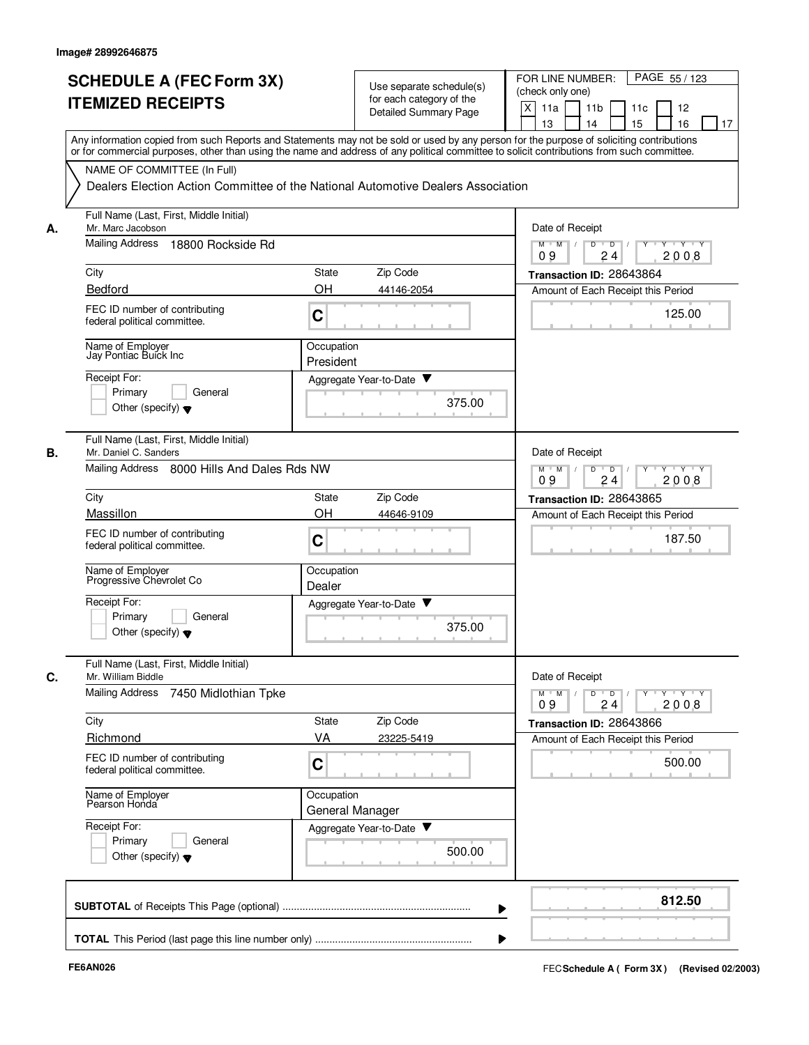|    | <b>SCHEDULE A (FEC Form 3X)</b><br><b>ITEMIZED RECEIPTS</b>                | Use separate schedule(s)<br>for each category of the<br><b>Detailed Summary Page</b>                                                                                                                                                                                                    | FOR LINE NUMBER:<br>PAGE 55/123<br>(check only one)<br>X<br>11a<br>12<br>11 <sub>b</sub><br>11c<br>13<br>14<br>15<br>16<br>17 |
|----|----------------------------------------------------------------------------|-----------------------------------------------------------------------------------------------------------------------------------------------------------------------------------------------------------------------------------------------------------------------------------------|-------------------------------------------------------------------------------------------------------------------------------|
|    | NAME OF COMMITTEE (In Full)                                                | Any information copied from such Reports and Statements may not be sold or used by any person for the purpose of soliciting contributions<br>or for commercial purposes, other than using the name and address of any political committee to solicit contributions from such committee. |                                                                                                                               |
|    | Full Name (Last, First, Middle Initial)                                    | Dealers Election Action Committee of the National Automotive Dealers Association                                                                                                                                                                                                        |                                                                                                                               |
| А. | Mr. Marc Jacobson                                                          |                                                                                                                                                                                                                                                                                         | Date of Receipt                                                                                                               |
|    | Mailing Address<br>18800 Rockside Rd                                       |                                                                                                                                                                                                                                                                                         | $M$ $M$ /<br>$Y \vdash Y \vdash Y$<br>D<br>$\overline{D}$<br>24<br>2008<br>09                                                 |
|    | City                                                                       | Zip Code<br><b>State</b>                                                                                                                                                                                                                                                                | Transaction ID: 28643864                                                                                                      |
|    | Bedford                                                                    | OH<br>44146-2054                                                                                                                                                                                                                                                                        | Amount of Each Receipt this Period                                                                                            |
|    | FEC ID number of contributing<br>federal political committee.              | C                                                                                                                                                                                                                                                                                       | 125.00                                                                                                                        |
|    | Name of Employer<br>Jay Pontiac Buick Inc                                  | Occupation<br>President                                                                                                                                                                                                                                                                 |                                                                                                                               |
|    | Receipt For:                                                               | Aggregate Year-to-Date ▼                                                                                                                                                                                                                                                                |                                                                                                                               |
|    | Primary<br>General<br>Other (specify) $\blacktriangledown$                 | 375.00                                                                                                                                                                                                                                                                                  |                                                                                                                               |
| В. | Full Name (Last, First, Middle Initial)<br>Mr. Daniel C. Sanders           |                                                                                                                                                                                                                                                                                         | Date of Receipt                                                                                                               |
|    | Mailing Address 8000 Hills And Dales Rds NW                                |                                                                                                                                                                                                                                                                                         | $M$ M<br>$\sqrt{ }$<br>D<br>$\overline{D}$<br>$Y + Y + Y$<br>09<br>24<br>2008                                                 |
|    | City                                                                       | Zip Code<br><b>State</b>                                                                                                                                                                                                                                                                | Transaction ID: 28643865                                                                                                      |
|    | Massillon                                                                  | OH<br>44646-9109                                                                                                                                                                                                                                                                        | Amount of Each Receipt this Period                                                                                            |
|    | FEC ID number of contributing<br>federal political committee.              | C                                                                                                                                                                                                                                                                                       | 187.50                                                                                                                        |
|    | Name of Employer<br>Progressive Chevrolet Co                               | Occupation<br>Dealer                                                                                                                                                                                                                                                                    |                                                                                                                               |
|    | Receipt For:<br>Primary<br>General<br>Other (specify) $\blacktriangledown$ | Aggregate Year-to-Date<br>375.00                                                                                                                                                                                                                                                        |                                                                                                                               |
| C. | Full Name (Last, First, Middle Initial)<br>Mr. William Biddle              |                                                                                                                                                                                                                                                                                         | Date of Receipt                                                                                                               |
|    | Mailing Address<br>7450 Midlothian Tpke                                    |                                                                                                                                                                                                                                                                                         | $Y$ $Y$ $Y$<br>$M$ $M$ /<br>$D$ $D$<br>$Y$ <sup>U</sup><br>24<br>2008<br>09                                                   |
|    | City                                                                       | State<br>Zip Code                                                                                                                                                                                                                                                                       | Transaction ID: 28643866                                                                                                      |
|    | Richmond                                                                   | VA<br>23225-5419                                                                                                                                                                                                                                                                        | Amount of Each Receipt this Period                                                                                            |
|    | FEC ID number of contributing<br>federal political committee.              | C                                                                                                                                                                                                                                                                                       | 500.00                                                                                                                        |
|    | Name of Employer<br>Pearson Honda                                          | Occupation<br>General Manager                                                                                                                                                                                                                                                           |                                                                                                                               |
|    | Receipt For:<br>Primary<br>General<br>Other (specify) $\blacktriangledown$ | Aggregate Year-to-Date<br>500.00                                                                                                                                                                                                                                                        |                                                                                                                               |
|    |                                                                            |                                                                                                                                                                                                                                                                                         | 812.50                                                                                                                        |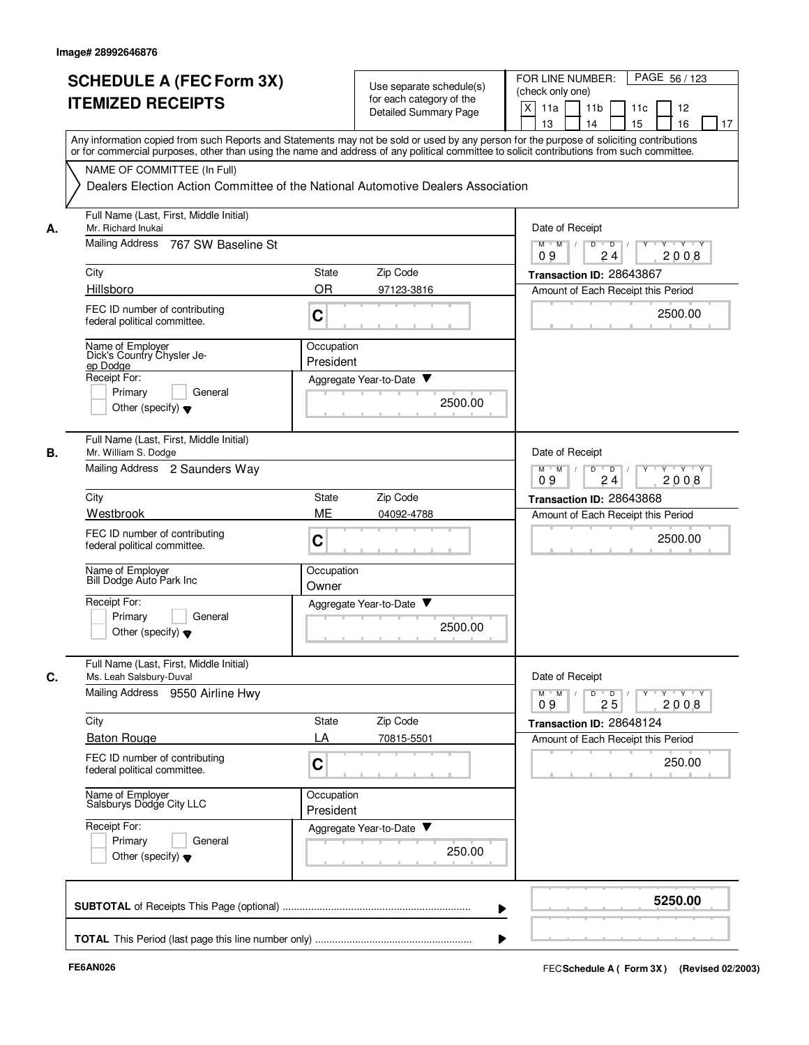|    | <b>SCHEDULE A (FEC Form 3X)</b>                                    | Use separate schedule(s)                                                                                                                                                                                                                                                                | PAGE 56 / 123<br>FOR LINE NUMBER:<br>(check only one)                                  |
|----|--------------------------------------------------------------------|-----------------------------------------------------------------------------------------------------------------------------------------------------------------------------------------------------------------------------------------------------------------------------------------|----------------------------------------------------------------------------------------|
|    | <b>ITEMIZED RECEIPTS</b>                                           | for each category of the                                                                                                                                                                                                                                                                | X<br>11a<br>11 <sub>b</sub><br>11c<br>12                                               |
|    |                                                                    | Detailed Summary Page                                                                                                                                                                                                                                                                   | 15<br>13<br>14<br>16<br>17                                                             |
|    |                                                                    | Any information copied from such Reports and Statements may not be sold or used by any person for the purpose of soliciting contributions<br>or for commercial purposes, other than using the name and address of any political committee to solicit contributions from such committee. |                                                                                        |
|    | NAME OF COMMITTEE (In Full)                                        |                                                                                                                                                                                                                                                                                         |                                                                                        |
|    |                                                                    | Dealers Election Action Committee of the National Automotive Dealers Association                                                                                                                                                                                                        |                                                                                        |
| А. | Full Name (Last, First, Middle Initial)<br>Mr. Richard Inukai      |                                                                                                                                                                                                                                                                                         | Date of Receipt                                                                        |
|    | Mailing Address<br>767 SW Baseline St                              |                                                                                                                                                                                                                                                                                         | $M$ $M$ /<br>D<br>$Y^+Y$<br>$\overline{D}$<br>2008<br>09<br>24                         |
|    | City                                                               | Zip Code<br>State                                                                                                                                                                                                                                                                       | Transaction ID: 28643867                                                               |
|    | Hillsboro                                                          | <b>OR</b><br>97123-3816                                                                                                                                                                                                                                                                 | Amount of Each Receipt this Period                                                     |
|    | FEC ID number of contributing<br>federal political committee.      | C                                                                                                                                                                                                                                                                                       | 2500.00                                                                                |
|    | Name of Employer<br>Dick's Country Chysler Je-                     | Occupation<br>President                                                                                                                                                                                                                                                                 |                                                                                        |
|    | ep Dodge<br>Receipt For:                                           | Aggregate Year-to-Date ▼                                                                                                                                                                                                                                                                |                                                                                        |
|    | Primary<br>General                                                 |                                                                                                                                                                                                                                                                                         |                                                                                        |
|    | Other (specify) $\blacktriangledown$                               | 2500.00                                                                                                                                                                                                                                                                                 |                                                                                        |
|    | Full Name (Last, First, Middle Initial)<br>Mr. William S. Dodge    |                                                                                                                                                                                                                                                                                         | Date of Receipt                                                                        |
|    | Mailing Address 2 Saunders Way                                     |                                                                                                                                                                                                                                                                                         | $Y \vdash Y \vdash Y$<br>$M$ M<br>D<br>D<br>Y<br>09<br>24<br>2008                      |
|    | City                                                               | Zip Code<br>State                                                                                                                                                                                                                                                                       | Transaction ID: 28643868                                                               |
|    | Westbrook                                                          | ME<br>04092-4788                                                                                                                                                                                                                                                                        | Amount of Each Receipt this Period                                                     |
|    | FEC ID number of contributing<br>federal political committee.      | C                                                                                                                                                                                                                                                                                       | 2500.00                                                                                |
|    | Name of Employer<br>Bill Dodge Auto Park Inc                       | Occupation<br>Owner                                                                                                                                                                                                                                                                     |                                                                                        |
|    | Receipt For:                                                       | Aggregate Year-to-Date                                                                                                                                                                                                                                                                  |                                                                                        |
|    | Primary<br>General<br>Other (specify) $\blacktriangledown$         | 2500.00                                                                                                                                                                                                                                                                                 |                                                                                        |
|    | Full Name (Last, First, Middle Initial)<br>Ms. Leah Salsbury-Duval |                                                                                                                                                                                                                                                                                         | Date of Receipt                                                                        |
|    | Mailing Address 9550 Airline Hwy                                   |                                                                                                                                                                                                                                                                                         | $M^{\prime}$ $M^{\prime}$ /<br>Y 'Y 'Y<br>D<br>$\overline{D}$<br>Y<br>25<br>2008<br>09 |
|    | City                                                               | Zip Code<br>State                                                                                                                                                                                                                                                                       | Transaction ID: 28648124                                                               |
|    | <b>Baton Rouge</b>                                                 | LA<br>70815-5501                                                                                                                                                                                                                                                                        | Amount of Each Receipt this Period                                                     |
|    | FEC ID number of contributing<br>federal political committee.      | C                                                                                                                                                                                                                                                                                       | 250.00                                                                                 |
|    | Name of Employer<br>Salsburys Dodge City LLC                       | Occupation<br>President                                                                                                                                                                                                                                                                 |                                                                                        |
|    | Receipt For:                                                       | Aggregate Year-to-Date                                                                                                                                                                                                                                                                  |                                                                                        |
|    | Primary<br>General<br>Other (specify) $\blacktriangledown$         | 250.00                                                                                                                                                                                                                                                                                  |                                                                                        |
|    |                                                                    |                                                                                                                                                                                                                                                                                         |                                                                                        |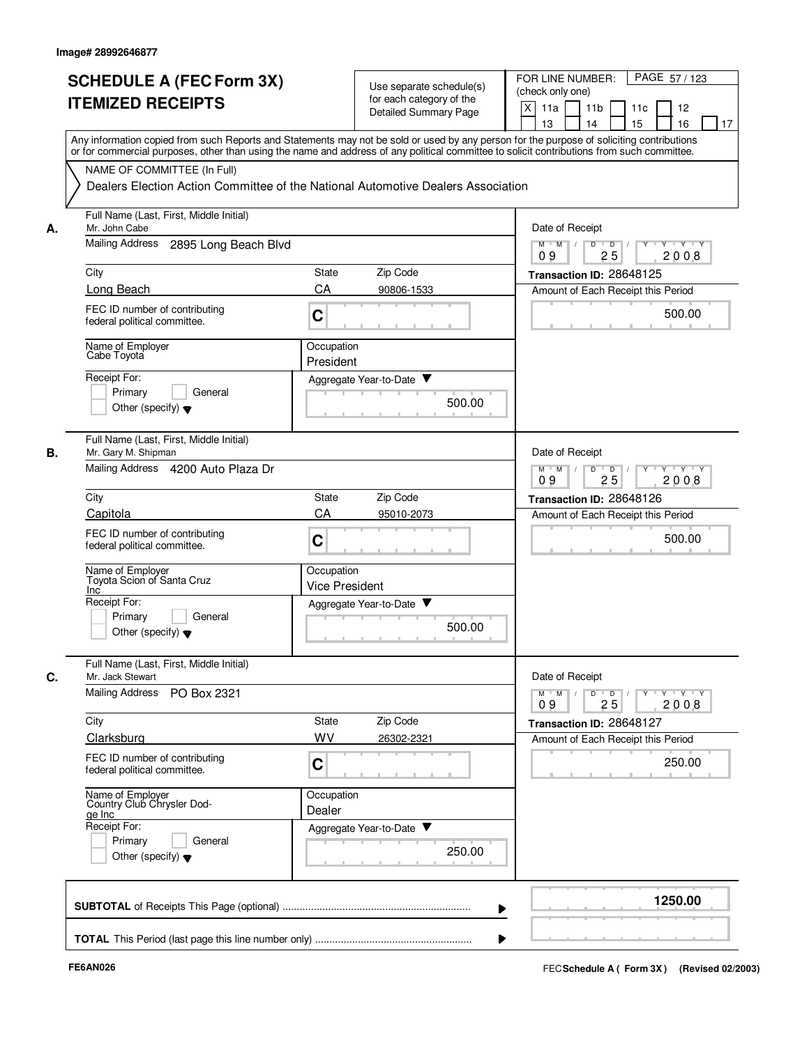|    | <b>SCHEDULE A (FEC Form 3X)</b><br><b>ITEMIZED RECEIPTS</b>                                                     | Use separate schedule(s)<br>for each category of the<br><b>Detailed Summary Page</b> | FOR LINE NUMBER:<br>PAGE 57/123<br>(check only one)<br>X<br>11a<br>11 <sub>b</sub><br>11c<br>12<br>15<br>16<br>13<br>14<br>17                                                                                                                                                           |
|----|-----------------------------------------------------------------------------------------------------------------|--------------------------------------------------------------------------------------|-----------------------------------------------------------------------------------------------------------------------------------------------------------------------------------------------------------------------------------------------------------------------------------------|
|    |                                                                                                                 |                                                                                      | Any information copied from such Reports and Statements may not be sold or used by any person for the purpose of soliciting contributions<br>or for commercial purposes, other than using the name and address of any political committee to solicit contributions from such committee. |
|    | NAME OF COMMITTEE (In Full)<br>Dealers Election Action Committee of the National Automotive Dealers Association |                                                                                      |                                                                                                                                                                                                                                                                                         |
| А. | Full Name (Last, First, Middle Initial)<br>Mr. John Cabe                                                        |                                                                                      | Date of Receipt                                                                                                                                                                                                                                                                         |
|    | Mailing Address<br>2895 Long Beach Blvd                                                                         |                                                                                      | $M$ $M$ /<br>D<br>$\overline{D}$<br>$\overline{Y}$ $\overline{Y}$ $\overline{Y}$<br>Y<br>25<br>2008<br>09                                                                                                                                                                               |
|    | City                                                                                                            | Zip Code<br><b>State</b>                                                             | Transaction ID: 28648125                                                                                                                                                                                                                                                                |
|    | Long Beach                                                                                                      | CA<br>90806-1533                                                                     | Amount of Each Receipt this Period                                                                                                                                                                                                                                                      |
|    | FEC ID number of contributing<br>federal political committee.                                                   | C                                                                                    | 500.00                                                                                                                                                                                                                                                                                  |
|    | Name of Employer<br>Cabe Toyota                                                                                 | Occupation<br>President                                                              |                                                                                                                                                                                                                                                                                         |
|    | Receipt For:                                                                                                    | Aggregate Year-to-Date                                                               |                                                                                                                                                                                                                                                                                         |
|    | General<br>Primary<br>Other (specify) $\blacktriangledown$                                                      |                                                                                      | 500.00                                                                                                                                                                                                                                                                                  |
| В. | Full Name (Last, First, Middle Initial)<br>Mr. Gary M. Shipman                                                  |                                                                                      | Date of Receipt                                                                                                                                                                                                                                                                         |
|    | Mailing Address 4200 Auto Plaza Dr                                                                              |                                                                                      | D<br>$\overline{D}$<br>Y 'Y 'Y<br>$M$ M<br>2008<br>09<br>25                                                                                                                                                                                                                             |
|    | City                                                                                                            | Zip Code<br><b>State</b>                                                             | Transaction ID: 28648126                                                                                                                                                                                                                                                                |
|    | Capitola<br>FEC ID number of contributing<br>federal political committee.                                       | CA<br>95010-2073<br>C                                                                | Amount of Each Receipt this Period<br>500.00                                                                                                                                                                                                                                            |
|    | Name of Employer<br>Toyota Scion of Santa Cruz<br>Inc                                                           | Occupation<br><b>Vice President</b>                                                  |                                                                                                                                                                                                                                                                                         |
|    | Receipt For:                                                                                                    | Aggregate Year-to-Date                                                               |                                                                                                                                                                                                                                                                                         |
|    | Primary<br>General<br>Other (specify) $\blacktriangledown$                                                      |                                                                                      | 500.00                                                                                                                                                                                                                                                                                  |
| C. | Full Name (Last, First, Middle Initial)<br>Mr. Jack Stewart                                                     |                                                                                      | Date of Receipt                                                                                                                                                                                                                                                                         |
|    | <b>Mailing Address</b><br>PO Box 2321                                                                           |                                                                                      | $D$ $D$ $I$<br>$M$ $M$ /<br>09<br>25<br>2008                                                                                                                                                                                                                                            |
|    | City                                                                                                            | State<br>Zip Code                                                                    | Transaction ID: 28648127                                                                                                                                                                                                                                                                |
|    | Clarksburg                                                                                                      | WV<br>26302-2321                                                                     | Amount of Each Receipt this Period                                                                                                                                                                                                                                                      |
|    | FEC ID number of contributing<br>federal political committee.                                                   | C                                                                                    | 250.00                                                                                                                                                                                                                                                                                  |
|    | Name of Employer<br>Country Club Chrysler Dod-<br>ge Inc                                                        | Occupation<br>Dealer                                                                 |                                                                                                                                                                                                                                                                                         |
|    | Receipt For:                                                                                                    | Aggregate Year-to-Date                                                               |                                                                                                                                                                                                                                                                                         |
|    | Primary<br>General<br>Other (specify) $\blacktriangledown$                                                      |                                                                                      | 250.00                                                                                                                                                                                                                                                                                  |
|    |                                                                                                                 |                                                                                      | 1250.00                                                                                                                                                                                                                                                                                 |
|    |                                                                                                                 |                                                                                      |                                                                                                                                                                                                                                                                                         |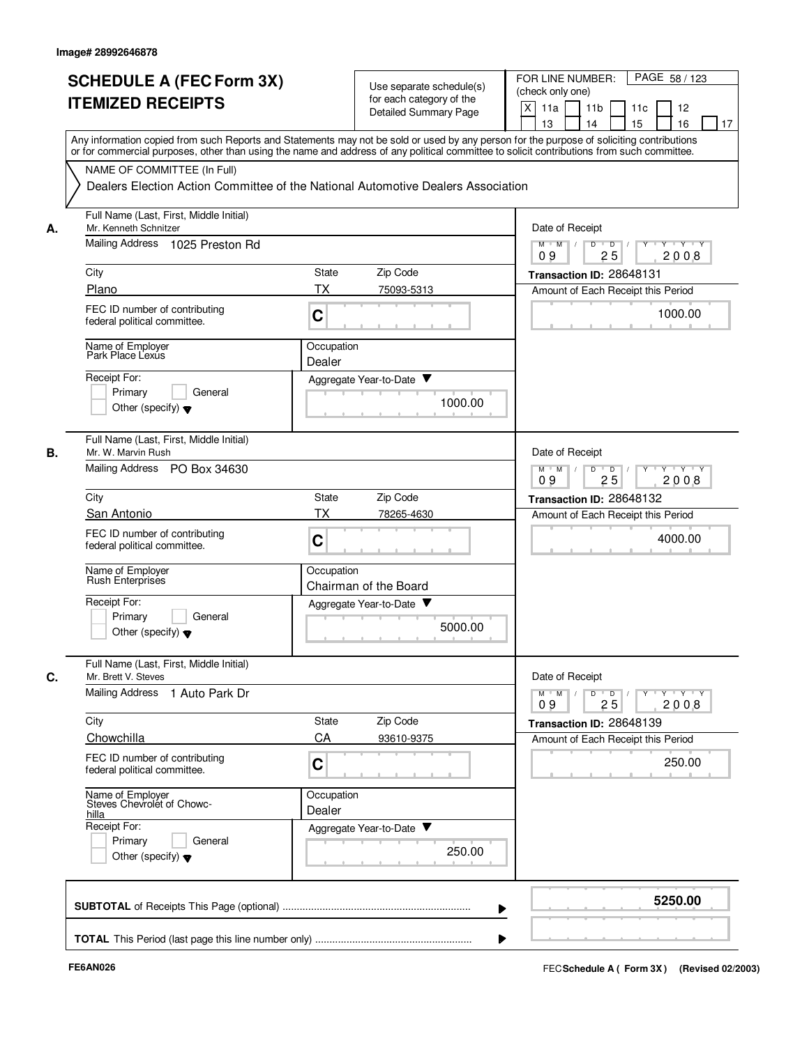|    | <b>SCHEDULE A (FEC Form 3X)</b><br><b>ITEMIZED RECEIPTS</b>                  | Use separate schedule(s)<br>for each category of the<br><b>Detailed Summary Page</b>                                                                                                                                                                                                    | PAGE 58 / 123<br>FOR LINE NUMBER:<br>(check only one)<br>X<br>11 <sub>b</sub><br>11a<br>11c<br>12<br>15<br>13<br>14<br>16<br>17 |
|----|------------------------------------------------------------------------------|-----------------------------------------------------------------------------------------------------------------------------------------------------------------------------------------------------------------------------------------------------------------------------------------|---------------------------------------------------------------------------------------------------------------------------------|
|    |                                                                              | Any information copied from such Reports and Statements may not be sold or used by any person for the purpose of soliciting contributions<br>or for commercial purposes, other than using the name and address of any political committee to solicit contributions from such committee. |                                                                                                                                 |
|    | NAME OF COMMITTEE (In Full)                                                  | Dealers Election Action Committee of the National Automotive Dealers Association                                                                                                                                                                                                        |                                                                                                                                 |
| А. | Full Name (Last, First, Middle Initial)<br>Mr. Kenneth Schnitzer             |                                                                                                                                                                                                                                                                                         | Date of Receipt                                                                                                                 |
|    | Mailing Address<br>1025 Preston Rd                                           |                                                                                                                                                                                                                                                                                         | $M$ $M$ /<br>D<br>$\overline{D}$ /<br>Y<br>$Y \vdash Y \vdash Y$<br>25<br>09<br>2008                                            |
|    | City                                                                         | Zip Code<br>State                                                                                                                                                                                                                                                                       | Transaction ID: 28648131                                                                                                        |
|    | Plano                                                                        | <b>TX</b><br>75093-5313                                                                                                                                                                                                                                                                 | Amount of Each Receipt this Period                                                                                              |
|    | FEC ID number of contributing<br>federal political committee.                | C                                                                                                                                                                                                                                                                                       | 1000.00                                                                                                                         |
|    | Name of Employer<br>Park Place Lexus                                         | Occupation<br>Dealer                                                                                                                                                                                                                                                                    |                                                                                                                                 |
|    | Receipt For:                                                                 | Aggregate Year-to-Date ▼                                                                                                                                                                                                                                                                |                                                                                                                                 |
|    | Primary<br>General<br>Other (specify) $\blacktriangledown$                   | 1000.00                                                                                                                                                                                                                                                                                 |                                                                                                                                 |
| В. | Full Name (Last, First, Middle Initial)<br>Mr. W. Marvin Rush                |                                                                                                                                                                                                                                                                                         | Date of Receipt                                                                                                                 |
|    | Mailing Address<br>PO Box 34630                                              |                                                                                                                                                                                                                                                                                         | $Y - Y - Y$<br>$M$ M<br>D<br>$\overline{D}$<br>25<br>2008<br>09                                                                 |
|    | City                                                                         | Zip Code<br>State                                                                                                                                                                                                                                                                       | Transaction ID: 28648132                                                                                                        |
|    | San Antonio<br>FEC ID number of contributing<br>federal political committee. | <b>TX</b><br>78265-4630<br>C                                                                                                                                                                                                                                                            | Amount of Each Receipt this Period<br>4000.00                                                                                   |
|    | Name of Employer<br><b>Rush Enterprises</b>                                  | Occupation<br>Chairman of the Board                                                                                                                                                                                                                                                     |                                                                                                                                 |
|    | Receipt For:<br>Primary<br>General<br>Other (specify) $\blacktriangledown$   | Aggregate Year-to-Date<br>5000.00                                                                                                                                                                                                                                                       |                                                                                                                                 |
| C. | Full Name (Last, First, Middle Initial)<br>Mr. Brett V. Steves               |                                                                                                                                                                                                                                                                                         | Date of Receipt                                                                                                                 |
|    | Mailing Address 1 Auto Park Dr                                               |                                                                                                                                                                                                                                                                                         | $Y - Y - Y - Y$<br>$M$ $M$ /<br>D<br>$\overline{D}$<br>Y<br>2008<br>09<br>25                                                    |
|    | City                                                                         | Zip Code<br>State                                                                                                                                                                                                                                                                       | Transaction ID: 28648139                                                                                                        |
|    | Chowchilla<br>FEC ID number of contributing                                  | CA<br>93610-9375                                                                                                                                                                                                                                                                        | Amount of Each Receipt this Period                                                                                              |
|    | federal political committee.                                                 | C                                                                                                                                                                                                                                                                                       | 250.00                                                                                                                          |
|    | Name of Employer<br>Steves Chevrolet of Chowc-<br>hilla                      | Occupation<br>Dealer                                                                                                                                                                                                                                                                    |                                                                                                                                 |
|    | Receipt For:<br>Primary<br>General<br>Other (specify) $\blacktriangledown$   | Aggregate Year-to-Date<br>250.00                                                                                                                                                                                                                                                        |                                                                                                                                 |
|    |                                                                              |                                                                                                                                                                                                                                                                                         | 5250.00                                                                                                                         |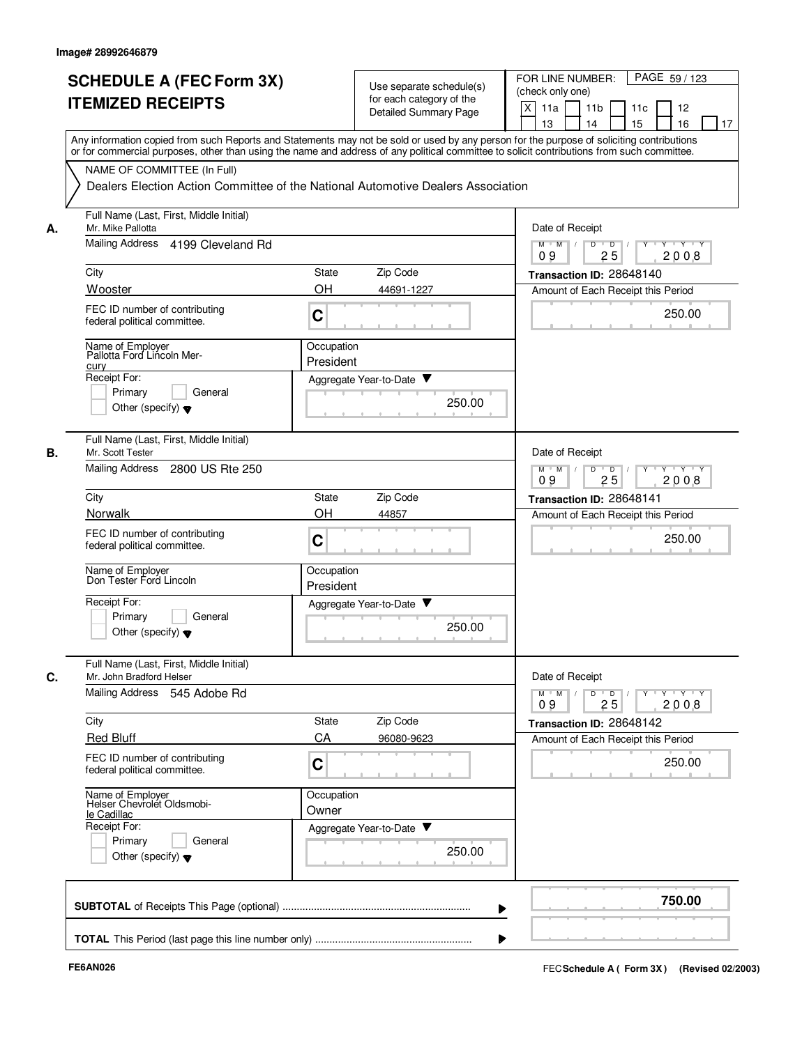|    | <b>SCHEDULE A (FEC Form 3X)</b><br><b>ITEMIZED RECEIPTS</b>                                                                                                                                                                                                                                                            | Use separate schedule(s)<br>for each category of the<br><b>Detailed Summary Page</b> | PAGE 59 / 123<br>FOR LINE NUMBER:<br>(check only one)<br>$\times$<br>11a<br>11 <sub>b</sub><br>11c<br>12<br>15<br>13<br>14<br>16<br>17 |
|----|------------------------------------------------------------------------------------------------------------------------------------------------------------------------------------------------------------------------------------------------------------------------------------------------------------------------|--------------------------------------------------------------------------------------|----------------------------------------------------------------------------------------------------------------------------------------|
|    | Any information copied from such Reports and Statements may not be sold or used by any person for the purpose of soliciting contributions<br>or for commercial purposes, other than using the name and address of any political committee to solicit contributions from such committee.<br>NAME OF COMMITTEE (In Full) |                                                                                      |                                                                                                                                        |
|    |                                                                                                                                                                                                                                                                                                                        | Dealers Election Action Committee of the National Automotive Dealers Association     |                                                                                                                                        |
| А. | Full Name (Last, First, Middle Initial)<br>Mr. Mike Pallotta                                                                                                                                                                                                                                                           |                                                                                      | Date of Receipt                                                                                                                        |
|    | Mailing Address 4199 Cleveland Rd                                                                                                                                                                                                                                                                                      |                                                                                      | $M$ $M$ /<br>$\overline{D}$<br>$\overline{D}$ /<br>$Y \cup Y \cup Y$<br>25<br>2008<br>09                                               |
|    | City                                                                                                                                                                                                                                                                                                                   | Zip Code<br>State                                                                    | Transaction ID: 28648140                                                                                                               |
|    | Wooster<br>FEC ID number of contributing<br>federal political committee.                                                                                                                                                                                                                                               | OH<br>44691-1227<br>C                                                                | Amount of Each Receipt this Period<br>250.00                                                                                           |
|    | Name of Employer<br>Pallotta Ford Lincoln Mer-<br>cury                                                                                                                                                                                                                                                                 | Occupation<br>President                                                              |                                                                                                                                        |
|    | Receipt For:<br>Primary<br>General<br>Other (specify) $\blacktriangledown$                                                                                                                                                                                                                                             | Aggregate Year-to-Date ▼<br>250.00                                                   |                                                                                                                                        |
| В. | Full Name (Last, First, Middle Initial)<br>Mr. Scott Tester<br>Mailing Address<br>2800 US Rte 250                                                                                                                                                                                                                      |                                                                                      | Date of Receipt<br>$Y - Y - Y$<br>$M$ $M$<br>D<br>$\overline{D}$<br>25<br>2008<br>09                                                   |
|    | City                                                                                                                                                                                                                                                                                                                   | <b>State</b><br>Zip Code                                                             | Transaction ID: 28648141                                                                                                               |
|    | Norwalk                                                                                                                                                                                                                                                                                                                | OH<br>44857                                                                          | Amount of Each Receipt this Period                                                                                                     |
|    | FEC ID number of contributing<br>federal political committee.                                                                                                                                                                                                                                                          | C                                                                                    | 250.00                                                                                                                                 |
|    | Name of Employer<br>Don Tester Ford Lincoln                                                                                                                                                                                                                                                                            | Occupation<br>President                                                              |                                                                                                                                        |
|    | Receipt For:<br>Primary<br>General<br>Other (specify) $\blacktriangledown$                                                                                                                                                                                                                                             | v<br>Aggregate Year-to-Date<br>250.00                                                |                                                                                                                                        |
| C. | Full Name (Last, First, Middle Initial)<br>Mr. John Bradford Helser<br>Mailing Address 545 Adobe Rd                                                                                                                                                                                                                    |                                                                                      | Date of Receipt                                                                                                                        |
|    |                                                                                                                                                                                                                                                                                                                        |                                                                                      | Y 'Y 'Y<br>$M$ $M$ /<br>D<br>$\overline{D}$<br>$Y^+$<br>2008<br>09<br>25                                                               |
|    | City<br><b>Red Bluff</b>                                                                                                                                                                                                                                                                                               | Zip Code<br>State<br>CA<br>96080-9623                                                | Transaction ID: 28648142                                                                                                               |
|    | FEC ID number of contributing<br>federal political committee.                                                                                                                                                                                                                                                          | C                                                                                    | Amount of Each Receipt this Period<br>250.00                                                                                           |
|    | Name of Employer<br>Helser Chevrolet Oldsmobi-<br>le Cadillac<br>Receipt For:                                                                                                                                                                                                                                          | Occupation<br>Owner<br>Aggregate Year-to-Date                                        |                                                                                                                                        |
|    | Primary<br>General<br>Other (specify) $\blacktriangledown$                                                                                                                                                                                                                                                             | 250.00                                                                               |                                                                                                                                        |
|    |                                                                                                                                                                                                                                                                                                                        |                                                                                      | 750.00                                                                                                                                 |
|    |                                                                                                                                                                                                                                                                                                                        |                                                                                      |                                                                                                                                        |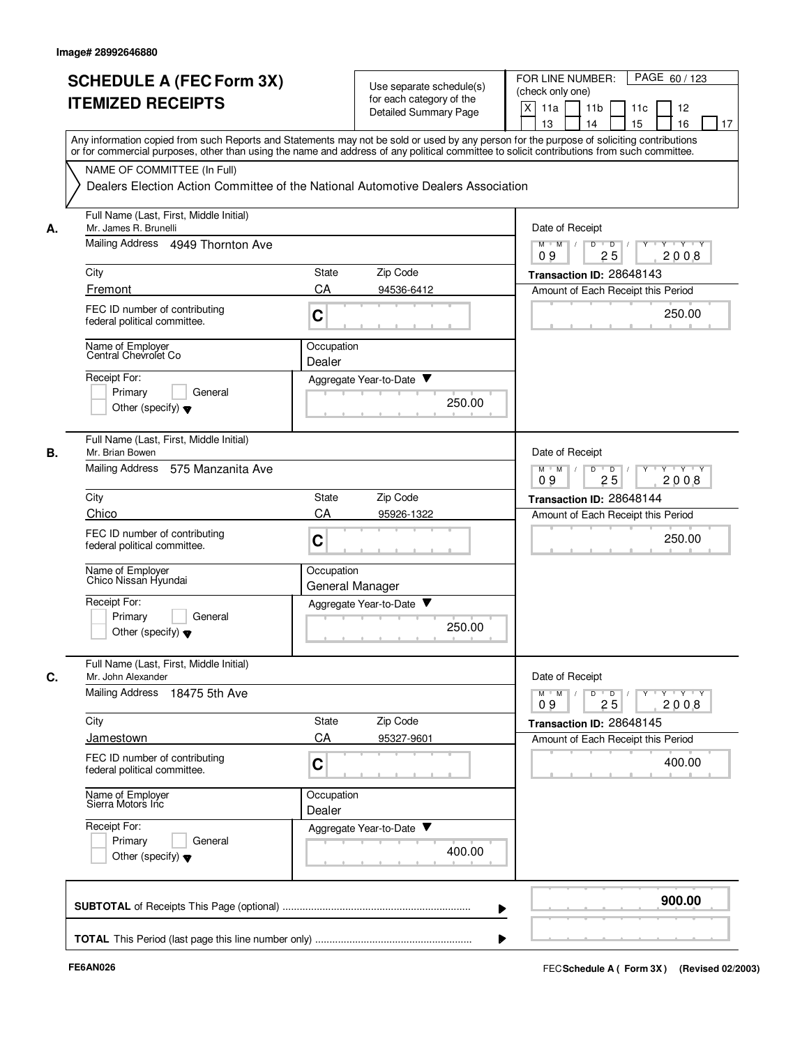|    | <b>SCHEDULE A (FEC Form 3X)</b>                                                                                                                                                                                                                                                         |                      | Use separate schedule(s)     | PAGE 60 / 123<br>FOR LINE NUMBER:<br>(check only one)                             |
|----|-----------------------------------------------------------------------------------------------------------------------------------------------------------------------------------------------------------------------------------------------------------------------------------------|----------------------|------------------------------|-----------------------------------------------------------------------------------|
|    | <b>ITEMIZED RECEIPTS</b>                                                                                                                                                                                                                                                                |                      | for each category of the     | $\times$<br>11a<br>11 <sub>b</sub><br>11c<br>12                                   |
|    |                                                                                                                                                                                                                                                                                         |                      | <b>Detailed Summary Page</b> | 15<br>13<br>14<br>16<br>17                                                        |
|    | Any information copied from such Reports and Statements may not be sold or used by any person for the purpose of soliciting contributions<br>or for commercial purposes, other than using the name and address of any political committee to solicit contributions from such committee. |                      |                              |                                                                                   |
|    | NAME OF COMMITTEE (In Full)                                                                                                                                                                                                                                                             |                      |                              |                                                                                   |
|    | Dealers Election Action Committee of the National Automotive Dealers Association                                                                                                                                                                                                        |                      |                              |                                                                                   |
| А. | Full Name (Last, First, Middle Initial)<br>Mr. James R. Brunelli                                                                                                                                                                                                                        |                      |                              | Date of Receipt                                                                   |
|    | Mailing Address 4949 Thornton Ave                                                                                                                                                                                                                                                       |                      |                              | D<br>$M$ $M$ /<br>$\overline{D}$<br>$\mathbf{y}$ $\mathbf{y}$<br>25<br>2008<br>09 |
|    | City                                                                                                                                                                                                                                                                                    | State                | Zip Code                     | Transaction ID: 28648143                                                          |
|    | Fremont                                                                                                                                                                                                                                                                                 | CA                   | 94536-6412                   | Amount of Each Receipt this Period                                                |
|    | FEC ID number of contributing<br>federal political committee.                                                                                                                                                                                                                           | C                    |                              | 250.00                                                                            |
|    | Name of Employer<br>Central Chevrolet Co                                                                                                                                                                                                                                                | Occupation<br>Dealer |                              |                                                                                   |
|    | Receipt For:                                                                                                                                                                                                                                                                            |                      | Aggregate Year-to-Date ▼     |                                                                                   |
|    | Primary<br>General                                                                                                                                                                                                                                                                      |                      | 250.00                       |                                                                                   |
|    | Other (specify) $\blacktriangledown$                                                                                                                                                                                                                                                    |                      |                              |                                                                                   |
| В. | Full Name (Last, First, Middle Initial)<br>Mr. Brian Bowen                                                                                                                                                                                                                              |                      |                              | Date of Receipt                                                                   |
|    | <b>Mailing Address</b><br>575 Manzanita Ave                                                                                                                                                                                                                                             |                      |                              | $Y - Y - Y$<br>$M$ $M$<br>D<br>$\overline{D}$<br>25<br>2008<br>09                 |
|    | City                                                                                                                                                                                                                                                                                    | State                | Zip Code                     | Transaction ID: 28648144                                                          |
|    | Chico                                                                                                                                                                                                                                                                                   | CA                   | 95926-1322                   | Amount of Each Receipt this Period                                                |
|    | FEC ID number of contributing<br>federal political committee.                                                                                                                                                                                                                           | $\mathbf C$          |                              | 250.00                                                                            |
|    | Name of Employer<br>Chico Nissan Hyundai                                                                                                                                                                                                                                                | Occupation           | General Manager              |                                                                                   |
|    | Receipt For:                                                                                                                                                                                                                                                                            |                      | Aggregate Year-to-Date       |                                                                                   |
|    | Primary<br>General<br>Other (specify) $\blacktriangledown$                                                                                                                                                                                                                              |                      | 250.00                       |                                                                                   |
| C. | Full Name (Last, First, Middle Initial)<br>Mr. John Alexander                                                                                                                                                                                                                           |                      |                              | Date of Receipt                                                                   |
|    | Mailing Address 18475 5th Ave                                                                                                                                                                                                                                                           |                      |                              | y y y y y y<br>$M$ $M$ $/$<br>D<br>$\overline{\phantom{0}}$<br>25<br>2008<br>09   |
|    | City                                                                                                                                                                                                                                                                                    | State                | Zip Code                     | Transaction ID: 28648145                                                          |
|    | <b>Jamestown</b>                                                                                                                                                                                                                                                                        | CA                   | 95327-9601                   | Amount of Each Receipt this Period                                                |
|    | FEC ID number of contributing<br>federal political committee.                                                                                                                                                                                                                           | $\mathbf C$          |                              | 400.00                                                                            |
|    | Name of Employer<br>Sierra Motors Inc                                                                                                                                                                                                                                                   | Occupation<br>Dealer |                              |                                                                                   |
|    | Receipt For:                                                                                                                                                                                                                                                                            |                      | Aggregate Year-to-Date       |                                                                                   |
|    | Primary<br>General<br>Other (specify) $\blacktriangledown$                                                                                                                                                                                                                              |                      | 400.00                       |                                                                                   |
|    |                                                                                                                                                                                                                                                                                         |                      |                              | 900.00                                                                            |
|    |                                                                                                                                                                                                                                                                                         |                      |                              |                                                                                   |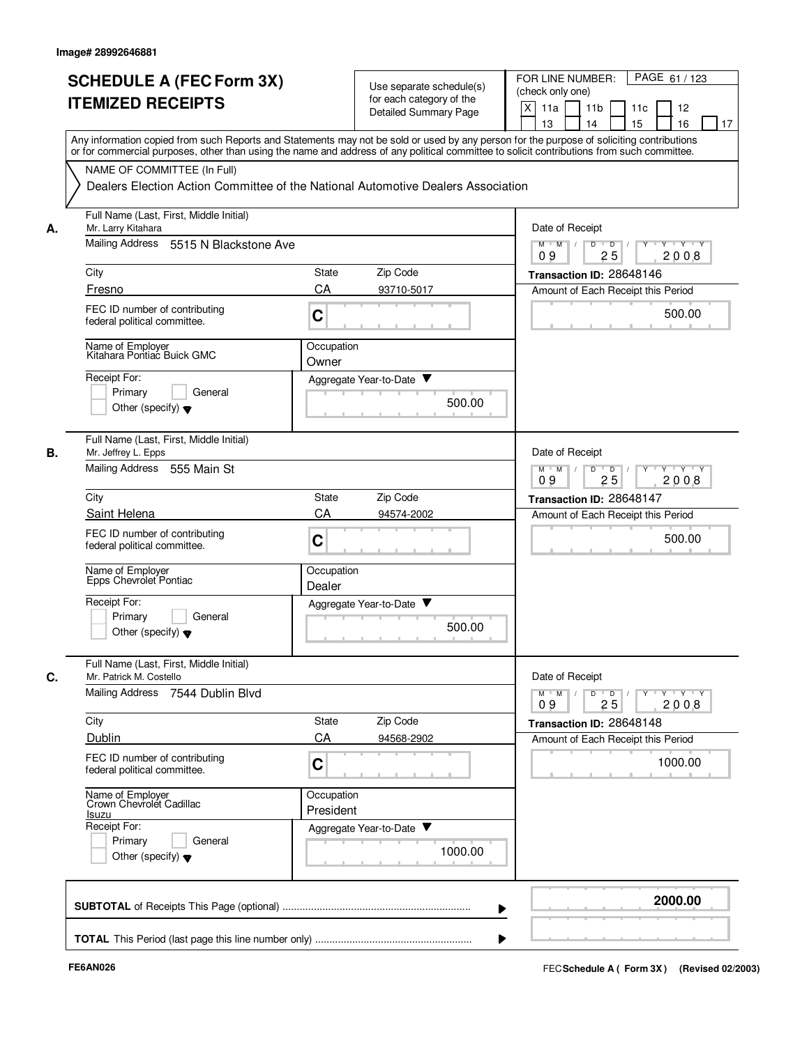|    | <b>SCHEDULE A (FEC Form 3X)</b><br><b>ITEMIZED RECEIPTS</b>                                                                                                                                                                                                                                                            |                         | Use separate schedule(s)<br>for each category of the<br>Detailed Summary Page | PAGE 61 / 123<br>FOR LINE NUMBER:<br>(check only one)<br>X<br>11a<br>11 <sub>b</sub><br>11c<br>12<br>15<br>13<br>14<br>16<br>17 |
|----|------------------------------------------------------------------------------------------------------------------------------------------------------------------------------------------------------------------------------------------------------------------------------------------------------------------------|-------------------------|-------------------------------------------------------------------------------|---------------------------------------------------------------------------------------------------------------------------------|
|    | Any information copied from such Reports and Statements may not be sold or used by any person for the purpose of soliciting contributions<br>or for commercial purposes, other than using the name and address of any political committee to solicit contributions from such committee.<br>NAME OF COMMITTEE (In Full) |                         |                                                                               |                                                                                                                                 |
|    | Dealers Election Action Committee of the National Automotive Dealers Association                                                                                                                                                                                                                                       |                         |                                                                               |                                                                                                                                 |
| А. | Full Name (Last, First, Middle Initial)<br>Mr. Larry Kitahara                                                                                                                                                                                                                                                          |                         |                                                                               | Date of Receipt                                                                                                                 |
|    | Mailing Address 5515 N Blackstone Ave                                                                                                                                                                                                                                                                                  |                         |                                                                               | D<br>$M$ $M$ /<br>$\overline{\phantom{0}}$ D<br>Y 'Y 'Y<br>2008<br>09<br>25                                                     |
|    | City                                                                                                                                                                                                                                                                                                                   | <b>State</b>            | Zip Code                                                                      | Transaction ID: 28648146                                                                                                        |
|    | Fresno                                                                                                                                                                                                                                                                                                                 | CA                      | 93710-5017                                                                    | Amount of Each Receipt this Period                                                                                              |
|    | FEC ID number of contributing<br>federal political committee.                                                                                                                                                                                                                                                          | C                       |                                                                               | 500.00                                                                                                                          |
|    | Name of Employer<br>Kitahara Pontiac Buick GMC                                                                                                                                                                                                                                                                         | Occupation<br>Owner     |                                                                               |                                                                                                                                 |
|    | Receipt For:<br>Primary<br>General                                                                                                                                                                                                                                                                                     |                         | Aggregate Year-to-Date ▼                                                      |                                                                                                                                 |
|    | Other (specify) $\blacktriangledown$                                                                                                                                                                                                                                                                                   |                         | 500.00                                                                        |                                                                                                                                 |
| В. | Full Name (Last, First, Middle Initial)<br>Mr. Jeffrey L. Epps                                                                                                                                                                                                                                                         |                         |                                                                               | Date of Receipt                                                                                                                 |
|    | Mailing Address 555 Main St                                                                                                                                                                                                                                                                                            |                         |                                                                               | $Y \vdash Y \vdash Y$<br>$M$ M<br>D<br>$\overline{D}$<br>Y<br>09<br>25<br>2008                                                  |
|    | City                                                                                                                                                                                                                                                                                                                   | State                   | Zip Code                                                                      | Transaction ID: 28648147                                                                                                        |
|    | Saint Helena                                                                                                                                                                                                                                                                                                           | CA                      | 94574-2002                                                                    | Amount of Each Receipt this Period                                                                                              |
|    | FEC ID number of contributing<br>federal political committee.                                                                                                                                                                                                                                                          | C                       |                                                                               | 500.00                                                                                                                          |
|    | Name of Employer<br>Epps Chevrolet Pontiac                                                                                                                                                                                                                                                                             | Occupation<br>Dealer    |                                                                               |                                                                                                                                 |
|    | Receipt For:<br>Primary<br>General<br>Other (specify) $\blacktriangledown$                                                                                                                                                                                                                                             |                         | Aggregate Year-to-Date<br>500.00                                              |                                                                                                                                 |
| C. | Full Name (Last, First, Middle Initial)<br>Mr. Patrick M. Costello                                                                                                                                                                                                                                                     |                         |                                                                               | Date of Receipt                                                                                                                 |
|    | Mailing Address 7544 Dublin Blvd                                                                                                                                                                                                                                                                                       |                         |                                                                               | $Y + Y + Y$<br>$M$ $M$<br>D<br>$\overline{D}$<br>Y<br>25<br>2008<br>09                                                          |
|    | City                                                                                                                                                                                                                                                                                                                   | State                   | Zip Code                                                                      | Transaction ID: 28648148                                                                                                        |
|    | Dublin                                                                                                                                                                                                                                                                                                                 | CA                      | 94568-2902                                                                    | Amount of Each Receipt this Period                                                                                              |
|    | FEC ID number of contributing<br>federal political committee.                                                                                                                                                                                                                                                          | C                       |                                                                               | 1000.00                                                                                                                         |
|    | Name of Employer<br>Crown Chevrolet Cadillac<br>Isuzu                                                                                                                                                                                                                                                                  | Occupation<br>President |                                                                               |                                                                                                                                 |
|    | Receipt For:<br>Primary<br>General<br>Other (specify) $\blacktriangledown$                                                                                                                                                                                                                                             |                         | Aggregate Year-to-Date<br>1000.00                                             |                                                                                                                                 |
|    |                                                                                                                                                                                                                                                                                                                        |                         |                                                                               | 2000.00                                                                                                                         |
|    |                                                                                                                                                                                                                                                                                                                        |                         |                                                                               |                                                                                                                                 |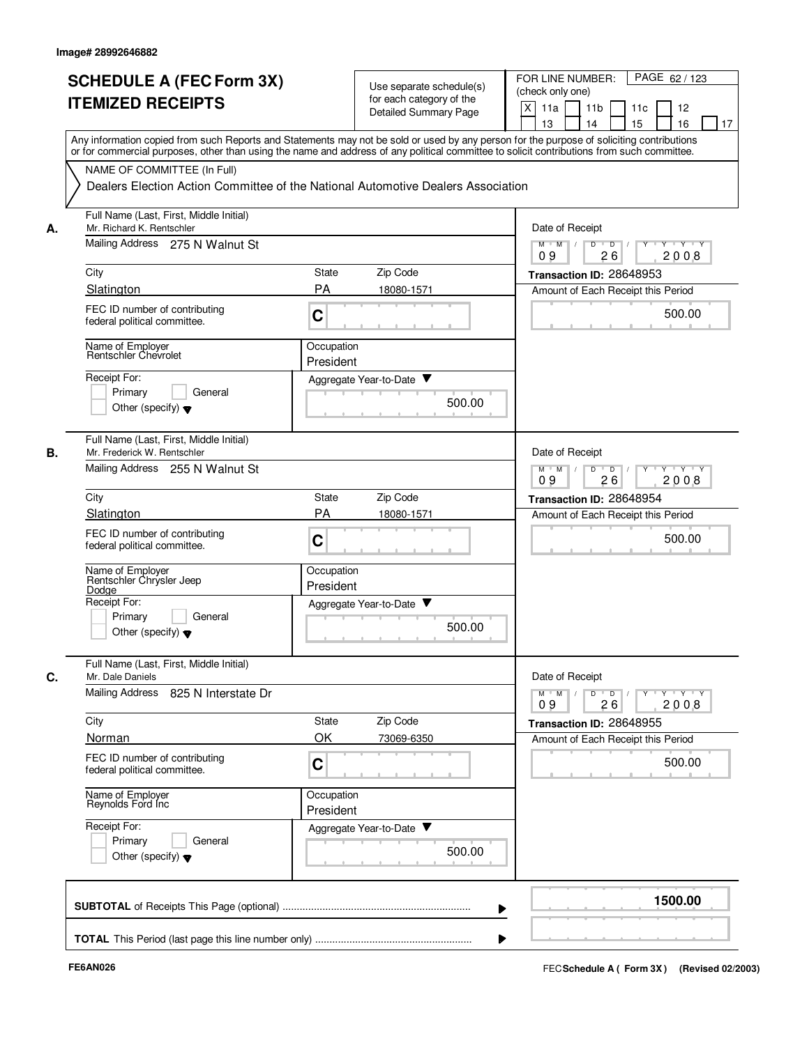|    | <b>SCHEDULE A (FEC Form 3X)</b><br><b>ITEMIZED RECEIPTS</b>            | Use separate schedule(s)<br>for each category of the<br><b>Detailed Summary Page</b>                                                                                                                                                                                                    | PAGE 62 / 123<br>FOR LINE NUMBER:<br>(check only one)<br>X<br>11 <sub>b</sub><br>11a<br>11c<br>12<br>15<br>13<br>14<br>16<br>17 |
|----|------------------------------------------------------------------------|-----------------------------------------------------------------------------------------------------------------------------------------------------------------------------------------------------------------------------------------------------------------------------------------|---------------------------------------------------------------------------------------------------------------------------------|
|    |                                                                        | Any information copied from such Reports and Statements may not be sold or used by any person for the purpose of soliciting contributions<br>or for commercial purposes, other than using the name and address of any political committee to solicit contributions from such committee. |                                                                                                                                 |
|    | NAME OF COMMITTEE (In Full)                                            | Dealers Election Action Committee of the National Automotive Dealers Association                                                                                                                                                                                                        |                                                                                                                                 |
| А. | Full Name (Last, First, Middle Initial)<br>Mr. Richard K. Rentschler   |                                                                                                                                                                                                                                                                                         | Date of Receipt                                                                                                                 |
|    | Mailing Address 275 N Walnut St                                        |                                                                                                                                                                                                                                                                                         | $M$ $M$ /<br>D<br>$\overline{D}$ /<br>Y<br>Y Y Y Y<br>09<br>26<br>2008                                                          |
|    | City                                                                   | Zip Code<br>State                                                                                                                                                                                                                                                                       | Transaction ID: 28648953                                                                                                        |
|    | Slatington                                                             | <b>PA</b><br>18080-1571                                                                                                                                                                                                                                                                 | Amount of Each Receipt this Period                                                                                              |
|    | FEC ID number of contributing<br>federal political committee.          | C                                                                                                                                                                                                                                                                                       | 500.00                                                                                                                          |
|    | Name of Employer<br>Rentschler Chevrolet                               | Occupation<br>President                                                                                                                                                                                                                                                                 |                                                                                                                                 |
|    | Receipt For:<br>General                                                | Aggregate Year-to-Date ▼                                                                                                                                                                                                                                                                |                                                                                                                                 |
|    | Primary<br>Other (specify) $\blacktriangledown$                        | 500.00                                                                                                                                                                                                                                                                                  |                                                                                                                                 |
| В. | Full Name (Last, First, Middle Initial)<br>Mr. Frederick W. Rentschler |                                                                                                                                                                                                                                                                                         | Date of Receipt                                                                                                                 |
|    | Mailing Address 255 N Walnut St                                        |                                                                                                                                                                                                                                                                                         | $Y - Y - Y$<br>$M$ M<br>D<br>$\overline{D}$<br>2008<br>09<br>26                                                                 |
|    | City                                                                   | Zip Code<br>State                                                                                                                                                                                                                                                                       | Transaction ID: 28648954                                                                                                        |
|    | Slatington                                                             | PA<br>18080-1571                                                                                                                                                                                                                                                                        | Amount of Each Receipt this Period                                                                                              |
|    | FEC ID number of contributing<br>federal political committee.          | C                                                                                                                                                                                                                                                                                       | 500.00                                                                                                                          |
|    | Name of Employer<br>Rentschler Chrysler Jeep<br>Dodge                  | Occupation<br>President                                                                                                                                                                                                                                                                 |                                                                                                                                 |
|    | Receipt For:<br>Primary<br>General                                     | v<br>Aggregate Year-to-Date                                                                                                                                                                                                                                                             |                                                                                                                                 |
|    | Other (specify) $\blacktriangledown$                                   | 500.00                                                                                                                                                                                                                                                                                  |                                                                                                                                 |
| C. | Full Name (Last, First, Middle Initial)<br>Mr. Dale Daniels            |                                                                                                                                                                                                                                                                                         | Date of Receipt                                                                                                                 |
|    | Mailing Address 825 N Interstate Dr                                    |                                                                                                                                                                                                                                                                                         | $Y - Y - Y - Y$<br>$M$ $M$<br>D<br>$\overline{D}$<br>Y<br>2008<br>09<br>26                                                      |
|    | City                                                                   | Zip Code<br>State                                                                                                                                                                                                                                                                       | Transaction ID: 28648955                                                                                                        |
|    | Norman                                                                 | OK<br>73069-6350                                                                                                                                                                                                                                                                        | Amount of Each Receipt this Period                                                                                              |
|    | FEC ID number of contributing<br>federal political committee.          | C                                                                                                                                                                                                                                                                                       | 500.00                                                                                                                          |
|    | Name of Employer<br>Reynolds Ford Inc                                  | Occupation<br>President                                                                                                                                                                                                                                                                 |                                                                                                                                 |
|    | Receipt For:<br>Primary                                                | Aggregate Year-to-Date                                                                                                                                                                                                                                                                  |                                                                                                                                 |
|    | General<br>Other (specify) $\blacktriangledown$                        | 500.00                                                                                                                                                                                                                                                                                  |                                                                                                                                 |
|    |                                                                        |                                                                                                                                                                                                                                                                                         | 1500.00                                                                                                                         |
|    |                                                                        |                                                                                                                                                                                                                                                                                         |                                                                                                                                 |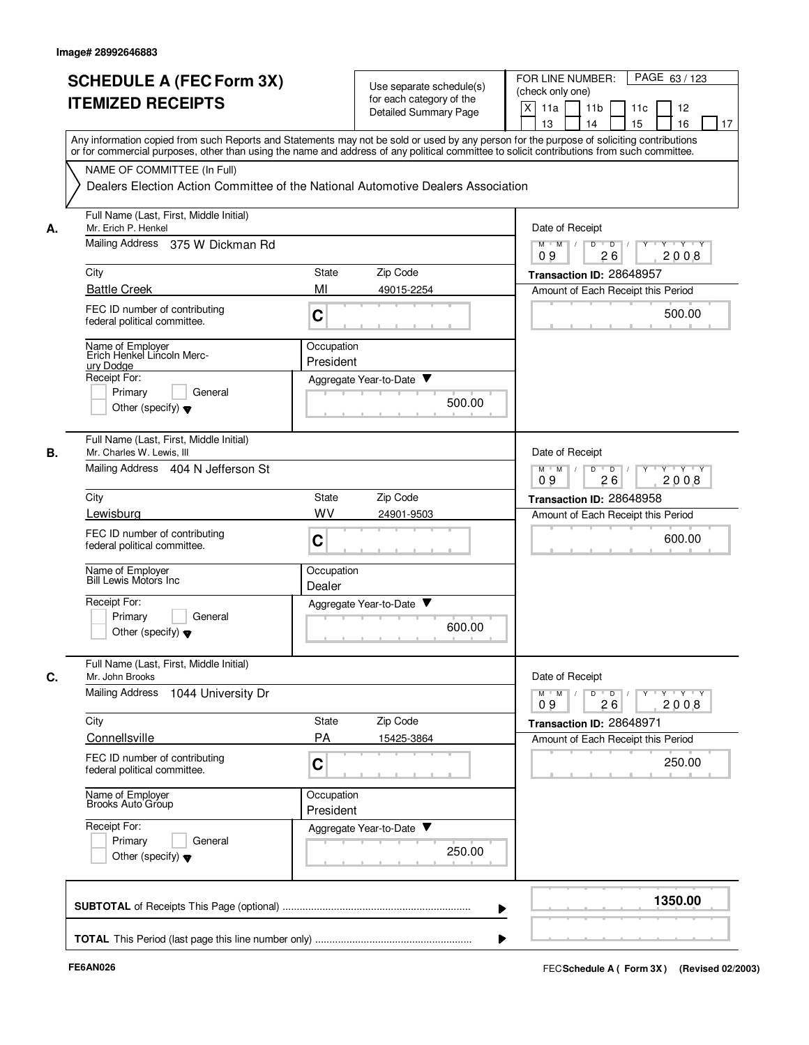|      | <b>SCHEDULE A (FEC Form 3X)</b><br><b>ITEMIZED RECEIPTS</b>                                                     |                         | Use separate schedule(s)<br>for each category of the | FOR LINE NUMBER:<br>PAGE 63/123<br>(check only one)<br>X                                                                                                                                                       |
|------|-----------------------------------------------------------------------------------------------------------------|-------------------------|------------------------------------------------------|----------------------------------------------------------------------------------------------------------------------------------------------------------------------------------------------------------------|
|      |                                                                                                                 |                         | <b>Detailed Summary Page</b>                         | 11a<br>11 <sub>b</sub><br>12<br>11c<br>13<br>14<br>15<br>16<br>17<br>Any information copied from such Reports and Statements may not be sold or used by any person for the purpose of soliciting contributions |
|      | NAME OF COMMITTEE (In Full)<br>Dealers Election Action Committee of the National Automotive Dealers Association |                         |                                                      | or for commercial purposes, other than using the name and address of any political committee to solicit contributions from such committee.                                                                     |
| А.   | Full Name (Last, First, Middle Initial)<br>Mr. Erich P. Henkel                                                  |                         |                                                      | Date of Receipt                                                                                                                                                                                                |
|      | Mailing Address 375 W Dickman Rd                                                                                |                         |                                                      | $M$ $M$ /<br>D<br>$\overline{D}$ /<br>Y Y Y Y<br>09<br>26<br>2008                                                                                                                                              |
| City |                                                                                                                 | State                   | Zip Code                                             | Transaction ID: 28648957                                                                                                                                                                                       |
|      | <b>Battle Creek</b>                                                                                             | MI                      | 49015-2254                                           | Amount of Each Receipt this Period                                                                                                                                                                             |
|      | FEC ID number of contributing<br>federal political committee.                                                   | C                       |                                                      | 500.00                                                                                                                                                                                                         |
|      | Name of Employer<br>Erich Henkel Lincoln Merc-<br>ury Dodge                                                     | Occupation<br>President |                                                      |                                                                                                                                                                                                                |
|      | Receipt For:                                                                                                    |                         | Aggregate Year-to-Date ▼                             |                                                                                                                                                                                                                |
|      | Primary<br>General<br>Other (specify) $\blacktriangledown$                                                      |                         | 500.00                                               |                                                                                                                                                                                                                |
| В.   | Full Name (Last, First, Middle Initial)<br>Mr. Charles W. Lewis, III                                            |                         |                                                      | Date of Receipt                                                                                                                                                                                                |
|      | Mailing Address 404 N Jefferson St                                                                              |                         |                                                      | $Y - Y - Y$<br>$M$ M<br>D<br>$\overline{D}$<br>2008<br>09<br>26                                                                                                                                                |
| City |                                                                                                                 | State                   | Zip Code                                             | Transaction ID: 28648958                                                                                                                                                                                       |
|      | Lewisburg                                                                                                       | WV                      | 24901-9503                                           | Amount of Each Receipt this Period                                                                                                                                                                             |
|      | FEC ID number of contributing<br>federal political committee.                                                   | C                       |                                                      | 600.00                                                                                                                                                                                                         |
|      | Name of Employer<br>Bill Lewis Motors Inc                                                                       | Occupation<br>Dealer    |                                                      |                                                                                                                                                                                                                |
|      | Receipt For:<br>Primary<br>General<br>Other (specify) $\blacktriangledown$                                      |                         | Aggregate Year-to-Date ▼<br>600.00                   |                                                                                                                                                                                                                |
| С.   | Full Name (Last, First, Middle Initial)<br>Mr. John Brooks                                                      |                         |                                                      | Date of Receipt                                                                                                                                                                                                |
|      | Mailing Address<br>1044 University Dr                                                                           |                         |                                                      | $Y$ $Y$ $Y$<br>$M$ <sup><math>+</math></sup><br>M<br>D<br>$\overline{D}$<br>Y<br>26<br>2008<br>09                                                                                                              |
| City |                                                                                                                 | State                   | Zip Code                                             | Transaction ID: 28648971                                                                                                                                                                                       |
|      | Connellsville                                                                                                   | <b>PA</b>               | 15425-3864                                           | Amount of Each Receipt this Period                                                                                                                                                                             |
|      | FEC ID number of contributing<br>federal political committee.                                                   | C                       |                                                      | 250.00                                                                                                                                                                                                         |
|      | Name of Employer<br>Brooks Auto Group                                                                           | Occupation<br>President |                                                      |                                                                                                                                                                                                                |
|      | Receipt For:<br>Primary<br>General<br>Other (specify) $\blacktriangledown$                                      |                         | Aggregate Year-to-Date<br>250.00                     |                                                                                                                                                                                                                |
|      |                                                                                                                 |                         |                                                      | 1350.00                                                                                                                                                                                                        |
|      |                                                                                                                 |                         |                                                      |                                                                                                                                                                                                                |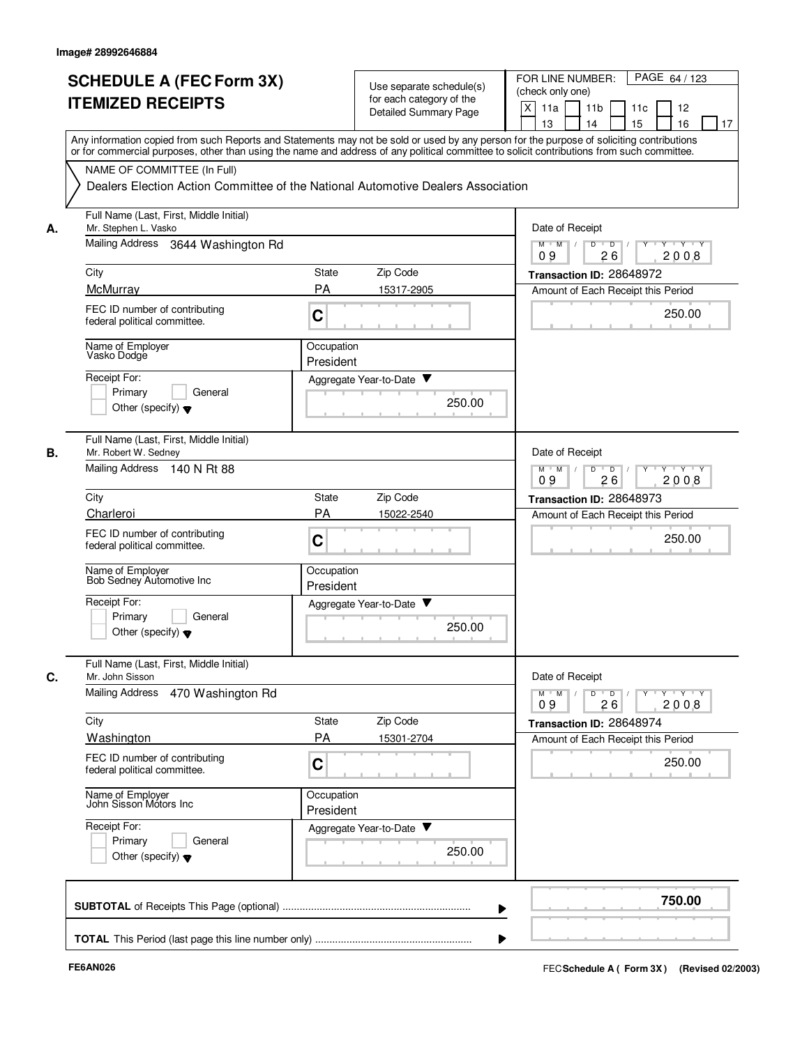|    | <b>SCHEDULE A (FEC Form 3X)</b><br><b>ITEMIZED RECEIPTS</b>                | Use separate schedule(s)<br>for each category of the<br>Detailed Summary Page                                                                                                                                                                                                           | PAGE 64 / 123<br>FOR LINE NUMBER:<br>(check only one)<br>X<br>11 <sub>b</sub><br>11a<br>11c<br>12<br>15<br>13<br>14<br>16<br>17 |
|----|----------------------------------------------------------------------------|-----------------------------------------------------------------------------------------------------------------------------------------------------------------------------------------------------------------------------------------------------------------------------------------|---------------------------------------------------------------------------------------------------------------------------------|
|    | NAME OF COMMITTEE (In Full)                                                | Any information copied from such Reports and Statements may not be sold or used by any person for the purpose of soliciting contributions<br>or for commercial purposes, other than using the name and address of any political committee to solicit contributions from such committee. |                                                                                                                                 |
|    |                                                                            | Dealers Election Action Committee of the National Automotive Dealers Association                                                                                                                                                                                                        |                                                                                                                                 |
| А. | Full Name (Last, First, Middle Initial)<br>Mr. Stephen L. Vasko            |                                                                                                                                                                                                                                                                                         | Date of Receipt                                                                                                                 |
|    | Mailing Address 3644 Washington Rd                                         |                                                                                                                                                                                                                                                                                         | $M$ $M$ /<br>D<br>$\overline{D}$ /<br>$Y \vdash Y \vdash Y$<br>09<br>26<br>2008                                                 |
|    | City                                                                       | Zip Code<br>State                                                                                                                                                                                                                                                                       | Transaction ID: 28648972                                                                                                        |
|    | McMurray                                                                   | <b>PA</b><br>15317-2905                                                                                                                                                                                                                                                                 | Amount of Each Receipt this Period                                                                                              |
|    | FEC ID number of contributing<br>federal political committee.              | C                                                                                                                                                                                                                                                                                       | 250.00                                                                                                                          |
|    | Name of Employer<br>Vasko Dodge                                            | Occupation<br>President                                                                                                                                                                                                                                                                 |                                                                                                                                 |
|    | Receipt For:                                                               | Aggregate Year-to-Date ▼                                                                                                                                                                                                                                                                |                                                                                                                                 |
|    | Primary<br>General<br>Other (specify) $\blacktriangledown$                 | 250.00                                                                                                                                                                                                                                                                                  |                                                                                                                                 |
| В. | Full Name (Last, First, Middle Initial)<br>Mr. Robert W. Sedney            |                                                                                                                                                                                                                                                                                         | Date of Receipt                                                                                                                 |
|    | Mailing Address 140 N Rt 88                                                |                                                                                                                                                                                                                                                                                         | $Y - Y - Y$<br>$M$ M<br>D<br>$\overline{D}$<br>2008<br>09<br>26                                                                 |
|    | City                                                                       | Zip Code<br>State                                                                                                                                                                                                                                                                       | Transaction ID: 28648973                                                                                                        |
|    | Charleroi                                                                  | PA<br>15022-2540                                                                                                                                                                                                                                                                        | Amount of Each Receipt this Period                                                                                              |
|    | FEC ID number of contributing<br>federal political committee.              | C                                                                                                                                                                                                                                                                                       | 250.00                                                                                                                          |
|    | Name of Employer<br>Bob Sedney Automotive Inc                              | Occupation<br>President                                                                                                                                                                                                                                                                 |                                                                                                                                 |
|    | Receipt For:                                                               | v<br>Aggregate Year-to-Date                                                                                                                                                                                                                                                             |                                                                                                                                 |
|    | Primarv<br>General<br>Other (specify) $\blacktriangledown$                 | 250.00                                                                                                                                                                                                                                                                                  |                                                                                                                                 |
| C. | Full Name (Last, First, Middle Initial)<br>Mr. John Sisson                 |                                                                                                                                                                                                                                                                                         | Date of Receipt                                                                                                                 |
|    | <b>Mailing Address</b><br>470 Washington Rd                                |                                                                                                                                                                                                                                                                                         | $Y - Y - Y - Y$<br>$M$ M<br>D<br>$\overline{D}$<br>Y<br>2008<br>09<br>26                                                        |
|    | City                                                                       | Zip Code<br>State                                                                                                                                                                                                                                                                       | Transaction ID: 28648974                                                                                                        |
|    | Washington                                                                 | <b>PA</b><br>15301-2704                                                                                                                                                                                                                                                                 | Amount of Each Receipt this Period                                                                                              |
|    | FEC ID number of contributing<br>federal political committee.              | C                                                                                                                                                                                                                                                                                       | 250.00                                                                                                                          |
|    | Name of Employer<br>John Sisson Motors Inc                                 | Occupation<br>President                                                                                                                                                                                                                                                                 |                                                                                                                                 |
|    | Receipt For:<br>Primary<br>General<br>Other (specify) $\blacktriangledown$ | Aggregate Year-to-Date<br>250.00                                                                                                                                                                                                                                                        |                                                                                                                                 |
|    |                                                                            |                                                                                                                                                                                                                                                                                         | 750.00                                                                                                                          |
|    |                                                                            |                                                                                                                                                                                                                                                                                         |                                                                                                                                 |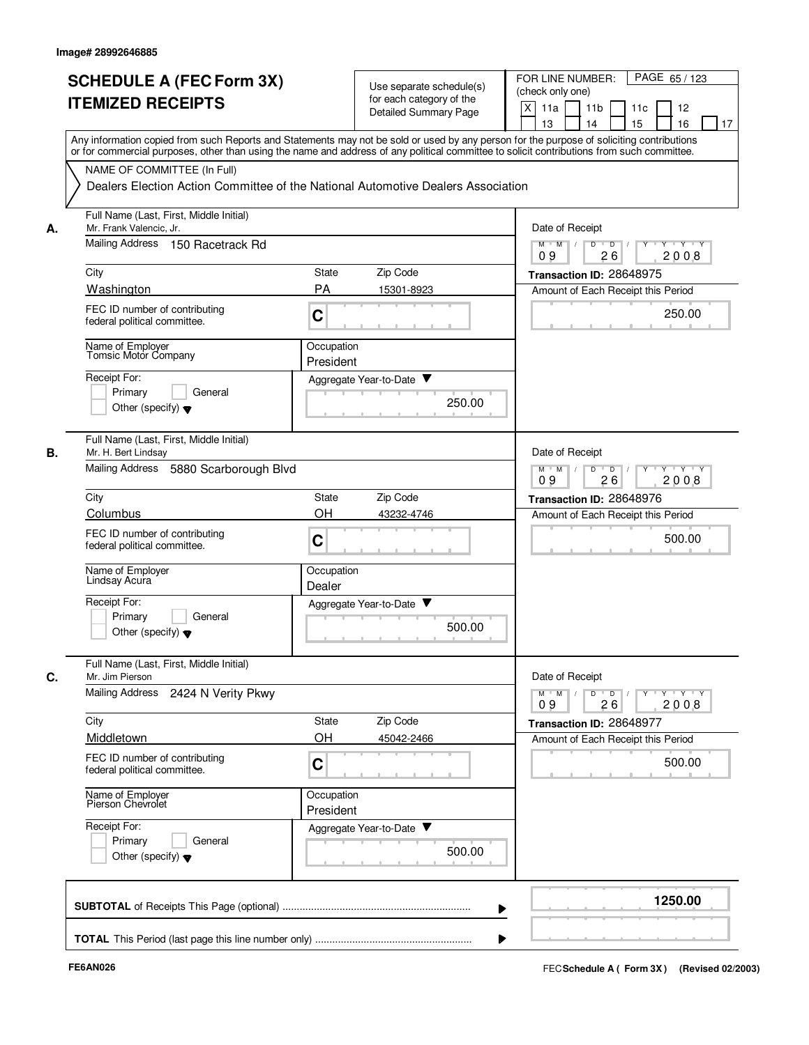|    | <b>SCHEDULE A (FEC Form 3X)</b>                                                                                                            |                         | Use separate schedule(s)    | PAGE 65/123<br>FOR LINE NUMBER:                                                                                                           |
|----|--------------------------------------------------------------------------------------------------------------------------------------------|-------------------------|-----------------------------|-------------------------------------------------------------------------------------------------------------------------------------------|
|    | <b>ITEMIZED RECEIPTS</b>                                                                                                                   |                         | for each category of the    | (check only one)                                                                                                                          |
|    |                                                                                                                                            |                         | Detailed Summary Page       | X<br>11a<br>11 <sub>b</sub><br>11c<br>12                                                                                                  |
|    |                                                                                                                                            |                         |                             | 15<br>13<br>14<br>16<br>17                                                                                                                |
|    | or for commercial purposes, other than using the name and address of any political committee to solicit contributions from such committee. |                         |                             | Any information copied from such Reports and Statements may not be sold or used by any person for the purpose of soliciting contributions |
|    | NAME OF COMMITTEE (In Full)                                                                                                                |                         |                             |                                                                                                                                           |
|    | Dealers Election Action Committee of the National Automotive Dealers Association                                                           |                         |                             |                                                                                                                                           |
| А. | Full Name (Last, First, Middle Initial)<br>Mr. Frank Valencic. Jr.                                                                         |                         |                             | Date of Receipt                                                                                                                           |
|    | Mailing Address 150 Racetrack Rd                                                                                                           |                         |                             | $M$ $M$ /<br>D<br>$\overline{D}$<br>$+Y+Y$<br>2008<br>09<br>26                                                                            |
|    | City                                                                                                                                       | <b>State</b>            | Zip Code                    | Transaction ID: 28648975                                                                                                                  |
|    | Washington                                                                                                                                 | <b>PA</b>               | 15301-8923                  | Amount of Each Receipt this Period                                                                                                        |
|    | FEC ID number of contributing<br>federal political committee.                                                                              | C                       |                             | 250.00                                                                                                                                    |
|    | Name of Employer                                                                                                                           | Occupation              |                             |                                                                                                                                           |
|    | Tomsic Motor Company                                                                                                                       | President               |                             |                                                                                                                                           |
|    | Receipt For:                                                                                                                               |                         | Aggregate Year-to-Date ▼    |                                                                                                                                           |
|    | Primary<br>General                                                                                                                         |                         | 250.00                      |                                                                                                                                           |
|    | Other (specify) $\blacktriangledown$                                                                                                       |                         |                             |                                                                                                                                           |
| В. | Full Name (Last, First, Middle Initial)<br>Mr. H. Bert Lindsay                                                                             |                         |                             | Date of Receipt                                                                                                                           |
|    | Mailing Address<br>5880 Scarborough Blvd                                                                                                   |                         |                             | $Y \vdash Y \vdash Y$<br>$M$ M<br>D<br>$\overline{D}$<br>Y<br>2008<br>09<br>26                                                            |
|    | City                                                                                                                                       | State                   | Zip Code                    | Transaction ID: 28648976                                                                                                                  |
|    | Columbus                                                                                                                                   | OH                      | 43232-4746                  | Amount of Each Receipt this Period                                                                                                        |
|    | FEC ID number of contributing<br>federal political committee.                                                                              | C                       |                             | 500.00                                                                                                                                    |
|    | Name of Employer<br>Lindsay Acura                                                                                                          | Occupation<br>Dealer    |                             |                                                                                                                                           |
|    | Receipt For:                                                                                                                               |                         | v<br>Aggregate Year-to-Date |                                                                                                                                           |
|    | Primary<br>General<br>Other (specify) $\blacktriangledown$                                                                                 |                         | 500.00                      |                                                                                                                                           |
| C. | Full Name (Last, First, Middle Initial)<br>Mr. Jim Pierson                                                                                 |                         |                             | Date of Receipt                                                                                                                           |
|    | Mailing Address 2424 N Verity Pkwy                                                                                                         |                         |                             | Y 'Y 'Y<br>$M$ $M$ /<br>$D$ $D$<br>$Y$ <sup>U</sup><br>09<br>2008<br>26                                                                   |
|    | City                                                                                                                                       | State                   | Zip Code                    | Transaction ID: 28648977                                                                                                                  |
|    | Middletown                                                                                                                                 | OH                      | 45042-2466                  | Amount of Each Receipt this Period                                                                                                        |
|    | FEC ID number of contributing                                                                                                              |                         |                             |                                                                                                                                           |
|    | federal political committee.                                                                                                               | C                       |                             | 500.00                                                                                                                                    |
|    | Name of Employer<br>Pierson Chevrolet                                                                                                      | Occupation<br>President |                             |                                                                                                                                           |
|    | Receipt For:                                                                                                                               |                         | Aggregate Year-to-Date      |                                                                                                                                           |
|    | General<br>Primary                                                                                                                         |                         | 500.00                      |                                                                                                                                           |
|    | Other (specify) $\blacktriangledown$                                                                                                       |                         |                             |                                                                                                                                           |
|    |                                                                                                                                            |                         |                             | 1250.00                                                                                                                                   |
|    |                                                                                                                                            |                         |                             |                                                                                                                                           |
|    |                                                                                                                                            |                         |                             |                                                                                                                                           |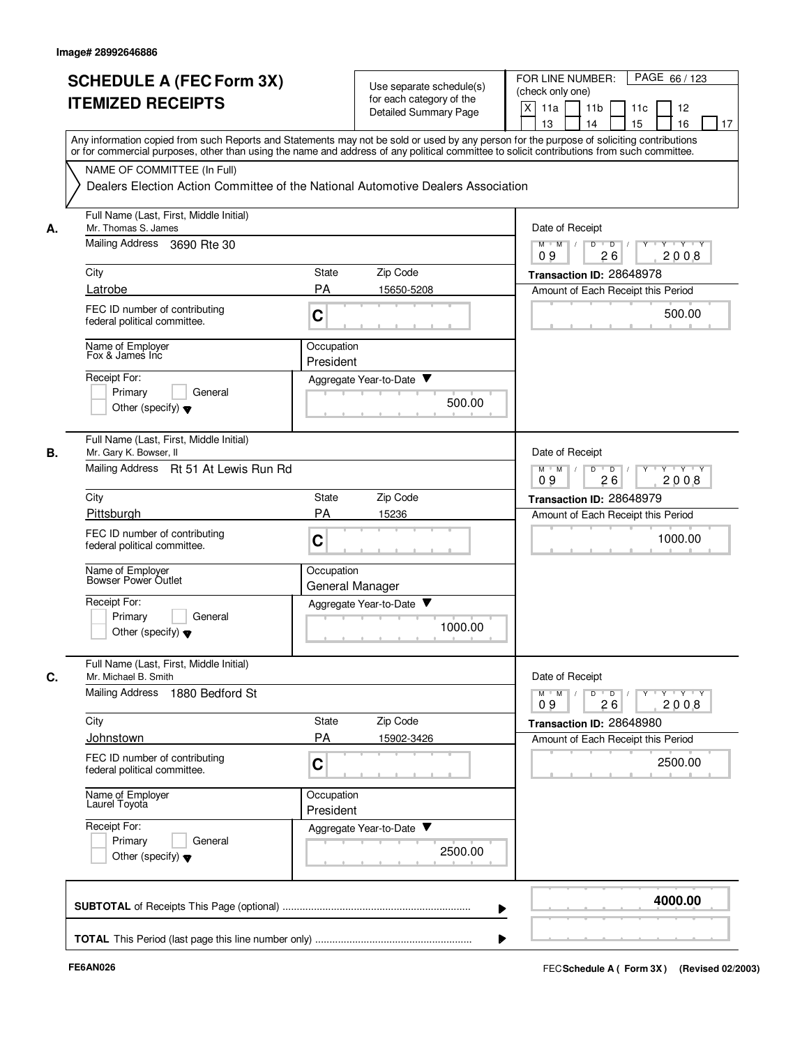|    | <b>SCHEDULE A (FEC Form 3X)</b><br><b>ITEMIZED RECEIPTS</b>       | Use separate schedule(s)<br>for each category of the<br><b>Detailed Summary Page</b>                                                                                                                                                                                                    | FOR LINE NUMBER:<br>PAGE 66 / 123<br>(check only one)<br>X<br>11a<br>11 <sub>b</sub><br>11c<br>12 |
|----|-------------------------------------------------------------------|-----------------------------------------------------------------------------------------------------------------------------------------------------------------------------------------------------------------------------------------------------------------------------------------|---------------------------------------------------------------------------------------------------|
|    |                                                                   | Any information copied from such Reports and Statements may not be sold or used by any person for the purpose of soliciting contributions<br>or for commercial purposes, other than using the name and address of any political committee to solicit contributions from such committee. | 13<br>14<br>15<br>16<br>17                                                                        |
|    | NAME OF COMMITTEE (In Full)                                       | Dealers Election Action Committee of the National Automotive Dealers Association                                                                                                                                                                                                        |                                                                                                   |
| А. | Full Name (Last, First, Middle Initial)<br>Mr. Thomas S. James    |                                                                                                                                                                                                                                                                                         | Date of Receipt                                                                                   |
|    | Mailing Address 3690 Rte 30                                       |                                                                                                                                                                                                                                                                                         | $M$ $M$ /<br>D<br>$\overline{D}$ /<br>Y Y Y Y<br>09<br>26<br>2008                                 |
|    | City                                                              | Zip Code<br>State                                                                                                                                                                                                                                                                       | Transaction ID: 28648978                                                                          |
|    | Latrobe                                                           | PA<br>15650-5208                                                                                                                                                                                                                                                                        | Amount of Each Receipt this Period                                                                |
|    | FEC ID number of contributing<br>federal political committee.     | C                                                                                                                                                                                                                                                                                       | 500.00                                                                                            |
|    | Name of Employer<br>Fox & James Inc                               | Occupation<br>President                                                                                                                                                                                                                                                                 |                                                                                                   |
|    | Receipt For:                                                      | Aggregate Year-to-Date ▼                                                                                                                                                                                                                                                                |                                                                                                   |
|    | Primary<br>General<br>Other (specify) $\blacktriangledown$        | 500.00                                                                                                                                                                                                                                                                                  |                                                                                                   |
| В. | Full Name (Last, First, Middle Initial)<br>Mr. Gary K. Bowser, II |                                                                                                                                                                                                                                                                                         | Date of Receipt                                                                                   |
|    | Mailing Address<br>Rt 51 At Lewis Run Rd                          |                                                                                                                                                                                                                                                                                         | D<br>$Y - Y - Y$<br>$M$ M<br>$\overline{D}$<br>2008<br>09<br>26                                   |
|    | City                                                              | Zip Code<br>State                                                                                                                                                                                                                                                                       | Transaction ID: 28648979                                                                          |
|    | Pittsburgh                                                        | <b>PA</b><br>15236                                                                                                                                                                                                                                                                      | Amount of Each Receipt this Period                                                                |
|    | FEC ID number of contributing<br>federal political committee.     | C                                                                                                                                                                                                                                                                                       | 1000.00                                                                                           |
|    | Name of Employer<br>Bowser Power Outlet                           | Occupation<br>General Manager                                                                                                                                                                                                                                                           |                                                                                                   |
|    | Receipt For:                                                      | Aggregate Year-to-Date                                                                                                                                                                                                                                                                  |                                                                                                   |
|    | Primary<br>General<br>Other (specify) $\blacktriangledown$        | 1000.00                                                                                                                                                                                                                                                                                 |                                                                                                   |
| С. | Full Name (Last, First, Middle Initial)<br>Mr. Michael B. Smith   |                                                                                                                                                                                                                                                                                         | Date of Receipt                                                                                   |
|    | Mailing Address<br>1880 Bedford St                                |                                                                                                                                                                                                                                                                                         | $Y$ $Y$ $Y$<br>$M$ $M$<br>D<br>$\overline{D}$<br>Y<br>2008<br>09<br>26                            |
|    | City                                                              | Zip Code<br>State                                                                                                                                                                                                                                                                       | Transaction ID: 28648980                                                                          |
|    | Johnstown                                                         | <b>PA</b><br>15902-3426                                                                                                                                                                                                                                                                 | Amount of Each Receipt this Period                                                                |
|    | FEC ID number of contributing<br>federal political committee.     | C                                                                                                                                                                                                                                                                                       | 2500.00                                                                                           |
|    | Name of Employer<br>Laurel Toyota                                 | Occupation<br>President                                                                                                                                                                                                                                                                 |                                                                                                   |
|    | Receipt For:                                                      | Aggregate Year-to-Date                                                                                                                                                                                                                                                                  |                                                                                                   |
|    | Primary<br>General<br>Other (specify) $\blacktriangledown$        | 2500.00                                                                                                                                                                                                                                                                                 |                                                                                                   |
|    |                                                                   |                                                                                                                                                                                                                                                                                         | 4000.00                                                                                           |
|    |                                                                   |                                                                                                                                                                                                                                                                                         |                                                                                                   |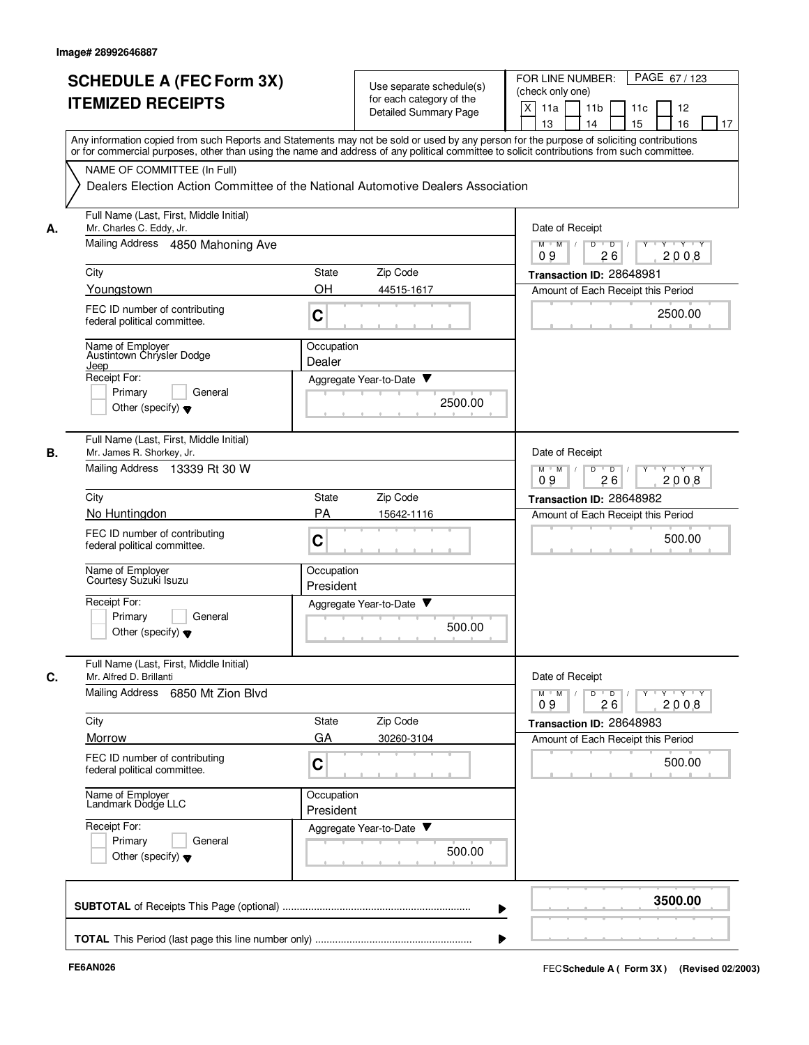|    | <b>SCHEDULE A (FEC Form 3X)</b><br><b>ITEMIZED RECEIPTS</b>          | Use separate schedule(s)<br>for each category of the<br>Detailed Summary Page                                                                                                                                                                                                           | PAGE 67/123<br>FOR LINE NUMBER:<br>(check only one)<br>X<br>11a<br>11 <sub>b</sub><br>11c<br>12<br>15<br>13<br>14<br>16<br>17 |
|----|----------------------------------------------------------------------|-----------------------------------------------------------------------------------------------------------------------------------------------------------------------------------------------------------------------------------------------------------------------------------------|-------------------------------------------------------------------------------------------------------------------------------|
|    |                                                                      | Any information copied from such Reports and Statements may not be sold or used by any person for the purpose of soliciting contributions<br>or for commercial purposes, other than using the name and address of any political committee to solicit contributions from such committee. |                                                                                                                               |
|    | NAME OF COMMITTEE (In Full)                                          | Dealers Election Action Committee of the National Automotive Dealers Association                                                                                                                                                                                                        |                                                                                                                               |
| А. | Full Name (Last, First, Middle Initial)<br>Mr. Charles C. Eddy, Jr.  |                                                                                                                                                                                                                                                                                         | Date of Receipt                                                                                                               |
|    | Mailing Address 4850 Mahoning Ave                                    |                                                                                                                                                                                                                                                                                         | $M$ $M$ /<br>D<br>$\overline{D}$ /<br>Y<br>$Y \vdash Y \vdash Y$<br>09<br>26<br>2008                                          |
|    | City                                                                 | Zip Code<br>State                                                                                                                                                                                                                                                                       | Transaction ID: 28648981                                                                                                      |
|    | Youngstown                                                           | <b>OH</b><br>44515-1617                                                                                                                                                                                                                                                                 | Amount of Each Receipt this Period                                                                                            |
|    | FEC ID number of contributing<br>federal political committee.        | C                                                                                                                                                                                                                                                                                       | 2500.00                                                                                                                       |
|    | Name of Employer<br>Austintown Chrysler Dodge<br>Jeep                | Occupation<br>Dealer                                                                                                                                                                                                                                                                    |                                                                                                                               |
|    | Receipt For:                                                         | Aggregate Year-to-Date ▼                                                                                                                                                                                                                                                                |                                                                                                                               |
|    | Primary<br>General<br>Other (specify) $\blacktriangledown$           | 2500.00                                                                                                                                                                                                                                                                                 |                                                                                                                               |
| В. | Full Name (Last, First, Middle Initial)<br>Mr. James R. Shorkey, Jr. |                                                                                                                                                                                                                                                                                         | Date of Receipt                                                                                                               |
|    | Mailing Address 13339 Rt 30 W                                        |                                                                                                                                                                                                                                                                                         | $Y - Y - Y$<br>$M$ M<br>D<br>$\overline{D}$<br>2008<br>09<br>26                                                               |
|    | City                                                                 | Zip Code<br>State                                                                                                                                                                                                                                                                       | Transaction ID: 28648982                                                                                                      |
|    | No Huntingdon                                                        | PA<br>15642-1116                                                                                                                                                                                                                                                                        | Amount of Each Receipt this Period                                                                                            |
|    | FEC ID number of contributing<br>federal political committee.        | C                                                                                                                                                                                                                                                                                       | 500.00                                                                                                                        |
|    | Name of Employer<br>Courtesy Suzuki Isuzu                            | Occupation<br>President                                                                                                                                                                                                                                                                 |                                                                                                                               |
|    | Receipt For:<br>Primary<br>General                                   | v<br>Aggregate Year-to-Date                                                                                                                                                                                                                                                             |                                                                                                                               |
|    | Other (specify) $\blacktriangledown$                                 | 500.00                                                                                                                                                                                                                                                                                  |                                                                                                                               |
| C. | Full Name (Last, First, Middle Initial)<br>Mr. Alfred D. Brillanti   |                                                                                                                                                                                                                                                                                         | Date of Receipt                                                                                                               |
|    | Mailing Address 6850 Mt Zion Blvd                                    |                                                                                                                                                                                                                                                                                         | $Y$ $Y$ $Y$<br>$M$ $M$<br>D<br>$\overline{D}$<br>Y<br>$\perp$<br>2008<br>09<br>26                                             |
|    | City                                                                 | Zip Code<br>State                                                                                                                                                                                                                                                                       | Transaction ID: 28648983                                                                                                      |
|    | Morrow                                                               | GA<br>30260-3104                                                                                                                                                                                                                                                                        | Amount of Each Receipt this Period                                                                                            |
|    | FEC ID number of contributing<br>federal political committee.        | C                                                                                                                                                                                                                                                                                       | 500.00                                                                                                                        |
|    | Name of Employer<br>Landmark Dodge LLC                               | Occupation<br>President                                                                                                                                                                                                                                                                 |                                                                                                                               |
|    | Receipt For:<br>Primary<br>General                                   | Aggregate Year-to-Date                                                                                                                                                                                                                                                                  |                                                                                                                               |
|    | Other (specify) $\blacktriangledown$                                 | 500.00                                                                                                                                                                                                                                                                                  |                                                                                                                               |
|    |                                                                      |                                                                                                                                                                                                                                                                                         | 3500.00                                                                                                                       |
|    |                                                                      |                                                                                                                                                                                                                                                                                         |                                                                                                                               |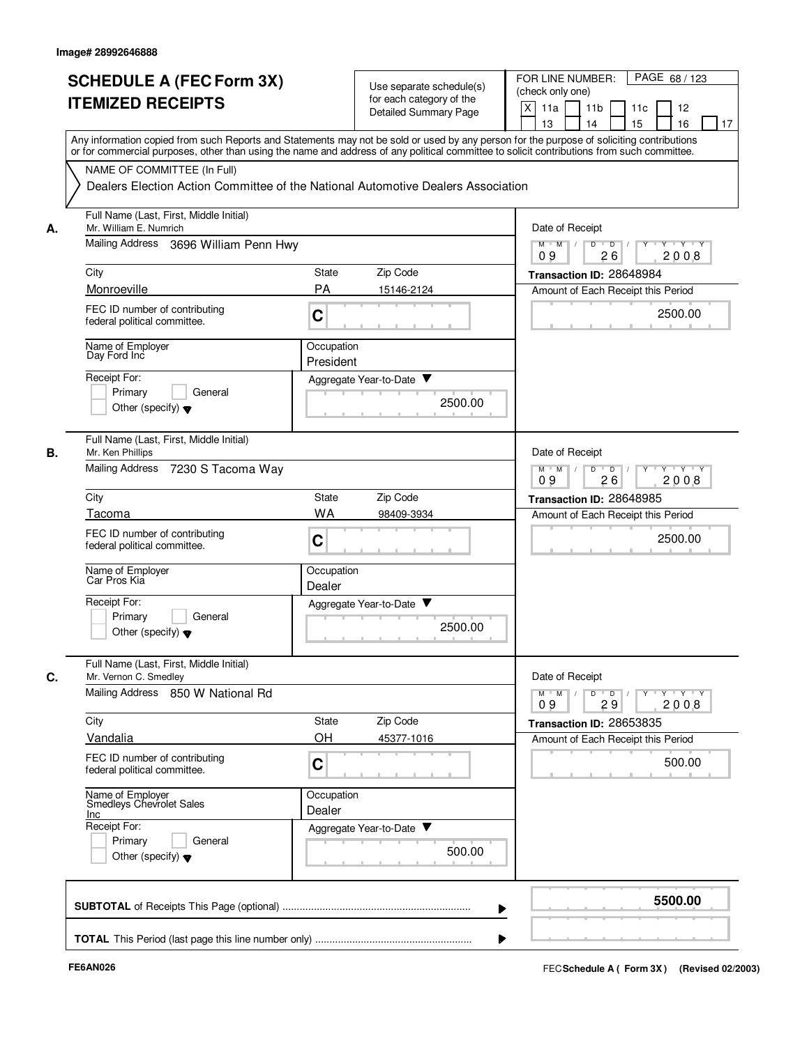|    | <b>SCHEDULE A (FEC Form 3X)</b><br><b>ITEMIZED RECEIPTS</b><br>Any information copied from such Reports and Statements may not be sold or used by any person for the purpose of soliciting contributions                                                      |                         | Use separate schedule(s)<br>for each category of the<br>Detailed Summary Page | PAGE 68 / 123<br>FOR LINE NUMBER:<br>(check only one)<br>X<br>11a<br>11 <sub>b</sub><br>11c<br>12<br>15<br>13<br>14<br>16<br>17 |
|----|---------------------------------------------------------------------------------------------------------------------------------------------------------------------------------------------------------------------------------------------------------------|-------------------------|-------------------------------------------------------------------------------|---------------------------------------------------------------------------------------------------------------------------------|
|    | or for commercial purposes, other than using the name and address of any political committee to solicit contributions from such committee.<br>NAME OF COMMITTEE (In Full)<br>Dealers Election Action Committee of the National Automotive Dealers Association |                         |                                                                               |                                                                                                                                 |
| А. | Full Name (Last, First, Middle Initial)<br>Mr. William E. Numrich<br>Mailing Address 3696 William Penn Hwy                                                                                                                                                    |                         |                                                                               | Date of Receipt<br>D<br>$M$ $M$ /<br>$\overline{D}$<br>Y 'Y 'Y<br>2008<br>09<br>26                                              |
|    | City                                                                                                                                                                                                                                                          | <b>State</b>            | Zip Code                                                                      | Transaction ID: 28648984                                                                                                        |
|    | Monroeville                                                                                                                                                                                                                                                   | PA                      | 15146-2124                                                                    | Amount of Each Receipt this Period                                                                                              |
|    | FEC ID number of contributing<br>federal political committee.                                                                                                                                                                                                 | C                       |                                                                               | 2500.00                                                                                                                         |
|    | Name of Employer<br>Day Ford Inc                                                                                                                                                                                                                              | Occupation<br>President |                                                                               |                                                                                                                                 |
|    | Receipt For:<br>Primary<br>General<br>Other (specify) $\blacktriangledown$                                                                                                                                                                                    |                         | Aggregate Year-to-Date ▼<br>2500.00                                           |                                                                                                                                 |
| В. | Full Name (Last, First, Middle Initial)<br>Mr. Ken Phillips<br>Mailing Address 7230 S Tacoma Way                                                                                                                                                              |                         |                                                                               | Date of Receipt<br>$Y \vdash Y \vdash Y$<br>$M$ M<br>D<br>$\overline{D}$<br>Y<br>09<br>26<br>2008                               |
|    | City                                                                                                                                                                                                                                                          | State                   | Zip Code                                                                      | Transaction ID: 28648985                                                                                                        |
|    | Tacoma                                                                                                                                                                                                                                                        | WA                      | 98409-3934                                                                    | Amount of Each Receipt this Period                                                                                              |
|    | FEC ID number of contributing<br>federal political committee.                                                                                                                                                                                                 | C                       |                                                                               | 2500.00                                                                                                                         |
|    | Name of Employer<br>Car Pros Kia                                                                                                                                                                                                                              | Occupation<br>Dealer    |                                                                               |                                                                                                                                 |
|    | Receipt For:<br>Primary<br>General<br>Other (specify) $\blacktriangledown$                                                                                                                                                                                    |                         | Aggregate Year-to-Date<br>2500.00                                             |                                                                                                                                 |
| C. | Full Name (Last, First, Middle Initial)<br>Mr. Vernon C. Smedley                                                                                                                                                                                              |                         |                                                                               | Date of Receipt                                                                                                                 |
|    | Mailing Address 850 W National Rd                                                                                                                                                                                                                             |                         |                                                                               | $Y + Y + Y$<br>$M$ $M$<br>D<br>$\overline{D}$<br>29<br>2008<br>09                                                               |
|    | City<br>Vandalia                                                                                                                                                                                                                                              | State<br>OH             | Zip Code<br>45377-1016                                                        | Transaction ID: 28653835<br>Amount of Each Receipt this Period                                                                  |
|    | FEC ID number of contributing<br>federal political committee.                                                                                                                                                                                                 | C                       |                                                                               | 500.00                                                                                                                          |
|    | Name of Employer<br>Smedleys Chevrolet Sales<br>Inc                                                                                                                                                                                                           | Occupation<br>Dealer    |                                                                               |                                                                                                                                 |
|    | Receipt For:<br>General<br>Primary<br>Other (specify) $\blacktriangledown$                                                                                                                                                                                    |                         | Aggregate Year-to-Date<br>500.00                                              |                                                                                                                                 |
|    |                                                                                                                                                                                                                                                               |                         |                                                                               | 5500.00                                                                                                                         |
|    |                                                                                                                                                                                                                                                               |                         |                                                                               |                                                                                                                                 |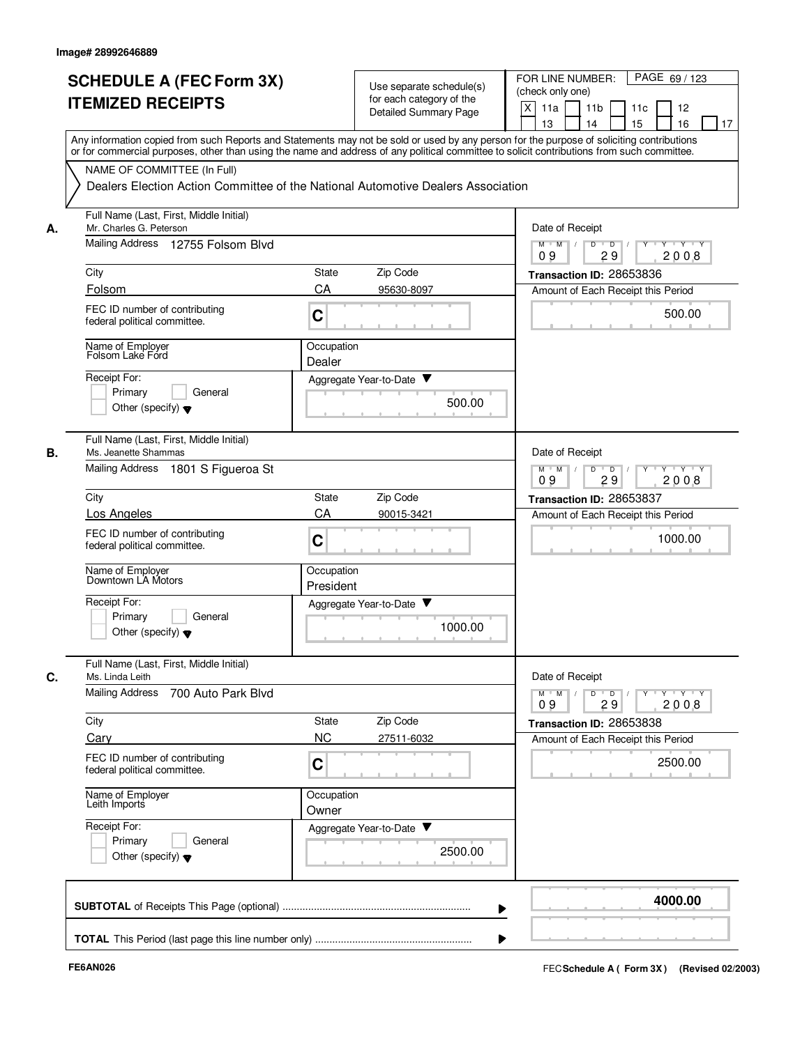|    | <b>SCHEDULE A (FEC Form 3X)</b>                                                                                                                                                                                                                                                         |                         | Use separate schedule(s)     | PAGE 69 / 123<br>FOR LINE NUMBER:                                   |
|----|-----------------------------------------------------------------------------------------------------------------------------------------------------------------------------------------------------------------------------------------------------------------------------------------|-------------------------|------------------------------|---------------------------------------------------------------------|
|    | <b>ITEMIZED RECEIPTS</b>                                                                                                                                                                                                                                                                |                         | for each category of the     | (check only one)                                                    |
|    |                                                                                                                                                                                                                                                                                         |                         | <b>Detailed Summary Page</b> | $\times$<br>11 <sub>b</sub><br>11a<br>11c<br>12                     |
|    |                                                                                                                                                                                                                                                                                         |                         |                              | 15<br>13<br>14<br>16<br>17                                          |
|    | Any information copied from such Reports and Statements may not be sold or used by any person for the purpose of soliciting contributions<br>or for commercial purposes, other than using the name and address of any political committee to solicit contributions from such committee. |                         |                              |                                                                     |
|    | NAME OF COMMITTEE (In Full)                                                                                                                                                                                                                                                             |                         |                              |                                                                     |
|    | Dealers Election Action Committee of the National Automotive Dealers Association                                                                                                                                                                                                        |                         |                              |                                                                     |
| А. | Full Name (Last, First, Middle Initial)<br>Mr. Charles G. Peterson                                                                                                                                                                                                                      |                         |                              | Date of Receipt                                                     |
|    | Mailing Address 12755 Folsom Blvd                                                                                                                                                                                                                                                       |                         |                              | D<br>$M$ $M$ /<br>$\overline{D}$<br>$Y$ $Y$<br>29<br>2008<br>09     |
|    | City                                                                                                                                                                                                                                                                                    | State                   | Zip Code                     | Transaction ID: 28653836                                            |
|    | Folsom                                                                                                                                                                                                                                                                                  | CA                      | 95630-8097                   | Amount of Each Receipt this Period                                  |
|    | FEC ID number of contributing<br>federal political committee.                                                                                                                                                                                                                           | C                       |                              | 500.00                                                              |
|    | Name of Employer<br>Folsom Lake Ford                                                                                                                                                                                                                                                    | Occupation<br>Dealer    |                              |                                                                     |
|    | Receipt For:                                                                                                                                                                                                                                                                            |                         | Aggregate Year-to-Date       |                                                                     |
|    | Primary<br>General                                                                                                                                                                                                                                                                      |                         |                              |                                                                     |
|    | Other (specify) $\blacktriangledown$                                                                                                                                                                                                                                                    |                         | 500.00                       |                                                                     |
| В. | Full Name (Last, First, Middle Initial)<br>Ms. Jeanette Shammas                                                                                                                                                                                                                         |                         |                              | Date of Receipt                                                     |
|    | Mailing Address 1801 S Figueroa St                                                                                                                                                                                                                                                      |                         |                              | $Y - Y - Y$<br>$M$ $M$<br>$\overline{D}$<br>D<br>29<br>2008<br>09   |
|    | City                                                                                                                                                                                                                                                                                    | State                   | Zip Code                     | Transaction ID: 28653837                                            |
|    | Los Angeles                                                                                                                                                                                                                                                                             | CA                      | 90015-3421                   | Amount of Each Receipt this Period                                  |
|    | FEC ID number of contributing<br>federal political committee.                                                                                                                                                                                                                           | $\mathbf C$             |                              | 1000.00                                                             |
|    | Name of Employer<br>Downtown LA Motors                                                                                                                                                                                                                                                  | Occupation<br>President |                              |                                                                     |
|    | Receipt For:                                                                                                                                                                                                                                                                            |                         | Aggregate Year-to-Date       |                                                                     |
|    | Primary<br>General<br>Other (specify) $\blacktriangledown$                                                                                                                                                                                                                              |                         | 1000.00                      |                                                                     |
| C. | Full Name (Last, First, Middle Initial)<br>Ms. Linda Leith                                                                                                                                                                                                                              |                         |                              | Date of Receipt                                                     |
|    | <b>Mailing Address</b><br>700 Auto Park Blvd                                                                                                                                                                                                                                            |                         |                              | y y y y y y<br>$M$ $M$ /<br>$\overline{D}$<br>D<br>2008<br>09<br>29 |
|    | City                                                                                                                                                                                                                                                                                    | State                   | Zip Code                     | Transaction ID: 28653838                                            |
|    | Cary                                                                                                                                                                                                                                                                                    | <b>NC</b>               | 27511-6032                   | Amount of Each Receipt this Period                                  |
|    | FEC ID number of contributing<br>federal political committee.                                                                                                                                                                                                                           | $\mathbf C$             |                              | 2500.00                                                             |
|    | Name of Employer<br>Leith Imports                                                                                                                                                                                                                                                       | Occupation<br>Owner     |                              |                                                                     |
|    | Receipt For:                                                                                                                                                                                                                                                                            |                         | Aggregate Year-to-Date       |                                                                     |
|    | Primary<br>General                                                                                                                                                                                                                                                                      |                         |                              |                                                                     |
|    | Other (specify) $\blacktriangledown$                                                                                                                                                                                                                                                    |                         | 2500.00                      |                                                                     |
|    |                                                                                                                                                                                                                                                                                         |                         |                              | 4000.00                                                             |
|    |                                                                                                                                                                                                                                                                                         |                         |                              |                                                                     |
|    |                                                                                                                                                                                                                                                                                         |                         |                              |                                                                     |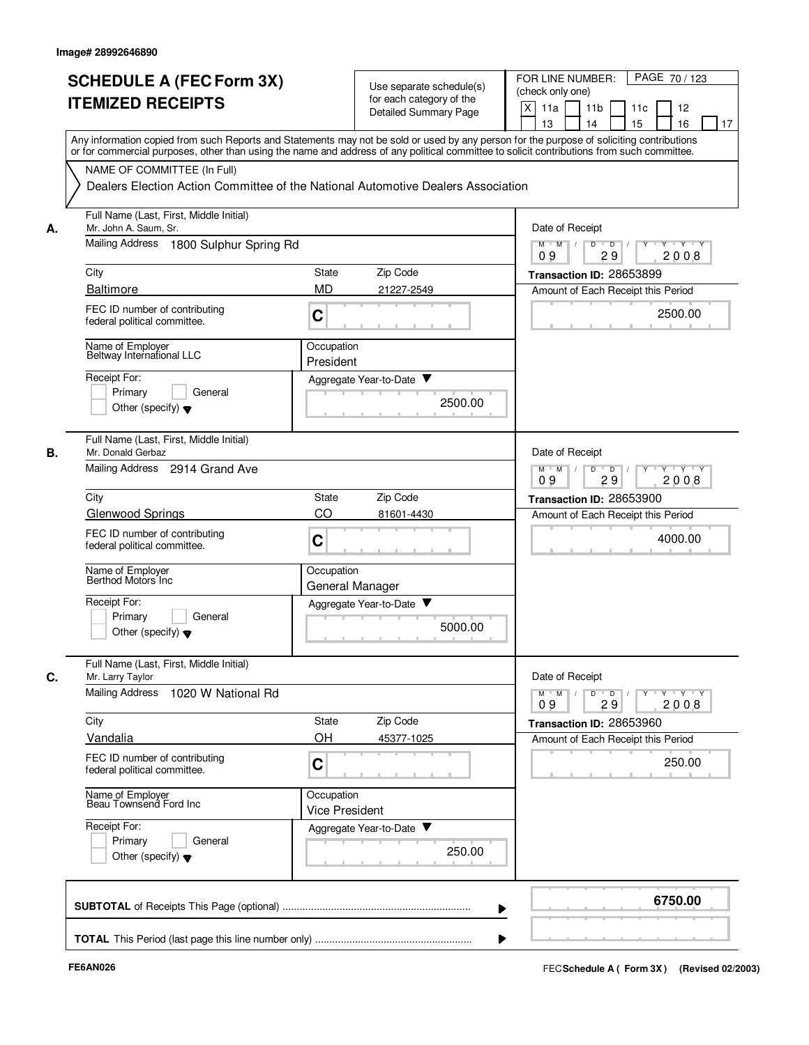|    | <b>SCHEDULE A (FEC Form 3X)</b>                                                                                                                                                                                                                                                         |                                     | Use separate schedule(s)    | PAGE 70 / 123<br>FOR LINE NUMBER:<br>(check only one)                          |
|----|-----------------------------------------------------------------------------------------------------------------------------------------------------------------------------------------------------------------------------------------------------------------------------------------|-------------------------------------|-----------------------------|--------------------------------------------------------------------------------|
|    | <b>ITEMIZED RECEIPTS</b>                                                                                                                                                                                                                                                                |                                     | for each category of the    | X<br>11a<br>11 <sub>b</sub><br>11c<br>12                                       |
|    |                                                                                                                                                                                                                                                                                         |                                     | Detailed Summary Page       | 15<br>13<br>14<br>16<br>17                                                     |
|    | Any information copied from such Reports and Statements may not be sold or used by any person for the purpose of soliciting contributions<br>or for commercial purposes, other than using the name and address of any political committee to solicit contributions from such committee. |                                     |                             |                                                                                |
|    | NAME OF COMMITTEE (In Full)                                                                                                                                                                                                                                                             |                                     |                             |                                                                                |
|    | Dealers Election Action Committee of the National Automotive Dealers Association                                                                                                                                                                                                        |                                     |                             |                                                                                |
| А. | Full Name (Last, First, Middle Initial)<br>Mr. John A. Saum, Sr.                                                                                                                                                                                                                        |                                     |                             | Date of Receipt                                                                |
|    | Mailing Address 1800 Sulphur Spring Rd                                                                                                                                                                                                                                                  |                                     |                             | $M$ $M$ /<br>D<br>$\overline{D}$<br>$Y$ $Y$<br>29<br>2008<br>09                |
|    | City                                                                                                                                                                                                                                                                                    | <b>State</b>                        | Zip Code                    | Transaction ID: 28653899                                                       |
|    | <b>Baltimore</b>                                                                                                                                                                                                                                                                        | <b>MD</b>                           | 21227-2549                  | Amount of Each Receipt this Period                                             |
|    | FEC ID number of contributing<br>federal political committee.                                                                                                                                                                                                                           | C                                   |                             | 2500.00                                                                        |
|    | Name of Employer<br>Beltway International LLC                                                                                                                                                                                                                                           | Occupation<br>President             |                             |                                                                                |
|    | Receipt For:                                                                                                                                                                                                                                                                            |                                     | Aggregate Year-to-Date ▼    |                                                                                |
|    | Primary<br>General                                                                                                                                                                                                                                                                      |                                     | 2500.00                     |                                                                                |
|    | Other (specify) $\blacktriangledown$                                                                                                                                                                                                                                                    |                                     |                             |                                                                                |
| В. | Full Name (Last, First, Middle Initial)<br>Mr. Donald Gerbaz                                                                                                                                                                                                                            |                                     |                             | Date of Receipt                                                                |
|    | Mailing Address 2914 Grand Ave                                                                                                                                                                                                                                                          |                                     |                             | $Y \vdash Y \vdash Y$<br>$M$ M<br>D<br>$\overline{D}$<br>Y<br>09<br>29<br>2008 |
|    | City                                                                                                                                                                                                                                                                                    | State                               | Zip Code                    | Transaction ID: 28653900                                                       |
|    | <b>Glenwood Springs</b>                                                                                                                                                                                                                                                                 | CO                                  | 81601-4430                  | Amount of Each Receipt this Period                                             |
|    | FEC ID number of contributing<br>federal political committee.                                                                                                                                                                                                                           | C                                   |                             | 4000.00                                                                        |
|    | Name of Employer<br>Berthod Motors Inc                                                                                                                                                                                                                                                  | Occupation                          | General Manager             |                                                                                |
|    | Receipt For:                                                                                                                                                                                                                                                                            |                                     | Aggregate Year-to-Date<br>v |                                                                                |
|    | Primary<br>General<br>Other (specify) $\blacktriangledown$                                                                                                                                                                                                                              |                                     | 5000.00                     |                                                                                |
| C. | Full Name (Last, First, Middle Initial)<br>Mr. Larry Taylor                                                                                                                                                                                                                             |                                     |                             | Date of Receipt                                                                |
|    | Mailing Address 1020 W National Rd                                                                                                                                                                                                                                                      |                                     |                             | y y y y y<br>$M$ $M$ /<br>$D$ $D$<br>2008<br>09<br>29                          |
|    | City                                                                                                                                                                                                                                                                                    | State                               | Zip Code                    | Transaction ID: 28653960                                                       |
|    | Vandalia                                                                                                                                                                                                                                                                                | OH                                  | 45377-1025                  | Amount of Each Receipt this Period                                             |
|    | FEC ID number of contributing<br>federal political committee.                                                                                                                                                                                                                           | C                                   |                             | 250.00                                                                         |
|    | Name of Employer<br>Beau Townsend Ford Inc                                                                                                                                                                                                                                              | Occupation<br><b>Vice President</b> |                             |                                                                                |
|    | Receipt For:                                                                                                                                                                                                                                                                            |                                     | Aggregate Year-to-Date      |                                                                                |
|    | Primary<br>General<br>Other (specify) $\blacktriangledown$                                                                                                                                                                                                                              |                                     | 250.00                      |                                                                                |
|    |                                                                                                                                                                                                                                                                                         |                                     |                             | 6750.00                                                                        |
|    |                                                                                                                                                                                                                                                                                         |                                     |                             |                                                                                |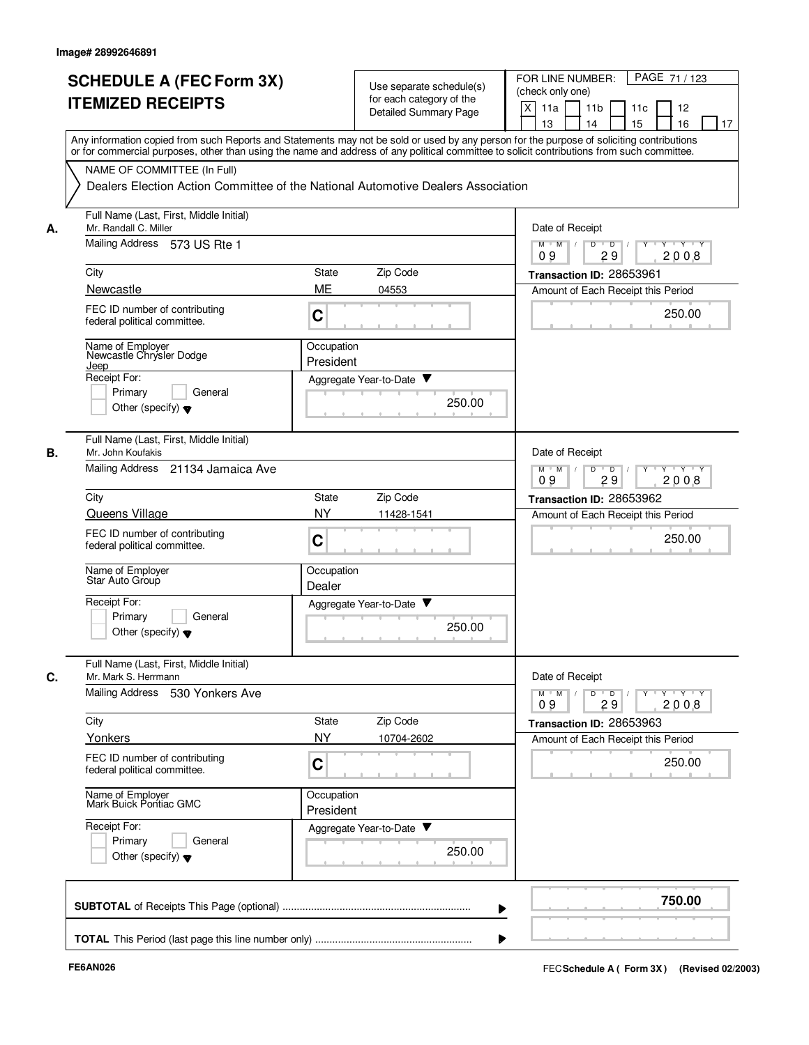|    | <b>SCHEDULE A (FEC Form 3X)</b>                                                                                                                                                                                                                                                         |                         |                                                      | FOR LINE NUMBER:<br>PAGE 71/123                                                 |
|----|-----------------------------------------------------------------------------------------------------------------------------------------------------------------------------------------------------------------------------------------------------------------------------------------|-------------------------|------------------------------------------------------|---------------------------------------------------------------------------------|
|    |                                                                                                                                                                                                                                                                                         |                         | Use separate schedule(s)<br>for each category of the | (check only one)                                                                |
|    | <b>ITEMIZED RECEIPTS</b>                                                                                                                                                                                                                                                                |                         | <b>Detailed Summary Page</b>                         | X<br>11a<br>11 <sub>b</sub><br>12<br>11c                                        |
|    |                                                                                                                                                                                                                                                                                         |                         |                                                      | 13<br>14<br>15<br>16<br>17                                                      |
|    | Any information copied from such Reports and Statements may not be sold or used by any person for the purpose of soliciting contributions<br>or for commercial purposes, other than using the name and address of any political committee to solicit contributions from such committee. |                         |                                                      |                                                                                 |
|    | NAME OF COMMITTEE (In Full)                                                                                                                                                                                                                                                             |                         |                                                      |                                                                                 |
|    | Dealers Election Action Committee of the National Automotive Dealers Association                                                                                                                                                                                                        |                         |                                                      |                                                                                 |
| А. | Full Name (Last, First, Middle Initial)<br>Mr. Randall C. Miller                                                                                                                                                                                                                        |                         |                                                      | Date of Receipt                                                                 |
|    | Mailing Address 573 US Rte 1                                                                                                                                                                                                                                                            |                         |                                                      | $M$ $M$ $M$<br>$T$ $Y$ $T$ $Y$<br>$\overline{D}$<br>D<br>Y<br>29<br>2008<br>09  |
|    | City                                                                                                                                                                                                                                                                                    | <b>State</b>            | Zip Code                                             | Transaction ID: 28653961                                                        |
|    | Newcastle                                                                                                                                                                                                                                                                               | ME                      | 04553                                                | Amount of Each Receipt this Period                                              |
|    | FEC ID number of contributing<br>federal political committee.                                                                                                                                                                                                                           | C                       |                                                      | 250.00                                                                          |
|    | Name of Employer<br>Newcastle Chrysler Dodge                                                                                                                                                                                                                                            | Occupation<br>President |                                                      |                                                                                 |
|    | <u>Jeep</u><br>Receipt For:                                                                                                                                                                                                                                                             |                         |                                                      |                                                                                 |
|    | General<br>Primary                                                                                                                                                                                                                                                                      |                         | Aggregate Year-to-Date                               |                                                                                 |
|    | Other (specify) $\blacktriangledown$                                                                                                                                                                                                                                                    |                         | 250.00                                               |                                                                                 |
| В. | Full Name (Last, First, Middle Initial)<br>Mr. John Koufakis                                                                                                                                                                                                                            |                         |                                                      | Date of Receipt                                                                 |
|    | Mailing Address 21134 Jamaica Ave                                                                                                                                                                                                                                                       |                         |                                                      | $M$ M<br>D<br>$\sqrt{ }$<br>$\overline{D}$<br>Y Y Y Y<br>09<br>29<br>2008       |
|    | City                                                                                                                                                                                                                                                                                    | <b>State</b>            | Zip Code                                             | Transaction ID: 28653962                                                        |
|    | <b>Queens Village</b>                                                                                                                                                                                                                                                                   | <b>NY</b>               | 11428-1541                                           | Amount of Each Receipt this Period                                              |
|    | FEC ID number of contributing<br>federal political committee.                                                                                                                                                                                                                           | C                       |                                                      | 250.00                                                                          |
|    | Name of Employer<br>Star Auto Group                                                                                                                                                                                                                                                     | Occupation<br>Dealer    |                                                      |                                                                                 |
|    | Receipt For:                                                                                                                                                                                                                                                                            |                         | Aggregate Year-to-Date                               |                                                                                 |
|    | Primary<br>General<br>Other (specify) $\blacktriangledown$                                                                                                                                                                                                                              |                         | 250.00                                               |                                                                                 |
| C. | Full Name (Last, First, Middle Initial)<br>Mr. Mark S. Herrmann                                                                                                                                                                                                                         |                         |                                                      | Date of Receipt                                                                 |
|    | Mailing Address 530 Yonkers Ave                                                                                                                                                                                                                                                         |                         |                                                      | $Y$ $Y$ $Y$<br>$D$ $D$ $I$<br>$Y$ <sup>U</sup><br>$M$ $M$ /<br>09<br>29<br>2008 |
|    | City                                                                                                                                                                                                                                                                                    | State                   | Zip Code                                             | Transaction ID: 28653963                                                        |
|    | Yonkers                                                                                                                                                                                                                                                                                 | <b>NY</b>               | 10704-2602                                           | Amount of Each Receipt this Period                                              |
|    | FEC ID number of contributing<br>federal political committee.                                                                                                                                                                                                                           | C                       |                                                      | 250.00                                                                          |
|    | Name of Employer<br>Mark Buick Pontiac GMC                                                                                                                                                                                                                                              | Occupation<br>President |                                                      |                                                                                 |
|    | Receipt For:                                                                                                                                                                                                                                                                            |                         | Aggregate Year-to-Date                               |                                                                                 |
|    | Primary<br>General<br>Other (specify) $\blacktriangledown$                                                                                                                                                                                                                              |                         | 250.00                                               |                                                                                 |
|    |                                                                                                                                                                                                                                                                                         |                         |                                                      | 750.00                                                                          |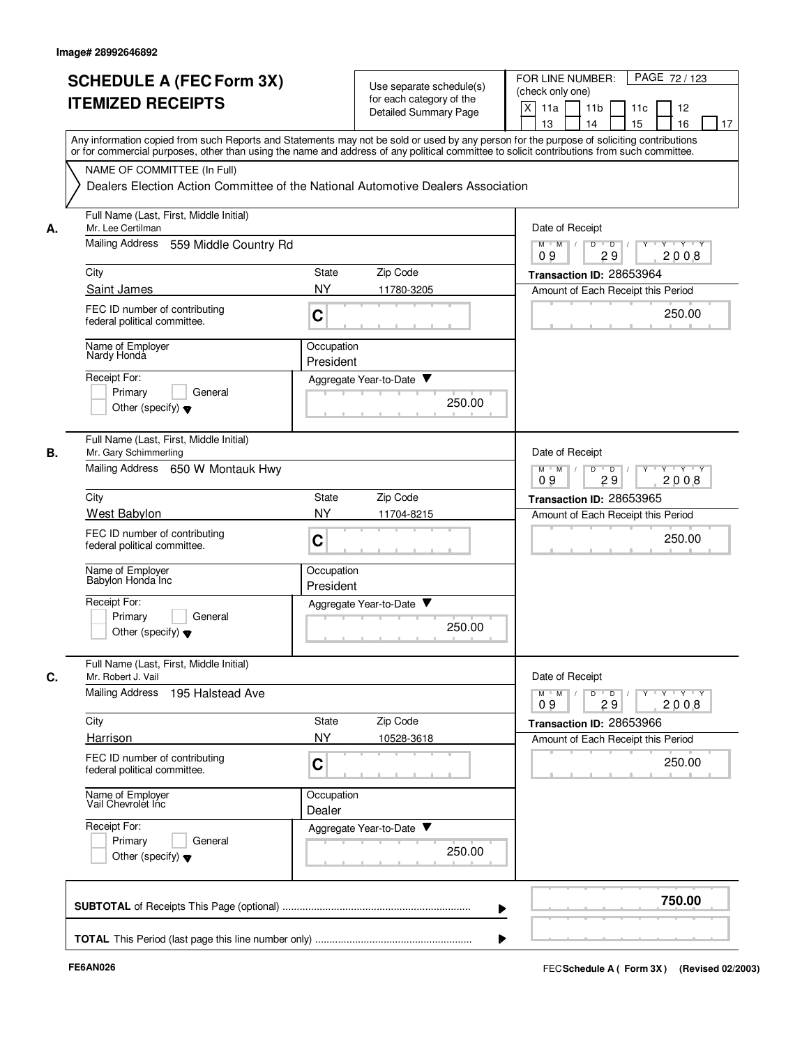|    | <b>SCHEDULE A (FEC Form 3X)</b><br><b>ITEMIZED RECEIPTS</b>                                                                                                                                                                                                                             | Use separate schedule(s)<br>for each category of the<br><b>Detailed Summary Page</b> | PAGE 72 / 123<br>FOR LINE NUMBER:<br>(check only one)<br>X<br>11a<br>11 <sub>b</sub><br>11c<br>12<br>13<br>14<br>15<br>16<br>17 |
|----|-----------------------------------------------------------------------------------------------------------------------------------------------------------------------------------------------------------------------------------------------------------------------------------------|--------------------------------------------------------------------------------------|---------------------------------------------------------------------------------------------------------------------------------|
|    | Any information copied from such Reports and Statements may not be sold or used by any person for the purpose of soliciting contributions<br>or for commercial purposes, other than using the name and address of any political committee to solicit contributions from such committee. |                                                                                      |                                                                                                                                 |
|    | NAME OF COMMITTEE (In Full)                                                                                                                                                                                                                                                             | Dealers Election Action Committee of the National Automotive Dealers Association     |                                                                                                                                 |
| А. | Full Name (Last, First, Middle Initial)<br>Mr. Lee Certilman                                                                                                                                                                                                                            |                                                                                      | Date of Receipt                                                                                                                 |
|    | Mailing Address<br>559 Middle Country Rd                                                                                                                                                                                                                                                |                                                                                      | $M$ $M$ /<br>D<br>$\overline{D}$<br>$Y \vdash Y \vdash Y$<br>2008<br>09<br>29                                                   |
|    | City                                                                                                                                                                                                                                                                                    | Zip Code<br>State                                                                    | Transaction ID: 28653964                                                                                                        |
|    | Saint James<br>FEC ID number of contributing<br>federal political committee.                                                                                                                                                                                                            | <b>NY</b><br>11780-3205<br>C                                                         | Amount of Each Receipt this Period<br>250.00                                                                                    |
|    | Name of Employer<br>Nardy Honda                                                                                                                                                                                                                                                         | Occupation<br>President                                                              |                                                                                                                                 |
|    | Receipt For:<br>Primary<br>General<br>Other (specify) $\blacktriangledown$                                                                                                                                                                                                              | Aggregate Year-to-Date ▼<br>250.00                                                   |                                                                                                                                 |
| В. | Full Name (Last, First, Middle Initial)<br>Mr. Gary Schimmerling<br>Mailing Address<br>650 W Montauk Hwy                                                                                                                                                                                |                                                                                      | Date of Receipt<br>$Y - Y - Y$<br>$M$ M<br>D<br>$\overline{D}$                                                                  |
|    | City                                                                                                                                                                                                                                                                                    | Zip Code<br>State                                                                    | 2008<br>09<br>29                                                                                                                |
|    | West Babylon                                                                                                                                                                                                                                                                            | <b>NY</b><br>11704-8215                                                              | Transaction ID: 28653965<br>Amount of Each Receipt this Period                                                                  |
|    | FEC ID number of contributing<br>federal political committee.                                                                                                                                                                                                                           | C                                                                                    | 250.00                                                                                                                          |
|    | Name of Employer<br>Babylon Honda Inc                                                                                                                                                                                                                                                   | Occupation<br>President                                                              |                                                                                                                                 |
|    | Receipt For:<br>Primary<br>General<br>Other (specify) $\blacktriangledown$                                                                                                                                                                                                              | Aggregate Year-to-Date ▼<br>250.00                                                   |                                                                                                                                 |
| С. | Full Name (Last, First, Middle Initial)<br>Mr. Robert J. Vail                                                                                                                                                                                                                           |                                                                                      | Date of Receipt                                                                                                                 |
|    | Mailing Address<br>195 Halstead Ave                                                                                                                                                                                                                                                     |                                                                                      | $Y - Y - Y$<br>$M$ <sup><math>+</math></sup><br>M<br>D<br>$\overline{D}$<br>Y<br>29<br>2008<br>09                               |
|    | City                                                                                                                                                                                                                                                                                    | Zip Code<br>State                                                                    | Transaction ID: 28653966                                                                                                        |
|    | Harrison<br>FEC ID number of contributing<br>federal political committee.                                                                                                                                                                                                               | <b>NY</b><br>10528-3618<br>C                                                         | Amount of Each Receipt this Period<br>250.00                                                                                    |
|    | Name of Employer<br>Vail Chevrolet Inc                                                                                                                                                                                                                                                  | Occupation<br>Dealer                                                                 |                                                                                                                                 |
|    | Receipt For:<br>Primary<br>General<br>Other (specify) $\blacktriangledown$                                                                                                                                                                                                              | Aggregate Year-to-Date<br>250.00                                                     |                                                                                                                                 |
|    |                                                                                                                                                                                                                                                                                         |                                                                                      | 750.00                                                                                                                          |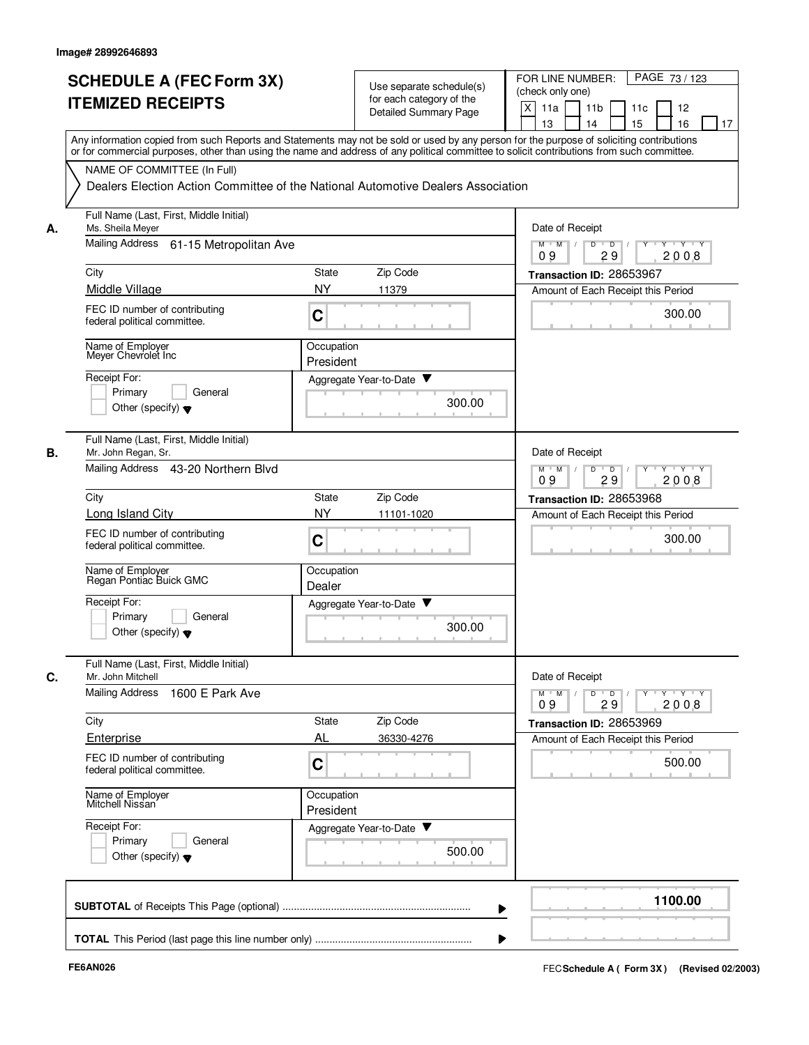|    | <b>SCHEDULE A (FEC Form 3X)</b>                                                  |                                                                                                                                                                                                                                                                                         | Use separate schedule(s)    | PAGE 73 / 123<br>FOR LINE NUMBER:<br>(check only one)                |  |  |
|----|----------------------------------------------------------------------------------|-----------------------------------------------------------------------------------------------------------------------------------------------------------------------------------------------------------------------------------------------------------------------------------------|-----------------------------|----------------------------------------------------------------------|--|--|
|    | <b>ITEMIZED RECEIPTS</b>                                                         |                                                                                                                                                                                                                                                                                         | for each category of the    | X<br>11a<br>11 <sub>b</sub><br>11c<br>12                             |  |  |
|    |                                                                                  |                                                                                                                                                                                                                                                                                         | Detailed Summary Page       | 15<br>13<br>14<br>16<br>17                                           |  |  |
|    |                                                                                  | Any information copied from such Reports and Statements may not be sold or used by any person for the purpose of soliciting contributions<br>or for commercial purposes, other than using the name and address of any political committee to solicit contributions from such committee. |                             |                                                                      |  |  |
|    | NAME OF COMMITTEE (In Full)                                                      |                                                                                                                                                                                                                                                                                         |                             |                                                                      |  |  |
|    | Dealers Election Action Committee of the National Automotive Dealers Association |                                                                                                                                                                                                                                                                                         |                             |                                                                      |  |  |
| А. | Full Name (Last, First, Middle Initial)<br>Ms. Sheila Meyer                      |                                                                                                                                                                                                                                                                                         |                             | Date of Receipt                                                      |  |  |
|    | Mailing Address 61-15 Metropolitan Ave                                           | $M$ $M$ /<br>D<br>$\overline{D}$<br>$Y$ $Y$<br>29<br>2008<br>09                                                                                                                                                                                                                         |                             |                                                                      |  |  |
|    | City                                                                             | <b>State</b>                                                                                                                                                                                                                                                                            | Zip Code                    | Transaction ID: 28653967                                             |  |  |
|    | Middle Village                                                                   | <b>NY</b>                                                                                                                                                                                                                                                                               | 11379                       | Amount of Each Receipt this Period                                   |  |  |
|    | FEC ID number of contributing<br>federal political committee.                    | C                                                                                                                                                                                                                                                                                       |                             | 300.00                                                               |  |  |
|    | Name of Employer<br>Meyer Chevrolet Inc.                                         | Occupation<br>President                                                                                                                                                                                                                                                                 |                             |                                                                      |  |  |
|    | Receipt For:                                                                     |                                                                                                                                                                                                                                                                                         | Aggregate Year-to-Date ▼    |                                                                      |  |  |
|    | Primary<br>General                                                               |                                                                                                                                                                                                                                                                                         |                             |                                                                      |  |  |
|    | Other (specify) $\blacktriangledown$                                             |                                                                                                                                                                                                                                                                                         | 300.00                      |                                                                      |  |  |
| В. | Full Name (Last, First, Middle Initial)<br>Mr. John Regan, Sr.                   |                                                                                                                                                                                                                                                                                         |                             | Date of Receipt                                                      |  |  |
|    | Mailing Address 43-20 Northern Blvd                                              |                                                                                                                                                                                                                                                                                         |                             | $Y - Y - Y$<br>$M$ M<br>D<br>$\overline{D}$<br>Y<br>29<br>2008<br>09 |  |  |
|    | City                                                                             | State                                                                                                                                                                                                                                                                                   | Zip Code                    | Transaction ID: 28653968                                             |  |  |
|    | Long Island City                                                                 | <b>NY</b>                                                                                                                                                                                                                                                                               | 11101-1020                  | Amount of Each Receipt this Period                                   |  |  |
|    | FEC ID number of contributing<br>federal political committee.                    | C                                                                                                                                                                                                                                                                                       |                             | 300.00                                                               |  |  |
|    | Name of Employer<br>Regan Pontiac Buick GMC                                      | Occupation<br>Dealer                                                                                                                                                                                                                                                                    |                             |                                                                      |  |  |
|    | Receipt For:                                                                     |                                                                                                                                                                                                                                                                                         | v<br>Aggregate Year-to-Date |                                                                      |  |  |
|    | Primary<br>General<br>Other (specify) $\blacktriangledown$                       |                                                                                                                                                                                                                                                                                         | 300.00                      |                                                                      |  |  |
| C. | Full Name (Last, First, Middle Initial)<br>Mr. John Mitchell                     |                                                                                                                                                                                                                                                                                         |                             | Date of Receipt                                                      |  |  |
|    | Mailing Address<br>1600 E Park Ave                                               |                                                                                                                                                                                                                                                                                         |                             | y y y y y<br>$M$ $M$ /<br>$D$ $D$<br>09<br>2008<br>29                |  |  |
|    | City                                                                             | State                                                                                                                                                                                                                                                                                   | Zip Code                    | Transaction ID: 28653969                                             |  |  |
|    | Enterprise                                                                       | AL                                                                                                                                                                                                                                                                                      | 36330-4276                  | Amount of Each Receipt this Period                                   |  |  |
|    | FEC ID number of contributing<br>federal political committee.                    | C                                                                                                                                                                                                                                                                                       |                             | 500.00                                                               |  |  |
|    | Name of Employer<br>Mitchell Nissan                                              | Occupation<br>President                                                                                                                                                                                                                                                                 |                             |                                                                      |  |  |
|    | Receipt For:                                                                     |                                                                                                                                                                                                                                                                                         | Aggregate Year-to-Date      |                                                                      |  |  |
|    | Primary<br>General<br>Other (specify) $\blacktriangledown$                       |                                                                                                                                                                                                                                                                                         | 500.00                      |                                                                      |  |  |
|    |                                                                                  |                                                                                                                                                                                                                                                                                         |                             | 1100.00                                                              |  |  |
|    |                                                                                  |                                                                                                                                                                                                                                                                                         |                             |                                                                      |  |  |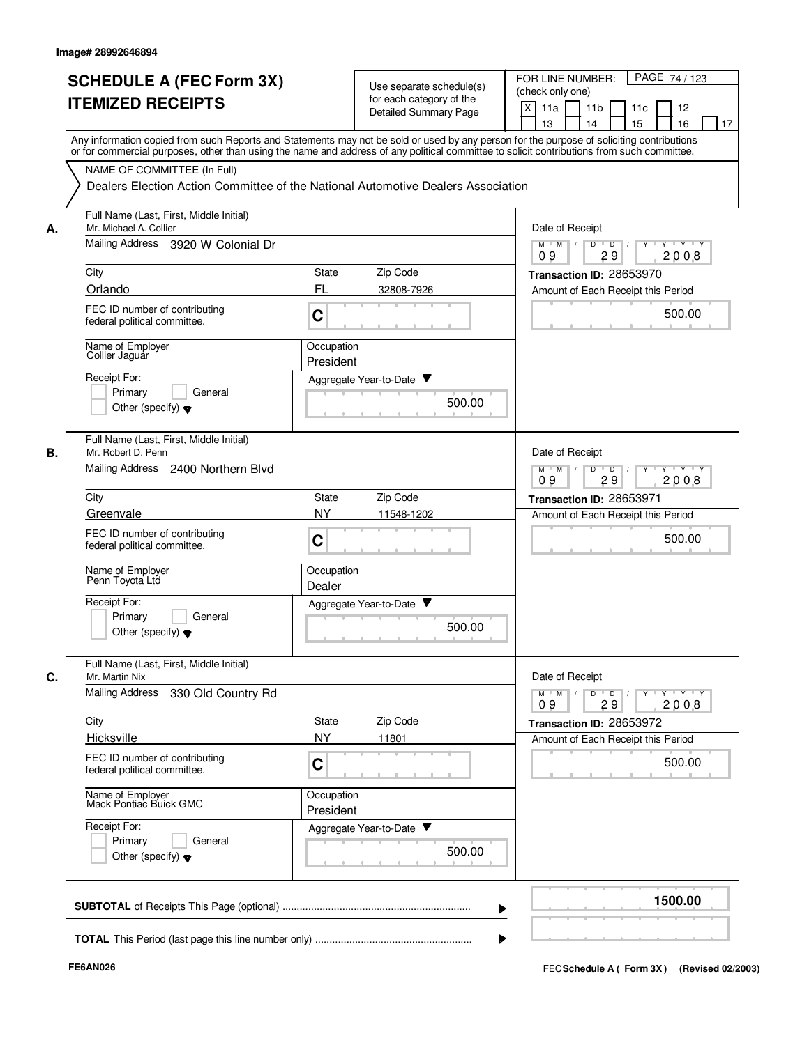|    | <b>SCHEDULE A (FEC Form 3X)</b><br><b>ITEMIZED RECEIPTS</b>                                                                                                                                                                                                                             |                                                                           | Use separate schedule(s)<br>for each category of the<br><b>Detailed Summary Page</b> | FOR LINE NUMBER:<br>PAGE 74/123<br>(check only one)<br>X<br>11a<br>11 <sub>b</sub><br>11c<br>12<br>13<br>14<br>15<br>16<br>17  |
|----|-----------------------------------------------------------------------------------------------------------------------------------------------------------------------------------------------------------------------------------------------------------------------------------------|---------------------------------------------------------------------------|--------------------------------------------------------------------------------------|--------------------------------------------------------------------------------------------------------------------------------|
|    | Any information copied from such Reports and Statements may not be sold or used by any person for the purpose of soliciting contributions<br>or for commercial purposes, other than using the name and address of any political committee to solicit contributions from such committee. |                                                                           |                                                                                      |                                                                                                                                |
|    | NAME OF COMMITTEE (In Full)                                                                                                                                                                                                                                                             |                                                                           |                                                                                      |                                                                                                                                |
|    | Dealers Election Action Committee of the National Automotive Dealers Association                                                                                                                                                                                                        |                                                                           |                                                                                      |                                                                                                                                |
| А. | Full Name (Last, First, Middle Initial)<br>Mr. Michael A. Collier                                                                                                                                                                                                                       |                                                                           |                                                                                      | Date of Receipt                                                                                                                |
|    | Mailing Address 3920 W Colonial Dr                                                                                                                                                                                                                                                      |                                                                           |                                                                                      | $M$ $M$ /<br>D<br>$\overline{D}$<br>Y Y Y Y<br>29<br>2008<br>09                                                                |
|    | City                                                                                                                                                                                                                                                                                    | State                                                                     | Zip Code                                                                             | Transaction ID: 28653970                                                                                                       |
|    | Orlando                                                                                                                                                                                                                                                                                 | FL                                                                        | 32808-7926                                                                           | Amount of Each Receipt this Period                                                                                             |
|    | FEC ID number of contributing<br>federal political committee.                                                                                                                                                                                                                           | C                                                                         |                                                                                      | 500.00                                                                                                                         |
|    | Name of Employer<br>Collier Jaguar                                                                                                                                                                                                                                                      | Occupation<br>President                                                   |                                                                                      |                                                                                                                                |
|    | Receipt For:                                                                                                                                                                                                                                                                            |                                                                           | Aggregate Year-to-Date ▼                                                             |                                                                                                                                |
|    | Primary<br>General<br>Other (specify) $\blacktriangledown$                                                                                                                                                                                                                              |                                                                           | 500.00                                                                               |                                                                                                                                |
| В. | Full Name (Last, First, Middle Initial)<br>Mr. Robert D. Penn                                                                                                                                                                                                                           |                                                                           |                                                                                      | Date of Receipt                                                                                                                |
|    | Mailing Address<br>2400 Northern Blvd                                                                                                                                                                                                                                                   | D<br>$M$ M<br>$\overline{D}$<br>Y 'Y 'Y<br>$\sqrt{ }$<br>2008<br>09<br>29 |                                                                                      |                                                                                                                                |
|    | City                                                                                                                                                                                                                                                                                    | State                                                                     | Zip Code                                                                             | Transaction ID: 28653971                                                                                                       |
|    | Greenvale                                                                                                                                                                                                                                                                               | <b>NY</b>                                                                 | 11548-1202                                                                           | Amount of Each Receipt this Period                                                                                             |
|    | FEC ID number of contributing<br>federal political committee.                                                                                                                                                                                                                           | C                                                                         |                                                                                      | 500.00                                                                                                                         |
|    | Name of Employer<br>Penn Toyota Ltá                                                                                                                                                                                                                                                     | Occupation<br>Dealer                                                      |                                                                                      |                                                                                                                                |
|    | Receipt For:                                                                                                                                                                                                                                                                            |                                                                           | Aggregate Year-to-Date ▼                                                             |                                                                                                                                |
|    | Primary<br>General<br>Other (specify) $\blacktriangledown$                                                                                                                                                                                                                              |                                                                           | 500.00                                                                               |                                                                                                                                |
| C. | Full Name (Last, First, Middle Initial)<br>Mr. Martin Nix                                                                                                                                                                                                                               |                                                                           |                                                                                      | Date of Receipt                                                                                                                |
|    | Mailing Address 330 Old Country Rd                                                                                                                                                                                                                                                      |                                                                           |                                                                                      | $\mathsf{Y} \dashv \mathsf{Y} \dashv \mathsf{Y}$<br>$Y$ <sup>U</sup><br>$M$ $M$ $/$<br>D<br>$\overline{D}$<br>29<br>2008<br>09 |
|    | City                                                                                                                                                                                                                                                                                    | State                                                                     | Zip Code                                                                             | Transaction ID: 28653972                                                                                                       |
|    | Hicksville                                                                                                                                                                                                                                                                              | <b>NY</b>                                                                 | 11801                                                                                | Amount of Each Receipt this Period                                                                                             |
|    | FEC ID number of contributing<br>federal political committee.                                                                                                                                                                                                                           | C                                                                         |                                                                                      | 500.00                                                                                                                         |
|    | Name of Employer<br>Mack Pontiac Buick GMC                                                                                                                                                                                                                                              | Occupation<br>President                                                   |                                                                                      |                                                                                                                                |
|    | Receipt For:<br>Primary<br>General                                                                                                                                                                                                                                                      |                                                                           | Aggregate Year-to-Date                                                               |                                                                                                                                |
|    | Other (specify) $\blacktriangledown$                                                                                                                                                                                                                                                    |                                                                           | 500.00                                                                               |                                                                                                                                |
|    |                                                                                                                                                                                                                                                                                         |                                                                           |                                                                                      | 1500.00                                                                                                                        |
|    |                                                                                                                                                                                                                                                                                         |                                                                           |                                                                                      |                                                                                                                                |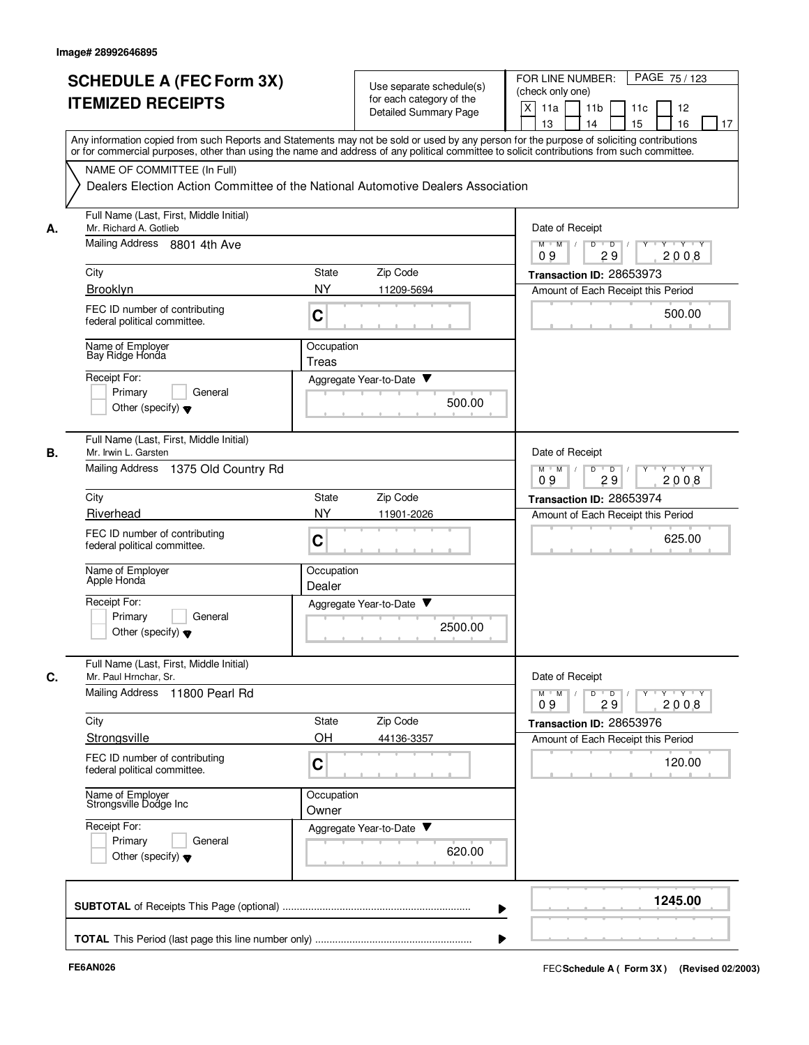|    | <b>SCHEDULE A (FEC Form 3X)</b><br><b>ITEMIZED RECEIPTS</b>                                                      | Use separate schedule(s)<br>for each category of the<br><b>Detailed Summary Page</b>                                                                                                                                                                                                                                                                                        | FOR LINE NUMBER:<br>PAGE 75/123<br>(check only one)<br>X<br>11a<br>11 <sub>b</sub><br>11c<br>12<br>15<br>16<br>13<br>14<br>17 |
|----|------------------------------------------------------------------------------------------------------------------|-----------------------------------------------------------------------------------------------------------------------------------------------------------------------------------------------------------------------------------------------------------------------------------------------------------------------------------------------------------------------------|-------------------------------------------------------------------------------------------------------------------------------|
|    | NAME OF COMMITTEE (In Full)                                                                                      | Any information copied from such Reports and Statements may not be sold or used by any person for the purpose of soliciting contributions<br>or for commercial purposes, other than using the name and address of any political committee to solicit contributions from such committee.<br>Dealers Election Action Committee of the National Automotive Dealers Association |                                                                                                                               |
| А. | Full Name (Last, First, Middle Initial)<br>Mr. Richard A. Gotlieb<br>Mailing Address 8801 4th Ave                | Date of Receipt<br>$M$ $M$ /<br>D<br>$\overline{D}$<br>$+Y+Y$                                                                                                                                                                                                                                                                                                               |                                                                                                                               |
|    | City                                                                                                             | Zip Code<br>State                                                                                                                                                                                                                                                                                                                                                           | 29<br>2008<br>09<br>Transaction ID: 28653973                                                                                  |
|    | Brooklyn                                                                                                         | <b>NY</b><br>11209-5694                                                                                                                                                                                                                                                                                                                                                     | Amount of Each Receipt this Period                                                                                            |
|    | FEC ID number of contributing<br>federal political committee.                                                    | C                                                                                                                                                                                                                                                                                                                                                                           | 500.00                                                                                                                        |
|    | Name of Employer<br>Bay Ridge Honda                                                                              | Occupation<br>Treas                                                                                                                                                                                                                                                                                                                                                         |                                                                                                                               |
|    | Receipt For:<br>General<br>Primary<br>Other (specify) $\blacktriangledown$                                       | Aggregate Year-to-Date<br>500.00                                                                                                                                                                                                                                                                                                                                            |                                                                                                                               |
| В. | Full Name (Last, First, Middle Initial)<br>Mr. Irwin L. Garsten<br><b>Mailing Address</b><br>1375 Old Country Rd |                                                                                                                                                                                                                                                                                                                                                                             | Date of Receipt<br>D<br>$M$ $M$<br>$\overline{D}$<br>$Y+Y$                                                                    |
|    | City                                                                                                             | Zip Code<br>State                                                                                                                                                                                                                                                                                                                                                           | 2008<br>09<br>29<br>Transaction ID: 28653974                                                                                  |
|    | Riverhead                                                                                                        | <b>NY</b><br>11901-2026                                                                                                                                                                                                                                                                                                                                                     | Amount of Each Receipt this Period                                                                                            |
|    | FEC ID number of contributing<br>federal political committee.                                                    | C                                                                                                                                                                                                                                                                                                                                                                           | 625.00                                                                                                                        |
|    | Name of Employer<br>Apple Honda                                                                                  | Occupation<br>Dealer                                                                                                                                                                                                                                                                                                                                                        |                                                                                                                               |
|    | Receipt For:<br>Primary<br>General<br>Other (specify) $\blacktriangledown$                                       | Aggregate Year-to-Date ▼<br>2500.00                                                                                                                                                                                                                                                                                                                                         |                                                                                                                               |
| C. | Full Name (Last, First, Middle Initial)<br>Mr. Paul Hrnchar, Sr.                                                 |                                                                                                                                                                                                                                                                                                                                                                             | Date of Receipt                                                                                                               |
|    | Mailing Address 11800 Pearl Rd                                                                                   |                                                                                                                                                                                                                                                                                                                                                                             | $Y + Y + Y$<br>$D$ $D$ $I$<br>$\Gamma Y$<br>$M$ $M$ /<br>09<br>29<br>2008                                                     |
|    | City                                                                                                             | Zip Code<br>State                                                                                                                                                                                                                                                                                                                                                           | Transaction ID: 28653976                                                                                                      |
|    | Strongsville                                                                                                     | OH<br>44136-3357                                                                                                                                                                                                                                                                                                                                                            | Amount of Each Receipt this Period                                                                                            |
|    | FEC ID number of contributing<br>federal political committee.                                                    | C                                                                                                                                                                                                                                                                                                                                                                           | 120.00                                                                                                                        |
|    | Name of Employer<br>Strongsville Dodge Inc                                                                       | Occupation<br>Owner                                                                                                                                                                                                                                                                                                                                                         |                                                                                                                               |
|    | Receipt For:<br>Primary<br>General<br>Other (specify) $\blacktriangledown$                                       | Aggregate Year-to-Date<br>620.00                                                                                                                                                                                                                                                                                                                                            |                                                                                                                               |
|    |                                                                                                                  |                                                                                                                                                                                                                                                                                                                                                                             | 1245.00                                                                                                                       |
|    |                                                                                                                  |                                                                                                                                                                                                                                                                                                                                                                             |                                                                                                                               |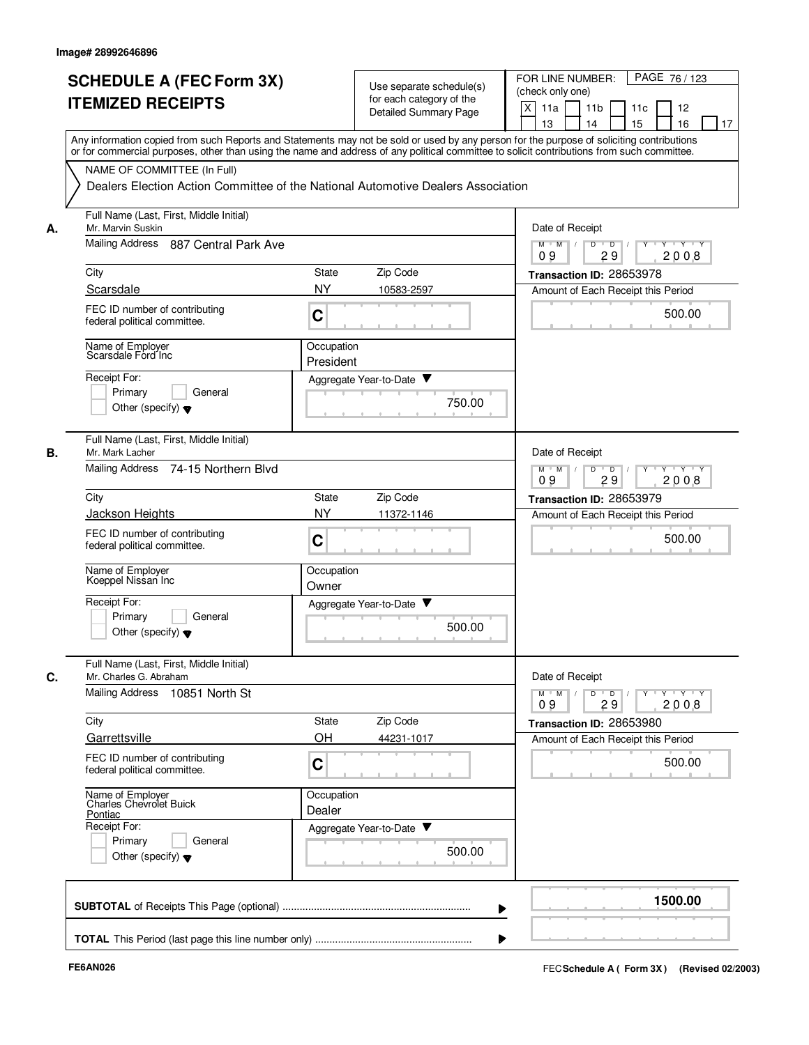|    | <b>SCHEDULE A (FEC Form 3X)</b><br><b>ITEMIZED RECEIPTS</b>                | Use separate schedule(s)<br>for each category of the<br>Detailed Summary Page                                                                                                                                                                                                           | PAGE 76 / 123<br>FOR LINE NUMBER:<br>(check only one)<br>X<br>11 <sub>b</sub><br>11a<br>11c<br>12<br>13<br>14<br>15<br>16<br>17 |
|----|----------------------------------------------------------------------------|-----------------------------------------------------------------------------------------------------------------------------------------------------------------------------------------------------------------------------------------------------------------------------------------|---------------------------------------------------------------------------------------------------------------------------------|
|    |                                                                            | Any information copied from such Reports and Statements may not be sold or used by any person for the purpose of soliciting contributions<br>or for commercial purposes, other than using the name and address of any political committee to solicit contributions from such committee. |                                                                                                                                 |
|    | NAME OF COMMITTEE (In Full)                                                | Dealers Election Action Committee of the National Automotive Dealers Association                                                                                                                                                                                                        |                                                                                                                                 |
| А. | Full Name (Last, First, Middle Initial)<br>Mr. Marvin Suskin               |                                                                                                                                                                                                                                                                                         | Date of Receipt                                                                                                                 |
|    | <b>Mailing Address</b><br>887 Central Park Ave                             | D<br>$\overline{D}$ /<br>$Y - Y - Y$<br>$M$ $M$ /<br>29<br>2008<br>09                                                                                                                                                                                                                   |                                                                                                                                 |
|    | City                                                                       | Zip Code<br>State                                                                                                                                                                                                                                                                       | Transaction ID: 28653978                                                                                                        |
|    | Scarsdale                                                                  | <b>NY</b><br>10583-2597                                                                                                                                                                                                                                                                 | Amount of Each Receipt this Period                                                                                              |
|    | FEC ID number of contributing<br>federal political committee.              | C                                                                                                                                                                                                                                                                                       | 500.00                                                                                                                          |
|    | Name of Employer<br>Scarsdale Ford Inc                                     | Occupation<br>President                                                                                                                                                                                                                                                                 |                                                                                                                                 |
|    | Receipt For:                                                               | Aggregate Year-to-Date ▼                                                                                                                                                                                                                                                                |                                                                                                                                 |
|    | Primary<br>General<br>Other (specify) $\blacktriangledown$                 | 750.00                                                                                                                                                                                                                                                                                  |                                                                                                                                 |
| В. | Full Name (Last, First, Middle Initial)<br>Mr. Mark Lacher                 |                                                                                                                                                                                                                                                                                         | Date of Receipt                                                                                                                 |
|    | Mailing Address<br>74-15 Northern Blvd                                     |                                                                                                                                                                                                                                                                                         | $Y - Y - Y$<br>$M$ $M$<br>D<br>D<br>29<br>2008<br>09                                                                            |
|    | City                                                                       | Zip Code<br>State                                                                                                                                                                                                                                                                       | Transaction ID: 28653979                                                                                                        |
|    | <b>Jackson Heights</b>                                                     | <b>NY</b><br>11372-1146                                                                                                                                                                                                                                                                 | Amount of Each Receipt this Period                                                                                              |
|    | FEC ID number of contributing<br>federal political committee.              | C                                                                                                                                                                                                                                                                                       | 500.00                                                                                                                          |
|    | Name of Employer<br>Koeppel Nissan Inc                                     | Occupation<br>Owner                                                                                                                                                                                                                                                                     |                                                                                                                                 |
|    | Receipt For:<br>Primary<br>General<br>Other (specify) $\blacktriangledown$ | Aggregate Year-to-Date<br>500.00                                                                                                                                                                                                                                                        |                                                                                                                                 |
| C. | Full Name (Last, First, Middle Initial)<br>Mr. Charles G. Abraham          |                                                                                                                                                                                                                                                                                         | Date of Receipt                                                                                                                 |
|    | Mailing Address 10851 North St                                             |                                                                                                                                                                                                                                                                                         | Y Y Y Y<br>$M$ $M$<br>$\overline{D}$<br>Y<br>D<br>2008<br>09<br>29                                                              |
|    | City                                                                       | State<br>Zip Code                                                                                                                                                                                                                                                                       | Transaction ID: 28653980                                                                                                        |
|    | Garrettsville                                                              | OH<br>44231-1017                                                                                                                                                                                                                                                                        | Amount of Each Receipt this Period                                                                                              |
|    | FEC ID number of contributing<br>federal political committee.              | $\mathbf C$                                                                                                                                                                                                                                                                             | 500.00                                                                                                                          |
|    | Name of Employer<br>Charles Chevrolet Buick<br>Pontiac                     | Occupation<br>Dealer                                                                                                                                                                                                                                                                    |                                                                                                                                 |
|    | Receipt For:                                                               | Aggregate Year-to-Date                                                                                                                                                                                                                                                                  |                                                                                                                                 |
|    | Primary<br>General<br>Other (specify) $\blacktriangledown$                 | 500.00                                                                                                                                                                                                                                                                                  |                                                                                                                                 |
|    |                                                                            |                                                                                                                                                                                                                                                                                         | 1500.00                                                                                                                         |
|    |                                                                            |                                                                                                                                                                                                                                                                                         |                                                                                                                                 |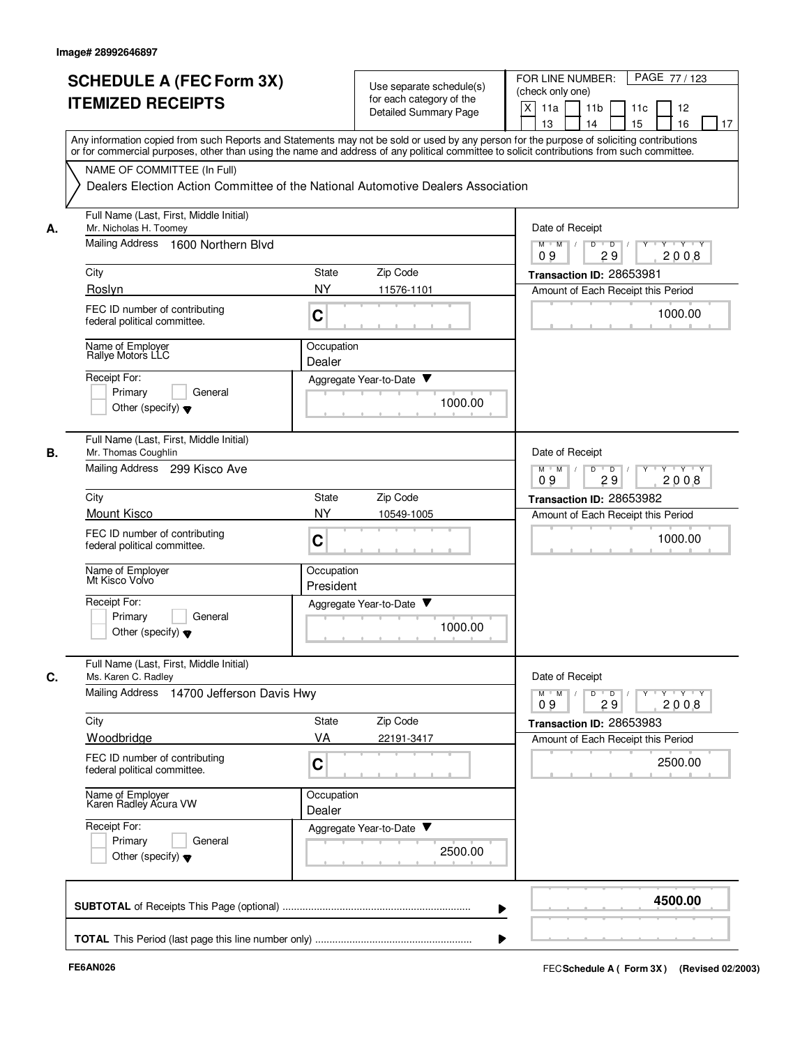|                                                        | <b>SCHEDULE A (FEC Form 3X)</b><br><b>ITEMIZED RECEIPTS</b>                                                     |                                                                                                                                                                                                                                                                                                                       | Use separate schedule(s)<br>for each category of the<br><b>Detailed Summary Page</b> | PAGE 77 / 123<br>FOR LINE NUMBER:<br>(check only one)<br>X<br>11a<br>11 <sub>b</sub><br>11c<br>12          |
|--------------------------------------------------------|-----------------------------------------------------------------------------------------------------------------|-----------------------------------------------------------------------------------------------------------------------------------------------------------------------------------------------------------------------------------------------------------------------------------------------------------------------|--------------------------------------------------------------------------------------|------------------------------------------------------------------------------------------------------------|
|                                                        |                                                                                                                 | 13<br>14<br>15<br>16<br>17<br>Any information copied from such Reports and Statements may not be sold or used by any person for the purpose of soliciting contributions<br>or for commercial purposes, other than using the name and address of any political committee to solicit contributions from such committee. |                                                                                      |                                                                                                            |
|                                                        | NAME OF COMMITTEE (In Full)<br>Dealers Election Action Committee of the National Automotive Dealers Association |                                                                                                                                                                                                                                                                                                                       |                                                                                      |                                                                                                            |
| Mr. Nicholas H. Toomev<br>А.<br><b>Mailing Address</b> | Full Name (Last, First, Middle Initial)<br>1600 Northern Blvd                                                   |                                                                                                                                                                                                                                                                                                                       |                                                                                      | Date of Receipt<br>$\overline{D}$<br>$Y \vdash Y \vdash Y$<br>$M$ $M$ /<br>D                               |
|                                                        |                                                                                                                 |                                                                                                                                                                                                                                                                                                                       |                                                                                      | 29<br>09<br>2008                                                                                           |
| City                                                   |                                                                                                                 | State                                                                                                                                                                                                                                                                                                                 | Zip Code                                                                             | Transaction ID: 28653981                                                                                   |
| Roslyn                                                 | FEC ID number of contributing<br>federal political committee.                                                   | <b>NY</b><br>C                                                                                                                                                                                                                                                                                                        | 11576-1101                                                                           | Amount of Each Receipt this Period<br>1000.00                                                              |
| Name of Employer<br>Rallye Motors LLC                  |                                                                                                                 | Occupation<br>Dealer                                                                                                                                                                                                                                                                                                  |                                                                                      |                                                                                                            |
| Receipt For:<br>Primary                                | General<br>Other (specify) $\blacktriangledown$                                                                 |                                                                                                                                                                                                                                                                                                                       | Aggregate Year-to-Date<br>1000.00                                                    |                                                                                                            |
| В.<br>Mr. Thomas Coughlin                              | Full Name (Last, First, Middle Initial)<br>Mailing Address 299 Kisco Ave                                        |                                                                                                                                                                                                                                                                                                                       |                                                                                      | Date of Receipt<br>$M$ $M$<br>$\overline{D}$<br>$Y + Y + Y$<br>D                                           |
|                                                        |                                                                                                                 | 2008<br>09<br>29                                                                                                                                                                                                                                                                                                      |                                                                                      |                                                                                                            |
| City<br>Mount Kisco                                    |                                                                                                                 | State<br><b>NY</b>                                                                                                                                                                                                                                                                                                    | Zip Code<br>10549-1005                                                               | Transaction ID: 28653982<br>Amount of Each Receipt this Period                                             |
|                                                        | FEC ID number of contributing<br>federal political committee.                                                   | $\mathbf C$                                                                                                                                                                                                                                                                                                           |                                                                                      | 1000.00                                                                                                    |
| Name of Employer<br>Mt Kisco Volvo                     |                                                                                                                 | Occupation<br>President                                                                                                                                                                                                                                                                                               |                                                                                      |                                                                                                            |
| Receipt For:<br>Primary                                | General<br>Other (specify) $\blacktriangledown$                                                                 |                                                                                                                                                                                                                                                                                                                       | Aggregate Year-to-Date<br>1000.00                                                    |                                                                                                            |
| Ms. Karen C. Radley<br>С.                              | Full Name (Last, First, Middle Initial)<br>Mailing Address 14700 Jefferson Davis Hwy                            |                                                                                                                                                                                                                                                                                                                       |                                                                                      | Date of Receipt<br>$\mathsf{Y} \dashv \mathsf{Y} \dashv \mathsf{Y}$<br>$M$ $M$<br>$\overline{D}$<br>Y<br>D |
| City                                                   |                                                                                                                 | State                                                                                                                                                                                                                                                                                                                 | Zip Code                                                                             | 29<br>2008<br>09<br>Transaction ID: 28653983                                                               |
| Woodbridge                                             |                                                                                                                 | VA                                                                                                                                                                                                                                                                                                                    | 22191-3417                                                                           | Amount of Each Receipt this Period                                                                         |
|                                                        | FEC ID number of contributing<br>federal political committee.                                                   | C                                                                                                                                                                                                                                                                                                                     |                                                                                      | 2500.00                                                                                                    |
|                                                        | Name of Employer<br>Karen Radley Acura VW                                                                       | Occupation<br>Dealer                                                                                                                                                                                                                                                                                                  |                                                                                      |                                                                                                            |
| Receipt For:<br>Primary                                | General<br>Other (specify) $\blacktriangledown$                                                                 |                                                                                                                                                                                                                                                                                                                       | Aggregate Year-to-Date<br>2500.00                                                    |                                                                                                            |
|                                                        |                                                                                                                 |                                                                                                                                                                                                                                                                                                                       |                                                                                      | 4500.00                                                                                                    |
|                                                        |                                                                                                                 |                                                                                                                                                                                                                                                                                                                       |                                                                                      |                                                                                                            |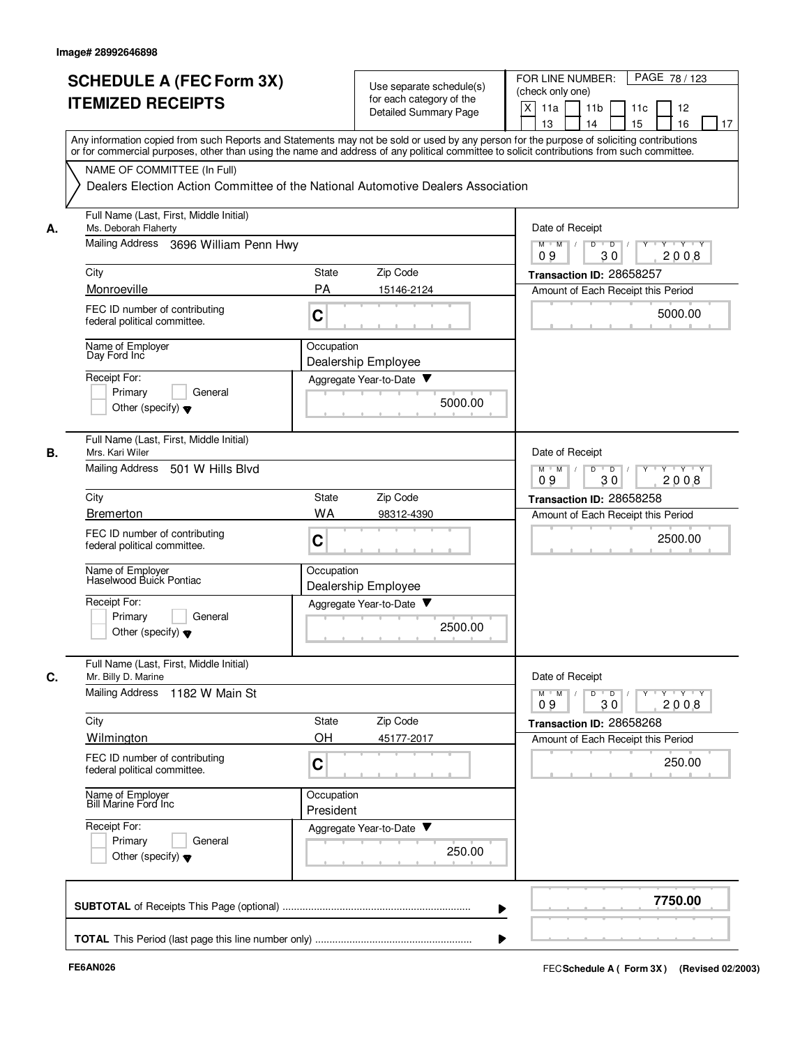|    | <b>SCHEDULE A (FEC Form 3X)</b><br><b>ITEMIZED RECEIPTS</b>                                                                                                                                                                                                                             |                                                                           | Use separate schedule(s)<br>for each category of the<br>Detailed Summary Page | PAGE 78 / 123<br>FOR LINE NUMBER:<br>(check only one)<br>X<br>11a<br>11 <sub>b</sub><br>11c<br>12<br>15<br>13<br>14<br>16<br>17 |
|----|-----------------------------------------------------------------------------------------------------------------------------------------------------------------------------------------------------------------------------------------------------------------------------------------|---------------------------------------------------------------------------|-------------------------------------------------------------------------------|---------------------------------------------------------------------------------------------------------------------------------|
|    | Any information copied from such Reports and Statements may not be sold or used by any person for the purpose of soliciting contributions<br>or for commercial purposes, other than using the name and address of any political committee to solicit contributions from such committee. |                                                                           |                                                                               |                                                                                                                                 |
|    | NAME OF COMMITTEE (In Full)                                                                                                                                                                                                                                                             |                                                                           |                                                                               |                                                                                                                                 |
|    | Dealers Election Action Committee of the National Automotive Dealers Association                                                                                                                                                                                                        |                                                                           |                                                                               |                                                                                                                                 |
| А. | Full Name (Last, First, Middle Initial)<br>Ms. Deborah Flaherty                                                                                                                                                                                                                         |                                                                           |                                                                               | Date of Receipt                                                                                                                 |
|    | Mailing Address 3696 William Penn Hwy                                                                                                                                                                                                                                                   | D<br>$M$ $M$ /<br>$\overline{\phantom{0}}$<br>Y 'Y 'Y<br>2008<br>09<br>30 |                                                                               |                                                                                                                                 |
|    | City                                                                                                                                                                                                                                                                                    | <b>State</b>                                                              | Zip Code                                                                      | Transaction ID: 28658257                                                                                                        |
|    | Monroeville                                                                                                                                                                                                                                                                             | PA                                                                        | 15146-2124                                                                    | Amount of Each Receipt this Period                                                                                              |
|    | FEC ID number of contributing<br>federal political committee.                                                                                                                                                                                                                           | C                                                                         |                                                                               | 5000.00                                                                                                                         |
|    | Name of Employer<br>Day Ford Inc                                                                                                                                                                                                                                                        | Occupation                                                                | Dealership Employee                                                           |                                                                                                                                 |
|    | Receipt For:                                                                                                                                                                                                                                                                            |                                                                           | Aggregate Year-to-Date                                                        |                                                                                                                                 |
|    | Primary<br>General<br>Other (specify) $\blacktriangledown$                                                                                                                                                                                                                              |                                                                           | 5000.00                                                                       |                                                                                                                                 |
| В. | Full Name (Last, First, Middle Initial)<br>Mrs. Kari Wiler                                                                                                                                                                                                                              |                                                                           |                                                                               | Date of Receipt                                                                                                                 |
|    | Mailing Address 501 W Hills Blvd                                                                                                                                                                                                                                                        | $\overline{D}$<br>$Y - Y - Y$<br>$M$ $M$<br>D<br>Y<br>09<br>30<br>2008    |                                                                               |                                                                                                                                 |
|    | City                                                                                                                                                                                                                                                                                    | State                                                                     | Zip Code                                                                      | Transaction ID: 28658258                                                                                                        |
|    | <b>Bremerton</b>                                                                                                                                                                                                                                                                        | WA                                                                        | 98312-4390                                                                    | Amount of Each Receipt this Period                                                                                              |
|    | FEC ID number of contributing<br>federal political committee.                                                                                                                                                                                                                           | C                                                                         |                                                                               | 2500.00                                                                                                                         |
|    | Name of Employer<br>Haselwood Buick Pontiac                                                                                                                                                                                                                                             | Occupation                                                                | Dealership Employee                                                           |                                                                                                                                 |
|    | Receipt For:<br>Primary<br>General                                                                                                                                                                                                                                                      |                                                                           | Aggregate Year-to-Date                                                        |                                                                                                                                 |
|    | Other (specify) $\blacktriangledown$                                                                                                                                                                                                                                                    |                                                                           | 2500.00                                                                       |                                                                                                                                 |
| C. | Full Name (Last, First, Middle Initial)<br>Mr. Billy D. Marine                                                                                                                                                                                                                          |                                                                           |                                                                               | Date of Receipt                                                                                                                 |
|    | Mailing Address 1182 W Main St                                                                                                                                                                                                                                                          |                                                                           |                                                                               | $Y - Y - Y$<br>$M$ $M$<br>D<br>$\overline{D}$<br>09<br>30<br>2008                                                               |
|    | City                                                                                                                                                                                                                                                                                    | State                                                                     | Zip Code                                                                      | Transaction ID: 28658268                                                                                                        |
|    | Wilmington<br>FEC ID number of contributing                                                                                                                                                                                                                                             | OH                                                                        | 45177-2017                                                                    | Amount of Each Receipt this Period                                                                                              |
|    | federal political committee.                                                                                                                                                                                                                                                            | C                                                                         |                                                                               | 250.00                                                                                                                          |
|    | Name of Employer<br>Bill Marine Ford Inc                                                                                                                                                                                                                                                | Occupation<br>President                                                   |                                                                               |                                                                                                                                 |
|    | Receipt For:<br>General                                                                                                                                                                                                                                                                 |                                                                           | Aggregate Year-to-Date                                                        |                                                                                                                                 |
|    | Primary<br>Other (specify) $\blacktriangledown$                                                                                                                                                                                                                                         |                                                                           | 250.00                                                                        |                                                                                                                                 |
|    |                                                                                                                                                                                                                                                                                         |                                                                           |                                                                               | 7750.00                                                                                                                         |
|    |                                                                                                                                                                                                                                                                                         |                                                                           |                                                                               |                                                                                                                                 |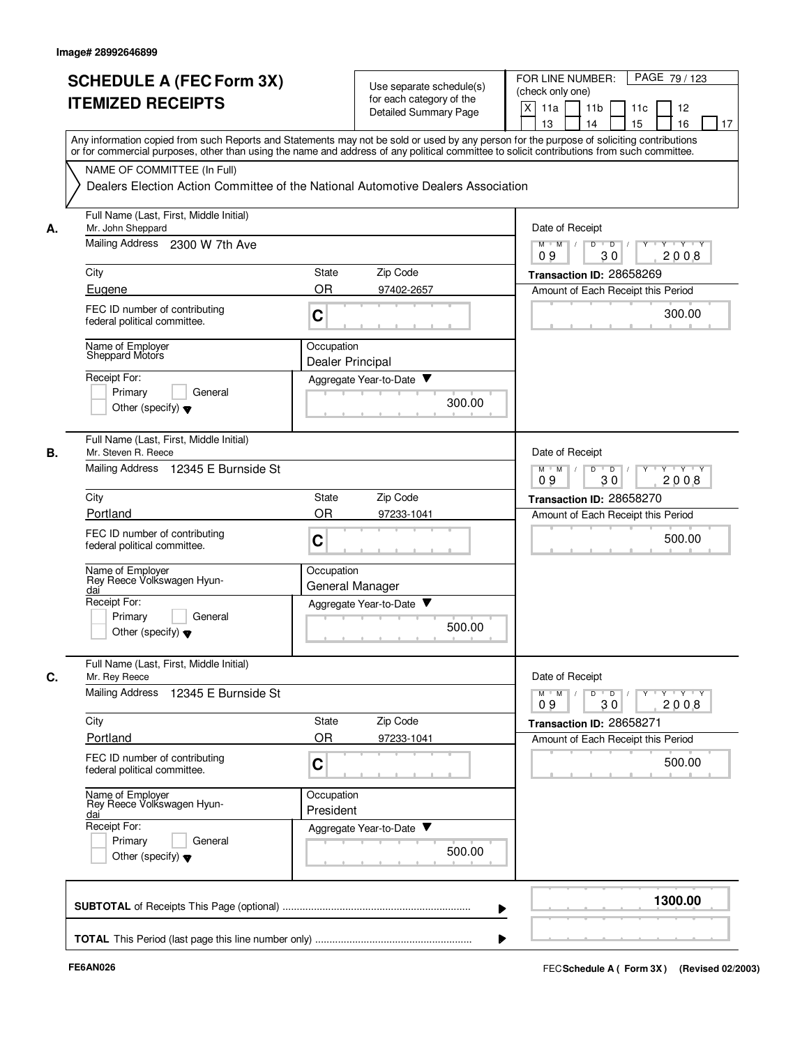|    | <b>SCHEDULE A (FEC Form 3X)</b><br><b>ITEMIZED RECEIPTS</b>                                                                                                                                                                                                                             |                                | Use separate schedule(s)<br>for each category of the |        | FOR LINE NUMBER:<br>PAGE 79/123<br>(check only one)                             |
|----|-----------------------------------------------------------------------------------------------------------------------------------------------------------------------------------------------------------------------------------------------------------------------------------------|--------------------------------|------------------------------------------------------|--------|---------------------------------------------------------------------------------|
|    |                                                                                                                                                                                                                                                                                         |                                | <b>Detailed Summary Page</b>                         |        | X<br>11a<br>11 <sub>b</sub><br>11c<br>12<br>15<br>16<br>13<br>14<br>17          |
|    | Any information copied from such Reports and Statements may not be sold or used by any person for the purpose of soliciting contributions<br>or for commercial purposes, other than using the name and address of any political committee to solicit contributions from such committee. |                                |                                                      |        |                                                                                 |
|    | NAME OF COMMITTEE (In Full)                                                                                                                                                                                                                                                             |                                |                                                      |        |                                                                                 |
|    | Dealers Election Action Committee of the National Automotive Dealers Association                                                                                                                                                                                                        |                                |                                                      |        |                                                                                 |
| А. | Full Name (Last, First, Middle Initial)<br>Mr. John Sheppard                                                                                                                                                                                                                            |                                |                                                      |        | Date of Receipt                                                                 |
|    | Mailing Address 2300 W 7th Ave                                                                                                                                                                                                                                                          |                                |                                                      |        | $M$ $M$ /<br>$T - Y$ $T - Y$<br>D<br>$\overline{D}$<br>30<br>2008<br>09         |
|    | City                                                                                                                                                                                                                                                                                    | State                          | Zip Code                                             |        | Transaction ID: 28658269                                                        |
|    | Eugene                                                                                                                                                                                                                                                                                  | <b>OR</b>                      | 97402-2657                                           |        | Amount of Each Receipt this Period                                              |
|    | FEC ID number of contributing<br>federal political committee.                                                                                                                                                                                                                           | C                              |                                                      |        | 300.00                                                                          |
|    | Name of Employer<br>Sheppard Motors                                                                                                                                                                                                                                                     | Occupation<br>Dealer Principal |                                                      |        |                                                                                 |
|    | Receipt For:                                                                                                                                                                                                                                                                            |                                | Aggregate Year-to-Date ▼                             |        |                                                                                 |
|    | General<br>Primary<br>Other (specify) $\blacktriangledown$                                                                                                                                                                                                                              |                                |                                                      | 300.00 |                                                                                 |
| В. | Full Name (Last, First, Middle Initial)<br>Mr. Steven R. Reece                                                                                                                                                                                                                          |                                |                                                      |        | Date of Receipt                                                                 |
|    | <b>Mailing Address</b><br>12345 E Burnside St                                                                                                                                                                                                                                           |                                |                                                      |        | D<br>$M$ $M$<br>$\overline{D}$<br>$V$ $V$ $V$<br>2008<br>09<br>30               |
|    | City                                                                                                                                                                                                                                                                                    | State                          | Zip Code                                             |        | Transaction ID: 28658270                                                        |
|    | Portland                                                                                                                                                                                                                                                                                | <b>OR</b>                      | 97233-1041                                           |        | Amount of Each Receipt this Period                                              |
|    | FEC ID number of contributing<br>federal political committee.                                                                                                                                                                                                                           | C                              |                                                      |        | 500.00                                                                          |
|    | Name of Employer<br>Rey Reece Volkswagen Hyun-<br>dai                                                                                                                                                                                                                                   | Occupation<br>General Manager  |                                                      |        |                                                                                 |
|    | Receipt For:                                                                                                                                                                                                                                                                            |                                | Aggregate Year-to-Date                               |        |                                                                                 |
|    | Primary<br>General<br>Other (specify) $\blacktriangledown$                                                                                                                                                                                                                              |                                |                                                      | 500.00 |                                                                                 |
| C. | Full Name (Last, First, Middle Initial)<br>Mr. Rey Reece                                                                                                                                                                                                                                |                                |                                                      |        | Date of Receipt                                                                 |
|    | Mailing Address 12345 E Burnside St                                                                                                                                                                                                                                                     |                                |                                                      |        | $Y + Y + Y$<br>$D$ $D$ $I$<br>$\overline{Y}$<br>$M$ $M$ $/$<br>09<br>30<br>2008 |
|    | City                                                                                                                                                                                                                                                                                    | State                          | Zip Code                                             |        | Transaction ID: 28658271                                                        |
|    | Portland                                                                                                                                                                                                                                                                                | <b>OR</b>                      | 97233-1041                                           |        | Amount of Each Receipt this Period                                              |
|    | FEC ID number of contributing<br>federal political committee.                                                                                                                                                                                                                           | C                              |                                                      |        | 500.00                                                                          |
|    | Name of Employer<br>Rey Reece Volkswagen Hyun-<br>dai                                                                                                                                                                                                                                   | Occupation<br>President        |                                                      |        |                                                                                 |
|    | Receipt For:                                                                                                                                                                                                                                                                            |                                | Aggregate Year-to-Date                               |        |                                                                                 |
|    | Primary<br>General<br>Other (specify) $\blacktriangledown$                                                                                                                                                                                                                              |                                |                                                      | 500.00 |                                                                                 |
|    |                                                                                                                                                                                                                                                                                         |                                |                                                      |        |                                                                                 |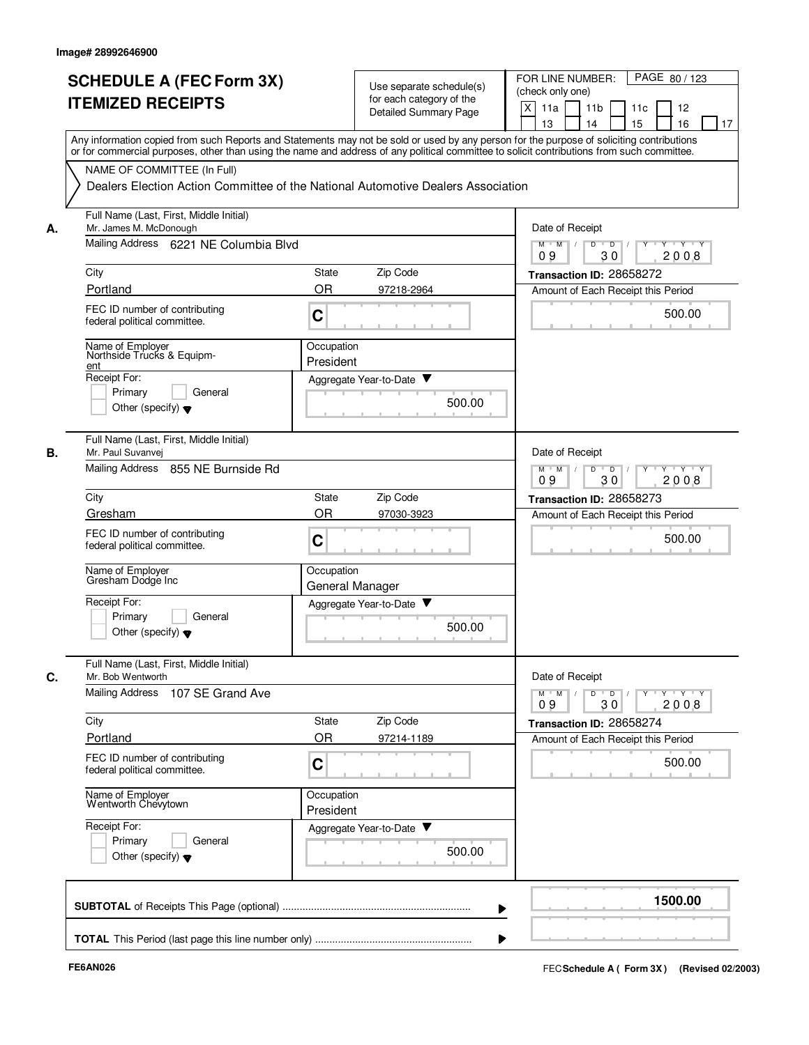|    | <b>SCHEDULE A (FEC Form 3X)</b><br><b>ITEMIZED RECEIPTS</b>                                                                                                                                                                                                                             |                               | Use separate schedule(s)<br>for each category of the<br><b>Detailed Summary Page</b> | PAGE 80 / 123<br>FOR LINE NUMBER:<br>(check only one)<br>X<br>11a<br>11 <sub>b</sub><br>11c<br>12<br>13<br>14<br>15<br>16<br>17 |
|----|-----------------------------------------------------------------------------------------------------------------------------------------------------------------------------------------------------------------------------------------------------------------------------------------|-------------------------------|--------------------------------------------------------------------------------------|---------------------------------------------------------------------------------------------------------------------------------|
|    | Any information copied from such Reports and Statements may not be sold or used by any person for the purpose of soliciting contributions<br>or for commercial purposes, other than using the name and address of any political committee to solicit contributions from such committee. |                               |                                                                                      |                                                                                                                                 |
|    | NAME OF COMMITTEE (In Full)<br>Dealers Election Action Committee of the National Automotive Dealers Association                                                                                                                                                                         |                               |                                                                                      |                                                                                                                                 |
| Α. | Full Name (Last, First, Middle Initial)<br>Mr. James M. McDonough                                                                                                                                                                                                                       |                               |                                                                                      | Date of Receipt                                                                                                                 |
|    | Mailing Address 6221 NE Columbia Blvd                                                                                                                                                                                                                                                   |                               |                                                                                      | $M$ $M$ /<br>D<br>$\overline{D}$<br>$Y + Y + Y$<br>09<br>30<br>2008                                                             |
|    | City                                                                                                                                                                                                                                                                                    | Zip Code<br>State             |                                                                                      | Transaction ID: 28658272                                                                                                        |
|    | Portland                                                                                                                                                                                                                                                                                | OR<br>97218-2964              |                                                                                      | Amount of Each Receipt this Period                                                                                              |
|    | FEC ID number of contributing<br>federal political committee.                                                                                                                                                                                                                           | C                             |                                                                                      | 500.00                                                                                                                          |
|    | Name of Employer<br>Northside Trucks & Equipm-<br>ent                                                                                                                                                                                                                                   | Occupation<br>President       |                                                                                      |                                                                                                                                 |
|    | Receipt For:                                                                                                                                                                                                                                                                            | Aggregate Year-to-Date ▼      |                                                                                      |                                                                                                                                 |
|    | Primary<br>General<br>Other (specify) $\blacktriangledown$                                                                                                                                                                                                                              |                               | 500.00                                                                               |                                                                                                                                 |
| В. | Full Name (Last, First, Middle Initial)<br>Mr. Paul Suvanvei                                                                                                                                                                                                                            |                               |                                                                                      | Date of Receipt                                                                                                                 |
|    | Mailing Address 855 NE Burnside Rd                                                                                                                                                                                                                                                      |                               |                                                                                      | $Y - Y - Y$<br>$M$ <sup><math>+</math></sup><br>M<br>D<br>$\overline{D}$<br>Y<br>30<br>2008<br>09                               |
|    | City                                                                                                                                                                                                                                                                                    | <b>State</b><br>Zip Code      |                                                                                      | Transaction ID: 28658273                                                                                                        |
|    | Gresham                                                                                                                                                                                                                                                                                 | <b>OR</b><br>97030-3923       |                                                                                      | Amount of Each Receipt this Period                                                                                              |
|    | FEC ID number of contributing<br>federal political committee.                                                                                                                                                                                                                           | C                             |                                                                                      | 500.00                                                                                                                          |
|    | Name of Employer<br>Gresham Dodge Inc                                                                                                                                                                                                                                                   | Occupation<br>General Manager |                                                                                      |                                                                                                                                 |
|    | Receipt For:<br>Primary<br>General<br>Other (specify) $\blacktriangledown$                                                                                                                                                                                                              | Aggregate Year-to-Date        | Y<br>500.00                                                                          |                                                                                                                                 |
| C. | Full Name (Last, First, Middle Initial)<br>Mr. Bob Wentworth                                                                                                                                                                                                                            |                               |                                                                                      | Date of Receipt                                                                                                                 |
|    | Mailing Address<br>107 SE Grand Ave                                                                                                                                                                                                                                                     |                               |                                                                                      | $Y + Y + Y$<br>$M$ $M$ /<br>D<br>$\overline{D}$<br>30<br>2008<br>09                                                             |
|    | City                                                                                                                                                                                                                                                                                    | Zip Code<br>State             |                                                                                      | Transaction ID: 28658274                                                                                                        |
|    | Portland                                                                                                                                                                                                                                                                                | OR<br>97214-1189              |                                                                                      | Amount of Each Receipt this Period                                                                                              |
|    | FEC ID number of contributing<br>federal political committee.                                                                                                                                                                                                                           | C                             |                                                                                      | 500.00                                                                                                                          |
|    | Name of Employer<br>Wentworth Chevytown                                                                                                                                                                                                                                                 | Occupation<br>President       |                                                                                      |                                                                                                                                 |
|    | Receipt For:<br>Primary<br>General<br>Other (specify) $\blacktriangledown$                                                                                                                                                                                                              | Aggregate Year-to-Date        | 500.00                                                                               |                                                                                                                                 |
|    |                                                                                                                                                                                                                                                                                         |                               |                                                                                      | 1500.00                                                                                                                         |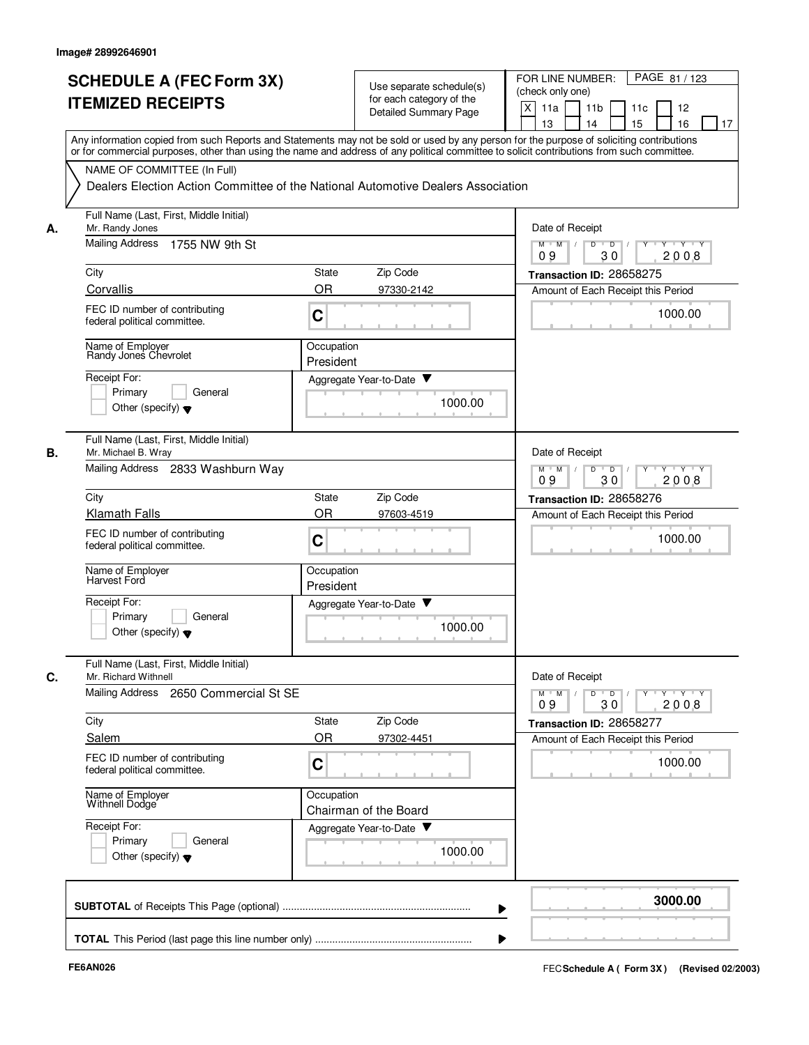|    | <b>SCHEDULE A (FEC Form 3X)</b><br><b>ITEMIZED RECEIPTS</b>                                                                                                                                                                                                                             |                                                                               | Use separate schedule(s)<br>for each category of the<br>Detailed Summary Page | FOR LINE NUMBER:<br>PAGE 81/123<br>(check only one)<br>X<br>11a<br>11 <sub>b</sub><br>11c<br>12<br>13<br>14<br>15<br>16<br>17 |
|----|-----------------------------------------------------------------------------------------------------------------------------------------------------------------------------------------------------------------------------------------------------------------------------------------|-------------------------------------------------------------------------------|-------------------------------------------------------------------------------|-------------------------------------------------------------------------------------------------------------------------------|
|    | Any information copied from such Reports and Statements may not be sold or used by any person for the purpose of soliciting contributions<br>or for commercial purposes, other than using the name and address of any political committee to solicit contributions from such committee. |                                                                               |                                                                               |                                                                                                                               |
|    | NAME OF COMMITTEE (In Full)<br>Dealers Election Action Committee of the National Automotive Dealers Association                                                                                                                                                                         |                                                                               |                                                                               |                                                                                                                               |
| А. | Full Name (Last, First, Middle Initial)<br>Mr. Randy Jones                                                                                                                                                                                                                              |                                                                               |                                                                               | Date of Receipt                                                                                                               |
|    | <b>Mailing Address</b><br>1755 NW 9th St                                                                                                                                                                                                                                                |                                                                               |                                                                               | $M$ $M$ /<br>D<br>$\overline{D}$<br>$Y + Y + Y$<br>30<br>2008<br>09                                                           |
|    | City                                                                                                                                                                                                                                                                                    | State                                                                         | Zip Code                                                                      | Transaction ID: 28658275                                                                                                      |
|    | Corvallis                                                                                                                                                                                                                                                                               | <b>OR</b>                                                                     | 97330-2142                                                                    | Amount of Each Receipt this Period                                                                                            |
|    | FEC ID number of contributing<br>federal political committee.                                                                                                                                                                                                                           | C                                                                             |                                                                               | 1000.00                                                                                                                       |
|    | Name of Employer<br>Randy Jones Chevrolet                                                                                                                                                                                                                                               | Occupation<br>President                                                       |                                                                               |                                                                                                                               |
|    | Receipt For:                                                                                                                                                                                                                                                                            |                                                                               | Aggregate Year-to-Date ▼                                                      |                                                                                                                               |
|    | Primary<br>General<br>Other (specify) $\blacktriangledown$                                                                                                                                                                                                                              |                                                                               | 1000.00                                                                       |                                                                                                                               |
| В. | Full Name (Last, First, Middle Initial)<br>Mr. Michael B. Wray                                                                                                                                                                                                                          |                                                                               |                                                                               | Date of Receipt                                                                                                               |
|    | Mailing Address 2833 Washburn Way                                                                                                                                                                                                                                                       | $M$ M<br>D<br>$\overline{D}$<br>$Y + Y + Y$<br>$\sqrt{ }$<br>09<br>30<br>2008 |                                                                               |                                                                                                                               |
|    | City                                                                                                                                                                                                                                                                                    | State                                                                         | Zip Code                                                                      | Transaction ID: 28658276                                                                                                      |
|    | <b>Klamath Falls</b>                                                                                                                                                                                                                                                                    | <b>OR</b>                                                                     | 97603-4519                                                                    | Amount of Each Receipt this Period                                                                                            |
|    | FEC ID number of contributing<br>federal political committee.                                                                                                                                                                                                                           | $\mathbf C$                                                                   |                                                                               | 1000.00                                                                                                                       |
|    | Name of Employer<br>Harvest Ford                                                                                                                                                                                                                                                        | Occupation<br>President                                                       |                                                                               |                                                                                                                               |
|    | Receipt For:                                                                                                                                                                                                                                                                            |                                                                               | Aggregate Year-to-Date ▼                                                      |                                                                                                                               |
|    | Primary<br>General<br>Other (specify) $\blacktriangledown$                                                                                                                                                                                                                              |                                                                               | 1000.00                                                                       |                                                                                                                               |
| C. | Full Name (Last, First, Middle Initial)<br>Mr. Richard Withnell                                                                                                                                                                                                                         |                                                                               |                                                                               | Date of Receipt                                                                                                               |
|    | Mailing Address 2650 Commercial St SE                                                                                                                                                                                                                                                   |                                                                               |                                                                               | $\mathsf{Y} \dashv \mathsf{Y} \dashv \mathsf{Y}$<br>$D$ $D$<br>$Y$ <sup>U</sup><br>$M$ M<br>30<br>2008<br>09                  |
|    | City                                                                                                                                                                                                                                                                                    | State                                                                         | Zip Code                                                                      | Transaction ID: 28658277                                                                                                      |
|    | Salem                                                                                                                                                                                                                                                                                   | <b>OR</b>                                                                     | 97302-4451                                                                    | Amount of Each Receipt this Period                                                                                            |
|    | FEC ID number of contributing<br>federal political committee.                                                                                                                                                                                                                           | C                                                                             |                                                                               | 1000.00                                                                                                                       |
|    | Name of Employer<br>Withnell Dodge                                                                                                                                                                                                                                                      | Occupation                                                                    | Chairman of the Board                                                         |                                                                                                                               |
|    | Receipt For:                                                                                                                                                                                                                                                                            |                                                                               | Aggregate Year-to-Date                                                        |                                                                                                                               |
|    | Primary<br>General<br>Other (specify) $\blacktriangledown$                                                                                                                                                                                                                              |                                                                               | 1000.00                                                                       |                                                                                                                               |
|    |                                                                                                                                                                                                                                                                                         |                                                                               |                                                                               | 3000.00                                                                                                                       |
|    |                                                                                                                                                                                                                                                                                         |                                                                               |                                                                               |                                                                                                                               |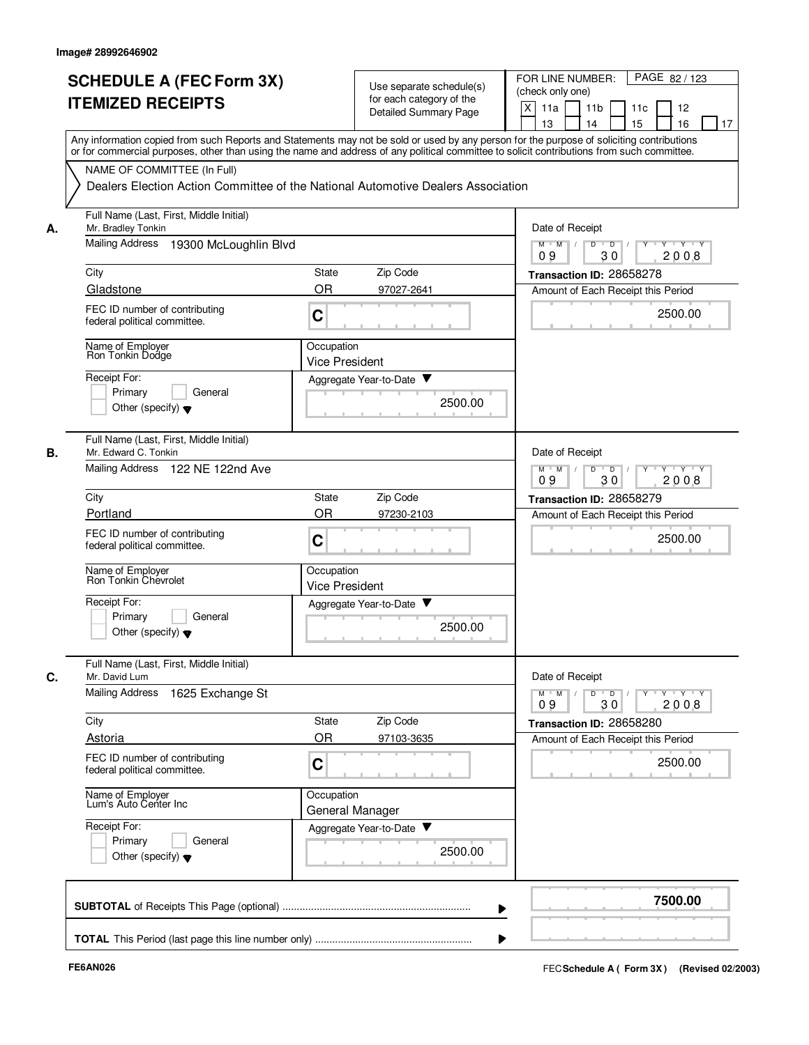|    | <b>SCHEDULE A (FEC Form 3X)</b><br><b>ITEMIZED RECEIPTS</b>                                                                                                                                                                                                                             | Use separate schedule(s)<br>for each category of the<br><b>Detailed Summary Page</b> | PAGE 82 / 123<br>FOR LINE NUMBER:<br>(check only one)<br>X<br>11a<br>11 <sub>b</sub><br>11c<br>12<br>15<br>13<br>14<br>16<br>17 |
|----|-----------------------------------------------------------------------------------------------------------------------------------------------------------------------------------------------------------------------------------------------------------------------------------------|--------------------------------------------------------------------------------------|---------------------------------------------------------------------------------------------------------------------------------|
|    | Any information copied from such Reports and Statements may not be sold or used by any person for the purpose of soliciting contributions<br>or for commercial purposes, other than using the name and address of any political committee to solicit contributions from such committee. |                                                                                      |                                                                                                                                 |
|    | NAME OF COMMITTEE (In Full)                                                                                                                                                                                                                                                             | Dealers Election Action Committee of the National Automotive Dealers Association     |                                                                                                                                 |
| А. | Full Name (Last, First, Middle Initial)<br>Mr. Bradley Tonkin                                                                                                                                                                                                                           | Date of Receipt                                                                      |                                                                                                                                 |
|    | <b>Mailing Address</b><br>19300 McLoughlin Blvd                                                                                                                                                                                                                                         |                                                                                      | $M$ $M$ /<br>D<br>$\overline{D}$ /<br>Y<br>Y Y Y Y<br>30<br>09<br>2008                                                          |
|    | City                                                                                                                                                                                                                                                                                    | Zip Code<br>State                                                                    | Transaction ID: 28658278                                                                                                        |
|    | Gladstone                                                                                                                                                                                                                                                                               | <b>OR</b><br>97027-2641                                                              | Amount of Each Receipt this Period                                                                                              |
|    | FEC ID number of contributing<br>federal political committee.                                                                                                                                                                                                                           | C                                                                                    | 2500.00                                                                                                                         |
|    | Name of Employer<br>Ron Tonkin Dodge                                                                                                                                                                                                                                                    | Occupation<br><b>Vice President</b>                                                  |                                                                                                                                 |
|    | Receipt For:                                                                                                                                                                                                                                                                            | Aggregate Year-to-Date                                                               |                                                                                                                                 |
|    | Primary<br>General<br>Other (specify) $\blacktriangledown$                                                                                                                                                                                                                              | 2500.00                                                                              |                                                                                                                                 |
| В. | Full Name (Last, First, Middle Initial)<br>Mr. Edward C. Tonkin                                                                                                                                                                                                                         |                                                                                      | Date of Receipt                                                                                                                 |
|    | Mailing Address 122 NE 122nd Ave                                                                                                                                                                                                                                                        | $Y - Y - Y$<br>$M$ M<br>D<br>$\overline{D}$<br>30<br>2008<br>09                      |                                                                                                                                 |
|    | City                                                                                                                                                                                                                                                                                    | Zip Code<br>State                                                                    | Transaction ID: 28658279                                                                                                        |
|    | Portland                                                                                                                                                                                                                                                                                | <b>OR</b><br>97230-2103                                                              | Amount of Each Receipt this Period                                                                                              |
|    | FEC ID number of contributing<br>federal political committee.                                                                                                                                                                                                                           | C                                                                                    | 2500.00                                                                                                                         |
|    | Name of Employer<br>Ron Tonkin Chevrolet                                                                                                                                                                                                                                                | Occupation<br><b>Vice President</b>                                                  |                                                                                                                                 |
|    | Receipt For:                                                                                                                                                                                                                                                                            | v<br>Aggregate Year-to-Date                                                          |                                                                                                                                 |
|    | Primary<br>General<br>Other (specify) $\blacktriangledown$                                                                                                                                                                                                                              | 2500.00                                                                              |                                                                                                                                 |
| C. | Full Name (Last, First, Middle Initial)<br>Mr. David Lum                                                                                                                                                                                                                                |                                                                                      | Date of Receipt                                                                                                                 |
|    | Mailing Address<br>1625 Exchange St                                                                                                                                                                                                                                                     |                                                                                      | $Y - Y - Y - Y$<br>$M$ $M$<br>D<br>$\overline{D}$<br>Y<br>2008<br>09<br>30                                                      |
|    | City                                                                                                                                                                                                                                                                                    | Zip Code<br>State                                                                    | Transaction ID: 28658280                                                                                                        |
|    | Astoria                                                                                                                                                                                                                                                                                 | OR<br>97103-3635                                                                     | Amount of Each Receipt this Period                                                                                              |
|    | FEC ID number of contributing<br>federal political committee.                                                                                                                                                                                                                           | C                                                                                    | 2500.00                                                                                                                         |
|    | Name of Employer<br>Lum's Auto Center Inc                                                                                                                                                                                                                                               | Occupation<br>General Manager                                                        |                                                                                                                                 |
|    | Receipt For:<br>Primary<br>General                                                                                                                                                                                                                                                      | Aggregate Year-to-Date                                                               |                                                                                                                                 |
|    | Other (specify) $\blacktriangledown$                                                                                                                                                                                                                                                    | 2500.00                                                                              |                                                                                                                                 |
|    |                                                                                                                                                                                                                                                                                         |                                                                                      | 7500.00                                                                                                                         |
|    |                                                                                                                                                                                                                                                                                         |                                                                                      |                                                                                                                                 |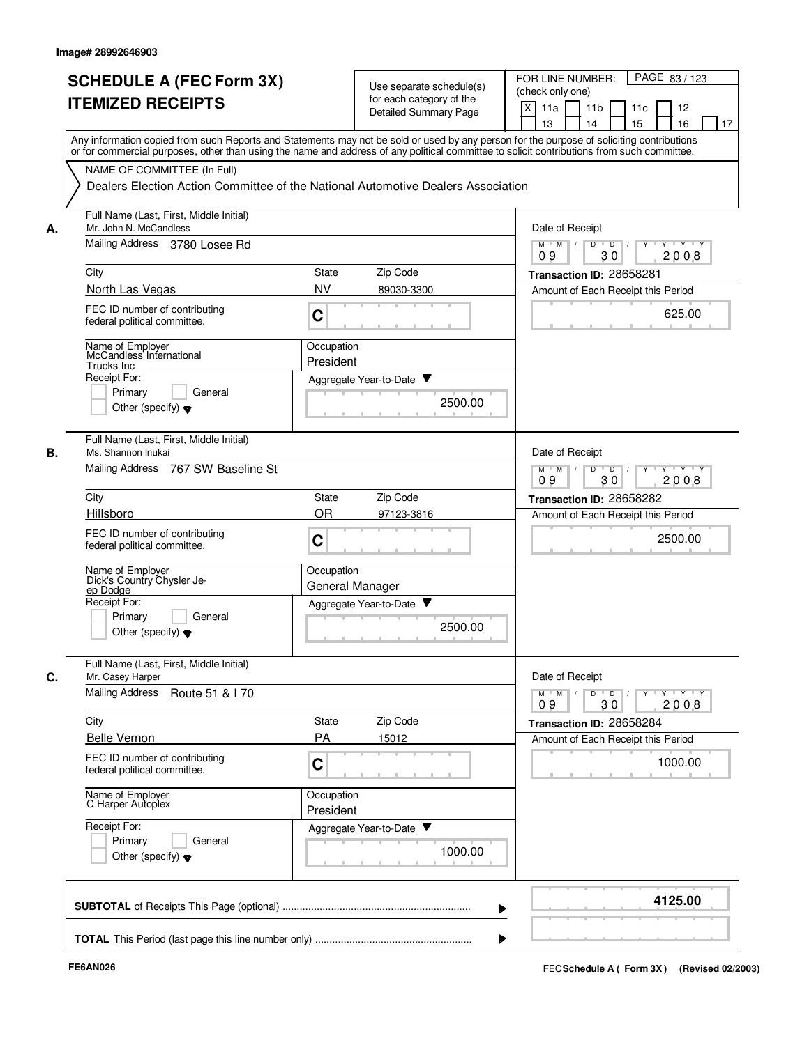| <b>SCHEDULE A (FEC Form 3X)</b><br><b>ITEMIZED RECEIPTS</b>             | Use separate schedule(s)<br>for each category of the<br><b>Detailed Summary Page</b>                                                                                                                                                                                                    | FOR LINE NUMBER:<br>PAGE 83/123<br>(check only one)<br>X<br>11a<br>11 <sub>b</sub><br>11c<br>12       |
|-------------------------------------------------------------------------|-----------------------------------------------------------------------------------------------------------------------------------------------------------------------------------------------------------------------------------------------------------------------------------------|-------------------------------------------------------------------------------------------------------|
|                                                                         |                                                                                                                                                                                                                                                                                         |                                                                                                       |
|                                                                         |                                                                                                                                                                                                                                                                                         |                                                                                                       |
|                                                                         |                                                                                                                                                                                                                                                                                         |                                                                                                       |
|                                                                         |                                                                                                                                                                                                                                                                                         | 13<br>15<br>16<br>14<br>17                                                                            |
|                                                                         | Any information copied from such Reports and Statements may not be sold or used by any person for the purpose of soliciting contributions<br>or for commercial purposes, other than using the name and address of any political committee to solicit contributions from such committee. |                                                                                                       |
| NAME OF COMMITTEE (In Full)                                             |                                                                                                                                                                                                                                                                                         |                                                                                                       |
|                                                                         | Dealers Election Action Committee of the National Automotive Dealers Association                                                                                                                                                                                                        |                                                                                                       |
|                                                                         |                                                                                                                                                                                                                                                                                         |                                                                                                       |
| Full Name (Last, First, Middle Initial)<br>Mr. John N. McCandless<br>А. |                                                                                                                                                                                                                                                                                         | Date of Receipt                                                                                       |
| Mailing Address 3780 Losee Rd                                           |                                                                                                                                                                                                                                                                                         | $M$ M<br>$\overline{Y}$ $\overline{Y}$ $\overline{Y}$<br>$\overline{D}$<br>Y<br>D<br>30<br>2008<br>09 |
| City                                                                    | State<br>Zip Code                                                                                                                                                                                                                                                                       | Transaction ID: 28658281                                                                              |
| North Las Vegas                                                         | <b>NV</b><br>89030-3300                                                                                                                                                                                                                                                                 | Amount of Each Receipt this Period                                                                    |
| FEC ID number of contributing<br>federal political committee.           | C                                                                                                                                                                                                                                                                                       | 625.00                                                                                                |
|                                                                         |                                                                                                                                                                                                                                                                                         |                                                                                                       |
| Name of Employer<br>McCandless International                            | Occupation<br>President                                                                                                                                                                                                                                                                 |                                                                                                       |
| Trucks Inc<br>Receipt For:                                              |                                                                                                                                                                                                                                                                                         |                                                                                                       |
| Primary<br>General                                                      | Aggregate Year-to-Date ▼                                                                                                                                                                                                                                                                |                                                                                                       |
| Other (specify) $\blacktriangledown$                                    | 2500.00                                                                                                                                                                                                                                                                                 |                                                                                                       |
| Full Name (Last, First, Middle Initial)<br>В.<br>Ms. Shannon Inukai     |                                                                                                                                                                                                                                                                                         | Date of Receipt                                                                                       |
| <b>Mailing Address</b><br>767 SW Baseline St                            |                                                                                                                                                                                                                                                                                         | $M$ M<br>D<br>$\overline{D}$<br>$Y+Y$<br>2008<br>09<br>30                                             |
| City                                                                    | Zip Code<br>State                                                                                                                                                                                                                                                                       | Transaction ID: 28658282                                                                              |
| Hillsboro                                                               | OR<br>97123-3816                                                                                                                                                                                                                                                                        | Amount of Each Receipt this Period                                                                    |
| FEC ID number of contributing<br>federal political committee.           | C                                                                                                                                                                                                                                                                                       | 2500.00                                                                                               |
| Name of Employer<br>Dick's Country Chysler Je-<br>ep Dodge              | Occupation<br>General Manager                                                                                                                                                                                                                                                           |                                                                                                       |
| Receipt For:                                                            | Aggregate Year-to-Date                                                                                                                                                                                                                                                                  |                                                                                                       |
| Primary<br>General                                                      |                                                                                                                                                                                                                                                                                         |                                                                                                       |
| Other (specify) $\blacktriangledown$                                    | 2500.00                                                                                                                                                                                                                                                                                 |                                                                                                       |
| Full Name (Last, First, Middle Initial)<br>C.<br>Mr. Casey Harper       |                                                                                                                                                                                                                                                                                         | Date of Receipt                                                                                       |
| <b>Mailing Address</b><br>Route 51 & 170                                |                                                                                                                                                                                                                                                                                         | $Y$ $Y$ $Y$<br>$D$ $D$ $I$<br>$M$ $M$<br>$Y$ <sup>-1</sup><br>09<br>30<br>2008                        |
| City                                                                    | Zip Code<br>State                                                                                                                                                                                                                                                                       | Transaction ID: 28658284                                                                              |
| <b>Belle Vernon</b>                                                     | <b>PA</b><br>15012                                                                                                                                                                                                                                                                      | Amount of Each Receipt this Period                                                                    |
| FEC ID number of contributing<br>federal political committee.           | C                                                                                                                                                                                                                                                                                       | 1000.00                                                                                               |
| Name of Employer<br>C Harper Autoplex                                   | Occupation<br>President                                                                                                                                                                                                                                                                 |                                                                                                       |
| Receipt For:                                                            | Aggregate Year-to-Date                                                                                                                                                                                                                                                                  |                                                                                                       |
| Primary<br>General                                                      |                                                                                                                                                                                                                                                                                         |                                                                                                       |
| Other (specify) $\blacktriangledown$                                    | 1000.00                                                                                                                                                                                                                                                                                 |                                                                                                       |
|                                                                         |                                                                                                                                                                                                                                                                                         | 4125.00                                                                                               |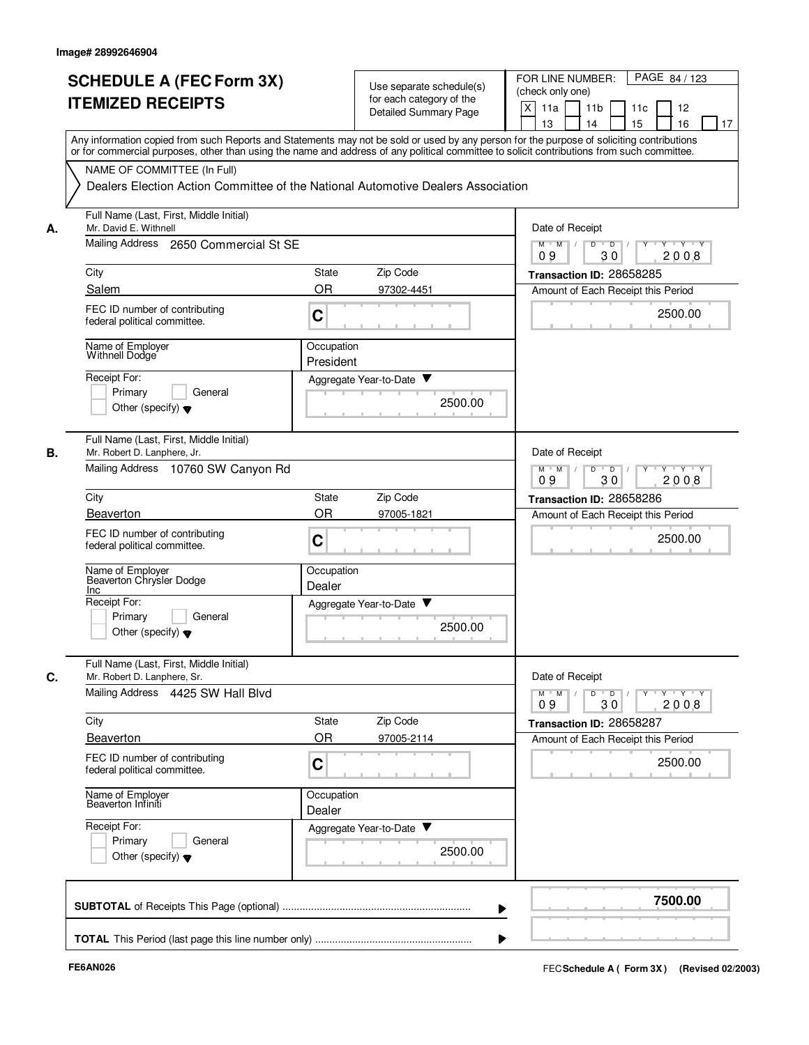|    | <b>SCHEDULE A (FEC Form 3X)</b>                                                                                                                                                                                                                                                         | Use separate schedule(s) |                             | PAGE 84 / 123<br>FOR LINE NUMBER:<br>(check only one) |                                                                                |
|----|-----------------------------------------------------------------------------------------------------------------------------------------------------------------------------------------------------------------------------------------------------------------------------------------|--------------------------|-----------------------------|-------------------------------------------------------|--------------------------------------------------------------------------------|
|    | <b>ITEMIZED RECEIPTS</b>                                                                                                                                                                                                                                                                | for each category of the |                             | X<br>11a<br>11 <sub>b</sub><br>11c<br>12              |                                                                                |
|    |                                                                                                                                                                                                                                                                                         | Detailed Summary Page    |                             | 15<br>13<br>14<br>16<br>17                            |                                                                                |
|    | Any information copied from such Reports and Statements may not be sold or used by any person for the purpose of soliciting contributions<br>or for commercial purposes, other than using the name and address of any political committee to solicit contributions from such committee. |                          |                             |                                                       |                                                                                |
|    | NAME OF COMMITTEE (In Full)                                                                                                                                                                                                                                                             |                          |                             |                                                       |                                                                                |
|    | Dealers Election Action Committee of the National Automotive Dealers Association                                                                                                                                                                                                        |                          |                             |                                                       |                                                                                |
| А. | Full Name (Last, First, Middle Initial)<br>Mr. David E. Withnell                                                                                                                                                                                                                        |                          |                             |                                                       | Date of Receipt                                                                |
|    | Mailing Address 2650 Commercial St SE                                                                                                                                                                                                                                                   |                          |                             |                                                       | $M$ $M$ /<br>D<br>$\overline{D}$<br>$+Y+Y$<br>2008<br>09<br>30                 |
|    | City                                                                                                                                                                                                                                                                                    | <b>State</b>             | Zip Code                    |                                                       | Transaction ID: 28658285                                                       |
|    | Salem                                                                                                                                                                                                                                                                                   | <b>OR</b>                | 97302-4451                  |                                                       | Amount of Each Receipt this Period                                             |
|    | FEC ID number of contributing<br>federal political committee.                                                                                                                                                                                                                           | C                        |                             |                                                       | 2500.00                                                                        |
|    | Name of Employer<br>Withnell Dodge                                                                                                                                                                                                                                                      | Occupation<br>President  |                             |                                                       |                                                                                |
|    | Receipt For:                                                                                                                                                                                                                                                                            |                          | Aggregate Year-to-Date ▼    |                                                       |                                                                                |
|    | Primary<br>General                                                                                                                                                                                                                                                                      |                          |                             |                                                       |                                                                                |
|    | Other (specify) $\blacktriangledown$                                                                                                                                                                                                                                                    |                          |                             | 2500.00                                               |                                                                                |
| В. | Full Name (Last, First, Middle Initial)<br>Mr. Robert D. Lanphere, Jr.                                                                                                                                                                                                                  |                          |                             |                                                       | Date of Receipt                                                                |
|    | Mailing Address 10760 SW Canyon Rd                                                                                                                                                                                                                                                      |                          |                             |                                                       | $Y \vdash Y \vdash Y$<br>$M$ M<br>D<br>$\overline{D}$<br>Y<br>09<br>30<br>2008 |
|    | City                                                                                                                                                                                                                                                                                    | State                    | Zip Code                    |                                                       | Transaction ID: 28658286                                                       |
|    | <b>Beaverton</b>                                                                                                                                                                                                                                                                        | <b>OR</b>                | 97005-1821                  |                                                       | Amount of Each Receipt this Period                                             |
|    | FEC ID number of contributing<br>federal political committee.                                                                                                                                                                                                                           | C                        |                             |                                                       | 2500.00                                                                        |
|    | Name of Employer<br>Beaverton Chrysler Dodge<br>Inc                                                                                                                                                                                                                                     | Occupation<br>Dealer     |                             |                                                       |                                                                                |
|    | Receipt For:                                                                                                                                                                                                                                                                            |                          | v<br>Aggregate Year-to-Date |                                                       |                                                                                |
|    | Primary<br>General<br>Other (specify) $\blacktriangledown$                                                                                                                                                                                                                              |                          |                             | 2500.00                                               |                                                                                |
| C. | Full Name (Last, First, Middle Initial)<br>Mr. Robert D. Lanphere, Sr.                                                                                                                                                                                                                  |                          |                             |                                                       | Date of Receipt                                                                |
|    | Mailing Address 4425 SW Hall Blvd                                                                                                                                                                                                                                                       |                          |                             |                                                       | y y y y y<br>$M$ $M$ /<br>$D$ $D$<br>2008<br>09<br>30                          |
|    | City                                                                                                                                                                                                                                                                                    | State                    | Zip Code                    |                                                       | Transaction ID: 28658287                                                       |
|    | Beaverton                                                                                                                                                                                                                                                                               | <b>OR</b>                | 97005-2114                  |                                                       | Amount of Each Receipt this Period                                             |
|    | FEC ID number of contributing<br>federal political committee.                                                                                                                                                                                                                           | C                        |                             |                                                       | 2500.00                                                                        |
|    | Name of Employer<br>Beaverton Infiniti                                                                                                                                                                                                                                                  | Occupation<br>Dealer     |                             |                                                       |                                                                                |
|    | Receipt For:                                                                                                                                                                                                                                                                            |                          | Aggregate Year-to-Date      |                                                       |                                                                                |
|    | General<br>Primary<br>Other (specify) $\blacktriangledown$                                                                                                                                                                                                                              |                          |                             | 2500.00                                               |                                                                                |
|    |                                                                                                                                                                                                                                                                                         |                          |                             |                                                       | 7500.00                                                                        |
|    |                                                                                                                                                                                                                                                                                         |                          |                             |                                                       |                                                                                |
|    |                                                                                                                                                                                                                                                                                         |                          |                             |                                                       |                                                                                |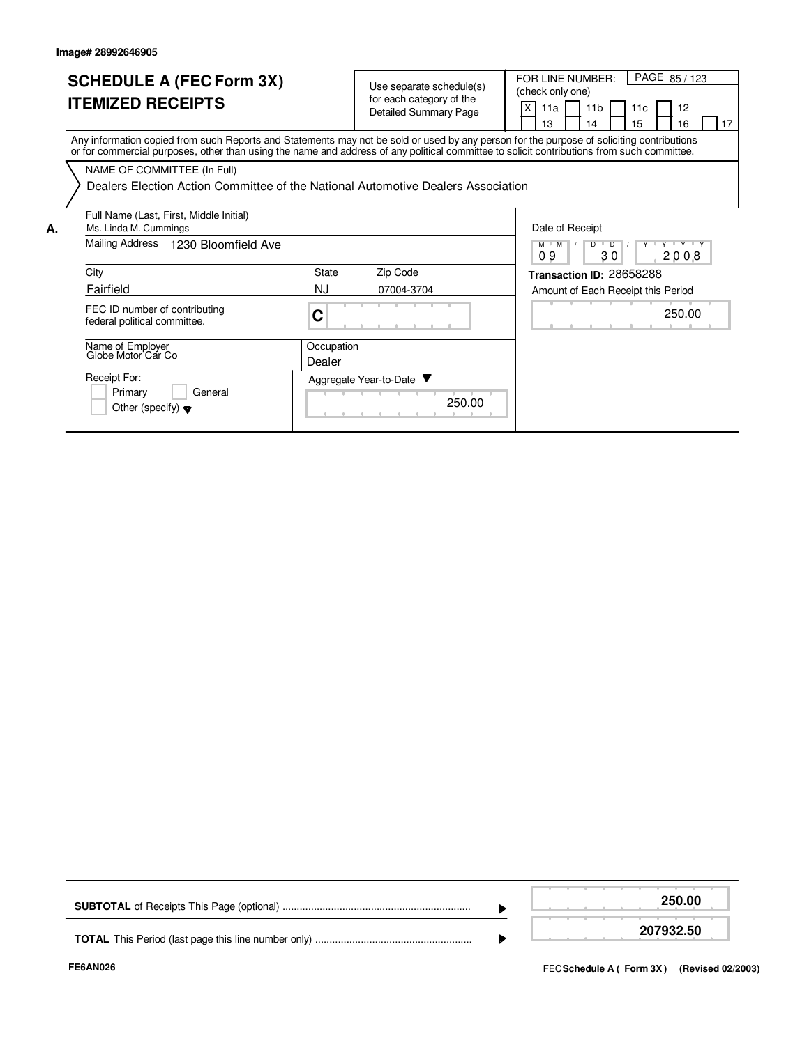| <b>SCHEDULE A (FEC Form 3X)</b><br><b>ITEMIZED RECEIPTS</b>                                                                                                                     | Use separate schedul<br>for each category of th<br><b>Detailed Summary Pa</b> |
|---------------------------------------------------------------------------------------------------------------------------------------------------------------------------------|-------------------------------------------------------------------------------|
| Any information copied from such Reports and Statements may not be sold or used by a<br>or for commercial purposes, other than using the name and address of any political com- |                                                                               |

| <b>SCHEDULE A (FEC Form 3X)</b><br><b>TEMIZED RECEIPTS</b>                                                                                                                                                                                                                              | Use separate schedule(s)<br>for each category of the<br><b>Detailed Summary Page</b> | PAGE 85/123<br>FOR LINE NUMBER:<br>(check only one)<br>X<br>-11a I<br>11b<br>11c<br>16<br>15<br>13<br>14 |
|-----------------------------------------------------------------------------------------------------------------------------------------------------------------------------------------------------------------------------------------------------------------------------------------|--------------------------------------------------------------------------------------|----------------------------------------------------------------------------------------------------------|
| Any information copied from such Reports and Statements may not be sold or used by any person for the purpose of soliciting contributions<br>or for commercial purposes, other than using the name and address of any political committee to solicit contributions from such committee. |                                                                                      |                                                                                                          |
| NAME OF COMMITTEE (In Full)                                                                                                                                                                                                                                                             |                                                                                      |                                                                                                          |
| Dealers Election Action Committee of the National Automotive Dealers Association                                                                                                                                                                                                        |                                                                                      |                                                                                                          |
| Full Name (Last, First, Middle Initial)                                                                                                                                                                                                                                                 |                                                                                      |                                                                                                          |

**A.**

| Full Name (Last, First, Middle Initial)<br>Ms. Linda M. Cummings           |                                  | Date of Receipt                                                   |
|----------------------------------------------------------------------------|----------------------------------|-------------------------------------------------------------------|
| <b>Mailing Address</b><br>1230 Bloomfield Ave                              |                                  | Y Y Y Y<br>M<br>M<br>$\overline{D}$<br>Y<br>D<br>2008<br>09<br>30 |
| City                                                                       | Zip Code<br>State                | Transaction ID: 28658288                                          |
| Fairfield                                                                  | NJ<br>07004-3704                 | Amount of Each Receipt this Period                                |
| FEC ID number of contributing<br>federal political committee.              | C                                | 250.00                                                            |
| Name of Employer<br>Globe Motor Car Co                                     | Occupation<br>Dealer             |                                                                   |
| Receipt For:<br>Primary<br>General<br>Other (specify) $\blacktriangledown$ | Aggregate Year-to-Date<br>250.00 |                                                                   |

|  | 250.00    |
|--|-----------|
|  | 207932.50 |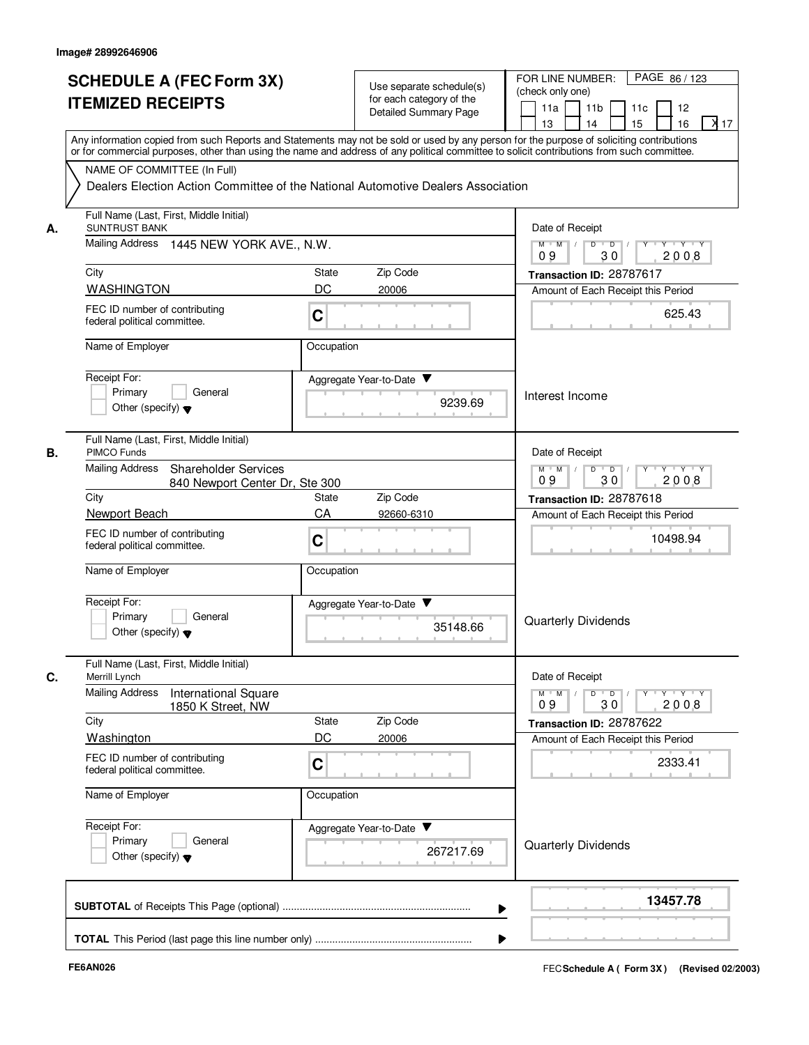|    | <b>SCHEDULE A (FEC Form 3X)</b>                                                                                                            |            | Use separate schedule(s)     | PAGE 86 / 123<br>FOR LINE NUMBER:                                                                           |
|----|--------------------------------------------------------------------------------------------------------------------------------------------|------------|------------------------------|-------------------------------------------------------------------------------------------------------------|
|    | <b>ITEMIZED RECEIPTS</b>                                                                                                                   |            | for each category of the     | (check only one)                                                                                            |
|    |                                                                                                                                            |            | <b>Detailed Summary Page</b> | 11a<br>11 <sub>b</sub><br>11c<br>12<br>X <sub>17</sub><br>15<br>13<br>14<br>16                              |
|    | Any information copied from such Reports and Statements may not be sold or used by any person for the purpose of soliciting contributions  |            |                              |                                                                                                             |
|    | or for commercial purposes, other than using the name and address of any political committee to solicit contributions from such committee. |            |                              |                                                                                                             |
|    | NAME OF COMMITTEE (In Full)                                                                                                                |            |                              |                                                                                                             |
|    | Dealers Election Action Committee of the National Automotive Dealers Association                                                           |            |                              |                                                                                                             |
| А. | Full Name (Last, First, Middle Initial)<br><b>SUNTRUST BANK</b>                                                                            |            |                              | Date of Receipt                                                                                             |
|    | Mailing Address 1445 NEW YORK AVE., N.W.                                                                                                   |            |                              | $M$ $M$ /<br>D<br>$\overline{D}$ /<br>$Y - Y - Y$<br>2008<br>09<br>30                                       |
|    | City                                                                                                                                       | State      | Zip Code                     | Transaction ID: 28787617                                                                                    |
|    | <b>WASHINGTON</b>                                                                                                                          | DC         | 20006                        | Amount of Each Receipt this Period                                                                          |
|    | FEC ID number of contributing<br>federal political committee.                                                                              | C          |                              | 625.43                                                                                                      |
|    | Name of Employer                                                                                                                           | Occupation |                              |                                                                                                             |
|    | Receipt For:                                                                                                                               |            | Aggregate Year-to-Date ▼     |                                                                                                             |
|    | Primary<br>General                                                                                                                         |            | 9239.69                      | Interest Income                                                                                             |
|    | Other (specify) $\blacktriangledown$                                                                                                       |            |                              |                                                                                                             |
| В. | Full Name (Last, First, Middle Initial)<br>PIMCO Funds                                                                                     |            |                              | Date of Receipt                                                                                             |
|    | <b>Mailing Address</b><br><b>Shareholder Services</b><br>840 Newport Center Dr, Ste 300                                                    |            |                              | $\mathsf{Y} \dashv \mathsf{Y} \dashv \mathsf{Y}$<br>D<br>$M$ $M$<br>$\overline{D}$<br>Y<br>30<br>2008<br>09 |
|    | City                                                                                                                                       | State      | Zip Code                     | Transaction ID: 28787618                                                                                    |
|    | Newport Beach                                                                                                                              | CA         | 92660-6310                   | Amount of Each Receipt this Period                                                                          |
|    | FEC ID number of contributing<br>federal political committee.                                                                              | C          |                              | 10498.94                                                                                                    |
|    | Name of Employer                                                                                                                           | Occupation |                              |                                                                                                             |
|    | Receipt For:                                                                                                                               |            | Aggregate Year-to-Date       |                                                                                                             |
|    | Primary<br>General                                                                                                                         |            |                              | Quarterly Dividends                                                                                         |
|    | Other (specify) $\blacktriangledown$                                                                                                       |            | 35148.66                     |                                                                                                             |
| C. | Full Name (Last, First, Middle Initial)<br>Merrill Lynch                                                                                   |            |                              | Date of Receipt                                                                                             |
|    | <b>Mailing Address</b><br><b>International Square</b>                                                                                      |            |                              | $M$ $M$ /<br>Y 'Y 'Y<br>D<br>$\overline{D}$<br>Y<br>2008<br>09<br>30                                        |
|    | 1850 K Street, NW<br>City                                                                                                                  | State      | Zip Code                     | Transaction ID: 28787622                                                                                    |
|    | Washington                                                                                                                                 | DC         | 20006                        | Amount of Each Receipt this Period                                                                          |
|    | FEC ID number of contributing                                                                                                              |            |                              |                                                                                                             |
|    | federal political committee.                                                                                                               | C          |                              | 2333.41                                                                                                     |
|    | Name of Employer                                                                                                                           | Occupation |                              |                                                                                                             |
|    | Receipt For:                                                                                                                               |            | Aggregate Year-to-Date       |                                                                                                             |
|    | Primary<br>General<br>Other (specify) $\blacktriangledown$                                                                                 |            | 267217.69                    | Quarterly Dividends                                                                                         |
|    |                                                                                                                                            |            |                              | 13457.78                                                                                                    |
|    |                                                                                                                                            |            |                              |                                                                                                             |
|    |                                                                                                                                            |            |                              |                                                                                                             |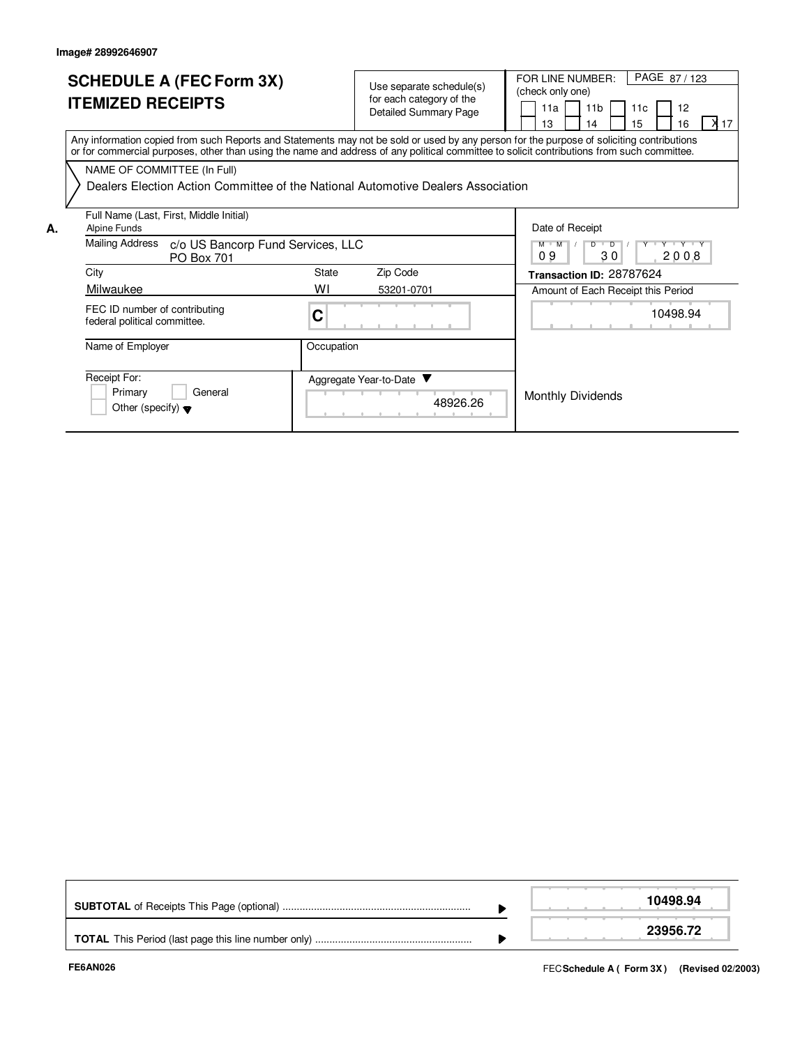|    | <b>SCHEDULE A (FEC Form 3X)</b><br><b>ITEMIZED RECEIPTS</b>                                                                                                                                                                                                                             |              | Use separate schedule(s)<br>for each category of the<br><b>Detailed Summary Page</b> | PAGE 87/123<br>FOR LINE NUMBER:<br>(check only one)<br>11 <sub>b</sub><br>11a<br>11c<br>12<br>X 17<br>15<br>16<br>13<br>14 |
|----|-----------------------------------------------------------------------------------------------------------------------------------------------------------------------------------------------------------------------------------------------------------------------------------------|--------------|--------------------------------------------------------------------------------------|----------------------------------------------------------------------------------------------------------------------------|
|    | Any information copied from such Reports and Statements may not be sold or used by any person for the purpose of soliciting contributions<br>or for commercial purposes, other than using the name and address of any political committee to solicit contributions from such committee. |              |                                                                                      |                                                                                                                            |
|    | NAME OF COMMITTEE (In Full)                                                                                                                                                                                                                                                             |              |                                                                                      |                                                                                                                            |
|    | Dealers Election Action Committee of the National Automotive Dealers Association                                                                                                                                                                                                        |              |                                                                                      |                                                                                                                            |
| А. | Full Name (Last, First, Middle Initial)<br><b>Alpine Funds</b>                                                                                                                                                                                                                          |              |                                                                                      | Date of Receipt                                                                                                            |
|    | Mailing Address<br>c/o US Bancorp Fund Services, LLC<br><b>PO Box 701</b>                                                                                                                                                                                                               |              |                                                                                      | Y Y Y Y Y<br>$M$ $M$<br>$\overline{D}$<br>D<br>30<br>09<br>2008                                                            |
|    | City                                                                                                                                                                                                                                                                                    | <b>State</b> | Zip Code                                                                             | Transaction ID: 28787624                                                                                                   |
|    | Milwaukee                                                                                                                                                                                                                                                                               | WI           | 53201-0701                                                                           | Amount of Each Receipt this Period                                                                                         |
|    | FEC ID number of contributing<br>federal political committee.                                                                                                                                                                                                                           | C            |                                                                                      | 10498.94                                                                                                                   |
|    | Name of Employer                                                                                                                                                                                                                                                                        | Occupation   |                                                                                      |                                                                                                                            |
|    | Receipt For:<br>Primary<br>General<br>Other (specify) $\blacktriangledown$                                                                                                                                                                                                              |              | Aggregate Year-to-Date<br>48926.26                                                   | <b>Monthly Dividends</b>                                                                                                   |

|  | 10498.94 |
|--|----------|
|  | 23956.72 |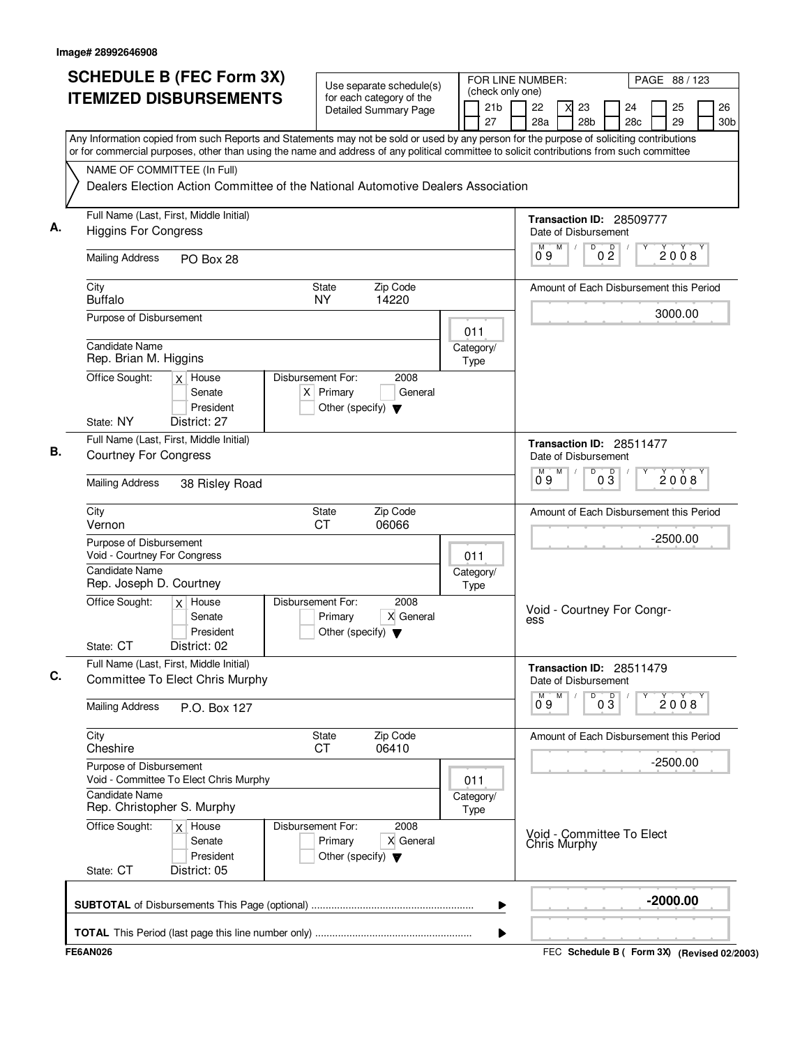|                             | <b>ITEMIZED DISBURSEMENTS</b>                                                                                   | for each category of the                                                                  |                       | (check only one)                                                                                                                                                                                                                                                                       |
|-----------------------------|-----------------------------------------------------------------------------------------------------------------|-------------------------------------------------------------------------------------------|-----------------------|----------------------------------------------------------------------------------------------------------------------------------------------------------------------------------------------------------------------------------------------------------------------------------------|
|                             |                                                                                                                 | <b>Detailed Summary Page</b>                                                              | 21 <sub>b</sub><br>27 | 22<br>26<br>23<br>24<br>25<br>28a<br>28 <sub>b</sub><br>28 <sub>c</sub><br>29<br>30 <sub>b</sub>                                                                                                                                                                                       |
|                             |                                                                                                                 |                                                                                           |                       | Any Information copied from such Reports and Statements may not be sold or used by any person for the purpose of soliciting contributions<br>or for commercial purposes, other than using the name and address of any political committee to solicit contributions from such committee |
|                             | NAME OF COMMITTEE (In Full)<br>Dealers Election Action Committee of the National Automotive Dealers Association |                                                                                           |                       |                                                                                                                                                                                                                                                                                        |
|                             | Full Name (Last, First, Middle Initial)<br><b>Higgins For Congress</b>                                          |                                                                                           |                       | Transaction ID: 28509777<br>Date of Disbursement                                                                                                                                                                                                                                       |
|                             | <b>Mailing Address</b><br>PO Box 28                                                                             |                                                                                           |                       | M<br>D<br>0 <sup>0</sup><br>2008<br>09                                                                                                                                                                                                                                                 |
| City<br><b>Buffalo</b>      |                                                                                                                 | Zip Code<br><b>State</b><br>14220<br><b>NY</b>                                            |                       | Amount of Each Disbursement this Period                                                                                                                                                                                                                                                |
|                             | Purpose of Disbursement<br><b>Candidate Name</b>                                                                |                                                                                           | 011                   | 3000.00                                                                                                                                                                                                                                                                                |
| Office Sought:              | Rep. Brian M. Higgins<br>$x$ House                                                                              | Disbursement For:<br>2008                                                                 | Category/<br>Type     |                                                                                                                                                                                                                                                                                        |
|                             | Senate<br>President                                                                                             | $X$ Primary<br>General<br>Other (specify) $\blacktriangledown$                            |                       |                                                                                                                                                                                                                                                                                        |
| State: NY                   | District: 27<br>Full Name (Last, First, Middle Initial)                                                         |                                                                                           |                       | Transaction ID: 28511477                                                                                                                                                                                                                                                               |
|                             | <b>Courtney For Congress</b>                                                                                    |                                                                                           |                       | Date of Disbursement<br>$0\overline{3}$<br>M<br>D<br>м<br>2008<br>ő 9                                                                                                                                                                                                                  |
|                             | <b>Mailing Address</b><br>38 Risley Road                                                                        |                                                                                           |                       |                                                                                                                                                                                                                                                                                        |
| City<br>Vernon              |                                                                                                                 | Zip Code<br><b>State</b><br><b>CT</b><br>06066                                            |                       | Amount of Each Disbursement this Period                                                                                                                                                                                                                                                |
|                             | Purpose of Disbursement<br>Void - Courtney For Congress                                                         |                                                                                           | 011                   | $-2500.00$                                                                                                                                                                                                                                                                             |
|                             | Candidate Name<br>Rep. Joseph D. Courtney                                                                       |                                                                                           | Category/<br>Type     |                                                                                                                                                                                                                                                                                        |
| Office Sought:<br>State: CT | $x$ House<br>Senate<br>President<br>District: 02                                                                | Disbursement For:<br>2008<br>X General<br>Primary<br>Other (specify) $\blacktriangledown$ |                       | Void - Courtney For Congr-<br>ess                                                                                                                                                                                                                                                      |
|                             | Full Name (Last, First, Middle Initial)<br>Committee To Elect Chris Murphy                                      |                                                                                           |                       | Transaction ID: 28511479<br>Date of Disbursement                                                                                                                                                                                                                                       |
|                             | <b>Mailing Address</b><br>P.O. Box 127                                                                          |                                                                                           |                       | м<br>M<br>D<br>$0\overline{3}$<br>2008<br>09                                                                                                                                                                                                                                           |
| City<br>Cheshire            |                                                                                                                 | Zip Code<br><b>State</b><br>06410<br>CT.                                                  |                       | Amount of Each Disbursement this Period                                                                                                                                                                                                                                                |
|                             | Purpose of Disbursement<br>Void - Committee To Elect Chris Murphy                                               |                                                                                           | 011                   | $-2500.00$                                                                                                                                                                                                                                                                             |
|                             | Candidate Name<br>Rep. Christopher S. Murphy                                                                    | Category/<br>Type                                                                         |                       |                                                                                                                                                                                                                                                                                        |
| Office Sought:<br>State: CT | $x$ House<br>Senate<br>President<br>District: 05                                                                | Disbursement For:<br>2008<br>X General<br>Primary<br>Other (specify) $\blacktriangledown$ |                       | Void - Committee To Elect<br><b>Chris Murphy</b>                                                                                                                                                                                                                                       |
|                             |                                                                                                                 |                                                                                           |                       | $-2000.00$<br>▶                                                                                                                                                                                                                                                                        |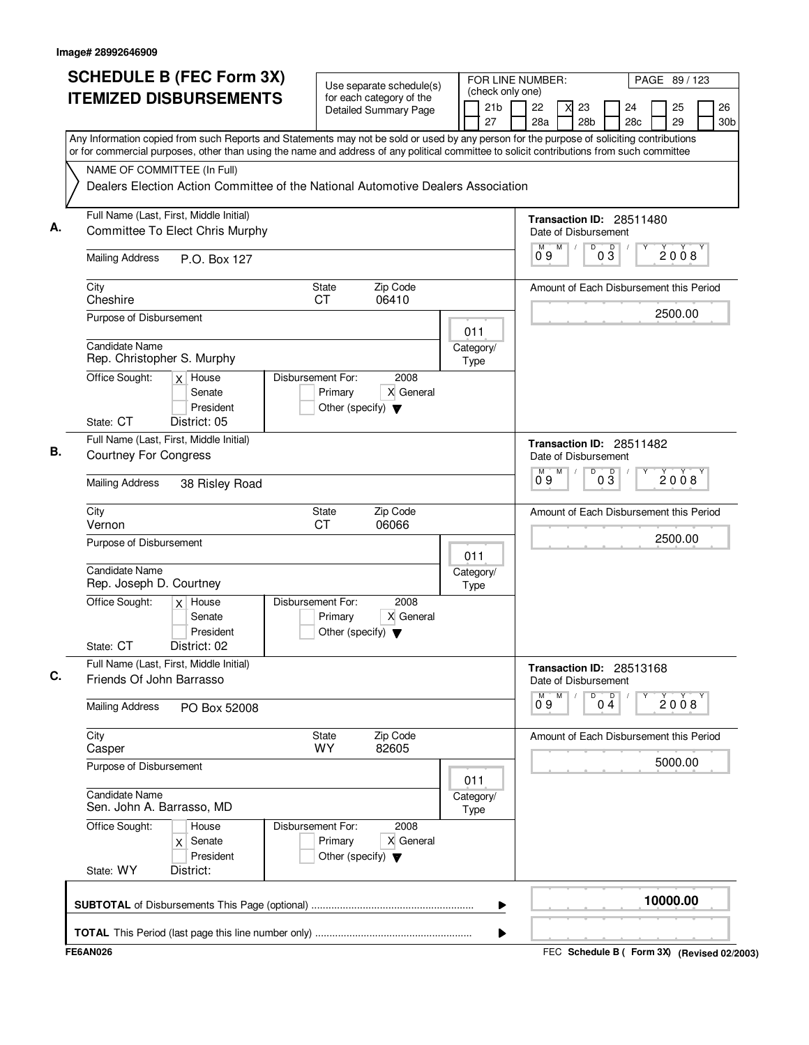| <b>SCHEDULE B (FEC Form 3X)</b>                                                                                                                                                                                                                                                                                       |                                  | Use separate schedule(s)                        |                                                          |  |  |                       |                                             | FOR LINE NUMBER:<br>PAGE 89 / 123<br>(check only one) |                                                                                     |                           |                    |                          |                                             |  |                       |  |  |  |
|-----------------------------------------------------------------------------------------------------------------------------------------------------------------------------------------------------------------------------------------------------------------------------------------------------------------------|----------------------------------|-------------------------------------------------|----------------------------------------------------------|--|--|-----------------------|---------------------------------------------|-------------------------------------------------------|-------------------------------------------------------------------------------------|---------------------------|--------------------|--------------------------|---------------------------------------------|--|-----------------------|--|--|--|
| <b>ITEMIZED DISBURSEMENTS</b>                                                                                                                                                                                                                                                                                         |                                  |                                                 | for each category of the<br><b>Detailed Summary Page</b> |  |  | 21 <sub>b</sub><br>27 |                                             | 22<br>28a                                             | X                                                                                   | 23<br>28 <sub>b</sub>     |                    | 24<br>28c                | 25<br>29                                    |  | 26<br>30 <sub>b</sub> |  |  |  |
| Any Information copied from such Reports and Statements may not be sold or used by any person for the purpose of soliciting contributions<br>or for commercial purposes, other than using the name and address of any political committee to solicit contributions from such committee<br>NAME OF COMMITTEE (In Full) |                                  |                                                 |                                                          |  |  |                       |                                             |                                                       |                                                                                     |                           |                    |                          |                                             |  |                       |  |  |  |
| Dealers Election Action Committee of the National Automotive Dealers Association                                                                                                                                                                                                                                      |                                  |                                                 |                                                          |  |  |                       |                                             |                                                       |                                                                                     |                           |                    |                          |                                             |  |                       |  |  |  |
| Full Name (Last, First, Middle Initial)<br>Committee To Elect Chris Murphy                                                                                                                                                                                                                                            |                                  |                                                 |                                                          |  |  |                       |                                             |                                                       |                                                                                     | Date of Disbursement      |                    | Transaction ID: 28511480 |                                             |  |                       |  |  |  |
| <b>Mailing Address</b><br>P.O. Box 127                                                                                                                                                                                                                                                                                |                                  |                                                 |                                                          |  |  |                       | M<br>D<br>$0\frac{D}{3}$<br>M<br>2008<br>09 |                                                       |                                                                                     |                           |                    |                          |                                             |  |                       |  |  |  |
| City<br>Cheshire                                                                                                                                                                                                                                                                                                      | State<br>СT                      |                                                 | Zip Code<br>06410                                        |  |  |                       |                                             |                                                       |                                                                                     |                           |                    |                          | Amount of Each Disbursement this Period     |  |                       |  |  |  |
| Purpose of Disbursement                                                                                                                                                                                                                                                                                               |                                  |                                                 |                                                          |  |  | 011                   |                                             |                                                       |                                                                                     |                           |                    |                          | 2500.00                                     |  |                       |  |  |  |
| <b>Candidate Name</b><br>Rep. Christopher S. Murphy                                                                                                                                                                                                                                                                   |                                  |                                                 |                                                          |  |  | Category/<br>Type     |                                             |                                                       |                                                                                     |                           |                    |                          |                                             |  |                       |  |  |  |
| Office Sought:<br>$\overline{X}$ House<br>Senate<br>President                                                                                                                                                                                                                                                         | Disbursement For:                | Primary<br>Other (specify) $\blacktriangledown$ | 2008<br>X General                                        |  |  |                       |                                             |                                                       |                                                                                     |                           |                    |                          |                                             |  |                       |  |  |  |
| State: CT<br>District: 05<br>Full Name (Last, First, Middle Initial)                                                                                                                                                                                                                                                  |                                  |                                                 |                                                          |  |  |                       |                                             |                                                       |                                                                                     |                           |                    |                          |                                             |  |                       |  |  |  |
| <b>Courtney For Congress</b>                                                                                                                                                                                                                                                                                          |                                  |                                                 |                                                          |  |  |                       |                                             |                                                       | M                                                                                   | Date of Disbursement<br>Ď |                    | Transaction ID: 28511482 |                                             |  |                       |  |  |  |
| <b>Mailing Address</b><br>38 Risley Road                                                                                                                                                                                                                                                                              |                                  |                                                 |                                                          |  |  |                       |                                             |                                                       | $0\overline{3}$<br>2008<br>09<br>Amount of Each Disbursement this Period<br>2500.00 |                           |                    |                          |                                             |  |                       |  |  |  |
| City<br>Vernon                                                                                                                                                                                                                                                                                                        | Zip Code<br>State<br>06066<br>СT |                                                 |                                                          |  |  |                       |                                             |                                                       |                                                                                     |                           |                    |                          |                                             |  |                       |  |  |  |
| Purpose of Disbursement                                                                                                                                                                                                                                                                                               |                                  |                                                 |                                                          |  |  | 011                   |                                             |                                                       |                                                                                     |                           |                    |                          |                                             |  |                       |  |  |  |
| <b>Candidate Name</b><br>Rep. Joseph D. Courtney                                                                                                                                                                                                                                                                      |                                  |                                                 |                                                          |  |  | Category/<br>Type     |                                             |                                                       |                                                                                     |                           |                    |                          |                                             |  |                       |  |  |  |
| Office Sought:<br>House<br>$\times$<br>Senate<br>President<br>State: CT<br>District: 02                                                                                                                                                                                                                               | Disbursement For:                | Primary<br>Other (specify) $\blacktriangledown$ | 2008<br>X General                                        |  |  |                       |                                             |                                                       |                                                                                     |                           |                    |                          |                                             |  |                       |  |  |  |
| Full Name (Last, First, Middle Initial)<br>Friends Of John Barrasso                                                                                                                                                                                                                                                   |                                  |                                                 |                                                          |  |  |                       |                                             |                                                       |                                                                                     | Date of Disbursement      |                    | Transaction ID: 28513168 |                                             |  |                       |  |  |  |
| <b>Mailing Address</b><br>PO Box 52008                                                                                                                                                                                                                                                                                |                                  |                                                 |                                                          |  |  |                       |                                             | 09                                                    | M                                                                                   | D                         | $0\stackrel{D}{4}$ |                          | 2008                                        |  |                       |  |  |  |
| City<br>Casper                                                                                                                                                                                                                                                                                                        | State<br>WY                      |                                                 | Zip Code<br>82605                                        |  |  |                       |                                             |                                                       |                                                                                     |                           |                    |                          | Amount of Each Disbursement this Period     |  |                       |  |  |  |
| Purpose of Disbursement                                                                                                                                                                                                                                                                                               |                                  |                                                 |                                                          |  |  | 011                   |                                             |                                                       |                                                                                     |                           |                    |                          | 5000.00                                     |  |                       |  |  |  |
| <b>Candidate Name</b><br>Sen. John A. Barrasso, MD                                                                                                                                                                                                                                                                    |                                  |                                                 |                                                          |  |  |                       |                                             |                                                       |                                                                                     |                           |                    |                          |                                             |  |                       |  |  |  |
| Office Sought:<br>House<br>Senate<br>X.<br>President<br>State: WY<br>District:                                                                                                                                                                                                                                        | Disbursement For:                | Primary<br>Other (specify) $\blacktriangledown$ | 2008<br>X General                                        |  |  |                       |                                             |                                                       |                                                                                     |                           |                    |                          |                                             |  |                       |  |  |  |
|                                                                                                                                                                                                                                                                                                                       |                                  |                                                 |                                                          |  |  | ▶                     |                                             |                                                       |                                                                                     |                           |                    |                          | 10000.00                                    |  |                       |  |  |  |
|                                                                                                                                                                                                                                                                                                                       |                                  |                                                 |                                                          |  |  |                       |                                             |                                                       |                                                                                     |                           |                    |                          |                                             |  |                       |  |  |  |
| <b>FE6AN026</b>                                                                                                                                                                                                                                                                                                       |                                  |                                                 |                                                          |  |  |                       |                                             |                                                       |                                                                                     |                           |                    |                          | FEC Schedule B ( Form 3X) (Revised 02/2003) |  |                       |  |  |  |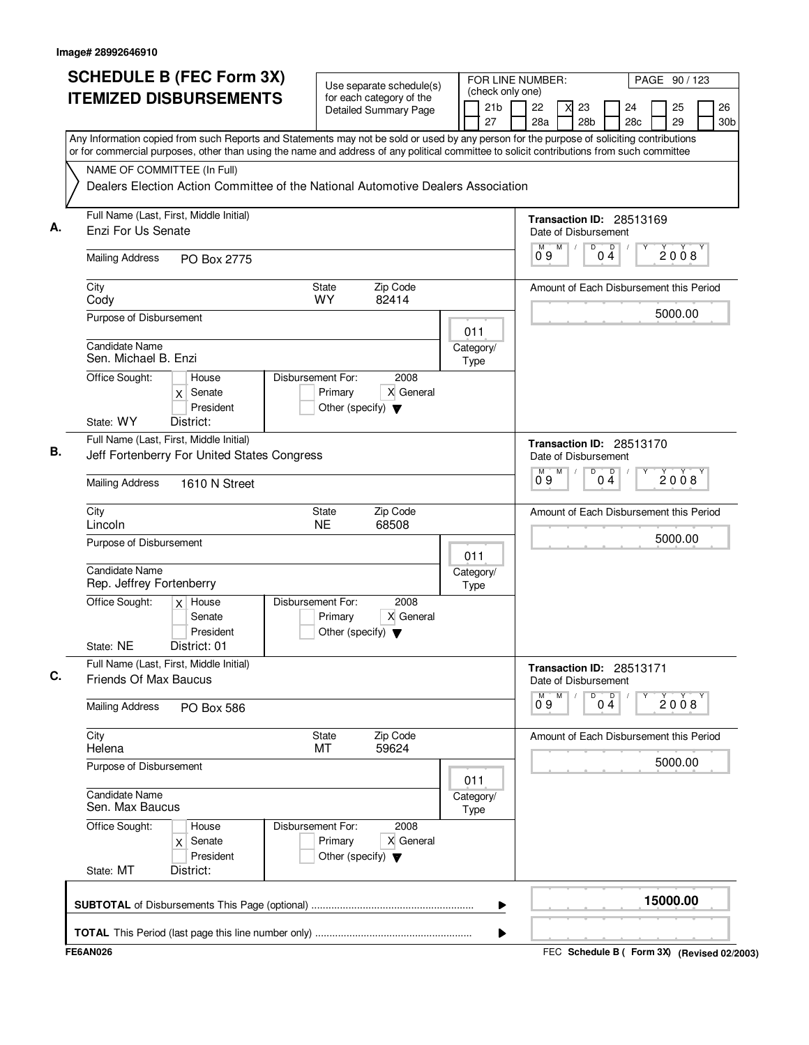| <b>SCHEDULE B (FEC Form 3X)</b><br><b>ITEMIZED DISBURSEMENTS</b><br>Any Information copied from such Reports and Statements may not be sold or used by any person for the purpose of soliciting contributions                                                | Use separate schedule(s)<br>for each category of the<br><b>Detailed Summary Page</b>      | FOR LINE NUMBER:<br>(check only one)<br>21 <sub>b</sub><br>27 | PAGE 90 / 123<br>26<br>22<br>23<br>24<br>25<br>X<br>28a<br>28 <sub>b</sub><br>29<br>28c<br>30b                    |
|--------------------------------------------------------------------------------------------------------------------------------------------------------------------------------------------------------------------------------------------------------------|-------------------------------------------------------------------------------------------|---------------------------------------------------------------|-------------------------------------------------------------------------------------------------------------------|
| or for commercial purposes, other than using the name and address of any political committee to solicit contributions from such committee<br>NAME OF COMMITTEE (In Full)<br>Dealers Election Action Committee of the National Automotive Dealers Association |                                                                                           |                                                               |                                                                                                                   |
| Full Name (Last, First, Middle Initial)<br>Enzi For Us Senate<br><b>Mailing Address</b><br>PO Box 2775                                                                                                                                                       |                                                                                           |                                                               | Transaction ID: 28513169<br>Date of Disbursement<br>D<br>M<br>M<br>$0\stackrel{D}{4}$<br>$\sqrt{ }$<br>2008<br>09 |
| City<br>Cody                                                                                                                                                                                                                                                 | Zip Code<br><b>State</b><br><b>WY</b><br>82414                                            |                                                               | Amount of Each Disbursement this Period<br>5000.00                                                                |
| Purpose of Disbursement<br><b>Candidate Name</b><br>Sen. Michael B. Enzi                                                                                                                                                                                     |                                                                                           | 011<br>Category/<br>Type                                      |                                                                                                                   |
| Office Sought:<br>House<br>Senate<br>X<br>President<br>State: WY<br>District:                                                                                                                                                                                | Disbursement For:<br>2008<br>Primary<br>X General<br>Other (specify) $\blacktriangledown$ |                                                               |                                                                                                                   |
| Full Name (Last, First, Middle Initial)<br>Jeff Fortenberry For United States Congress<br><b>Mailing Address</b><br>1610 N Street                                                                                                                            |                                                                                           |                                                               | Transaction ID: 28513170<br>Date of Disbursement<br>D<br>M<br>$0\overset{D}{4}$<br>2008<br>Ő 9                    |
| City<br>Lincoln<br>Purpose of Disbursement                                                                                                                                                                                                                   | <b>State</b><br>Zip Code<br><b>NE</b><br>68508                                            |                                                               | Amount of Each Disbursement this Period<br>5000.00                                                                |
| <b>Candidate Name</b><br>Rep. Jeffrey Fortenberry                                                                                                                                                                                                            |                                                                                           | 011<br>Category/<br>Type                                      |                                                                                                                   |
| Office Sought:<br>$x$ House<br>Senate<br>President<br>State: NE<br>District: 01                                                                                                                                                                              | Disbursement For:<br>2008<br>X General<br>Primary<br>Other (specify) $\blacktriangledown$ |                                                               |                                                                                                                   |
| Full Name (Last, First, Middle Initial)<br><b>Friends Of Max Baucus</b>                                                                                                                                                                                      |                                                                                           |                                                               | Transaction ID: 28513171<br>Date of Disbursement<br>M<br>M<br>D<br>Ď                                              |
| <b>Mailing Address</b><br><b>PO Box 586</b>                                                                                                                                                                                                                  |                                                                                           |                                                               | 2008<br>04<br>09                                                                                                  |
| City<br>Helena                                                                                                                                                                                                                                               | <b>State</b><br>Zip Code<br>MT<br>59624                                                   |                                                               | Amount of Each Disbursement this Period                                                                           |
| Purpose of Disbursement                                                                                                                                                                                                                                      |                                                                                           | 011                                                           | 5000.00                                                                                                           |
| <b>Candidate Name</b><br>Sen. Max Baucus                                                                                                                                                                                                                     |                                                                                           | Category/<br>Type                                             |                                                                                                                   |
| Office Sought:<br>House<br>Senate<br>X<br>President                                                                                                                                                                                                          | Disbursement For:<br>2008<br>Primary<br>X General<br>Other (specify) $\blacktriangledown$ |                                                               |                                                                                                                   |
| State: MT<br>District:                                                                                                                                                                                                                                       |                                                                                           |                                                               | 15000.00                                                                                                          |
|                                                                                                                                                                                                                                                              |                                                                                           | ▶                                                             |                                                                                                                   |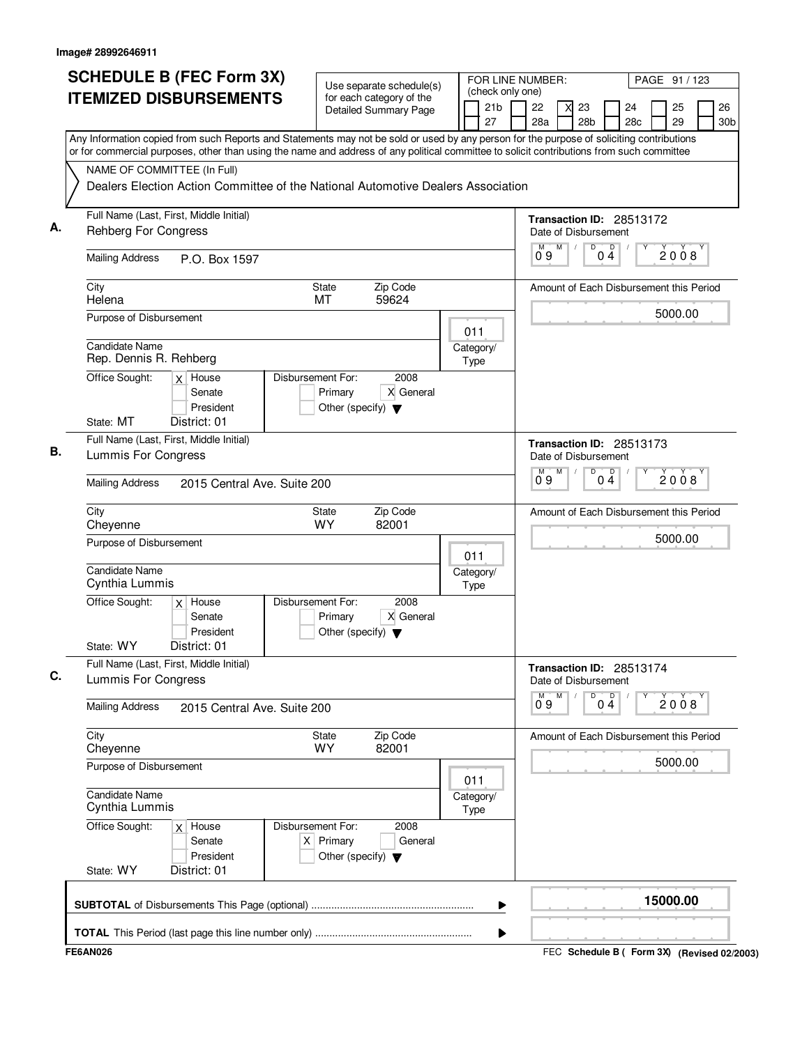|    | <b>SCHEDULE B (FEC Form 3X)</b><br><b>ITEMIZED DISBURSEMENTS</b>                                                                                                                                                                                                                                                                                                                                          | Use separate schedule(s)<br>for each category of the<br><b>Detailed Summary Page</b>        | (check only one)<br>21 <sub>b</sub><br>27               | FOR LINE NUMBER:<br>PAGE 91 / 123<br>22<br>26<br>23<br>24<br>25<br>28a<br>28 <sub>b</sub><br>29<br>28c<br>30 <sub>b</sub> |
|----|-----------------------------------------------------------------------------------------------------------------------------------------------------------------------------------------------------------------------------------------------------------------------------------------------------------------------------------------------------------------------------------------------------------|---------------------------------------------------------------------------------------------|---------------------------------------------------------|---------------------------------------------------------------------------------------------------------------------------|
|    | Any Information copied from such Reports and Statements may not be sold or used by any person for the purpose of soliciting contributions<br>or for commercial purposes, other than using the name and address of any political committee to solicit contributions from such committee<br>NAME OF COMMITTEE (In Full)<br>Dealers Election Action Committee of the National Automotive Dealers Association |                                                                                             |                                                         |                                                                                                                           |
|    |                                                                                                                                                                                                                                                                                                                                                                                                           |                                                                                             |                                                         |                                                                                                                           |
| А. | Full Name (Last, First, Middle Initial)<br><b>Rehberg For Congress</b>                                                                                                                                                                                                                                                                                                                                    |                                                                                             |                                                         | Transaction ID: 28513172<br>Date of Disbursement                                                                          |
|    | <b>Mailing Address</b><br>P.O. Box 1597                                                                                                                                                                                                                                                                                                                                                                   |                                                                                             |                                                         | $\overline{D}$<br>M<br>D<br>M<br>2008<br>09<br>04                                                                         |
|    | City<br>Helena                                                                                                                                                                                                                                                                                                                                                                                            | Zip Code<br>State<br>59624<br>МT                                                            |                                                         | Amount of Each Disbursement this Period                                                                                   |
|    | Purpose of Disbursement                                                                                                                                                                                                                                                                                                                                                                                   |                                                                                             | 011                                                     | 5000.00                                                                                                                   |
|    | Candidate Name<br>Rep. Dennis R. Rehberg                                                                                                                                                                                                                                                                                                                                                                  |                                                                                             | Category/<br><b>Type</b>                                |                                                                                                                           |
|    | Office Sought:<br>$x$ House<br>Senate<br>President                                                                                                                                                                                                                                                                                                                                                        | Disbursement For:<br>2008<br>X General<br>Primary<br>Other (specify) $\blacktriangledown$   |                                                         |                                                                                                                           |
|    | State: MT<br>District: 01<br>Full Name (Last, First, Middle Initial)                                                                                                                                                                                                                                                                                                                                      |                                                                                             |                                                         |                                                                                                                           |
| В. | Lummis For Congress                                                                                                                                                                                                                                                                                                                                                                                       |                                                                                             |                                                         | Transaction ID: 28513173<br>Date of Disbursement                                                                          |
|    | <b>Mailing Address</b><br>2015 Central Ave. Suite 200                                                                                                                                                                                                                                                                                                                                                     |                                                                                             | $\overline{D}$<br>M<br>$\Box$<br>М<br>2008<br>Ő 9<br>04 |                                                                                                                           |
|    | City<br>Cheyenne                                                                                                                                                                                                                                                                                                                                                                                          | State<br>Zip Code<br><b>WY</b><br>82001                                                     |                                                         | Amount of Each Disbursement this Period                                                                                   |
|    | Purpose of Disbursement                                                                                                                                                                                                                                                                                                                                                                                   |                                                                                             | 011                                                     | 5000.00                                                                                                                   |
|    | Candidate Name<br>Cynthia Lummis                                                                                                                                                                                                                                                                                                                                                                          |                                                                                             | Category/<br>Type                                       |                                                                                                                           |
|    | Office Sought:<br>$x$ House<br>Senate<br>President<br>State: WY<br>District: 01                                                                                                                                                                                                                                                                                                                           | Disbursement For:<br>2008<br>X General<br>Primary<br>Other (specify) $\blacktriangledown$   |                                                         |                                                                                                                           |
| C. | Full Name (Last, First, Middle Initial)<br>Lummis For Congress                                                                                                                                                                                                                                                                                                                                            |                                                                                             |                                                         | Transaction ID: 28513174<br>Date of Disbursement                                                                          |
|    | <b>Mailing Address</b><br>2015 Central Ave. Suite 200                                                                                                                                                                                                                                                                                                                                                     |                                                                                             |                                                         | M<br>M<br>D<br>Ď<br>Υ<br>2008<br>0 <sub>4</sub><br>09                                                                     |
|    | City<br>Cheyenne                                                                                                                                                                                                                                                                                                                                                                                          | Zip Code<br>State<br><b>WY</b><br>82001                                                     |                                                         | Amount of Each Disbursement this Period                                                                                   |
|    | Purpose of Disbursement                                                                                                                                                                                                                                                                                                                                                                                   | 011                                                                                         | 5000.00                                                 |                                                                                                                           |
|    | <b>Candidate Name</b><br>Cynthia Lummis                                                                                                                                                                                                                                                                                                                                                                   |                                                                                             | Category/<br><b>Type</b>                                |                                                                                                                           |
|    | Office Sought:<br>$x$ House<br>Senate<br>President<br>State: WY<br>District: 01                                                                                                                                                                                                                                                                                                                           | Disbursement For:<br>2008<br>$X$ Primary<br>General<br>Other (specify) $\blacktriangledown$ |                                                         |                                                                                                                           |
|    |                                                                                                                                                                                                                                                                                                                                                                                                           |                                                                                             | ▶                                                       | 15000.00                                                                                                                  |
|    |                                                                                                                                                                                                                                                                                                                                                                                                           |                                                                                             | ▶                                                       |                                                                                                                           |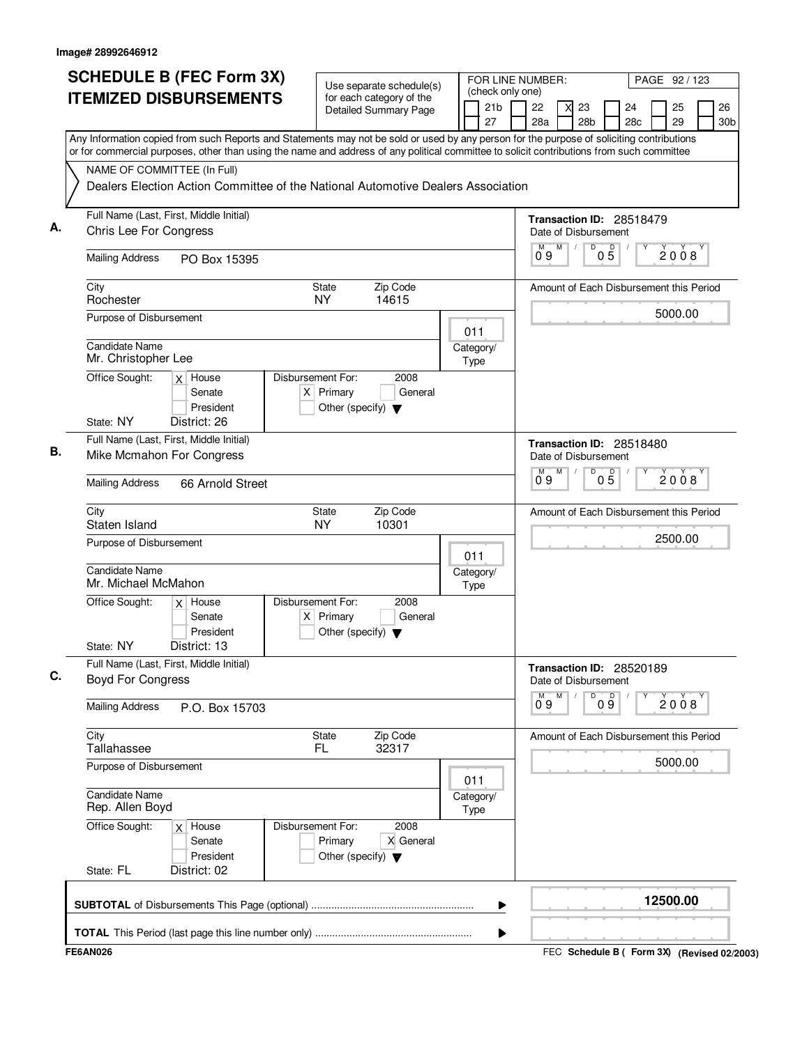| <b>SCHEDULE B (FEC Form 3X)</b><br><b>ITEMIZED DISBURSEMENTS</b>                                                                                                                                                                                                                       |                   |                                                     | Use separate schedule(s)<br>for each category of the |                   | FOR LINE NUMBER:<br>(check only one) |                                                  |   |                       |                 |                                         |  | PAGE 92 / 123 |                       |  |  |  |
|----------------------------------------------------------------------------------------------------------------------------------------------------------------------------------------------------------------------------------------------------------------------------------------|-------------------|-----------------------------------------------------|------------------------------------------------------|-------------------|--------------------------------------|--------------------------------------------------|---|-----------------------|-----------------|-----------------------------------------|--|---------------|-----------------------|--|--|--|
|                                                                                                                                                                                                                                                                                        |                   |                                                     | <b>Detailed Summary Page</b>                         |                   | 21 <sub>b</sub><br>27                | 22<br>28a                                        |   | 23<br>28 <sub>b</sub> |                 | 24<br>28c                               |  | 25<br>29      | 26<br>30 <sub>b</sub> |  |  |  |
| Any Information copied from such Reports and Statements may not be sold or used by any person for the purpose of soliciting contributions<br>or for commercial purposes, other than using the name and address of any political committee to solicit contributions from such committee |                   |                                                     |                                                      |                   |                                      |                                                  |   |                       |                 |                                         |  |               |                       |  |  |  |
| NAME OF COMMITTEE (In Full)                                                                                                                                                                                                                                                            |                   |                                                     |                                                      |                   |                                      |                                                  |   |                       |                 |                                         |  |               |                       |  |  |  |
| Dealers Election Action Committee of the National Automotive Dealers Association                                                                                                                                                                                                       |                   |                                                     |                                                      |                   |                                      |                                                  |   |                       |                 |                                         |  |               |                       |  |  |  |
| Full Name (Last, First, Middle Initial)<br>А.<br>Chris Lee For Congress                                                                                                                                                                                                                |                   |                                                     |                                                      |                   |                                      | Transaction ID: 28518479<br>Date of Disbursement |   |                       |                 |                                         |  |               |                       |  |  |  |
| <b>Mailing Address</b><br>PO Box 15395                                                                                                                                                                                                                                                 |                   |                                                     |                                                      |                   |                                      | М<br>09                                          | M | D                     | 05              |                                         |  | 2008          |                       |  |  |  |
| City<br>Rochester                                                                                                                                                                                                                                                                      |                   | State<br><b>NY</b>                                  | Zip Code<br>14615                                    |                   |                                      |                                                  |   |                       |                 | Amount of Each Disbursement this Period |  |               |                       |  |  |  |
| Purpose of Disbursement                                                                                                                                                                                                                                                                |                   |                                                     |                                                      | 011               |                                      |                                                  |   |                       |                 |                                         |  | 5000.00       |                       |  |  |  |
| <b>Candidate Name</b><br>Mr. Christopher Lee                                                                                                                                                                                                                                           |                   |                                                     |                                                      | Category/<br>Type |                                      |                                                  |   |                       |                 |                                         |  |               |                       |  |  |  |
| Office Sought:<br>$x$ House<br>Senate<br>President                                                                                                                                                                                                                                     | Disbursement For: | $X$ Primary<br>Other (specify) $\blacktriangledown$ | 2008<br>General                                      |                   |                                      |                                                  |   |                       |                 |                                         |  |               |                       |  |  |  |
| State: NY<br>District: 26                                                                                                                                                                                                                                                              |                   |                                                     |                                                      |                   |                                      |                                                  |   |                       |                 |                                         |  |               |                       |  |  |  |
| Full Name (Last, First, Middle Initial)<br>В.<br>Mike Mcmahon For Congress                                                                                                                                                                                                             |                   |                                                     |                                                      |                   |                                      | Transaction ID: 28518480                         |   | Date of Disbursement  |                 |                                         |  |               |                       |  |  |  |
| <b>Mailing Address</b><br>66 Arnold Street                                                                                                                                                                                                                                             |                   |                                                     |                                                      |                   |                                      | $\overline{0}^M$ 9                               | М | D                     | $0\overline{5}$ |                                         |  | 2008          |                       |  |  |  |
| City<br>Staten Island                                                                                                                                                                                                                                                                  |                   | State<br><b>NY</b>                                  | Zip Code<br>10301                                    |                   |                                      |                                                  |   |                       |                 | Amount of Each Disbursement this Period |  |               |                       |  |  |  |
| Purpose of Disbursement                                                                                                                                                                                                                                                                |                   |                                                     |                                                      | 011               |                                      |                                                  |   |                       |                 |                                         |  | 2500.00       |                       |  |  |  |
| <b>Candidate Name</b><br>Mr. Michael McMahon                                                                                                                                                                                                                                           |                   |                                                     |                                                      | Category/<br>Type |                                      |                                                  |   |                       |                 |                                         |  |               |                       |  |  |  |
| Office Sought:<br>$x$ House<br>Senate<br>President                                                                                                                                                                                                                                     | Disbursement For: | $X$ Primary<br>Other (specify) $\blacktriangledown$ | 2008<br>General                                      |                   |                                      |                                                  |   |                       |                 |                                         |  |               |                       |  |  |  |
| State: NY<br>District: 13                                                                                                                                                                                                                                                              |                   |                                                     |                                                      |                   |                                      |                                                  |   |                       |                 |                                         |  |               |                       |  |  |  |
| Full Name (Last, First, Middle Initial)<br>C.<br><b>Boyd For Congress</b>                                                                                                                                                                                                              |                   |                                                     |                                                      |                   |                                      |                                                  |   | Date of Disbursement  |                 | Transaction ID: 28520189                |  |               |                       |  |  |  |
| <b>Mailing Address</b><br>P.O. Box 15703                                                                                                                                                                                                                                               |                   |                                                     |                                                      |                   |                                      | M<br>09                                          | M | D                     | 09              |                                         |  | 2008          |                       |  |  |  |
| City<br>Tallahassee                                                                                                                                                                                                                                                                    |                   | State<br>FL.                                        | Zip Code<br>32317                                    |                   |                                      |                                                  |   |                       |                 | Amount of Each Disbursement this Period |  |               |                       |  |  |  |
| Purpose of Disbursement                                                                                                                                                                                                                                                                |                   |                                                     |                                                      | 011               |                                      |                                                  |   |                       |                 |                                         |  | 5000.00       |                       |  |  |  |
| <b>Candidate Name</b><br>Rep. Allen Boyd                                                                                                                                                                                                                                               |                   |                                                     |                                                      | Category/<br>Type |                                      |                                                  |   |                       |                 |                                         |  |               |                       |  |  |  |
| Office Sought:<br>$x$ House<br>Senate<br>President                                                                                                                                                                                                                                     | Disbursement For: | Primary<br>Other (specify) $\blacktriangledown$     | 2008<br>X General                                    |                   |                                      |                                                  |   |                       |                 |                                         |  |               |                       |  |  |  |
| District: 02<br>State: FL                                                                                                                                                                                                                                                              |                   |                                                     |                                                      |                   |                                      |                                                  |   |                       |                 |                                         |  |               |                       |  |  |  |
|                                                                                                                                                                                                                                                                                        |                   |                                                     |                                                      |                   | ▶                                    |                                                  |   |                       |                 |                                         |  | 12500.00      |                       |  |  |  |
|                                                                                                                                                                                                                                                                                        |                   |                                                     |                                                      |                   | ▶                                    |                                                  |   |                       |                 |                                         |  |               |                       |  |  |  |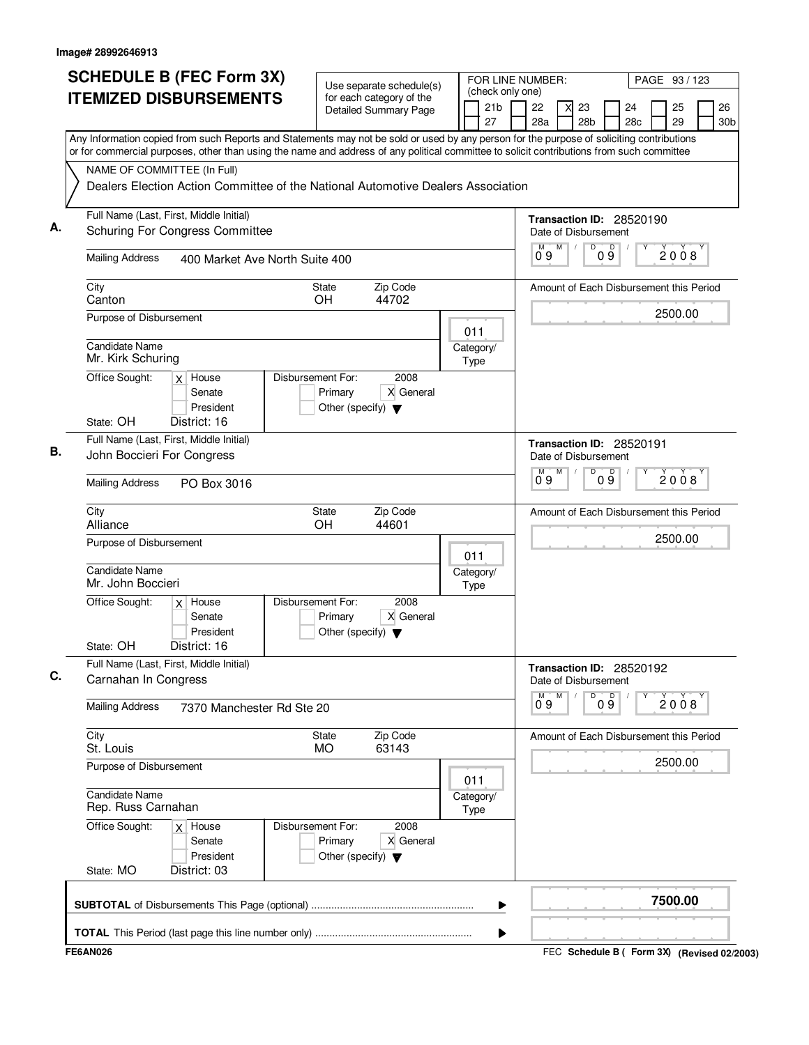| (check only one)<br><b>ITEMIZED DISBURSEMENTS</b><br>for each category of the<br>21b<br>22<br>25<br>23<br>24<br><b>Detailed Summary Page</b><br>29<br>27<br>28a<br>28 <sub>b</sub><br>28 <sub>c</sub><br>Any Information copied from such Reports and Statements may not be sold or used by any person for the purpose of soliciting contributions<br>or for commercial purposes, other than using the name and address of any political committee to solicit contributions from such committee<br>NAME OF COMMITTEE (In Full)<br>Dealers Election Action Committee of the National Automotive Dealers Association<br>Full Name (Last, First, Middle Initial)<br>Transaction ID: 28520190<br>А.<br><b>Schuring For Congress Committee</b><br>Date of Disbursement<br>$\overline{D}$<br>M<br>09<br>2008<br>09<br><b>Mailing Address</b><br>400 Market Ave North Suite 400<br>Zip Code<br>City<br><b>State</b><br>Canton<br>OН<br>44702<br>2500.00<br>Purpose of Disbursement<br>011<br>Candidate Name<br>Category/<br>Mr. Kirk Schuring<br>Type<br>Disbursement For:<br>2008<br>Office Sought:<br>House<br>$\times$<br>X General<br>Senate<br>Primary<br>President<br>Other (specify) $\blacktriangledown$<br>State: OH<br>District: 16<br>Full Name (Last, First, Middle Initial)<br>Transaction ID: 28520191<br>В.<br>John Boccieri For Congress<br>Date of Disbursement<br>D<br>09<br>$\overline{0}^M$ 9<br>M<br>2008<br><b>Mailing Address</b><br>PO Box 3016<br>Zip Code<br>City<br><b>State</b><br>Alliance<br><b>OH</b><br>44601<br>2500.00<br>Purpose of Disbursement<br>011<br>Candidate Name<br>Category/<br>Mr. John Boccieri<br>Type<br>Disbursement For:<br>2008<br>Office Sought:<br>House<br>$\times$<br>Senate<br>Primary<br>X General<br>President<br>Other (specify) $\blacktriangledown$<br>State: OH<br>District: 16<br>Full Name (Last, First, Middle Initial)<br>Transaction ID: 28520192<br>С.<br>Carnahan In Congress<br>Date of Disbursement<br>M<br>D<br>D<br>М<br>2008<br>$0\overline{9}$<br>09<br><b>Mailing Address</b><br>7370 Manchester Rd Ste 20<br>Zip Code<br>City<br>State<br>St. Louis<br><b>MO</b><br>63143<br>2500.00<br>Purpose of Disbursement<br>011<br><b>Candidate Name</b><br>Category/<br>Rep. Russ Carnahan<br>Type<br>Office Sought:<br>Disbursement For:<br>2008<br>$x$ House<br>Primary<br>X General<br>Senate<br>President<br>Other (specify) $\blacktriangledown$<br>State: MO<br>District: 03 | <b>SCHEDULE B (FEC Form 3X)</b> | Use separate schedule(s) | FOR LINE NUMBER: | PAGE 93 / 123                           |
|---------------------------------------------------------------------------------------------------------------------------------------------------------------------------------------------------------------------------------------------------------------------------------------------------------------------------------------------------------------------------------------------------------------------------------------------------------------------------------------------------------------------------------------------------------------------------------------------------------------------------------------------------------------------------------------------------------------------------------------------------------------------------------------------------------------------------------------------------------------------------------------------------------------------------------------------------------------------------------------------------------------------------------------------------------------------------------------------------------------------------------------------------------------------------------------------------------------------------------------------------------------------------------------------------------------------------------------------------------------------------------------------------------------------------------------------------------------------------------------------------------------------------------------------------------------------------------------------------------------------------------------------------------------------------------------------------------------------------------------------------------------------------------------------------------------------------------------------------------------------------------------------------------------------------------------------------------------------------------------------------------------------------------------------------------------------------------------------------------------------------------------------------------------------------------------------------------------------------------------------------------------------------------------------------------------------------------------------------------------------------------------------------------------------------------------------------|---------------------------------|--------------------------|------------------|-----------------------------------------|
|                                                                                                                                                                                                                                                                                                                                                                                                                                                                                                                                                                                                                                                                                                                                                                                                                                                                                                                                                                                                                                                                                                                                                                                                                                                                                                                                                                                                                                                                                                                                                                                                                                                                                                                                                                                                                                                                                                                                                                                                                                                                                                                                                                                                                                                                                                                                                                                                                                                   |                                 |                          |                  | 26<br>30 <sub>b</sub>                   |
|                                                                                                                                                                                                                                                                                                                                                                                                                                                                                                                                                                                                                                                                                                                                                                                                                                                                                                                                                                                                                                                                                                                                                                                                                                                                                                                                                                                                                                                                                                                                                                                                                                                                                                                                                                                                                                                                                                                                                                                                                                                                                                                                                                                                                                                                                                                                                                                                                                                   |                                 |                          |                  |                                         |
|                                                                                                                                                                                                                                                                                                                                                                                                                                                                                                                                                                                                                                                                                                                                                                                                                                                                                                                                                                                                                                                                                                                                                                                                                                                                                                                                                                                                                                                                                                                                                                                                                                                                                                                                                                                                                                                                                                                                                                                                                                                                                                                                                                                                                                                                                                                                                                                                                                                   |                                 |                          |                  |                                         |
|                                                                                                                                                                                                                                                                                                                                                                                                                                                                                                                                                                                                                                                                                                                                                                                                                                                                                                                                                                                                                                                                                                                                                                                                                                                                                                                                                                                                                                                                                                                                                                                                                                                                                                                                                                                                                                                                                                                                                                                                                                                                                                                                                                                                                                                                                                                                                                                                                                                   |                                 |                          |                  |                                         |
|                                                                                                                                                                                                                                                                                                                                                                                                                                                                                                                                                                                                                                                                                                                                                                                                                                                                                                                                                                                                                                                                                                                                                                                                                                                                                                                                                                                                                                                                                                                                                                                                                                                                                                                                                                                                                                                                                                                                                                                                                                                                                                                                                                                                                                                                                                                                                                                                                                                   |                                 |                          |                  |                                         |
|                                                                                                                                                                                                                                                                                                                                                                                                                                                                                                                                                                                                                                                                                                                                                                                                                                                                                                                                                                                                                                                                                                                                                                                                                                                                                                                                                                                                                                                                                                                                                                                                                                                                                                                                                                                                                                                                                                                                                                                                                                                                                                                                                                                                                                                                                                                                                                                                                                                   |                                 |                          |                  | Amount of Each Disbursement this Period |
|                                                                                                                                                                                                                                                                                                                                                                                                                                                                                                                                                                                                                                                                                                                                                                                                                                                                                                                                                                                                                                                                                                                                                                                                                                                                                                                                                                                                                                                                                                                                                                                                                                                                                                                                                                                                                                                                                                                                                                                                                                                                                                                                                                                                                                                                                                                                                                                                                                                   |                                 |                          |                  |                                         |
|                                                                                                                                                                                                                                                                                                                                                                                                                                                                                                                                                                                                                                                                                                                                                                                                                                                                                                                                                                                                                                                                                                                                                                                                                                                                                                                                                                                                                                                                                                                                                                                                                                                                                                                                                                                                                                                                                                                                                                                                                                                                                                                                                                                                                                                                                                                                                                                                                                                   |                                 |                          |                  |                                         |
|                                                                                                                                                                                                                                                                                                                                                                                                                                                                                                                                                                                                                                                                                                                                                                                                                                                                                                                                                                                                                                                                                                                                                                                                                                                                                                                                                                                                                                                                                                                                                                                                                                                                                                                                                                                                                                                                                                                                                                                                                                                                                                                                                                                                                                                                                                                                                                                                                                                   |                                 |                          |                  |                                         |
|                                                                                                                                                                                                                                                                                                                                                                                                                                                                                                                                                                                                                                                                                                                                                                                                                                                                                                                                                                                                                                                                                                                                                                                                                                                                                                                                                                                                                                                                                                                                                                                                                                                                                                                                                                                                                                                                                                                                                                                                                                                                                                                                                                                                                                                                                                                                                                                                                                                   |                                 |                          |                  |                                         |
|                                                                                                                                                                                                                                                                                                                                                                                                                                                                                                                                                                                                                                                                                                                                                                                                                                                                                                                                                                                                                                                                                                                                                                                                                                                                                                                                                                                                                                                                                                                                                                                                                                                                                                                                                                                                                                                                                                                                                                                                                                                                                                                                                                                                                                                                                                                                                                                                                                                   |                                 |                          |                  |                                         |
|                                                                                                                                                                                                                                                                                                                                                                                                                                                                                                                                                                                                                                                                                                                                                                                                                                                                                                                                                                                                                                                                                                                                                                                                                                                                                                                                                                                                                                                                                                                                                                                                                                                                                                                                                                                                                                                                                                                                                                                                                                                                                                                                                                                                                                                                                                                                                                                                                                                   |                                 |                          |                  |                                         |
|                                                                                                                                                                                                                                                                                                                                                                                                                                                                                                                                                                                                                                                                                                                                                                                                                                                                                                                                                                                                                                                                                                                                                                                                                                                                                                                                                                                                                                                                                                                                                                                                                                                                                                                                                                                                                                                                                                                                                                                                                                                                                                                                                                                                                                                                                                                                                                                                                                                   |                                 |                          |                  | Amount of Each Disbursement this Period |
|                                                                                                                                                                                                                                                                                                                                                                                                                                                                                                                                                                                                                                                                                                                                                                                                                                                                                                                                                                                                                                                                                                                                                                                                                                                                                                                                                                                                                                                                                                                                                                                                                                                                                                                                                                                                                                                                                                                                                                                                                                                                                                                                                                                                                                                                                                                                                                                                                                                   |                                 |                          |                  |                                         |
|                                                                                                                                                                                                                                                                                                                                                                                                                                                                                                                                                                                                                                                                                                                                                                                                                                                                                                                                                                                                                                                                                                                                                                                                                                                                                                                                                                                                                                                                                                                                                                                                                                                                                                                                                                                                                                                                                                                                                                                                                                                                                                                                                                                                                                                                                                                                                                                                                                                   |                                 |                          |                  |                                         |
|                                                                                                                                                                                                                                                                                                                                                                                                                                                                                                                                                                                                                                                                                                                                                                                                                                                                                                                                                                                                                                                                                                                                                                                                                                                                                                                                                                                                                                                                                                                                                                                                                                                                                                                                                                                                                                                                                                                                                                                                                                                                                                                                                                                                                                                                                                                                                                                                                                                   |                                 |                          |                  |                                         |
|                                                                                                                                                                                                                                                                                                                                                                                                                                                                                                                                                                                                                                                                                                                                                                                                                                                                                                                                                                                                                                                                                                                                                                                                                                                                                                                                                                                                                                                                                                                                                                                                                                                                                                                                                                                                                                                                                                                                                                                                                                                                                                                                                                                                                                                                                                                                                                                                                                                   |                                 |                          |                  |                                         |
|                                                                                                                                                                                                                                                                                                                                                                                                                                                                                                                                                                                                                                                                                                                                                                                                                                                                                                                                                                                                                                                                                                                                                                                                                                                                                                                                                                                                                                                                                                                                                                                                                                                                                                                                                                                                                                                                                                                                                                                                                                                                                                                                                                                                                                                                                                                                                                                                                                                   |                                 |                          |                  |                                         |
|                                                                                                                                                                                                                                                                                                                                                                                                                                                                                                                                                                                                                                                                                                                                                                                                                                                                                                                                                                                                                                                                                                                                                                                                                                                                                                                                                                                                                                                                                                                                                                                                                                                                                                                                                                                                                                                                                                                                                                                                                                                                                                                                                                                                                                                                                                                                                                                                                                                   |                                 |                          |                  |                                         |
|                                                                                                                                                                                                                                                                                                                                                                                                                                                                                                                                                                                                                                                                                                                                                                                                                                                                                                                                                                                                                                                                                                                                                                                                                                                                                                                                                                                                                                                                                                                                                                                                                                                                                                                                                                                                                                                                                                                                                                                                                                                                                                                                                                                                                                                                                                                                                                                                                                                   |                                 |                          |                  | Amount of Each Disbursement this Period |
|                                                                                                                                                                                                                                                                                                                                                                                                                                                                                                                                                                                                                                                                                                                                                                                                                                                                                                                                                                                                                                                                                                                                                                                                                                                                                                                                                                                                                                                                                                                                                                                                                                                                                                                                                                                                                                                                                                                                                                                                                                                                                                                                                                                                                                                                                                                                                                                                                                                   |                                 |                          |                  |                                         |
|                                                                                                                                                                                                                                                                                                                                                                                                                                                                                                                                                                                                                                                                                                                                                                                                                                                                                                                                                                                                                                                                                                                                                                                                                                                                                                                                                                                                                                                                                                                                                                                                                                                                                                                                                                                                                                                                                                                                                                                                                                                                                                                                                                                                                                                                                                                                                                                                                                                   |                                 |                          |                  |                                         |
|                                                                                                                                                                                                                                                                                                                                                                                                                                                                                                                                                                                                                                                                                                                                                                                                                                                                                                                                                                                                                                                                                                                                                                                                                                                                                                                                                                                                                                                                                                                                                                                                                                                                                                                                                                                                                                                                                                                                                                                                                                                                                                                                                                                                                                                                                                                                                                                                                                                   |                                 |                          |                  |                                         |
|                                                                                                                                                                                                                                                                                                                                                                                                                                                                                                                                                                                                                                                                                                                                                                                                                                                                                                                                                                                                                                                                                                                                                                                                                                                                                                                                                                                                                                                                                                                                                                                                                                                                                                                                                                                                                                                                                                                                                                                                                                                                                                                                                                                                                                                                                                                                                                                                                                                   |                                 |                          |                  |                                         |
| 7500.00<br>▶                                                                                                                                                                                                                                                                                                                                                                                                                                                                                                                                                                                                                                                                                                                                                                                                                                                                                                                                                                                                                                                                                                                                                                                                                                                                                                                                                                                                                                                                                                                                                                                                                                                                                                                                                                                                                                                                                                                                                                                                                                                                                                                                                                                                                                                                                                                                                                                                                                      |                                 |                          |                  |                                         |
|                                                                                                                                                                                                                                                                                                                                                                                                                                                                                                                                                                                                                                                                                                                                                                                                                                                                                                                                                                                                                                                                                                                                                                                                                                                                                                                                                                                                                                                                                                                                                                                                                                                                                                                                                                                                                                                                                                                                                                                                                                                                                                                                                                                                                                                                                                                                                                                                                                                   |                                 |                          |                  |                                         |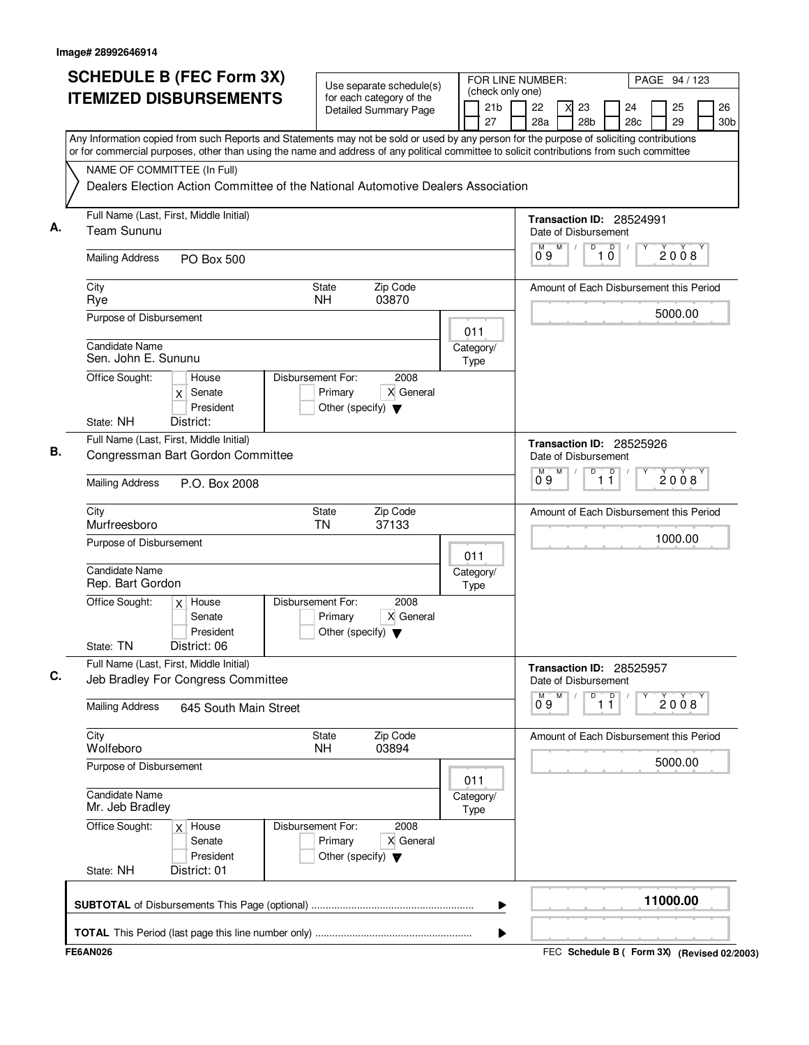| <b>SCHEDULE B (FEC Form 3X)</b><br><b>ITEMIZED DISBURSEMENTS</b><br>Any Information copied from such Reports and Statements may not be sold or used by any person for the purpose of soliciting contributions                                                | Use separate schedule(s)<br>for each category of the<br><b>Detailed Summary Page</b>      | FOR LINE NUMBER:<br>(check only one)<br>21 <sub>b</sub><br>27 | PAGE 94 / 123<br>26<br>22<br>23<br>24<br>25<br>X<br>28a<br>28 <sub>b</sub><br>29<br>28c<br>30b                               |
|--------------------------------------------------------------------------------------------------------------------------------------------------------------------------------------------------------------------------------------------------------------|-------------------------------------------------------------------------------------------|---------------------------------------------------------------|------------------------------------------------------------------------------------------------------------------------------|
| or for commercial purposes, other than using the name and address of any political committee to solicit contributions from such committee<br>NAME OF COMMITTEE (In Full)<br>Dealers Election Action Committee of the National Automotive Dealers Association |                                                                                           |                                                               |                                                                                                                              |
| Full Name (Last, First, Middle Initial)<br>А.<br><b>Team Sununu</b><br><b>Mailing Address</b><br>PO Box 500                                                                                                                                                  |                                                                                           |                                                               | Transaction ID: 28524991<br>Date of Disbursement<br>D<br>$\overline{1}$ $\overline{0}$<br>M<br>M<br>$\sqrt{ }$<br>2008<br>09 |
| City<br>Rye<br>Purpose of Disbursement                                                                                                                                                                                                                       | Zip Code<br><b>State</b><br><b>NH</b><br>03870                                            |                                                               | Amount of Each Disbursement this Period<br>5000.00                                                                           |
| <b>Candidate Name</b><br>Sen. John E. Sununu<br>Office Sought:<br>House<br>Senate<br>X<br>President                                                                                                                                                          | Disbursement For:<br>2008<br>Primary<br>X General<br>Other (specify) $\blacktriangledown$ | 011<br>Category/<br>Type                                      |                                                                                                                              |
| State: NH<br>District:<br>Full Name (Last, First, Middle Initial)<br>В.<br>Congressman Bart Gordon Committee<br><b>Mailing Address</b><br>P.O. Box 2008                                                                                                      |                                                                                           |                                                               | Transaction ID: 28525926<br>Date of Disbursement<br>M<br>D<br>$\overline{11}$<br>2008<br>Ő 9                                 |
| City<br>Murfreesboro<br>Purpose of Disbursement                                                                                                                                                                                                              | <b>State</b><br>Zip Code<br>37133<br><b>TN</b>                                            | 011                                                           | Amount of Each Disbursement this Period<br>1000.00                                                                           |
| <b>Candidate Name</b><br>Rep. Bart Gordon<br>Office Sought:<br>$x$ House<br>Senate<br>President<br>District: 06<br>State: TN                                                                                                                                 | Disbursement For:<br>2008<br>X General<br>Primary<br>Other (specify) $\blacktriangledown$ | Category/<br>Type                                             |                                                                                                                              |
| Full Name (Last, First, Middle Initial)<br>C.<br>Jeb Bradley For Congress Committee                                                                                                                                                                          |                                                                                           |                                                               | Transaction ID: 28525957<br>Date of Disbursement<br>M<br>M<br>D<br>D                                                         |
| <b>Mailing Address</b><br>645 South Main Street<br>City                                                                                                                                                                                                      | <b>State</b><br>Zip Code                                                                  |                                                               | 2008<br>1 Ī<br>09<br>Amount of Each Disbursement this Period                                                                 |
| Wolfeboro<br>Purpose of Disbursement                                                                                                                                                                                                                         | <b>NH</b><br>03894                                                                        |                                                               | 5000.00                                                                                                                      |
| <b>Candidate Name</b><br>Mr. Jeb Bradley                                                                                                                                                                                                                     |                                                                                           | 011<br>Category/<br>Type                                      |                                                                                                                              |
| Office Sought:<br>$x$ House<br>Senate<br>President<br>State: NH<br>District: 01                                                                                                                                                                              | Disbursement For:<br>2008<br>Primary<br>X General<br>Other (specify) $\blacktriangledown$ |                                                               |                                                                                                                              |
|                                                                                                                                                                                                                                                              |                                                                                           | ▶                                                             | 11000.00                                                                                                                     |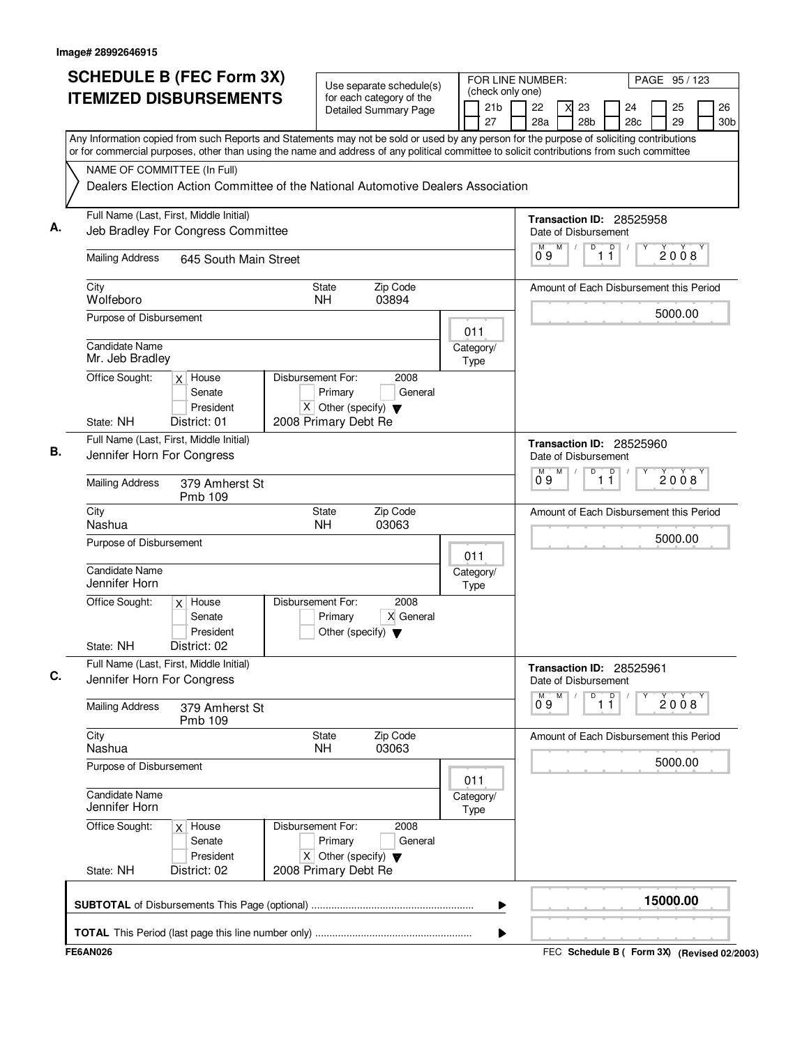|                                        | <b>SCHEDULE B (FEC Form 3X)</b><br><b>ITEMIZED DISBURSEMENTS</b>                                                                                                                                                                                                                       |                                                                          | Use separate schedule(s)<br>for each category of the |                          | FOR LINE NUMBER:<br>(check only one) |                                                  | PAGE 95 / 123 |          |                       |
|----------------------------------------|----------------------------------------------------------------------------------------------------------------------------------------------------------------------------------------------------------------------------------------------------------------------------------------|--------------------------------------------------------------------------|------------------------------------------------------|--------------------------|--------------------------------------|--------------------------------------------------|---------------|----------|-----------------------|
|                                        |                                                                                                                                                                                                                                                                                        |                                                                          | Detailed Summary Page                                | 21 <sub>b</sub><br>27    | 22<br>28a                            | 23<br>28 <sub>b</sub>                            | 24<br>28c     | 25<br>29 | 26<br>30 <sub>b</sub> |
|                                        | Any Information copied from such Reports and Statements may not be sold or used by any person for the purpose of soliciting contributions<br>or for commercial purposes, other than using the name and address of any political committee to solicit contributions from such committee |                                                                          |                                                      |                          |                                      |                                                  |               |          |                       |
|                                        | NAME OF COMMITTEE (In Full)                                                                                                                                                                                                                                                            |                                                                          |                                                      |                          |                                      |                                                  |               |          |                       |
|                                        | Dealers Election Action Committee of the National Automotive Dealers Association                                                                                                                                                                                                       |                                                                          |                                                      |                          |                                      |                                                  |               |          |                       |
|                                        | Full Name (Last, First, Middle Initial)<br>Jeb Bradley For Congress Committee                                                                                                                                                                                                          |                                                                          |                                                      |                          |                                      | Transaction ID: 28525958<br>Date of Disbursement |               |          |                       |
| <b>Mailing Address</b>                 | 645 South Main Street                                                                                                                                                                                                                                                                  |                                                                          |                                                      |                          | M<br>М<br>09                         | $\overline{D}$<br>1 <sup>0</sup>                 |               | 2008     |                       |
| City<br>Wolfeboro                      |                                                                                                                                                                                                                                                                                        | State<br>NH.                                                             | Zip Code<br>03894                                    |                          |                                      | Amount of Each Disbursement this Period          |               |          |                       |
| Purpose of Disbursement                |                                                                                                                                                                                                                                                                                        |                                                                          |                                                      | 011                      |                                      |                                                  |               | 5000.00  |                       |
| Candidate Name<br>Mr. Jeb Bradley      |                                                                                                                                                                                                                                                                                        |                                                                          |                                                      | Category/<br>Type        |                                      |                                                  |               |          |                       |
| Office Sought:                         | $x$ House<br>Senate<br>President                                                                                                                                                                                                                                                       | Disbursement For:<br>Primary<br>X Other (specify) $\blacktriangledown$   | 2008<br>General                                      |                          |                                      |                                                  |               |          |                       |
| State: NH                              | District: 01                                                                                                                                                                                                                                                                           | 2008 Primary Debt Re                                                     |                                                      |                          |                                      |                                                  |               |          |                       |
|                                        | Full Name (Last, First, Middle Initial)<br>Jennifer Horn For Congress                                                                                                                                                                                                                  |                                                                          |                                                      |                          |                                      | Transaction ID: 28525960<br>Date of Disbursement |               |          |                       |
| <b>Mailing Address</b>                 | 379 Amherst St<br>Pmb 109                                                                                                                                                                                                                                                              |                                                                          |                                                      |                          | $0^{\circ}9$<br>M                    | $\overline{\mathsf{D}}$<br>D<br>11               |               | 2008     |                       |
| City<br>Nashua                         |                                                                                                                                                                                                                                                                                        | State<br><b>NH</b>                                                       | Zip Code<br>03063                                    |                          |                                      | Amount of Each Disbursement this Period          |               |          |                       |
| Purpose of Disbursement                |                                                                                                                                                                                                                                                                                        |                                                                          |                                                      | 011                      |                                      |                                                  |               | 5000.00  |                       |
| <b>Candidate Name</b><br>Jennifer Horn |                                                                                                                                                                                                                                                                                        |                                                                          |                                                      | Category/<br>Type        |                                      |                                                  |               |          |                       |
| Office Sought:                         | $x$ House<br>Senate<br>President                                                                                                                                                                                                                                                       | Disbursement For:<br>Primary<br>Other (specify) $\blacktriangledown$     | 2008<br>X General                                    |                          |                                      |                                                  |               |          |                       |
| State: NH                              | District: 02<br>Full Name (Last, First, Middle Initial)                                                                                                                                                                                                                                |                                                                          |                                                      |                          |                                      | Transaction ID: 28525961                         |               |          |                       |
|                                        | Jennifer Horn For Congress                                                                                                                                                                                                                                                             |                                                                          |                                                      |                          | M<br>М                               | Date of Disbursement<br>D<br>D                   |               | 2008     |                       |
| <b>Mailing Address</b>                 | 379 Amherst St<br>Pmb 109                                                                                                                                                                                                                                                              |                                                                          |                                                      |                          | 09                                   | $1\bar{1}$                                       |               |          |                       |
| City<br>Nashua                         |                                                                                                                                                                                                                                                                                        | State<br><b>NH</b>                                                       | Zip Code<br>03063                                    |                          |                                      | Amount of Each Disbursement this Period          |               |          |                       |
| Purpose of Disbursement                |                                                                                                                                                                                                                                                                                        |                                                                          |                                                      | 011                      |                                      |                                                  |               | 5000.00  |                       |
| <b>Candidate Name</b><br>Jennifer Horn |                                                                                                                                                                                                                                                                                        |                                                                          |                                                      | Category/<br><b>Type</b> |                                      |                                                  |               |          |                       |
| Office Sought:                         | $x$ House<br>Senate<br>President                                                                                                                                                                                                                                                       | Disbursement For:<br>Primary<br>$X$ Other (specify) $\blacktriangledown$ | 2008<br>General                                      |                          |                                      |                                                  |               |          |                       |
| State: NH                              | District: 02                                                                                                                                                                                                                                                                           | 2008 Primary Debt Re                                                     |                                                      |                          |                                      |                                                  |               |          |                       |
|                                        |                                                                                                                                                                                                                                                                                        |                                                                          |                                                      |                          | ▶                                    |                                                  |               | 15000.00 |                       |
|                                        |                                                                                                                                                                                                                                                                                        |                                                                          |                                                      |                          |                                      |                                                  |               |          |                       |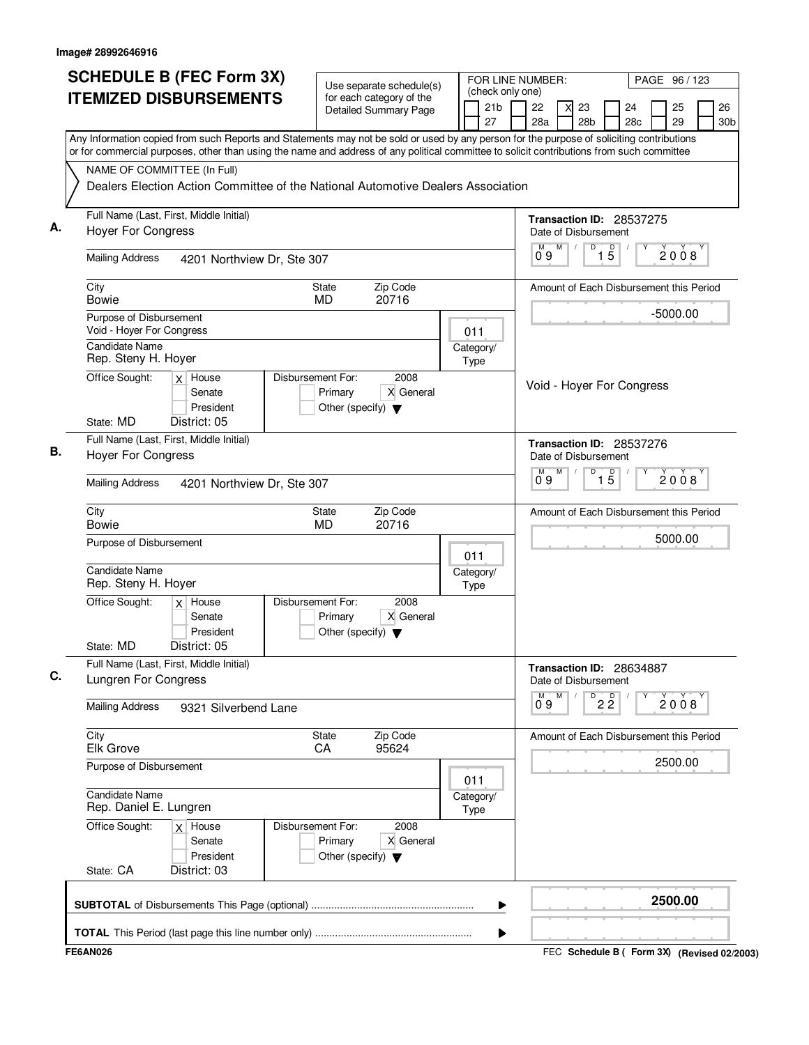|    | <b>SCHEDULE B (FEC Form 3X)</b>                                                                                                                                                                                                                                                        | Use separate schedule(s)                                                                  |             |                       | FOR LINE NUMBER:<br>PAGE 96 / 123<br>(check only one) |   |                           |                   |                                         |  |            |                       |
|----|----------------------------------------------------------------------------------------------------------------------------------------------------------------------------------------------------------------------------------------------------------------------------------------|-------------------------------------------------------------------------------------------|-------------|-----------------------|-------------------------------------------------------|---|---------------------------|-------------------|-----------------------------------------|--|------------|-----------------------|
|    | <b>ITEMIZED DISBURSEMENTS</b>                                                                                                                                                                                                                                                          | for each category of the<br><b>Detailed Summary Page</b>                                  |             | 21 <sub>b</sub><br>27 | 22<br>28a                                             |   | 23<br>28 <sub>b</sub>     |                   | 24<br>28 <sub>c</sub>                   |  | 25<br>29   | 26<br>30 <sub>b</sub> |
|    | Any Information copied from such Reports and Statements may not be sold or used by any person for the purpose of soliciting contributions<br>or for commercial purposes, other than using the name and address of any political committee to solicit contributions from such committee |                                                                                           |             |                       |                                                       |   |                           |                   |                                         |  |            |                       |
|    | NAME OF COMMITTEE (In Full)                                                                                                                                                                                                                                                            |                                                                                           |             |                       |                                                       |   |                           |                   |                                         |  |            |                       |
|    | Dealers Election Action Committee of the National Automotive Dealers Association                                                                                                                                                                                                       |                                                                                           |             |                       |                                                       |   |                           |                   |                                         |  |            |                       |
| А. | Full Name (Last, First, Middle Initial)<br><b>Hoyer For Congress</b>                                                                                                                                                                                                                   |                                                                                           |             |                       |                                                       |   | Date of Disbursement      |                   | Transaction ID: 28537275                |  |            |                       |
|    | <b>Mailing Address</b><br>4201 Northview Dr, Ste 307                                                                                                                                                                                                                                   |                                                                                           |             |                       | M<br>09                                               | M | D                         | $1\overline{5}$   |                                         |  | 2008       |                       |
|    | City<br><b>Bowie</b>                                                                                                                                                                                                                                                                   | Zip Code<br>State<br>20716<br><b>MD</b>                                                   |             |                       |                                                       |   |                           |                   | Amount of Each Disbursement this Period |  |            |                       |
|    | Purpose of Disbursement<br>Void - Hoyer For Congress                                                                                                                                                                                                                                   |                                                                                           | 011         |                       |                                                       |   |                           |                   |                                         |  | $-5000.00$ |                       |
|    | Candidate Name<br>Rep. Steny H. Hoyer                                                                                                                                                                                                                                                  |                                                                                           | Type        | Category/             |                                                       |   |                           |                   |                                         |  |            |                       |
|    | Office Sought:<br>$x$ House<br>Senate<br>President<br>State: MD<br>District: 05                                                                                                                                                                                                        | Disbursement For:<br>2008<br>X General<br>Primary<br>Other (specify) $\blacktriangledown$ |             |                       |                                                       |   |                           |                   | Void - Hoyer For Congress               |  |            |                       |
| В. | Full Name (Last, First, Middle Initial)                                                                                                                                                                                                                                                |                                                                                           |             |                       |                                                       |   |                           |                   | Transaction ID: 28537276                |  |            |                       |
|    | <b>Hoyer For Congress</b>                                                                                                                                                                                                                                                              |                                                                                           |             |                       |                                                       |   | Date of Disbursement<br>D |                   |                                         |  |            |                       |
|    | <b>Mailing Address</b><br>4201 Northview Dr, Ste 307                                                                                                                                                                                                                                   |                                                                                           |             |                       | м<br>0.9                                              | M |                           | $\overline{1\,5}$ |                                         |  | 2008       |                       |
|    | City<br><b>Bowie</b>                                                                                                                                                                                                                                                                   | Zip Code<br><b>State</b><br><b>MD</b><br>20716                                            |             |                       |                                                       |   |                           |                   | Amount of Each Disbursement this Period |  |            |                       |
|    | Purpose of Disbursement                                                                                                                                                                                                                                                                |                                                                                           | 011         |                       |                                                       |   |                           |                   |                                         |  | 5000.00    |                       |
|    | Candidate Name<br>Rep. Steny H. Hoyer                                                                                                                                                                                                                                                  |                                                                                           | Type        | Category/             |                                                       |   |                           |                   |                                         |  |            |                       |
|    | Office Sought:<br>$x$ House<br>Senate<br>President                                                                                                                                                                                                                                     | Disbursement For:<br>2008<br>X General<br>Primary<br>Other (specify) $\blacktriangledown$ |             |                       |                                                       |   |                           |                   |                                         |  |            |                       |
|    | District: 05<br>State: MD                                                                                                                                                                                                                                                              |                                                                                           |             |                       |                                                       |   |                           |                   |                                         |  |            |                       |
| C. | Full Name (Last, First, Middle Initial)<br>Lungren For Congress                                                                                                                                                                                                                        |                                                                                           |             |                       |                                                       |   | Date of Disbursement      |                   | Transaction ID: 28634887                |  |            |                       |
|    | <b>Mailing Address</b><br>9321 Silverbend Lane                                                                                                                                                                                                                                         |                                                                                           |             |                       | М<br>09                                               | M | D                         | $2\overline{2}$   |                                         |  | 2008       |                       |
|    | City<br><b>Elk Grove</b>                                                                                                                                                                                                                                                               | State<br>Zip Code<br>95624<br>CA                                                          |             |                       |                                                       |   |                           |                   | Amount of Each Disbursement this Period |  |            |                       |
|    | Purpose of Disbursement                                                                                                                                                                                                                                                                |                                                                                           | 011         |                       |                                                       |   |                           |                   |                                         |  | 2500.00    |                       |
|    | Candidate Name<br>Rep. Daniel E. Lungren                                                                                                                                                                                                                                               |                                                                                           | <b>Type</b> | Category/             |                                                       |   |                           |                   |                                         |  |            |                       |
|    | Office Sought:<br>$x$ House<br>Senate<br>President                                                                                                                                                                                                                                     | 2008<br>Disbursement For:<br>X General<br>Primary<br>Other (specify) $\blacktriangledown$ |             |                       |                                                       |   |                           |                   |                                         |  |            |                       |
|    | State: CA<br>District: 03                                                                                                                                                                                                                                                              |                                                                                           |             |                       |                                                       |   |                           |                   |                                         |  |            |                       |
|    |                                                                                                                                                                                                                                                                                        |                                                                                           |             | ▶                     |                                                       |   |                           |                   |                                         |  | 2500.00    |                       |
|    |                                                                                                                                                                                                                                                                                        |                                                                                           |             |                       |                                                       |   |                           |                   |                                         |  |            |                       |
|    |                                                                                                                                                                                                                                                                                        |                                                                                           |             |                       |                                                       |   |                           |                   |                                         |  |            |                       |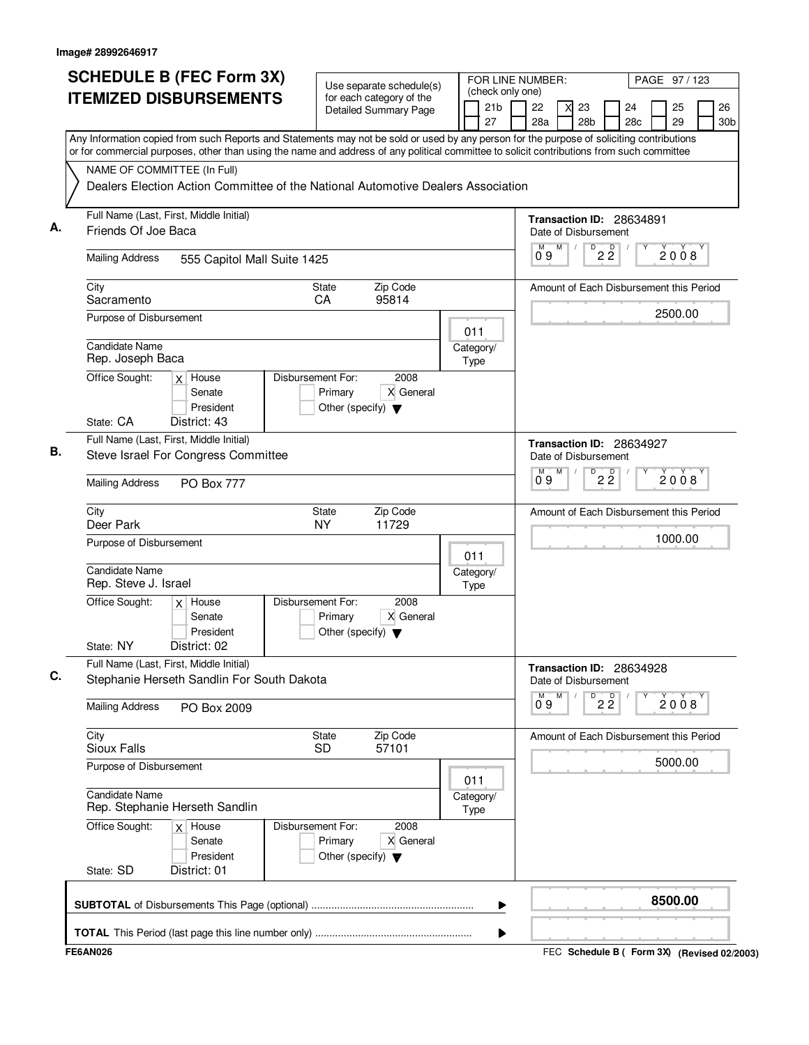| Any Information copied from such Reports and Statements may not be sold or used by any person for the purpose of soliciting contributions<br>or for commercial purposes, other than using the name and address of any political committee to solicit contributions from such committee<br>NAME OF COMMITTEE (In Full)<br>Dealers Election Action Committee of the National Automotive Dealers Association<br>Full Name (Last, First, Middle Initial)<br>Transaction ID: 28634891<br>А.<br>Friends Of Joe Baca<br>Date of Disbursement<br>$\overline{D}$<br>$2\frac{D}{2}$<br>M<br>2008<br>09<br><b>Mailing Address</b><br>555 Capitol Mall Suite 1425<br>City<br>Zip Code<br><b>State</b><br>Amount of Each Disbursement this Period<br>95814<br>CA<br>Sacramento<br>2500.00<br>Purpose of Disbursement<br>011<br><b>Candidate Name</b><br>Category/<br>Rep. Joseph Baca<br><b>Type</b><br>Office Sought:<br>Disbursement For:<br>2008<br>$x$ House<br>X General<br>Primary<br>Senate<br>President<br>Other (specify) $\blacktriangledown$<br>District: 43<br>State: CA<br>Full Name (Last, First, Middle Initial)<br>Transaction ID: 28634927<br>В.<br>Steve Israel For Congress Committee<br>Date of Disbursement<br>$\overline{P}$ 2 $\overline{2}$<br>М<br>M<br>2008<br>0.9<br><b>Mailing Address</b><br><b>PO Box 777</b><br>City<br><b>State</b><br>Zip Code<br>Amount of Each Disbursement this Period<br>Deer Park<br><b>NY</b><br>11729<br>1000.00<br>Purpose of Disbursement<br>011<br>Candidate Name<br>Category/<br>Rep. Steve J. Israel<br>Type<br>Office Sought:<br>Disbursement For:<br>2008<br>$x$ House<br>X General<br>Senate<br>Primary<br>President<br>Other (specify) $\blacktriangledown$<br>District: 02<br>State: NY<br>Full Name (Last, First, Middle Initial)<br>Transaction ID: 28634928<br>C.<br>Stephanie Herseth Sandlin For South Dakota<br>Date of Disbursement<br>M<br>D<br>М<br>$2\overline{2}$<br>2008<br>09<br><b>Mailing Address</b><br>PO Box 2009<br>City<br><b>State</b><br>Zip Code<br>Amount of Each Disbursement this Period<br>57101<br>Sioux Falls<br><b>SD</b><br>5000.00<br>Purpose of Disbursement<br>011<br><b>Candidate Name</b><br>Category/<br>Rep. Stephanie Herseth Sandlin<br>Type<br>Office Sought:<br>Disbursement For:<br>2008<br>$x$ House<br>Primary<br>X General<br>Senate<br>President<br>Other (specify) $\blacktriangledown$<br>State: SD<br>District: 01<br>8500.00<br>▶ | <b>SCHEDULE B (FEC Form 3X)</b><br><b>ITEMIZED DISBURSEMENTS</b> |  | Use separate schedule(s)<br>for each category of the<br><b>Detailed Summary Page</b> | 21 <sub>b</sub><br>27 | FOR LINE NUMBER:<br>(check only one)<br>22<br>28a | 23<br>28 <sub>b</sub> | 24<br>28c | PAGE 97/123<br>25<br>29 | 26<br>30 <sub>b</sub> |
|-------------------------------------------------------------------------------------------------------------------------------------------------------------------------------------------------------------------------------------------------------------------------------------------------------------------------------------------------------------------------------------------------------------------------------------------------------------------------------------------------------------------------------------------------------------------------------------------------------------------------------------------------------------------------------------------------------------------------------------------------------------------------------------------------------------------------------------------------------------------------------------------------------------------------------------------------------------------------------------------------------------------------------------------------------------------------------------------------------------------------------------------------------------------------------------------------------------------------------------------------------------------------------------------------------------------------------------------------------------------------------------------------------------------------------------------------------------------------------------------------------------------------------------------------------------------------------------------------------------------------------------------------------------------------------------------------------------------------------------------------------------------------------------------------------------------------------------------------------------------------------------------------------------------------------------------------------------------------------------------------------------------------------------------------------------------------------------------------------------------------------------------------------------------------------------------------------------------------------------------------------------------------------------------------------------------------------------------------------------------------------------------------------------------------------------------|------------------------------------------------------------------|--|--------------------------------------------------------------------------------------|-----------------------|---------------------------------------------------|-----------------------|-----------|-------------------------|-----------------------|
|                                                                                                                                                                                                                                                                                                                                                                                                                                                                                                                                                                                                                                                                                                                                                                                                                                                                                                                                                                                                                                                                                                                                                                                                                                                                                                                                                                                                                                                                                                                                                                                                                                                                                                                                                                                                                                                                                                                                                                                                                                                                                                                                                                                                                                                                                                                                                                                                                                           |                                                                  |  |                                                                                      |                       |                                                   |                       |           |                         |                       |
|                                                                                                                                                                                                                                                                                                                                                                                                                                                                                                                                                                                                                                                                                                                                                                                                                                                                                                                                                                                                                                                                                                                                                                                                                                                                                                                                                                                                                                                                                                                                                                                                                                                                                                                                                                                                                                                                                                                                                                                                                                                                                                                                                                                                                                                                                                                                                                                                                                           |                                                                  |  |                                                                                      |                       |                                                   |                       |           |                         |                       |
|                                                                                                                                                                                                                                                                                                                                                                                                                                                                                                                                                                                                                                                                                                                                                                                                                                                                                                                                                                                                                                                                                                                                                                                                                                                                                                                                                                                                                                                                                                                                                                                                                                                                                                                                                                                                                                                                                                                                                                                                                                                                                                                                                                                                                                                                                                                                                                                                                                           |                                                                  |  |                                                                                      |                       |                                                   |                       |           |                         |                       |
|                                                                                                                                                                                                                                                                                                                                                                                                                                                                                                                                                                                                                                                                                                                                                                                                                                                                                                                                                                                                                                                                                                                                                                                                                                                                                                                                                                                                                                                                                                                                                                                                                                                                                                                                                                                                                                                                                                                                                                                                                                                                                                                                                                                                                                                                                                                                                                                                                                           |                                                                  |  |                                                                                      |                       |                                                   |                       |           |                         |                       |
|                                                                                                                                                                                                                                                                                                                                                                                                                                                                                                                                                                                                                                                                                                                                                                                                                                                                                                                                                                                                                                                                                                                                                                                                                                                                                                                                                                                                                                                                                                                                                                                                                                                                                                                                                                                                                                                                                                                                                                                                                                                                                                                                                                                                                                                                                                                                                                                                                                           |                                                                  |  |                                                                                      |                       |                                                   |                       |           |                         |                       |
|                                                                                                                                                                                                                                                                                                                                                                                                                                                                                                                                                                                                                                                                                                                                                                                                                                                                                                                                                                                                                                                                                                                                                                                                                                                                                                                                                                                                                                                                                                                                                                                                                                                                                                                                                                                                                                                                                                                                                                                                                                                                                                                                                                                                                                                                                                                                                                                                                                           |                                                                  |  |                                                                                      |                       |                                                   |                       |           |                         |                       |
|                                                                                                                                                                                                                                                                                                                                                                                                                                                                                                                                                                                                                                                                                                                                                                                                                                                                                                                                                                                                                                                                                                                                                                                                                                                                                                                                                                                                                                                                                                                                                                                                                                                                                                                                                                                                                                                                                                                                                                                                                                                                                                                                                                                                                                                                                                                                                                                                                                           |                                                                  |  |                                                                                      |                       |                                                   |                       |           |                         |                       |
|                                                                                                                                                                                                                                                                                                                                                                                                                                                                                                                                                                                                                                                                                                                                                                                                                                                                                                                                                                                                                                                                                                                                                                                                                                                                                                                                                                                                                                                                                                                                                                                                                                                                                                                                                                                                                                                                                                                                                                                                                                                                                                                                                                                                                                                                                                                                                                                                                                           |                                                                  |  |                                                                                      |                       |                                                   |                       |           |                         |                       |
|                                                                                                                                                                                                                                                                                                                                                                                                                                                                                                                                                                                                                                                                                                                                                                                                                                                                                                                                                                                                                                                                                                                                                                                                                                                                                                                                                                                                                                                                                                                                                                                                                                                                                                                                                                                                                                                                                                                                                                                                                                                                                                                                                                                                                                                                                                                                                                                                                                           |                                                                  |  |                                                                                      |                       |                                                   |                       |           |                         |                       |
|                                                                                                                                                                                                                                                                                                                                                                                                                                                                                                                                                                                                                                                                                                                                                                                                                                                                                                                                                                                                                                                                                                                                                                                                                                                                                                                                                                                                                                                                                                                                                                                                                                                                                                                                                                                                                                                                                                                                                                                                                                                                                                                                                                                                                                                                                                                                                                                                                                           |                                                                  |  |                                                                                      |                       |                                                   |                       |           |                         |                       |
|                                                                                                                                                                                                                                                                                                                                                                                                                                                                                                                                                                                                                                                                                                                                                                                                                                                                                                                                                                                                                                                                                                                                                                                                                                                                                                                                                                                                                                                                                                                                                                                                                                                                                                                                                                                                                                                                                                                                                                                                                                                                                                                                                                                                                                                                                                                                                                                                                                           |                                                                  |  |                                                                                      |                       |                                                   |                       |           |                         |                       |
|                                                                                                                                                                                                                                                                                                                                                                                                                                                                                                                                                                                                                                                                                                                                                                                                                                                                                                                                                                                                                                                                                                                                                                                                                                                                                                                                                                                                                                                                                                                                                                                                                                                                                                                                                                                                                                                                                                                                                                                                                                                                                                                                                                                                                                                                                                                                                                                                                                           |                                                                  |  |                                                                                      |                       |                                                   |                       |           |                         |                       |
| ▶                                                                                                                                                                                                                                                                                                                                                                                                                                                                                                                                                                                                                                                                                                                                                                                                                                                                                                                                                                                                                                                                                                                                                                                                                                                                                                                                                                                                                                                                                                                                                                                                                                                                                                                                                                                                                                                                                                                                                                                                                                                                                                                                                                                                                                                                                                                                                                                                                                         |                                                                  |  |                                                                                      |                       |                                                   |                       |           |                         |                       |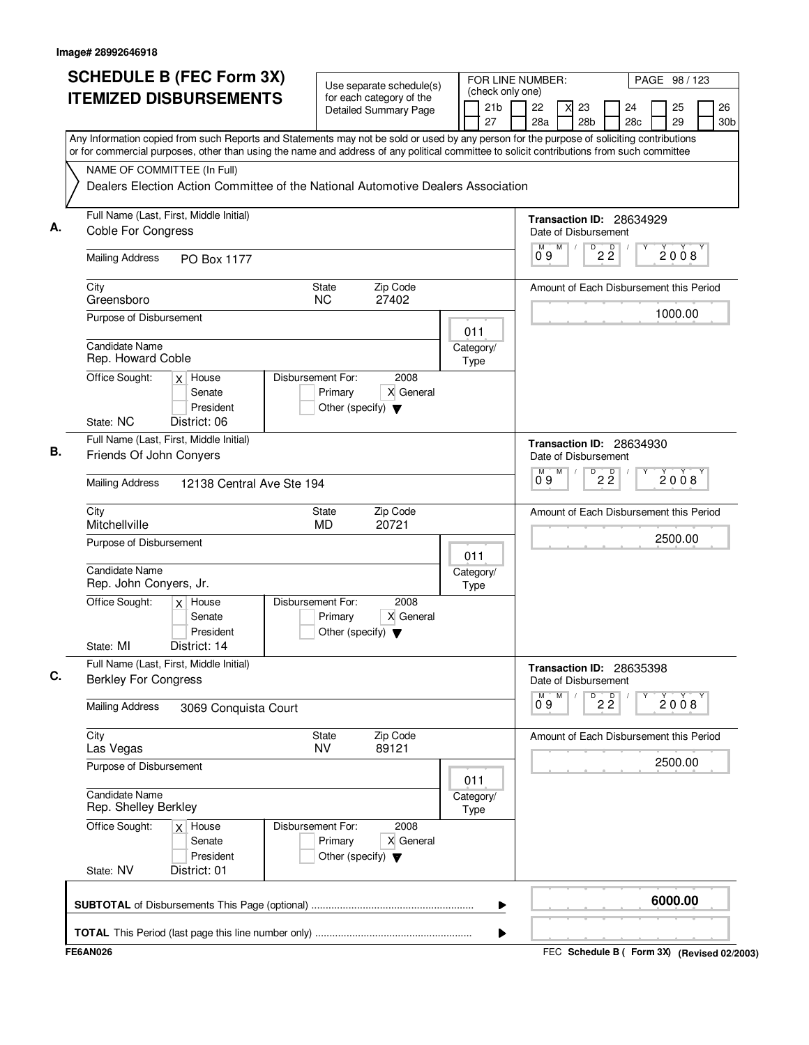| <b>SCHEDULE B (FEC Form 3X)</b>                                                                                                                                                                                                                                                        | Use separate schedule(s)                                                                  |                   |                       | FOR LINE NUMBER:<br>PAGE 98 / 123<br>(check only one) |   |                       |                               |                                         |  |          |                       |
|----------------------------------------------------------------------------------------------------------------------------------------------------------------------------------------------------------------------------------------------------------------------------------------|-------------------------------------------------------------------------------------------|-------------------|-----------------------|-------------------------------------------------------|---|-----------------------|-------------------------------|-----------------------------------------|--|----------|-----------------------|
| <b>ITEMIZED DISBURSEMENTS</b>                                                                                                                                                                                                                                                          | for each category of the<br>Detailed Summary Page                                         |                   | 21 <sub>b</sub><br>27 | 22<br>28a                                             |   | 23<br>28 <sub>b</sub> |                               | 24<br>28 <sub>c</sub>                   |  | 25<br>29 | 26<br>30 <sub>b</sub> |
| Any Information copied from such Reports and Statements may not be sold or used by any person for the purpose of soliciting contributions<br>or for commercial purposes, other than using the name and address of any political committee to solicit contributions from such committee |                                                                                           |                   |                       |                                                       |   |                       |                               |                                         |  |          |                       |
| NAME OF COMMITTEE (In Full)<br>Dealers Election Action Committee of the National Automotive Dealers Association                                                                                                                                                                        |                                                                                           |                   |                       |                                                       |   |                       |                               |                                         |  |          |                       |
| Full Name (Last, First, Middle Initial)<br><b>Coble For Congress</b>                                                                                                                                                                                                                   |                                                                                           |                   |                       | Date of Disbursement                                  |   |                       |                               | Transaction ID: 28634929                |  |          |                       |
| <b>Mailing Address</b><br>PO Box 1177                                                                                                                                                                                                                                                  |                                                                                           |                   |                       | M<br>09                                               | M | D                     | $2\frac{D}{2}$                |                                         |  | 2008     |                       |
| City<br>Greensboro                                                                                                                                                                                                                                                                     | Zip Code<br>State<br><b>NC</b><br>27402                                                   |                   |                       |                                                       |   |                       |                               | Amount of Each Disbursement this Period |  |          |                       |
| Purpose of Disbursement                                                                                                                                                                                                                                                                |                                                                                           | 011               |                       |                                                       |   |                       |                               |                                         |  | 1000.00  |                       |
| Candidate Name<br>Rep. Howard Coble<br>Office Sought:<br>$x$ House                                                                                                                                                                                                                     | Disbursement For:<br>2008                                                                 | Category/<br>Type |                       |                                                       |   |                       |                               |                                         |  |          |                       |
| Senate<br>President<br>State: NC<br>District: 06                                                                                                                                                                                                                                       | X General<br>Primary<br>Other (specify) $\blacktriangledown$                              |                   |                       |                                                       |   |                       |                               |                                         |  |          |                       |
| Full Name (Last, First, Middle Initial)                                                                                                                                                                                                                                                |                                                                                           |                   |                       |                                                       |   |                       |                               | <b>Transaction ID: 28634930</b>         |  |          |                       |
| Friends Of John Conyers                                                                                                                                                                                                                                                                |                                                                                           |                   |                       | Date of Disbursement<br>м                             | M | D                     | $\overline{2}$ $\overline{2}$ |                                         |  | 2008     |                       |
| <b>Mailing Address</b><br>12138 Central Ave Ste 194                                                                                                                                                                                                                                    |                                                                                           |                   |                       | 0.9                                                   |   |                       |                               |                                         |  |          |                       |
| City<br>Mitchellville                                                                                                                                                                                                                                                                  | <b>State</b><br>Zip Code<br><b>MD</b><br>20721                                            |                   |                       |                                                       |   |                       |                               | Amount of Each Disbursement this Period |  |          |                       |
| Purpose of Disbursement                                                                                                                                                                                                                                                                |                                                                                           | 011               |                       |                                                       |   |                       |                               |                                         |  | 2500.00  |                       |
| Candidate Name<br>Rep. John Conyers, Jr.                                                                                                                                                                                                                                               |                                                                                           | Category/<br>Type |                       |                                                       |   |                       |                               |                                         |  |          |                       |
| Office Sought:<br>$x$ House<br>Senate<br>President<br>District: 14<br>State: MI                                                                                                                                                                                                        | Disbursement For:<br>2008<br>X General<br>Primary<br>Other (specify) $\blacktriangledown$ |                   |                       |                                                       |   |                       |                               |                                         |  |          |                       |
| Full Name (Last, First, Middle Initial)<br><b>Berkley For Congress</b>                                                                                                                                                                                                                 |                                                                                           |                   |                       | Date of Disbursement                                  |   |                       |                               | Transaction ID: 28635398                |  |          |                       |
| <b>Mailing Address</b><br>3069 Conquista Court                                                                                                                                                                                                                                         |                                                                                           |                   |                       | M<br>09                                               | M | D                     | $2\overline{2}$               |                                         |  | 2008     |                       |
| City<br>Las Vegas                                                                                                                                                                                                                                                                      | State<br>Zip Code<br><b>NV</b><br>89121                                                   |                   |                       |                                                       |   |                       |                               | Amount of Each Disbursement this Period |  |          |                       |
| Purpose of Disbursement                                                                                                                                                                                                                                                                |                                                                                           | 011               |                       |                                                       |   |                       |                               |                                         |  | 2500.00  |                       |
| <b>Candidate Name</b><br>Rep. Shelley Berkley                                                                                                                                                                                                                                          |                                                                                           | Category/<br>Type |                       |                                                       |   |                       |                               |                                         |  |          |                       |
| Office Sought:<br>$x$ House<br>Senate<br>President<br>State: NV<br>District: 01                                                                                                                                                                                                        | 2008<br>Disbursement For:<br>Primary<br>X General<br>Other (specify) $\blacktriangledown$ |                   |                       |                                                       |   |                       |                               |                                         |  |          |                       |
|                                                                                                                                                                                                                                                                                        |                                                                                           |                   | ▶                     |                                                       |   |                       |                               |                                         |  | 6000.00  |                       |
|                                                                                                                                                                                                                                                                                        |                                                                                           |                   | ▶                     |                                                       |   |                       |                               |                                         |  |          |                       |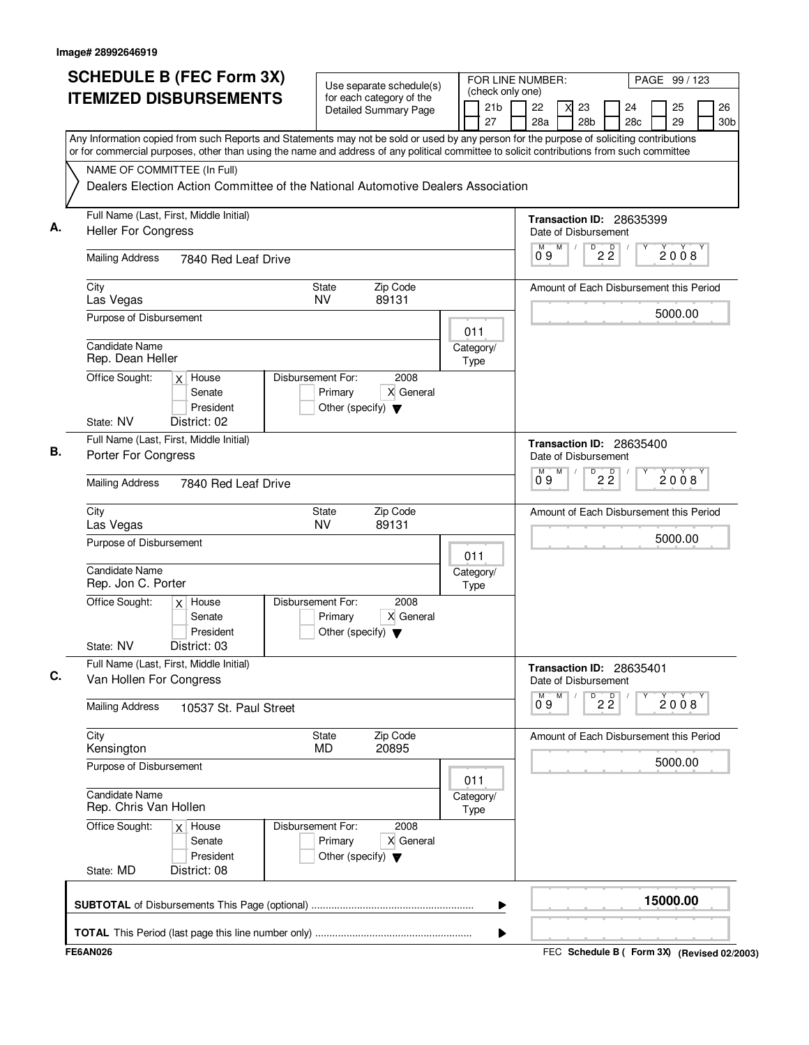| <b>SCHEDULE B (FEC Form 3X)</b><br><b>ITEMIZED DISBURSEMENTS</b>                                                                          | Use separate schedule(s)<br>for each category of the<br><b>Detailed Summary Page</b>      | FOR LINE NUMBER:<br>(check only one)<br>21 <sub>b</sub> | PAGE 99 / 123<br>26<br>22<br>23<br>24<br>25                |
|-------------------------------------------------------------------------------------------------------------------------------------------|-------------------------------------------------------------------------------------------|---------------------------------------------------------|------------------------------------------------------------|
| Any Information copied from such Reports and Statements may not be sold or used by any person for the purpose of soliciting contributions |                                                                                           | 27                                                      | 28 <sub>b</sub><br>29<br>28a<br>28c<br>30 <sub>b</sub>     |
| or for commercial purposes, other than using the name and address of any political committee to solicit contributions from such committee |                                                                                           |                                                         |                                                            |
| NAME OF COMMITTEE (In Full)                                                                                                               |                                                                                           |                                                         |                                                            |
|                                                                                                                                           | Dealers Election Action Committee of the National Automotive Dealers Association          |                                                         |                                                            |
| Full Name (Last, First, Middle Initial)<br><b>Heller For Congress</b>                                                                     |                                                                                           |                                                         | Transaction ID: 28635399<br>Date of Disbursement           |
| <b>Mailing Address</b><br>7840 Red Leaf Drive                                                                                             |                                                                                           |                                                         | D<br>$2\overline{2}$<br>M<br>M<br>2008<br>09               |
| City<br>Las Vegas                                                                                                                         | Zip Code<br>State<br><b>NV</b><br>89131                                                   |                                                         | Amount of Each Disbursement this Period                    |
| Purpose of Disbursement                                                                                                                   |                                                                                           | 011                                                     | 5000.00                                                    |
| <b>Candidate Name</b><br>Rep. Dean Heller                                                                                                 |                                                                                           | Category/<br>Type                                       |                                                            |
| Office Sought:<br>$x$ House<br>Senate<br>President                                                                                        | Disbursement For:<br>2008<br>X General<br>Primary<br>Other (specify) $\blacktriangledown$ |                                                         |                                                            |
| State: NV<br>District: 02                                                                                                                 |                                                                                           |                                                         |                                                            |
| Full Name (Last, First, Middle Initial)<br>В.<br>Porter For Congress                                                                      |                                                                                           |                                                         | Transaction ID: 28635400<br>Date of Disbursement           |
| <b>Mailing Address</b><br>7840 Red Leaf Drive                                                                                             |                                                                                           |                                                         | $\overline{P}$ 2 $\overline{2}$<br>М<br>M<br>2008<br>0.9   |
| City<br>Las Vegas                                                                                                                         | State<br>Zip Code<br><b>NV</b><br>89131                                                   |                                                         | Amount of Each Disbursement this Period                    |
| Purpose of Disbursement                                                                                                                   |                                                                                           | 011                                                     | 5000.00                                                    |
| Candidate Name<br>Rep. Jon C. Porter                                                                                                      |                                                                                           | Category/<br>Type                                       |                                                            |
| Office Sought:<br>$x$ House<br>Senate<br>President                                                                                        | Disbursement For:<br>2008<br>X General<br>Primary<br>Other (specify) $\blacktriangledown$ |                                                         |                                                            |
| District: 03<br>State: NV                                                                                                                 |                                                                                           |                                                         |                                                            |
| Full Name (Last, First, Middle Initial)<br>Van Hollen For Congress                                                                        |                                                                                           |                                                         | Transaction ID: 28635401<br>Date of Disbursement           |
| <b>Mailing Address</b><br>10537 St. Paul Street                                                                                           |                                                                                           |                                                         | M<br>D<br>М<br>$\overline{2}$ $\overline{2}$<br>2008<br>09 |
| City<br>Kensington                                                                                                                        | Zip Code<br>State<br><b>MD</b><br>20895                                                   |                                                         | Amount of Each Disbursement this Period                    |
| Purpose of Disbursement                                                                                                                   |                                                                                           | 011                                                     | 5000.00                                                    |
| <b>Candidate Name</b><br>Rep. Chris Van Hollen                                                                                            |                                                                                           | Category/<br>Type                                       |                                                            |
| Office Sought:<br>$x$ House<br>Senate<br>President                                                                                        | 2008<br>Disbursement For:<br>Primary<br>X General<br>Other (specify) $\blacktriangledown$ |                                                         |                                                            |
| State: MD<br>District: 08                                                                                                                 |                                                                                           |                                                         |                                                            |
|                                                                                                                                           |                                                                                           | ▶                                                       | 15000.00                                                   |
|                                                                                                                                           |                                                                                           | ▶                                                       |                                                            |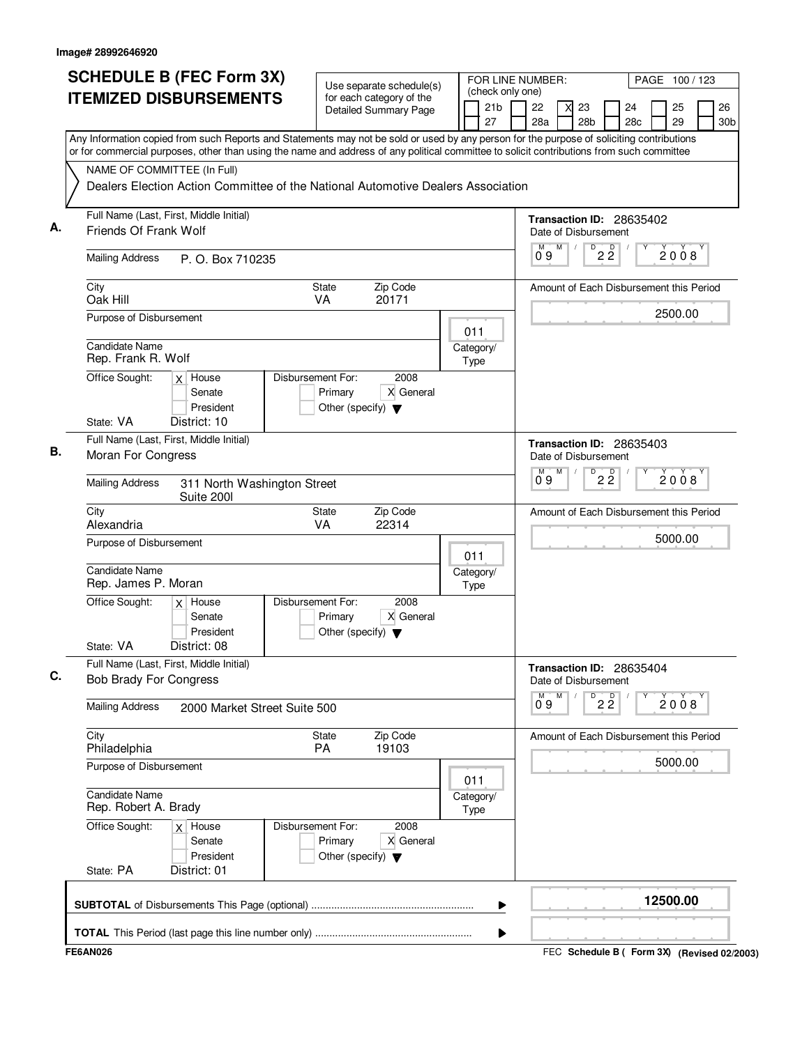|                                               | <b>SCHEDULE B (FEC Form 3X)</b><br><b>ITEMIZED DISBURSEMENTS</b> |                                                                                  | Use separate schedule(s)<br>for each category of the<br><b>Detailed Summary Page</b> | (check only one)<br>21 <sub>b</sub><br>27 | FOR LINE NUMBER:<br>22<br>23<br>28 <sub>b</sub><br>28a                                                                                                                                                                                                                                 | PAGE 100 / 123<br>26<br>24<br>25<br>29<br>28c<br>30b |
|-----------------------------------------------|------------------------------------------------------------------|----------------------------------------------------------------------------------|--------------------------------------------------------------------------------------|-------------------------------------------|----------------------------------------------------------------------------------------------------------------------------------------------------------------------------------------------------------------------------------------------------------------------------------------|------------------------------------------------------|
| NAME OF COMMITTEE (In Full)                   |                                                                  | Dealers Election Action Committee of the National Automotive Dealers Association |                                                                                      |                                           | Any Information copied from such Reports and Statements may not be sold or used by any person for the purpose of soliciting contributions<br>or for commercial purposes, other than using the name and address of any political committee to solicit contributions from such committee |                                                      |
|                                               | Full Name (Last, First, Middle Initial)                          |                                                                                  |                                                                                      |                                           |                                                                                                                                                                                                                                                                                        |                                                      |
| Friends Of Frank Wolf                         |                                                                  |                                                                                  |                                                                                      |                                           | Transaction ID: 28635402<br>Date of Disbursement                                                                                                                                                                                                                                       |                                                      |
| <b>Mailing Address</b>                        | P. O. Box 710235                                                 |                                                                                  |                                                                                      |                                           | D<br>M<br>$2\,$ $2\,$<br>09                                                                                                                                                                                                                                                            | 2008                                                 |
| City<br>Oak Hill                              |                                                                  | State<br>VA                                                                      | Zip Code<br>20171                                                                    |                                           |                                                                                                                                                                                                                                                                                        | Amount of Each Disbursement this Period              |
| Purpose of Disbursement                       |                                                                  |                                                                                  |                                                                                      | 011                                       |                                                                                                                                                                                                                                                                                        | 2500.00                                              |
| Candidate Name<br>Rep. Frank R. Wolf          |                                                                  |                                                                                  |                                                                                      | Category/<br>Type                         |                                                                                                                                                                                                                                                                                        |                                                      |
| Office Sought:<br>State: VA                   | $x$ House<br>Senate<br>President<br>District: 10                 | Disbursement For:<br>Primary<br>Other (specify) $\blacktriangledown$             | 2008<br>X General                                                                    |                                           |                                                                                                                                                                                                                                                                                        |                                                      |
|                                               | Full Name (Last, First, Middle Initial)                          |                                                                                  |                                                                                      |                                           | Transaction ID: 28635403                                                                                                                                                                                                                                                               |                                                      |
| Moran For Congress                            |                                                                  |                                                                                  |                                                                                      |                                           | Date of Disbursement                                                                                                                                                                                                                                                                   |                                                      |
| <b>Mailing Address</b>                        | 311 North Washington Street<br>Suite 200l                        |                                                                                  |                                                                                      |                                           | M<br>$\overline{P}$ 2 $\overline{2}$<br>Ő 9                                                                                                                                                                                                                                            | 2008                                                 |
| City<br>Alexandria                            |                                                                  | <b>State</b><br>VA                                                               | Zip Code<br>22314                                                                    |                                           |                                                                                                                                                                                                                                                                                        | Amount of Each Disbursement this Period              |
| Purpose of Disbursement                       |                                                                  |                                                                                  |                                                                                      | 011                                       |                                                                                                                                                                                                                                                                                        | 5000.00                                              |
| Candidate Name<br>Rep. James P. Moran         |                                                                  |                                                                                  |                                                                                      | Category/<br>Type                         |                                                                                                                                                                                                                                                                                        |                                                      |
| Office Sought:<br>State: VA                   | $x$ House<br>Senate<br>President<br>District: 08                 | Disbursement For:<br>Primary<br>Other (specify) $\blacktriangledown$             | 2008<br>X General                                                                    |                                           |                                                                                                                                                                                                                                                                                        |                                                      |
| <b>Bob Brady For Congress</b>                 | Full Name (Last, First, Middle Initial)                          |                                                                                  |                                                                                      |                                           | Transaction ID: 28635404<br>Date of Disbursement                                                                                                                                                                                                                                       |                                                      |
| <b>Mailing Address</b>                        | 2000 Market Street Suite 500                                     |                                                                                  |                                                                                      |                                           | M<br>D<br>М<br>$2\overline{2}$<br>09                                                                                                                                                                                                                                                   | 2008                                                 |
| City<br>Philadelphia                          |                                                                  | State<br><b>PA</b>                                                               | Zip Code<br>19103                                                                    |                                           |                                                                                                                                                                                                                                                                                        | Amount of Each Disbursement this Period              |
| Purpose of Disbursement                       |                                                                  |                                                                                  |                                                                                      | 011                                       |                                                                                                                                                                                                                                                                                        | 5000.00                                              |
| <b>Candidate Name</b><br>Rep. Robert A. Brady |                                                                  |                                                                                  |                                                                                      | Category/<br>Type                         |                                                                                                                                                                                                                                                                                        |                                                      |
| Office Sought:                                | $x$ House<br>Senate<br>President                                 | Disbursement For:<br>Primary<br>Other (specify) $\blacktriangledown$             | 2008<br>X General                                                                    |                                           |                                                                                                                                                                                                                                                                                        |                                                      |
| State: PA                                     | District: 01                                                     |                                                                                  |                                                                                      |                                           |                                                                                                                                                                                                                                                                                        |                                                      |
|                                               |                                                                  |                                                                                  |                                                                                      | ▶                                         |                                                                                                                                                                                                                                                                                        | 12500.00                                             |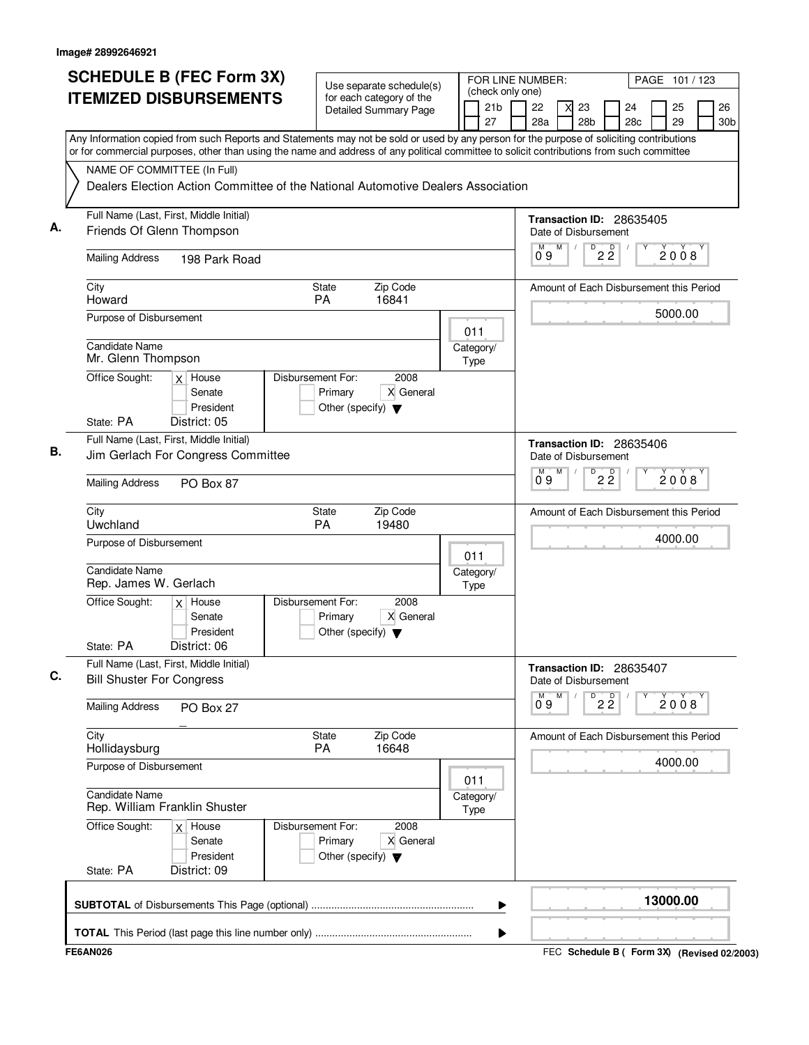|    | <b>SCHEDULE B (FEC Form 3X)</b><br><b>ITEMIZED DISBURSEMENTS</b>                                                                                                                                                                                                                       |                                                                      | Use separate schedule(s)<br>for each category of the |                   | (check only one)      | FOR LINE NUMBER:   |   |                                 |                                 | PAGE 101 / 123                          |          |                       |  |  |  |
|----|----------------------------------------------------------------------------------------------------------------------------------------------------------------------------------------------------------------------------------------------------------------------------------------|----------------------------------------------------------------------|------------------------------------------------------|-------------------|-----------------------|--------------------|---|---------------------------------|---------------------------------|-----------------------------------------|----------|-----------------------|--|--|--|
|    |                                                                                                                                                                                                                                                                                        |                                                                      | Detailed Summary Page                                |                   | 21 <sub>b</sub><br>27 | 22<br>28a          |   | 23<br>28 <sub>b</sub>           |                                 | 24<br>28c                               | 25<br>29 | 26<br>30 <sub>b</sub> |  |  |  |
|    | Any Information copied from such Reports and Statements may not be sold or used by any person for the purpose of soliciting contributions<br>or for commercial purposes, other than using the name and address of any political committee to solicit contributions from such committee |                                                                      |                                                      |                   |                       |                    |   |                                 |                                 |                                         |          |                       |  |  |  |
|    | NAME OF COMMITTEE (In Full)                                                                                                                                                                                                                                                            |                                                                      |                                                      |                   |                       |                    |   |                                 |                                 |                                         |          |                       |  |  |  |
|    | Dealers Election Action Committee of the National Automotive Dealers Association                                                                                                                                                                                                       |                                                                      |                                                      |                   |                       |                    |   |                                 |                                 |                                         |          |                       |  |  |  |
| А. | Full Name (Last, First, Middle Initial)<br>Friends Of Glenn Thompson                                                                                                                                                                                                                   |                                                                      |                                                      |                   |                       |                    |   | Date of Disbursement            |                                 | Transaction ID: 28635405                |          |                       |  |  |  |
|    | <b>Mailing Address</b><br>198 Park Road                                                                                                                                                                                                                                                |                                                                      |                                                      |                   |                       | М<br>09            | M | $\overline{P}$ 2 $\overline{2}$ |                                 |                                         | 2008     |                       |  |  |  |
|    | City<br>Howard                                                                                                                                                                                                                                                                         | State<br>PA                                                          | Zip Code<br>16841                                    |                   |                       |                    |   |                                 |                                 | Amount of Each Disbursement this Period |          |                       |  |  |  |
|    | Purpose of Disbursement                                                                                                                                                                                                                                                                |                                                                      |                                                      | 011               |                       |                    |   |                                 |                                 |                                         | 5000.00  |                       |  |  |  |
|    | <b>Candidate Name</b><br>Mr. Glenn Thompson                                                                                                                                                                                                                                            |                                                                      |                                                      | Category/<br>Type |                       |                    |   |                                 |                                 |                                         |          |                       |  |  |  |
|    | Office Sought:<br>$x$ House<br>Senate<br>President                                                                                                                                                                                                                                     | Disbursement For:<br>Primary<br>Other (specify) $\blacktriangledown$ | 2008<br>X General                                    |                   |                       |                    |   |                                 |                                 |                                         |          |                       |  |  |  |
|    | State: PA<br>District: 05                                                                                                                                                                                                                                                              |                                                                      |                                                      |                   |                       |                    |   |                                 |                                 |                                         |          |                       |  |  |  |
| В. | Full Name (Last, First, Middle Initial)<br>Jim Gerlach For Congress Committee                                                                                                                                                                                                          |                                                                      |                                                      |                   |                       |                    | M | Date of Disbursement<br>D       |                                 | Transaction ID: 28635406                |          |                       |  |  |  |
|    | <b>Mailing Address</b><br>PO Box 87                                                                                                                                                                                                                                                    |                                                                      |                                                      |                   |                       | $\overline{0}^M$ 9 |   |                                 | $\overline{2}$ $\overline{2}$   |                                         | 2008     |                       |  |  |  |
|    | City<br>Uwchland                                                                                                                                                                                                                                                                       | <b>State</b><br>PA                                                   | Zip Code<br>19480                                    |                   |                       |                    |   |                                 |                                 | Amount of Each Disbursement this Period |          |                       |  |  |  |
|    | Purpose of Disbursement                                                                                                                                                                                                                                                                |                                                                      |                                                      | 011               |                       |                    |   |                                 |                                 |                                         | 4000.00  |                       |  |  |  |
|    | <b>Candidate Name</b><br>Rep. James W. Gerlach                                                                                                                                                                                                                                         |                                                                      |                                                      | Category/<br>Type |                       |                    |   |                                 |                                 |                                         |          |                       |  |  |  |
|    | Office Sought:<br>$x$ House<br>Senate<br>President                                                                                                                                                                                                                                     | Disbursement For:<br>Primary<br>Other (specify) $\blacktriangledown$ | 2008<br>X General                                    |                   |                       |                    |   |                                 |                                 |                                         |          |                       |  |  |  |
|    | State: PA<br>District: 06                                                                                                                                                                                                                                                              |                                                                      |                                                      |                   |                       |                    |   |                                 |                                 |                                         |          |                       |  |  |  |
| C. | Full Name (Last, First, Middle Initial)<br><b>Bill Shuster For Congress</b>                                                                                                                                                                                                            |                                                                      |                                                      |                   |                       |                    |   | Date of Disbursement            |                                 | Transaction ID: 28635407                |          |                       |  |  |  |
|    | <b>Mailing Address</b><br>PO Box 27                                                                                                                                                                                                                                                    |                                                                      |                                                      |                   |                       | м<br>09            | M |                                 | $\overline{P}$ 2 $\overline{2}$ |                                         | 2008     |                       |  |  |  |
|    | City<br>Hollidaysburg                                                                                                                                                                                                                                                                  | State<br><b>PA</b>                                                   | Zip Code<br>16648                                    |                   |                       |                    |   |                                 |                                 | Amount of Each Disbursement this Period |          |                       |  |  |  |
|    | Purpose of Disbursement                                                                                                                                                                                                                                                                |                                                                      |                                                      | 011               |                       |                    |   |                                 |                                 |                                         | 4000.00  |                       |  |  |  |
|    | Candidate Name<br>Rep. William Franklin Shuster                                                                                                                                                                                                                                        |                                                                      |                                                      | Category/<br>Type |                       |                    |   |                                 |                                 |                                         |          |                       |  |  |  |
|    | Office Sought:<br>$x$ House<br>Senate<br>President                                                                                                                                                                                                                                     | Disbursement For:<br>Primary<br>Other (specify) $\blacktriangledown$ | 2008<br>X General                                    |                   |                       |                    |   |                                 |                                 |                                         |          |                       |  |  |  |
|    | District: 09<br>State: PA                                                                                                                                                                                                                                                              |                                                                      |                                                      |                   |                       |                    |   |                                 |                                 |                                         |          |                       |  |  |  |
|    |                                                                                                                                                                                                                                                                                        |                                                                      |                                                      |                   | ▶                     |                    |   |                                 |                                 |                                         | 13000.00 |                       |  |  |  |
|    |                                                                                                                                                                                                                                                                                        |                                                                      |                                                      |                   | ▶                     |                    |   |                                 |                                 |                                         |          |                       |  |  |  |
|    |                                                                                                                                                                                                                                                                                        |                                                                      |                                                      |                   |                       |                    |   |                                 |                                 |                                         |          |                       |  |  |  |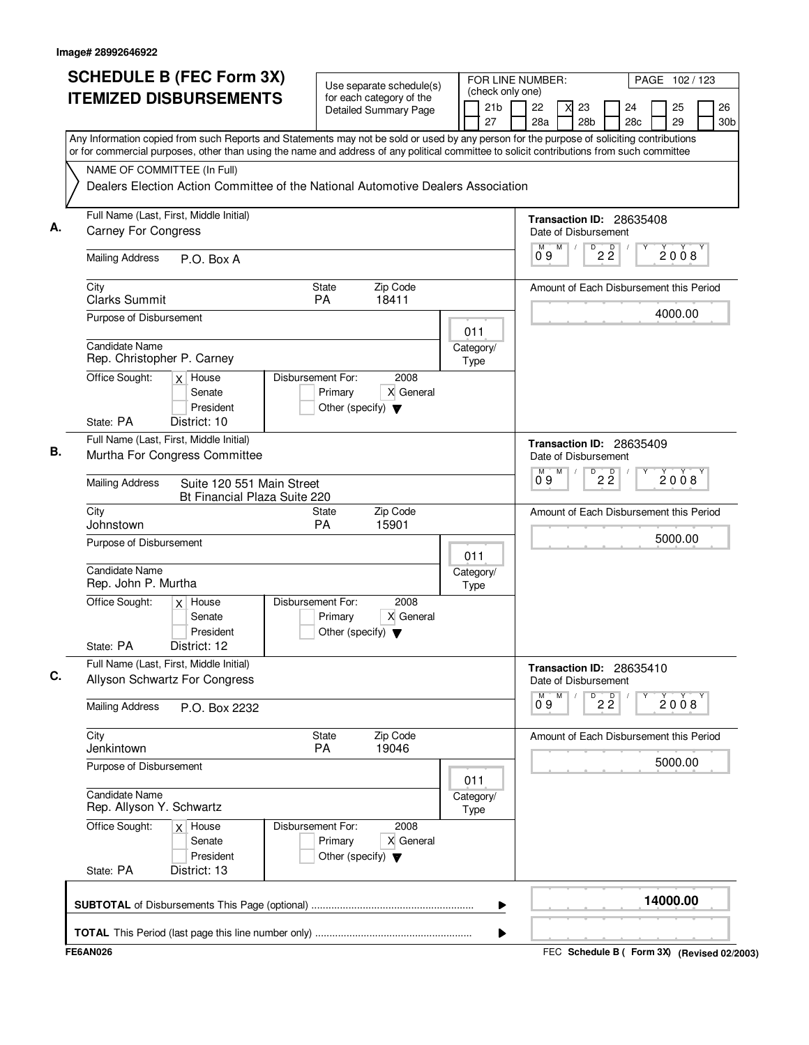| <b>SCHEDULE B (FEC Form 3X)</b>                                                                                                                                                                                                                                                        | Use separate schedule(s)                                                                  | FOR LINE NUMBER:<br>(check only one) | PAGE 102 / 123                                                  |                                                            |
|----------------------------------------------------------------------------------------------------------------------------------------------------------------------------------------------------------------------------------------------------------------------------------------|-------------------------------------------------------------------------------------------|--------------------------------------|-----------------------------------------------------------------|------------------------------------------------------------|
| <b>ITEMIZED DISBURSEMENTS</b>                                                                                                                                                                                                                                                          | for each category of the<br><b>Detailed Summary Page</b>                                  | 21 <sub>b</sub><br>27                | 22<br>23<br>28a<br>28 <sub>b</sub>                              | 26<br>24<br>25<br>28 <sub>c</sub><br>29<br>30 <sub>b</sub> |
| Any Information copied from such Reports and Statements may not be sold or used by any person for the purpose of soliciting contributions<br>or for commercial purposes, other than using the name and address of any political committee to solicit contributions from such committee |                                                                                           |                                      |                                                                 |                                                            |
| NAME OF COMMITTEE (In Full)                                                                                                                                                                                                                                                            |                                                                                           |                                      |                                                                 |                                                            |
| Dealers Election Action Committee of the National Automotive Dealers Association                                                                                                                                                                                                       |                                                                                           |                                      |                                                                 |                                                            |
| Full Name (Last, First, Middle Initial)                                                                                                                                                                                                                                                |                                                                                           |                                      | Transaction ID: 28635408                                        |                                                            |
| <b>Carney For Congress</b>                                                                                                                                                                                                                                                             |                                                                                           |                                      | Date of Disbursement<br>M                                       |                                                            |
| <b>Mailing Address</b><br>P.O. Box A                                                                                                                                                                                                                                                   |                                                                                           |                                      | 09                                                              | $\overline{P}$ 2 $\overline{2}$<br>2008                    |
| City<br><b>Clarks Summit</b>                                                                                                                                                                                                                                                           | Zip Code<br>State<br><b>PA</b><br>18411                                                   |                                      |                                                                 | Amount of Each Disbursement this Period                    |
| Purpose of Disbursement                                                                                                                                                                                                                                                                |                                                                                           |                                      |                                                                 | 4000.00                                                    |
| <b>Candidate Name</b>                                                                                                                                                                                                                                                                  |                                                                                           | 011<br>Category/                     |                                                                 |                                                            |
| Rep. Christopher P. Carney                                                                                                                                                                                                                                                             |                                                                                           | Type                                 |                                                                 |                                                            |
| Office Sought:<br>$x$ House<br>Senate<br>President                                                                                                                                                                                                                                     | Disbursement For:<br>2008<br>X General<br>Primary<br>Other (specify) $\blacktriangledown$ |                                      |                                                                 |                                                            |
| State: PA<br>District: 10                                                                                                                                                                                                                                                              |                                                                                           |                                      |                                                                 |                                                            |
| Full Name (Last, First, Middle Initial)                                                                                                                                                                                                                                                |                                                                                           |                                      | Transaction ID: 28635409                                        |                                                            |
| Murtha For Congress Committee                                                                                                                                                                                                                                                          |                                                                                           |                                      | Date of Disbursement<br>М<br>D<br>м                             |                                                            |
| <b>Mailing Address</b><br>Suite 120 551 Main Street<br>Bt Financial Plaza Suite 220                                                                                                                                                                                                    |                                                                                           |                                      | ő 9                                                             | $2\overline{2}$<br>2008                                    |
| City<br>Johnstown                                                                                                                                                                                                                                                                      | Zip Code<br><b>State</b><br>PA<br>15901                                                   |                                      |                                                                 | Amount of Each Disbursement this Period                    |
| Purpose of Disbursement                                                                                                                                                                                                                                                                |                                                                                           | 011                                  |                                                                 | 5000.00                                                    |
| <b>Candidate Name</b><br>Rep. John P. Murtha                                                                                                                                                                                                                                           |                                                                                           | Category/<br>Type                    |                                                                 |                                                            |
| Office Sought:<br>$x$ House<br>Senate<br>President<br>State: PA<br>District: 12                                                                                                                                                                                                        | Disbursement For:<br>2008<br>X General<br>Primary<br>Other (specify) $\blacktriangledown$ |                                      |                                                                 |                                                            |
| Full Name (Last, First, Middle Initial)                                                                                                                                                                                                                                                |                                                                                           |                                      |                                                                 |                                                            |
| Allyson Schwartz For Congress                                                                                                                                                                                                                                                          |                                                                                           |                                      | Transaction ID: 28635410<br>Date of Disbursement<br>М<br>M<br>D |                                                            |
| <b>Mailing Address</b><br>P.O. Box 2232                                                                                                                                                                                                                                                |                                                                                           |                                      | 09                                                              | $2\overline{2}$<br>2008                                    |
| City<br>Jenkintown                                                                                                                                                                                                                                                                     | Zip Code<br><b>State</b><br>19046<br><b>PA</b>                                            |                                      |                                                                 | Amount of Each Disbursement this Period                    |
| Purpose of Disbursement                                                                                                                                                                                                                                                                |                                                                                           | 011                                  |                                                                 | 5000.00                                                    |
| Candidate Name<br>Rep. Allyson Y. Schwartz                                                                                                                                                                                                                                             |                                                                                           | Category/<br>Type                    |                                                                 |                                                            |
| Office Sought:<br>$x$ House<br>Senate<br>President<br>State: PA<br>District: 13                                                                                                                                                                                                        | Disbursement For:<br>2008<br>X General<br>Primary<br>Other (specify) $\blacktriangledown$ |                                      |                                                                 |                                                            |
|                                                                                                                                                                                                                                                                                        |                                                                                           |                                      |                                                                 |                                                            |
|                                                                                                                                                                                                                                                                                        |                                                                                           | ▶                                    |                                                                 | 14000.00                                                   |
|                                                                                                                                                                                                                                                                                        |                                                                                           | ▶                                    |                                                                 |                                                            |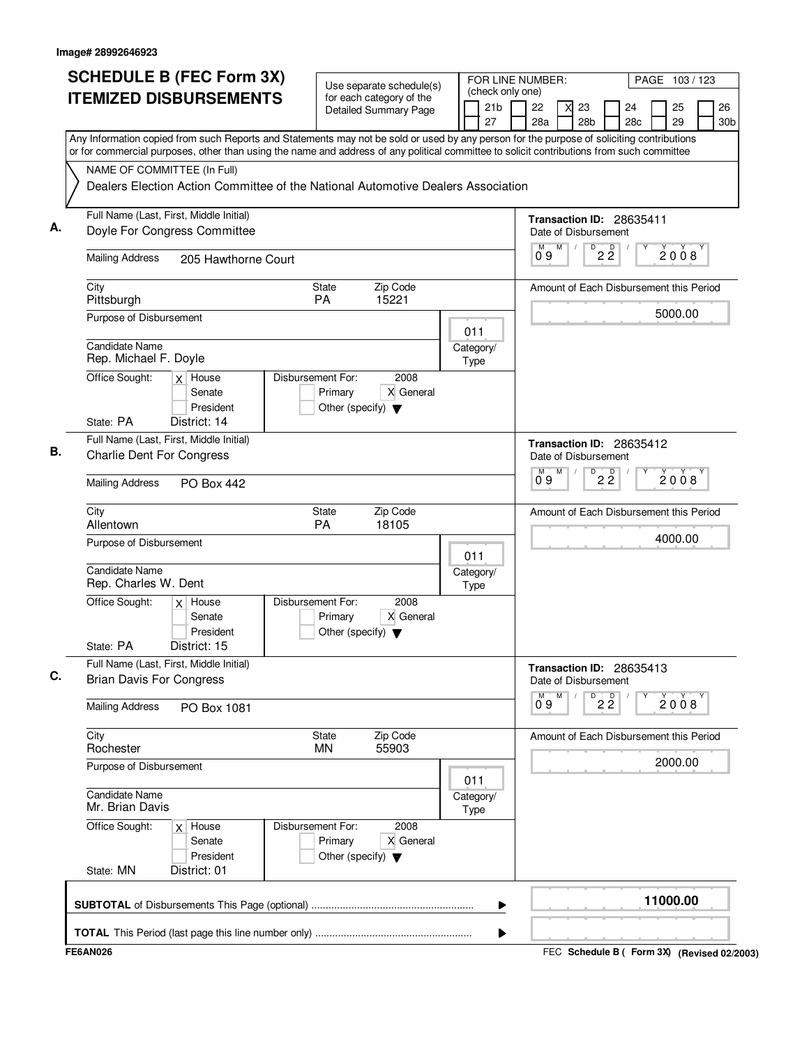| <b>SCHEDULE B (FEC Form 3X)</b>                                                                                                                                                                                                                                                        | Use separate schedule(s)                                                                  | (check only one)      | FOR LINE NUMBER:  |                                                  | PAGE 103/123 |  |          |                       |  |  |  |
|----------------------------------------------------------------------------------------------------------------------------------------------------------------------------------------------------------------------------------------------------------------------------------------|-------------------------------------------------------------------------------------------|-----------------------|-------------------|--------------------------------------------------|--------------|--|----------|-----------------------|--|--|--|
| <b>ITEMIZED DISBURSEMENTS</b>                                                                                                                                                                                                                                                          | for each category of the<br><b>Detailed Summary Page</b>                                  | 21 <sub>b</sub><br>27 | 22<br>28a         | 23<br>28 <sub>b</sub>                            | 24<br>28c    |  | 25<br>29 | 26<br>30 <sub>b</sub> |  |  |  |
| Any Information copied from such Reports and Statements may not be sold or used by any person for the purpose of soliciting contributions<br>or for commercial purposes, other than using the name and address of any political committee to solicit contributions from such committee |                                                                                           |                       |                   |                                                  |              |  |          |                       |  |  |  |
| NAME OF COMMITTEE (In Full)                                                                                                                                                                                                                                                            | Dealers Election Action Committee of the National Automotive Dealers Association          |                       |                   |                                                  |              |  |          |                       |  |  |  |
| Full Name (Last, First, Middle Initial)<br>Doyle For Congress Committee                                                                                                                                                                                                                |                                                                                           |                       |                   | Transaction ID: 28635411<br>Date of Disbursement |              |  |          |                       |  |  |  |
| <b>Mailing Address</b><br>205 Hawthorne Court                                                                                                                                                                                                                                          |                                                                                           |                       | M<br>09           | $D$ <sub>2</sub> $\overline{2}$                  |              |  | 2008     |                       |  |  |  |
| City<br>Pittsburgh                                                                                                                                                                                                                                                                     | State<br>Zip Code<br><b>PA</b><br>15221                                                   |                       |                   | Amount of Each Disbursement this Period          |              |  |          |                       |  |  |  |
| Purpose of Disbursement                                                                                                                                                                                                                                                                |                                                                                           | 011                   |                   |                                                  |              |  | 5000.00  |                       |  |  |  |
| Candidate Name<br>Rep. Michael F. Doyle                                                                                                                                                                                                                                                |                                                                                           | Category/<br>Type     |                   |                                                  |              |  |          |                       |  |  |  |
| Office Sought:<br>$x$ House<br>Senate<br>President                                                                                                                                                                                                                                     | 2008<br>Disbursement For:<br>X General<br>Primary<br>Other (specify) $\blacktriangledown$ |                       |                   |                                                  |              |  |          |                       |  |  |  |
| State: PA<br>District: 14<br>Full Name (Last, First, Middle Initial)                                                                                                                                                                                                                   |                                                                                           |                       |                   | Transaction ID: 28635412                         |              |  |          |                       |  |  |  |
| <b>Charlie Dent For Congress</b>                                                                                                                                                                                                                                                       |                                                                                           |                       |                   | Date of Disbursement                             |              |  |          |                       |  |  |  |
| <b>Mailing Address</b><br><b>PO Box 442</b>                                                                                                                                                                                                                                            |                                                                                           |                       | M<br>$0^{\circ}9$ | D<br>$2\overline{2}$                             |              |  | 2008     |                       |  |  |  |
| City<br>Allentown                                                                                                                                                                                                                                                                      | Zip Code<br><b>State</b><br>PA<br>18105                                                   |                       |                   | Amount of Each Disbursement this Period          |              |  |          |                       |  |  |  |
| Purpose of Disbursement                                                                                                                                                                                                                                                                |                                                                                           | 011                   |                   |                                                  |              |  | 4000.00  |                       |  |  |  |
| <b>Candidate Name</b><br>Rep. Charles W. Dent                                                                                                                                                                                                                                          |                                                                                           | Category/<br>Type     |                   |                                                  |              |  |          |                       |  |  |  |
| Office Sought:<br>$x$ House<br>Senate<br>President                                                                                                                                                                                                                                     | Disbursement For:<br>2008<br>Primary<br>X General<br>Other (specify) $\blacktriangledown$ |                       |                   |                                                  |              |  |          |                       |  |  |  |
| State: PA<br>District: 15<br>Full Name (Last, First, Middle Initial)                                                                                                                                                                                                                   |                                                                                           |                       |                   | Transaction ID: 28635413                         |              |  |          |                       |  |  |  |
| <b>Brian Davis For Congress</b>                                                                                                                                                                                                                                                        |                                                                                           |                       | M<br>M            | Date of Disbursement                             |              |  |          |                       |  |  |  |
| <b>Mailing Address</b><br>PO Box 1081                                                                                                                                                                                                                                                  |                                                                                           |                       | 09                | 22                                               |              |  | 2008     |                       |  |  |  |
| City<br>Rochester                                                                                                                                                                                                                                                                      | Zip Code<br>State<br>55903<br><b>MN</b>                                                   |                       |                   | Amount of Each Disbursement this Period          |              |  |          |                       |  |  |  |
| Purpose of Disbursement                                                                                                                                                                                                                                                                |                                                                                           | 011                   |                   |                                                  |              |  | 2000.00  |                       |  |  |  |
| <b>Candidate Name</b><br>Mr. Brian Davis                                                                                                                                                                                                                                               |                                                                                           | Category/<br>Type     |                   |                                                  |              |  |          |                       |  |  |  |
| Office Sought:<br>$x$ House<br>Senate<br>President                                                                                                                                                                                                                                     | Disbursement For:<br>2008<br>Primary<br>X General<br>Other (specify) $\blacktriangledown$ |                       |                   |                                                  |              |  |          |                       |  |  |  |
| District: 01<br>State: MN                                                                                                                                                                                                                                                              |                                                                                           |                       |                   |                                                  |              |  |          |                       |  |  |  |
|                                                                                                                                                                                                                                                                                        |                                                                                           | ▶                     |                   |                                                  |              |  | 11000.00 |                       |  |  |  |
|                                                                                                                                                                                                                                                                                        |                                                                                           | ▶                     |                   |                                                  |              |  |          |                       |  |  |  |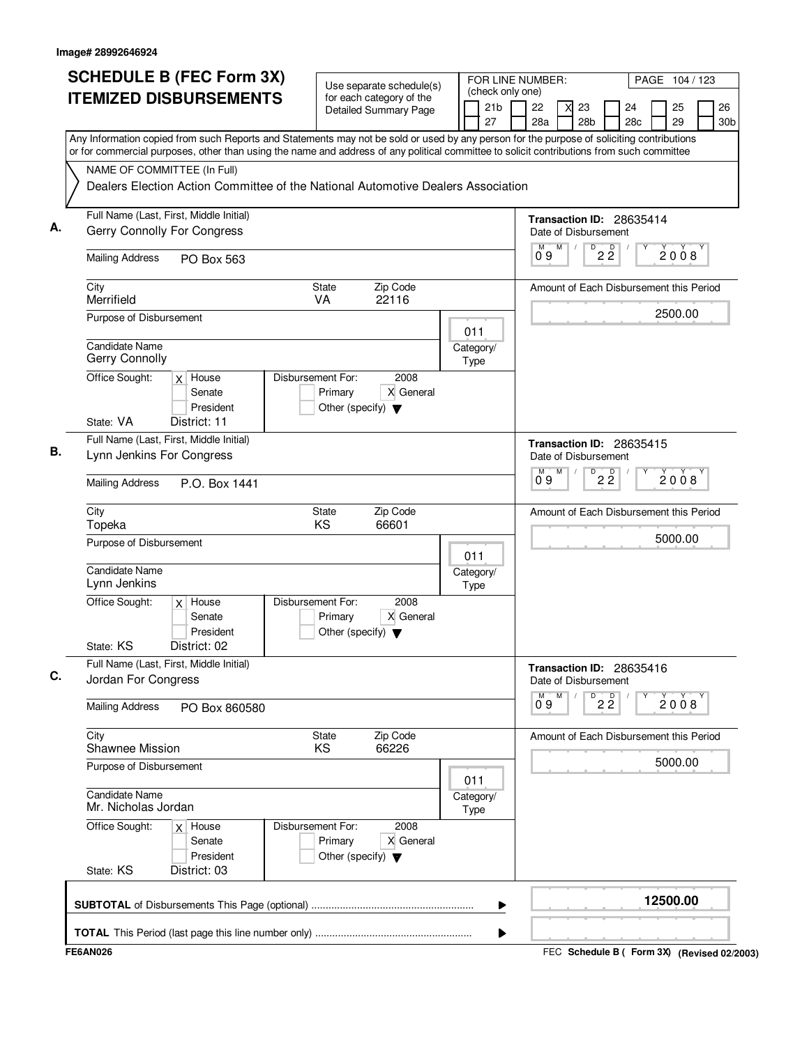| <b>SCHEDULE B (FEC Form 3X)</b>                                                                                                                                                                                                                                                        | Use separate schedule(s)                                                                  | FOR LINE NUMBER:<br>(check only one) | PAGE 104 / 123                                                                                   |
|----------------------------------------------------------------------------------------------------------------------------------------------------------------------------------------------------------------------------------------------------------------------------------------|-------------------------------------------------------------------------------------------|--------------------------------------|--------------------------------------------------------------------------------------------------|
| <b>ITEMIZED DISBURSEMENTS</b>                                                                                                                                                                                                                                                          | for each category of the<br><b>Detailed Summary Page</b>                                  | 21 <sub>b</sub><br>27                | 22<br>26<br>23<br>24<br>25<br>28a<br>28 <sub>b</sub><br>28 <sub>c</sub><br>29<br>30 <sub>b</sub> |
| Any Information copied from such Reports and Statements may not be sold or used by any person for the purpose of soliciting contributions<br>or for commercial purposes, other than using the name and address of any political committee to solicit contributions from such committee |                                                                                           |                                      |                                                                                                  |
| NAME OF COMMITTEE (In Full)                                                                                                                                                                                                                                                            |                                                                                           |                                      |                                                                                                  |
| Dealers Election Action Committee of the National Automotive Dealers Association                                                                                                                                                                                                       |                                                                                           |                                      |                                                                                                  |
| Full Name (Last, First, Middle Initial)<br>Gerry Connolly For Congress                                                                                                                                                                                                                 |                                                                                           |                                      | Transaction ID: 28635414<br>Date of Disbursement                                                 |
| <b>Mailing Address</b><br>PO Box 563                                                                                                                                                                                                                                                   |                                                                                           |                                      | M<br>$\overline{P}$ 2 $\overline{2}$<br>2008<br>09                                               |
| City<br>Merrifield                                                                                                                                                                                                                                                                     | Zip Code<br><b>State</b><br><b>VA</b><br>22116                                            |                                      | Amount of Each Disbursement this Period                                                          |
| Purpose of Disbursement                                                                                                                                                                                                                                                                |                                                                                           | 011                                  | 2500.00                                                                                          |
| <b>Candidate Name</b><br>Gerry Connolly                                                                                                                                                                                                                                                |                                                                                           | Category/<br>Type                    |                                                                                                  |
| Office Sought:<br>$x$ House<br>Senate<br>President                                                                                                                                                                                                                                     | Disbursement For:<br>2008<br>X General<br>Primary<br>Other (specify) $\blacktriangledown$ |                                      |                                                                                                  |
| State: VA<br>District: 11                                                                                                                                                                                                                                                              |                                                                                           |                                      |                                                                                                  |
| Full Name (Last, First, Middle Initial)<br>Lynn Jenkins For Congress                                                                                                                                                                                                                   |                                                                                           |                                      | Transaction ID: 28635415<br>Date of Disbursement                                                 |
| <b>Mailing Address</b><br>P.O. Box 1441                                                                                                                                                                                                                                                |                                                                                           |                                      | $2\overline{2}$<br>М<br>D<br>м<br>2008<br>ő 9                                                    |
| City<br>Topeka                                                                                                                                                                                                                                                                         | Zip Code<br><b>State</b><br>KS<br>66601                                                   |                                      | Amount of Each Disbursement this Period                                                          |
| Purpose of Disbursement                                                                                                                                                                                                                                                                |                                                                                           | 011                                  | 5000.00                                                                                          |
| <b>Candidate Name</b><br>Lynn Jenkins                                                                                                                                                                                                                                                  |                                                                                           | Category/<br>Type                    |                                                                                                  |
| Office Sought:<br>$x$ House<br>Senate<br>President                                                                                                                                                                                                                                     | Disbursement For:<br>2008<br>X General<br>Primary<br>Other (specify) $\blacktriangledown$ |                                      |                                                                                                  |
| State: KS<br>District: 02<br>Full Name (Last, First, Middle Initial)                                                                                                                                                                                                                   |                                                                                           |                                      |                                                                                                  |
| Jordan For Congress                                                                                                                                                                                                                                                                    |                                                                                           |                                      | Transaction ID: 28635416<br>Date of Disbursement<br>М<br>M                                       |
| <b>Mailing Address</b><br>PO Box 860580                                                                                                                                                                                                                                                |                                                                                           |                                      | $D^D$ 2 $\overline{2}$<br>2008<br>09                                                             |
| City<br>Shawnee Mission                                                                                                                                                                                                                                                                | Zip Code<br><b>State</b><br>66226<br>KS                                                   |                                      | Amount of Each Disbursement this Period                                                          |
| Purpose of Disbursement                                                                                                                                                                                                                                                                |                                                                                           | 011                                  | 5000.00                                                                                          |
| Candidate Name<br>Mr. Nicholas Jordan                                                                                                                                                                                                                                                  |                                                                                           | Category/<br>Type                    |                                                                                                  |
| Office Sought:<br>$x$ House<br>Senate<br>President<br>State: KS<br>District: 03                                                                                                                                                                                                        | Disbursement For:<br>2008<br>X General<br>Primary<br>Other (specify) $\blacktriangledown$ |                                      |                                                                                                  |
|                                                                                                                                                                                                                                                                                        |                                                                                           | ▶                                    | 12500.00                                                                                         |
|                                                                                                                                                                                                                                                                                        |                                                                                           | ▶                                    |                                                                                                  |
| <b>FE6AN026</b>                                                                                                                                                                                                                                                                        |                                                                                           |                                      | FEC Schedule B ( Form 3X) (Revised 02/2003)                                                      |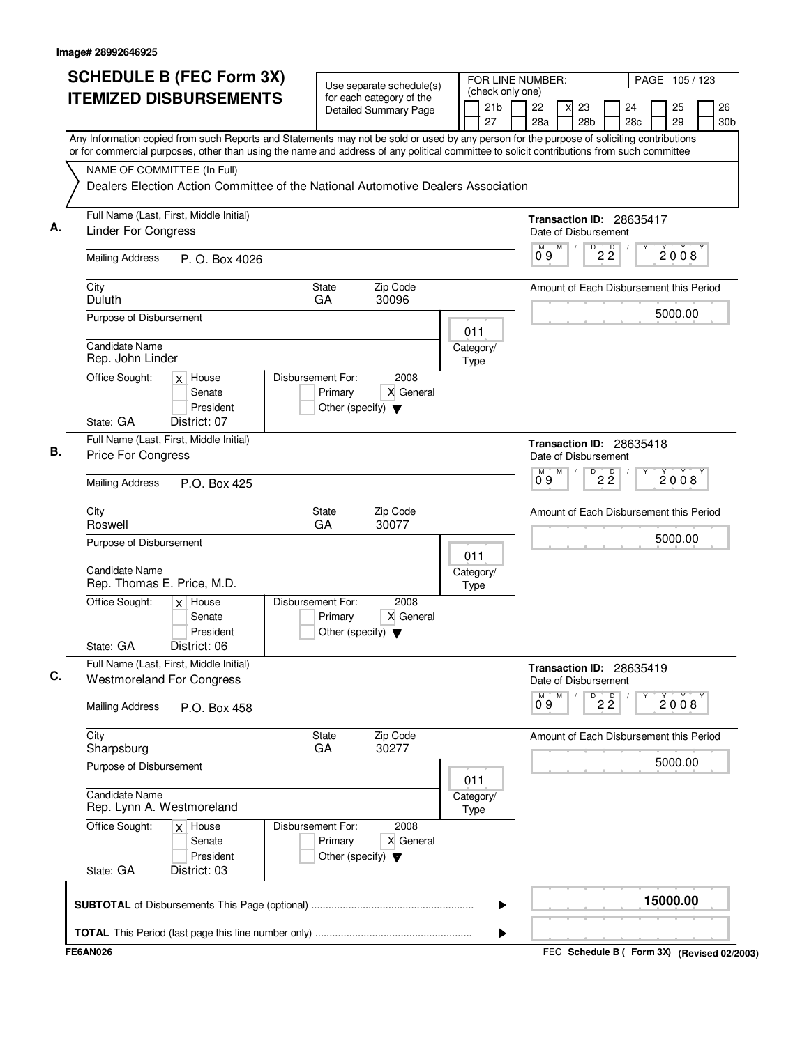|    | <b>SCHEDULE B (FEC Form 3X)</b>                                                                                                                                                                                                                                                        | Use separate schedule(s)                                                                  |                                                  |         | (check only one)      | FOR LINE NUMBER:<br>PAGE 105/123                 |                 |                       |                |                                         |         |          |  |                       |
|----|----------------------------------------------------------------------------------------------------------------------------------------------------------------------------------------------------------------------------------------------------------------------------------------|-------------------------------------------------------------------------------------------|--------------------------------------------------|---------|-----------------------|--------------------------------------------------|-----------------|-----------------------|----------------|-----------------------------------------|---------|----------|--|-----------------------|
|    | <b>ITEMIZED DISBURSEMENTS</b>                                                                                                                                                                                                                                                          | for each category of the<br><b>Detailed Summary Page</b>                                  |                                                  |         | 21 <sub>b</sub><br>27 | 22<br>28a                                        |                 | 23<br>28 <sub>b</sub> |                | 24<br>28 <sub>c</sub>                   |         | 25<br>29 |  | 26<br>30 <sub>b</sub> |
|    | Any Information copied from such Reports and Statements may not be sold or used by any person for the purpose of soliciting contributions<br>or for commercial purposes, other than using the name and address of any political committee to solicit contributions from such committee |                                                                                           |                                                  |         |                       |                                                  |                 |                       |                |                                         |         |          |  |                       |
|    | NAME OF COMMITTEE (In Full)<br>Dealers Election Action Committee of the National Automotive Dealers Association                                                                                                                                                                        |                                                                                           |                                                  |         |                       |                                                  |                 |                       |                |                                         |         |          |  |                       |
| А. | Full Name (Last, First, Middle Initial)<br><b>Linder For Congress</b>                                                                                                                                                                                                                  |                                                                                           | Transaction ID: 28635417<br>Date of Disbursement |         |                       |                                                  |                 |                       |                |                                         |         |          |  |                       |
|    | <b>Mailing Address</b><br>P. O. Box 4026                                                                                                                                                                                                                                               |                                                                                           |                                                  |         | M<br>09               | M                                                | D               | $2\,$ $2\,$           |                |                                         | 2008    |          |  |                       |
|    | City<br>Duluth                                                                                                                                                                                                                                                                         |                                                                                           | Amount of Each Disbursement this Period          |         |                       |                                                  |                 |                       |                |                                         |         |          |  |                       |
|    | Purpose of Disbursement                                                                                                                                                                                                                                                                |                                                                                           |                                                  | 011     |                       |                                                  |                 |                       |                |                                         |         | 5000.00  |  |                       |
|    | Candidate Name<br>Rep. John Linder                                                                                                                                                                                                                                                     |                                                                                           |                                                  | Type    | Category/             |                                                  |                 |                       |                |                                         |         |          |  |                       |
|    | Office Sought:<br>$x$ House<br>Senate<br>President<br>State: GA<br>District: 07                                                                                                                                                                                                        | Disbursement For:<br>2008<br>X General<br>Primary<br>Other (specify) $\blacktriangledown$ |                                                  |         |                       |                                                  |                 |                       |                |                                         |         |          |  |                       |
| В. | Full Name (Last, First, Middle Initial)<br>Price For Congress                                                                                                                                                                                                                          |                                                                                           |                                                  |         |                       | Date of Disbursement                             |                 |                       |                | Transaction ID: 28635418                |         |          |  |                       |
|    | <b>Mailing Address</b><br>P.O. Box 425                                                                                                                                                                                                                                                 |                                                                                           |                                                  |         |                       | М<br>0.9                                         | M               | D                     | $2\frac{D}{2}$ |                                         |         | 2008     |  |                       |
|    | City<br>Roswell                                                                                                                                                                                                                                                                        | Zip Code<br><b>State</b><br>GA<br>30077                                                   |                                                  |         |                       | Amount of Each Disbursement this Period          |                 |                       |                |                                         |         |          |  |                       |
|    | Purpose of Disbursement                                                                                                                                                                                                                                                                |                                                                                           |                                                  | 011     |                       |                                                  |                 |                       |                |                                         |         | 5000.00  |  |                       |
|    | Candidate Name<br>Rep. Thomas E. Price, M.D.                                                                                                                                                                                                                                           |                                                                                           |                                                  | Type    | Category/             |                                                  |                 |                       |                |                                         |         |          |  |                       |
|    | Office Sought:<br>$x$ House<br>Senate<br>President<br>District: 06<br>State: GA                                                                                                                                                                                                        | Disbursement For:<br>2008<br>X General<br>Primary<br>Other (specify) $\blacktriangledown$ |                                                  |         |                       |                                                  |                 |                       |                |                                         |         |          |  |                       |
| C. | Full Name (Last, First, Middle Initial)<br><b>Westmoreland For Congress</b>                                                                                                                                                                                                            |                                                                                           |                                                  |         |                       | Transaction ID: 28635419<br>Date of Disbursement |                 |                       |                |                                         |         |          |  |                       |
|    | <b>Mailing Address</b><br>P.O. Box 458                                                                                                                                                                                                                                                 |                                                                                           |                                                  | М<br>09 | M                     | D                                                | $2\overline{2}$ |                       |                | 2008                                    |         |          |  |                       |
|    | City<br>Sharpsburg                                                                                                                                                                                                                                                                     | State<br>Zip Code<br>30277<br>GA                                                          |                                                  |         |                       |                                                  |                 |                       |                | Amount of Each Disbursement this Period |         |          |  |                       |
|    | Purpose of Disbursement                                                                                                                                                                                                                                                                |                                                                                           | 011                                              |         |                       |                                                  |                 |                       |                |                                         | 5000.00 |          |  |                       |
|    | Candidate Name<br>Rep. Lynn A. Westmoreland                                                                                                                                                                                                                                            |                                                                                           | Category/<br><b>Type</b>                         |         |                       |                                                  |                 |                       |                |                                         |         |          |  |                       |
|    | Office Sought:<br>$x$ House<br>Senate<br>President<br>State: GA<br>District: 03                                                                                                                                                                                                        | 2008<br>Disbursement For:<br>X General<br>Primary<br>Other (specify) $\blacktriangledown$ |                                                  |         |                       |                                                  |                 |                       |                |                                         |         |          |  |                       |
|    |                                                                                                                                                                                                                                                                                        |                                                                                           |                                                  |         | ▶<br>▶                |                                                  |                 |                       |                |                                         |         | 15000.00 |  |                       |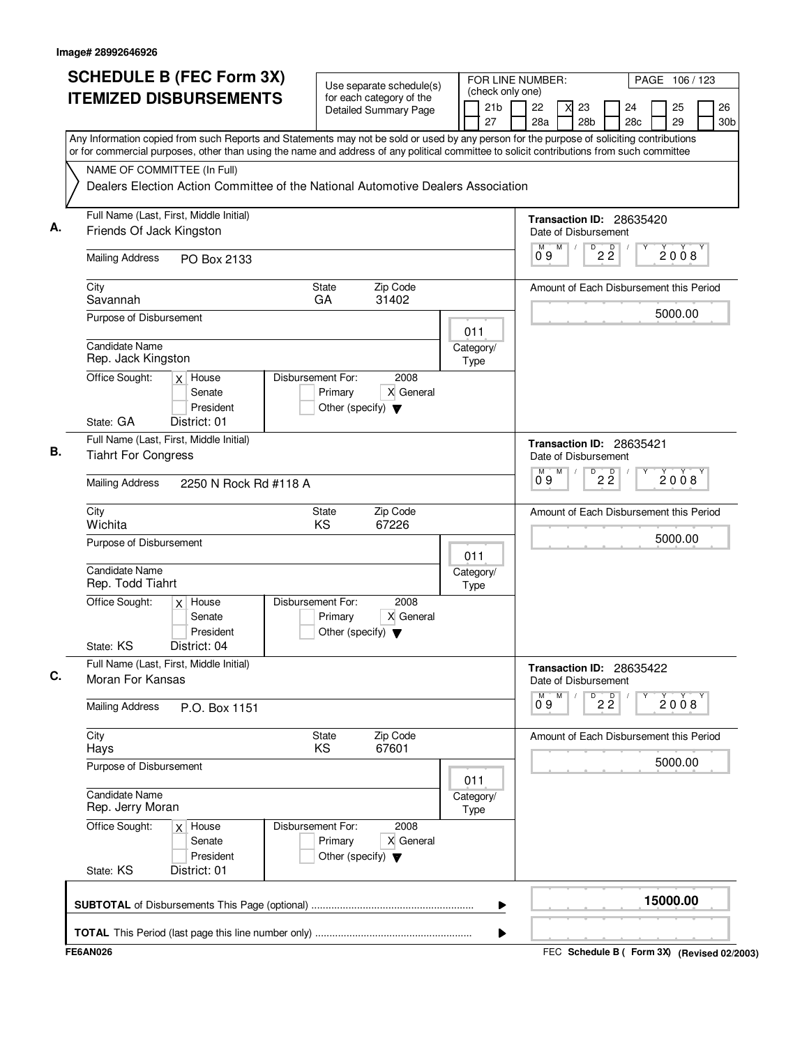|              |                                                                                | <b>SCHEDULE B (FEC Form 3X)</b><br><b>ITEMIZED DISBURSEMENTS</b>                                                                                                                                                                                                                                                      |                   |                                                 | Use separate schedule(s)<br>for each category of the<br><b>Detailed Summary Page</b> |  | FOR LINE NUMBER:<br>(check only one)<br>21 <sub>b</sub><br>27 | 22<br>28a                                                                   |   | 23<br>28 <sub>b</sub>           | 24<br>28c                               |  | PAGE 106 / 123<br>25<br>29 | 26<br>30b |
|--------------|--------------------------------------------------------------------------------|-----------------------------------------------------------------------------------------------------------------------------------------------------------------------------------------------------------------------------------------------------------------------------------------------------------------------|-------------------|-------------------------------------------------|--------------------------------------------------------------------------------------|--|---------------------------------------------------------------|-----------------------------------------------------------------------------|---|---------------------------------|-----------------------------------------|--|----------------------------|-----------|
|              |                                                                                | Any Information copied from such Reports and Statements may not be sold or used by any person for the purpose of soliciting contributions<br>or for commercial purposes, other than using the name and address of any political committee to solicit contributions from such committee<br>NAME OF COMMITTEE (In Full) |                   |                                                 |                                                                                      |  |                                                               |                                                                             |   |                                 |                                         |  |                            |           |
|              |                                                                                | Dealers Election Action Committee of the National Automotive Dealers Association                                                                                                                                                                                                                                      |                   |                                                 |                                                                                      |  |                                                               |                                                                             |   |                                 |                                         |  |                            |           |
|              | Full Name (Last, First, Middle Initial)<br>Friends Of Jack Kingston            |                                                                                                                                                                                                                                                                                                                       |                   |                                                 |                                                                                      |  |                                                               |                                                                             |   | Date of Disbursement            | Transaction ID: 28635420                |  |                            |           |
|              | <b>Mailing Address</b>                                                         | PO Box 2133                                                                                                                                                                                                                                                                                                           |                   |                                                 |                                                                                      |  |                                                               | 09                                                                          | M | D                               | $2\,$ $2\,$                             |  | 2008                       |           |
| City         | Zip Code<br>State<br>31402<br>Savannah<br>GA<br>Purpose of Disbursement<br>011 |                                                                                                                                                                                                                                                                                                                       |                   |                                                 |                                                                                      |  |                                                               | Amount of Each Disbursement this Period<br>5000.00                          |   |                                 |                                         |  |                            |           |
|              |                                                                                |                                                                                                                                                                                                                                                                                                                       |                   |                                                 |                                                                                      |  |                                                               |                                                                             |   |                                 |                                         |  |                            |           |
|              | Candidate Name<br>Rep. Jack Kingston                                           |                                                                                                                                                                                                                                                                                                                       |                   |                                                 |                                                                                      |  | Category/<br>Type                                             |                                                                             |   |                                 |                                         |  |                            |           |
|              | Office Sought:                                                                 | $x$ House<br>Senate<br>President                                                                                                                                                                                                                                                                                      | Disbursement For: | Primary<br>Other (specify) $\blacktriangledown$ | 2008<br>X General                                                                    |  |                                                               |                                                                             |   |                                 |                                         |  |                            |           |
|              | State: GA                                                                      | District: 01<br>Full Name (Last, First, Middle Initial)                                                                                                                                                                                                                                                               |                   |                                                 |                                                                                      |  |                                                               |                                                                             |   |                                 | Transaction ID: 28635421                |  |                            |           |
|              | <b>Tiahrt For Congress</b>                                                     |                                                                                                                                                                                                                                                                                                                       |                   |                                                 |                                                                                      |  |                                                               | Date of Disbursement<br>M<br>$\overline{P}$ 2 $\overline{2}$<br>2008<br>Ő 9 |   |                                 |                                         |  |                            |           |
|              | <b>Mailing Address</b><br>2250 N Rock Rd #118 A                                |                                                                                                                                                                                                                                                                                                                       |                   |                                                 |                                                                                      |  |                                                               |                                                                             |   |                                 |                                         |  |                            |           |
| City         | Wichita                                                                        |                                                                                                                                                                                                                                                                                                                       | State<br>KS       |                                                 | Zip Code<br>67226                                                                    |  |                                                               |                                                                             |   |                                 | Amount of Each Disbursement this Period |  |                            |           |
|              | Purpose of Disbursement                                                        |                                                                                                                                                                                                                                                                                                                       |                   |                                                 |                                                                                      |  | 011                                                           |                                                                             |   |                                 |                                         |  | 5000.00                    |           |
|              | Candidate Name<br>Rep. Todd Tiahrt                                             |                                                                                                                                                                                                                                                                                                                       |                   |                                                 |                                                                                      |  | Category/<br>Type                                             |                                                                             |   |                                 |                                         |  |                            |           |
|              | Office Sought:<br>State: KS                                                    | $x$ House<br>Senate<br>President<br>District: 04                                                                                                                                                                                                                                                                      | Disbursement For: | Primary<br>Other (specify) $\blacktriangledown$ | 2008<br>X General                                                                    |  |                                                               |                                                                             |   |                                 |                                         |  |                            |           |
|              | Moran For Kansas                                                               | Full Name (Last, First, Middle Initial)                                                                                                                                                                                                                                                                               |                   |                                                 |                                                                                      |  |                                                               |                                                                             |   | Date of Disbursement            | Transaction ID: 28635422                |  |                            |           |
|              | <b>Mailing Address</b>                                                         | P.O. Box 1151                                                                                                                                                                                                                                                                                                         |                   |                                                 |                                                                                      |  |                                                               | М<br>09                                                                     | M | $\overline{P}$ 2 $\overline{2}$ |                                         |  | 2008                       |           |
| City<br>Hays |                                                                                |                                                                                                                                                                                                                                                                                                                       | State<br>KS       |                                                 | Zip Code<br>67601                                                                    |  |                                                               |                                                                             |   |                                 | Amount of Each Disbursement this Period |  |                            |           |
|              | Purpose of Disbursement                                                        |                                                                                                                                                                                                                                                                                                                       |                   |                                                 |                                                                                      |  | 011                                                           |                                                                             |   |                                 |                                         |  | 5000.00                    |           |
|              | <b>Candidate Name</b><br>Rep. Jerry Moran                                      |                                                                                                                                                                                                                                                                                                                       |                   |                                                 |                                                                                      |  | Category/<br>Type                                             |                                                                             |   |                                 |                                         |  |                            |           |
|              | Office Sought:                                                                 | $x$ House<br>Senate<br>President                                                                                                                                                                                                                                                                                      | Disbursement For: | Primary<br>Other (specify) $\blacktriangledown$ | 2008<br>X General                                                                    |  |                                                               |                                                                             |   |                                 |                                         |  |                            |           |
|              | State: KS                                                                      | District: 01                                                                                                                                                                                                                                                                                                          |                   |                                                 |                                                                                      |  |                                                               |                                                                             |   |                                 |                                         |  | 15000.00                   |           |
|              |                                                                                |                                                                                                                                                                                                                                                                                                                       |                   |                                                 |                                                                                      |  | ▶                                                             |                                                                             |   |                                 |                                         |  |                            |           |
|              |                                                                                |                                                                                                                                                                                                                                                                                                                       |                   |                                                 |                                                                                      |  | ▶                                                             |                                                                             |   |                                 |                                         |  |                            |           |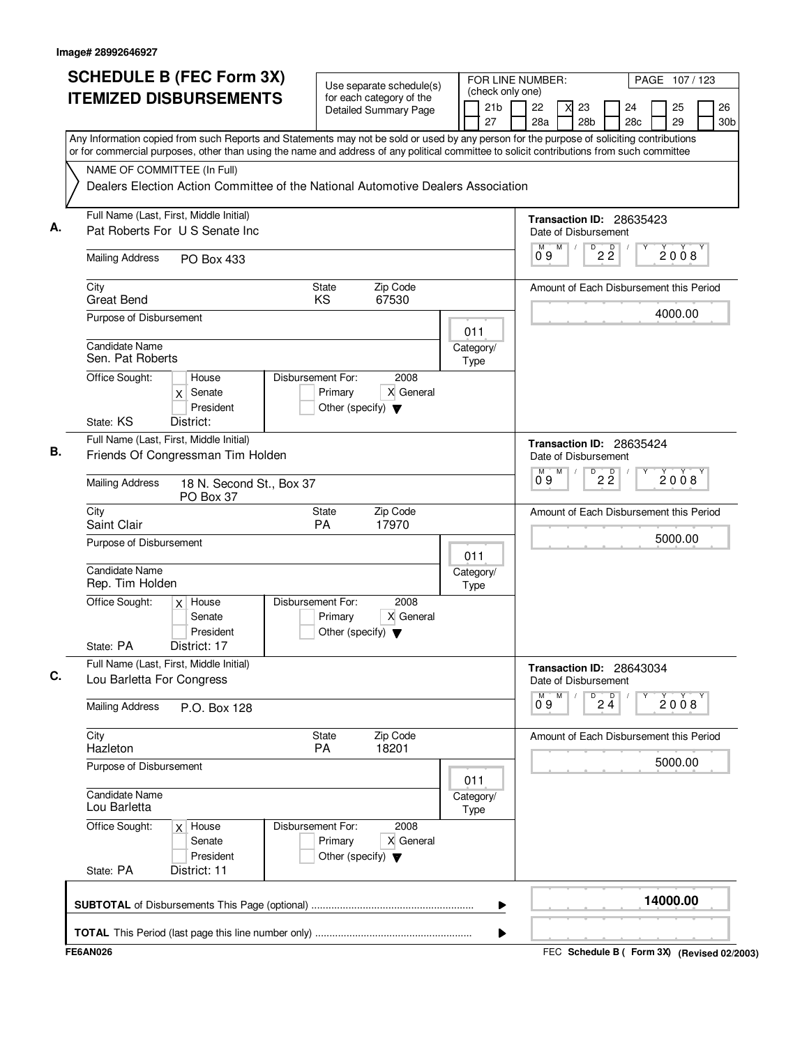|    | <b>SCHEDULE B (FEC Form 3X)</b><br><b>ITEMIZED DISBURSEMENTS</b>                                                                                                                                                                                                                       |                                                                      | Use separate schedule(s)<br>for each category of the |                   |                                                         | FOR LINE NUMBER:<br>(check only one) |                      |                                         |                          | PAGE 107/123 |                                         |                                         |          |                       |  |  |
|----|----------------------------------------------------------------------------------------------------------------------------------------------------------------------------------------------------------------------------------------------------------------------------------------|----------------------------------------------------------------------|------------------------------------------------------|-------------------|---------------------------------------------------------|--------------------------------------|----------------------|-----------------------------------------|--------------------------|--------------|-----------------------------------------|-----------------------------------------|----------|-----------------------|--|--|
|    |                                                                                                                                                                                                                                                                                        |                                                                      | <b>Detailed Summary Page</b>                         |                   |                                                         | 21 <sub>b</sub><br>27                | 22<br>28a            |                                         | 23<br>28 <sub>b</sub>    |              | 24<br>28c                               |                                         | 25<br>29 | 26<br>30 <sub>b</sub> |  |  |
|    | Any Information copied from such Reports and Statements may not be sold or used by any person for the purpose of soliciting contributions<br>or for commercial purposes, other than using the name and address of any political committee to solicit contributions from such committee |                                                                      |                                                      |                   |                                                         |                                      |                      |                                         |                          |              |                                         |                                         |          |                       |  |  |
|    | NAME OF COMMITTEE (In Full)<br>Dealers Election Action Committee of the National Automotive Dealers Association                                                                                                                                                                        |                                                                      |                                                      |                   |                                                         |                                      |                      |                                         |                          |              |                                         |                                         |          |                       |  |  |
| А. | Full Name (Last, First, Middle Initial)<br>Pat Roberts For U S Senate Inc                                                                                                                                                                                                              |                                                                      |                                                      |                   | Date of Disbursement                                    |                                      |                      |                                         | Transaction ID: 28635423 |              |                                         |                                         |          |                       |  |  |
|    | <b>Mailing Address</b><br>PO Box 433                                                                                                                                                                                                                                                   |                                                                      |                                                      |                   | М<br>09                                                 | M                                    |                      | $D$ <sub>2</sub> $\overline{2}$         |                          |              | 2008                                    |                                         |          |                       |  |  |
|    | Zip Code<br>City<br>State<br>KS<br>67530<br><b>Great Bend</b>                                                                                                                                                                                                                          |                                                                      |                                                      |                   |                                                         |                                      |                      | Amount of Each Disbursement this Period |                          |              |                                         |                                         |          |                       |  |  |
|    | Purpose of Disbursement<br>Candidate Name                                                                                                                                                                                                                                              |                                                                      | 011                                                  |                   |                                                         |                                      |                      |                                         |                          |              | 4000.00                                 |                                         |          |                       |  |  |
|    | Sen. Pat Roberts<br>Office Sought:<br>House                                                                                                                                                                                                                                            | Disbursement For:                                                    | 2008                                                 |                   | Category/<br>Type                                       |                                      |                      |                                         |                          |              |                                         |                                         |          |                       |  |  |
|    | Senate<br>X<br>President<br>State: KS<br>District:                                                                                                                                                                                                                                     | Primary<br>Other (specify) $\blacktriangledown$                      | X General                                            |                   |                                                         |                                      |                      |                                         |                          |              |                                         |                                         |          |                       |  |  |
| В. | Full Name (Last, First, Middle Initial)<br>Friends Of Congressman Tim Holden                                                                                                                                                                                                           |                                                                      |                                                      |                   | Date of Disbursement                                    |                                      |                      |                                         | Transaction ID: 28635424 |              |                                         |                                         |          |                       |  |  |
|    | <b>Mailing Address</b><br>18 N. Second St., Box 37<br>PO Box 37                                                                                                                                                                                                                        |                                                                      |                                                      |                   | D<br>$2\overline{2}$<br>$\overline{0}^M$ 9<br>M<br>2008 |                                      |                      |                                         |                          |              |                                         |                                         |          |                       |  |  |
|    | City<br>Saint Clair                                                                                                                                                                                                                                                                    | State<br>PA                                                          | Zip Code<br>17970                                    |                   |                                                         |                                      |                      |                                         |                          |              |                                         | Amount of Each Disbursement this Period |          |                       |  |  |
|    | Purpose of Disbursement                                                                                                                                                                                                                                                                |                                                                      |                                                      | 011               |                                                         | 5000.00                              |                      |                                         |                          |              |                                         |                                         |          |                       |  |  |
|    | Candidate Name<br>Rep. Tim Holden                                                                                                                                                                                                                                                      |                                                                      |                                                      | Category/<br>Type |                                                         |                                      |                      |                                         |                          |              |                                         |                                         |          |                       |  |  |
|    | Office Sought:<br>$x$ House<br>Senate<br>President                                                                                                                                                                                                                                     | Disbursement For:<br>Primary<br>Other (specify) $\blacktriangledown$ | 2008<br>X General                                    |                   |                                                         |                                      |                      |                                         |                          |              |                                         |                                         |          |                       |  |  |
|    | State: PA<br>District: 17<br>Full Name (Last, First, Middle Initial)<br>Lou Barletta For Congress                                                                                                                                                                                      |                                                                      |                                                      |                   |                                                         |                                      | Date of Disbursement |                                         |                          |              | Transaction ID: 28643034                |                                         |          |                       |  |  |
|    | <b>Mailing Address</b><br>P.O. Box 128                                                                                                                                                                                                                                                 |                                                                      |                                                      |                   |                                                         | м<br>09                              | M                    |                                         | $\overline{P}$ 2 4       |              |                                         | 2008                                    |          |                       |  |  |
|    | City<br>Hazleton                                                                                                                                                                                                                                                                       | State<br>PA                                                          | Zip Code<br>18201                                    |                   |                                                         |                                      |                      |                                         |                          |              | Amount of Each Disbursement this Period |                                         |          |                       |  |  |
|    | Purpose of Disbursement                                                                                                                                                                                                                                                                |                                                                      | 011                                                  |                   |                                                         |                                      |                      |                                         |                          |              | 5000.00                                 |                                         |          |                       |  |  |
|    | <b>Candidate Name</b><br>Lou Barletta                                                                                                                                                                                                                                                  |                                                                      | Category/<br>Type                                    |                   |                                                         |                                      |                      |                                         |                          |              |                                         |                                         |          |                       |  |  |
|    | Office Sought:<br>$x$ House<br>Senate<br>President                                                                                                                                                                                                                                     | Disbursement For:<br>Primary<br>Other (specify) $\blacktriangledown$ | 2008<br>X General                                    |                   |                                                         |                                      |                      |                                         |                          |              |                                         |                                         |          |                       |  |  |
|    | District: 11<br>State: PA                                                                                                                                                                                                                                                              |                                                                      |                                                      |                   |                                                         |                                      |                      |                                         |                          |              |                                         |                                         |          |                       |  |  |
|    |                                                                                                                                                                                                                                                                                        |                                                                      |                                                      |                   |                                                         | ▶                                    |                      |                                         |                          |              |                                         |                                         | 14000.00 |                       |  |  |
|    |                                                                                                                                                                                                                                                                                        |                                                                      |                                                      |                   |                                                         | ▶                                    |                      |                                         |                          |              |                                         |                                         |          |                       |  |  |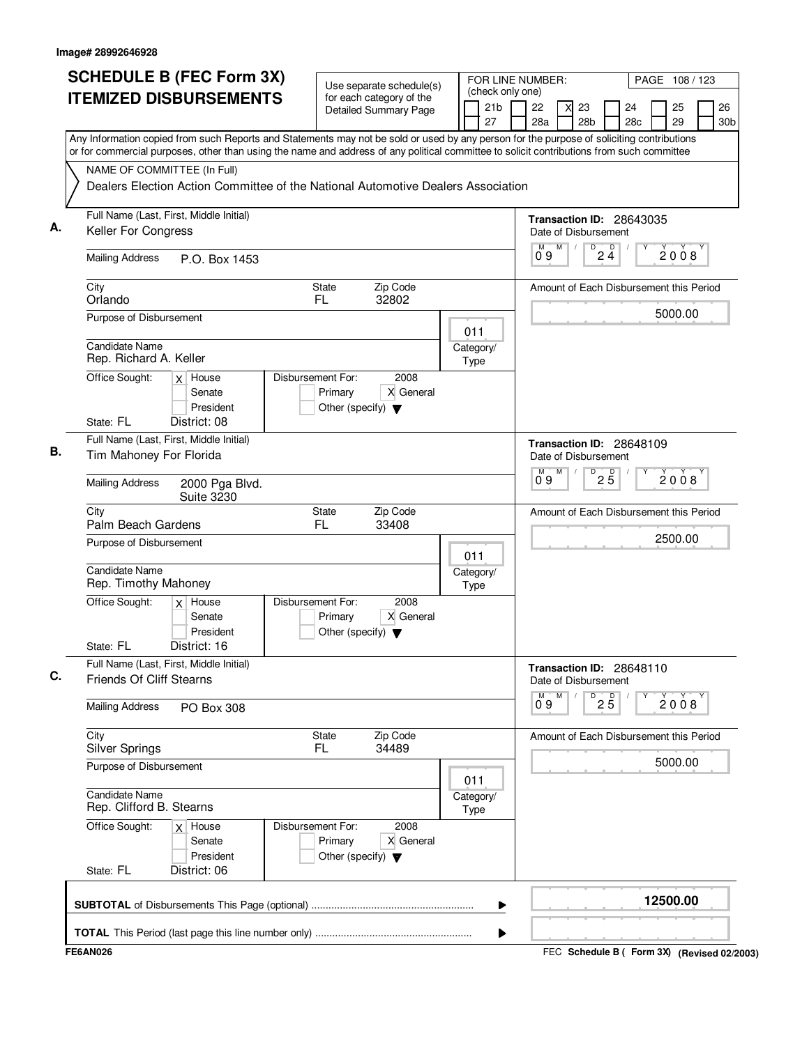| <b>SCHEDULE B (FEC Form 3X)</b><br><b>ITEMIZED DISBURSEMENTS</b>                                                                                                                                                                                                                       | Use separate schedule(s)<br>for each category of the<br><b>Detailed Summary Page</b>      | FOR LINE NUMBER:<br>(check only one)<br>21 <sub>b</sub> | PAGE 108 / 123<br>26<br>22<br>23<br>24<br>25                    |  |  |  |  |  |
|----------------------------------------------------------------------------------------------------------------------------------------------------------------------------------------------------------------------------------------------------------------------------------------|-------------------------------------------------------------------------------------------|---------------------------------------------------------|-----------------------------------------------------------------|--|--|--|--|--|
| Any Information copied from such Reports and Statements may not be sold or used by any person for the purpose of soliciting contributions<br>or for commercial purposes, other than using the name and address of any political committee to solicit contributions from such committee |                                                                                           | 27                                                      | 28 <sub>b</sub><br>29<br>28a<br>28c<br>30 <sub>b</sub>          |  |  |  |  |  |
| NAME OF COMMITTEE (In Full)                                                                                                                                                                                                                                                            | Dealers Election Action Committee of the National Automotive Dealers Association          |                                                         |                                                                 |  |  |  |  |  |
| Full Name (Last, First, Middle Initial)<br>А.<br>Keller For Congress                                                                                                                                                                                                                   |                                                                                           |                                                         | Transaction ID: 28643035<br>Date of Disbursement                |  |  |  |  |  |
| <b>Mailing Address</b><br>P.O. Box 1453                                                                                                                                                                                                                                                |                                                                                           |                                                         | $\overline{D}$<br>$2\frac{D}{4}$<br>M<br>M<br>2008<br>09        |  |  |  |  |  |
| City<br>Orlando                                                                                                                                                                                                                                                                        | Zip Code<br>State<br>FL<br>32802                                                          |                                                         | Amount of Each Disbursement this Period                         |  |  |  |  |  |
| Purpose of Disbursement<br><b>Candidate Name</b>                                                                                                                                                                                                                                       |                                                                                           | 011<br>Category/                                        | 5000.00                                                         |  |  |  |  |  |
| Rep. Richard A. Keller<br>Office Sought:<br>$x$ House                                                                                                                                                                                                                                  | Disbursement For:<br>2008                                                                 | <b>Type</b>                                             |                                                                 |  |  |  |  |  |
| Senate<br>President<br>State: FL<br>District: 08                                                                                                                                                                                                                                       | X General<br>Primary<br>Other (specify) $\blacktriangledown$                              |                                                         |                                                                 |  |  |  |  |  |
| Full Name (Last, First, Middle Initial)<br>Tim Mahoney For Florida                                                                                                                                                                                                                     |                                                                                           |                                                         | Transaction ID: 28648109<br>Date of Disbursement<br>D<br>M<br>М |  |  |  |  |  |
| <b>Mailing Address</b><br>2000 Pga Blvd.<br>Suite 3230                                                                                                                                                                                                                                 |                                                                                           |                                                         | $2\overline{5}$<br>2008<br>Ő 9                                  |  |  |  |  |  |
| City<br>Palm Beach Gardens                                                                                                                                                                                                                                                             | Zip Code<br><b>State</b><br>FL<br>33408                                                   |                                                         | Amount of Each Disbursement this Period                         |  |  |  |  |  |
| Purpose of Disbursement<br><b>Candidate Name</b><br>Rep. Timothy Mahoney                                                                                                                                                                                                               |                                                                                           | 011<br>Category/                                        | 2500.00                                                         |  |  |  |  |  |
| Office Sought:<br>$x$ House<br>Senate<br>President<br>District: 16<br>State: FL                                                                                                                                                                                                        | Disbursement For:<br>2008<br>X General<br>Primary<br>Other (specify) $\blacktriangledown$ | Type                                                    |                                                                 |  |  |  |  |  |
| Full Name (Last, First, Middle Initial)<br><b>Friends Of Cliff Stearns</b>                                                                                                                                                                                                             |                                                                                           |                                                         | Transaction ID: 28648110<br>Date of Disbursement                |  |  |  |  |  |
| <b>Mailing Address</b><br>PO Box 308                                                                                                                                                                                                                                                   |                                                                                           |                                                         | M<br>$\overline{P}$ 2 $\overline{5}$<br>м<br>2008<br>09         |  |  |  |  |  |
| City<br><b>Silver Springs</b>                                                                                                                                                                                                                                                          | <b>State</b><br>Zip Code<br>FL.<br>34489                                                  |                                                         | Amount of Each Disbursement this Period                         |  |  |  |  |  |
| Purpose of Disbursement                                                                                                                                                                                                                                                                |                                                                                           | 011                                                     | 5000.00                                                         |  |  |  |  |  |
| Candidate Name<br>Rep. Clifford B. Stearns                                                                                                                                                                                                                                             |                                                                                           | Category/<br>Type                                       |                                                                 |  |  |  |  |  |
| Office Sought:<br>$x$ House<br>Senate<br>President                                                                                                                                                                                                                                     | 2008<br>Disbursement For:<br>Primary<br>X General<br>Other (specify) $\blacktriangledown$ |                                                         |                                                                 |  |  |  |  |  |
| State: FL<br>District: 06                                                                                                                                                                                                                                                              |                                                                                           | ▶                                                       | 12500.00                                                        |  |  |  |  |  |
|                                                                                                                                                                                                                                                                                        |                                                                                           | ▶                                                       |                                                                 |  |  |  |  |  |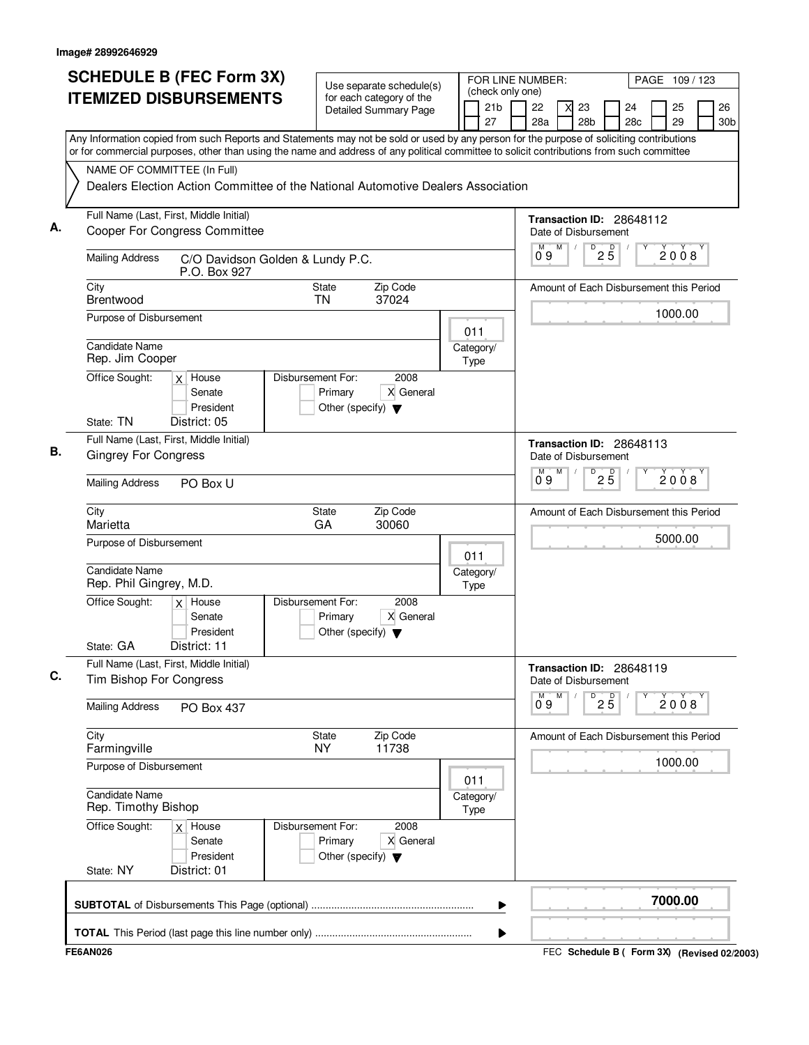| <b>SCHEDULE B (FEC Form 3X)</b>                                                                                                           | FOR LINE NUMBER:<br>Use separate schedule(s)                                              |  |                                           |  |           |   |                                                  |                                 |           |          | PAGE 109 / 123 |                       |
|-------------------------------------------------------------------------------------------------------------------------------------------|-------------------------------------------------------------------------------------------|--|-------------------------------------------|--|-----------|---|--------------------------------------------------|---------------------------------|-----------|----------|----------------|-----------------------|
| <b>ITEMIZED DISBURSEMENTS</b>                                                                                                             | for each category of the<br><b>Detailed Summary Page</b>                                  |  | (check only one)<br>21 <sub>b</sub><br>27 |  | 22<br>28a |   | 23<br>X<br>28 <sub>b</sub>                       |                                 | 24<br>28c | 25<br>29 |                | 26<br>30 <sub>b</sub> |
| Any Information copied from such Reports and Statements may not be sold or used by any person for the purpose of soliciting contributions |                                                                                           |  |                                           |  |           |   |                                                  |                                 |           |          |                |                       |
| or for commercial purposes, other than using the name and address of any political committee to solicit contributions from such committee |                                                                                           |  |                                           |  |           |   |                                                  |                                 |           |          |                |                       |
| NAME OF COMMITTEE (In Full)<br>Dealers Election Action Committee of the National Automotive Dealers Association                           |                                                                                           |  |                                           |  |           |   |                                                  |                                 |           |          |                |                       |
|                                                                                                                                           |                                                                                           |  |                                           |  |           |   |                                                  |                                 |           |          |                |                       |
| Full Name (Last, First, Middle Initial)<br><b>Cooper For Congress Committee</b>                                                           |                                                                                           |  |                                           |  |           |   | Transaction ID: 28648112<br>Date of Disbursement |                                 |           |          |                |                       |
| <b>Mailing Address</b><br>C/O Davidson Golden & Lundy P.C.<br>P.O. Box 927                                                                |                                                                                           |  |                                           |  | 09        | M |                                                  | $D$ <sub>2</sub> $\overline{5}$ |           | 2008     |                |                       |
| City<br>Brentwood                                                                                                                         | Zip Code<br>State<br>TN<br>37024                                                          |  |                                           |  |           |   | Amount of Each Disbursement this Period          |                                 |           |          |                |                       |
| Purpose of Disbursement                                                                                                                   |                                                                                           |  |                                           |  |           |   |                                                  |                                 |           | 1000.00  |                |                       |
| Candidate Name                                                                                                                            |                                                                                           |  | 011<br>Category/                          |  |           |   |                                                  |                                 |           |          |                |                       |
| Rep. Jim Cooper                                                                                                                           |                                                                                           |  | Type                                      |  |           |   |                                                  |                                 |           |          |                |                       |
| Office Sought:<br>$x$ House<br>Senate<br>President                                                                                        | Disbursement For:<br>2008<br>X General<br>Primary<br>Other (specify) $\blacktriangledown$ |  |                                           |  |           |   |                                                  |                                 |           |          |                |                       |
| State: TN<br>District: 05                                                                                                                 |                                                                                           |  |                                           |  |           |   |                                                  |                                 |           |          |                |                       |
| Full Name (Last, First, Middle Initial)                                                                                                   |                                                                                           |  |                                           |  |           |   | Transaction ID: 28648113                         |                                 |           |          |                |                       |
| <b>Gingrey For Congress</b>                                                                                                               |                                                                                           |  |                                           |  |           | M | Date of Disbursement<br>D                        | $2\overline{5}$                 |           |          | 2008           |                       |
| <b>Mailing Address</b><br>PO Box U                                                                                                        |                                                                                           |  |                                           |  | 09        |   |                                                  |                                 |           |          |                |                       |
| City<br>Marietta                                                                                                                          | Zip Code<br>State<br>GA<br>30060                                                          |  |                                           |  |           |   | Amount of Each Disbursement this Period          |                                 |           |          |                |                       |
| Purpose of Disbursement                                                                                                                   |                                                                                           |  | 011                                       |  |           |   |                                                  |                                 |           | 5000.00  |                |                       |
| Candidate Name<br>Rep. Phil Gingrey, M.D.                                                                                                 |                                                                                           |  | Category/<br>Type                         |  |           |   |                                                  |                                 |           |          |                |                       |
| Office Sought:<br>$x$ House<br>Senate<br>President<br>State: GA<br>District: 11                                                           | Disbursement For:<br>2008<br>X General<br>Primary<br>Other (specify) $\blacktriangledown$ |  |                                           |  |           |   |                                                  |                                 |           |          |                |                       |
| Full Name (Last, First, Middle Initial)                                                                                                   |                                                                                           |  |                                           |  |           |   |                                                  |                                 |           |          |                |                       |
| Tim Bishop For Congress                                                                                                                   |                                                                                           |  |                                           |  |           | M | Transaction ID: 28648119<br>Date of Disbursement |                                 |           |          |                |                       |
| <b>Mailing Address</b><br>PO Box 437                                                                                                      |                                                                                           |  |                                           |  | 09        |   |                                                  | $\overline{P}$ 2 5              |           | 2008     |                |                       |
| City<br>Farmingville                                                                                                                      | Zip Code<br>State<br><b>NY</b><br>11738                                                   |  |                                           |  |           |   | Amount of Each Disbursement this Period          |                                 |           |          |                |                       |
| Purpose of Disbursement                                                                                                                   |                                                                                           |  |                                           |  |           |   |                                                  |                                 |           | 1000.00  |                |                       |
| <b>Candidate Name</b><br>Rep. Timothy Bishop                                                                                              |                                                                                           |  | 011<br>Category/<br>Type                  |  |           |   |                                                  |                                 |           |          |                |                       |
| Office Sought:<br>$x$ House<br>Senate<br>President<br>State: NY<br>District: 01                                                           | Disbursement For:<br>2008<br>Primary<br>X General<br>Other (specify) $\blacktriangledown$ |  |                                           |  |           |   |                                                  |                                 |           |          |                |                       |
|                                                                                                                                           |                                                                                           |  | ▶                                         |  |           |   |                                                  |                                 |           | 7000.00  |                |                       |
|                                                                                                                                           |                                                                                           |  | ▶                                         |  |           |   |                                                  |                                 |           |          |                |                       |
| <b>FE6AN026</b>                                                                                                                           |                                                                                           |  |                                           |  |           |   | FEC Schedule B ( Form 3X) (Revised 02/2003)      |                                 |           |          |                |                       |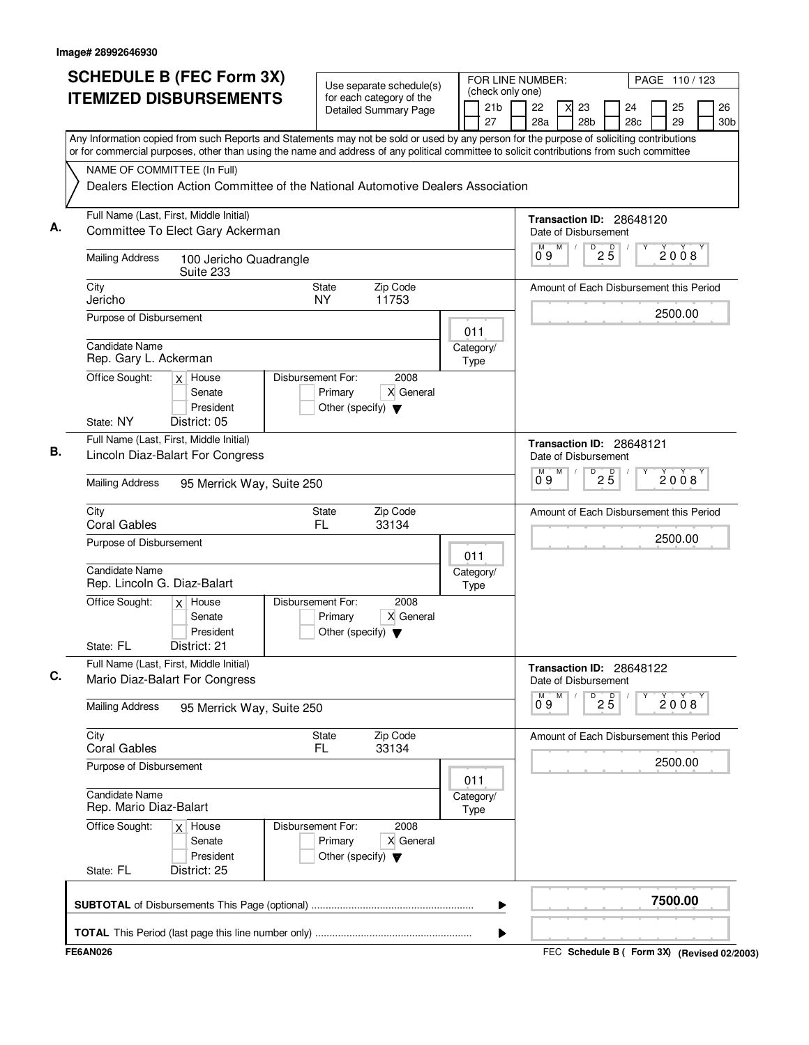|    | <b>SCHEDULE B (FEC Form 3X)</b>                                                                                                                                                                                                                                                        | Use separate schedule(s)                                                                  |             |                       | (check only one) | FOR LINE NUMBER:     |   |                       |                          |                          |  | PAGE 110/123 |                                         |
|----|----------------------------------------------------------------------------------------------------------------------------------------------------------------------------------------------------------------------------------------------------------------------------------------|-------------------------------------------------------------------------------------------|-------------|-----------------------|------------------|----------------------|---|-----------------------|--------------------------|--------------------------|--|--------------|-----------------------------------------|
|    | <b>ITEMIZED DISBURSEMENTS</b>                                                                                                                                                                                                                                                          | for each category of the<br>Detailed Summary Page                                         |             | 21 <sub>b</sub><br>27 |                  | 22<br>28a            |   | 23<br>28 <sub>b</sub> |                          | 24<br>28c                |  | 25<br>29     | 26<br>30 <sub>b</sub>                   |
|    | Any Information copied from such Reports and Statements may not be sold or used by any person for the purpose of soliciting contributions<br>or for commercial purposes, other than using the name and address of any political committee to solicit contributions from such committee |                                                                                           |             |                       |                  |                      |   |                       |                          |                          |  |              |                                         |
|    | NAME OF COMMITTEE (In Full)<br>Dealers Election Action Committee of the National Automotive Dealers Association                                                                                                                                                                        |                                                                                           |             |                       |                  |                      |   |                       |                          |                          |  |              |                                         |
| Α. | Full Name (Last, First, Middle Initial)<br>Committee To Elect Gary Ackerman                                                                                                                                                                                                            |                                                                                           |             |                       |                  | Date of Disbursement |   |                       |                          | Transaction ID: 28648120 |  |              |                                         |
|    | <b>Mailing Address</b><br>100 Jericho Quadrangle<br>Suite 233                                                                                                                                                                                                                          |                                                                                           |             |                       |                  | 09                   | M | D                     | $2\overline{5}$          |                          |  | 2008         |                                         |
|    | City<br>Jericho                                                                                                                                                                                                                                                                        | <b>State</b><br>Zip Code<br>NY.<br>11753                                                  |             |                       |                  |                      |   |                       |                          |                          |  |              | Amount of Each Disbursement this Period |
|    | Purpose of Disbursement<br>Candidate Name                                                                                                                                                                                                                                              |                                                                                           | 011         | Category/             |                  |                      |   |                       |                          |                          |  | 2500.00      |                                         |
|    | Rep. Gary L. Ackerman<br>Office Sought:<br>$x$ House                                                                                                                                                                                                                                   | Disbursement For:<br>2008                                                                 | Type        |                       |                  |                      |   |                       |                          |                          |  |              |                                         |
|    | Senate<br>President<br>State: NY<br>District: 05                                                                                                                                                                                                                                       | X General<br>Primary<br>Other (specify) $\blacktriangledown$                              |             |                       |                  |                      |   |                       |                          |                          |  |              |                                         |
| В. | Full Name (Last, First, Middle Initial)<br>Lincoln Diaz-Balart For Congress                                                                                                                                                                                                            |                                                                                           |             |                       |                  | Date of Disbursement |   |                       |                          | Transaction ID: 28648121 |  |              |                                         |
|    | <b>Mailing Address</b><br>95 Merrick Way, Suite 250                                                                                                                                                                                                                                    |                                                                                           |             |                       |                  | $0^{\circ}9$         | M | D                     | 25                       |                          |  | 2008         |                                         |
|    | City<br><b>Coral Gables</b>                                                                                                                                                                                                                                                            | Zip Code<br>State<br>FL.<br>33134                                                         |             |                       |                  |                      |   |                       |                          |                          |  |              | Amount of Each Disbursement this Period |
|    | Purpose of Disbursement<br>Candidate Name                                                                                                                                                                                                                                              |                                                                                           | 011         |                       |                  |                      |   |                       |                          |                          |  | 2500.00      |                                         |
|    | Rep. Lincoln G. Diaz-Balart<br>$x$ House                                                                                                                                                                                                                                               | Disbursement For:<br>2008                                                                 | Type        | Category/             |                  |                      |   |                       |                          |                          |  |              |                                         |
|    | Office Sought:<br>Senate<br>President<br>District: 21<br>State: FL                                                                                                                                                                                                                     | X General<br>Primary<br>Other (specify) $\blacktriangledown$                              |             |                       |                  |                      |   |                       |                          |                          |  |              |                                         |
| C. | Full Name (Last, First, Middle Initial)<br>Mario Diaz-Balart For Congress                                                                                                                                                                                                              |                                                                                           |             |                       |                  | Date of Disbursement |   |                       |                          | Transaction ID: 28648122 |  |              |                                         |
|    | <b>Mailing Address</b><br>95 Merrick Way, Suite 250                                                                                                                                                                                                                                    |                                                                                           |             |                       |                  | М<br>09              | M |                       | $D^D$ <sub>2</sub> $B^D$ |                          |  | 2008         |                                         |
|    | City<br><b>Coral Gables</b>                                                                                                                                                                                                                                                            | Zip Code<br>State<br>FL<br>33134                                                          |             |                       |                  |                      |   |                       |                          |                          |  |              | Amount of Each Disbursement this Period |
|    | Purpose of Disbursement                                                                                                                                                                                                                                                                |                                                                                           | 011         |                       |                  |                      |   |                       |                          |                          |  | 2500.00      |                                         |
|    | Candidate Name<br>Rep. Mario Diaz-Balart                                                                                                                                                                                                                                               |                                                                                           | <b>Type</b> | Category/             |                  |                      |   |                       |                          |                          |  |              |                                         |
|    | Office Sought:<br>$x$ House<br>Senate<br>President                                                                                                                                                                                                                                     | 2008<br>Disbursement For:<br>Primary<br>X General<br>Other (specify) $\blacktriangledown$ |             |                       |                  |                      |   |                       |                          |                          |  |              |                                         |
|    | District: 25<br>State: FL                                                                                                                                                                                                                                                              |                                                                                           |             |                       |                  |                      |   |                       |                          |                          |  |              |                                         |
|    |                                                                                                                                                                                                                                                                                        |                                                                                           |             |                       | ▶                |                      |   |                       |                          |                          |  | 7500.00      |                                         |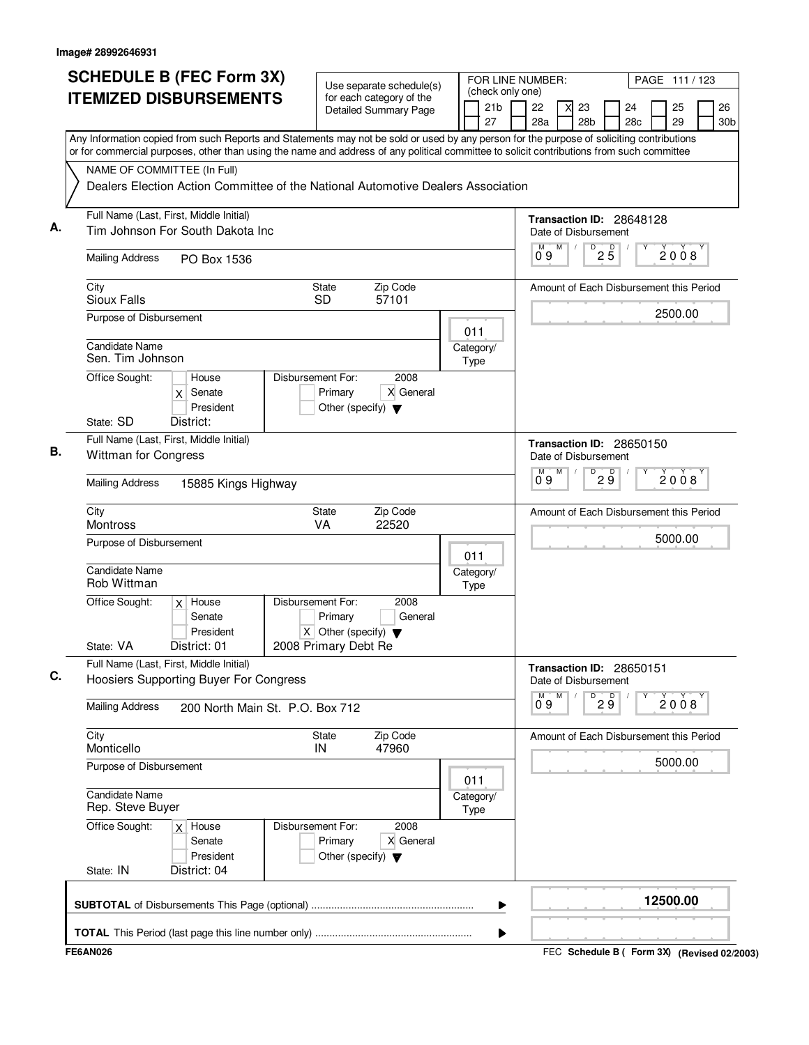| <b>SCHEDULE B (FEC Form 3X)</b>                                                                                                                                                                                                                                                        | Use separate schedule(s)                                                                  |  |                   |                       | FOR LINE NUMBER:              |   |                      |                                 |                          | PAGE 111 / 123                          |                       |
|----------------------------------------------------------------------------------------------------------------------------------------------------------------------------------------------------------------------------------------------------------------------------------------|-------------------------------------------------------------------------------------------|--|-------------------|-----------------------|-------------------------------|---|----------------------|---------------------------------|--------------------------|-----------------------------------------|-----------------------|
| <b>ITEMIZED DISBURSEMENTS</b>                                                                                                                                                                                                                                                          | for each category of the<br><b>Detailed Summary Page</b>                                  |  |                   | 21 <sub>b</sub><br>27 | (check only one)<br>22<br>28a |   | 23<br>28b            |                                 | 24<br>28c                | 25<br>29                                | 26<br>30 <sub>b</sub> |
| Any Information copied from such Reports and Statements may not be sold or used by any person for the purpose of soliciting contributions<br>or for commercial purposes, other than using the name and address of any political committee to solicit contributions from such committee |                                                                                           |  |                   |                       |                               |   |                      |                                 |                          |                                         |                       |
| NAME OF COMMITTEE (In Full)                                                                                                                                                                                                                                                            |                                                                                           |  |                   |                       |                               |   |                      |                                 |                          |                                         |                       |
| Dealers Election Action Committee of the National Automotive Dealers Association                                                                                                                                                                                                       |                                                                                           |  |                   |                       |                               |   |                      |                                 |                          |                                         |                       |
| Full Name (Last, First, Middle Initial)<br>Tim Johnson For South Dakota Inc                                                                                                                                                                                                            |                                                                                           |  |                   |                       |                               |   | Date of Disbursement |                                 | Transaction ID: 28648128 |                                         |                       |
| <b>Mailing Address</b><br>PO Box 1536                                                                                                                                                                                                                                                  |                                                                                           |  |                   |                       | М<br>09                       | M |                      | $D$ <sub>2</sub> $\overline{5}$ |                          | 2008                                    |                       |
| City<br>Sioux Falls                                                                                                                                                                                                                                                                    | Zip Code<br>State<br><b>SD</b><br>57101                                                   |  |                   |                       |                               |   |                      |                                 |                          | Amount of Each Disbursement this Period |                       |
| Purpose of Disbursement                                                                                                                                                                                                                                                                |                                                                                           |  | 011               |                       |                               |   |                      |                                 |                          | 2500.00                                 |                       |
| <b>Candidate Name</b><br>Sen. Tim Johnson                                                                                                                                                                                                                                              |                                                                                           |  | Category/<br>Type |                       |                               |   |                      |                                 |                          |                                         |                       |
| Office Sought:<br>House<br>$x$ Senate<br>President                                                                                                                                                                                                                                     | Disbursement For:<br>2008<br>X General<br>Primary<br>Other (specify) $\blacktriangledown$ |  |                   |                       |                               |   |                      |                                 |                          |                                         |                       |
| State: SD<br>District:                                                                                                                                                                                                                                                                 |                                                                                           |  |                   |                       |                               |   |                      |                                 |                          |                                         |                       |
| Full Name (Last, First, Middle Initial)<br><b>Wittman for Congress</b>                                                                                                                                                                                                                 |                                                                                           |  |                   |                       |                               |   | Date of Disbursement |                                 | Transaction ID: 28650150 |                                         |                       |
| <b>Mailing Address</b><br>15885 Kings Highway                                                                                                                                                                                                                                          |                                                                                           |  |                   |                       | $0^{\circ}9$                  | M | D                    | 29                              |                          | 2008                                    |                       |
| City<br>Montross                                                                                                                                                                                                                                                                       | State<br>Zip Code<br>22520<br><b>VA</b>                                                   |  |                   |                       |                               |   |                      |                                 |                          | Amount of Each Disbursement this Period |                       |
| Purpose of Disbursement                                                                                                                                                                                                                                                                |                                                                                           |  | 011               |                       |                               |   |                      |                                 |                          | 5000.00                                 |                       |
| <b>Candidate Name</b><br>Rob Wittman                                                                                                                                                                                                                                                   |                                                                                           |  | Category/<br>Type |                       |                               |   |                      |                                 |                          |                                         |                       |
| Office Sought:<br>$x$ House<br>Senate                                                                                                                                                                                                                                                  | Disbursement For:<br>2008<br>Primary<br>General                                           |  |                   |                       |                               |   |                      |                                 |                          |                                         |                       |
| President<br>State: VA<br>District: 01                                                                                                                                                                                                                                                 | $X$ Other (specify) $\blacktriangledown$<br>2008 Primary Debt Re                          |  |                   |                       |                               |   |                      |                                 |                          |                                         |                       |
| Full Name (Last, First, Middle Initial)<br>Hoosiers Supporting Buyer For Congress                                                                                                                                                                                                      |                                                                                           |  |                   |                       |                               |   | Date of Disbursement |                                 | Transaction ID: 28650151 |                                         |                       |
| <b>Mailing Address</b><br>200 North Main St. P.O. Box 712                                                                                                                                                                                                                              |                                                                                           |  |                   |                       | М<br>09                       | M |                      | $\overline{9}$ $\overline{9}$   |                          | 2008                                    |                       |
| City<br>Monticello                                                                                                                                                                                                                                                                     | Zip Code<br>State<br>47960<br>IN                                                          |  |                   |                       |                               |   |                      |                                 |                          | Amount of Each Disbursement this Period |                       |
| Purpose of Disbursement                                                                                                                                                                                                                                                                |                                                                                           |  | 011               |                       |                               |   |                      |                                 |                          | 5000.00                                 |                       |
| Candidate Name<br>Rep. Steve Buyer                                                                                                                                                                                                                                                     |                                                                                           |  | Category/<br>Type |                       |                               |   |                      |                                 |                          |                                         |                       |
| Office Sought:<br>$x$ House<br>Senate<br>President                                                                                                                                                                                                                                     | Disbursement For:<br>2008<br>Primary<br>X General<br>Other (specify) $\blacktriangledown$ |  |                   |                       |                               |   |                      |                                 |                          |                                         |                       |
| District: 04<br>State: IN                                                                                                                                                                                                                                                              |                                                                                           |  |                   |                       |                               |   |                      |                                 |                          |                                         |                       |
|                                                                                                                                                                                                                                                                                        |                                                                                           |  |                   | ▶                     |                               |   |                      |                                 |                          | 12500.00                                |                       |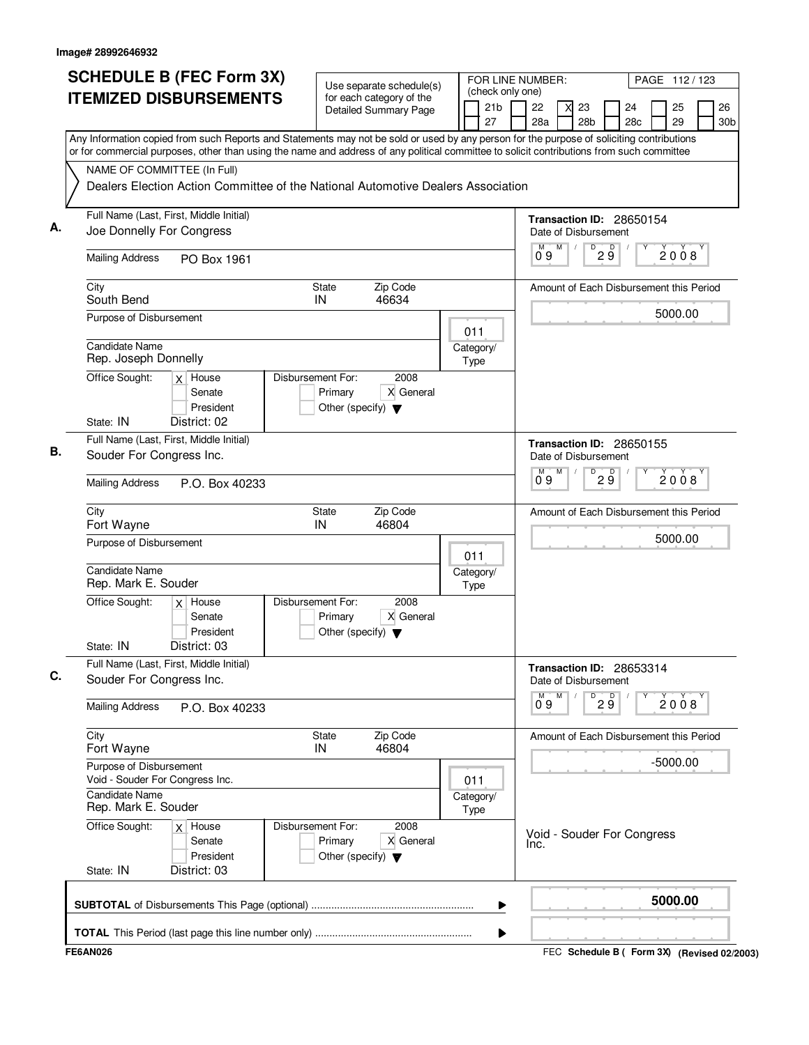|                                                                | <b>SCHEDULE B (FEC Form 3X)</b>                                                                                                                                                                                                                                                        |                                                 | Use separate schedule(s)                                 | FOR LINE NUMBER:<br>PAGE 112/123 |                                           |  |           |                                                  |                        |                       |            |      |                       |
|----------------------------------------------------------------|----------------------------------------------------------------------------------------------------------------------------------------------------------------------------------------------------------------------------------------------------------------------------------------|-------------------------------------------------|----------------------------------------------------------|----------------------------------|-------------------------------------------|--|-----------|--------------------------------------------------|------------------------|-----------------------|------------|------|-----------------------|
|                                                                | <b>ITEMIZED DISBURSEMENTS</b>                                                                                                                                                                                                                                                          |                                                 | for each category of the<br><b>Detailed Summary Page</b> |                                  | (check only one)<br>21 <sub>b</sub><br>27 |  | 22<br>28a | 23<br>28 <sub>b</sub>                            |                        | 24<br>28 <sub>c</sub> | 25<br>29   |      | 26<br>30 <sub>b</sub> |
|                                                                | Any Information copied from such Reports and Statements may not be sold or used by any person for the purpose of soliciting contributions<br>or for commercial purposes, other than using the name and address of any political committee to solicit contributions from such committee |                                                 |                                                          |                                  |                                           |  |           |                                                  |                        |                       |            |      |                       |
|                                                                | NAME OF COMMITTEE (In Full)<br>Dealers Election Action Committee of the National Automotive Dealers Association                                                                                                                                                                        |                                                 |                                                          |                                  |                                           |  |           |                                                  |                        |                       |            |      |                       |
|                                                                | Full Name (Last, First, Middle Initial)<br>Joe Donnelly For Congress                                                                                                                                                                                                                   |                                                 |                                                          |                                  |                                           |  |           | Transaction ID: 28650154<br>Date of Disbursement |                        |                       |            |      |                       |
| <b>Mailing Address</b>                                         | PO Box 1961                                                                                                                                                                                                                                                                            |                                                 |                                                          |                                  |                                           |  | M<br>09   | M                                                | $D^D$ 2 $\overline{9}$ |                       |            | 2008 |                       |
| City<br>South Bend                                             |                                                                                                                                                                                                                                                                                        | <b>State</b><br>IN                              | Zip Code<br>46634                                        |                                  |                                           |  |           | Amount of Each Disbursement this Period          |                        |                       |            |      |                       |
| Purpose of Disbursement<br>Candidate Name                      |                                                                                                                                                                                                                                                                                        |                                                 |                                                          | 011                              |                                           |  |           |                                                  |                        |                       | 5000.00    |      |                       |
| Rep. Joseph Donnelly<br>Office Sought:                         | $x$ House                                                                                                                                                                                                                                                                              | Disbursement For:                               | 2008                                                     | Type                             | Category/                                 |  |           |                                                  |                        |                       |            |      |                       |
| State: IN                                                      | Senate<br>President<br>District: 02                                                                                                                                                                                                                                                    | Primary<br>Other (specify) $\blacktriangledown$ | X General                                                |                                  |                                           |  |           |                                                  |                        |                       |            |      |                       |
| Souder For Congress Inc.                                       | Full Name (Last, First, Middle Initial)                                                                                                                                                                                                                                                |                                                 |                                                          |                                  |                                           |  |           | Transaction ID: 28650155<br>Date of Disbursement |                        |                       |            |      |                       |
| <b>Mailing Address</b>                                         | P.O. Box 40233                                                                                                                                                                                                                                                                         |                                                 |                                                          |                                  |                                           |  | 09        | M<br>D                                           | D<br>2 ğ               |                       |            | 2008 |                       |
| City<br>Fort Wayne                                             |                                                                                                                                                                                                                                                                                        | State<br>IN                                     | Zip Code<br>46804                                        |                                  |                                           |  |           | Amount of Each Disbursement this Period          |                        |                       |            |      |                       |
| Purpose of Disbursement                                        |                                                                                                                                                                                                                                                                                        |                                                 |                                                          | 011                              |                                           |  |           |                                                  |                        |                       | 5000.00    |      |                       |
| Candidate Name<br>Rep. Mark E. Souder                          |                                                                                                                                                                                                                                                                                        | Disbursement For:                               | 2008                                                     | Type                             | Category/                                 |  |           |                                                  |                        |                       |            |      |                       |
| Office Sought:<br>State: IN                                    | $x$ House<br>Senate<br>President<br>District: 03                                                                                                                                                                                                                                       | Primary<br>Other (specify) $\blacktriangledown$ | X General                                                |                                  |                                           |  |           |                                                  |                        |                       |            |      |                       |
| Souder For Congress Inc.                                       | Full Name (Last, First, Middle Initial)                                                                                                                                                                                                                                                |                                                 |                                                          |                                  |                                           |  |           | Transaction ID: 28653314<br>Date of Disbursement |                        |                       |            |      |                       |
| <b>Mailing Address</b>                                         | P.O. Box 40233                                                                                                                                                                                                                                                                         |                                                 |                                                          |                                  |                                           |  | 0.9       | M<br>D                                           | 29                     |                       | 2008       |      |                       |
| City<br>Fort Wayne                                             |                                                                                                                                                                                                                                                                                        | <b>State</b><br>IN                              | Zip Code<br>46804                                        |                                  |                                           |  |           | Amount of Each Disbursement this Period          |                        |                       |            |      |                       |
| Purpose of Disbursement                                        | Void - Souder For Congress Inc.                                                                                                                                                                                                                                                        |                                                 |                                                          | 011                              |                                           |  |           |                                                  |                        |                       | $-5000.00$ |      |                       |
| <b>Candidate Name</b><br>Rep. Mark E. Souder<br>Office Sought: | $x$ House                                                                                                                                                                                                                                                                              | Disbursement For:                               | 2008                                                     | Type                             | Category/                                 |  |           |                                                  |                        |                       |            |      |                       |
| State: IN                                                      | Senate<br>President<br>District: 03                                                                                                                                                                                                                                                    | Primary<br>Other (specify) $\blacktriangledown$ | X General                                                |                                  |                                           |  | Inc.      | Void - Souder For Congress                       |                        |                       |            |      |                       |
|                                                                |                                                                                                                                                                                                                                                                                        |                                                 |                                                          |                                  | ▶                                         |  |           |                                                  |                        |                       | 5000.00    |      |                       |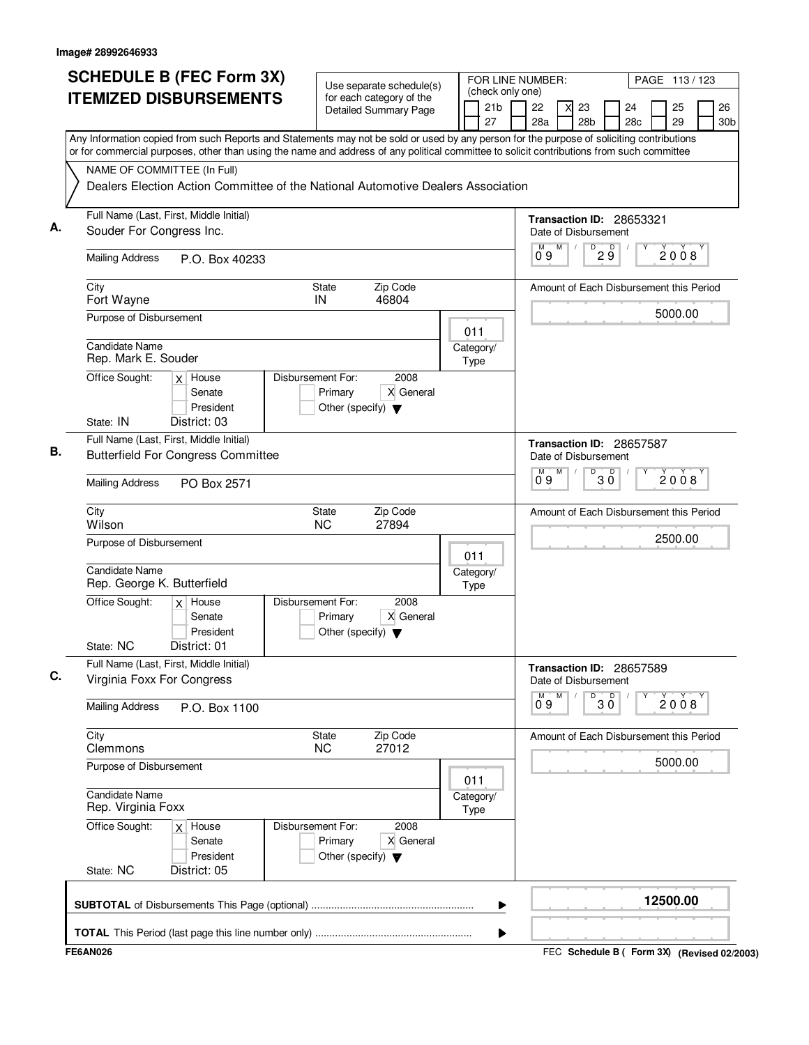| <b>SCHEDULE B (FEC Form 3X)</b><br><b>ITEMIZED DISBURSEMENTS</b>                                                                                                                                                                                                                                                                                                                                          | Use separate schedule(s)<br>for each category of the<br><b>Detailed Summary Page</b>      | FOR LINE NUMBER:<br>(check only one)<br>21 <sub>b</sub><br>27 | PAGE 113/123<br>26<br>22<br>23<br>24<br>25<br>28a<br>28 <sub>b</sub><br>29<br>28c<br>30 <sub>b</sub> |
|-----------------------------------------------------------------------------------------------------------------------------------------------------------------------------------------------------------------------------------------------------------------------------------------------------------------------------------------------------------------------------------------------------------|-------------------------------------------------------------------------------------------|---------------------------------------------------------------|------------------------------------------------------------------------------------------------------|
| Any Information copied from such Reports and Statements may not be sold or used by any person for the purpose of soliciting contributions<br>or for commercial purposes, other than using the name and address of any political committee to solicit contributions from such committee<br>NAME OF COMMITTEE (In Full)<br>Dealers Election Action Committee of the National Automotive Dealers Association |                                                                                           |                                                               |                                                                                                      |
| Full Name (Last, First, Middle Initial)                                                                                                                                                                                                                                                                                                                                                                   |                                                                                           |                                                               |                                                                                                      |
| Souder For Congress Inc.                                                                                                                                                                                                                                                                                                                                                                                  |                                                                                           |                                                               | Transaction ID: 28653321<br>Date of Disbursement                                                     |
| <b>Mailing Address</b><br>P.O. Box 40233                                                                                                                                                                                                                                                                                                                                                                  |                                                                                           |                                                               | $D$ <sub>2</sub> $9$<br>М<br>M<br>2008<br>09                                                         |
| City<br>Fort Wayne                                                                                                                                                                                                                                                                                                                                                                                        | Zip Code<br>State<br>IN<br>46804                                                          |                                                               | Amount of Each Disbursement this Period                                                              |
| Purpose of Disbursement                                                                                                                                                                                                                                                                                                                                                                                   |                                                                                           | 011                                                           | 5000.00                                                                                              |
| <b>Candidate Name</b><br>Rep. Mark E. Souder                                                                                                                                                                                                                                                                                                                                                              |                                                                                           | Category/<br>Type                                             |                                                                                                      |
| Office Sought:<br>$x$ House<br>Senate<br>President<br>State: IN<br>District: 03                                                                                                                                                                                                                                                                                                                           | Disbursement For:<br>2008<br>X General<br>Primary<br>Other (specify) $\blacktriangledown$ |                                                               |                                                                                                      |
| Full Name (Last, First, Middle Initial)<br><b>Butterfield For Congress Committee</b>                                                                                                                                                                                                                                                                                                                      |                                                                                           |                                                               | Transaction ID: 28657587<br>Date of Disbursement                                                     |
| <b>Mailing Address</b><br>PO Box 2571                                                                                                                                                                                                                                                                                                                                                                     |                                                                                           |                                                               | $\overline{30}$<br>M<br>М<br>$\overrightarrow{2}$ 0 0 8<br>0°9                                       |
| City<br>Wilson                                                                                                                                                                                                                                                                                                                                                                                            | <b>State</b><br>Zip Code<br><b>NC</b><br>27894                                            |                                                               | Amount of Each Disbursement this Period                                                              |
| Purpose of Disbursement                                                                                                                                                                                                                                                                                                                                                                                   |                                                                                           | 011                                                           | 2500.00                                                                                              |
| Candidate Name<br>Rep. George K. Butterfield                                                                                                                                                                                                                                                                                                                                                              |                                                                                           | Category/<br>Type                                             |                                                                                                      |
| Office Sought:<br>$x$ House<br>Senate<br>President<br>State: NC<br>District: 01                                                                                                                                                                                                                                                                                                                           | Disbursement For:<br>2008<br>X General<br>Primary<br>Other (specify) $\blacktriangledown$ |                                                               |                                                                                                      |
| Full Name (Last, First, Middle Initial)<br>Virginia Foxx For Congress                                                                                                                                                                                                                                                                                                                                     |                                                                                           |                                                               | Transaction ID: 28657589<br>Date of Disbursement                                                     |
| <b>Mailing Address</b><br>P.O. Box 1100                                                                                                                                                                                                                                                                                                                                                                   |                                                                                           |                                                               | M<br>D<br>$\overline{\mathsf{D}}$<br>М<br>2008<br>3 Ŏ<br>09                                          |
| City<br>Clemmons                                                                                                                                                                                                                                                                                                                                                                                          | Zip Code<br>State<br><b>NC</b><br>27012                                                   |                                                               | Amount of Each Disbursement this Period                                                              |
| Purpose of Disbursement                                                                                                                                                                                                                                                                                                                                                                                   |                                                                                           | 011                                                           | 5000.00                                                                                              |
| Candidate Name<br>Rep. Virginia Foxx                                                                                                                                                                                                                                                                                                                                                                      |                                                                                           | Category/<br>Type                                             |                                                                                                      |
| Office Sought:<br>$x$ House<br>Senate<br>President                                                                                                                                                                                                                                                                                                                                                        | 2008<br>Disbursement For:<br>Primary<br>X General<br>Other (specify) $\blacktriangledown$ |                                                               |                                                                                                      |
| State: NC<br>District: 05                                                                                                                                                                                                                                                                                                                                                                                 |                                                                                           |                                                               |                                                                                                      |
|                                                                                                                                                                                                                                                                                                                                                                                                           |                                                                                           | ▶                                                             | 12500.00                                                                                             |
|                                                                                                                                                                                                                                                                                                                                                                                                           |                                                                                           | ▶                                                             |                                                                                                      |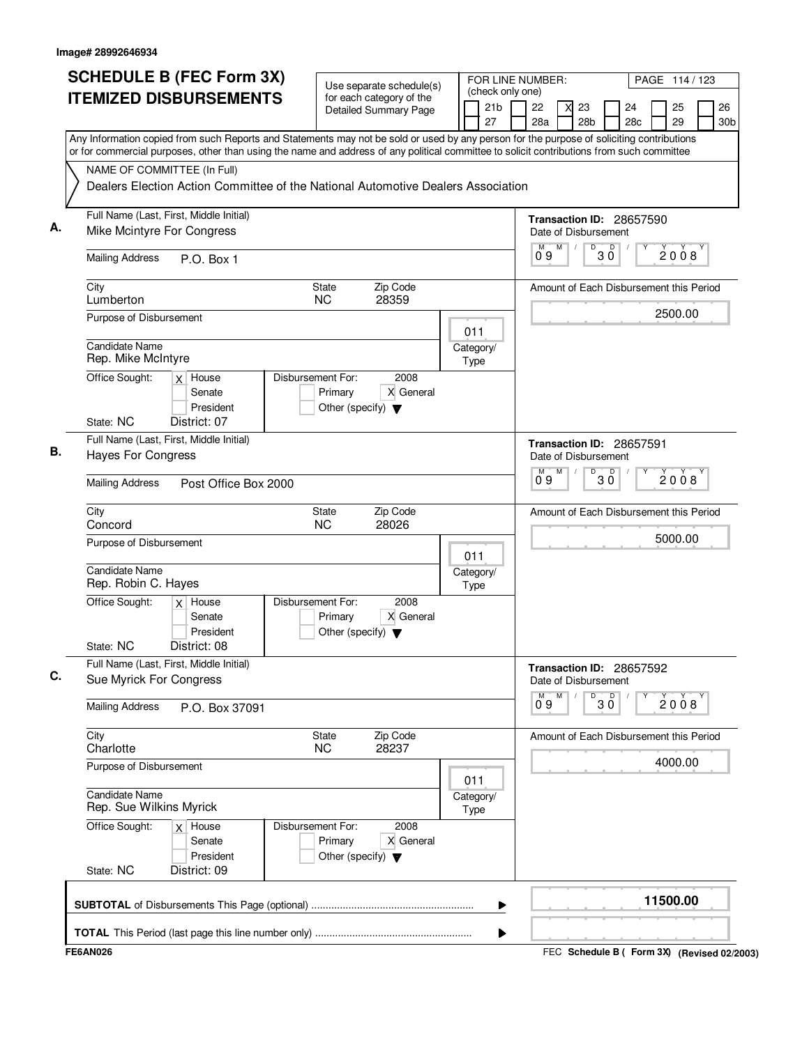| <b>SCHEDULE B (FEC Form 3X)</b><br><b>ITEMIZED DISBURSEMENTS</b>                                                                                                                                                                                                                       | Use separate schedule(s)<br>for each category of the                                      |                          | (check only one)      | FOR LINE NUMBER:<br>PAGE 114 / 123 |   |                                         |              |           |  |          |                       |  |  |
|----------------------------------------------------------------------------------------------------------------------------------------------------------------------------------------------------------------------------------------------------------------------------------------|-------------------------------------------------------------------------------------------|--------------------------|-----------------------|------------------------------------|---|-----------------------------------------|--------------|-----------|--|----------|-----------------------|--|--|
|                                                                                                                                                                                                                                                                                        | Detailed Summary Page                                                                     |                          | 21 <sub>b</sub><br>27 | 22<br>28a                          |   | 23<br>28 <sub>b</sub>                   |              | 24<br>28c |  | 25<br>29 | 26<br>30 <sub>b</sub> |  |  |
| Any Information copied from such Reports and Statements may not be sold or used by any person for the purpose of soliciting contributions<br>or for commercial purposes, other than using the name and address of any political committee to solicit contributions from such committee |                                                                                           |                          |                       |                                    |   |                                         |              |           |  |          |                       |  |  |
| NAME OF COMMITTEE (In Full)                                                                                                                                                                                                                                                            |                                                                                           |                          |                       |                                    |   |                                         |              |           |  |          |                       |  |  |
| Dealers Election Action Committee of the National Automotive Dealers Association                                                                                                                                                                                                       |                                                                                           |                          |                       |                                    |   |                                         |              |           |  |          |                       |  |  |
| Full Name (Last, First, Middle Initial)<br>А.<br>Mike Mcintyre For Congress                                                                                                                                                                                                            |                                                                                           |                          |                       | Transaction ID: 28657590           |   | Date of Disbursement                    |              |           |  |          |                       |  |  |
| <b>Mailing Address</b><br>P.O. Box 1                                                                                                                                                                                                                                                   |                                                                                           |                          |                       | M<br>09                            | M | D                                       | $30^{\circ}$ |           |  | 2008     |                       |  |  |
| City<br>Lumberton                                                                                                                                                                                                                                                                      | Zip Code<br>State<br>28359<br><b>NC</b>                                                   |                          |                       |                                    |   | Amount of Each Disbursement this Period |              |           |  |          |                       |  |  |
| Purpose of Disbursement                                                                                                                                                                                                                                                                |                                                                                           | 011                      |                       |                                    |   |                                         |              |           |  | 2500.00  |                       |  |  |
| <b>Candidate Name</b><br>Rep. Mike McIntyre                                                                                                                                                                                                                                            |                                                                                           | Category/<br>Type        |                       |                                    |   |                                         |              |           |  |          |                       |  |  |
| Office Sought:<br>$x$ House<br>Senate<br>President                                                                                                                                                                                                                                     | Disbursement For:<br>2008<br>X General<br>Primary<br>Other (specify) $\blacktriangledown$ |                          |                       |                                    |   |                                         |              |           |  |          |                       |  |  |
| District: 07<br>State: NC                                                                                                                                                                                                                                                              |                                                                                           |                          |                       |                                    |   |                                         |              |           |  |          |                       |  |  |
| Full Name (Last, First, Middle Initial)<br>В.<br><b>Hayes For Congress</b>                                                                                                                                                                                                             |                                                                                           |                          |                       | Transaction ID: 28657591           |   | Date of Disbursement                    |              |           |  |          |                       |  |  |
| <b>Mailing Address</b><br>Post Office Box 2000                                                                                                                                                                                                                                         |                                                                                           |                          |                       | М<br>0°9                           | M | D                                       | $30^{\circ}$ |           |  | 2008     |                       |  |  |
| City<br>Concord                                                                                                                                                                                                                                                                        | State<br>Zip Code<br><b>NC</b><br>28026                                                   |                          |                       |                                    |   | Amount of Each Disbursement this Period |              |           |  |          |                       |  |  |
| Purpose of Disbursement                                                                                                                                                                                                                                                                |                                                                                           | 011                      |                       |                                    |   |                                         |              |           |  | 5000.00  |                       |  |  |
| <b>Candidate Name</b><br>Rep. Robin C. Hayes                                                                                                                                                                                                                                           |                                                                                           | Category/<br>Type        |                       |                                    |   |                                         |              |           |  |          |                       |  |  |
| Office Sought:<br>$x$ House<br>Senate<br>President                                                                                                                                                                                                                                     | Disbursement For:<br>2008<br>X General<br>Primary<br>Other (specify) $\blacktriangledown$ |                          |                       |                                    |   |                                         |              |           |  |          |                       |  |  |
| State: NC<br>District: 08                                                                                                                                                                                                                                                              |                                                                                           |                          |                       |                                    |   |                                         |              |           |  |          |                       |  |  |
| Full Name (Last, First, Middle Initial)<br>C.<br>Sue Myrick For Congress                                                                                                                                                                                                               |                                                                                           |                          |                       | Transaction ID: 28657592           |   | Date of Disbursement                    |              |           |  |          |                       |  |  |
| <b>Mailing Address</b><br>P.O. Box 37091                                                                                                                                                                                                                                               |                                                                                           |                          |                       | М<br>09                            | M | D                                       | p<br>ЗŐ      |           |  | 2008     |                       |  |  |
| City<br>Charlotte                                                                                                                                                                                                                                                                      | Zip Code<br>State<br>28237<br>NC.                                                         |                          |                       |                                    |   | Amount of Each Disbursement this Period |              |           |  |          |                       |  |  |
| Purpose of Disbursement                                                                                                                                                                                                                                                                |                                                                                           | 011                      |                       |                                    |   |                                         |              |           |  | 4000.00  |                       |  |  |
| <b>Candidate Name</b><br>Rep. Sue Wilkins Myrick                                                                                                                                                                                                                                       |                                                                                           | Category/<br><b>Type</b> |                       |                                    |   |                                         |              |           |  |          |                       |  |  |
| Office Sought:<br>$x$ House<br>Senate<br>President                                                                                                                                                                                                                                     | Disbursement For:<br>2008<br>Primary<br>X General<br>Other (specify) $\blacktriangledown$ |                          |                       |                                    |   |                                         |              |           |  |          |                       |  |  |
| State: NC<br>District: 09                                                                                                                                                                                                                                                              |                                                                                           |                          |                       |                                    |   |                                         |              |           |  |          |                       |  |  |
|                                                                                                                                                                                                                                                                                        |                                                                                           |                          | ▶                     |                                    |   |                                         |              |           |  | 11500.00 |                       |  |  |
|                                                                                                                                                                                                                                                                                        |                                                                                           |                          |                       |                                    |   |                                         |              |           |  |          |                       |  |  |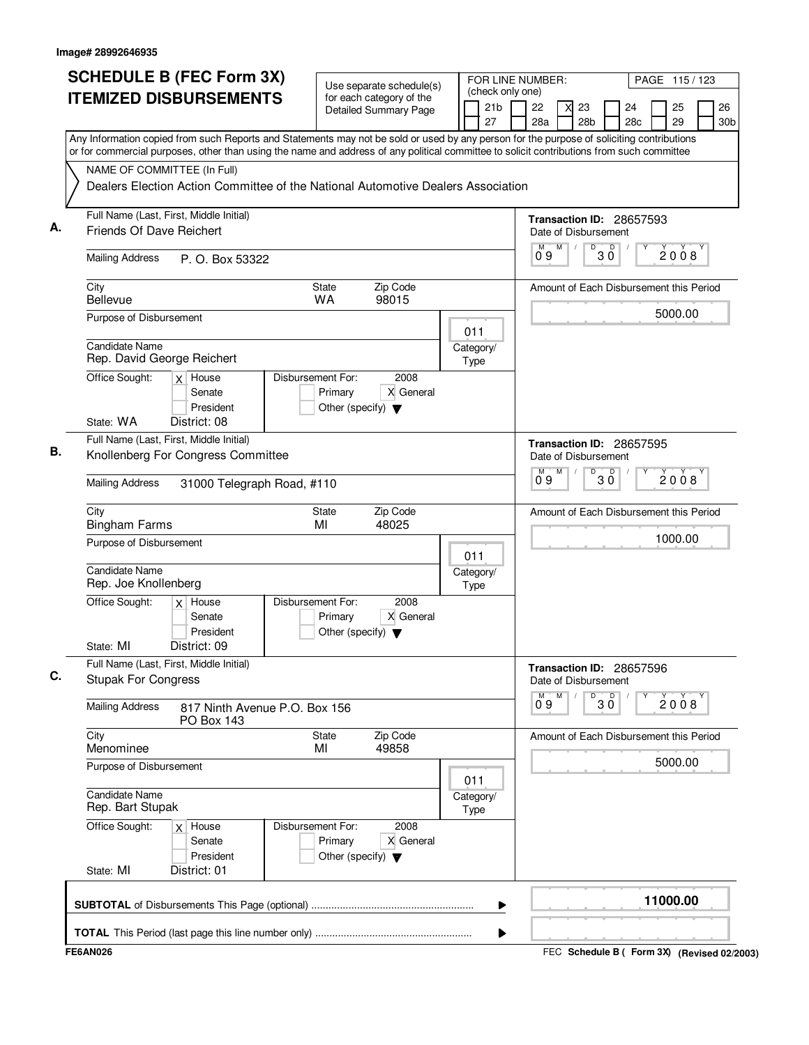| <b>SCHEDULE B (FEC Form 3X)</b>                                                                                                                                                                                                                                                        | Use separate schedule(s)<br><b>ITEMIZED DISBURSEMENTS</b><br>for each category of the |                   |                                                 |                       |  | FOR LINE NUMBER:<br>(check only one) |                       |                      |   |                           |              | PAGE 115/123                            |          |                       |
|----------------------------------------------------------------------------------------------------------------------------------------------------------------------------------------------------------------------------------------------------------------------------------------|---------------------------------------------------------------------------------------|-------------------|-------------------------------------------------|-----------------------|--|--------------------------------------|-----------------------|----------------------|---|---------------------------|--------------|-----------------------------------------|----------|-----------------------|
|                                                                                                                                                                                                                                                                                        |                                                                                       |                   |                                                 | Detailed Summary Page |  |                                      | 21 <sub>b</sub><br>27 | 22<br>28a            |   | 23<br>28 <sub>b</sub>     |              | 24<br>28 <sub>c</sub>                   | 25<br>29 | 26<br>30 <sub>b</sub> |
| Any Information copied from such Reports and Statements may not be sold or used by any person for the purpose of soliciting contributions<br>or for commercial purposes, other than using the name and address of any political committee to solicit contributions from such committee |                                                                                       |                   |                                                 |                       |  |                                      |                       |                      |   |                           |              |                                         |          |                       |
| NAME OF COMMITTEE (In Full)                                                                                                                                                                                                                                                            |                                                                                       |                   |                                                 |                       |  |                                      |                       |                      |   |                           |              |                                         |          |                       |
| Dealers Election Action Committee of the National Automotive Dealers Association                                                                                                                                                                                                       |                                                                                       |                   |                                                 |                       |  |                                      |                       |                      |   |                           |              |                                         |          |                       |
| Full Name (Last, First, Middle Initial)<br>Friends Of Dave Reichert                                                                                                                                                                                                                    |                                                                                       |                   |                                                 |                       |  |                                      |                       | Date of Disbursement |   |                           |              | Transaction ID: 28657593                |          |                       |
| <b>Mailing Address</b>                                                                                                                                                                                                                                                                 | P. O. Box 53322                                                                       |                   |                                                 |                       |  |                                      |                       | M<br>09              | M | D                         | $30^{\circ}$ |                                         | 2008     |                       |
| City<br><b>Bellevue</b>                                                                                                                                                                                                                                                                |                                                                                       |                   | <b>State</b><br><b>WA</b>                       | Zip Code<br>98015     |  |                                      |                       |                      |   |                           |              | Amount of Each Disbursement this Period |          |                       |
| Purpose of Disbursement                                                                                                                                                                                                                                                                |                                                                                       |                   |                                                 |                       |  | 011                                  |                       |                      |   |                           |              |                                         | 5000.00  |                       |
| Candidate Name<br>Rep. David George Reichert                                                                                                                                                                                                                                           |                                                                                       |                   |                                                 |                       |  | Category/<br>Type                    |                       |                      |   |                           |              |                                         |          |                       |
| Office Sought:<br>$x$ House                                                                                                                                                                                                                                                            | Senate<br>President                                                                   | Disbursement For: | Primary<br>Other (specify) $\blacktriangledown$ | 2008<br>X General     |  |                                      |                       |                      |   |                           |              |                                         |          |                       |
| State: WA<br>District: 08                                                                                                                                                                                                                                                              |                                                                                       |                   |                                                 |                       |  |                                      |                       |                      |   |                           |              |                                         |          |                       |
| Full Name (Last, First, Middle Initial)<br>Knollenberg For Congress Committee                                                                                                                                                                                                          |                                                                                       |                   |                                                 |                       |  |                                      |                       | M                    | M | Date of Disbursement<br>D |              | Transaction ID: 28657595<br>D           |          |                       |
| <b>Mailing Address</b>                                                                                                                                                                                                                                                                 | 31000 Telegraph Road, #110                                                            |                   |                                                 |                       |  |                                      |                       | 0.9                  |   |                           | зὄ           |                                         | 2008     |                       |
| City<br><b>Bingham Farms</b>                                                                                                                                                                                                                                                           |                                                                                       |                   | <b>State</b><br>MI                              | Zip Code<br>48025     |  |                                      |                       |                      |   |                           |              | Amount of Each Disbursement this Period |          |                       |
| Purpose of Disbursement                                                                                                                                                                                                                                                                |                                                                                       |                   |                                                 |                       |  | 011                                  |                       |                      |   |                           |              |                                         | 1000.00  |                       |
| <b>Candidate Name</b><br>Rep. Joe Knollenberg                                                                                                                                                                                                                                          |                                                                                       |                   |                                                 |                       |  | Category/<br>Type                    |                       |                      |   |                           |              |                                         |          |                       |
| Office Sought:<br>$x$ House                                                                                                                                                                                                                                                            | Senate<br>President                                                                   | Disbursement For: | Primary<br>Other (specify) $\blacktriangledown$ | 2008<br>X General     |  |                                      |                       |                      |   |                           |              |                                         |          |                       |
| State: MI<br>District: 09<br>Full Name (Last, First, Middle Initial)                                                                                                                                                                                                                   |                                                                                       |                   |                                                 |                       |  |                                      |                       |                      |   |                           |              |                                         |          |                       |
| <b>Stupak For Congress</b>                                                                                                                                                                                                                                                             |                                                                                       |                   |                                                 |                       |  |                                      |                       | М                    | M | Date of Disbursement<br>D |              | Transaction ID: 28657596                |          |                       |
| <b>Mailing Address</b>                                                                                                                                                                                                                                                                 | 817 Ninth Avenue P.O. Box 156<br><b>PO Box 143</b>                                    |                   |                                                 |                       |  |                                      |                       | 09                   |   |                           | $30^{\circ}$ |                                         | 2008     |                       |
| City<br>Menominee                                                                                                                                                                                                                                                                      |                                                                                       |                   | <b>State</b><br>MI                              | Zip Code<br>49858     |  |                                      |                       |                      |   |                           |              | Amount of Each Disbursement this Period |          |                       |
| Purpose of Disbursement                                                                                                                                                                                                                                                                |                                                                                       |                   |                                                 |                       |  | 011                                  |                       |                      |   |                           |              |                                         | 5000.00  |                       |
| Candidate Name<br>Rep. Bart Stupak                                                                                                                                                                                                                                                     |                                                                                       |                   |                                                 |                       |  | Category/<br>Type                    |                       |                      |   |                           |              |                                         |          |                       |
| Office Sought:<br>$\times$                                                                                                                                                                                                                                                             | House<br>Senate<br>President                                                          | Disbursement For: | Primary<br>Other (specify) $\blacktriangledown$ | 2008<br>X General     |  |                                      |                       |                      |   |                           |              |                                         |          |                       |
| State: MI<br>District: 01                                                                                                                                                                                                                                                              |                                                                                       |                   |                                                 |                       |  |                                      |                       |                      |   |                           |              |                                         |          |                       |
|                                                                                                                                                                                                                                                                                        |                                                                                       |                   |                                                 |                       |  |                                      | ▶                     |                      |   |                           |              |                                         | 11000.00 |                       |
|                                                                                                                                                                                                                                                                                        |                                                                                       |                   |                                                 |                       |  |                                      | ▶                     |                      |   |                           |              |                                         |          |                       |
| $-0.11000$                                                                                                                                                                                                                                                                             |                                                                                       |                   |                                                 |                       |  |                                      |                       |                      |   |                           |              |                                         |          |                       |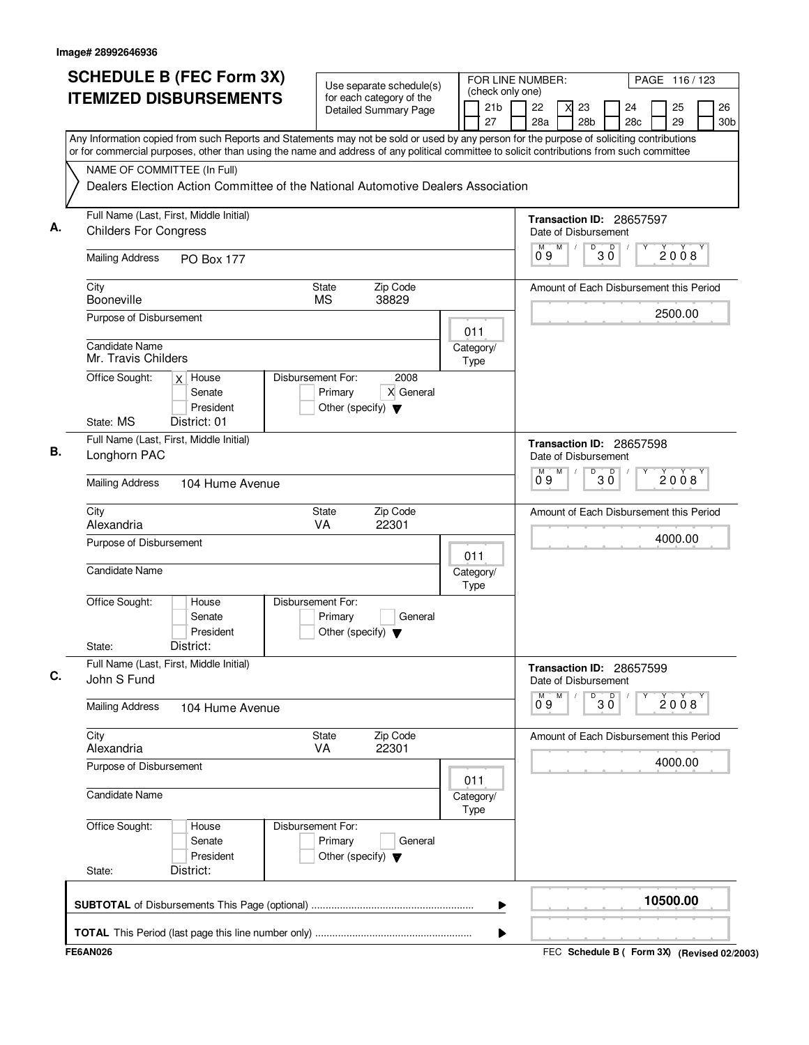|    | <b>SCHEDULE B (FEC Form 3X)</b><br><b>ITEMIZED DISBURSEMENTS</b>                                                                                                                                                                                                                       | Use separate schedule(s)<br>for each category of the<br><b>Detailed Summary Page</b> | 21 <sub>b</sub>   | FOR LINE NUMBER:<br>(check only one)<br>22<br>23 | PAGE 116 / 123<br>26<br>24<br>25        |
|----|----------------------------------------------------------------------------------------------------------------------------------------------------------------------------------------------------------------------------------------------------------------------------------------|--------------------------------------------------------------------------------------|-------------------|--------------------------------------------------|-----------------------------------------|
|    | Any Information copied from such Reports and Statements may not be sold or used by any person for the purpose of soliciting contributions<br>or for commercial purposes, other than using the name and address of any political committee to solicit contributions from such committee |                                                                                      | 27                | 28 <sub>b</sub><br>28a                           | 29<br>28c<br>30 <sub>b</sub>            |
|    | NAME OF COMMITTEE (In Full)<br>Dealers Election Action Committee of the National Automotive Dealers Association                                                                                                                                                                        |                                                                                      |                   |                                                  |                                         |
| А. | Full Name (Last, First, Middle Initial)<br><b>Childers For Congress</b>                                                                                                                                                                                                                |                                                                                      |                   | Transaction ID: 28657597<br>Date of Disbursement |                                         |
|    | <b>Mailing Address</b><br><b>PO Box 177</b>                                                                                                                                                                                                                                            |                                                                                      |                   | D<br>M<br>М<br>09                                | $30^{\circ}$<br>2008                    |
|    | City<br>Booneville                                                                                                                                                                                                                                                                     | Zip Code<br>State<br>38829<br><b>MS</b>                                              |                   |                                                  | Amount of Each Disbursement this Period |
|    | Purpose of Disbursement<br><b>Candidate Name</b>                                                                                                                                                                                                                                       |                                                                                      | 011<br>Category/  |                                                  | 2500.00                                 |
|    | Mr. Travis Childers<br>Office Sought:<br>$x$ House                                                                                                                                                                                                                                     | Disbursement For:<br>2008                                                            | <b>Type</b>       |                                                  |                                         |
|    | Senate<br>President<br>State: MS<br>District: 01                                                                                                                                                                                                                                       | X General<br>Primary<br>Other (specify) $\blacktriangledown$                         |                   |                                                  |                                         |
| В. | Full Name (Last, First, Middle Initial)<br>Longhorn PAC                                                                                                                                                                                                                                |                                                                                      |                   | Transaction ID: 28657598<br>Date of Disbursement |                                         |
|    | <b>Mailing Address</b><br>104 Hume Avenue                                                                                                                                                                                                                                              |                                                                                      |                   | D<br>M<br>М<br>0°9                               | $\mathsf D$<br>2008<br>зὄ               |
|    | City<br>Alexandria                                                                                                                                                                                                                                                                     | State<br>Zip Code<br>VA<br>22301                                                     |                   |                                                  | Amount of Each Disbursement this Period |
|    | Purpose of Disbursement                                                                                                                                                                                                                                                                |                                                                                      | 011               |                                                  | 4000.00                                 |
|    | <b>Candidate Name</b>                                                                                                                                                                                                                                                                  |                                                                                      | Category/<br>Type |                                                  |                                         |
|    | Office Sought:<br>House<br>Senate<br>President<br>District:<br>State:                                                                                                                                                                                                                  | Disbursement For:<br>Primary<br>General<br>Other (specify) $\blacktriangledown$      |                   |                                                  |                                         |
|    | Full Name (Last, First, Middle Initial)<br>John S Fund                                                                                                                                                                                                                                 |                                                                                      |                   | Transaction ID: 28657599<br>Date of Disbursement |                                         |
|    | <b>Mailing Address</b><br>104 Hume Avenue                                                                                                                                                                                                                                              |                                                                                      |                   | M<br>M<br>D<br>09                                | $\overline{\mathsf{D}}$<br>2008<br>3 Ŏ  |
|    | City<br>Alexandria                                                                                                                                                                                                                                                                     | Zip Code<br>State<br>VA<br>22301                                                     |                   |                                                  | Amount of Each Disbursement this Period |
|    | Purpose of Disbursement                                                                                                                                                                                                                                                                |                                                                                      | 011               |                                                  | 4000.00                                 |
|    | <b>Candidate Name</b>                                                                                                                                                                                                                                                                  |                                                                                      | Category/<br>Type |                                                  |                                         |
|    | Office Sought:<br>House<br>Senate<br>President                                                                                                                                                                                                                                         | Disbursement For:<br>Primary<br>General<br>Other (specify) $\blacktriangledown$      |                   |                                                  |                                         |
|    | District:<br>State:                                                                                                                                                                                                                                                                    |                                                                                      |                   |                                                  |                                         |
|    |                                                                                                                                                                                                                                                                                        |                                                                                      | ▶                 |                                                  | 10500.00                                |
|    |                                                                                                                                                                                                                                                                                        |                                                                                      | ▶                 |                                                  |                                         |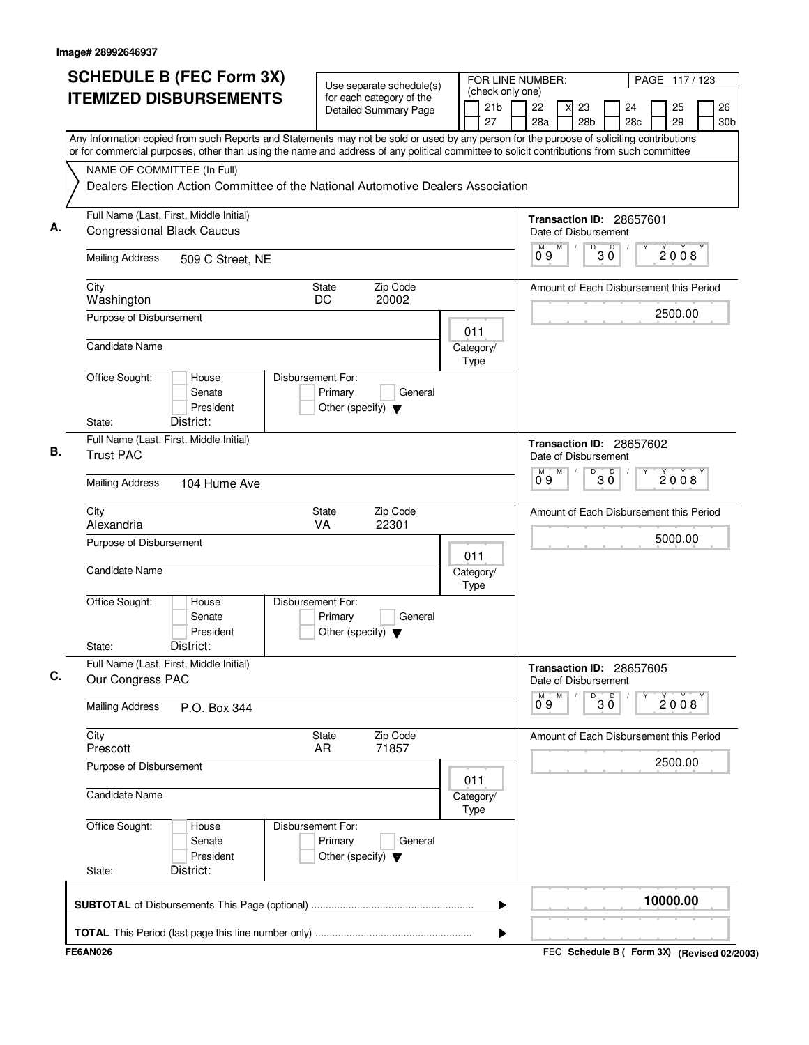| <b>ITEMIZED DISBURSEMENTS</b><br>for each category of the<br>21 <sub>b</sub><br>22<br>Detailed Summary Page<br>27<br>28a<br>Any Information copied from such Reports and Statements may not be sold or used by any person for the purpose of soliciting contributions<br>or for commercial purposes, other than using the name and address of any political committee to solicit contributions from such committee<br>NAME OF COMMITTEE (In Full)<br>Dealers Election Action Committee of the National Automotive Dealers Association<br>Full Name (Last, First, Middle Initial)<br>А.<br><b>Congressional Black Caucus</b> | 26<br>23<br>24<br>25<br>28 <sub>b</sub><br>28c<br>29<br>30 <sub>b</sub><br>Transaction ID: 28657601<br>Date of Disbursement |
|-----------------------------------------------------------------------------------------------------------------------------------------------------------------------------------------------------------------------------------------------------------------------------------------------------------------------------------------------------------------------------------------------------------------------------------------------------------------------------------------------------------------------------------------------------------------------------------------------------------------------------|-----------------------------------------------------------------------------------------------------------------------------|
|                                                                                                                                                                                                                                                                                                                                                                                                                                                                                                                                                                                                                             |                                                                                                                             |
|                                                                                                                                                                                                                                                                                                                                                                                                                                                                                                                                                                                                                             |                                                                                                                             |
|                                                                                                                                                                                                                                                                                                                                                                                                                                                                                                                                                                                                                             |                                                                                                                             |
|                                                                                                                                                                                                                                                                                                                                                                                                                                                                                                                                                                                                                             |                                                                                                                             |
|                                                                                                                                                                                                                                                                                                                                                                                                                                                                                                                                                                                                                             |                                                                                                                             |
| М<br>09<br><b>Mailing Address</b><br>509 C Street, NE                                                                                                                                                                                                                                                                                                                                                                                                                                                                                                                                                                       | D<br>M<br>$30^{\circ}$<br>2008                                                                                              |
| Zip Code<br>City<br>State<br>Washington<br>DC<br>20002                                                                                                                                                                                                                                                                                                                                                                                                                                                                                                                                                                      | Amount of Each Disbursement this Period                                                                                     |
| Purpose of Disbursement<br>011                                                                                                                                                                                                                                                                                                                                                                                                                                                                                                                                                                                              | 2500.00                                                                                                                     |
| <b>Candidate Name</b><br>Category/<br><b>Type</b>                                                                                                                                                                                                                                                                                                                                                                                                                                                                                                                                                                           |                                                                                                                             |
| Office Sought:<br>House<br>Disbursement For:<br>Senate<br>Primary<br>General<br>President<br>Other (specify) $\blacktriangledown$                                                                                                                                                                                                                                                                                                                                                                                                                                                                                           |                                                                                                                             |
| District:<br>State:                                                                                                                                                                                                                                                                                                                                                                                                                                                                                                                                                                                                         |                                                                                                                             |
| Full Name (Last, First, Middle Initial)<br>В.<br><b>Trust PAC</b>                                                                                                                                                                                                                                                                                                                                                                                                                                                                                                                                                           | Transaction ID: 28657602<br>Date of Disbursement                                                                            |
| $0^{\circ}9$<br><b>Mailing Address</b><br>104 Hume Ave                                                                                                                                                                                                                                                                                                                                                                                                                                                                                                                                                                      | M<br>D<br>$30^{\circ}$<br>2008                                                                                              |
| City<br>State<br>Zip Code<br>Alexandria<br>VA<br>22301                                                                                                                                                                                                                                                                                                                                                                                                                                                                                                                                                                      | Amount of Each Disbursement this Period                                                                                     |
| Purpose of Disbursement<br>011                                                                                                                                                                                                                                                                                                                                                                                                                                                                                                                                                                                              | 5000.00                                                                                                                     |
| Candidate Name<br>Category/<br>Type                                                                                                                                                                                                                                                                                                                                                                                                                                                                                                                                                                                         |                                                                                                                             |
| Office Sought:<br>Disbursement For:<br>House<br>Senate<br>Primary<br>General<br>President<br>Other (specify) $\blacktriangledown$                                                                                                                                                                                                                                                                                                                                                                                                                                                                                           |                                                                                                                             |
| District:<br>State:                                                                                                                                                                                                                                                                                                                                                                                                                                                                                                                                                                                                         |                                                                                                                             |
| Full Name (Last, First, Middle Initial)<br>C.<br>Our Congress PAC<br>М                                                                                                                                                                                                                                                                                                                                                                                                                                                                                                                                                      | Transaction ID: 28657605<br>Date of Disbursement<br>M<br>D                                                                  |
| 09<br><b>Mailing Address</b><br>P.O. Box 344                                                                                                                                                                                                                                                                                                                                                                                                                                                                                                                                                                                | $30^{\circ}$<br>2008                                                                                                        |
| Zip Code<br>City<br>State<br>71857<br>Prescott<br>AR                                                                                                                                                                                                                                                                                                                                                                                                                                                                                                                                                                        | Amount of Each Disbursement this Period                                                                                     |
| Purpose of Disbursement<br>011                                                                                                                                                                                                                                                                                                                                                                                                                                                                                                                                                                                              | 2500.00                                                                                                                     |
| Candidate Name<br>Category/<br><b>Type</b>                                                                                                                                                                                                                                                                                                                                                                                                                                                                                                                                                                                  |                                                                                                                             |
| Office Sought:<br>Disbursement For:<br>House<br>Primary<br>Senate<br>General<br>President<br>Other (specify) $\blacktriangledown$                                                                                                                                                                                                                                                                                                                                                                                                                                                                                           |                                                                                                                             |
| District:<br>State:                                                                                                                                                                                                                                                                                                                                                                                                                                                                                                                                                                                                         |                                                                                                                             |
| ▶                                                                                                                                                                                                                                                                                                                                                                                                                                                                                                                                                                                                                           | 10000.00                                                                                                                    |
|                                                                                                                                                                                                                                                                                                                                                                                                                                                                                                                                                                                                                             |                                                                                                                             |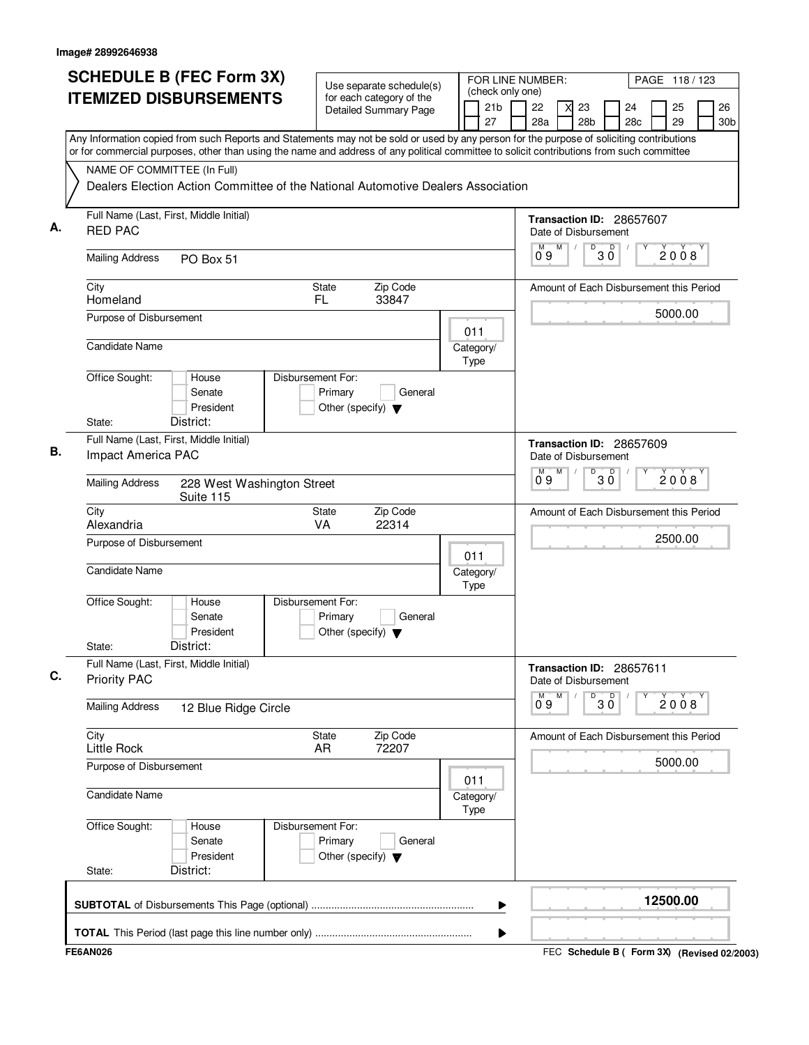|    | <b>SCHEDULE B (FEC Form 3X)</b>                                                                                                                                                                                                                                                        |                                                                      | Use separate schedule(s)                                 |             |                       | FOR LINE NUMBER:<br>PAGE 118/123<br>(check only one) |   |                       |              |                                         |  |          |                       |
|----|----------------------------------------------------------------------------------------------------------------------------------------------------------------------------------------------------------------------------------------------------------------------------------------|----------------------------------------------------------------------|----------------------------------------------------------|-------------|-----------------------|------------------------------------------------------|---|-----------------------|--------------|-----------------------------------------|--|----------|-----------------------|
|    | <b>ITEMIZED DISBURSEMENTS</b>                                                                                                                                                                                                                                                          |                                                                      | for each category of the<br><b>Detailed Summary Page</b> |             | 21 <sub>b</sub><br>27 | 22<br>28a                                            |   | 23<br>28 <sub>b</sub> |              | 24<br>28 <sub>c</sub>                   |  | 25<br>29 | 26<br>30 <sub>b</sub> |
|    | Any Information copied from such Reports and Statements may not be sold or used by any person for the purpose of soliciting contributions<br>or for commercial purposes, other than using the name and address of any political committee to solicit contributions from such committee |                                                                      |                                                          |             |                       |                                                      |   |                       |              |                                         |  |          |                       |
|    | NAME OF COMMITTEE (In Full)<br>Dealers Election Action Committee of the National Automotive Dealers Association                                                                                                                                                                        |                                                                      |                                                          |             |                       |                                                      |   |                       |              |                                         |  |          |                       |
| А. | Full Name (Last, First, Middle Initial)<br><b>RED PAC</b>                                                                                                                                                                                                                              |                                                                      |                                                          |             |                       | Date of Disbursement                                 |   |                       |              | Transaction ID: 28657607                |  |          |                       |
|    | <b>Mailing Address</b><br>PO Box 51                                                                                                                                                                                                                                                    |                                                                      |                                                          |             |                       | M<br>09                                              | M | D                     | $30^{\circ}$ |                                         |  | 2008     |                       |
|    | City<br>Homeland                                                                                                                                                                                                                                                                       | State<br>FL                                                          | Zip Code<br>33847                                        |             |                       |                                                      |   |                       |              | Amount of Each Disbursement this Period |  |          |                       |
|    | Purpose of Disbursement<br>Candidate Name                                                                                                                                                                                                                                              |                                                                      |                                                          | 011         |                       |                                                      |   |                       |              |                                         |  | 5000.00  |                       |
|    | Office Sought:<br>House                                                                                                                                                                                                                                                                | Disbursement For:                                                    |                                                          | Type        | Category/             |                                                      |   |                       |              |                                         |  |          |                       |
|    | Senate<br>President<br>District:<br>State:                                                                                                                                                                                                                                             | Primary<br>Other (specify) $\blacktriangledown$                      | General                                                  |             |                       |                                                      |   |                       |              |                                         |  |          |                       |
| В. | Full Name (Last, First, Middle Initial)<br>Impact America PAC                                                                                                                                                                                                                          |                                                                      |                                                          |             |                       | Date of Disbursement                                 |   |                       |              | Transaction ID: 28657609                |  |          |                       |
|    | <b>Mailing Address</b><br>228 West Washington Street<br>Suite 115                                                                                                                                                                                                                      |                                                                      |                                                          |             |                       | М<br>0.9                                             | M | D                     | ЗŎ           | $\mathsf D$                             |  | 2008     |                       |
|    | City<br>Alexandria                                                                                                                                                                                                                                                                     | State<br>VA                                                          | Zip Code<br>22314                                        |             |                       |                                                      |   |                       |              | Amount of Each Disbursement this Period |  |          |                       |
|    | Purpose of Disbursement                                                                                                                                                                                                                                                                |                                                                      |                                                          | 011         |                       |                                                      |   |                       |              |                                         |  | 2500.00  |                       |
|    | <b>Candidate Name</b>                                                                                                                                                                                                                                                                  |                                                                      |                                                          | Type        | Category/             |                                                      |   |                       |              |                                         |  |          |                       |
|    | Office Sought:<br>House<br>Senate<br>President<br>District:<br>State:                                                                                                                                                                                                                  | Disbursement For:<br>Primary<br>Other (specify) $\blacktriangledown$ | General                                                  |             |                       |                                                      |   |                       |              |                                         |  |          |                       |
| C. | Full Name (Last, First, Middle Initial)<br><b>Priority PAC</b>                                                                                                                                                                                                                         |                                                                      |                                                          |             |                       | Date of Disbursement                                 |   |                       |              | Transaction ID: 28657611                |  |          |                       |
|    | <b>Mailing Address</b><br>12 Blue Ridge Circle                                                                                                                                                                                                                                         |                                                                      |                                                          |             |                       | М<br>09                                              | M | D                     | 30           |                                         |  | 2008     |                       |
|    | City<br><b>Little Rock</b>                                                                                                                                                                                                                                                             | State<br>AR.                                                         | Zip Code<br>72207                                        |             |                       |                                                      |   |                       |              | Amount of Each Disbursement this Period |  |          |                       |
|    | Purpose of Disbursement                                                                                                                                                                                                                                                                |                                                                      |                                                          | 011         |                       |                                                      |   |                       |              |                                         |  | 5000.00  |                       |
|    | <b>Candidate Name</b>                                                                                                                                                                                                                                                                  |                                                                      |                                                          | <b>Type</b> | Category/             |                                                      |   |                       |              |                                         |  |          |                       |
|    | Office Sought:<br>House<br>Senate<br>President<br>District:<br>State:                                                                                                                                                                                                                  | Disbursement For:<br>Primary<br>Other (specify) $\blacktriangledown$ | General                                                  |             |                       |                                                      |   |                       |              |                                         |  |          |                       |
|    |                                                                                                                                                                                                                                                                                        |                                                                      |                                                          |             | ▶                     |                                                      |   |                       |              |                                         |  | 12500.00 |                       |
|    |                                                                                                                                                                                                                                                                                        |                                                                      |                                                          |             | ▶                     |                                                      |   |                       |              |                                         |  |          |                       |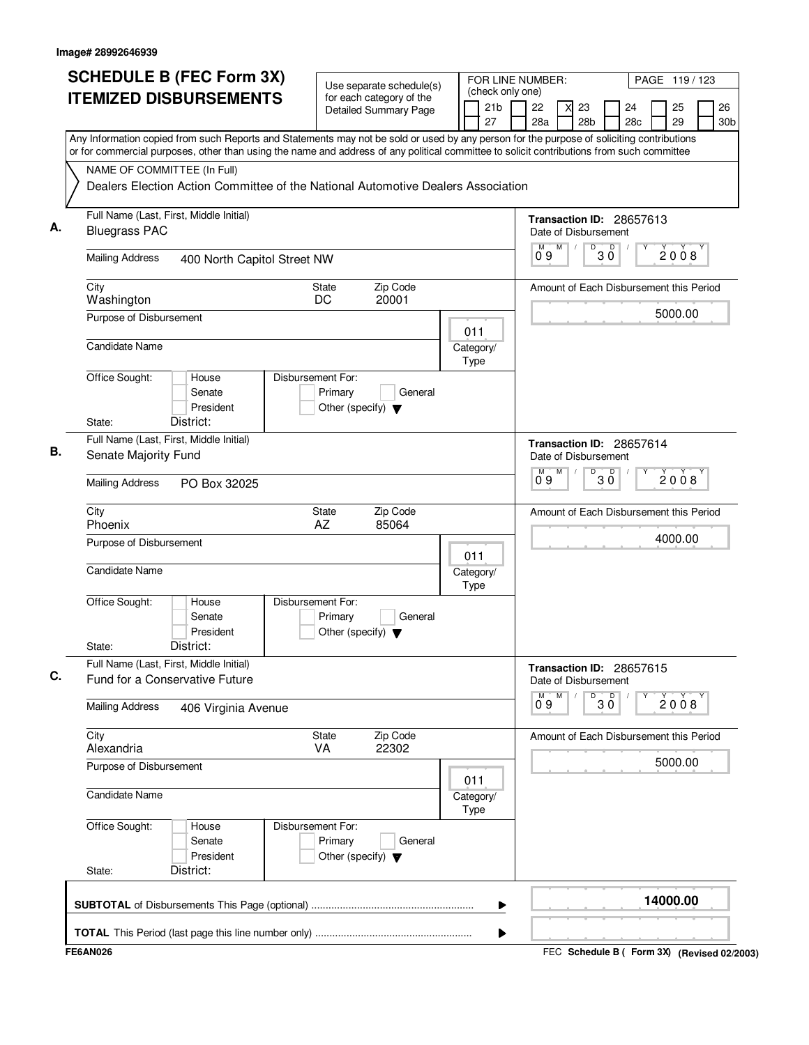|                                                                                                                                                                                                                                                                                        | <b>SCHEDULE B (FEC Form 3X)</b><br>Use separate schedule(s)<br><b>ITEMIZED DISBURSEMENTS</b><br>for each category of the |                   |                                                 |                              |  |                   | FOR LINE NUMBER:<br>(check only one) |                      |   |                       |              |                                         | PAGE 119/123 |                       |
|----------------------------------------------------------------------------------------------------------------------------------------------------------------------------------------------------------------------------------------------------------------------------------------|--------------------------------------------------------------------------------------------------------------------------|-------------------|-------------------------------------------------|------------------------------|--|-------------------|--------------------------------------|----------------------|---|-----------------------|--------------|-----------------------------------------|--------------|-----------------------|
|                                                                                                                                                                                                                                                                                        |                                                                                                                          |                   |                                                 | <b>Detailed Summary Page</b> |  |                   | 21 <sub>b</sub><br>27                | 22<br>28a            |   | 23<br>28 <sub>b</sub> |              | 24<br>28c                               | 25<br>29     | 26<br>30 <sub>b</sub> |
| Any Information copied from such Reports and Statements may not be sold or used by any person for the purpose of soliciting contributions<br>or for commercial purposes, other than using the name and address of any political committee to solicit contributions from such committee |                                                                                                                          |                   |                                                 |                              |  |                   |                                      |                      |   |                       |              |                                         |              |                       |
| NAME OF COMMITTEE (In Full)                                                                                                                                                                                                                                                            |                                                                                                                          |                   |                                                 |                              |  |                   |                                      |                      |   |                       |              |                                         |              |                       |
|                                                                                                                                                                                                                                                                                        | Dealers Election Action Committee of the National Automotive Dealers Association                                         |                   |                                                 |                              |  |                   |                                      |                      |   |                       |              |                                         |              |                       |
| Full Name (Last, First, Middle Initial)<br>А.<br><b>Bluegrass PAC</b>                                                                                                                                                                                                                  |                                                                                                                          |                   |                                                 |                              |  |                   |                                      | Date of Disbursement |   |                       |              | Transaction ID: 28657613                |              |                       |
| <b>Mailing Address</b>                                                                                                                                                                                                                                                                 | 400 North Capitol Street NW                                                                                              |                   |                                                 |                              |  |                   |                                      | М<br>09              | M | D                     | 30           |                                         | 2008         |                       |
| City<br>Washington                                                                                                                                                                                                                                                                     |                                                                                                                          |                   | <b>State</b><br>DC                              | Zip Code<br>20001            |  |                   |                                      |                      |   |                       |              | Amount of Each Disbursement this Period |              |                       |
| Purpose of Disbursement                                                                                                                                                                                                                                                                |                                                                                                                          |                   |                                                 |                              |  | 011               |                                      |                      |   |                       |              |                                         | 5000.00      |                       |
| Candidate Name                                                                                                                                                                                                                                                                         |                                                                                                                          |                   |                                                 |                              |  | Category/<br>Type |                                      |                      |   |                       |              |                                         |              |                       |
| Office Sought:                                                                                                                                                                                                                                                                         | House<br>Senate<br>President                                                                                             | Disbursement For: | Primary<br>Other (specify) $\blacktriangledown$ | General                      |  |                   |                                      |                      |   |                       |              |                                         |              |                       |
| State:                                                                                                                                                                                                                                                                                 | District:                                                                                                                |                   |                                                 |                              |  |                   |                                      |                      |   |                       |              |                                         |              |                       |
| Full Name (Last, First, Middle Initial)<br>В.<br>Senate Majority Fund                                                                                                                                                                                                                  |                                                                                                                          |                   |                                                 |                              |  |                   |                                      | Date of Disbursement |   |                       |              | Transaction ID: 28657614                |              |                       |
| <b>Mailing Address</b>                                                                                                                                                                                                                                                                 | PO Box 32025                                                                                                             |                   |                                                 |                              |  |                   |                                      | $0^{\circ}9$         | M | D                     | $30^{\circ}$ |                                         | 2008         |                       |
| City<br>Phoenix                                                                                                                                                                                                                                                                        |                                                                                                                          |                   | State<br>AZ                                     | Zip Code<br>85064            |  |                   |                                      |                      |   |                       |              | Amount of Each Disbursement this Period |              |                       |
| Purpose of Disbursement                                                                                                                                                                                                                                                                |                                                                                                                          |                   |                                                 |                              |  | 011               |                                      |                      |   |                       |              |                                         | 4000.00      |                       |
| Candidate Name                                                                                                                                                                                                                                                                         |                                                                                                                          |                   |                                                 |                              |  | Category/<br>Type |                                      |                      |   |                       |              |                                         |              |                       |
| Office Sought:                                                                                                                                                                                                                                                                         | House<br>Senate<br>President                                                                                             | Disbursement For: | Primary<br>Other (specify) $\blacktriangledown$ | General                      |  |                   |                                      |                      |   |                       |              |                                         |              |                       |
| State:                                                                                                                                                                                                                                                                                 | District:                                                                                                                |                   |                                                 |                              |  |                   |                                      |                      |   |                       |              |                                         |              |                       |
| Full Name (Last, First, Middle Initial)<br>C.<br>Fund for a Conservative Future                                                                                                                                                                                                        |                                                                                                                          |                   |                                                 |                              |  |                   |                                      | Date of Disbursement |   |                       |              | Transaction ID: 28657615                |              |                       |
| <b>Mailing Address</b>                                                                                                                                                                                                                                                                 | 406 Virginia Avenue                                                                                                      |                   |                                                 |                              |  |                   |                                      | м<br>09              | M | D                     | D<br>3Ŏ      |                                         | 2008         |                       |
| City<br>Alexandria                                                                                                                                                                                                                                                                     |                                                                                                                          |                   | State<br><b>VA</b>                              | Zip Code<br>22302            |  |                   |                                      |                      |   |                       |              | Amount of Each Disbursement this Period |              |                       |
| Purpose of Disbursement                                                                                                                                                                                                                                                                |                                                                                                                          |                   |                                                 |                              |  | 011               |                                      |                      |   |                       |              |                                         | 5000.00      |                       |
| Candidate Name                                                                                                                                                                                                                                                                         |                                                                                                                          |                   |                                                 |                              |  | Category/<br>Type |                                      |                      |   |                       |              |                                         |              |                       |
| Office Sought:                                                                                                                                                                                                                                                                         | House<br>Senate<br>President                                                                                             | Disbursement For: | Primary<br>Other (specify) $\blacktriangledown$ | General                      |  |                   |                                      |                      |   |                       |              |                                         |              |                       |
| State:                                                                                                                                                                                                                                                                                 | District:                                                                                                                |                   |                                                 |                              |  |                   |                                      |                      |   |                       |              |                                         |              |                       |
|                                                                                                                                                                                                                                                                                        |                                                                                                                          |                   |                                                 |                              |  |                   | ▶                                    |                      |   |                       |              |                                         | 14000.00     |                       |
|                                                                                                                                                                                                                                                                                        |                                                                                                                          |                   |                                                 |                              |  |                   | ▶                                    |                      |   |                       |              |                                         |              |                       |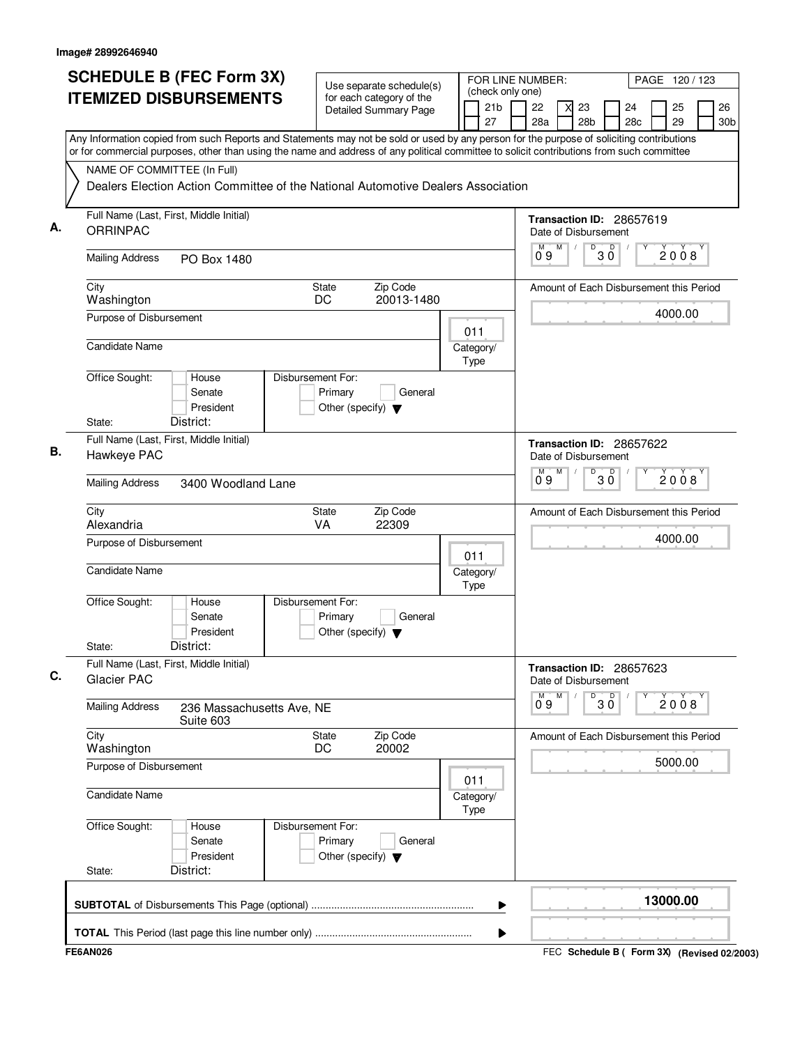|    | <b>SCHEDULE B (FEC Form 3X)</b><br><b>ITEMIZED DISBURSEMENTS</b>                                                                                                                                                                                                                       |                                                                      | Use separate schedule(s)<br>for each category of the<br>Detailed Summary Page | (check only one)<br>21b | FOR LINE NUMBER:<br>22<br>23                     | PAGE 120 / 123<br>26<br>24<br>25        |
|----|----------------------------------------------------------------------------------------------------------------------------------------------------------------------------------------------------------------------------------------------------------------------------------------|----------------------------------------------------------------------|-------------------------------------------------------------------------------|-------------------------|--------------------------------------------------|-----------------------------------------|
|    | Any Information copied from such Reports and Statements may not be sold or used by any person for the purpose of soliciting contributions<br>or for commercial purposes, other than using the name and address of any political committee to solicit contributions from such committee |                                                                      |                                                                               | 27                      | 28a<br>28 <sub>b</sub>                           | 29<br>28c<br>30 <sub>b</sub>            |
|    | NAME OF COMMITTEE (In Full)<br>Dealers Election Action Committee of the National Automotive Dealers Association                                                                                                                                                                        |                                                                      |                                                                               |                         |                                                  |                                         |
| А. | Full Name (Last, First, Middle Initial)<br><b>ORRINPAC</b>                                                                                                                                                                                                                             |                                                                      |                                                                               |                         | Transaction ID: 28657619<br>Date of Disbursement |                                         |
|    | <b>Mailing Address</b><br>PO Box 1480                                                                                                                                                                                                                                                  |                                                                      |                                                                               |                         | D<br>M<br>М<br>09                                | $30^{\circ}$<br>2008                    |
|    | City<br>Washington                                                                                                                                                                                                                                                                     | <b>State</b><br>DC                                                   | Zip Code<br>20013-1480                                                        |                         |                                                  | Amount of Each Disbursement this Period |
|    | Purpose of Disbursement<br><b>Candidate Name</b>                                                                                                                                                                                                                                       |                                                                      |                                                                               | 011<br>Category/        |                                                  | 4000.00                                 |
|    | Office Sought:<br>House                                                                                                                                                                                                                                                                | Disbursement For:                                                    |                                                                               | Type                    |                                                  |                                         |
|    | Senate<br>President<br>District:<br>State:                                                                                                                                                                                                                                             | Primary<br>Other (specify) $\blacktriangledown$                      | General                                                                       |                         |                                                  |                                         |
|    | Full Name (Last, First, Middle Initial)<br>Hawkeye PAC                                                                                                                                                                                                                                 |                                                                      |                                                                               |                         | Transaction ID: 28657622<br>Date of Disbursement |                                         |
|    | <b>Mailing Address</b><br>3400 Woodland Lane                                                                                                                                                                                                                                           |                                                                      |                                                                               |                         | M<br>М<br>0°9                                    | $\overline{\frac{D}{30}}$<br>2008       |
|    | City<br>Alexandria                                                                                                                                                                                                                                                                     | <b>State</b><br>VA                                                   | Zip Code<br>22309                                                             |                         |                                                  | Amount of Each Disbursement this Period |
|    | Purpose of Disbursement                                                                                                                                                                                                                                                                |                                                                      |                                                                               | 011                     |                                                  | 4000.00                                 |
|    | <b>Candidate Name</b>                                                                                                                                                                                                                                                                  |                                                                      |                                                                               | Category/<br>Type       |                                                  |                                         |
|    | Office Sought:<br>House<br>Senate<br>President<br>District:<br>State:                                                                                                                                                                                                                  | Disbursement For:<br>Primary<br>Other (specify) $\blacktriangledown$ | General                                                                       |                         |                                                  |                                         |
|    | Full Name (Last, First, Middle Initial)<br><b>Glacier PAC</b>                                                                                                                                                                                                                          |                                                                      |                                                                               |                         | Transaction ID: 28657623<br>Date of Disbursement |                                         |
|    | <b>Mailing Address</b><br>236 Massachusetts Ave, NE<br>Suite 603                                                                                                                                                                                                                       |                                                                      |                                                                               |                         | M<br>M<br>D<br>09                                | $\overline{\mathsf{D}}$<br>2008<br>3 Ŏ  |
|    | City<br>Washington                                                                                                                                                                                                                                                                     | <b>State</b><br>DC                                                   | Zip Code<br>20002                                                             |                         |                                                  | Amount of Each Disbursement this Period |
|    | Purpose of Disbursement                                                                                                                                                                                                                                                                |                                                                      |                                                                               | 011                     |                                                  | 5000.00                                 |
|    | <b>Candidate Name</b>                                                                                                                                                                                                                                                                  |                                                                      |                                                                               | Category/<br>Type       |                                                  |                                         |
|    | Office Sought:<br>House<br>Senate<br>President                                                                                                                                                                                                                                         | Disbursement For:<br>Primary<br>Other (specify) $\blacktriangledown$ | General                                                                       |                         |                                                  |                                         |
|    | District:<br>State:                                                                                                                                                                                                                                                                    |                                                                      |                                                                               |                         |                                                  | 13000.00                                |
|    |                                                                                                                                                                                                                                                                                        |                                                                      |                                                                               | ▶                       |                                                  |                                         |
|    |                                                                                                                                                                                                                                                                                        |                                                                      |                                                                               | ▶                       |                                                  |                                         |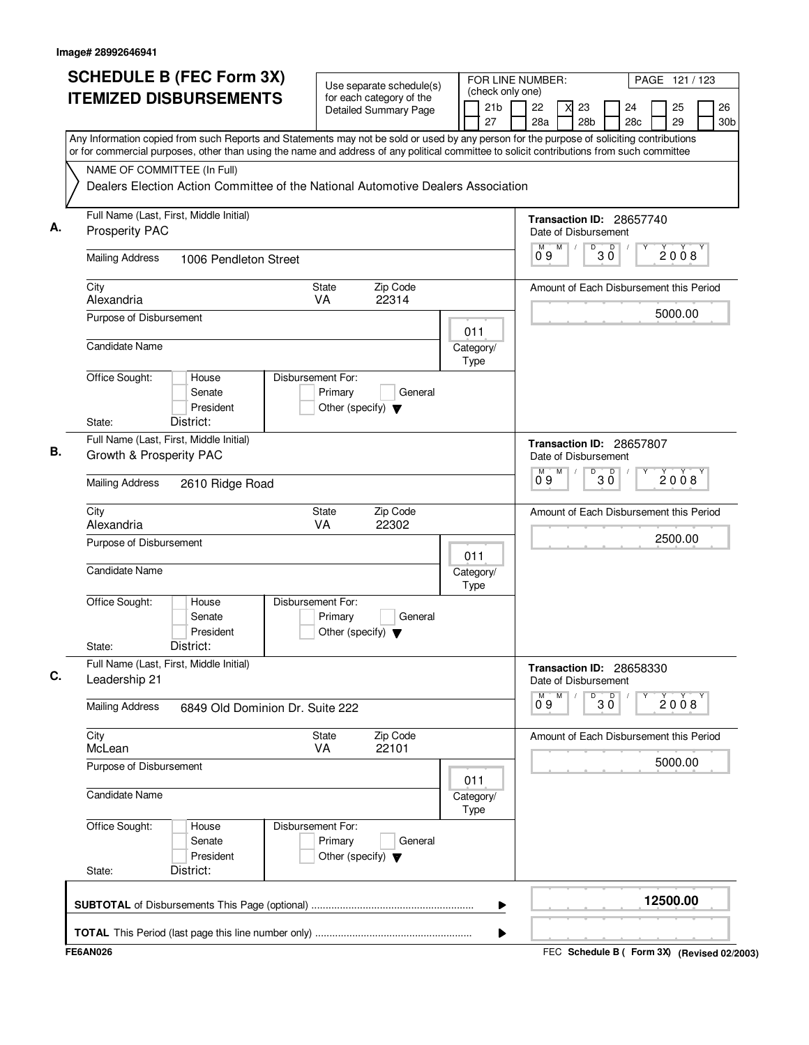| <b>SCHEDULE B (FEC Form 3X)</b><br><b>ITEMIZED DISBURSEMENTS</b>                                                                                                                                                                                                                       | Use separate schedule(s)<br>for each category of the<br><b>Detailed Summary Page</b> | FOR LINE NUMBER:<br>(check only one)<br>21b | PAGE 121 / 123<br>26<br>22<br>23<br>24<br>25           |
|----------------------------------------------------------------------------------------------------------------------------------------------------------------------------------------------------------------------------------------------------------------------------------------|--------------------------------------------------------------------------------------|---------------------------------------------|--------------------------------------------------------|
|                                                                                                                                                                                                                                                                                        |                                                                                      | 27                                          | 28a<br>28 <sub>b</sub><br>29<br>28c<br>30 <sub>b</sub> |
| Any Information copied from such Reports and Statements may not be sold or used by any person for the purpose of soliciting contributions<br>or for commercial purposes, other than using the name and address of any political committee to solicit contributions from such committee |                                                                                      |                                             |                                                        |
| NAME OF COMMITTEE (In Full)                                                                                                                                                                                                                                                            |                                                                                      |                                             |                                                        |
|                                                                                                                                                                                                                                                                                        | Dealers Election Action Committee of the National Automotive Dealers Association     |                                             |                                                        |
| Full Name (Last, First, Middle Initial)                                                                                                                                                                                                                                                |                                                                                      |                                             |                                                        |
| А.<br><b>Prosperity PAC</b>                                                                                                                                                                                                                                                            |                                                                                      |                                             | Transaction ID: 28657740<br>Date of Disbursement       |
| <b>Mailing Address</b><br>1006 Pendleton Street                                                                                                                                                                                                                                        |                                                                                      |                                             | D<br>$30^{\circ}$<br>М<br>M<br>2008<br>09              |
| City<br>Alexandria                                                                                                                                                                                                                                                                     | Zip Code<br>State<br>22314<br>VA                                                     |                                             | Amount of Each Disbursement this Period                |
| Purpose of Disbursement                                                                                                                                                                                                                                                                |                                                                                      | 011                                         | 5000.00                                                |
| <b>Candidate Name</b>                                                                                                                                                                                                                                                                  |                                                                                      | Category/<br>Type                           |                                                        |
| Office Sought:<br>House<br>Senate<br>President                                                                                                                                                                                                                                         | Disbursement For:<br>Primary<br>General<br>Other (specify) $\blacktriangledown$      |                                             |                                                        |
| District:<br>State:                                                                                                                                                                                                                                                                    |                                                                                      |                                             |                                                        |
| Full Name (Last, First, Middle Initial)<br>В.<br>Growth & Prosperity PAC                                                                                                                                                                                                               |                                                                                      |                                             | Transaction ID: 28657807<br>Date of Disbursement       |
| <b>Mailing Address</b><br>2610 Ridge Road                                                                                                                                                                                                                                              |                                                                                      |                                             | $\overline{30}$<br>M<br>М<br>2008<br>0°9               |
| City<br>Alexandria                                                                                                                                                                                                                                                                     | <b>State</b><br>Zip Code<br>VA<br>22302                                              |                                             | Amount of Each Disbursement this Period                |
| Purpose of Disbursement                                                                                                                                                                                                                                                                |                                                                                      | 011                                         | 2500.00                                                |
| <b>Candidate Name</b>                                                                                                                                                                                                                                                                  |                                                                                      | Category/<br>Type                           |                                                        |
| Office Sought:<br>House<br>Senate<br>President<br>District:<br>State:                                                                                                                                                                                                                  | Disbursement For:<br>Primary<br>General<br>Other (specify) $\blacktriangledown$      |                                             |                                                        |
| Full Name (Last, First, Middle Initial)                                                                                                                                                                                                                                                |                                                                                      |                                             | Transaction ID: 28658330                               |
| C.<br>Leadership 21                                                                                                                                                                                                                                                                    |                                                                                      |                                             | Date of Disbursement                                   |
| <b>Mailing Address</b>                                                                                                                                                                                                                                                                 | 6849 Old Dominion Dr. Suite 222                                                      |                                             | M<br>D<br>$30^{\circ}$<br>М<br>2008<br>09              |
| City<br>McLean                                                                                                                                                                                                                                                                         | Zip Code<br>State<br><b>VA</b><br>22101                                              |                                             | Amount of Each Disbursement this Period                |
| Purpose of Disbursement                                                                                                                                                                                                                                                                |                                                                                      |                                             | 5000.00                                                |
| <b>Candidate Name</b>                                                                                                                                                                                                                                                                  |                                                                                      | 011<br>Category/<br>Type                    |                                                        |
| Office Sought:<br>House<br>Senate<br>President                                                                                                                                                                                                                                         | Disbursement For:<br>Primary<br>General<br>Other (specify) $\blacktriangledown$      |                                             |                                                        |
| District:<br>State:                                                                                                                                                                                                                                                                    |                                                                                      |                                             |                                                        |
|                                                                                                                                                                                                                                                                                        |                                                                                      | ▶                                           | 12500.00                                               |
|                                                                                                                                                                                                                                                                                        |                                                                                      | ▶                                           |                                                        |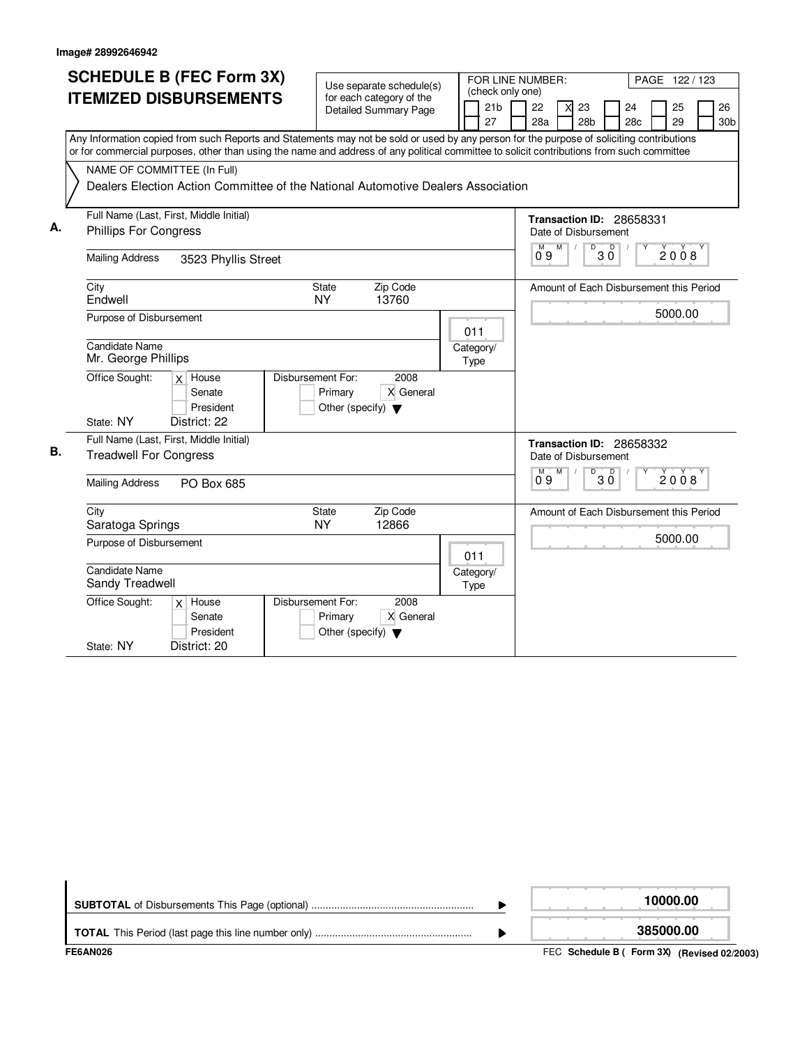|    | <b>SCHEDULE B (FEC Form 3X)</b><br><b>ITEMIZED DISBURSEMENTS</b>                                                                                                                                                                                                                       | Use separate schedule(s)<br>for each category of the                                      | (check only one)      | FOR LINE NUMBER:<br>PAGE 122 / 123                                                        |
|----|----------------------------------------------------------------------------------------------------------------------------------------------------------------------------------------------------------------------------------------------------------------------------------------|-------------------------------------------------------------------------------------------|-----------------------|-------------------------------------------------------------------------------------------|
|    |                                                                                                                                                                                                                                                                                        | <b>Detailed Summary Page</b>                                                              | 21 <sub>b</sub><br>27 | 22<br>25<br>26<br>23<br>24<br>X<br>28a<br>28 <sub>b</sub><br>28c<br>29<br>30 <sub>b</sub> |
|    | Any Information copied from such Reports and Statements may not be sold or used by any person for the purpose of soliciting contributions<br>or for commercial purposes, other than using the name and address of any political committee to solicit contributions from such committee |                                                                                           |                       |                                                                                           |
|    | NAME OF COMMITTEE (In Full)<br>Dealers Election Action Committee of the National Automotive Dealers Association                                                                                                                                                                        |                                                                                           |                       |                                                                                           |
| А. | Full Name (Last, First, Middle Initial)<br><b>Phillips For Congress</b>                                                                                                                                                                                                                |                                                                                           |                       | Transaction ID: 28658331<br>Date of Disbursement<br>M<br>$\overline{D}$<br>$\mathsf D$    |
|    | <b>Mailing Address</b><br>3523 Phyllis Street                                                                                                                                                                                                                                          |                                                                                           |                       | 2008<br>ЗŐ<br>Ő 9                                                                         |
|    | City<br>Endwell                                                                                                                                                                                                                                                                        | <b>State</b><br>Zip Code<br><b>NY</b><br>13760                                            |                       | Amount of Each Disbursement this Period                                                   |
|    | Purpose of Disbursement                                                                                                                                                                                                                                                                |                                                                                           | 011                   | 5000.00                                                                                   |
|    | <b>Candidate Name</b><br>Mr. George Phillips                                                                                                                                                                                                                                           |                                                                                           | Category/<br>Type     |                                                                                           |
|    | Office Sought:<br>$x$ House<br>Senate<br>President<br>District: 22<br>State: NY                                                                                                                                                                                                        | Disbursement For:<br>2008<br>X General<br>Primary<br>Other (specify) $\blacktriangledown$ |                       |                                                                                           |
| В. | Full Name (Last, First, Middle Initial)<br><b>Treadwell For Congress</b>                                                                                                                                                                                                               |                                                                                           |                       | Transaction ID: 28658332<br>Date of Disbursement<br>м<br>M<br>D<br>D                      |
|    | <b>Mailing Address</b><br>PO Box 685                                                                                                                                                                                                                                                   |                                                                                           |                       | $\check{2}0\check{0}8$<br>3 Ŏ<br>09                                                       |
|    | City<br>Saratoga Springs                                                                                                                                                                                                                                                               | Zip Code<br><b>State</b><br><b>NY</b><br>12866                                            |                       | Amount of Each Disbursement this Period                                                   |
|    | Purpose of Disbursement                                                                                                                                                                                                                                                                |                                                                                           | 011                   | 5000.00                                                                                   |
|    | <b>Candidate Name</b><br>Sandy Treadwell                                                                                                                                                                                                                                               |                                                                                           | Category/<br>Type     |                                                                                           |
|    | Office Sought:<br>$x$ House<br>Senate<br>President<br>District: 20<br>State: NY                                                                                                                                                                                                        | Disbursement For:<br>2008<br>X General<br>Primary<br>Other (specify) $\blacktriangledown$ |                       |                                                                                           |

|  | 10000.00  |
|--|-----------|
|  | 385000.00 |